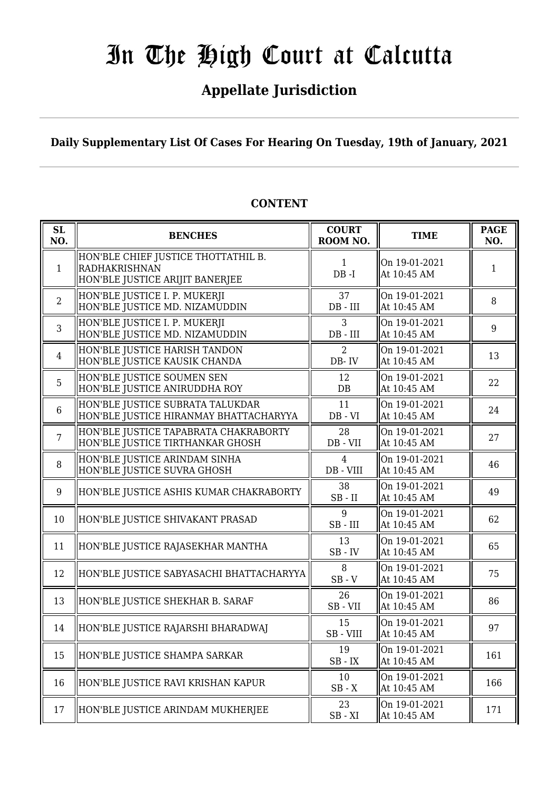## **Appellate Jurisdiction**

**Daily Supplementary List Of Cases For Hearing On Tuesday, 19th of January, 2021**

| SL<br>NO.      | <b>BENCHES</b>                                                                                 | <b>COURT</b><br>ROOM NO.    | <b>TIME</b>                  | <b>PAGE</b><br>NO. |
|----------------|------------------------------------------------------------------------------------------------|-----------------------------|------------------------------|--------------------|
| $\mathbf{1}$   | HON'BLE CHIEF JUSTICE THOTTATHIL B.<br><b>RADHAKRISHNAN</b><br>HON'BLE JUSTICE ARIJIT BANERJEE | $\mathbf{1}$<br>$DB - I$    | On 19-01-2021<br>At 10:45 AM | 1                  |
| $\overline{2}$ | HON'BLE JUSTICE I. P. MUKERJI<br>HON'BLE JUSTICE MD. NIZAMUDDIN                                | 37<br>$DB$ - $III$          | On 19-01-2021<br>At 10:45 AM | 8                  |
| 3              | HON'BLE JUSTICE I. P. MUKERJI<br>HON'BLE JUSTICE MD. NIZAMUDDIN                                | 3<br>$DB$ - $III$           | On 19-01-2021<br>At 10:45 AM | 9                  |
| $\overline{4}$ | HON'BLE JUSTICE HARISH TANDON<br>HON'BLE JUSTICE KAUSIK CHANDA                                 | 2<br>DB-IV                  | On 19-01-2021<br>At 10:45 AM | 13                 |
| 5              | HON'BLE JUSTICE SOUMEN SEN<br>HON'BLE JUSTICE ANIRUDDHA ROY                                    | 12<br>DB                    | On 19-01-2021<br>At 10:45 AM | 22                 |
| 6              | HON'BLE JUSTICE SUBRATA TALUKDAR<br>HON'BLE JUSTICE HIRANMAY BHATTACHARYYA                     | 11<br>$DB - VI$             | On 19-01-2021<br>At 10:45 AM | 24                 |
| $\overline{7}$ | HON'BLE JUSTICE TAPABRATA CHAKRABORTY<br>HON'BLE JUSTICE TIRTHANKAR GHOSH                      | 28<br>DB - VII              | On 19-01-2021<br>At 10:45 AM | 27                 |
| 8              | HON'BLE JUSTICE ARINDAM SINHA<br>HON'BLE JUSTICE SUVRA GHOSH                                   | $\overline{4}$<br>DB - VIII | On 19-01-2021<br>At 10:45 AM | 46                 |
| 9              | HON'BLE JUSTICE ASHIS KUMAR CHAKRABORTY                                                        | 38<br>$SB$ - $II$           | On 19-01-2021<br>At 10:45 AM | 49                 |
| 10             | HON'BLE JUSTICE SHIVAKANT PRASAD                                                               | 9<br>$SB$ - $III$           | On 19-01-2021<br>At 10:45 AM | 62                 |
| 11             | HON'BLE JUSTICE RAJASEKHAR MANTHA                                                              | 13<br>$SB$ - $IV$           | On 19-01-2021<br>At 10:45 AM | 65                 |
| 12             | HON'BLE JUSTICE SABYASACHI BHATTACHARYYA                                                       | 8<br>$SB - V$               | On 19-01-2021<br>At 10:45 AM | 75                 |
| 13             | HON'BLE JUSTICE SHEKHAR B. SARAF                                                               | 26<br>SB-VII                | On 19-01-2021<br>At 10:45 AM | 86                 |
| 14             | HON'BLE JUSTICE RAJARSHI BHARADWAJ                                                             | 15<br>SB - VIII             | On 19-01-2021<br>At 10:45 AM | 97                 |
| 15             | HON'BLE JUSTICE SHAMPA SARKAR                                                                  | 19<br>$SB$ - $IX$           | On 19-01-2021<br>At 10:45 AM | 161                |
| 16             | HON'BLE JUSTICE RAVI KRISHAN KAPUR                                                             | 10<br>$SB - X$              | On 19-01-2021<br>At 10:45 AM | 166                |
| 17             | HON'BLE JUSTICE ARINDAM MUKHERJEE                                                              | 23<br>$SB - XI$             | On 19-01-2021<br>At 10:45 AM | 171                |

## **CONTENT**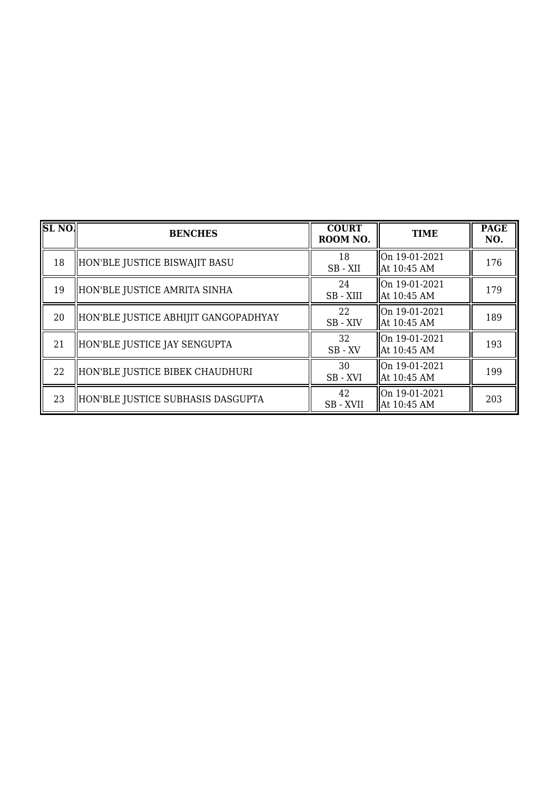| $ {\overline {\rm SL~NO}} $ | <b>BENCHES</b>                       | <b>COURT</b><br>ROOM NO. | <b>TIME</b>                  | <b>PAGE</b><br>NO. |
|-----------------------------|--------------------------------------|--------------------------|------------------------------|--------------------|
| 18                          | HON'BLE JUSTICE BISWAJIT BASU        | 18<br>SB-XII             | On 19-01-2021<br>At 10:45 AM | 176                |
| 19                          | HON'BLE JUSTICE AMRITA SINHA         | 24<br>SB - XIII          | On 19-01-2021<br>At 10:45 AM | 179                |
| 20                          | HON'BLE JUSTICE ABHIJIT GANGOPADHYAY | 22<br>SB - XIV           | On 19-01-2021<br>At 10:45 AM | 189                |
| 21                          | HON'BLE JUSTICE JAY SENGUPTA         | 32<br>$SB$ - $XV$        | On 19-01-2021<br>At 10:45 AM | 193                |
| 22                          | HON'BLE JUSTICE BIBEK CHAUDHURI      | 30<br>SB-XVI             | On 19-01-2021<br>At 10:45 AM | 199                |
| 23                          | HON'BLE JUSTICE SUBHASIS DASGUPTA    | 42<br>SB - XVII          | On 19-01-2021<br>At 10:45 AM | 203                |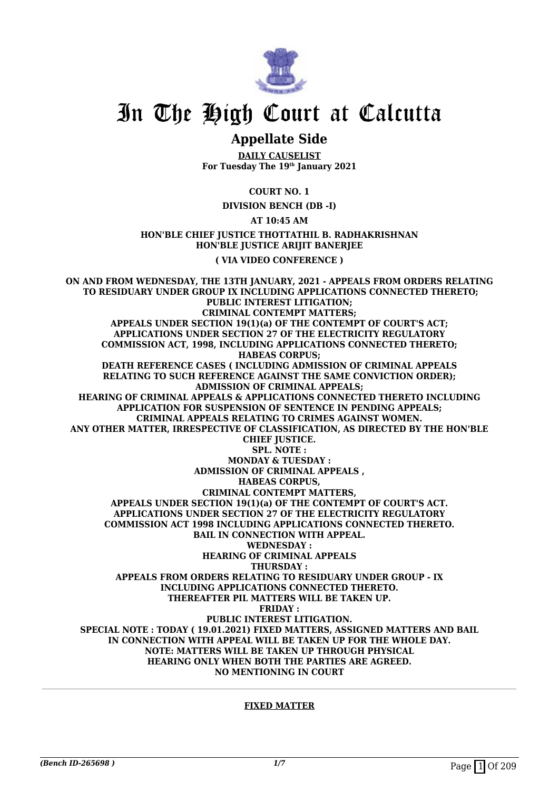

## **Appellate Side**

**DAILY CAUSELIST For Tuesday The 19th January 2021**

**COURT NO. 1**

**DIVISION BENCH (DB -I)**

**AT 10:45 AM**

**HON'BLE CHIEF JUSTICE THOTTATHIL B. RADHAKRISHNAN HON'BLE JUSTICE ARIJIT BANERJEE**

**( VIA VIDEO CONFERENCE )**

**ON AND FROM WEDNESDAY, THE 13TH JANUARY, 2021 - APPEALS FROM ORDERS RELATING TO RESIDUARY UNDER GROUP IX INCLUDING APPLICATIONS CONNECTED THERETO; PUBLIC INTEREST LITIGATION; CRIMINAL CONTEMPT MATTERS; APPEALS UNDER SECTION 19(1)(a) OF THE CONTEMPT OF COURT'S ACT; APPLICATIONS UNDER SECTION 27 OF THE ELECTRICITY REGULATORY COMMISSION ACT, 1998, INCLUDING APPLICATIONS CONNECTED THERETO; HABEAS CORPUS; DEATH REFERENCE CASES ( INCLUDING ADMISSION OF CRIMINAL APPEALS RELATING TO SUCH REFERENCE AGAINST THE SAME CONVICTION ORDER); ADMISSION OF CRIMINAL APPEALS; HEARING OF CRIMINAL APPEALS & APPLICATIONS CONNECTED THERETO INCLUDING APPLICATION FOR SUSPENSION OF SENTENCE IN PENDING APPEALS; CRIMINAL APPEALS RELATING TO CRIMES AGAINST WOMEN. ANY OTHER MATTER, IRRESPECTIVE OF CLASSIFICATION, AS DIRECTED BY THE HON'BLE CHIEF JUSTICE. SPL. NOTE : MONDAY & TUESDAY : ADMISSION OF CRIMINAL APPEALS , HABEAS CORPUS, CRIMINAL CONTEMPT MATTERS, APPEALS UNDER SECTION 19(1)(a) OF THE CONTEMPT OF COURT'S ACT. APPLICATIONS UNDER SECTION 27 OF THE ELECTRICITY REGULATORY COMMISSION ACT 1998 INCLUDING APPLICATIONS CONNECTED THERETO. BAIL IN CONNECTION WITH APPEAL. WEDNESDAY : HEARING OF CRIMINAL APPEALS THURSDAY : APPEALS FROM ORDERS RELATING TO RESIDUARY UNDER GROUP - IX INCLUDING APPLICATIONS CONNECTED THERETO. THEREAFTER PIL MATTERS WILL BE TAKEN UP. FRIDAY : PUBLIC INTEREST LITIGATION. SPECIAL NOTE : TODAY ( 19.01.2021) FIXED MATTERS, ASSIGNED MATTERS AND BAIL IN CONNECTION WITH APPEAL WILL BE TAKEN UP FOR THE WHOLE DAY. NOTE: MATTERS WILL BE TAKEN UP THROUGH PHYSICAL HEARING ONLY WHEN BOTH THE PARTIES ARE AGREED. NO MENTIONING IN COURT**

#### **FIXED MATTER**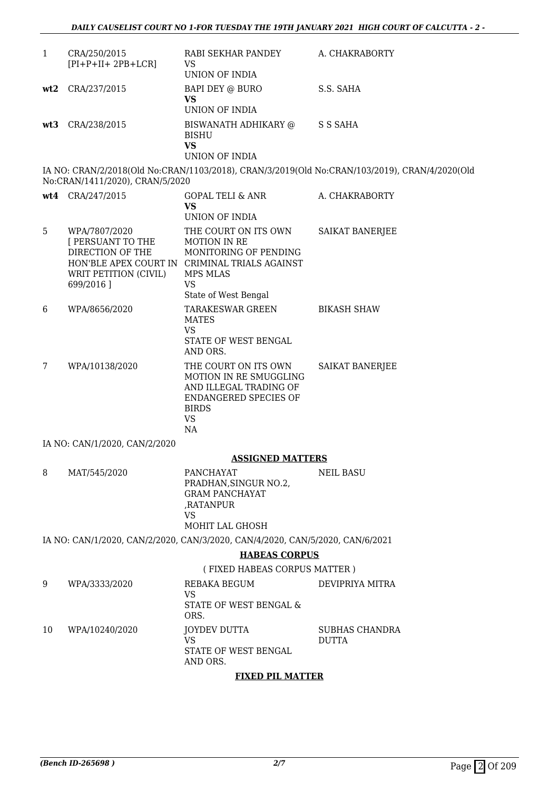| $\mathbf{1}$    | CRA/250/2015<br>$[PI+P+II+2PB+LCR]$                                                                 | RABI SEKHAR PANDEY<br><b>VS</b><br>UNION OF INDIA                                                                                                                      | A. CHAKRABORTY                                                                                |
|-----------------|-----------------------------------------------------------------------------------------------------|------------------------------------------------------------------------------------------------------------------------------------------------------------------------|-----------------------------------------------------------------------------------------------|
| wt2             | CRA/237/2015                                                                                        | BAPI DEY @ BURO<br><b>VS</b><br>UNION OF INDIA                                                                                                                         | S.S. SAHA                                                                                     |
| wt <sub>3</sub> | CRA/238/2015                                                                                        | BISWANATH ADHIKARY @ S S SAHA<br><b>BISHU</b><br><b>VS</b><br>UNION OF INDIA                                                                                           |                                                                                               |
|                 | No:CRAN/1411/2020), CRAN/5/2020                                                                     |                                                                                                                                                                        | IA NO: CRAN/2/2018(Old No:CRAN/1103/2018), CRAN/3/2019(Old No:CRAN/103/2019), CRAN/4/2020(Old |
|                 | wt4 CRA/247/2015                                                                                    | GOPAL TELI & ANR<br><b>VS</b><br>UNION OF INDIA                                                                                                                        | A. CHAKRABORTY                                                                                |
| 5               | WPA/7807/2020<br><b>I PERSUANT TO THE</b><br>DIRECTION OF THE<br>WRIT PETITION (CIVIL)<br>699/2016] | THE COURT ON ITS OWN<br>MOTION IN RE<br>MONITORING OF PENDING<br>HON'BLE APEX COURT IN CRIMINAL TRIALS AGAINST<br><b>MPS MLAS</b><br><b>VS</b><br>State of West Bengal | SAIKAT BANERJEE                                                                               |
| 6               | WPA/8656/2020                                                                                       | TARAKESWAR GREEN<br><b>MATES</b><br><b>VS</b><br>STATE OF WEST BENGAL<br>AND ORS.                                                                                      | <b>BIKASH SHAW</b>                                                                            |
| 7               | WPA/10138/2020                                                                                      | THE COURT ON ITS OWN<br>MOTION IN RE SMUGGLING<br>AND ILLEGAL TRADING OF<br><b>ENDANGERED SPECIES OF</b><br><b>BIRDS</b><br><b>VS</b><br><b>NA</b>                     | SAIKAT BANERJEE                                                                               |
|                 | IA NO: CAN/1/2020, CAN/2/2020                                                                       |                                                                                                                                                                        |                                                                                               |
|                 |                                                                                                     | <b>ASSIGNED MATTERS</b>                                                                                                                                                |                                                                                               |
| 8               | MAT/545/2020                                                                                        | PANCHAYAT<br>PRADHAN, SINGUR NO.2,<br><b>GRAM PANCHAYAT</b><br>,RATANPUR<br><b>VS</b><br>MOHIT LAL GHOSH                                                               | <b>NEIL BASU</b>                                                                              |
|                 |                                                                                                     | IA NO: CAN/1/2020, CAN/2/2020, CAN/3/2020, CAN/4/2020, CAN/5/2020, CAN/6/2021                                                                                          |                                                                                               |
|                 |                                                                                                     | <b>HABEAS CORPUS</b>                                                                                                                                                   |                                                                                               |
|                 |                                                                                                     | (FIXED HABEAS CORPUS MATTER)                                                                                                                                           |                                                                                               |
| 9               | WPA/3333/2020                                                                                       | REBAKA BEGUM                                                                                                                                                           | DEVIPRIYA MITRA                                                                               |
|                 |                                                                                                     | <b>VS</b><br>STATE OF WEST BENGAL &<br>ORS.                                                                                                                            |                                                                                               |
| 10              | WPA/10240/2020                                                                                      | <b>JOYDEV DUTTA</b><br>VS<br>STATE OF WEST BENGAL<br>AND ORS.                                                                                                          | SUBHAS CHANDRA<br><b>DUTTA</b>                                                                |

## **FIXED PIL MATTER**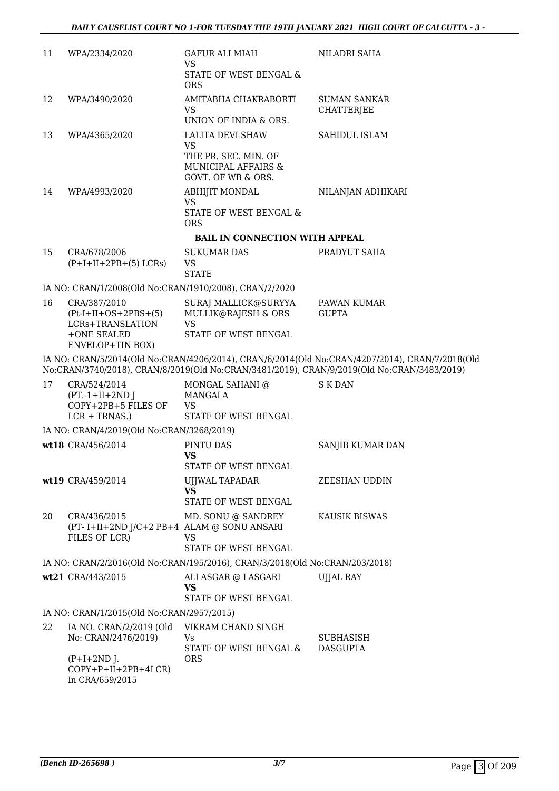| 11 | WPA/2334/2020                                                                | GAFUR ALI MIAH<br>VS.<br>STATE OF WEST BENGAL &                                                    | NILADRI SAHA                                                                                   |
|----|------------------------------------------------------------------------------|----------------------------------------------------------------------------------------------------|------------------------------------------------------------------------------------------------|
| 12 | WPA/3490/2020                                                                | <b>ORS</b><br>AMITABHA CHAKRABORTI<br>VS.<br>UNION OF INDIA & ORS.                                 | <b>SUMAN SANKAR</b><br><b>CHATTERJEE</b>                                                       |
| 13 | WPA/4365/2020                                                                | <b>LALITA DEVI SHAW</b><br><b>VS</b>                                                               | <b>SAHIDUL ISLAM</b>                                                                           |
|    |                                                                              | THE PR. SEC. MIN. OF<br>MUNICIPAL AFFAIRS &<br>GOVT. OF WB & ORS.                                  |                                                                                                |
| 14 | WPA/4993/2020                                                                | <b>ABHIJIT MONDAL</b><br><b>VS</b>                                                                 | NILANJAN ADHIKARI                                                                              |
|    |                                                                              | STATE OF WEST BENGAL &<br><b>ORS</b>                                                               |                                                                                                |
|    |                                                                              | <b>BAIL IN CONNECTION WITH APPEAL</b>                                                              |                                                                                                |
| 15 | CRA/678/2006<br>$(P+I+II+2PB+(5) LCRs)$                                      | <b>SUKUMAR DAS</b><br>VS<br><b>STATE</b>                                                           | PRADYUT SAHA                                                                                   |
|    | IA NO: CRAN/1/2008(Old No:CRAN/1910/2008), CRAN/2/2020                       |                                                                                                    |                                                                                                |
| 16 | CRA/387/2010<br>$(Pt-I+II+OS+2PBS+(5))$<br>LCRs+TRANSLATION<br>+ONE SEALED   | SURAJ MALLICK@SURYYA<br>MULLIK@RAJESH & ORS<br><b>VS</b><br>STATE OF WEST BENGAL                   | PAWAN KUMAR<br><b>GUPTA</b>                                                                    |
|    | <b>ENVELOP+TIN BOX)</b>                                                      |                                                                                                    | IA NO: CRAN/5/2014(Old No:CRAN/4206/2014), CRAN/6/2014(Old No:CRAN/4207/2014), CRAN/7/2018(Old |
|    |                                                                              |                                                                                                    | No:CRAN/3740/2018), CRAN/8/2019(Old No:CRAN/3481/2019), CRAN/9/2019(Old No:CRAN/3483/2019)     |
| 17 | CRA/524/2014<br>$(PT.-1+II+2ND$ J<br>COPY+2PB+5 FILES OF<br>$LCR + TRNAS.$ ) | MONGAL SAHANI @<br>MANGALA<br><b>VS</b><br>STATE OF WEST BENGAL                                    | S K DAN                                                                                        |
|    | IA NO: CRAN/4/2019(Old No:CRAN/3268/2019)                                    |                                                                                                    |                                                                                                |
|    | wt18 CRA/456/2014                                                            | PINTU DAS<br><b>VS</b>                                                                             | SANJIB KUMAR DAN                                                                               |
|    |                                                                              | STATE OF WEST BENGAL                                                                               |                                                                                                |
|    | wt19 CRA/459/2014                                                            | UJJWAL TAPADAR<br><b>VS</b><br>STATE OF WEST BENGAL                                                | <b>ZEESHAN UDDIN</b>                                                                           |
| 20 | CRA/436/2015<br>(PT-I+II+2ND J/C+2 PB+4 ALAM @ SONU ANSARI<br>FILES OF LCR)  | MD. SONU @ SANDREY<br>VS                                                                           | KAUSIK BISWAS                                                                                  |
|    |                                                                              | STATE OF WEST BENGAL                                                                               |                                                                                                |
|    | wt21 CRA/443/2015                                                            | IA NO: CRAN/2/2016(Old No:CRAN/195/2016), CRAN/3/2018(Old No:CRAN/203/2018)<br>ALI ASGAR @ LASGARI | <b>UJJAL RAY</b>                                                                               |
|    |                                                                              | <b>VS</b><br>STATE OF WEST BENGAL                                                                  |                                                                                                |
|    | IA NO: CRAN/1/2015(Old No:CRAN/2957/2015)                                    |                                                                                                    |                                                                                                |
| 22 | IA NO. CRAN/2/2019 (Old<br>No: CRAN/2476/2019)                               | VIKRAM CHAND SINGH<br>Vs<br>STATE OF WEST BENGAL &                                                 | <b>SUBHASISH</b><br><b>DASGUPTA</b>                                                            |
|    | $(P+I+2ND$ J.<br>$COPY+P+II+2PB+4LCR$<br>In CRA/659/2015                     | <b>ORS</b>                                                                                         |                                                                                                |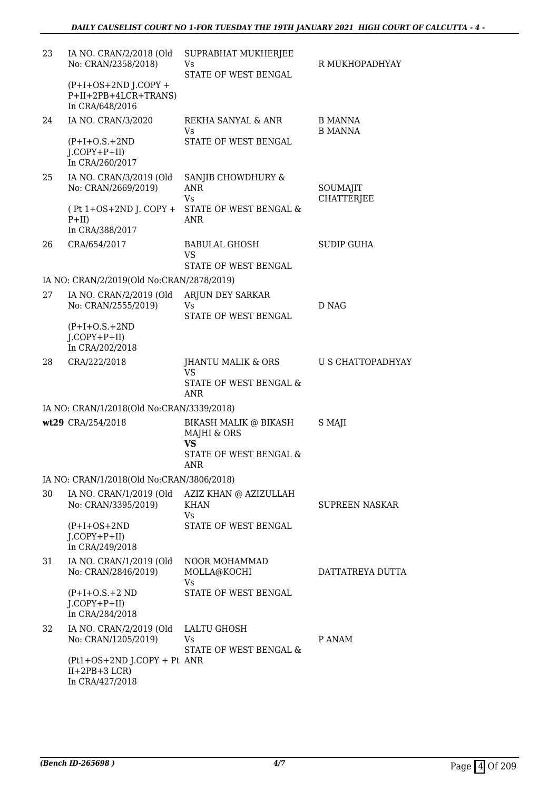| 23 | IA NO. CRAN/2/2018 (Old<br>No: CRAN/2358/2018)                    | SUPRABHAT MUKHERJEE<br>Vs<br>STATE OF WEST BENGAL        | R MUKHOPADHYAY                   |
|----|-------------------------------------------------------------------|----------------------------------------------------------|----------------------------------|
|    | $(P+I+OS+2ND J.COPY +$<br>P+II+2PB+4LCR+TRANS)<br>In CRA/648/2016 |                                                          |                                  |
| 24 | IA NO. CRAN/3/2020                                                | REKHA SANYAL & ANR<br>Vs                                 | <b>B MANNA</b><br><b>B MANNA</b> |
|    | $(P+I+O.S.+2ND)$<br>$J$ .COPY+P+II)<br>In CRA/260/2017            | STATE OF WEST BENGAL                                     |                                  |
| 25 | IA NO. CRAN/3/2019 (Old<br>No: CRAN/2669/2019)                    | SANJIB CHOWDHURY &<br><b>ANR</b><br><b>Vs</b>            | SOUMAJIT<br><b>CHATTERJEE</b>    |
|    | $(Pt 1+OS+2ND J. COPY +$<br>$P+II)$<br>In CRA/388/2017            | STATE OF WEST BENGAL &<br><b>ANR</b>                     |                                  |
| 26 | CRA/654/2017                                                      | <b>BABULAL GHOSH</b><br><b>VS</b>                        | <b>SUDIP GUHA</b>                |
|    |                                                                   | STATE OF WEST BENGAL                                     |                                  |
| 27 | IA NO: CRAN/2/2019(Old No:CRAN/2878/2019)                         |                                                          |                                  |
|    | IA NO. CRAN/2/2019 (Old<br>No: CRAN/2555/2019)                    | ARJUN DEY SARKAR<br>Vs<br>STATE OF WEST BENGAL           | D NAG                            |
|    | $(P+I+O.S.+2ND$                                                   |                                                          |                                  |
|    | $J$ .COPY+P+II)<br>In CRA/202/2018                                |                                                          |                                  |
| 28 | CRA/222/2018                                                      | JHANTU MALIK & ORS<br><b>VS</b>                          | U S CHATTOPADHYAY                |
|    |                                                                   | STATE OF WEST BENGAL &<br><b>ANR</b>                     |                                  |
|    | IA NO: CRAN/1/2018(Old No:CRAN/3339/2018)                         |                                                          |                                  |
|    | wt29 CRA/254/2018                                                 | <b>BIKASH MALIK @ BIKASH</b><br>MAJHI & ORS<br><b>VS</b> | S MAJI                           |
|    |                                                                   | STATE OF WEST BENGAL &<br>ANR                            |                                  |
|    | IA NO: CRAN/1/2018(Old No:CRAN/3806/2018)                         |                                                          |                                  |
| 30 | IA NO. CRAN/1/2019 (Old<br>No: CRAN/3395/2019)                    | AZIZ KHAN @ AZIZULLAH<br><b>KHAN</b><br>Vs               | <b>SUPREEN NASKAR</b>            |
|    | $(P+I+OS+2ND)$<br>$J$ .COPY+P+II)<br>In CRA/249/2018              | <b>STATE OF WEST BENGAL</b>                              |                                  |
| 31 | IA NO. CRAN/1/2019 (Old<br>No: CRAN/2846/2019)                    | NOOR MOHAMMAD<br>MOLLA@KOCHI<br>Vs                       | DATTATREYA DUTTA                 |
|    | $(P+I+O.S.+2 ND)$<br>$I.COPY+P+II)$<br>In CRA/284/2018            | STATE OF WEST BENGAL                                     |                                  |
| 32 | IA NO. CRAN/2/2019 (Old<br>No: CRAN/1205/2019)                    | LALTU GHOSH<br>Vs<br>STATE OF WEST BENGAL &              | P ANAM                           |
|    | (Pt1+OS+2ND J.COPY + Pt ANR<br>$II+2PB+3 LCR$<br>In CRA/427/2018  |                                                          |                                  |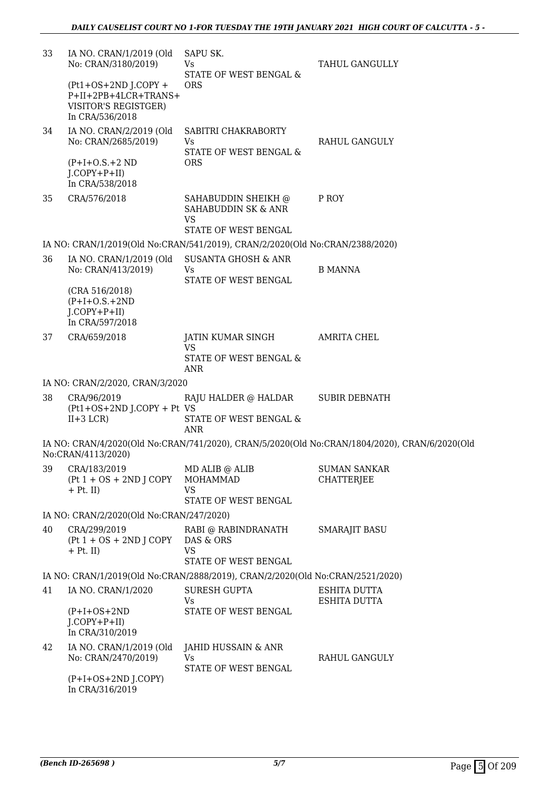| 33 | IA NO. CRAN/1/2019 (Old<br>No: CRAN/3180/2019)                                                   | SAPU SK.<br>Vs.<br>STATE OF WEST BENGAL &                                     | TAHUL GANGULLY                                                                                |
|----|--------------------------------------------------------------------------------------------------|-------------------------------------------------------------------------------|-----------------------------------------------------------------------------------------------|
|    | $(Pt1+OS+2ND J.COPY +$<br>P+II+2PB+4LCR+TRANS+<br><b>VISITOR'S REGISTGER)</b><br>In CRA/536/2018 | <b>ORS</b>                                                                    |                                                                                               |
| 34 | IA NO. CRAN/2/2019 (Old<br>No: CRAN/2685/2019)                                                   | SABITRI CHAKRABORTY<br>Vs<br>STATE OF WEST BENGAL &                           | RAHUL GANGULY                                                                                 |
|    | $(P+I+O.S.+2 ND)$<br>$J$ .COPY+P+II)<br>In CRA/538/2018                                          | <b>ORS</b>                                                                    |                                                                                               |
| 35 | CRA/576/2018                                                                                     | SAHABUDDIN SHEIKH @<br>SAHABUDDIN SK & ANR<br><b>VS</b>                       | P ROY                                                                                         |
|    |                                                                                                  | STATE OF WEST BENGAL                                                          |                                                                                               |
|    |                                                                                                  | IA NO: CRAN/1/2019(Old No:CRAN/541/2019), CRAN/2/2020(Old No:CRAN/2388/2020)  |                                                                                               |
| 36 | IA NO. CRAN/1/2019 (Old<br>No: CRAN/413/2019)                                                    | <b>SUSANTA GHOSH &amp; ANR</b><br>Vs.<br><b>STATE OF WEST BENGAL</b>          | <b>B MANNA</b>                                                                                |
|    | (CRA 516/2018)<br>$(P+I+O.S.+2ND$<br>$J$ .COPY+P+II)<br>In CRA/597/2018                          |                                                                               |                                                                                               |
| 37 | CRA/659/2018                                                                                     | JATIN KUMAR SINGH<br><b>VS</b><br>STATE OF WEST BENGAL &<br><b>ANR</b>        | <b>AMRITA CHEL</b>                                                                            |
|    | IA NO: CRAN/2/2020, CRAN/3/2020                                                                  |                                                                               |                                                                                               |
| 38 | CRA/96/2019<br>(Pt1+OS+2ND J.COPY + Pt VS<br>$II+3 LCR$                                          | RAJU HALDER @ HALDAR<br>STATE OF WEST BENGAL &<br>ANR                         | <b>SUBIR DEBNATH</b>                                                                          |
|    | No:CRAN/4113/2020)                                                                               |                                                                               | IA NO: CRAN/4/2020(Old No:CRAN/741/2020), CRAN/5/2020(Old No:CRAN/1804/2020), CRAN/6/2020(Old |
| 39 | CRA/183/2019<br>$(Pt 1 + OS + 2ND J COPY)$<br>$+$ Pt. II)                                        | MD ALIB @ ALIB<br>MOHAMMAD<br><b>VS</b><br>STATE OF WEST BENGAL               | <b>SUMAN SANKAR</b><br><b>CHATTERJEE</b>                                                      |
|    | IA NO: CRAN/2/2020(Old No:CRAN/247/2020)                                                         |                                                                               |                                                                                               |
| 40 | CRA/299/2019<br>$(Pt 1 + OS + 2ND J COPY)$<br>$+$ Pt. II)                                        | RABI @ RABINDRANATH<br>DAS & ORS<br><b>VS</b><br>STATE OF WEST BENGAL         | SMARAJIT BASU                                                                                 |
|    |                                                                                                  | IA NO: CRAN/1/2019(Old No:CRAN/2888/2019), CRAN/2/2020(Old No:CRAN/2521/2020) |                                                                                               |
| 41 | IA NO. CRAN/1/2020                                                                               | SURESH GUPTA<br>Vs.                                                           | ESHITA DUTTA<br>ESHITA DUTTA                                                                  |
|    | $(P+I+OS+2ND)$<br>$J$ .COPY+P+II)<br>In CRA/310/2019                                             | STATE OF WEST BENGAL                                                          |                                                                                               |
| 42 | IA NO. CRAN/1/2019 (Old<br>No: CRAN/2470/2019)                                                   | JAHID HUSSAIN & ANR<br>Vs<br>STATE OF WEST BENGAL                             | RAHUL GANGULY                                                                                 |
|    | $(P+I+OS+2ND J. COPY)$<br>In CRA/316/2019                                                        |                                                                               |                                                                                               |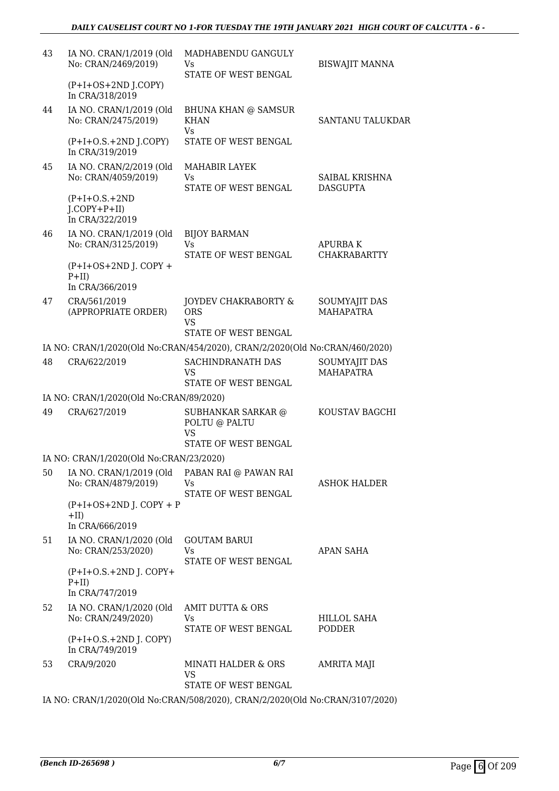| 43 | IA NO. CRAN/1/2019 (Old<br>No: CRAN/2469/2019)          | MADHABENDU GANGULY<br>Vs.<br>STATE OF WEST BENGAL                            | <b>BISWAJIT MANNA</b>             |
|----|---------------------------------------------------------|------------------------------------------------------------------------------|-----------------------------------|
|    | $(P+I+OS+2ND J.COPY)$<br>In CRA/318/2019                |                                                                              |                                   |
| 44 | IA NO. CRAN/1/2019 (Old<br>No: CRAN/2475/2019)          | <b>BHUNA KHAN @ SAMSUR</b><br><b>KHAN</b><br><b>Vs</b>                       | SANTANU TALUKDAR                  |
|    | $(P+I+O.S.+2ND J. COPY)$<br>In CRA/319/2019             | STATE OF WEST BENGAL                                                         |                                   |
| 45 | IA NO. CRAN/2/2019 (Old<br>No: CRAN/4059/2019)          | MAHABIR LAYEK<br>Vs<br>STATE OF WEST BENGAL                                  | SAIBAL KRISHNA<br><b>DASGUPTA</b> |
|    | $(P+I+O.S.+2ND$<br>$J$ .COPY+P+II)<br>In CRA/322/2019   |                                                                              |                                   |
| 46 | IA NO. CRAN/1/2019 (Old<br>No: CRAN/3125/2019)          | <b>BIJOY BARMAN</b><br><b>Vs</b>                                             | <b>APURBAK</b>                    |
|    | $(P+I+OS+2ND J$ . COPY +<br>$P+II)$<br>In CRA/366/2019  | STATE OF WEST BENGAL                                                         | <b>CHAKRABARTTY</b>               |
| 47 | CRA/561/2019<br>(APPROPRIATE ORDER)                     | JOYDEV CHAKRABORTY &<br><b>ORS</b><br>VS.<br>STATE OF WEST BENGAL            | SOUMYAJIT DAS<br><b>MAHAPATRA</b> |
|    |                                                         | IA NO: CRAN/1/2020(Old No:CRAN/454/2020), CRAN/2/2020(Old No:CRAN/460/2020)  |                                   |
| 48 | CRA/622/2019                                            | SACHINDRANATH DAS<br>VS<br>STATE OF WEST BENGAL                              | SOUMYAJIT DAS<br><b>MAHAPATRA</b> |
|    | IA NO: CRAN/1/2020(Old No:CRAN/89/2020)                 |                                                                              |                                   |
| 49 | CRA/627/2019                                            | SUBHANKAR SARKAR @<br>POLTU @ PALTU<br>VS<br>STATE OF WEST BENGAL            | KOUSTAV BAGCHI                    |
|    | IA NO: CRAN/1/2020(Old No:CRAN/23/2020)                 |                                                                              |                                   |
| 50 | IA NO. CRAN/1/2019 (Old<br>No: CRAN/4879/2019)          | PABAN RAI @ PAWAN RAI<br>Vs.<br>STATE OF WEST BENGAL                         | <b>ASHOK HALDER</b>               |
|    | $(P+I+OS+2ND J$ . COPY + P<br>$+II)$<br>In CRA/666/2019 |                                                                              |                                   |
| 51 | IA NO. CRAN/1/2020 (Old<br>No: CRAN/253/2020)           | <b>GOUTAM BARUI</b><br>Vs.<br>STATE OF WEST BENGAL                           | <b>APAN SAHA</b>                  |
|    | $(P+I+O.S.+2ND J. COPY+$<br>$P+II$<br>In CRA/747/2019   |                                                                              |                                   |
| 52 | IA NO. CRAN/1/2020 (Old<br>No: CRAN/249/2020)           | AMIT DUTTA & ORS<br>Vs<br>STATE OF WEST BENGAL                               | HILLOL SAHA<br><b>PODDER</b>      |
|    | $(P+I+O.S.+2ND J. COPY)$<br>In CRA/749/2019             |                                                                              |                                   |
| 53 | CRA/9/2020                                              | <b>MINATI HALDER &amp; ORS</b><br><b>VS</b><br>STATE OF WEST BENGAL          | <b>AMRITA MAJI</b>                |
|    |                                                         | IA NO: CRAN/1/2020(Old No:CRAN/508/2020), CRAN/2/2020(Old No:CRAN/3107/2020) |                                   |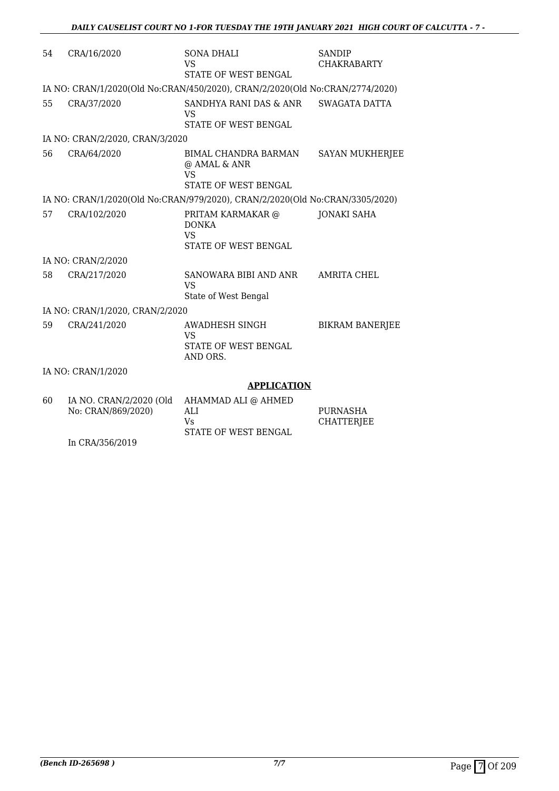| 54 | CRA/16/2020                                   | SONA DHALI<br><b>VS</b><br>STATE OF WEST BENGAL                              | <b>SANDIP</b><br><b>CHAKRABARTY</b>  |
|----|-----------------------------------------------|------------------------------------------------------------------------------|--------------------------------------|
|    |                                               | IA NO: CRAN/1/2020(Old No:CRAN/450/2020), CRAN/2/2020(Old No:CRAN/2774/2020) |                                      |
| 55 | CRA/37/2020                                   | SANDHYA RANI DAS & ANR<br><b>VS</b><br>STATE OF WEST BENGAL                  | SWAGATA DATTA                        |
|    | IA NO: CRAN/2/2020, CRAN/3/2020               |                                                                              |                                      |
| 56 | CRA/64/2020                                   | BIMAL CHANDRA BARMAN<br>@ AMAL & ANR<br><b>VS</b><br>STATE OF WEST BENGAL    | <b>SAYAN MUKHERJEE</b>               |
|    |                                               | IA NO: CRAN/1/2020(Old No:CRAN/979/2020), CRAN/2/2020(Old No:CRAN/3305/2020) |                                      |
| 57 | CRA/102/2020                                  | PRITAM KARMAKAR @<br><b>DONKA</b><br><b>VS</b><br>STATE OF WEST BENGAL       | <b>JONAKI SAHA</b>                   |
|    | IA NO: CRAN/2/2020                            |                                                                              |                                      |
| 58 | CRA/217/2020                                  | SANOWARA BIBI AND ANR<br><b>VS</b><br>State of West Bengal                   | <b>AMRITA CHEL</b>                   |
|    | IA NO: CRAN/1/2020, CRAN/2/2020               |                                                                              |                                      |
| 59 | CRA/241/2020                                  | AWADHESH SINGH<br><b>VS</b><br>STATE OF WEST BENGAL<br>AND ORS.              | <b>BIKRAM BANERJEE</b>               |
|    | IA NO: CRAN/1/2020                            |                                                                              |                                      |
|    |                                               | <b>APPLICATION</b>                                                           |                                      |
| 60 | IA NO. CRAN/2/2020 (Old<br>No: CRAN/869/2020) | AHAMMAD ALI @ AHMED<br>ALI<br><b>Vs</b><br>STATE OF WEST BENGAL              | <b>PURNASHA</b><br><b>CHATTERJEE</b> |

In CRA/356/2019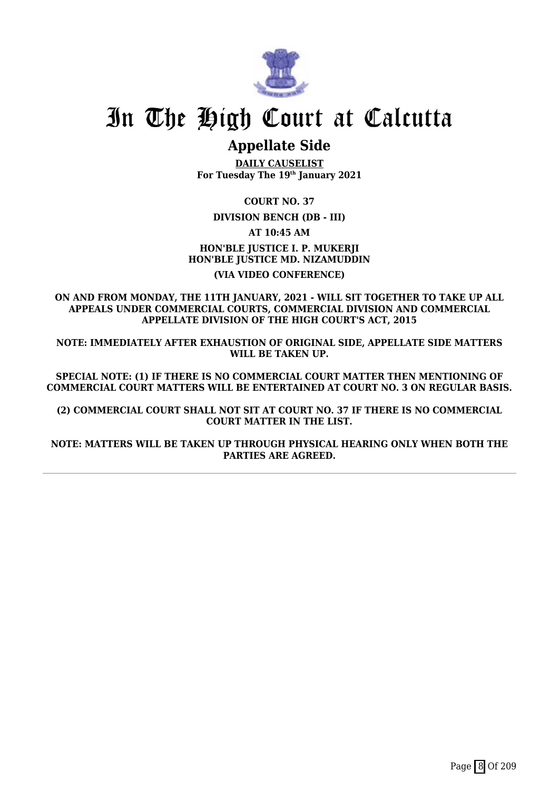

## **Appellate Side**

**DAILY CAUSELIST For Tuesday The 19th January 2021**

**COURT NO. 37**

**DIVISION BENCH (DB - III)**

**AT 10:45 AM**

**HON'BLE JUSTICE I. P. MUKERJI HON'BLE JUSTICE MD. NIZAMUDDIN (VIA VIDEO CONFERENCE)**

**ON AND FROM MONDAY, THE 11TH JANUARY, 2021 - WILL SIT TOGETHER TO TAKE UP ALL APPEALS UNDER COMMERCIAL COURTS, COMMERCIAL DIVISION AND COMMERCIAL APPELLATE DIVISION OF THE HIGH COURT'S ACT, 2015**

**NOTE: IMMEDIATELY AFTER EXHAUSTION OF ORIGINAL SIDE, APPELLATE SIDE MATTERS WILL BE TAKEN UP.**

**SPECIAL NOTE: (1) IF THERE IS NO COMMERCIAL COURT MATTER THEN MENTIONING OF COMMERCIAL COURT MATTERS WILL BE ENTERTAINED AT COURT NO. 3 ON REGULAR BASIS.**

**(2) COMMERCIAL COURT SHALL NOT SIT AT COURT NO. 37 IF THERE IS NO COMMERCIAL COURT MATTER IN THE LIST.**

**NOTE: MATTERS WILL BE TAKEN UP THROUGH PHYSICAL HEARING ONLY WHEN BOTH THE PARTIES ARE AGREED.**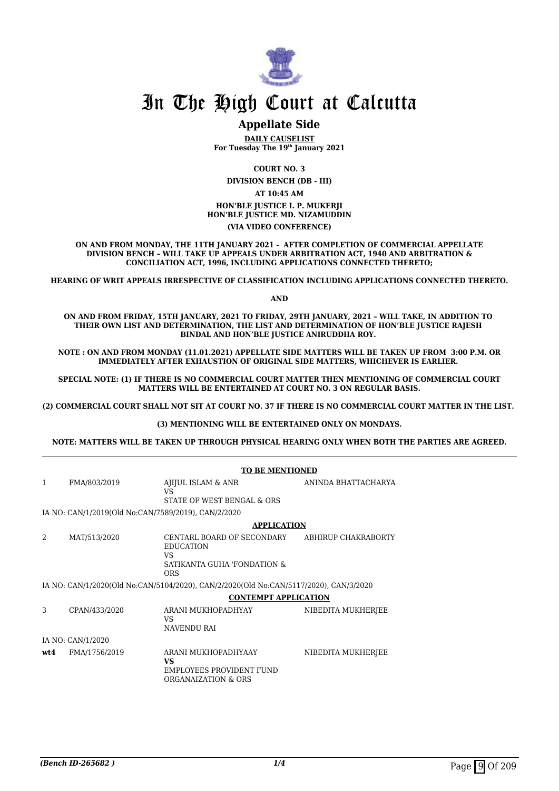

## **Appellate Side**

**DAILY CAUSELIST For Tuesday The 19th January 2021**

**COURT NO. 3**

**DIVISION BENCH (DB - III)**

**AT 10:45 AM HON'BLE JUSTICE I. P. MUKERJI HON'BLE JUSTICE MD. NIZAMUDDIN (VIA VIDEO CONFERENCE)**

**ON AND FROM MONDAY, THE 11TH JANUARY 2021 - AFTER COMPLETION OF COMMERCIAL APPELLATE DIVISION BENCH – WILL TAKE UP APPEALS UNDER ARBITRATION ACT, 1940 AND ARBITRATION & CONCILIATION ACT, 1996, INCLUDING APPLICATIONS CONNECTED THERETO;**

**HEARING OF WRIT APPEALS IRRESPECTIVE OF CLASSIFICATION INCLUDING APPLICATIONS CONNECTED THERETO.**

**AND**

**ON AND FROM FRIDAY, 15TH JANUARY, 2021 TO FRIDAY, 29TH JANUARY, 2021 – WILL TAKE, IN ADDITION TO THEIR OWN LIST AND DETERMINATION, THE LIST AND DETERMINATION OF HON'BLE JUSTICE RAJESH BINDAL AND HON'BLE JUSTICE ANIRUDDHA ROY.** 

**NOTE : ON AND FROM MONDAY (11.01.2021) APPELLATE SIDE MATTERS WILL BE TAKEN UP FROM 3:00 P.M. OR IMMEDIATELY AFTER EXHAUSTION OF ORIGINAL SIDE MATTERS, WHICHEVER IS EARLIER.** 

**SPECIAL NOTE: (1) IF THERE IS NO COMMERCIAL COURT MATTER THEN MENTIONING OF COMMERCIAL COURT MATTERS WILL BE ENTERTAINED AT COURT NO. 3 ON REGULAR BASIS.**

**(2) COMMERCIAL COURT SHALL NOT SIT AT COURT NO. 37 IF THERE IS NO COMMERCIAL COURT MATTER IN THE LIST.** 

**(3) MENTIONING WILL BE ENTERTAINED ONLY ON MONDAYS.**

**NOTE: MATTERS WILL BE TAKEN UP THROUGH PHYSICAL HEARING ONLY WHEN BOTH THE PARTIES ARE AGREED.**

|      | <b>TO BE MENTIONED</b>                              |                                                                                             |                     |  |
|------|-----------------------------------------------------|---------------------------------------------------------------------------------------------|---------------------|--|
| 1    | FMA/803/2019                                        | AJIJUL ISLAM & ANR<br>VS<br>STATE OF WEST BENGAL & ORS                                      | ANINDA BHATTACHARYA |  |
|      | IA NO: CAN/1/2019(Old No:CAN/7589/2019), CAN/2/2020 |                                                                                             |                     |  |
|      |                                                     | <b>APPLICATION</b>                                                                          |                     |  |
| 2    | MAT/513/2020                                        | CENTARL BOARD OF SECONDARY<br><b>EDUCATION</b><br>VS<br>SATIKANTA GUHA 'FONDATION &<br>ORS. | ABHIRUP CHAKRABORTY |  |
|      |                                                     | IA NO: CAN/1/2020(Old No:CAN/5104/2020), CAN/2/2020(Old No:CAN/5117/2020), CAN/3/2020       |                     |  |
|      |                                                     | <b>CONTEMPT APPLICATION</b>                                                                 |                     |  |
| 3    | CPAN/433/2020                                       | ARANI MUKHOPADHYAY<br>VS<br><b>NAVENDU RAI</b>                                              | NIBEDITA MUKHERJEE  |  |
|      | IA NO: CAN/1/2020                                   |                                                                                             |                     |  |
| wt.4 | FMA/1756/2019                                       | ARANI MUKHOPADHYAAY<br>VS<br>EMPLOYEES PROVIDENT FUND<br>ORGANAIZATION & ORS                | NIBEDITA MUKHERJEE  |  |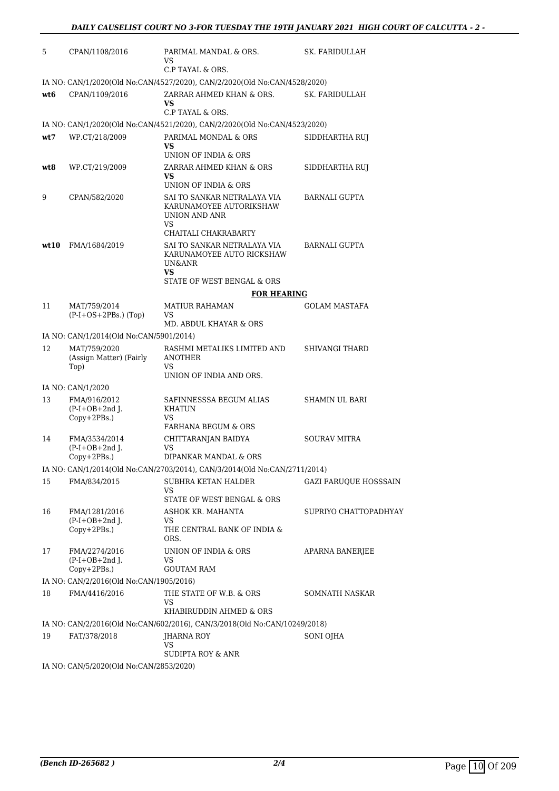| 5    | CPAN/1108/2016                                   | PARIMAL MANDAL & ORS.<br>VS<br>C.P TAYAL & ORS.                               | SK. FARIDULLAH               |
|------|--------------------------------------------------|-------------------------------------------------------------------------------|------------------------------|
|      |                                                  | IA NO: CAN/1/2020(Old No:CAN/4527/2020), CAN/2/2020(Old No:CAN/4528/2020)     |                              |
| wt6  | CPAN/1109/2016                                   | ZARRAR AHMED KHAN & ORS.<br>VS<br>C.P TAYAL & ORS.                            | <b>SK. FARIDULLAH</b>        |
|      |                                                  | IA NO: CAN/1/2020(Old No:CAN/4521/2020), CAN/2/2020(Old No:CAN/4523/2020)     |                              |
| wt7  | WP.CT/218/2009                                   | PARIMAL MONDAL & ORS<br>VS<br>UNION OF INDIA & ORS                            | SIDDHARTHA RUJ               |
| wt8  | WP.CT/219/2009                                   | ZARRAR AHMED KHAN & ORS<br>VS<br>UNION OF INDIA & ORS                         | SIDDHARTHA RUJ               |
| 9    | CPAN/582/2020                                    | SAI TO SANKAR NETRALAYA VIA<br>KARUNAMOYEE AUTORIKSHAW<br>UNION AND ANR<br>VS | <b>BARNALI GUPTA</b>         |
|      |                                                  | CHAITALI CHAKRABARTY                                                          |                              |
| wt10 | FMA/1684/2019                                    | SAI TO SANKAR NETRALAYA VIA<br>KARUNAMOYEE AUTO RICKSHAW<br>UN&ANR<br>VS.     | <b>BARNALI GUPTA</b>         |
|      |                                                  | STATE OF WEST BENGAL & ORS                                                    |                              |
|      |                                                  | <b>FOR HEARING</b>                                                            |                              |
| 11   | MAT/759/2014<br>$(P-I+OS+2PBs.)$ (Top)           | <b>MATIUR RAHAMAN</b><br>VS                                                   | <b>GOLAM MASTAFA</b>         |
|      |                                                  | MD. ABDUL KHAYAR & ORS                                                        |                              |
|      | IA NO: CAN/1/2014(Old No:CAN/5901/2014)          |                                                                               |                              |
| 12   | MAT/759/2020<br>(Assign Matter) (Fairly          | RASHMI METALIKS LIMITED AND<br>ANOTHER<br>VS.                                 | <b>SHIVANGI THARD</b>        |
|      | Top)                                             | UNION OF INDIA AND ORS.                                                       |                              |
|      | IA NO: CAN/1/2020                                |                                                                               |                              |
| 13   | FMA/916/2012<br>$(P-I+OB+2nd$ J.<br>Copy+2PBs.)  | SAFINNESSSA BEGUM ALIAS<br><b>KHATUN</b><br>VS.                               | SHAMIN UL BARI               |
|      |                                                  | <b>FARHANA BEGUM &amp; ORS</b>                                                |                              |
| 14   | FMA/3534/2014<br>$(P-I+OB+2nd J.$                | CHITTARANJAN BAIDYA<br>VS                                                     | <b>SOURAV MITRA</b>          |
|      | Copy+2PBs.)                                      | DIPANKAR MANDAL & ORS                                                         |                              |
|      |                                                  | IA NO: CAN/1/2014(Old No:CAN/2703/2014), CAN/3/2014(Old No:CAN/2711/2014)     |                              |
| 15   | FMA/834/2015                                     | SUBHRA KETAN HALDER<br>VS<br>STATE OF WEST BENGAL & ORS                       | <b>GAZI FARUQUE HOSSSAIN</b> |
| 16   | FMA/1281/2016                                    | ASHOK KR. MAHANTA                                                             | SUPRIYO CHATTOPADHYAY        |
|      | $(P-I+OB+2nd$ J.<br>Copy+2PBs.)                  | VS<br>THE CENTRAL BANK OF INDIA &<br>ORS.                                     |                              |
| 17   | FMA/2274/2016<br>$(P-I+OB+2nd$ J.<br>Copy+2PBs.) | UNION OF INDIA & ORS<br>VS<br><b>GOUTAM RAM</b>                               | APARNA BANERJEE              |
|      | IA NO: CAN/2/2016(Old No:CAN/1905/2016)          |                                                                               |                              |
| 18   | FMA/4416/2016                                    | THE STATE OF W.B. & ORS<br>VS                                                 | SOMNATH NASKAR               |
|      |                                                  | KHABIRUDDIN AHMED & ORS                                                       |                              |
|      |                                                  | IA NO: CAN/2/2016(Old No:CAN/602/2016), CAN/3/2018(Old No:CAN/10249/2018)     |                              |
| 19   | FAT/378/2018                                     | JHARNA ROY<br>VS<br>SUDIPTA ROY & ANR                                         | SONI OJHA                    |
|      | IA NO. CANIE (2020(OIA No.CANI2952/2020)         |                                                                               |                              |

IA NO: CAN/5/2020(Old No:CAN/2853/2020)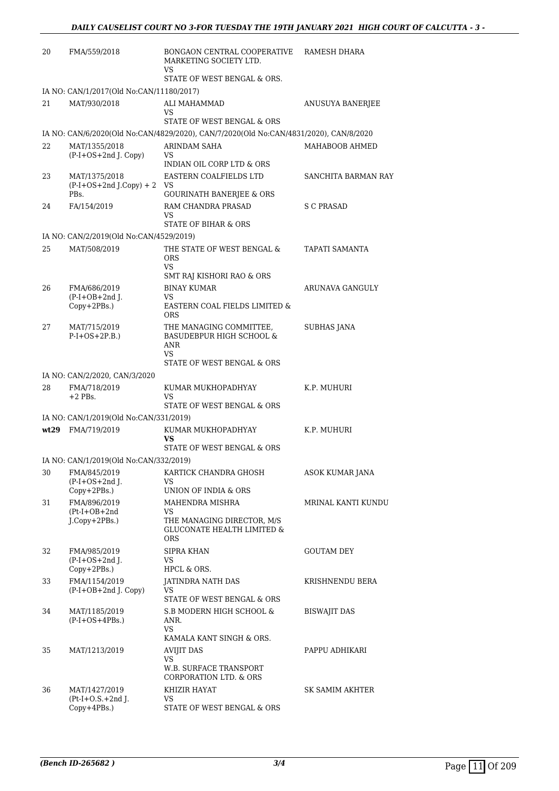| 20 | FMA/559/2018                                             | BONGAON CENTRAL COOPERATIVE<br>MARKETING SOCIETY LTD.<br>VS.                          | RAMESH DHARA               |
|----|----------------------------------------------------------|---------------------------------------------------------------------------------------|----------------------------|
|    |                                                          | STATE OF WEST BENGAL & ORS.                                                           |                            |
| 21 | IA NO: CAN/1/2017(Old No:CAN/11180/2017)<br>MAT/930/2018 | ALI MAHAMMAD                                                                          | ANUSUYA BANERJEE           |
|    |                                                          | VS                                                                                    |                            |
|    |                                                          | STATE OF WEST BENGAL & ORS                                                            |                            |
|    |                                                          | IA NO: CAN/6/2020(Old No:CAN/4829/2020), CAN/7/2020(Old No:CAN/4831/2020), CAN/8/2020 |                            |
| 22 | MAT/1355/2018                                            | ARINDAM SAHA                                                                          | MAHABOOB AHMED             |
|    | (P-I+OS+2nd J. Copy)                                     | VS.<br>INDIAN OIL CORP LTD & ORS                                                      |                            |
| 23 | MAT/1375/2018                                            | EASTERN COALFIELDS LTD                                                                | <b>SANCHITA BARMAN RAY</b> |
|    | $(P-I+OS+2nd J.Copy) + 2 VS$                             |                                                                                       |                            |
|    | PBs.                                                     | <b>GOURINATH BANERJEE &amp; ORS</b>                                                   |                            |
| 24 | FA/154/2019                                              | RAM CHANDRA PRASAD<br>VS.                                                             | S C PRASAD                 |
|    |                                                          | STATE OF BIHAR & ORS                                                                  |                            |
|    | IA NO: CAN/2/2019(Old No:CAN/4529/2019)                  |                                                                                       |                            |
| 25 | MAT/508/2019                                             | THE STATE OF WEST BENGAL &<br>ORS<br>VS.                                              | TAPATI SAMANTA             |
|    |                                                          | SMT RAJ KISHORI RAO & ORS                                                             |                            |
| 26 | FMA/686/2019                                             | <b>BINAY KUMAR</b>                                                                    | ARUNAVA GANGULY            |
|    | $(P-I+OB+2nd$ J.<br>Copy+2PBs.)                          | VS<br>EASTERN COAL FIELDS LIMITED &<br><b>ORS</b>                                     |                            |
| 27 | MAT/715/2019<br>$P-I+OS+2P.B.)$                          | THE MANAGING COMMITTEE,<br><b>BASUDEBPUR HIGH SCHOOL &amp;</b><br>ANR<br>VS.          | <b>SUBHAS JANA</b>         |
|    |                                                          | STATE OF WEST BENGAL & ORS                                                            |                            |
|    | IA NO: CAN/2/2020, CAN/3/2020                            |                                                                                       |                            |
| 28 | FMA/718/2019                                             | KUMAR MUKHOPADHYAY                                                                    | K.P. MUHURI                |
|    | $+2$ PBs.                                                | VS<br>STATE OF WEST BENGAL & ORS                                                      |                            |
|    | IA NO: CAN/1/2019(Old No:CAN/331/2019)                   |                                                                                       |                            |
|    | wt29 FMA/719/2019                                        | KUMAR MUKHOPADHYAY                                                                    | K.P. MUHURI                |
|    |                                                          | VS                                                                                    |                            |
|    |                                                          | STATE OF WEST BENGAL & ORS                                                            |                            |
| 30 | IA NO: CAN/1/2019(Old No:CAN/332/2019)<br>FMA/845/2019   | KARTICK CHANDRA GHOSH                                                                 | ASOK KUMAR JANA            |
|    | $(P-I+OS+2nd J.$                                         | VS.                                                                                   |                            |
|    | Copy+2PBs.)                                              | UNION OF INDIA & ORS                                                                  |                            |
| 31 | FMA/896/2019                                             | MAHENDRA MISHRA<br>VS                                                                 | MRINAL KANTI KUNDU         |
|    | $(Pt-I+OB+2nd$<br>J.Copy+2PBs.)                          | THE MANAGING DIRECTOR, M/S<br><b>GLUCONATE HEALTH LIMITED &amp;</b><br><b>ORS</b>     |                            |
| 32 | FMA/985/2019                                             | SIPRA KHAN                                                                            | <b>GOUTAM DEY</b>          |
|    | $(P-I+OS+2nd$ J.                                         | VS                                                                                    |                            |
|    | $Copy+2PBs.$ )<br>FMA/1154/2019                          | HPCL & ORS.                                                                           |                            |
| 33 | $(P-I+OB+2nd$ J. Copy)                                   | JATINDRA NATH DAS<br>VS<br>STATE OF WEST BENGAL & ORS                                 | KRISHNENDU BERA            |
| 34 | MAT/1185/2019                                            | S.B MODERN HIGH SCHOOL &                                                              | <b>BISWAJIT DAS</b>        |
|    | $(P-I+OS+4PBs.)$                                         | ANR.<br>VS<br>KAMALA KANT SINGH & ORS.                                                |                            |
| 35 | MAT/1213/2019                                            | <b>AVIJIT DAS</b>                                                                     | PAPPU ADHIKARI             |
|    |                                                          | VS<br>W.B. SURFACE TRANSPORT                                                          |                            |
| 36 | MAT/1427/2019                                            | CORPORATION LTD. & ORS<br>KHIZIR HAYAT                                                | SK SAMIM AKHTER            |
|    | $Pt-I+O.S.+2nd$ J.                                       | VS                                                                                    |                            |
|    | Copy+4PBs.)                                              | STATE OF WEST BENGAL & ORS                                                            |                            |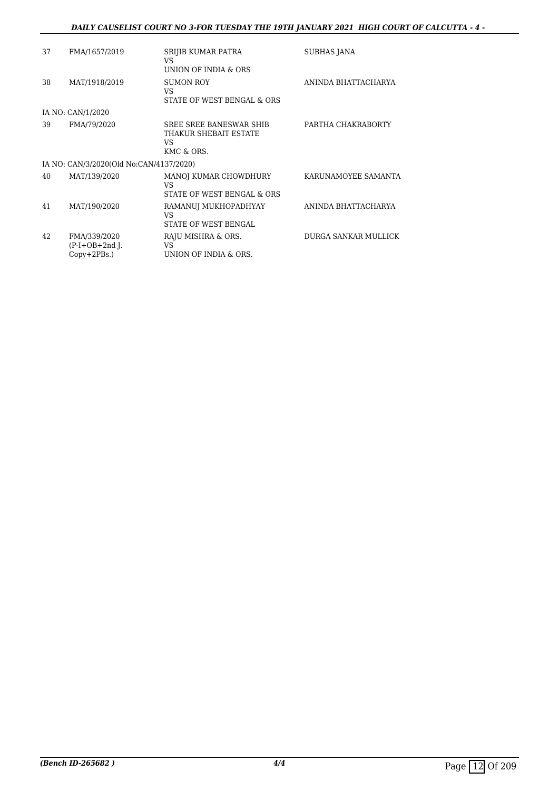## *DAILY CAUSELIST COURT NO 3-FOR TUESDAY THE 19TH JANUARY 2021 HIGH COURT OF CALCUTTA - 4 -*

| 37 | FMA/1657/2019                                      | SRIJIB KUMAR PATRA<br>VS.<br>UNION OF INDIA & ORS                    | <b>SUBHAS JANA</b>          |
|----|----------------------------------------------------|----------------------------------------------------------------------|-----------------------------|
| 38 | MAT/1918/2019                                      | <b>SUMON ROY</b><br>VS.<br>STATE OF WEST BENGAL & ORS                | ANINDA BHATTACHARYA         |
|    | IA NO: CAN/1/2020                                  |                                                                      |                             |
| 39 | FMA/79/2020                                        | SREE SREE BANESWAR SHIB<br>THAKUR SHEBAIT ESTATE<br>VS<br>KMC & ORS. | PARTHA CHAKRABORTY          |
|    | IA NO: CAN/3/2020(Old No:CAN/4137/2020)            |                                                                      |                             |
| 40 | MAT/139/2020                                       | MANOJ KUMAR CHOWDHURY<br><b>VS</b><br>STATE OF WEST BENGAL & ORS     | KARUNAMOYEE SAMANTA         |
| 41 | MAT/190/2020                                       | RAMANUJ MUKHOPADHYAY<br>VS.<br>STATE OF WEST BENGAL                  | ANINDA BHATTACHARYA         |
| 42 | FMA/339/2020<br>$(P-I+OB+2nd$ J.<br>$Copy+2PBs.$ ) | RAJU MISHRA & ORS.<br>VS.<br>UNION OF INDIA & ORS.                   | <b>DURGA SANKAR MULLICK</b> |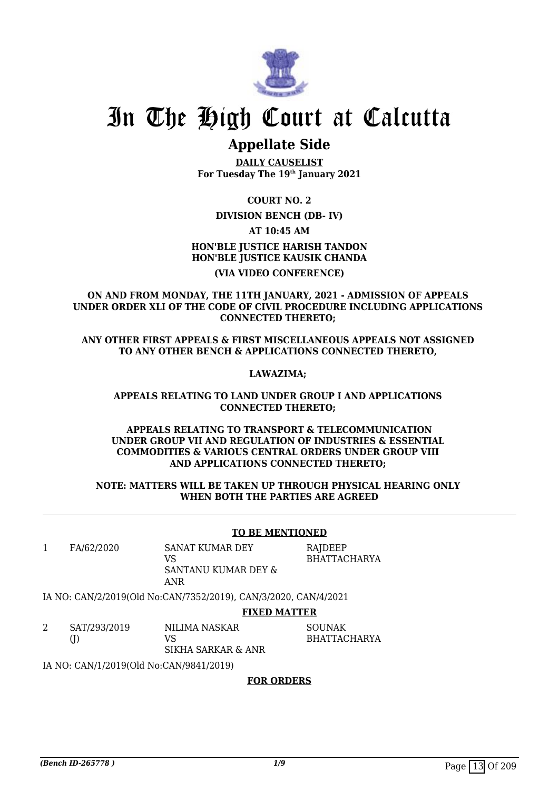

## **Appellate Side**

**DAILY CAUSELIST For Tuesday The 19th January 2021**

**COURT NO. 2**

## **DIVISION BENCH (DB- IV)**

**AT 10:45 AM**

**HON'BLE JUSTICE HARISH TANDON HON'BLE JUSTICE KAUSIK CHANDA (VIA VIDEO CONFERENCE)**

**ON AND FROM MONDAY, THE 11TH JANUARY, 2021 - ADMISSION OF APPEALS UNDER ORDER XLI OF THE CODE OF CIVIL PROCEDURE INCLUDING APPLICATIONS CONNECTED THERETO;** 

**ANY OTHER FIRST APPEALS & FIRST MISCELLANEOUS APPEALS NOT ASSIGNED TO ANY OTHER BENCH & APPLICATIONS CONNECTED THERETO,** 

**LAWAZIMA;** 

**APPEALS RELATING TO LAND UNDER GROUP I AND APPLICATIONS CONNECTED THERETO;** 

**APPEALS RELATING TO TRANSPORT & TELECOMMUNICATION UNDER GROUP VII AND REGULATION OF INDUSTRIES & ESSENTIAL COMMODITIES & VARIOUS CENTRAL ORDERS UNDER GROUP VIII AND APPLICATIONS CONNECTED THERETO;** 

#### **NOTE: MATTERS WILL BE TAKEN UP THROUGH PHYSICAL HEARING ONLY WHEN BOTH THE PARTIES ARE AGREED**

#### **TO BE MENTIONED**

1 FA/62/2020 SANAT KUMAR DEY VS SANTANU KUMAR DEY & RAJDEEP BHATTACHARYA

IA NO: CAN/2/2019(Old No:CAN/7352/2019), CAN/3/2020, CAN/4/2021

ANR

### **FIXED MATTER**

| SAT/293/2019 | NILIMA NASKAR      | SOUNAK       |
|--------------|--------------------|--------------|
|              | VS.                | BHATTACHARYA |
|              | SIKHA SARKAR & ANR |              |

IA NO: CAN/1/2019(Old No:CAN/9841/2019)

#### **FOR ORDERS**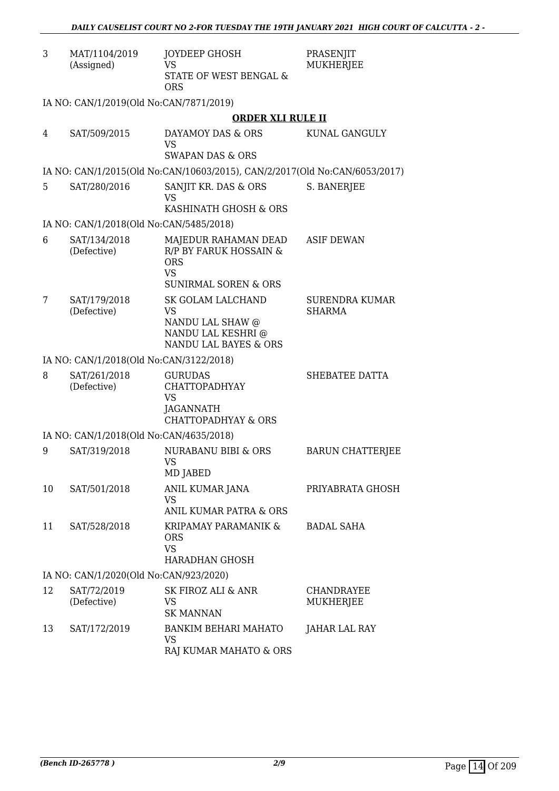| 3  | MAT/1104/2019<br>(Assigned)             | JOYDEEP GHOSH<br><b>VS</b>                                                                                | PRASENJIT<br>MUKHERJEE                 |
|----|-----------------------------------------|-----------------------------------------------------------------------------------------------------------|----------------------------------------|
|    |                                         | STATE OF WEST BENGAL &<br><b>ORS</b>                                                                      |                                        |
|    | IA NO: CAN/1/2019(Old No:CAN/7871/2019) |                                                                                                           |                                        |
|    |                                         | <b>ORDER XLI RULE II</b>                                                                                  |                                        |
| 4  | SAT/509/2015                            | DAYAMOY DAS & ORS<br><b>VS</b><br><b>SWAPAN DAS &amp; ORS</b>                                             | KUNAL GANGULY                          |
|    |                                         | IA NO: CAN/1/2015(Old No:CAN/10603/2015), CAN/2/2017(Old No:CAN/6053/2017)                                |                                        |
| 5  | SAT/280/2016                            | SANJIT KR. DAS & ORS<br><b>VS</b><br>KASHINATH GHOSH & ORS                                                | S. BANERJEE                            |
|    | IA NO: CAN/1/2018(Old No:CAN/5485/2018) |                                                                                                           |                                        |
| 6  | SAT/134/2018                            | MAJEDUR RAHAMAN DEAD                                                                                      | <b>ASIF DEWAN</b>                      |
|    | (Defective)                             | R/P BY FARUK HOSSAIN &<br><b>ORS</b><br><b>VS</b><br><b>SUNIRMAL SOREN &amp; ORS</b>                      |                                        |
| 7  | SAT/179/2018<br>(Defective)             | SK GOLAM LALCHAND<br><b>VS</b><br>NANDU LAL SHAW @<br>NANDU LAL KESHRI @<br>NANDU LAL BAYES & ORS         | <b>SURENDRA KUMAR</b><br><b>SHARMA</b> |
|    | IA NO: CAN/1/2018(Old No:CAN/3122/2018) |                                                                                                           |                                        |
| 8  | SAT/261/2018<br>(Defective)             | <b>GURUDAS</b><br><b>CHATTOPADHYAY</b><br><b>VS</b><br><b>JAGANNATH</b><br><b>CHATTOPADHYAY &amp; ORS</b> | SHEBATEE DATTA                         |
|    | IA NO: CAN/1/2018(Old No:CAN/4635/2018) |                                                                                                           |                                        |
| 9  | SAT/319/2018                            | NURABANU BIBI & ORS<br>VS<br>MD JABED                                                                     | <b>BARUN CHATTERJEE</b>                |
| 10 | SAT/501/2018                            | ANIL KUMAR JANA<br><b>VS</b><br><b>ANIL KUMAR PATRA &amp; ORS</b>                                         | PRIYABRATA GHOSH                       |
| 11 | SAT/528/2018                            | KRIPAMAY PARAMANIK &<br><b>ORS</b><br><b>VS</b><br><b>HARADHAN GHOSH</b>                                  | <b>BADAL SAHA</b>                      |
|    | IA NO: CAN/1/2020(Old No:CAN/923/2020)  |                                                                                                           |                                        |
| 12 | SAT/72/2019<br>(Defective)              | SK FIROZ ALI & ANR<br><b>VS</b><br><b>SK MANNAN</b>                                                       | CHANDRAYEE<br>MUKHERJEE                |
| 13 | SAT/172/2019                            | BANKIM BEHARI MAHATO<br>VS<br>RAJ KUMAR MAHATO & ORS                                                      | JAHAR LAL RAY                          |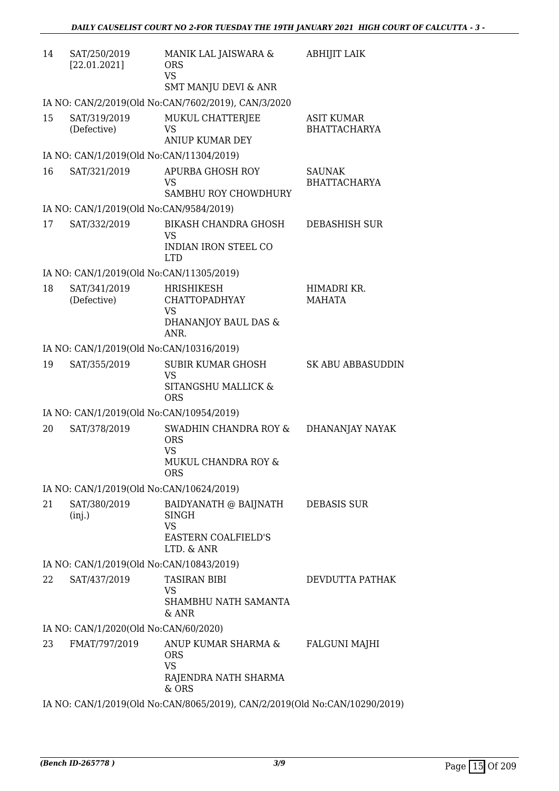| 14 | SAT/250/2019<br>[22.01.2021]                            | MANIK LAL JAISWARA &<br><b>ORS</b><br><b>VS</b><br><b>SMT MANJU DEVI &amp; ANR</b>                  | <b>ABHIJIT LAIK</b>                      |
|----|---------------------------------------------------------|-----------------------------------------------------------------------------------------------------|------------------------------------------|
|    |                                                         | IA NO: CAN/2/2019(Old No:CAN/7602/2019), CAN/3/2020                                                 |                                          |
| 15 | SAT/319/2019<br>(Defective)                             | MUKUL CHATTERJEE<br><b>VS</b><br><b>ANIUP KUMAR DEY</b>                                             | <b>ASIT KUMAR</b><br><b>BHATTACHARYA</b> |
|    | IA NO: CAN/1/2019(Old No:CAN/11304/2019)                |                                                                                                     |                                          |
| 16 | SAT/321/2019                                            | <b>APURBA GHOSH ROY</b><br><b>VS</b>                                                                | <b>SAUNAK</b><br><b>BHATTACHARYA</b>     |
|    |                                                         | SAMBHU ROY CHOWDHURY                                                                                |                                          |
| 17 | IA NO: CAN/1/2019(Old No:CAN/9584/2019)<br>SAT/332/2019 | <b>BIKASH CHANDRA GHOSH</b>                                                                         |                                          |
|    |                                                         | VS<br><b>INDIAN IRON STEEL CO</b><br><b>LTD</b>                                                     | DEBASHISH SUR                            |
|    | IA NO: CAN/1/2019(Old No:CAN/11305/2019)                |                                                                                                     |                                          |
| 18 | SAT/341/2019<br>(Defective)                             | <b>HRISHIKESH</b><br><b>CHATTOPADHYAY</b><br>VS<br>DHANANJOY BAUL DAS &<br>ANR.                     | HIMADRI KR.<br><b>MAHATA</b>             |
|    | IA NO: CAN/1/2019(Old No:CAN/10316/2019)                |                                                                                                     |                                          |
| 19 | SAT/355/2019                                            | <b>SUBIR KUMAR GHOSH</b><br><b>VS</b><br>SITANGSHU MALLICK &<br><b>ORS</b>                          | <b>SK ABU ABBASUDDIN</b>                 |
|    | IA NO: CAN/1/2019(Old No:CAN/10954/2019)                |                                                                                                     |                                          |
| 20 | SAT/378/2019                                            | SWADHIN CHANDRA ROY &<br><b>ORS</b><br><b>VS</b><br>MUKUL CHANDRA ROY &<br><b>ORS</b>               | DHANANJAY NAYAK                          |
|    | IA NO: CAN/1/2019(Old No:CAN/10624/2019)                |                                                                                                     |                                          |
| 21 | SAT/380/2019<br>(inj.)                                  | BAIDYANATH @ BAIJNATH DEBASIS SUR<br>SINGH<br><b>VS</b><br><b>EASTERN COALFIELD'S</b><br>LTD. & ANR |                                          |
|    | IA NO: CAN/1/2019(Old No:CAN/10843/2019)                |                                                                                                     |                                          |
| 22 | SAT/437/2019                                            | <b>TASIRAN BIBI</b><br><b>VS</b><br>SHAMBHU NATH SAMANTA<br>& ANR                                   | DEVDUTTA PATHAK                          |
|    | IA NO: CAN/1/2020(Old No:CAN/60/2020)                   |                                                                                                     |                                          |
| 23 | FMAT/797/2019                                           | ANUP KUMAR SHARMA &<br><b>ORS</b><br><b>VS</b><br>RAJENDRA NATH SHARMA<br>$&$ ORS                   | <b>FALGUNI MAJHI</b>                     |
|    |                                                         | IA NO: CAN/1/2019(Old No:CAN/8065/2019), CAN/2/2019(Old No:CAN/10290/2019)                          |                                          |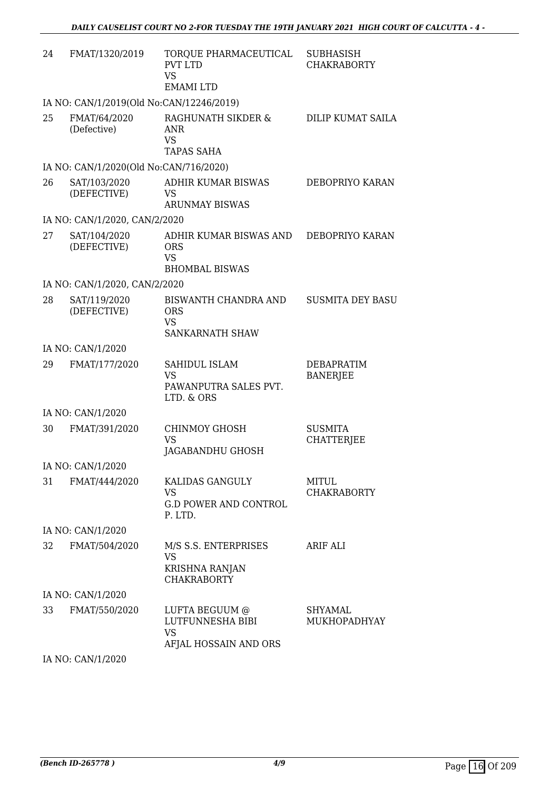| 24 | FMAT/1320/2019                           | TORQUE PHARMACEUTICAL<br><b>PVT LTD</b><br><b>VS</b><br><b>EMAMILTD</b>    | <b>SUBHASISH</b><br><b>CHAKRABORTY</b> |
|----|------------------------------------------|----------------------------------------------------------------------------|----------------------------------------|
|    | IA NO: CAN/1/2019(Old No:CAN/12246/2019) |                                                                            |                                        |
| 25 | FMAT/64/2020<br>(Defective)              | RAGHUNATH SIKDER &<br><b>ANR</b><br><b>VS</b><br><b>TAPAS SAHA</b>         | DILIP KUMAT SAILA                      |
|    | IA NO: CAN/1/2020(Old No:CAN/716/2020)   |                                                                            |                                        |
| 26 | SAT/103/2020<br>(DEFECTIVE)              | ADHIR KUMAR BISWAS<br><b>VS</b><br><b>ARUNMAY BISWAS</b>                   | DEBOPRIYO KARAN                        |
|    | IA NO: CAN/1/2020, CAN/2/2020            |                                                                            |                                        |
| 27 | SAT/104/2020<br>(DEFECTIVE)              | ADHIR KUMAR BISWAS AND<br><b>ORS</b><br><b>VS</b><br><b>BHOMBAL BISWAS</b> | DEBOPRIYO KARAN                        |
|    | IA NO: CAN/1/2020, CAN/2/2020            |                                                                            |                                        |
| 28 | SAT/119/2020<br>(DEFECTIVE)              | BISWANTH CHANDRA AND<br><b>ORS</b><br>VS.<br>SANKARNATH SHAW               | <b>SUSMITA DEY BASU</b>                |
|    | IA NO: CAN/1/2020                        |                                                                            |                                        |
| 29 | FMAT/177/2020                            | SAHIDUL ISLAM<br><b>VS</b><br>PAWANPUTRA SALES PVT.<br>LTD. & ORS          | DEBAPRATIM<br><b>BANERJEE</b>          |
|    | IA NO: CAN/1/2020                        |                                                                            |                                        |
| 30 | FMAT/391/2020                            | <b>CHINMOY GHOSH</b><br><b>VS</b><br>JAGABANDHU GHOSH                      | <b>SUSMITA</b><br><b>CHATTERJEE</b>    |
|    | IA NO: CAN/1/2020                        |                                                                            |                                        |
| 31 | FMAT/444/2020                            | KALIDAS GANGULY<br><b>VS</b><br><b>G.D POWER AND CONTROL</b><br>P. LTD.    | <b>MITUL</b><br><b>CHAKRABORTY</b>     |
|    | IA NO: CAN/1/2020                        |                                                                            |                                        |
| 32 | FMAT/504/2020                            | M/S S.S. ENTERPRISES<br>VS<br>KRISHNA RANJAN<br><b>CHAKRABORTY</b>         | ARIF ALI                               |
|    | IA NO: CAN/1/2020                        |                                                                            |                                        |
| 33 | FMAT/550/2020                            | LUFTA BEGUUM @<br>LUTFUNNESHA BIBI<br><b>VS</b><br>AFJAL HOSSAIN AND ORS   | <b>SHYAMAL</b><br>MUKHOPADHYAY         |
|    | IA NO: CAN/1/2020                        |                                                                            |                                        |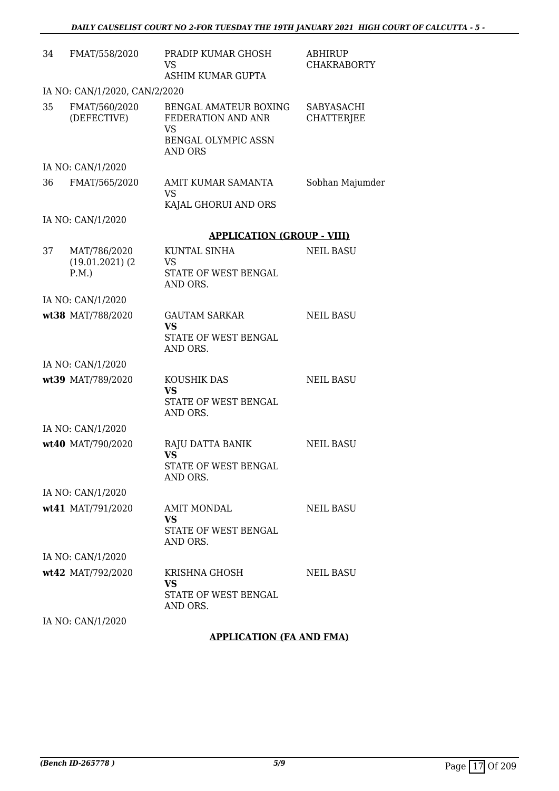| 34 | FMAT/558/2020                 | PRADIP KUMAR GHOSH<br><b>VS</b>                                                                   | <b>ABHIRUP</b><br><b>CHAKRABORTY</b> |
|----|-------------------------------|---------------------------------------------------------------------------------------------------|--------------------------------------|
|    |                               | ASHIM KUMAR GUPTA                                                                                 |                                      |
|    | IA NO: CAN/1/2020, CAN/2/2020 |                                                                                                   |                                      |
| 35 | FMAT/560/2020<br>(DEFECTIVE)  | BENGAL AMATEUR BOXING<br>FEDERATION AND ANR<br><b>VS</b><br>BENGAL OLYMPIC ASSN<br><b>AND ORS</b> | SABYASACHI<br><b>CHATTERJEE</b>      |
|    | IA NO: CAN/1/2020             |                                                                                                   |                                      |
| 36 | FMAT/565/2020                 | AMIT KUMAR SAMANTA                                                                                | Sobhan Majumder                      |
|    |                               | <b>VS</b>                                                                                         |                                      |
|    |                               | KAJAL GHORUI AND ORS                                                                              |                                      |
|    | IA NO: CAN/1/2020             |                                                                                                   |                                      |
|    |                               | <b>APPLICATION (GROUP - VIII)</b>                                                                 |                                      |
| 37 | MAT/786/2020                  | <b>KUNTAL SINHA</b>                                                                               | <b>NEIL BASU</b>                     |
|    | $(19.01.2021)$ $(2)$<br>P.M.  | <b>VS</b><br>STATE OF WEST BENGAL<br>AND ORS.                                                     |                                      |
|    | IA NO: CAN/1/2020             |                                                                                                   |                                      |
|    | wt38 MAT/788/2020             | <b>GAUTAM SARKAR</b><br><b>VS</b><br>STATE OF WEST BENGAL                                         | <b>NEIL BASU</b>                     |
|    |                               | AND ORS.                                                                                          |                                      |
|    | IA NO: CAN/1/2020             |                                                                                                   |                                      |
|    | wt39 MAT/789/2020             | KOUSHIK DAS                                                                                       | <b>NEIL BASU</b>                     |
|    |                               | <b>VS</b><br>STATE OF WEST BENGAL                                                                 |                                      |
|    |                               | AND ORS.                                                                                          |                                      |
|    | IA NO: CAN/1/2020             |                                                                                                   |                                      |
|    | wt40 MAT/790/2020             | RAJU DATTA BANIK<br><b>VS</b>                                                                     | <b>NEIL BASU</b>                     |
|    |                               | STATE OF WEST BENGAL<br>AND ORS.                                                                  |                                      |
|    | IA NO: CAN/1/2020             |                                                                                                   |                                      |
|    | wt41 MAT/791/2020             | <b>AMIT MONDAL</b>                                                                                | <b>NEIL BASU</b>                     |
|    |                               | <b>VS</b><br>STATE OF WEST BENGAL<br>AND ORS.                                                     |                                      |
|    | IA NO: CAN/1/2020             |                                                                                                   |                                      |
|    | wt42 MAT/792/2020             | KRISHNA GHOSH<br><b>VS</b><br>STATE OF WEST BENGAL                                                | <b>NEIL BASU</b>                     |
|    | IA NO: CAN/1/2020             | AND ORS.                                                                                          |                                      |
|    |                               |                                                                                                   |                                      |

**APPLICATION (FA AND FMA)**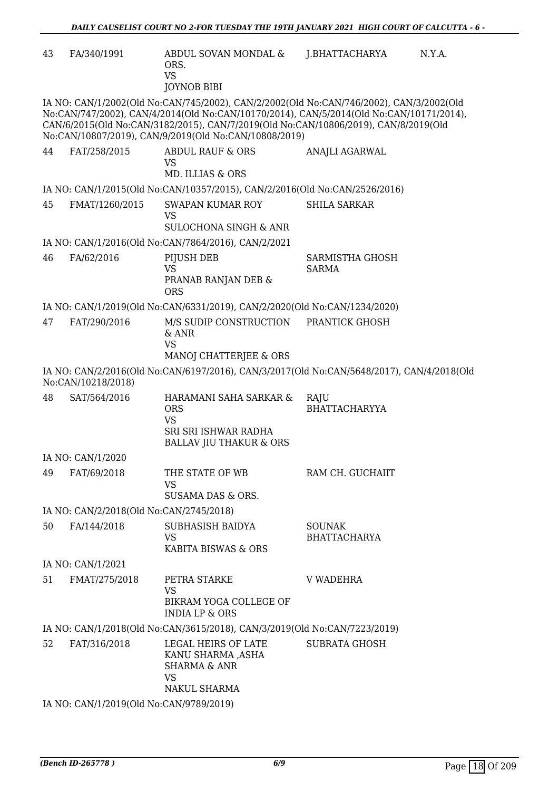| 43 | FA/340/1991                             | ABDUL SOVAN MONDAL &<br>ORS.<br><b>VS</b><br><b>JOYNOB BIBI</b>                                                                                                                                                                                                                                                                    | J.BHATTACHARYA                       | N.Y.A. |
|----|-----------------------------------------|------------------------------------------------------------------------------------------------------------------------------------------------------------------------------------------------------------------------------------------------------------------------------------------------------------------------------------|--------------------------------------|--------|
|    |                                         | IA NO: CAN/1/2002(Old No:CAN/745/2002), CAN/2/2002(Old No:CAN/746/2002), CAN/3/2002(Old<br>No:CAN/747/2002), CAN/4/2014(Old No:CAN/10170/2014), CAN/5/2014(Old No:CAN/10171/2014),<br>CAN/6/2015(Old No:CAN/3182/2015), CAN/7/2019(Old No:CAN/10806/2019), CAN/8/2019(Old<br>No:CAN/10807/2019), CAN/9/2019(Old No:CAN/10808/2019) |                                      |        |
| 44 | FAT/258/2015                            | <b>ABDUL RAUF &amp; ORS</b><br>VS<br><b>MD. ILLIAS &amp; ORS</b>                                                                                                                                                                                                                                                                   | ANAJLI AGARWAL                       |        |
|    |                                         | IA NO: CAN/1/2015(Old No:CAN/10357/2015), CAN/2/2016(Old No:CAN/2526/2016)                                                                                                                                                                                                                                                         |                                      |        |
| 45 | FMAT/1260/2015                          | SWAPAN KUMAR ROY<br><b>VS</b><br><b>SULOCHONA SINGH &amp; ANR</b>                                                                                                                                                                                                                                                                  | <b>SHILA SARKAR</b>                  |        |
|    |                                         | IA NO: CAN/1/2016(Old No:CAN/7864/2016), CAN/2/2021                                                                                                                                                                                                                                                                                |                                      |        |
| 46 | FA/62/2016                              | PIJUSH DEB<br><b>VS</b><br>PRANAB RANJAN DEB &<br><b>ORS</b>                                                                                                                                                                                                                                                                       | SARMISTHA GHOSH<br><b>SARMA</b>      |        |
|    |                                         | IA NO: CAN/1/2019(Old No:CAN/6331/2019), CAN/2/2020(Old No:CAN/1234/2020)                                                                                                                                                                                                                                                          |                                      |        |
| 47 | FAT/290/2016                            | M/S SUDIP CONSTRUCTION<br>& ANR<br><b>VS</b><br>MANOJ CHATTERJEE & ORS                                                                                                                                                                                                                                                             | PRANTICK GHOSH                       |        |
|    | No:CAN/10218/2018)                      | IA NO: CAN/2/2016(Old No:CAN/6197/2016), CAN/3/2017(Old No:CAN/5648/2017), CAN/4/2018(Old                                                                                                                                                                                                                                          |                                      |        |
| 48 | SAT/564/2016                            | HARAMANI SAHA SARKAR &<br><b>ORS</b><br><b>VS</b><br>SRI SRI ISHWAR RADHA<br><b>BALLAV JIU THAKUR &amp; ORS</b>                                                                                                                                                                                                                    | RAJU<br><b>BHATTACHARYYA</b>         |        |
|    | IA NO: CAN/1/2020                       |                                                                                                                                                                                                                                                                                                                                    |                                      |        |
| 49 | FAT/69/2018                             | THE STATE OF WB<br>VS<br>SUSAMA DAS & ORS.                                                                                                                                                                                                                                                                                         | RAM CH. GUCHAIIT                     |        |
|    | IA NO: CAN/2/2018(Old No:CAN/2745/2018) |                                                                                                                                                                                                                                                                                                                                    |                                      |        |
| 50 | FA/144/2018                             | SUBHASISH BAIDYA<br>VS<br>KABITA BISWAS & ORS                                                                                                                                                                                                                                                                                      | <b>SOUNAK</b><br><b>BHATTACHARYA</b> |        |
|    | IA NO: CAN/1/2021                       |                                                                                                                                                                                                                                                                                                                                    |                                      |        |
| 51 | FMAT/275/2018                           | PETRA STARKE<br><b>VS</b><br>BIKRAM YOGA COLLEGE OF<br><b>INDIA LP &amp; ORS</b>                                                                                                                                                                                                                                                   | V WADEHRA                            |        |
|    |                                         | IA NO: CAN/1/2018(Old No:CAN/3615/2018), CAN/3/2019(Old No:CAN/7223/2019)                                                                                                                                                                                                                                                          |                                      |        |
| 52 | FAT/316/2018                            | LEGAL HEIRS OF LATE<br>KANU SHARMA ,ASHA<br><b>SHARMA &amp; ANR</b><br><b>VS</b><br>NAKUL SHARMA                                                                                                                                                                                                                                   | <b>SUBRATA GHOSH</b>                 |        |
|    | IA NO: CAN/1/2019(Old No:CAN/9789/2019) |                                                                                                                                                                                                                                                                                                                                    |                                      |        |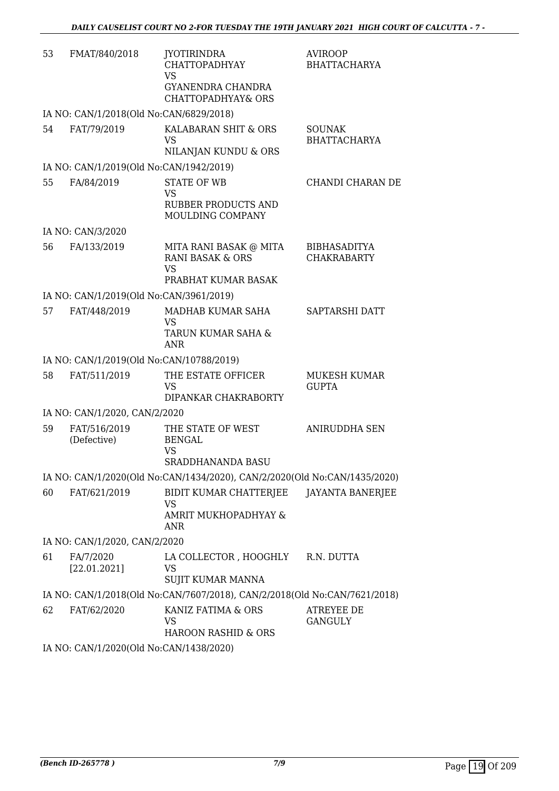| 53 | FMAT/840/2018                            | <b>JYOTIRINDRA</b><br><b>CHATTOPADHYAY</b><br><b>VS</b><br>GYANENDRA CHANDRA<br><b>CHATTOPADHYAY&amp; ORS</b> | <b>AVIROOP</b><br><b>BHATTACHARYA</b>     |
|----|------------------------------------------|---------------------------------------------------------------------------------------------------------------|-------------------------------------------|
|    | IA NO: CAN/1/2018(Old No:CAN/6829/2018)  |                                                                                                               |                                           |
| 54 | FAT/79/2019                              | KALABARAN SHIT & ORS<br>VS<br>NILANJAN KUNDU & ORS                                                            | <b>SOUNAK</b><br><b>BHATTACHARYA</b>      |
|    | IA NO: CAN/1/2019(Old No:CAN/1942/2019)  |                                                                                                               |                                           |
| 55 | FA/84/2019                               | <b>STATE OF WB</b><br><b>VS</b><br><b>RUBBER PRODUCTS AND</b><br>MOULDING COMPANY                             | CHANDI CHARAN DE                          |
|    | IA NO: CAN/3/2020                        |                                                                                                               |                                           |
| 56 | FA/133/2019                              | MITA RANI BASAK @ MITA<br><b>RANI BASAK &amp; ORS</b><br><b>VS</b>                                            | <b>BIBHASADITYA</b><br><b>CHAKRABARTY</b> |
|    |                                          | PRABHAT KUMAR BASAK                                                                                           |                                           |
|    | IA NO: CAN/1/2019(Old No:CAN/3961/2019)  |                                                                                                               |                                           |
| 57 | FAT/448/2019                             | MADHAB KUMAR SAHA<br>VS<br>TARUN KUMAR SAHA &<br><b>ANR</b>                                                   | SAPTARSHI DATT                            |
|    | IA NO: CAN/1/2019(Old No:CAN/10788/2019) |                                                                                                               |                                           |
| 58 | FAT/511/2019                             | THE ESTATE OFFICER<br><b>VS</b><br>DIPANKAR CHAKRABORTY                                                       | <b>MUKESH KUMAR</b><br><b>GUPTA</b>       |
|    | IA NO: CAN/1/2020, CAN/2/2020            |                                                                                                               |                                           |
| 59 | FAT/516/2019<br>(Defective)              | THE STATE OF WEST<br><b>BENGAL</b><br><b>VS</b><br>SRADDHANANDA BASU                                          | <b>ANIRUDDHA SEN</b>                      |
|    |                                          | IA NO: CAN/1/2020(Old No:CAN/1434/2020), CAN/2/2020(Old No:CAN/1435/2020)                                     |                                           |
| 60 | FAT/621/2019                             | BIDIT KUMAR CHATTERJEE<br><b>VS</b><br>AMRIT MUKHOPADHYAY &<br>ANR                                            | JAYANTA BANERJEE                          |
|    | IA NO: CAN/1/2020, CAN/2/2020            |                                                                                                               |                                           |
| 61 | FA/7/2020<br>[22.01.2021]                | LA COLLECTOR , HOOGHLY<br>VS<br><b>SUJIT KUMAR MANNA</b>                                                      | R.N. DUTTA                                |
|    |                                          | IA NO: CAN/1/2018(Old No:CAN/7607/2018), CAN/2/2018(Old No:CAN/7621/2018)                                     |                                           |
| 62 | FAT/62/2020                              | KANIZ FATIMA & ORS<br>VS.<br>HAROON RASHID & ORS                                                              | ATREYEE DE<br><b>GANGULY</b>              |
|    |                                          |                                                                                                               |                                           |

IA NO: CAN/1/2020(Old No:CAN/1438/2020)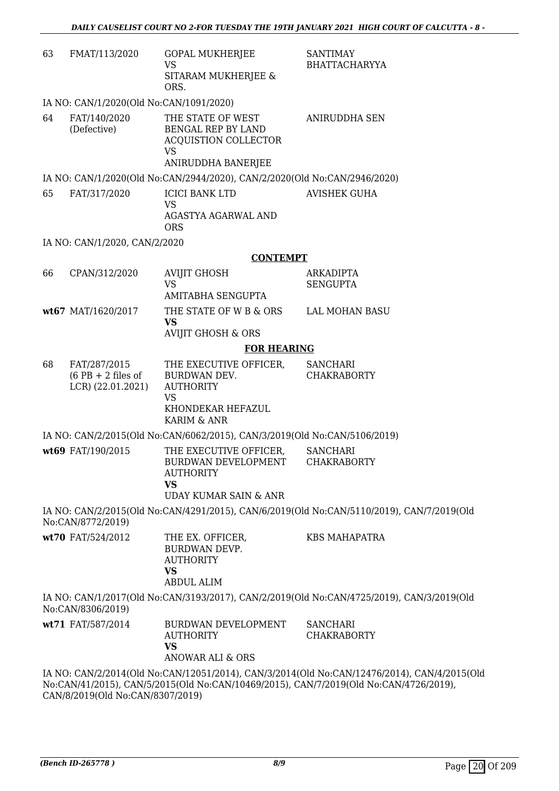| 63 | FMAT/113/2020                                             | <b>GOPAL MUKHERJEE</b><br><b>VS</b><br>SITARAM MUKHERJEE &<br>ORS.                                                             | <b>SANTIMAY</b><br><b>BHATTACHARYYA</b>                                                                                                                                              |
|----|-----------------------------------------------------------|--------------------------------------------------------------------------------------------------------------------------------|--------------------------------------------------------------------------------------------------------------------------------------------------------------------------------------|
|    | IA NO: CAN/1/2020(Old No:CAN/1091/2020)                   |                                                                                                                                |                                                                                                                                                                                      |
| 64 | FAT/140/2020<br>(Defective)                               | THE STATE OF WEST<br>BENGAL REP BY LAND<br><b>ACQUISTION COLLECTOR</b><br><b>VS</b>                                            | <b>ANIRUDDHA SEN</b>                                                                                                                                                                 |
|    |                                                           | ANIRUDDHA BANERJEE                                                                                                             |                                                                                                                                                                                      |
|    |                                                           | IA NO: CAN/1/2020(Old No:CAN/2944/2020), CAN/2/2020(Old No:CAN/2946/2020)                                                      |                                                                                                                                                                                      |
| 65 | FAT/317/2020                                              | <b>ICICI BANK LTD</b><br><b>VS</b><br>AGASTYA AGARWAL AND<br><b>ORS</b>                                                        | <b>AVISHEK GUHA</b>                                                                                                                                                                  |
|    | IA NO: CAN/1/2020, CAN/2/2020                             |                                                                                                                                |                                                                                                                                                                                      |
|    |                                                           | <b>CONTEMPT</b>                                                                                                                |                                                                                                                                                                                      |
| 66 | CPAN/312/2020                                             | <b>AVIJIT GHOSH</b>                                                                                                            | <b>ARKADIPTA</b>                                                                                                                                                                     |
|    |                                                           | <b>VS</b><br>AMITABHA SENGUPTA                                                                                                 | <b>SENGUPTA</b>                                                                                                                                                                      |
|    | wt67 MAT/1620/2017                                        | THE STATE OF W B & ORS LAL MOHAN BASU<br><b>VS</b>                                                                             |                                                                                                                                                                                      |
|    |                                                           | <b>AVIJIT GHOSH &amp; ORS</b>                                                                                                  |                                                                                                                                                                                      |
|    |                                                           | <b>FOR HEARING</b>                                                                                                             |                                                                                                                                                                                      |
| 68 | FAT/287/2015<br>$(6$ PB + 2 files of<br>LCR) (22.01.2021) | THE EXECUTIVE OFFICER,<br>BURDWAN DEV.<br><b>AUTHORITY</b><br><b>VS</b>                                                        | <b>SANCHARI</b><br><b>CHAKRABORTY</b>                                                                                                                                                |
|    |                                                           | KHONDEKAR HEFAZUL<br>KARIM & ANR                                                                                               |                                                                                                                                                                                      |
|    |                                                           | IA NO: CAN/2/2015(Old No:CAN/6062/2015), CAN/3/2019(Old No:CAN/5106/2019)                                                      |                                                                                                                                                                                      |
|    | wt69 FAT/190/2015                                         | THE EXECUTIVE OFFICER,<br>BURDWAN DEVELOPMENT CHAKRABORTY<br><b>AUTHORITY</b><br><b>VS</b><br><b>UDAY KUMAR SAIN &amp; ANR</b> | <b>SANCHARI</b>                                                                                                                                                                      |
|    | No:CAN/8772/2019)                                         |                                                                                                                                | IA NO: CAN/2/2015(Old No:CAN/4291/2015), CAN/6/2019(Old No:CAN/5110/2019), CAN/7/2019(Old                                                                                            |
|    | wt70 FAT/524/2012                                         | THE EX. OFFICER,<br><b>BURDWAN DEVP.</b><br><b>AUTHORITY</b><br><b>VS</b><br><b>ABDUL ALIM</b>                                 | <b>KBS MAHAPATRA</b>                                                                                                                                                                 |
|    | No:CAN/8306/2019)                                         |                                                                                                                                | IA NO: CAN/1/2017(Old No:CAN/3193/2017), CAN/2/2019(Old No:CAN/4725/2019), CAN/3/2019(Old                                                                                            |
|    | wt71 FAT/587/2014                                         | BURDWAN DEVELOPMENT<br><b>AUTHORITY</b><br><b>VS</b><br><b>ANOWAR ALI &amp; ORS</b>                                            | <b>SANCHARI</b><br><b>CHAKRABORTY</b>                                                                                                                                                |
|    | CAN/8/2019(Old No:CAN/8307/2019)                          |                                                                                                                                | IA NO: CAN/2/2014(Old No:CAN/12051/2014), CAN/3/2014(Old No:CAN/12476/2014), CAN/4/2015(Old<br>No:CAN/41/2015), CAN/5/2015(Old No:CAN/10469/2015), CAN/7/2019(Old No:CAN/4726/2019), |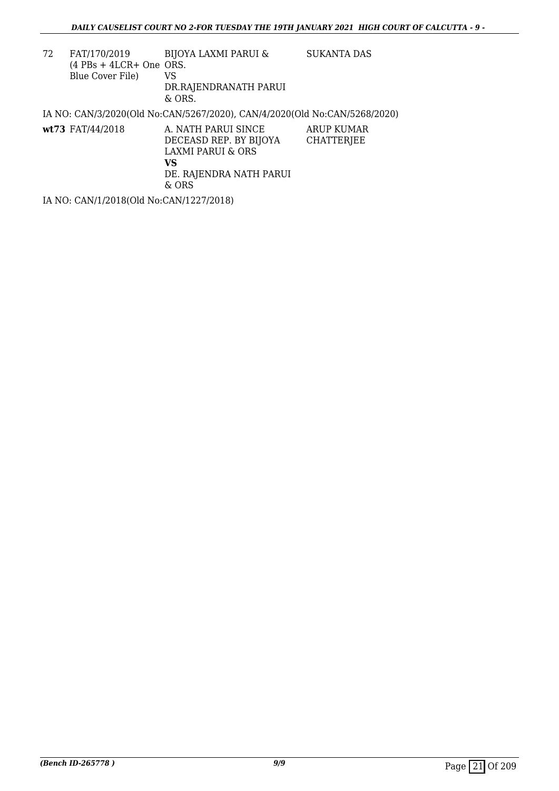| 72 | FAT/170/2019<br>$(4$ PBs + 4LCR+ One ORS.<br>Blue Cover File) | BIJOYA LAXMI PARUI &<br>VS<br>DR.RAJENDRANATH PARUI<br>$&$ ORS.                                                         | <b>SUKANTA DAS</b>              |
|----|---------------------------------------------------------------|-------------------------------------------------------------------------------------------------------------------------|---------------------------------|
|    |                                                               | IA NO: CAN/3/2020(Old No:CAN/5267/2020), CAN/4/2020(Old No:CAN/5268/2020)                                               |                                 |
|    | $wt73$ FAT/44/2018                                            | A. NATH PARUI SINCE<br>DECEASD REP. BY BIJOYA<br><b>LAXMI PARUI &amp; ORS</b><br>VS<br>DE. RAJENDRA NATH PARUI<br>& ORS | ARUP KUMAR<br><b>CHATTERJEE</b> |

IA NO: CAN/1/2018(Old No:CAN/1227/2018)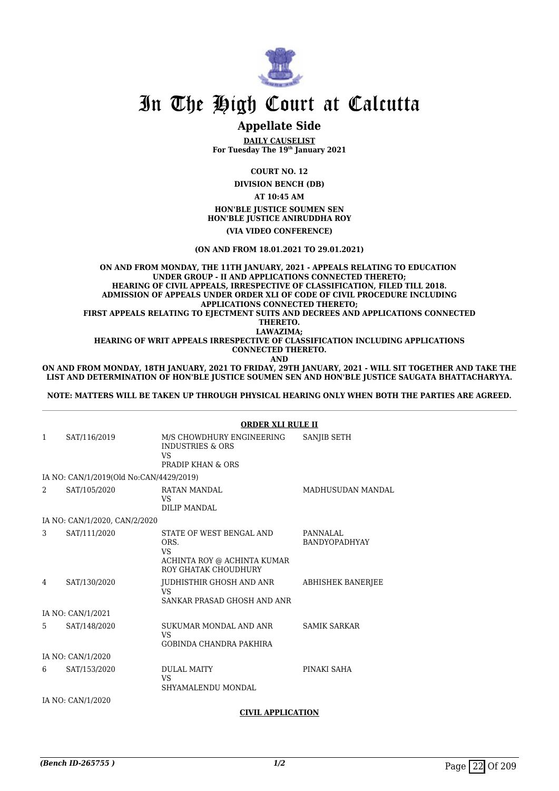

## **Appellate Side**

**DAILY CAUSELIST For Tuesday The 19th January 2021**

**COURT NO. 12**

**DIVISION BENCH (DB)**

**AT 10:45 AM**

**HON'BLE JUSTICE SOUMEN SEN HON'BLE JUSTICE ANIRUDDHA ROY (VIA VIDEO CONFERENCE)**

**(ON AND FROM 18.01.2021 TO 29.01.2021)**

**ON AND FROM MONDAY, THE 11TH JANUARY, 2021 - APPEALS RELATING TO EDUCATION UNDER GROUP - II AND APPLICATIONS CONNECTED THERETO; HEARING OF CIVIL APPEALS, IRRESPECTIVE OF CLASSIFICATION, FILED TILL 2018. ADMISSION OF APPEALS UNDER ORDER XLI OF CODE OF CIVIL PROCEDURE INCLUDING APPLICATIONS CONNECTED THERETO; FIRST APPEALS RELATING TO EJECTMENT SUITS AND DECREES AND APPLICATIONS CONNECTED THERETO. LAWAZIMA; HEARING OF WRIT APPEALS IRRESPECTIVE OF CLASSIFICATION INCLUDING APPLICATIONS CONNECTED THERETO. AND**

**ON AND FROM MONDAY, 18TH JANUARY, 2021 TO FRIDAY, 29TH JANUARY, 2021 - WILL SIT TOGETHER AND TAKE THE LIST AND DETERMINATION OF HON'BLE JUSTICE SOUMEN SEN AND HON'BLE JUSTICE SAUGATA BHATTACHARYYA.**

**NOTE: MATTERS WILL BE TAKEN UP THROUGH PHYSICAL HEARING ONLY WHEN BOTH THE PARTIES ARE AGREED.**

|              |                                         | <b>ORDER XLI RULE II</b>                                                                      |                                  |
|--------------|-----------------------------------------|-----------------------------------------------------------------------------------------------|----------------------------------|
| $\mathbf{1}$ | SAT/116/2019                            | M/S CHOWDHURY ENGINEERING<br><b>INDUSTRIES &amp; ORS</b><br>VS<br>PRADIP KHAN & ORS           | SANJIB SETH                      |
|              | IA NO: CAN/1/2019(Old No:CAN/4429/2019) |                                                                                               |                                  |
| 2            | SAT/105/2020                            | RATAN MANDAL<br>VS.<br><b>DILIP MANDAL</b>                                                    | <b>MADHUSUDAN MANDAL</b>         |
|              | IA NO: CAN/1/2020, CAN/2/2020           |                                                                                               |                                  |
| 3            | SAT/111/2020                            | STATE OF WEST BENGAL AND<br>ORS.<br>VS<br>ACHINTA ROY @ ACHINTA KUMAR<br>ROY GHATAK CHOUDHURY | PANNALAL<br><b>BANDYOPADHYAY</b> |
| 4            | SAT/130/2020                            | JUDHISTHIR GHOSH AND ANR<br>VS.<br>SANKAR PRASAD GHOSH AND ANR                                | <b>ABHISHEK BANERJEE</b>         |
|              | IA NO: CAN/1/2021                       |                                                                                               |                                  |
| 5.           | SAT/148/2020                            | SUKUMAR MONDAL AND ANR<br>VS<br><b>GOBINDA CHANDRA PAKHIRA</b>                                | <b>SAMIK SARKAR</b>              |
|              | IA NO: CAN/1/2020                       |                                                                                               |                                  |
| 6            | SAT/153/2020                            | <b>DULAL MAITY</b><br>VS<br>SHYAMALENDU MONDAL                                                | PINAKI SAHA                      |
|              | IA NO: CAN/1/2020                       |                                                                                               |                                  |

## **CIVIL APPLICATION**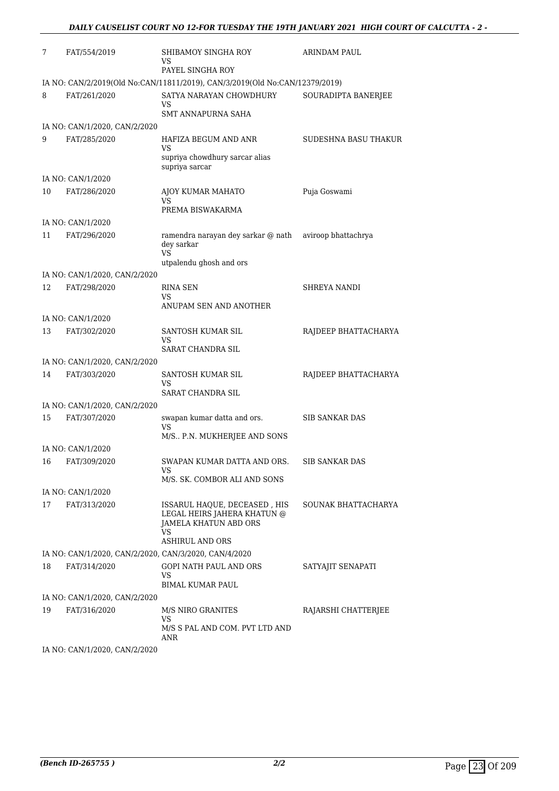| 7  | FAT/554/2019                                          | SHIBAMOY SINGHA ROY<br>VS<br>PAYEL SINGHA ROY                                              | ARINDAM PAUL          |
|----|-------------------------------------------------------|--------------------------------------------------------------------------------------------|-----------------------|
|    |                                                       | IA NO: CAN/2/2019(Old No:CAN/11811/2019), CAN/3/2019(Old No:CAN/12379/2019)                |                       |
| 8  | FAT/261/2020                                          | SATYA NARAYAN CHOWDHURY<br>VS                                                              | SOURADIPTA BANERJEE   |
|    |                                                       | <b>SMT ANNAPURNA SAHA</b>                                                                  |                       |
|    | IA NO: CAN/1/2020, CAN/2/2020                         |                                                                                            |                       |
| 9  | FAT/285/2020                                          | HAFIZA BEGUM AND ANR<br>VS                                                                 | SUDESHNA BASU THAKUR  |
|    |                                                       | supriya chowdhury sarcar alias<br>supriya sarcar                                           |                       |
|    | IA NO: CAN/1/2020                                     |                                                                                            |                       |
| 10 | FAT/286/2020                                          | AJOY KUMAR MAHATO<br>VS<br>PREMA BISWAKARMA                                                | Puja Goswami          |
|    | IA NO: CAN/1/2020                                     |                                                                                            |                       |
| 11 | FAT/296/2020                                          | ramendra narayan dey sarkar @ nath aviroop bhattachrya                                     |                       |
|    |                                                       | dev sarkar<br>VS                                                                           |                       |
|    |                                                       | utpalendu ghosh and ors                                                                    |                       |
|    | IA NO: CAN/1/2020, CAN/2/2020                         |                                                                                            |                       |
| 12 | FAT/298/2020                                          | <b>RINA SEN</b><br>VS<br>ANUPAM SEN AND ANOTHER                                            | SHREYA NANDI          |
|    | IA NO: CAN/1/2020                                     |                                                                                            |                       |
| 13 | FAT/302/2020                                          | SANTOSH KUMAR SIL                                                                          | RAJDEEP BHATTACHARYA  |
|    |                                                       | VS<br>SARAT CHANDRA SIL                                                                    |                       |
|    | IA NO: CAN/1/2020, CAN/2/2020                         |                                                                                            |                       |
| 14 | FAT/303/2020                                          | SANTOSH KUMAR SIL<br>VS                                                                    | RAJDEEP BHATTACHARYA  |
|    |                                                       | <b>SARAT CHANDRA SIL</b>                                                                   |                       |
| 15 | IA NO: CAN/1/2020, CAN/2/2020<br>FAT/307/2020         | swapan kumar datta and ors.                                                                | <b>SIB SANKAR DAS</b> |
|    |                                                       | VS<br>M/S., P.N. MUKHERJEE AND SONS                                                        |                       |
|    | IA NO: CAN/1/2020                                     |                                                                                            |                       |
| 16 | FAT/309/2020                                          | SWAPAN KUMAR DATTA AND ORS.<br>VS                                                          | SIB SANKAR DAS        |
|    |                                                       | M/S. SK. COMBOR ALI AND SONS                                                               |                       |
|    | IA NO: CAN/1/2020                                     |                                                                                            |                       |
| 17 | FAT/313/2020                                          | ISSARUL HAQUE, DECEASED, HIS<br>LEGAL HEIRS JAHERA KHATUN @<br>JAMELA KHATUN ABD ORS<br>VS | SOUNAK BHATTACHARYA   |
|    |                                                       | <b>ASHIRUL AND ORS</b>                                                                     |                       |
|    | IA NO: CAN/1/2020, CAN/2/2020, CAN/3/2020, CAN/4/2020 |                                                                                            |                       |
| 18 | FAT/314/2020                                          | GOPI NATH PAUL AND ORS<br>VS<br><b>BIMAL KUMAR PAUL</b>                                    | SATYAJIT SENAPATI     |
|    | IA NO: CAN/1/2020, CAN/2/2020                         |                                                                                            |                       |
| 19 | FAT/316/2020                                          | M/S NIRO GRANITES<br>VS                                                                    | RAJARSHI CHATTERJEE   |
|    |                                                       | M/S S PAL AND COM. PVT LTD AND<br>ANR                                                      |                       |

IA NO: CAN/1/2020, CAN/2/2020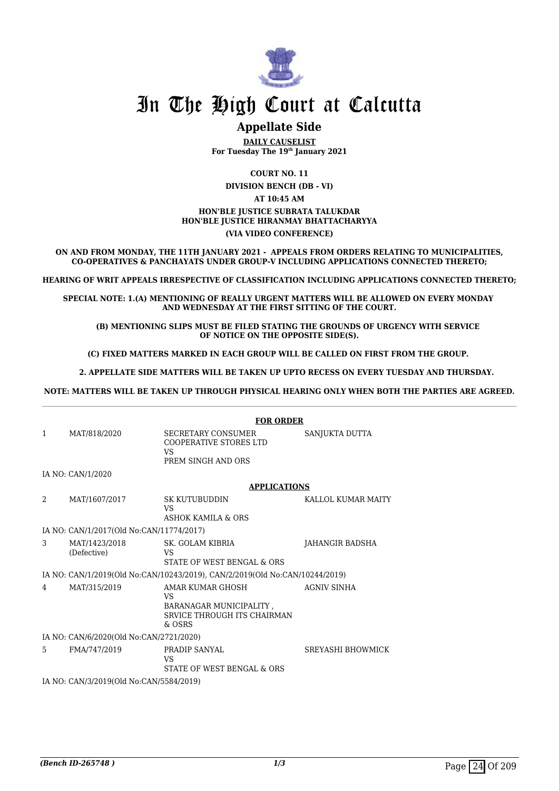

## **Appellate Side**

**DAILY CAUSELIST For Tuesday The 19th January 2021**

**COURT NO. 11**

**DIVISION BENCH (DB - VI) AT 10:45 AM**

#### **HON'BLE JUSTICE SUBRATA TALUKDAR HON'BLE JUSTICE HIRANMAY BHATTACHARYYA (VIA VIDEO CONFERENCE)**

**ON AND FROM MONDAY, THE 11TH JANUARY 2021 - APPEALS FROM ORDERS RELATING TO MUNICIPALITIES, CO-OPERATIVES & PANCHAYATS UNDER GROUP-V INCLUDING APPLICATIONS CONNECTED THERETO;**

**HEARING OF WRIT APPEALS IRRESPECTIVE OF CLASSIFICATION INCLUDING APPLICATIONS CONNECTED THERETO;**

**SPECIAL NOTE: 1.(A) MENTIONING OF REALLY URGENT MATTERS WILL BE ALLOWED ON EVERY MONDAY AND WEDNESDAY AT THE FIRST SITTING OF THE COURT.**

 **(B) MENTIONING SLIPS MUST BE FILED STATING THE GROUNDS OF URGENCY WITH SERVICE OF NOTICE ON THE OPPOSITE SIDE(S).**

**(C) FIXED MATTERS MARKED IN EACH GROUP WILL BE CALLED ON FIRST FROM THE GROUP.** 

 **2. APPELLATE SIDE MATTERS WILL BE TAKEN UP UPTO RECESS ON EVERY TUESDAY AND THURSDAY.** 

**NOTE: MATTERS WILL BE TAKEN UP THROUGH PHYSICAL HEARING ONLY WHEN BOTH THE PARTIES ARE AGREED.**

|                                         |                                          | <b>FOR ORDER</b>                                                                                  |                        |  |
|-----------------------------------------|------------------------------------------|---------------------------------------------------------------------------------------------------|------------------------|--|
| $\mathbf{1}$                            | MAT/818/2020                             | <b>SECRETARY CONSUMER</b><br><b>COOPERATIVE STORES LTD</b><br>VS<br>PREM SINGH AND ORS            | SANJUKTA DUTTA         |  |
|                                         | IA NO: CAN/1/2020                        |                                                                                                   |                        |  |
|                                         |                                          | <b>APPLICATIONS</b>                                                                               |                        |  |
| $\mathfrak{D}$                          | MAT/1607/2017                            | <b>SK KUTUBUDDIN</b><br>VS<br>ASHOK KAMILA & ORS                                                  | KALLOL KUMAR MAITY     |  |
|                                         | IA NO: CAN/1/2017(Old No:CAN/11774/2017) |                                                                                                   |                        |  |
| 3                                       | MAT/1423/2018<br>(Defective)             | SK. GOLAM KIBRIA<br>VS<br>STATE OF WEST BENGAL & ORS                                              | <b>JAHANGIR BADSHA</b> |  |
|                                         |                                          | IA NO: CAN/1/2019(Old No:CAN/10243/2019), CAN/2/2019(Old No:CAN/10244/2019)                       |                        |  |
| 4                                       | MAT/315/2019                             | AMAR KUMAR GHOSH<br><b>VS</b><br>BARANAGAR MUNICIPALITY,<br>SRVICE THROUGH ITS CHAIRMAN<br>& OSRS | <b>AGNIV SINHA</b>     |  |
| IA NO: CAN/6/2020(Old No:CAN/2721/2020) |                                          |                                                                                                   |                        |  |
| 5.                                      | FMA/747/2019                             | PRADIP SANYAL<br>VS<br>STATE OF WEST BENGAL & ORS                                                 | SREYASHI BHOWMICK      |  |
|                                         | IA NO: CAN/3/2019(Old No:CAN/5584/2019)  |                                                                                                   |                        |  |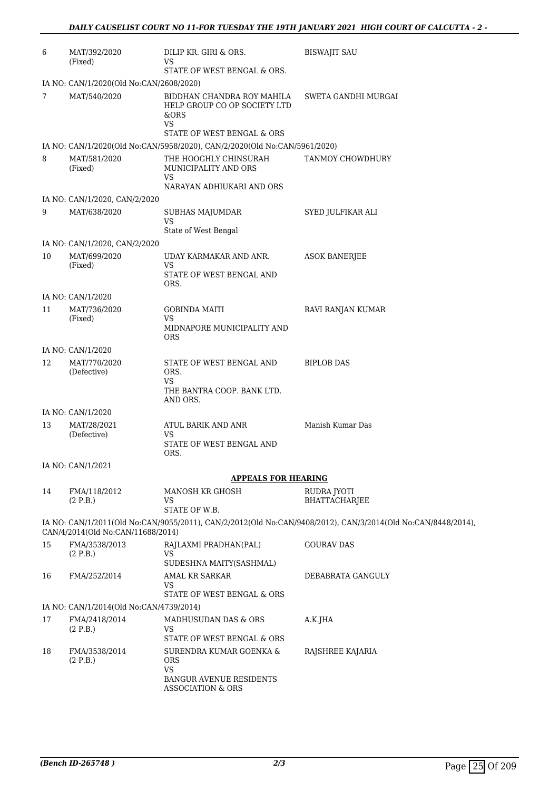| 6                                       | MAT/392/2020<br>(Fixed)                 | DILIP KR. GIRI & ORS.<br>VS                                                                                   | <b>BISWAJIT SAU</b>                                                                                          |  |  |
|-----------------------------------------|-----------------------------------------|---------------------------------------------------------------------------------------------------------------|--------------------------------------------------------------------------------------------------------------|--|--|
|                                         | STATE OF WEST BENGAL & ORS.             |                                                                                                               |                                                                                                              |  |  |
|                                         | IA NO: CAN/1/2020(Old No:CAN/2608/2020) |                                                                                                               |                                                                                                              |  |  |
| 7                                       | MAT/540/2020                            | BIDDHAN CHANDRA ROY MAHILA<br>HELP GROUP CO OP SOCIETY LTD<br>&ORS<br><b>VS</b><br>STATE OF WEST BENGAL & ORS | SWETA GANDHI MURGAI                                                                                          |  |  |
|                                         |                                         | IA NO: CAN/1/2020(Old No:CAN/5958/2020), CAN/2/2020(Old No:CAN/5961/2020)                                     |                                                                                                              |  |  |
| 8                                       | MAT/581/2020                            | THE HOOGHLY CHINSURAH                                                                                         | TANMOY CHOWDHURY                                                                                             |  |  |
|                                         | (Fixed)                                 | MUNICIPALITY AND ORS<br>VS                                                                                    |                                                                                                              |  |  |
|                                         |                                         | NARAYAN ADHIUKARI AND ORS                                                                                     |                                                                                                              |  |  |
|                                         | IA NO: CAN/1/2020, CAN/2/2020           |                                                                                                               |                                                                                                              |  |  |
| 9                                       | MAT/638/2020                            | SUBHAS MAJUMDAR<br>VS                                                                                         | SYED JULFIKAR ALI                                                                                            |  |  |
|                                         | IA NO: CAN/1/2020, CAN/2/2020           | State of West Bengal                                                                                          |                                                                                                              |  |  |
| 10                                      | MAT/699/2020                            | UDAY KARMAKAR AND ANR.                                                                                        | <b>ASOK BANERJEE</b>                                                                                         |  |  |
|                                         | (Fixed)                                 | VS                                                                                                            |                                                                                                              |  |  |
|                                         |                                         | STATE OF WEST BENGAL AND<br>ORS.                                                                              |                                                                                                              |  |  |
|                                         | IA NO: CAN/1/2020                       |                                                                                                               |                                                                                                              |  |  |
| 11                                      | MAT/736/2020                            | <b>GOBINDA MAITI</b>                                                                                          | RAVI RANJAN KUMAR                                                                                            |  |  |
|                                         | (Fixed)                                 | <b>VS</b><br>MIDNAPORE MUNICIPALITY AND<br><b>ORS</b>                                                         |                                                                                                              |  |  |
|                                         | IA NO: CAN/1/2020                       |                                                                                                               |                                                                                                              |  |  |
| 12                                      | MAT/770/2020                            | STATE OF WEST BENGAL AND                                                                                      | <b>BIPLOB DAS</b>                                                                                            |  |  |
|                                         | (Defective)                             | ORS.<br>VS                                                                                                    |                                                                                                              |  |  |
|                                         |                                         | THE BANTRA COOP. BANK LTD.<br>AND ORS.                                                                        |                                                                                                              |  |  |
|                                         | IA NO: CAN/1/2020                       |                                                                                                               |                                                                                                              |  |  |
| 13                                      | MAT/28/2021                             | ATUL BARIK AND ANR                                                                                            | Manish Kumar Das                                                                                             |  |  |
|                                         | (Defective)                             | VS<br>STATE OF WEST BENGAL AND<br>ORS.                                                                        |                                                                                                              |  |  |
|                                         | IA NO: CAN/1/2021                       |                                                                                                               |                                                                                                              |  |  |
|                                         |                                         | <b>APPEALS FOR HEARING</b>                                                                                    |                                                                                                              |  |  |
| 14                                      | FMA/118/2012<br>(2 P.B.)                | MANOSH KR GHOSH<br>VS<br>STATE OF W.B.                                                                        | RUDRA JYOTI<br>BHATTACHARJEE                                                                                 |  |  |
|                                         | CAN/4/2014(Old No:CAN/11688/2014)       |                                                                                                               | IA NO: CAN/1/2011(Old No:CAN/9055/2011), CAN/2/2012(Old No:CAN/9408/2012), CAN/3/2014(Old No:CAN/8448/2014), |  |  |
| 15                                      | FMA/3538/2013                           | RAJLAXMI PRADHAN(PAL)                                                                                         | <b>GOURAV DAS</b>                                                                                            |  |  |
|                                         | (2 P.B.)                                | VS<br>SUDESHNA MAITY(SASHMAL)                                                                                 |                                                                                                              |  |  |
| 16                                      | FMA/252/2014                            | <b>AMAL KR SARKAR</b>                                                                                         | DEBABRATA GANGULY                                                                                            |  |  |
|                                         |                                         | <b>VS</b><br>STATE OF WEST BENGAL & ORS                                                                       |                                                                                                              |  |  |
| IA NO: CAN/1/2014(Old No:CAN/4739/2014) |                                         |                                                                                                               |                                                                                                              |  |  |
| 17                                      | FMA/2418/2014                           | MADHUSUDAN DAS & ORS                                                                                          | A.K.JHA                                                                                                      |  |  |
|                                         | (2 P.B.)                                | <b>VS</b><br>STATE OF WEST BENGAL & ORS                                                                       |                                                                                                              |  |  |
| 18                                      | FMA/3538/2014<br>(2 P.B.)               | SURENDRA KUMAR GOENKA &<br>ORS                                                                                | RAJSHREE KAJARIA                                                                                             |  |  |
|                                         |                                         | <b>VS</b><br><b>BANGUR AVENUE RESIDENTS</b><br><b>ASSOCIATION &amp; ORS</b>                                   |                                                                                                              |  |  |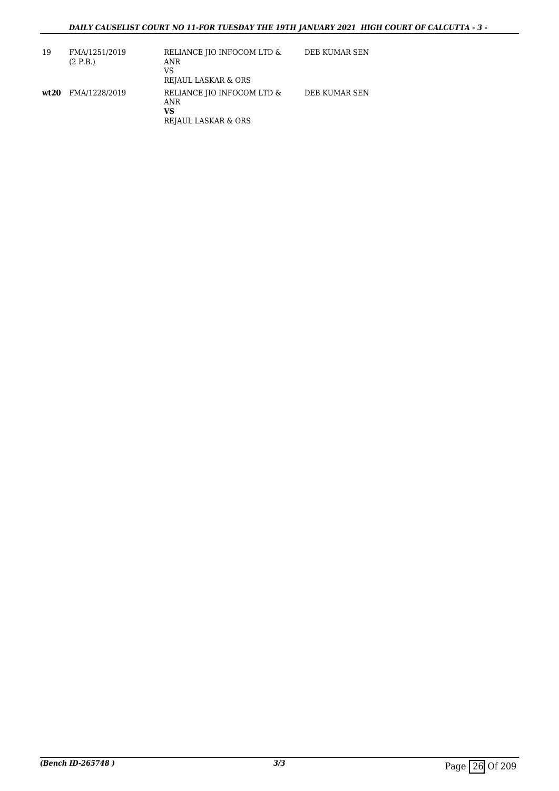| 19    | FMA/1251/2019<br>(2 P.B.) | RELIANCE JIO INFOCOM LTD &<br>ANR<br>VS<br>REJAUL LASKAR & ORS | DEB KUMAR SEN |
|-------|---------------------------|----------------------------------------------------------------|---------------|
| wt.20 | FMA/1228/2019             | RELIANCE JIO INFOCOM LTD &<br>ANR<br>vs<br>REJAUL LASKAR & ORS | DEB KUMAR SEN |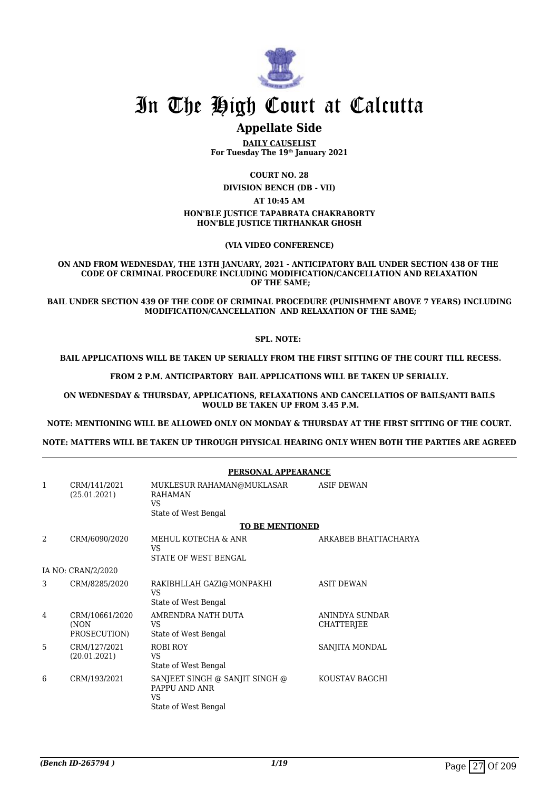

## **Appellate Side**

**DAILY CAUSELIST For Tuesday The 19th January 2021**

**COURT NO. 28**

**DIVISION BENCH (DB - VII)**

**AT 10:45 AM**

#### **HON'BLE JUSTICE TAPABRATA CHAKRABORTY HON'BLE JUSTICE TIRTHANKAR GHOSH**

**(VIA VIDEO CONFERENCE)**

#### **ON AND FROM WEDNESDAY, THE 13TH JANUARY, 2021 - ANTICIPATORY BAIL UNDER SECTION 438 OF THE CODE OF CRIMINAL PROCEDURE INCLUDING MODIFICATION/CANCELLATION AND RELAXATION OF THE SAME;**

**BAIL UNDER SECTION 439 OF THE CODE OF CRIMINAL PROCEDURE (PUNISHMENT ABOVE 7 YEARS) INCLUDING MODIFICATION/CANCELLATION AND RELAXATION OF THE SAME;**

#### **SPL. NOTE:**

 **BAIL APPLICATIONS WILL BE TAKEN UP SERIALLY FROM THE FIRST SITTING OF THE COURT TILL RECESS.**

**FROM 2 P.M. ANTICIPARTORY BAIL APPLICATIONS WILL BE TAKEN UP SERIALLY.**

**ON WEDNESDAY & THURSDAY, APPLICATIONS, RELAXATIONS AND CANCELLATIOS OF BAILS/ANTI BAILS WOULD BE TAKEN UP FROM 3.45 P.M.**

**NOTE: MENTIONING WILL BE ALLOWED ONLY ON MONDAY & THURSDAY AT THE FIRST SITTING OF THE COURT.**

**NOTE: MATTERS WILL BE TAKEN UP THROUGH PHYSICAL HEARING ONLY WHEN BOTH THE PARTIES ARE AGREED**

|                |                                        | PERSONAL APPEARANCE                                                              |                                     |  |
|----------------|----------------------------------------|----------------------------------------------------------------------------------|-------------------------------------|--|
| 1              | CRM/141/2021<br>(25.01.2021)           | MUKLESUR RAHAMAN@MUKLASAR<br><b>RAHAMAN</b><br><b>VS</b><br>State of West Bengal | <b>ASIF DEWAN</b>                   |  |
|                |                                        | <b>TO BE MENTIONED</b>                                                           |                                     |  |
| $\overline{2}$ | CRM/6090/2020                          | MEHUL KOTECHA & ANR<br>VS<br>STATE OF WEST BENGAL                                | ARKABEB BHATTACHARYA                |  |
|                | IA NO: CRAN/2/2020                     |                                                                                  |                                     |  |
|                |                                        |                                                                                  |                                     |  |
| 3              | CRM/8285/2020                          | RAKIBHLLAH GAZI@MONPAKHI<br><b>VS</b><br>State of West Bengal                    | <b>ASIT DEWAN</b>                   |  |
| 4              | CRM/10661/2020<br>(NON<br>PROSECUTION) | AMRENDRA NATH DUTA<br>VS<br>State of West Bengal                                 | ANINDYA SUNDAR<br><b>CHATTERJEE</b> |  |
| 5              | CRM/127/2021<br>(20.01.2021)           | <b>ROBI ROY</b><br>VS<br>State of West Bengal                                    | SANJITA MONDAL                      |  |
| 6              | CRM/193/2021                           | SANJEET SINGH @ SANJIT SINGH @<br>PAPPU AND ANR<br>VS<br>State of West Bengal    | KOUSTAV BAGCHI                      |  |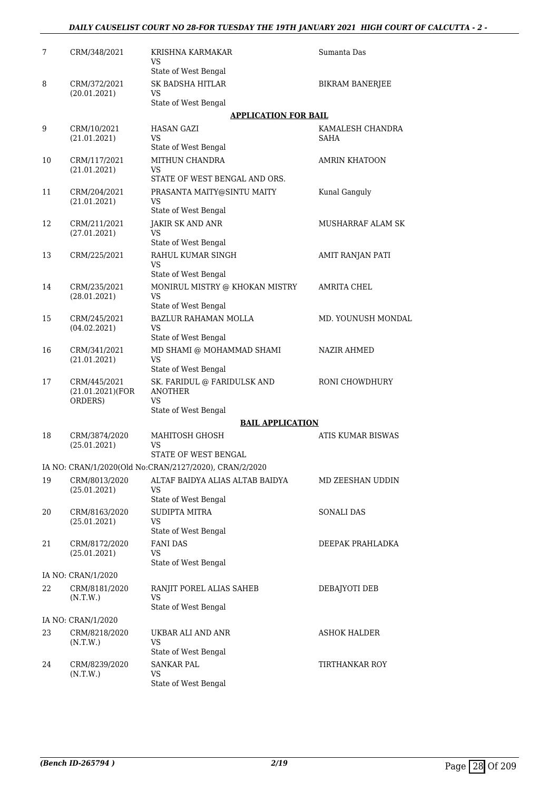### *DAILY CAUSELIST COURT NO 28-FOR TUESDAY THE 19TH JANUARY 2021 HIGH COURT OF CALCUTTA - 2 -*

| 7  | CRM/348/2021                                 | KRISHNA KARMAKAR<br>VS                                 | Sumanta Das              |
|----|----------------------------------------------|--------------------------------------------------------|--------------------------|
|    |                                              | State of West Bengal                                   |                          |
| 8  | CRM/372/2021                                 | SK BADSHA HITLAR                                       | <b>BIKRAM BANERJEE</b>   |
|    | (20.01.2021)                                 | VS<br>State of West Bengal                             |                          |
|    |                                              | <b>APPLICATION FOR BAIL</b>                            |                          |
| 9  | CRM/10/2021                                  | <b>HASAN GAZI</b>                                      | KAMALESH CHANDRA         |
|    | (21.01.2021)                                 | VS<br>State of West Bengal                             | SAHA                     |
| 10 | CRM/117/2021                                 | MITHUN CHANDRA                                         | AMRIN KHATOON            |
|    | (21.01.2021)                                 | VS<br>STATE OF WEST BENGAL AND ORS.                    |                          |
| 11 | CRM/204/2021                                 | PRASANTA MAITY@SINTU MAITY                             | Kunal Ganguly            |
|    | (21.01.2021)                                 | VS<br>State of West Bengal                             |                          |
| 12 | CRM/211/2021                                 | JAKIR SK AND ANR                                       | <b>MUSHARRAF ALAM SK</b> |
|    | (27.01.2021)                                 | VS<br>State of West Bengal                             |                          |
| 13 | CRM/225/2021                                 | RAHUL KUMAR SINGH                                      | AMIT RANJAN PATI         |
|    |                                              | VS                                                     |                          |
|    |                                              | State of West Bengal                                   |                          |
| 14 | CRM/235/2021<br>(28.01.2021)                 | MONIRUL MISTRY @ KHOKAN MISTRY<br>VS                   | AMRITA CHEL              |
|    |                                              | State of West Bengal                                   |                          |
| 15 | CRM/245/2021<br>(04.02.2021)                 | <b>BAZLUR RAHAMAN MOLLA</b><br>VS                      | MD. YOUNUSH MONDAL       |
|    |                                              | State of West Bengal                                   |                          |
| 16 | CRM/341/2021<br>(21.01.2021)                 | MD SHAMI @ MOHAMMAD SHAMI<br>VS                        | <b>NAZIR AHMED</b>       |
|    |                                              | State of West Bengal                                   |                          |
| 17 | CRM/445/2021<br>(21.01.2021)(FOR)<br>ORDERS) | SK. FARIDUL @ FARIDULSK AND<br><b>ANOTHER</b><br>VS    | RONI CHOWDHURY           |
|    |                                              | State of West Bengal                                   |                          |
|    |                                              | <b>BAIL APPLICATION</b>                                |                          |
| 18 | CRM/3874/2020<br>(25.01.2021)                | <b>MAHITOSH GHOSH</b><br>VS                            | ATIS KUMAR BISWAS        |
|    |                                              | STATE OF WEST BENGAL                                   |                          |
|    |                                              | IA NO: CRAN/1/2020(Old No:CRAN/2127/2020), CRAN/2/2020 |                          |
| 19 | CRM/8013/2020<br>(25.01.2021)                | ALTAF BAIDYA ALIAS ALTAB BAIDYA<br>VS                  | MD ZEESHAN UDDIN         |
|    |                                              | State of West Bengal                                   |                          |
| 20 | CRM/8163/2020                                | SUDIPTA MITRA                                          | <b>SONALI DAS</b>        |
|    | (25.01.2021)                                 | VS<br>State of West Bengal                             |                          |
| 21 | CRM/8172/2020                                | <b>FANI DAS</b>                                        | DEEPAK PRAHLADKA         |
|    | (25.01.2021)                                 | VS<br>State of West Bengal                             |                          |
|    | IA NO: CRAN/1/2020                           |                                                        |                          |
| 22 | CRM/8181/2020                                | RANJIT POREL ALIAS SAHEB                               | DEBAJYOTI DEB            |
|    | (N.T.W.)                                     | VS<br>State of West Bengal                             |                          |
|    | IA NO: CRAN/1/2020                           |                                                        |                          |
| 23 | CRM/8218/2020                                | UKBAR ALI AND ANR                                      | ASHOK HALDER             |
|    | (N.T.W.)                                     | VS                                                     |                          |
|    |                                              | State of West Bengal                                   |                          |
| 24 | CRM/8239/2020<br>(N.T.W.)                    | <b>SANKAR PAL</b><br>VS                                | TIRTHANKAR ROY           |
|    |                                              | State of West Bengal                                   |                          |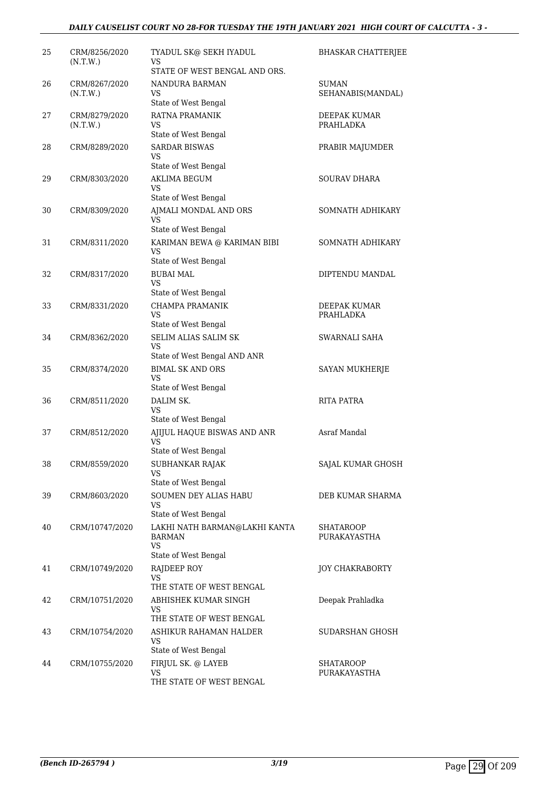| 25 | CRM/8256/2020<br>(N.T.W.) | TYADUL SK@ SEKH IYADUL<br>VS                              | <b>BHASKAR CHATTERJEE</b>        |
|----|---------------------------|-----------------------------------------------------------|----------------------------------|
|    |                           | STATE OF WEST BENGAL AND ORS.                             |                                  |
| 26 | CRM/8267/2020<br>(N.T.W.) | NANDURA BARMAN<br>VS.                                     | SUMAN<br>SEHANABIS(MANDAL)       |
|    |                           | State of West Bengal                                      |                                  |
| 27 | CRM/8279/2020<br>(N.T.W.) | RATNA PRAMANIK<br>VS<br>State of West Bengal              | DEEPAK KUMAR<br><b>PRAHLADKA</b> |
| 28 | CRM/8289/2020             | <b>SARDAR BISWAS</b>                                      | PRABIR MAJUMDER                  |
|    |                           | VS<br>State of West Bengal                                |                                  |
| 29 | CRM/8303/2020             | <b>AKLIMA BEGUM</b>                                       | SOURAV DHARA                     |
|    |                           | VS                                                        |                                  |
|    |                           | State of West Bengal                                      |                                  |
| 30 | CRM/8309/2020             | AJMALI MONDAL AND ORS<br>VS<br>State of West Bengal       | SOMNATH ADHIKARY                 |
| 31 | CRM/8311/2020             | KARIMAN BEWA @ KARIMAN BIBI                               | SOMNATH ADHIKARY                 |
|    |                           | <b>VS</b><br>State of West Bengal                         |                                  |
| 32 | CRM/8317/2020             | <b>BUBAI MAL</b>                                          | DIPTENDU MANDAL                  |
|    |                           | VS                                                        |                                  |
|    |                           | State of West Bengal                                      |                                  |
| 33 | CRM/8331/2020             | CHAMPA PRAMANIK<br>VS                                     | DEEPAK KUMAR<br>PRAHLADKA        |
|    |                           | State of West Bengal                                      |                                  |
| 34 | CRM/8362/2020             | SELIM ALIAS SALIM SK<br>VS                                | SWARNALI SAHA                    |
|    |                           | State of West Bengal AND ANR                              |                                  |
| 35 | CRM/8374/2020             | <b>BIMAL SK AND ORS</b><br>VS                             | SAYAN MUKHERJE                   |
|    |                           | State of West Bengal                                      |                                  |
| 36 | CRM/8511/2020             | DALIM SK.<br>VS                                           | RITA PATRA                       |
|    |                           | State of West Bengal                                      |                                  |
| 37 | CRM/8512/2020             | AJIJUL HAQUE BISWAS AND ANR<br>VS<br>State of West Bengal | Asraf Mandal                     |
| 38 | CRM/8559/2020             | SUBHANKAR RAJAK                                           | SAJAL KUMAR GHOSH                |
|    |                           | VS<br>State of West Bengal                                |                                  |
| 39 | CRM/8603/2020             | SOUMEN DEY ALIAS HABU                                     | DEB KUMAR SHARMA                 |
|    |                           | VS<br>State of West Bengal                                |                                  |
| 40 | CRM/10747/2020            | LAKHI NATH BARMAN@LAKHI KANTA<br>BARMAN<br>VS             | SHATAROOP<br>PURAKAYASTHA        |
|    |                           | State of West Bengal                                      |                                  |
| 41 | CRM/10749/2020            | RAJDEEP ROY                                               | <b>JOY CHAKRABORTY</b>           |
|    |                           | VS<br>THE STATE OF WEST BENGAL                            |                                  |
| 42 | CRM/10751/2020            | ABHISHEK KUMAR SINGH                                      | Deepak Prahladka                 |
|    |                           | VS<br>THE STATE OF WEST BENGAL                            |                                  |
| 43 | CRM/10754/2020            | ASHIKUR RAHAMAN HALDER                                    | SUDARSHAN GHOSH                  |
|    |                           | VS                                                        |                                  |
|    |                           | State of West Bengal                                      |                                  |
| 44 | CRM/10755/2020            | FIRJUL SK. @ LAYEB<br>VS                                  | <b>SHATAROOP</b><br>PURAKAYASTHA |
|    |                           | THE STATE OF WEST BENGAL                                  |                                  |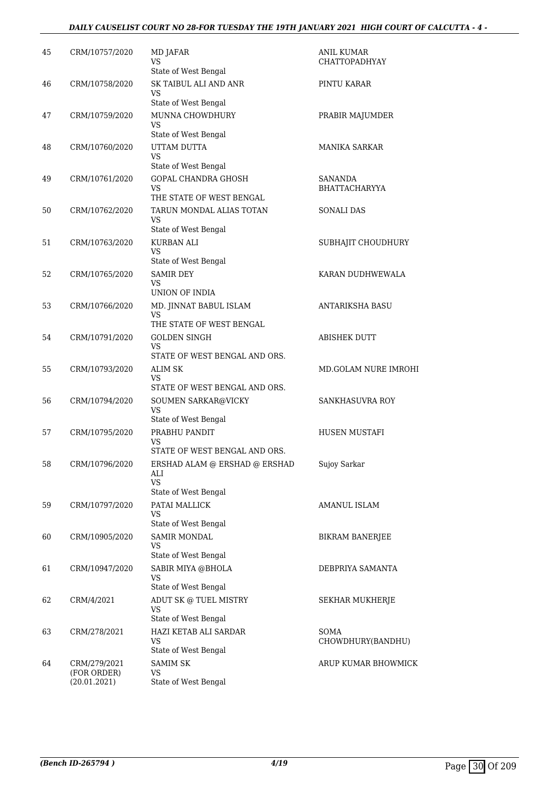## *DAILY CAUSELIST COURT NO 28-FOR TUESDAY THE 19TH JANUARY 2021 HIGH COURT OF CALCUTTA - 4 -*

| 45 | CRM/10757/2020              | MD JAFAR<br>VS                                    | <b>ANIL KUMAR</b><br><b>CHATTOPADHYAY</b> |
|----|-----------------------------|---------------------------------------------------|-------------------------------------------|
| 46 | CRM/10758/2020              | State of West Bengal<br>SK TAIBUL ALI AND ANR     | PINTU KARAR                               |
|    |                             | VS<br>State of West Bengal                        |                                           |
| 47 | CRM/10759/2020              | MUNNA CHOWDHURY                                   | PRABIR MAJUMDER                           |
|    |                             | VS                                                |                                           |
| 48 | CRM/10760/2020              | State of West Bengal<br>UTTAM DUTTA               | <b>MANIKA SARKAR</b>                      |
|    |                             | <b>VS</b>                                         |                                           |
|    |                             | State of West Bengal                              |                                           |
| 49 | CRM/10761/2020              | GOPAL CHANDRA GHOSH<br>VS.                        | <b>SANANDA</b><br><b>BHATTACHARYYA</b>    |
|    |                             | THE STATE OF WEST BENGAL                          |                                           |
| 50 | CRM/10762/2020              | TARUN MONDAL ALIAS TOTAN<br>VS                    | SONALI DAS                                |
|    |                             | State of West Bengal                              |                                           |
| 51 | CRM/10763/2020              | <b>KURBAN ALI</b><br>VS.<br>State of West Bengal  | SUBHAJIT CHOUDHURY                        |
| 52 | CRM/10765/2020              | <b>SAMIR DEY</b>                                  | KARAN DUDHWEWALA                          |
|    |                             | VS                                                |                                           |
|    |                             | UNION OF INDIA                                    |                                           |
| 53 | CRM/10766/2020              | MD. JINNAT BABUL ISLAM<br>VS.                     | <b>ANTARIKSHA BASU</b>                    |
|    |                             | THE STATE OF WEST BENGAL                          |                                           |
| 54 | CRM/10791/2020              | <b>GOLDEN SINGH</b>                               | ABISHEK DUTT                              |
|    |                             | <b>VS</b><br>STATE OF WEST BENGAL AND ORS.        |                                           |
| 55 | CRM/10793/2020              | <b>ALIM SK</b>                                    | MD.GOLAM NURE IMROHI                      |
|    |                             | VS.<br>STATE OF WEST BENGAL AND ORS.              |                                           |
| 56 | CRM/10794/2020              | SOUMEN SARKAR@VICKY                               | SANKHASUVRA ROY                           |
|    |                             | <b>VS</b>                                         |                                           |
| 57 | CRM/10795/2020              | State of West Bengal<br>PRABHU PANDIT             | HUSEN MUSTAFI                             |
|    |                             | VS.                                               |                                           |
|    |                             | STATE OF WEST BENGAL AND ORS.                     |                                           |
| 58 | CRM/10796/2020              | ERSHAD ALAM @ ERSHAD @ ERSHAD<br>ALI<br><b>VS</b> | Sujoy Sarkar                              |
|    |                             | State of West Bengal                              |                                           |
| 59 | CRM/10797/2020              | PATAI MALLICK                                     | AMANUL ISLAM                              |
|    |                             | <b>VS</b><br>State of West Bengal                 |                                           |
| 60 | CRM/10905/2020              | <b>SAMIR MONDAL</b>                               | <b>BIKRAM BANERJEE</b>                    |
|    |                             | VS<br>State of West Bengal                        |                                           |
| 61 | CRM/10947/2020              | SABIR MIYA @BHOLA                                 | DEBPRIYA SAMANTA                          |
|    |                             | <b>VS</b>                                         |                                           |
|    |                             | State of West Bengal                              |                                           |
| 62 | CRM/4/2021                  | ADUT SK @ TUEL MISTRY<br>VS.                      | SEKHAR MUKHERJE                           |
|    |                             | State of West Bengal                              |                                           |
| 63 | CRM/278/2021                | HAZI KETAB ALI SARDAR<br>VS.                      | SOMA<br>CHOWDHURY(BANDHU)                 |
|    |                             | State of West Bengal                              |                                           |
| 64 | CRM/279/2021                | <b>SAMIM SK</b>                                   | ARUP KUMAR BHOWMICK                       |
|    | (FOR ORDER)<br>(20.01.2021) | VS<br>State of West Bengal                        |                                           |
|    |                             |                                                   |                                           |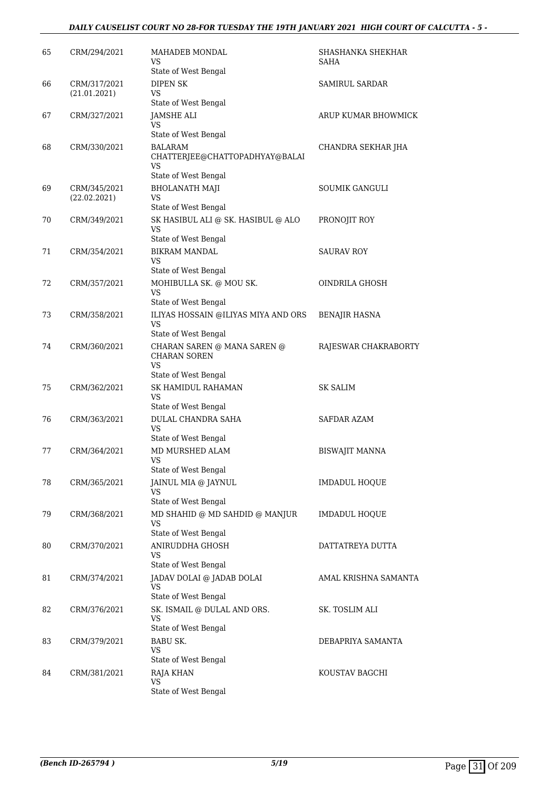### *DAILY CAUSELIST COURT NO 28-FOR TUESDAY THE 19TH JANUARY 2021 HIGH COURT OF CALCUTTA - 5 -*

| 65 | CRM/294/2021                 | MAHADEB MONDAL<br>VS                                                     | SHASHANKA SHEKHAR<br><b>SAHA</b> |
|----|------------------------------|--------------------------------------------------------------------------|----------------------------------|
| 66 | CRM/317/2021<br>(21.01.2021) | State of West Bengal<br><b>DIPEN SK</b><br>VS.                           | SAMIRUL SARDAR                   |
| 67 | CRM/327/2021                 | State of West Bengal<br><b>JAMSHE ALI</b><br>VS                          | ARUP KUMAR BHOWMICK              |
| 68 | CRM/330/2021                 | State of West Bengal<br><b>BALARAM</b><br>CHATTERJEE@CHATTOPADHYAY@BALAI | CHANDRA SEKHAR JHA               |
|    |                              | VS.<br>State of West Bengal                                              |                                  |
| 69 | CRM/345/2021<br>(22.02.2021) | <b>BHOLANATH MAJI</b><br><b>VS</b><br>State of West Bengal               | <b>SOUMIK GANGULI</b>            |
| 70 | CRM/349/2021                 | SK HASIBUL ALI @ SK. HASIBUL @ ALO<br><b>VS</b><br>State of West Bengal  | PRONOJIT ROY                     |
| 71 | CRM/354/2021                 | <b>BIKRAM MANDAL</b><br>VS.                                              | <b>SAURAV ROY</b>                |
| 72 | CRM/357/2021                 | State of West Bengal<br>MOHIBULLA SK. @ MOU SK.<br>VS                    | OINDRILA GHOSH                   |
| 73 | CRM/358/2021                 | State of West Bengal<br>ILIYAS HOSSAIN @ILIYAS MIYA AND ORS<br>VS        | <b>BENAJIR HASNA</b>             |
| 74 | CRM/360/2021                 | State of West Bengal<br>CHARAN SAREN @ MANA SAREN @                      | RAJESWAR CHAKRABORTY             |
|    |                              | <b>CHARAN SOREN</b><br>VS<br>State of West Bengal                        |                                  |
| 75 | CRM/362/2021                 | <b>SK HAMIDUL RAHAMAN</b><br>VS.<br>State of West Bengal                 | SK SALIM                         |
| 76 | CRM/363/2021                 | DULAL CHANDRA SAHA<br><b>VS</b><br>State of West Bengal                  | SAFDAR AZAM                      |
| 77 | CRM/364/2021                 | MD MURSHED ALAM<br><b>VS</b><br>State of West Bengal                     | <b>BISWAJIT MANNA</b>            |
| 78 | CRM/365/2021                 | JAINUL MIA @ JAYNUL<br>VS                                                | <b>IMDADUL HOQUE</b>             |
| 79 | CRM/368/2021                 | State of West Bengal<br>MD SHAHID @ MD SAHDID @ MANJUR<br>VS             | IMDADUL HOQUE                    |
| 80 | CRM/370/2021                 | State of West Bengal<br>ANIRUDDHA GHOSH<br>VS                            | DATTATREYA DUTTA                 |
| 81 | CRM/374/2021                 | State of West Bengal<br>JADAV DOLAI @ JADAB DOLAI<br>VS                  | AMAL KRISHNA SAMANTA             |
| 82 | CRM/376/2021                 | State of West Bengal<br>SK. ISMAIL @ DULAL AND ORS.<br>VS                | SK. TOSLIM ALI                   |
| 83 | CRM/379/2021                 | State of West Bengal<br><b>BABU SK.</b><br>VS                            | DEBAPRIYA SAMANTA                |
| 84 | CRM/381/2021                 | State of West Bengal<br>RAJA KHAN<br><b>VS</b><br>State of West Bengal   | KOUSTAV BAGCHI                   |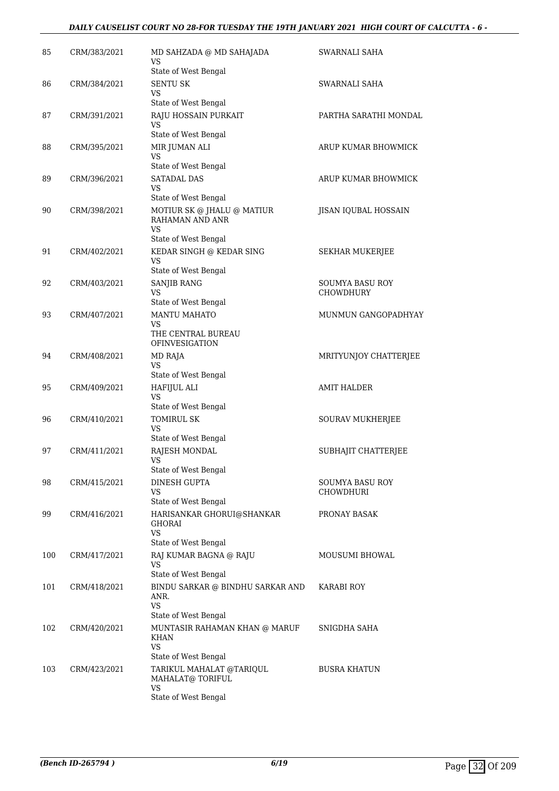### *DAILY CAUSELIST COURT NO 28-FOR TUESDAY THE 19TH JANUARY 2021 HIGH COURT OF CALCUTTA - 6 -*

| 85  | CRM/383/2021 | MD SAHZADA @ MD SAHAJADA<br>VS              | SWARNALI SAHA                       |
|-----|--------------|---------------------------------------------|-------------------------------------|
|     |              | State of West Bengal                        |                                     |
| 86  | CRM/384/2021 | <b>SENTU SK</b><br>VS                       | SWARNALI SAHA                       |
|     |              | State of West Bengal                        |                                     |
| 87  | CRM/391/2021 | RAJU HOSSAIN PURKAIT<br>VS                  | PARTHA SARATHI MONDAL               |
|     |              | State of West Bengal                        |                                     |
| 88  | CRM/395/2021 | MIR JUMAN ALI<br>VS<br>State of West Bengal | ARUP KUMAR BHOWMICK                 |
| 89  | CRM/396/2021 | <b>SATADAL DAS</b>                          | ARUP KUMAR BHOWMICK                 |
|     |              | VS<br>State of West Bengal                  |                                     |
| 90  | CRM/398/2021 | MOTIUR SK @ JHALU @ MATIUR                  | JISAN IQUBAL HOSSAIN                |
|     |              | RAHAMAN AND ANR<br>VS                       |                                     |
|     |              | State of West Bengal                        |                                     |
| 91  | CRM/402/2021 | KEDAR SINGH @ KEDAR SING<br><b>VS</b>       | SEKHAR MUKERJEE                     |
|     |              | State of West Bengal                        |                                     |
| 92  | CRM/403/2021 | <b>SANJIB RANG</b><br>VS                    | <b>SOUMYA BASU ROY</b><br>CHOWDHURY |
|     |              | State of West Bengal                        |                                     |
| 93  | CRM/407/2021 | <b>MANTU MAHATO</b><br>VS                   | MUNMUN GANGOPADHYAY                 |
|     |              | THE CENTRAL BUREAU<br><b>OFINVESIGATION</b> |                                     |
| 94  | CRM/408/2021 | MD RAJA                                     | MRITYUNJOY CHATTERJEE               |
|     |              | VS<br>State of West Bengal                  |                                     |
| 95  | CRM/409/2021 | <b>HAFIJUL ALI</b><br>VS                    | <b>AMIT HALDER</b>                  |
|     |              | State of West Bengal                        |                                     |
| 96  | CRM/410/2021 | <b>TOMIRUL SK</b>                           | <b>SOURAV MUKHERJEE</b>             |
|     |              | VS<br>State of West Bengal                  |                                     |
| 97  | CRM/411/2021 | RAJESH MONDAL                               | SUBHAJIT CHATTERJEE                 |
|     |              | VS<br>State of West Bengal                  |                                     |
| 98  | CRM/415/2021 | DINESH GUPTA                                | SOUMYA BASU ROY                     |
|     |              | VS                                          | CHOWDHURI                           |
|     |              | State of West Bengal                        |                                     |
| 99  | CRM/416/2021 | HARISANKAR GHORUI@SHANKAR<br>GHORAI<br>VS   | PRONAY BASAK                        |
|     |              | State of West Bengal                        |                                     |
| 100 | CRM/417/2021 | RAJ KUMAR BAGNA @ RAJU                      | MOUSUMI BHOWAL                      |
|     |              | VS<br>State of West Bengal                  |                                     |
| 101 | CRM/418/2021 | BINDU SARKAR @ BINDHU SARKAR AND            | KARABI ROY                          |
|     |              | ANR.<br><b>VS</b>                           |                                     |
|     |              | State of West Bengal                        |                                     |
| 102 | CRM/420/2021 | MUNTASIR RAHAMAN KHAN @ MARUF<br>KHAN       | SNIGDHA SAHA                        |
|     |              | VS<br>State of West Bengal                  |                                     |
| 103 | CRM/423/2021 | TARIKUL MAHALAT @TARIQUL                    | <b>BUSRA KHATUN</b>                 |
|     |              | MAHALAT@ TORIFUL<br>VS                      |                                     |
|     |              | State of West Bengal                        |                                     |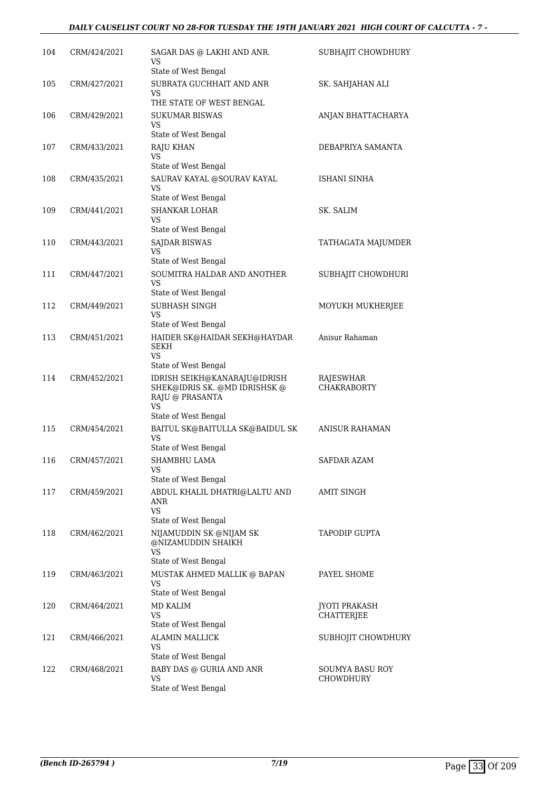| 104 | CRM/424/2021 | SAGAR DAS @ LAKHI AND ANR.<br>VS<br>State of West Bengal                                                       | SUBHAJIT CHOWDHURY           |
|-----|--------------|----------------------------------------------------------------------------------------------------------------|------------------------------|
| 105 | CRM/427/2021 | SUBRATA GUCHHAIT AND ANR<br>VS                                                                                 | SK. SAHJAHAN ALI             |
| 106 | CRM/429/2021 | THE STATE OF WEST BENGAL<br><b>SUKUMAR BISWAS</b><br>VS<br>State of West Bengal                                | ANJAN BHATTACHARYA           |
| 107 | CRM/433/2021 | RAJU KHAN<br>VS                                                                                                | DEBAPRIYA SAMANTA            |
| 108 | CRM/435/2021 | State of West Bengal<br>SAURAV KAYAL @SOURAV KAYAL<br>VS                                                       | ISHANI SINHA                 |
| 109 | CRM/441/2021 | State of West Bengal<br><b>SHANKAR LOHAR</b><br>VS                                                             | SK. SALIM                    |
| 110 | CRM/443/2021 | State of West Bengal<br><b>SAJDAR BISWAS</b><br>VS<br>State of West Bengal                                     | TATHAGATA MAJUMDER           |
| 111 | CRM/447/2021 | SOUMITRA HALDAR AND ANOTHER<br><b>VS</b><br>State of West Bengal                                               | SUBHAJIT CHOWDHURI           |
| 112 | CRM/449/2021 | SUBHASH SINGH<br>VS<br>State of West Bengal                                                                    | MOYUKH MUKHERJEE             |
| 113 | CRM/451/2021 | HAIDER SK@HAIDAR SEKH@HAYDAR<br>SEKH<br>VS                                                                     | Anisur Rahaman               |
| 114 | CRM/452/2021 | State of West Bengal<br>IDRISH SEIKH@KANARAJU@IDRISH<br>SHEK@IDRIS SK. @MD IDRISHSK @<br>RAJU @ PRASANTA<br>VS | RAJESWHAR<br>CHAKRABORTY     |
| 115 | CRM/454/2021 | State of West Bengal<br>BAITUL SK@BAITULLA SK@BAIDUL SK<br>VS                                                  | <b>ANISUR RAHAMAN</b>        |
| 116 | CRM/457/2021 | State of West Bengal<br>SHAMBHU LAMA<br>VS<br>State of West Bengal                                             | SAFDAR AZAM                  |
| 117 | CRM/459/2021 | ABDUL KHALIL DHATRI@LALTU AND<br>ANR<br>VS<br>State of West Bengal                                             | AMIT SINGH                   |
| 118 | CRM/462/2021 | NIJAMUDDIN SK @NIJAM SK<br>@NIZAMUDDIN SHAIKH<br>VS<br>State of West Bengal                                    | TAPODIP GUPTA                |
| 119 | CRM/463/2021 | MUSTAK AHMED MALLIK @ BAPAN<br>VS<br>State of West Bengal                                                      | PAYEL SHOME                  |
| 120 | CRM/464/2021 | MD KALIM<br>VS<br>State of West Bengal                                                                         | JYOTI PRAKASH<br>CHATTERJEE  |
| 121 | CRM/466/2021 | <b>ALAMIN MALLICK</b><br>VS<br>State of West Bengal                                                            | SUBHOJIT CHOWDHURY           |
| 122 | CRM/468/2021 | BABY DAS @ GURIA AND ANR<br>VS<br>State of West Bengal                                                         | SOUMYA BASU ROY<br>CHOWDHURY |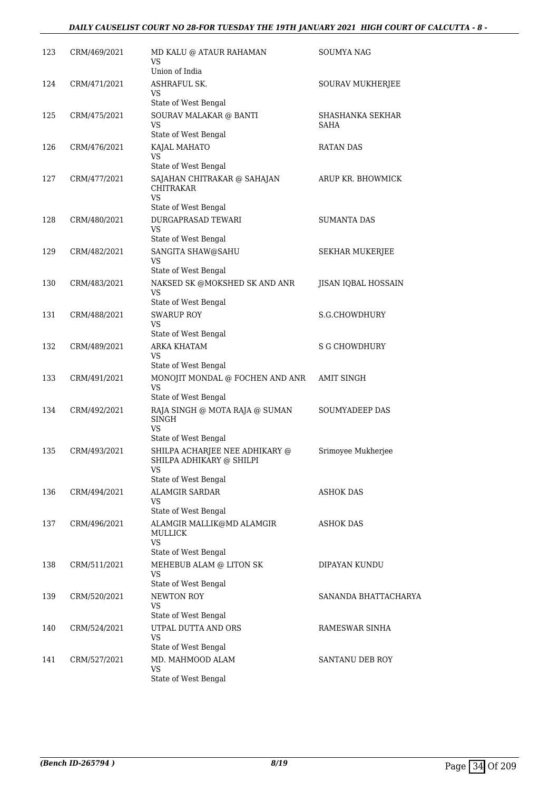## *DAILY CAUSELIST COURT NO 28-FOR TUESDAY THE 19TH JANUARY 2021 HIGH COURT OF CALCUTTA - 8 -*

| 123 | CRM/469/2021 | MD KALU @ ATAUR RAHAMAN<br>VS<br>Union of India            | SOUMYA NAG               |
|-----|--------------|------------------------------------------------------------|--------------------------|
| 124 | CRM/471/2021 | ASHRAFUL SK.<br>VS                                         | SOURAV MUKHERJEE         |
|     |              | State of West Bengal                                       |                          |
| 125 | CRM/475/2021 | SOURAV MALAKAR @ BANTI<br>VS<br>State of West Bengal       | SHASHANKA SEKHAR<br>SAHA |
| 126 | CRM/476/2021 | KAJAL MAHATO                                               | <b>RATAN DAS</b>         |
|     |              | VS<br>State of West Bengal                                 |                          |
| 127 | CRM/477/2021 | SAJAHAN CHITRAKAR @ SAHAJAN<br>CHITRAKAR<br>VS             | ARUP KR. BHOWMICK        |
|     |              | State of West Bengal                                       |                          |
| 128 | CRM/480/2021 | DURGAPRASAD TEWARI<br>VS.                                  | SUMANTA DAS              |
|     |              | State of West Bengal                                       |                          |
| 129 | CRM/482/2021 | SANGITA SHAW@SAHU<br><b>VS</b><br>State of West Bengal     | SEKHAR MUKERJEE          |
| 130 | CRM/483/2021 | NAKSED SK @MOKSHED SK AND ANR                              | JISAN IQBAL HOSSAIN      |
|     |              | VS<br>State of West Bengal                                 |                          |
| 131 | CRM/488/2021 | <b>SWARUP ROY</b>                                          | S.G.CHOWDHURY            |
|     |              | VS<br>State of West Bengal                                 |                          |
| 132 | CRM/489/2021 | ARKA KHATAM<br>VS                                          | <b>S G CHOWDHURY</b>     |
|     |              | State of West Bengal                                       |                          |
| 133 | CRM/491/2021 | MONOJIT MONDAL @ FOCHEN AND ANR<br>VS                      | <b>AMIT SINGH</b>        |
|     |              | State of West Bengal                                       |                          |
| 134 | CRM/492/2021 | RAJA SINGH @ MOTA RAJA @ SUMAN<br>SINGH<br>VS              | SOUMYADEEP DAS           |
|     |              | State of West Bengal                                       |                          |
| 135 | CRM/493/2021 | SHILPA ACHARJEE NEE ADHIKARY @<br>SHILPA ADHIKARY @ SHILPI | Srimoyee Mukherjee       |
|     |              | VS<br>State of West Bengal                                 |                          |
| 136 | CRM/494/2021 | <b>ALAMGIR SARDAR</b>                                      | <b>ASHOK DAS</b>         |
|     |              | VS.<br>State of West Bengal                                |                          |
| 137 | CRM/496/2021 | ALAMGIR MALLIK@MD ALAMGIR<br>MULLICK<br><b>VS</b>          | <b>ASHOK DAS</b>         |
|     |              | State of West Bengal                                       |                          |
| 138 | CRM/511/2021 | MEHEBUB ALAM @ LITON SK<br>VS                              | DIPAYAN KUNDU            |
|     |              | State of West Bengal                                       |                          |
| 139 | CRM/520/2021 | NEWTON ROY<br>VS<br>State of West Bengal                   | SANANDA BHATTACHARYA     |
| 140 | CRM/524/2021 | UTPAL DUTTA AND ORS                                        | RAMESWAR SINHA           |
|     |              | VS.<br>State of West Bengal                                |                          |
| 141 | CRM/527/2021 | MD. MAHMOOD ALAM                                           | SANTANU DEB ROY          |
|     |              | VS.<br>State of West Bengal                                |                          |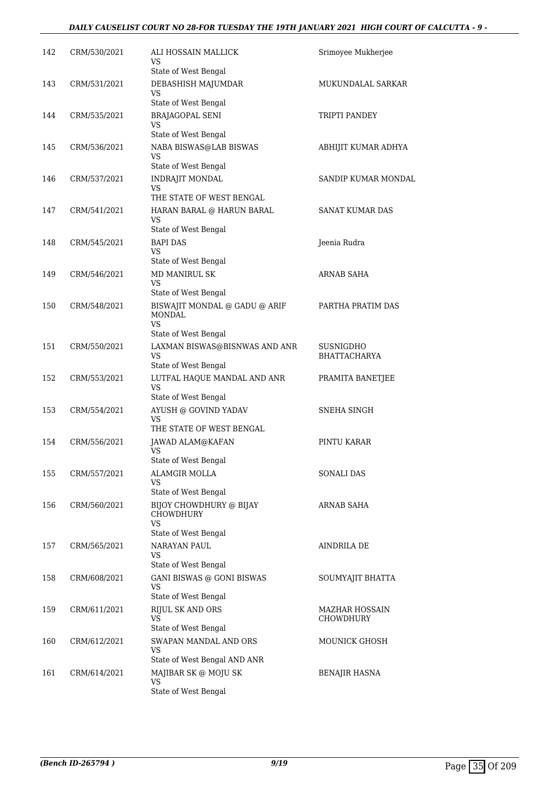#### *DAILY CAUSELIST COURT NO 28-FOR TUESDAY THE 19TH JANUARY 2021 HIGH COURT OF CALCUTTA - 9 -*

| 142 | CRM/530/2021 | ALI HOSSAIN MALLICK<br>VS<br>State of West Bengal                                | Srimoyee Mukherjee                 |
|-----|--------------|----------------------------------------------------------------------------------|------------------------------------|
| 143 | CRM/531/2021 | DEBASHISH MAJUMDAR<br>VS                                                         | MUKUNDALAL SARKAR                  |
| 144 | CRM/535/2021 | State of West Bengal<br><b>BRAJAGOPAL SENI</b><br>VS                             | TRIPTI PANDEY                      |
| 145 | CRM/536/2021 | State of West Bengal<br>NABA BISWAS@LAB BISWAS<br>VS                             | ABHIJIT KUMAR ADHYA                |
| 146 | CRM/537/2021 | State of West Bengal<br><b>INDRAJIT MONDAL</b><br>VS                             | SANDIP KUMAR MONDAL                |
| 147 | CRM/541/2021 | THE STATE OF WEST BENGAL<br>HARAN BARAL @ HARUN BARAL<br><b>VS</b>               | SANAT KUMAR DAS                    |
| 148 | CRM/545/2021 | State of West Bengal<br><b>BAPI DAS</b><br>VS.                                   | Jeenia Rudra                       |
| 149 | CRM/546/2021 | State of West Bengal<br><b>MD MANIRUL SK</b><br>VS.<br>State of West Bengal      | ARNAB SAHA                         |
| 150 | CRM/548/2021 | BISWAJIT MONDAL @ GADU @ ARIF<br><b>MONDAL</b><br><b>VS</b>                      | PARTHA PRATIM DAS                  |
| 151 | CRM/550/2021 | State of West Bengal<br>LAXMAN BISWAS@BISNWAS AND ANR<br>VS                      | SUSNIGDHO<br><b>BHATTACHARYA</b>   |
| 152 | CRM/553/2021 | State of West Bengal<br>LUTFAL HAQUE MANDAL AND ANR<br>VS.                       | PRAMITA BANETJEE                   |
| 153 | CRM/554/2021 | State of West Bengal<br>AYUSH @ GOVIND YADAV<br>VS<br>THE STATE OF WEST BENGAL   | SNEHA SINGH                        |
| 154 | CRM/556/2021 | JAWAD ALAM@KAFAN<br><b>VS</b><br>State of West Bengal                            | PINTU KARAR                        |
| 155 | CRM/557/2021 | ALAMGIR MOLLA<br>VS.<br>State of West Bengal                                     | <b>SONALI DAS</b>                  |
| 156 | CRM/560/2021 | BIJOY CHOWDHURY @ BIJAY<br><b>CHOWDHURY</b><br><b>VS</b><br>State of West Bengal | ARNAB SAHA                         |
| 157 | CRM/565/2021 | NARAYAN PAUL<br>VS<br>State of West Bengal                                       | <b>AINDRILA DE</b>                 |
| 158 | CRM/608/2021 | GANI BISWAS @ GONI BISWAS<br>VS.<br>State of West Bengal                         | SOUMYAJIT BHATTA                   |
| 159 | CRM/611/2021 | <b>RIJUL SK AND ORS</b><br>VS<br>State of West Bengal                            | <b>MAZHAR HOSSAIN</b><br>CHOWDHURY |
| 160 | CRM/612/2021 | SWAPAN MANDAL AND ORS<br>VS.<br>State of West Bengal AND ANR                     | MOUNICK GHOSH                      |
| 161 | CRM/614/2021 | MAJIBAR SK @ MOJU SK<br><b>VS</b><br>State of West Bengal                        | <b>BENAJIR HASNA</b>               |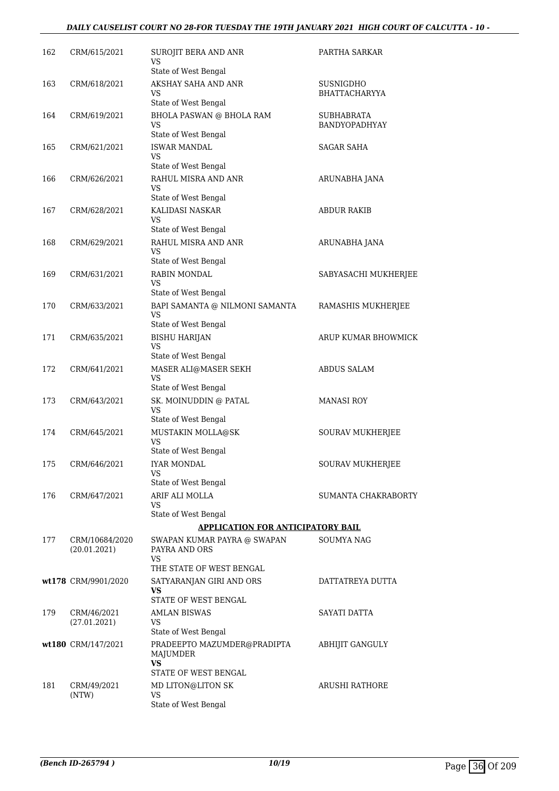#### *DAILY CAUSELIST COURT NO 28-FOR TUESDAY THE 19TH JANUARY 2021 HIGH COURT OF CALCUTTA - 10 -*

| 162 | CRM/615/2021                   | SUROJIT BERA AND ANR<br>VS                                   | PARTHA SARKAR                     |
|-----|--------------------------------|--------------------------------------------------------------|-----------------------------------|
| 163 | CRM/618/2021                   | State of West Bengal<br>AKSHAY SAHA AND ANR<br>VS.           | SUSNIGDHO<br><b>BHATTACHARYYA</b> |
| 164 | CRM/619/2021                   | State of West Bengal<br><b>BHOLA PASWAN @ BHOLA RAM</b>      | <b>SUBHABRATA</b>                 |
|     |                                | VS<br>State of West Bengal                                   | BANDYOPADHYAY                     |
| 165 | CRM/621/2021                   | <b>ISWAR MANDAL</b>                                          | <b>SAGAR SAHA</b>                 |
|     |                                | VS                                                           |                                   |
| 166 |                                | State of West Bengal<br>RAHUL MISRA AND ANR                  |                                   |
|     | CRM/626/2021                   | VS                                                           | ARUNABHA JANA                     |
|     |                                | State of West Bengal                                         |                                   |
| 167 | CRM/628/2021                   | KALIDASI NASKAR<br><b>VS</b>                                 | ABDUR RAKIB                       |
|     |                                | State of West Bengal                                         |                                   |
| 168 | CRM/629/2021                   | RAHUL MISRA AND ANR<br>VS                                    | ARUNABHA JANA                     |
| 169 | CRM/631/2021                   | State of West Bengal<br>RABIN MONDAL                         | SABYASACHI MUKHERJEE              |
|     |                                | VS                                                           |                                   |
|     |                                | State of West Bengal                                         |                                   |
| 170 | CRM/633/2021                   | BAPI SAMANTA @ NILMONI SAMANTA<br>VS<br>State of West Bengal | RAMASHIS MUKHERJEE                |
| 171 | CRM/635/2021                   | <b>BISHU HARIJAN</b>                                         | ARUP KUMAR BHOWMICK               |
|     |                                | VS<br>State of West Bengal                                   |                                   |
| 172 | CRM/641/2021                   | MASER ALI@MASER SEKH                                         | <b>ABDUS SALAM</b>                |
|     |                                | <b>VS</b><br>State of West Bengal                            |                                   |
| 173 | CRM/643/2021                   | SK. MOINUDDIN @ PATAL<br>VS<br>State of West Bengal          | <b>MANASI ROY</b>                 |
| 174 | CRM/645/2021                   | MUSTAKIN MOLLA@SK                                            | SOURAV MUKHERJEE                  |
|     |                                | <b>VS</b>                                                    |                                   |
|     |                                | State of West Bengal                                         |                                   |
| 175 | CRM/646/2021                   | IYAR MONDAL<br>VS                                            | SOURAV MUKHERJEE                  |
|     |                                | State of West Bengal                                         |                                   |
| 176 | CRM/647/2021                   | ARIF ALI MOLLA<br>VS                                         | <b>SUMANTA CHAKRABORTY</b>        |
|     |                                | State of West Bengal                                         |                                   |
|     |                                | <b>APPLICATION FOR ANTICIPATORY BAIL</b>                     |                                   |
| 177 | CRM/10684/2020<br>(20.01.2021) | SWAPAN KUMAR PAYRA @ SWAPAN<br>PAYRA AND ORS<br>VS.          | <b>SOUMYA NAG</b>                 |
|     |                                | THE STATE OF WEST BENGAL                                     |                                   |
|     | wt178 CRM/9901/2020            | SATYARANJAN GIRI AND ORS<br><b>VS</b>                        | DATTATREYA DUTTA                  |
|     |                                | STATE OF WEST BENGAL                                         |                                   |
| 179 | CRM/46/2021<br>(27.01.2021)    | <b>AMLAN BISWAS</b><br>VS.<br>State of West Bengal           | SAYATI DATTA                      |
|     | wt180 CRM/147/2021             | PRADEEPTO MAZUMDER@PRADIPTA<br>MAJUMDER<br><b>VS</b>         | <b>ABHIJIT GANGULY</b>            |
| 181 | CRM/49/2021                    | STATE OF WEST BENGAL<br>MD LITON@LITON SK                    | ARUSHI RATHORE                    |
|     | (NTW)                          | <b>VS</b>                                                    |                                   |
|     |                                | State of West Bengal                                         |                                   |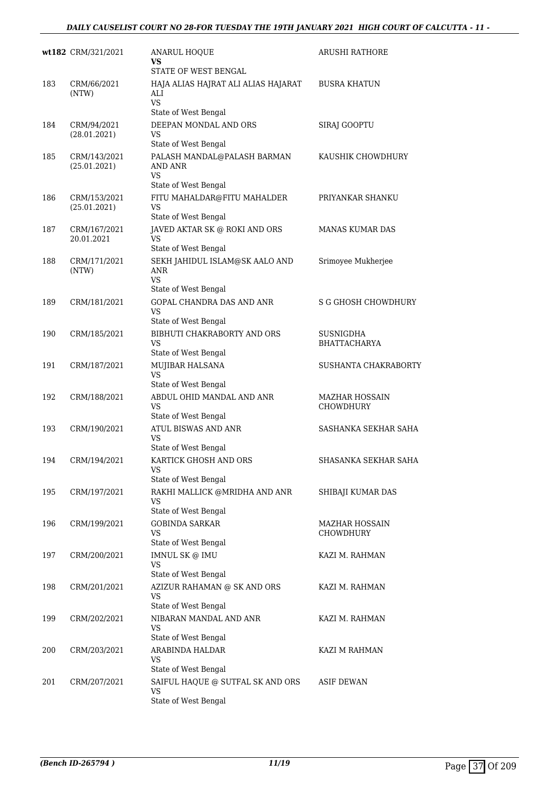|     | wt182 CRM/321/2021           | <b>ANARUL HOQUE</b><br>VS<br>STATE OF WEST BENGAL                               | ARUSHI RATHORE                   |
|-----|------------------------------|---------------------------------------------------------------------------------|----------------------------------|
| 183 | CRM/66/2021<br>(NTW)         | HAJA ALIAS HAJRAT ALI ALIAS HAJARAT<br>ALI<br><b>VS</b><br>State of West Bengal | <b>BUSRA KHATUN</b>              |
| 184 | CRM/94/2021<br>(28.01.2021)  | DEEPAN MONDAL AND ORS<br>VS<br>State of West Bengal                             | SIRAJ GOOPTU                     |
| 185 | CRM/143/2021<br>(25.01.2021) | PALASH MANDAL@PALASH BARMAN<br>AND ANR<br><b>VS</b>                             | KAUSHIK CHOWDHURY                |
|     |                              | State of West Bengal                                                            |                                  |
| 186 | CRM/153/2021<br>(25.01.2021) | FITU MAHALDAR@FITU MAHALDER<br>VS<br>State of West Bengal                       | PRIYANKAR SHANKU                 |
| 187 | CRM/167/2021<br>20.01.2021   | JAVED AKTAR SK @ ROKI AND ORS<br>VS                                             | <b>MANAS KUMAR DAS</b>           |
| 188 | CRM/171/2021<br>(NTW)        | State of West Bengal<br>SEKH JAHIDUL ISLAM@SK AALO AND<br>ANR<br><b>VS</b>      | Srimoyee Mukherjee               |
| 189 | CRM/181/2021                 | State of West Bengal<br>GOPAL CHANDRA DAS AND ANR<br>VS<br>State of West Bengal | <b>S G GHOSH CHOWDHURY</b>       |
| 190 | CRM/185/2021                 | BIBHUTI CHAKRABORTY AND ORS<br><b>VS</b><br>State of West Bengal                | <b>SUSNIGDHA</b><br>BHATTACHARYA |
| 191 | CRM/187/2021                 | MUJIBAR HALSANA<br>VS<br>State of West Bengal                                   | SUSHANTA CHAKRABORTY             |
| 192 | CRM/188/2021                 | ABDUL OHID MANDAL AND ANR<br><b>VS</b><br>State of West Bengal                  | MAZHAR HOSSAIN<br>CHOWDHURY      |
| 193 | CRM/190/2021                 | ATUL BISWAS AND ANR<br>VS<br>State of West Bengal                               | SASHANKA SEKHAR SAHA             |
| 194 | CRM/194/2021                 | KARTICK GHOSH AND ORS<br><b>VS</b><br>State of West Bengal                      | SHASANKA SEKHAR SAHA             |
| 195 | CRM/197/2021                 | RAKHI MALLICK @MRIDHA AND ANR<br>VS<br>State of West Bengal                     | SHIBAJI KUMAR DAS                |
| 196 | CRM/199/2021                 | <b>GOBINDA SARKAR</b><br><b>VS</b><br>State of West Bengal                      | MAZHAR HOSSAIN<br>CHOWDHURY      |
| 197 | CRM/200/2021                 | IMNUL SK @ IMU<br>VS<br>State of West Bengal                                    | KAZI M. RAHMAN                   |
| 198 | CRM/201/2021                 | AZIZUR RAHAMAN @ SK AND ORS<br>VS<br>State of West Bengal                       | KAZI M. RAHMAN                   |
| 199 | CRM/202/2021                 | NIBARAN MANDAL AND ANR<br><b>VS</b>                                             | KAZI M. RAHMAN                   |
| 200 | CRM/203/2021                 | State of West Bengal<br>ARABINDA HALDAR<br>VS<br>State of West Bengal           | KAZI M RAHMAN                    |
| 201 | CRM/207/2021                 | SAIFUL HAQUE @ SUTFAL SK AND ORS<br>VS<br>State of West Bengal                  | <b>ASIF DEWAN</b>                |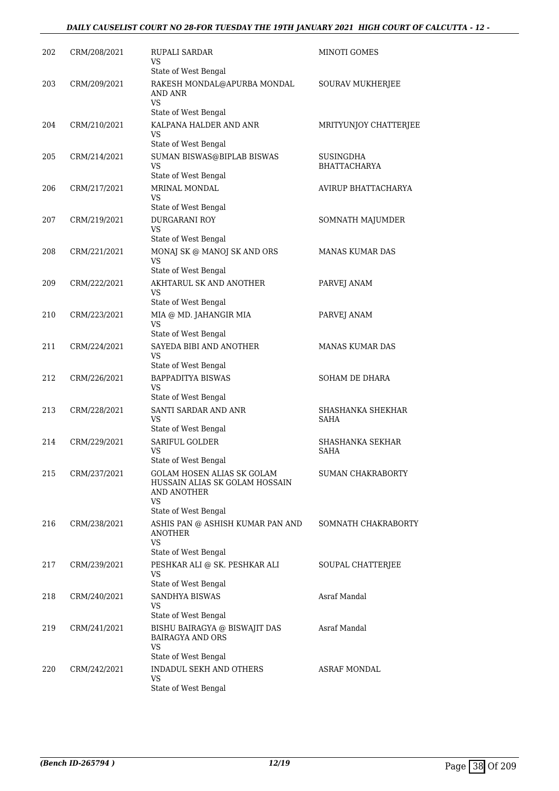#### *DAILY CAUSELIST COURT NO 28-FOR TUESDAY THE 19TH JANUARY 2021 HIGH COURT OF CALCUTTA - 12 -*

| 202 | CRM/208/2021 | RUPALI SARDAR<br>VS                                                                         | MINOTI GOMES                            |
|-----|--------------|---------------------------------------------------------------------------------------------|-----------------------------------------|
| 203 | CRM/209/2021 | State of West Bengal<br>RAKESH MONDAL@APURBA MONDAL<br>AND ANR<br>VS                        | SOURAV MUKHERJEE                        |
| 204 | CRM/210/2021 | State of West Bengal<br>KALPANA HALDER AND ANR<br>VS                                        | MRITYUNJOY CHATTERJEE                   |
|     |              | State of West Bengal                                                                        |                                         |
| 205 | CRM/214/2021 | SUMAN BISWAS@BIPLAB BISWAS<br>VS<br>State of West Bengal                                    | <b>SUSINGDHA</b><br><b>BHATTACHARYA</b> |
| 206 | CRM/217/2021 | MRINAL MONDAL<br>VS<br>State of West Bengal                                                 | AVIRUP BHATTACHARYA                     |
| 207 | CRM/219/2021 | <b>DURGARANI ROY</b><br>VS                                                                  | SOMNATH MAJUMDER                        |
|     |              | State of West Bengal                                                                        |                                         |
| 208 | CRM/221/2021 | MONAJ SK @ MANOJ SK AND ORS<br>VS<br>State of West Bengal                                   | <b>MANAS KUMAR DAS</b>                  |
| 209 | CRM/222/2021 | AKHTARUL SK AND ANOTHER<br>VS                                                               | PARVEJ ANAM                             |
| 210 | CRM/223/2021 | State of West Bengal<br>MIA @ MD. JAHANGIR MIA                                              | PARVEJ ANAM                             |
|     |              | VS<br>State of West Bengal                                                                  |                                         |
| 211 | CRM/224/2021 | SAYEDA BIBI AND ANOTHER<br>VS<br>State of West Bengal                                       | <b>MANAS KUMAR DAS</b>                  |
| 212 | CRM/226/2021 | <b>BAPPADITYA BISWAS</b><br>VS<br>State of West Bengal                                      | SOHAM DE DHARA                          |
| 213 | CRM/228/2021 | <b>SANTI SARDAR AND ANR</b><br>VS                                                           | SHASHANKA SHEKHAR<br><b>SAHA</b>        |
|     |              | State of West Bengal<br><b>SARIFUL GOLDER</b>                                               | <b>SHASHANKA SEKHAR</b>                 |
| 214 | CRM/229/2021 | VS<br>State of West Bengal                                                                  | <b>SAHA</b>                             |
| 215 | CRM/237/2021 | GOLAM HOSEN ALIAS SK GOLAM<br>HUSSAIN ALIAS SK GOLAM HOSSAIN<br>AND ANOTHER<br>VS           | SUMAN CHAKRABORTY                       |
|     |              | State of West Bengal                                                                        |                                         |
| 216 | CRM/238/2021 | ASHIS PAN @ ASHISH KUMAR PAN AND<br><b>ANOTHER</b><br>VS                                    | SOMNATH CHAKRABORTY                     |
|     |              | State of West Bengal                                                                        |                                         |
| 217 | CRM/239/2021 | PESHKAR ALI @ SK. PESHKAR ALI<br>VS<br>State of West Bengal                                 | SOUPAL CHATTERJEE                       |
| 218 | CRM/240/2021 | SANDHYA BISWAS<br>VS<br>State of West Bengal                                                | Asraf Mandal                            |
| 219 | CRM/241/2021 | BISHU BAIRAGYA @ BISWAJIT DAS<br><b>BAIRAGYA AND ORS</b><br>VS                              | Asraf Mandal                            |
| 220 | CRM/242/2021 | State of West Bengal<br><b>INDADUL SEKH AND OTHERS</b><br><b>VS</b><br>State of West Bengal | ASRAF MONDAL                            |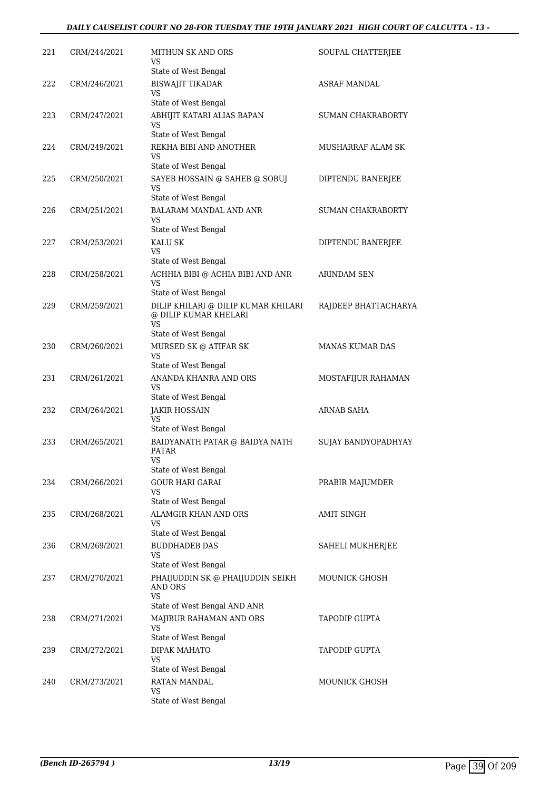#### *DAILY CAUSELIST COURT NO 28-FOR TUESDAY THE 19TH JANUARY 2021 HIGH COURT OF CALCUTTA - 13 -*

| 221 | CRM/244/2021 | MITHUN SK AND ORS<br>VS                                            | SOUPAL CHATTERJEE        |
|-----|--------------|--------------------------------------------------------------------|--------------------------|
| 222 | CRM/246/2021 | State of West Bengal<br><b>BISWAJIT TIKADAR</b><br>VS              | <b>ASRAF MANDAL</b>      |
|     |              | State of West Bengal                                               |                          |
| 223 | CRM/247/2021 | ABHIJIT KATARI ALIAS BAPAN<br>VS                                   | SUMAN CHAKRABORTY        |
|     |              | State of West Bengal                                               |                          |
| 224 | CRM/249/2021 | REKHA BIBI AND ANOTHER<br>VS<br>State of West Bengal               | <b>MUSHARRAF ALAM SK</b> |
| 225 | CRM/250/2021 | SAYEB HOSSAIN @ SAHEB @ SOBUJ                                      | DIPTENDU BANERJEE        |
|     |              | VS                                                                 |                          |
|     |              | State of West Bengal                                               |                          |
| 226 | CRM/251/2021 | BALARAM MANDAL AND ANR<br>VS<br>State of West Bengal               | SUMAN CHAKRABORTY        |
| 227 | CRM/253/2021 | KALU SK                                                            | DIPTENDU BANERJEE        |
|     |              | VS<br>State of West Bengal                                         |                          |
| 228 | CRM/258/2021 | ACHHIA BIBI @ ACHIA BIBI AND ANR                                   | ARINDAM SEN              |
|     |              | VS.<br>State of West Bengal                                        |                          |
| 229 | CRM/259/2021 | DILIP KHILARI @ DILIP KUMAR KHILARI<br>@ DILIP KUMAR KHELARI<br>VS | RAJDEEP BHATTACHARYA     |
|     |              | State of West Bengal                                               |                          |
| 230 | CRM/260/2021 | MURSED SK @ ATIFAR SK<br>VS                                        | <b>MANAS KUMAR DAS</b>   |
|     |              | State of West Bengal                                               |                          |
| 231 | CRM/261/2021 | ANANDA KHANRA AND ORS<br>VS                                        | MOSTAFIJUR RAHAMAN       |
| 232 | CRM/264/2021 | State of West Bengal<br><b>JAKIR HOSSAIN</b>                       | <b>ARNAB SAHA</b>        |
|     |              | VS<br>State of West Bengal                                         |                          |
| 233 | CRM/265/2021 | BAIDYANATH PATAR @ BAIDYA NATH<br><b>PATAR</b>                     | SUJAY BANDYOPADHYAY      |
|     |              | VS<br>State of West Bengal                                         |                          |
| 234 | CRM/266/2021 | <b>GOUR HARI GARAI</b>                                             |                          |
|     |              | VS                                                                 | PRABIR MAJUMDER          |
|     |              | State of West Bengal                                               |                          |
| 235 | CRM/268/2021 | ALAMGIR KHAN AND ORS<br>VS                                         | <b>AMIT SINGH</b>        |
|     |              | State of West Bengal                                               |                          |
| 236 | CRM/269/2021 | <b>BUDDHADEB DAS</b><br>VS                                         | SAHELI MUKHERJEE         |
|     |              | State of West Bengal                                               |                          |
| 237 | CRM/270/2021 | PHAIJUDDIN SK @ PHAIJUDDIN SEIKH<br>AND ORS<br><b>VS</b>           | MOUNICK GHOSH            |
|     |              | State of West Bengal AND ANR                                       |                          |
| 238 | CRM/271/2021 | MAJIBUR RAHAMAN AND ORS<br><b>VS</b>                               | <b>TAPODIP GUPTA</b>     |
|     |              | State of West Bengal                                               |                          |
| 239 | CRM/272/2021 | DIPAK MAHATO<br>VS<br>State of West Bengal                         | <b>TAPODIP GUPTA</b>     |
| 240 | CRM/273/2021 | RATAN MANDAL                                                       | MOUNICK GHOSH            |
|     |              | VS                                                                 |                          |
|     |              | State of West Bengal                                               |                          |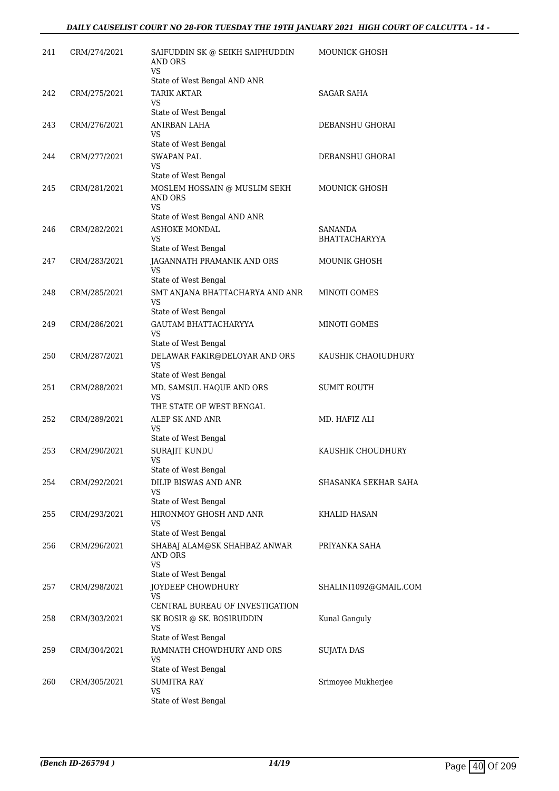| 241 | CRM/274/2021 | SAIFUDDIN SK @ SEIKH SAIPHUDDIN<br><b>AND ORS</b><br>VS.           | MOUNICK GHOSH                          |
|-----|--------------|--------------------------------------------------------------------|----------------------------------------|
| 242 | CRM/275/2021 | State of West Bengal AND ANR<br><b>TARIK AKTAR</b>                 | <b>SAGAR SAHA</b>                      |
|     |              | VS<br>State of West Bengal                                         |                                        |
| 243 | CRM/276/2021 | ANIRBAN LAHA<br>VS                                                 | DEBANSHU GHORAI                        |
|     |              | State of West Bengal                                               |                                        |
| 244 | CRM/277/2021 | <b>SWAPAN PAL</b><br><b>VS</b>                                     | DEBANSHU GHORAI                        |
|     |              | State of West Bengal                                               |                                        |
| 245 | CRM/281/2021 | MOSLEM HOSSAIN @ MUSLIM SEKH<br>AND ORS<br><b>VS</b>               | MOUNICK GHOSH                          |
|     |              | State of West Bengal AND ANR                                       |                                        |
| 246 | CRM/282/2021 | ASHOKE MONDAL<br>VS                                                | <b>SANANDA</b><br><b>BHATTACHARYYA</b> |
|     |              | State of West Bengal                                               |                                        |
| 247 | CRM/283/2021 | JAGANNATH PRAMANIK AND ORS<br>VS<br>State of West Bengal           | <b>MOUNIK GHOSH</b>                    |
| 248 | CRM/285/2021 | SMT ANJANA BHATTACHARYA AND ANR<br>VS                              | MINOTI GOMES                           |
|     |              | State of West Bengal                                               |                                        |
| 249 | CRM/286/2021 | GAUTAM BHATTACHARYYA<br>VS                                         | MINOTI GOMES                           |
|     |              | State of West Bengal                                               |                                        |
| 250 | CRM/287/2021 | DELAWAR FAKIR@DELOYAR AND ORS<br><b>VS</b><br>State of West Bengal | KAUSHIK CHAOIUDHURY                    |
| 251 | CRM/288/2021 | MD. SAMSUL HAQUE AND ORS<br><b>VS</b>                              | <b>SUMIT ROUTH</b>                     |
|     |              | THE STATE OF WEST BENGAL                                           |                                        |
| 252 | CRM/289/2021 | ALEP SK AND ANR<br>VS                                              | MD. HAFIZ ALI                          |
| 253 | CRM/290/2021 | State of West Bengal                                               | KAUSHIK CHOUDHURY                      |
|     |              | SURAJIT KUNDU<br><b>VS</b><br>State of West Bengal                 |                                        |
| 254 | CRM/292/2021 | DILIP BISWAS AND ANR<br>VS                                         | SHASANKA SEKHAR SAHA                   |
|     |              | State of West Bengal                                               |                                        |
| 255 | CRM/293/2021 | HIRONMOY GHOSH AND ANR<br>VS                                       | KHALID HASAN                           |
| 256 | CRM/296/2021 | State of West Bengal<br>SHABAJ ALAM@SK SHAHBAZ ANWAR               | PRIYANKA SAHA                          |
|     |              | AND ORS<br><b>VS</b>                                               |                                        |
|     |              | State of West Bengal                                               |                                        |
| 257 | CRM/298/2021 | JOYDEEP CHOWDHURY<br>VS.<br>CENTRAL BUREAU OF INVESTIGATION        | SHALINI1092@GMAIL.COM                  |
| 258 | CRM/303/2021 | SK BOSIR @ SK. BOSIRUDDIN                                          | Kunal Ganguly                          |
|     |              | VS<br>State of West Bengal                                         |                                        |
| 259 | CRM/304/2021 | RAMNATH CHOWDHURY AND ORS                                          | SUJATA DAS                             |
|     |              | VS                                                                 |                                        |
|     |              | State of West Bengal<br><b>SUMITRA RAY</b>                         |                                        |
| 260 | CRM/305/2021 | VS                                                                 | Srimoyee Mukherjee                     |
|     |              | State of West Bengal                                               |                                        |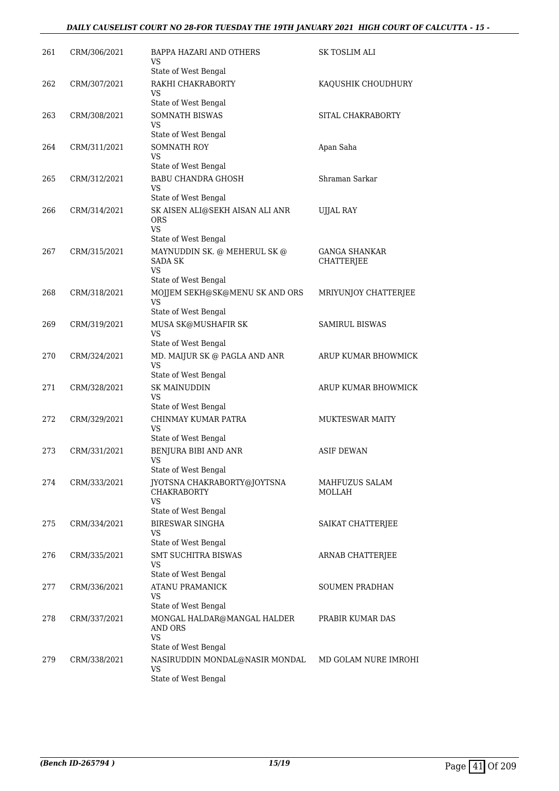#### *DAILY CAUSELIST COURT NO 28-FOR TUESDAY THE 19TH JANUARY 2021 HIGH COURT OF CALCUTTA - 15 -*

| 261 | CRM/306/2021 | BAPPA HAZARI AND OTHERS<br>VS                                                               | SK TOSLIM ALI                      |
|-----|--------------|---------------------------------------------------------------------------------------------|------------------------------------|
| 262 | CRM/307/2021 | State of West Bengal<br>RAKHI CHAKRABORTY<br>VS                                             | KAQUSHIK CHOUDHURY                 |
| 263 | CRM/308/2021 | State of West Bengal<br><b>SOMNATH BISWAS</b><br>VS                                         | SITAL CHAKRABORTY                  |
| 264 | CRM/311/2021 | State of West Bengal<br>SOMNATH ROY<br>VS                                                   | Apan Saha                          |
| 265 | CRM/312/2021 | State of West Bengal<br><b>BABU CHANDRA GHOSH</b><br>VS                                     | Shraman Sarkar                     |
| 266 | CRM/314/2021 | State of West Bengal<br>SK AISEN ALI@SEKH AISAN ALI ANR<br><b>ORS</b><br><b>VS</b>          | UJJAL RAY                          |
| 267 | CRM/315/2021 | State of West Bengal<br>MAYNUDDIN SK. @ MEHERUL SK @<br><b>SADA SK</b><br><b>VS</b>         | <b>GANGA SHANKAR</b><br>CHATTERJEE |
| 268 | CRM/318/2021 | State of West Bengal<br>MOJJEM SEKH@SK@MENU SK AND ORS<br><b>VS</b><br>State of West Bengal | MRIYUNJOY CHATTERJEE               |
| 269 | CRM/319/2021 | MUSA SK@MUSHAFIR SK<br>VS<br>State of West Bengal                                           | <b>SAMIRUL BISWAS</b>              |
| 270 | CRM/324/2021 | MD. MAIJUR SK @ PAGLA AND ANR<br>VS<br>State of West Bengal                                 | ARUP KUMAR BHOWMICK                |
| 271 | CRM/328/2021 | <b>SK MAINUDDIN</b><br>VS<br>State of West Bengal                                           | ARUP KUMAR BHOWMICK                |
| 272 | CRM/329/2021 | CHINMAY KUMAR PATRA<br><b>VS</b><br>State of West Bengal                                    | <b>MUKTESWAR MAITY</b>             |
| 273 | CRM/331/2021 | BENJURA BIBI AND ANR<br>VS<br>State of West Bengal                                          | <b>ASIF DEWAN</b>                  |
| 274 | CRM/333/2021 | IYOTSNA CHAKRABORTY@JOYTSNA<br><b>CHAKRABORTY</b><br>VS                                     | MAHFUZUS SALAM<br><b>MOLLAH</b>    |
| 275 | CRM/334/2021 | State of West Bengal<br><b>BIRESWAR SINGHA</b><br><b>VS</b>                                 | SAIKAT CHATTERJEE                  |
| 276 | CRM/335/2021 | State of West Bengal<br><b>SMT SUCHITRA BISWAS</b><br>VS                                    | ARNAB CHATTERJEE                   |
| 277 | CRM/336/2021 | State of West Bengal<br><b>ATANU PRAMANICK</b><br>VS<br>State of West Bengal                | SOUMEN PRADHAN                     |
| 278 | CRM/337/2021 | MONGAL HALDAR@MANGAL HALDER<br>AND ORS<br><b>VS</b>                                         | PRABIR KUMAR DAS                   |
| 279 | CRM/338/2021 | State of West Bengal<br>NASIRUDDIN MONDAL@NASIR MONDAL<br>VS<br>State of West Bengal        | MD GOLAM NURE IMROHI               |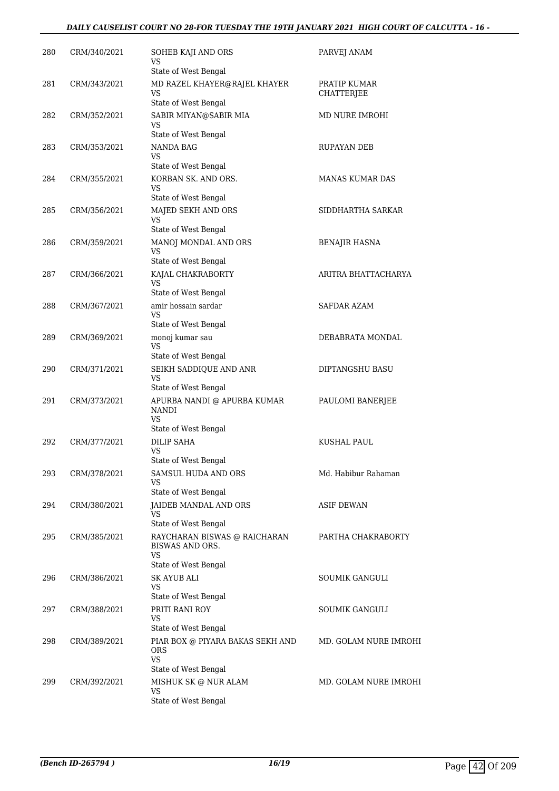#### *DAILY CAUSELIST COURT NO 28-FOR TUESDAY THE 19TH JANUARY 2021 HIGH COURT OF CALCUTTA - 16 -*

| 280 | CRM/340/2021 | SOHEB KAJI AND ORS<br>VS<br>State of West Bengal                                        | PARVEJ ANAM                       |
|-----|--------------|-----------------------------------------------------------------------------------------|-----------------------------------|
| 281 | CRM/343/2021 | MD RAZEL KHAYER@RAJEL KHAYER<br>VS<br>State of West Bengal                              | PRATIP KUMAR<br><b>CHATTERJEE</b> |
| 282 | CRM/352/2021 | SABIR MIYAN@SABIR MIA                                                                   | MD NURE IMROHI                    |
|     |              | VS<br>State of West Bengal                                                              |                                   |
| 283 | CRM/353/2021 | <b>NANDA BAG</b><br>VS<br>State of West Bengal                                          | RUPAYAN DEB                       |
| 284 | CRM/355/2021 | KORBAN SK. AND ORS.<br>VS                                                               | <b>MANAS KUMAR DAS</b>            |
| 285 | CRM/356/2021 | State of West Bengal<br>MAJED SEKH AND ORS<br>VS                                        | SIDDHARTHA SARKAR                 |
| 286 | CRM/359/2021 | State of West Bengal<br>MANOJ MONDAL AND ORS                                            | <b>BENAJIR HASNA</b>              |
|     |              | VS<br>State of West Bengal                                                              |                                   |
| 287 | CRM/366/2021 | KAJAL CHAKRABORTY<br><b>VS</b><br>State of West Bengal                                  | ARITRA BHATTACHARYA               |
| 288 | CRM/367/2021 | amir hossain sardar                                                                     | SAFDAR AZAM                       |
|     |              | VS<br>State of West Bengal                                                              |                                   |
| 289 | CRM/369/2021 | monoj kumar sau                                                                         | DEBABRATA MONDAL                  |
|     |              | VS<br>State of West Bengal                                                              |                                   |
| 290 | CRM/371/2021 | SEIKH SADDIQUE AND ANR<br><b>VS</b><br>State of West Bengal                             | DIPTANGSHU BASU                   |
| 291 | CRM/373/2021 | APURBA NANDI @ APURBA KUMAR<br><b>NANDI</b><br><b>VS</b>                                | PAULOMI BANERJEE                  |
|     |              | State of West Bengal                                                                    |                                   |
| 292 | CRM/377/2021 | <b>DILIP SAHA</b><br>VS<br>State of West Bengal                                         | KUSHAL PAUL                       |
| 293 | CRM/378/2021 | SAMSUL HUDA AND ORS<br>VS                                                               | Md. Habibur Rahaman               |
|     |              | State of West Bengal<br>JAIDEB MANDAL AND ORS                                           |                                   |
| 294 | CRM/380/2021 | VS<br>State of West Bengal                                                              | <b>ASIF DEWAN</b>                 |
| 295 | CRM/385/2021 | RAYCHARAN BISWAS @ RAICHARAN<br><b>BISWAS AND ORS.</b><br>VS                            | PARTHA CHAKRABORTY                |
| 296 | CRM/386/2021 | State of West Bengal<br><b>SK AYUB ALI</b><br><b>VS</b>                                 | <b>SOUMIK GANGULI</b>             |
| 297 | CRM/388/2021 | State of West Bengal<br>PRITI RANI ROY<br>VS                                            | SOUMIK GANGULI                    |
| 298 | CRM/389/2021 | State of West Bengal<br>PIAR BOX @ PIYARA BAKAS SEKH AND<br><b>ORS</b>                  | MD. GOLAM NURE IMROHI             |
| 299 | CRM/392/2021 | <b>VS</b><br>State of West Bengal<br>MISHUK SK @ NUR ALAM<br>VS<br>State of West Bengal | MD. GOLAM NURE IMROHI             |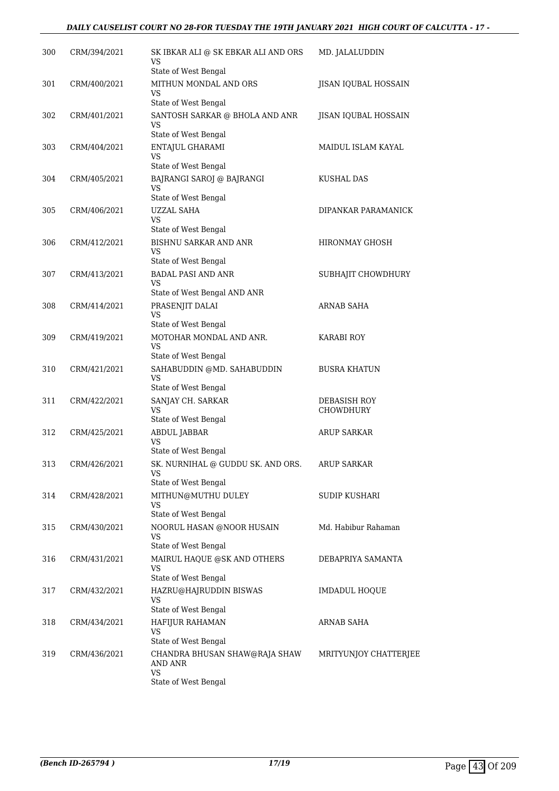#### *DAILY CAUSELIST COURT NO 28-FOR TUESDAY THE 19TH JANUARY 2021 HIGH COURT OF CALCUTTA - 17 -*

| 300 | CRM/394/2021 | SK IBKAR ALI @ SK EBKAR ALI AND ORS<br>VS<br>State of West Bengal                       | MD. JALALUDDIN                          |
|-----|--------------|-----------------------------------------------------------------------------------------|-----------------------------------------|
| 301 | CRM/400/2021 | MITHUN MONDAL AND ORS<br>VS                                                             | JISAN IQUBAL HOSSAIN                    |
| 302 | CRM/401/2021 | State of West Bengal<br>SANTOSH SARKAR @ BHOLA AND ANR<br>VS                            | JISAN IQUBAL HOSSAIN                    |
| 303 | CRM/404/2021 | State of West Bengal<br>ENTAJUL GHARAMI<br>VS                                           | MAIDUL ISLAM KAYAL                      |
| 304 | CRM/405/2021 | State of West Bengal<br>BAJRANGI SAROJ @ BAJRANGI<br>VS.                                | KUSHAL DAS                              |
| 305 | CRM/406/2021 | State of West Bengal<br><b>UZZAL SAHA</b><br>VS                                         | DIPANKAR PARAMANICK                     |
| 306 | CRM/412/2021 | State of West Bengal<br><b>BISHNU SARKAR AND ANR</b><br>VS                              | HIRONMAY GHOSH                          |
| 307 | CRM/413/2021 | State of West Bengal<br><b>BADAL PASI AND ANR</b><br>VS                                 | SUBHAJIT CHOWDHURY                      |
| 308 | CRM/414/2021 | State of West Bengal AND ANR<br>PRASENJIT DALAI<br><b>VS</b>                            | ARNAB SAHA                              |
| 309 | CRM/419/2021 | State of West Bengal<br>MOTOHAR MONDAL AND ANR.<br>VS                                   | <b>KARABI ROY</b>                       |
| 310 | CRM/421/2021 | State of West Bengal<br>SAHABUDDIN @MD. SAHABUDDIN<br><b>VS</b><br>State of West Bengal | <b>BUSRA KHATUN</b>                     |
| 311 | CRM/422/2021 | SANJAY CH. SARKAR<br>VS<br>State of West Bengal                                         | <b>DEBASISH ROY</b><br><b>CHOWDHURY</b> |
| 312 | CRM/425/2021 | ABDUL JABBAR<br>VS<br>State of West Bengal                                              | <b>ARUP SARKAR</b>                      |
| 313 | CRM/426/2021 | SK. NURNIHAL @ GUDDU SK. AND ORS.<br>VS<br>State of West Bengal                         | <b>ARUP SARKAR</b>                      |
| 314 | CRM/428/2021 | MITHUN@MUTHU DULEY<br>VS.<br>State of West Bengal                                       | SUDIP KUSHARI                           |
| 315 | CRM/430/2021 | NOORUL HASAN @NOOR HUSAIN<br>VS.<br>State of West Bengal                                | Md. Habibur Rahaman                     |
| 316 | CRM/431/2021 | MAIRUL HAQUE @SK AND OTHERS<br>VS<br>State of West Bengal                               | DEBAPRIYA SAMANTA                       |
| 317 | CRM/432/2021 | HAZRU@HAJRUDDIN BISWAS<br>VS<br>State of West Bengal                                    | <b>IMDADUL HOQUE</b>                    |
| 318 | CRM/434/2021 | HAFIJUR RAHAMAN<br>VS.<br>State of West Bengal                                          | ARNAB SAHA                              |
| 319 | CRM/436/2021 | CHANDRA BHUSAN SHAW@RAJA SHAW<br>AND ANR<br><b>VS</b>                                   | MRITYUNJOY CHATTERJEE                   |
|     |              | State of West Bengal                                                                    |                                         |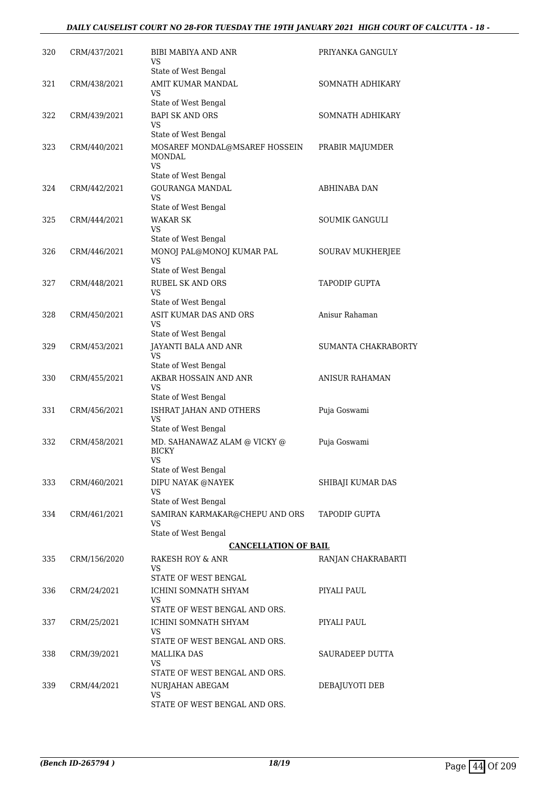#### *DAILY CAUSELIST COURT NO 28-FOR TUESDAY THE 19TH JANUARY 2021 HIGH COURT OF CALCUTTA - 18 -*

| 320 | CRM/437/2021 | BIBI MABIYA AND ANR<br>VS.                                                    | PRIYANKA GANGULY      |
|-----|--------------|-------------------------------------------------------------------------------|-----------------------|
| 321 | CRM/438/2021 | State of West Bengal<br>AMIT KUMAR MANDAL<br>VS.                              | SOMNATH ADHIKARY      |
|     |              | State of West Bengal                                                          |                       |
| 322 | CRM/439/2021 | <b>BAPI SK AND ORS</b><br>VS.                                                 | SOMNATH ADHIKARY      |
| 323 | CRM/440/2021 | State of West Bengal<br>MOSAREF MONDAL@MSAREF HOSSEIN<br><b>MONDAL</b><br>VS. | PRABIR MAJUMDER       |
|     |              | State of West Bengal                                                          |                       |
| 324 | CRM/442/2021 | <b>GOURANGA MANDAL</b><br>VS.                                                 | ABHINABA DAN          |
|     |              | State of West Bengal                                                          |                       |
| 325 | CRM/444/2021 | <b>WAKAR SK</b><br>VS.                                                        | <b>SOUMIK GANGULI</b> |
|     |              | State of West Bengal                                                          |                       |
| 326 | CRM/446/2021 | MONOJ PAL@MONOJ KUMAR PAL<br><b>VS</b><br>State of West Bengal                | SOURAV MUKHERJEE      |
| 327 | CRM/448/2021 | <b>RUBEL SK AND ORS</b>                                                       | <b>TAPODIP GUPTA</b>  |
|     |              | VS.                                                                           |                       |
|     |              | State of West Bengal                                                          |                       |
| 328 | CRM/450/2021 | ASIT KUMAR DAS AND ORS<br>VS<br>State of West Bengal                          | Anisur Rahaman        |
| 329 | CRM/453/2021 | JAYANTI BALA AND ANR                                                          | SUMANTA CHAKRABORTY   |
|     |              | VS.<br>State of West Bengal                                                   |                       |
| 330 | CRM/455/2021 | AKBAR HOSSAIN AND ANR<br>VS.                                                  | <b>ANISUR RAHAMAN</b> |
|     |              | State of West Bengal                                                          |                       |
| 331 | CRM/456/2021 | ISHRAT JAHAN AND OTHERS<br><b>VS</b>                                          | Puja Goswami          |
|     |              | State of West Bengal                                                          |                       |
| 332 | CRM/458/2021 | MD. SAHANAWAZ ALAM @ VICKY @<br><b>BICKY</b><br>VS                            | Puja Goswami          |
|     |              | State of West Bengal                                                          |                       |
| 333 | CRM/460/2021 | DIPU NAYAK @NAYEK<br><b>VS</b><br>State of West Bengal                        | SHIBAJI KUMAR DAS     |
| 334 | CRM/461/2021 | SAMIRAN KARMAKAR@CHEPU AND ORS                                                | TAPODIP GUPTA         |
|     |              | VS.<br>State of West Bengal                                                   |                       |
|     |              | <b>CANCELLATION OF BAIL</b>                                                   |                       |
| 335 | CRM/156/2020 | RAKESH ROY & ANR<br>VS.<br>STATE OF WEST BENGAL                               | RANJAN CHAKRABARTI    |
| 336 | CRM/24/2021  | ICHINI SOMNATH SHYAM                                                          | PIYALI PAUL           |
|     |              | VS.                                                                           |                       |
|     |              | STATE OF WEST BENGAL AND ORS.                                                 |                       |
| 337 | CRM/25/2021  | ICHINI SOMNATH SHYAM<br>VS.<br>STATE OF WEST BENGAL AND ORS.                  | PIYALI PAUL           |
| 338 | CRM/39/2021  | MALLIKA DAS                                                                   | SAURADEEP DUTTA       |
|     |              | VS.                                                                           |                       |
|     |              | STATE OF WEST BENGAL AND ORS.                                                 |                       |
| 339 | CRM/44/2021  | NURJAHAN ABEGAM<br>VS.                                                        | DEBAJUYOTI DEB        |
|     |              | STATE OF WEST BENGAL AND ORS.                                                 |                       |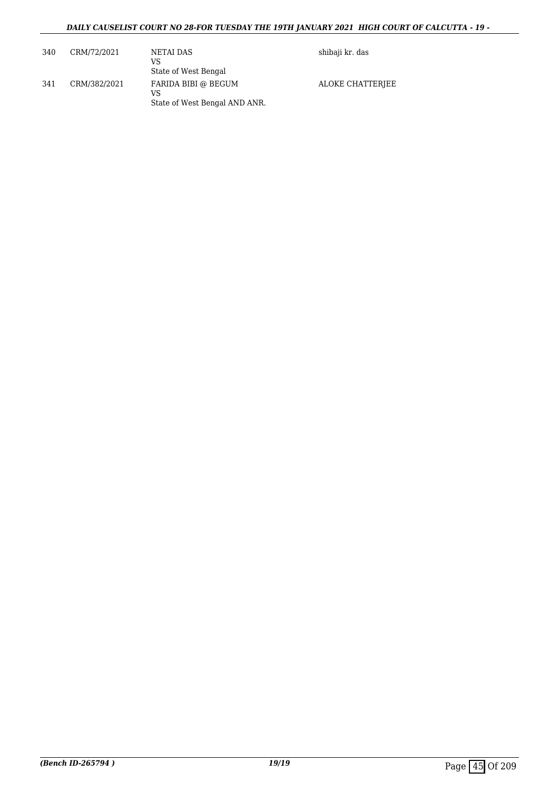| 340 | CRM/72/2021  | NETAI DAS<br>VS<br>State of West Bengal                    | shibaji kr. das  |
|-----|--------------|------------------------------------------------------------|------------------|
| 341 | CRM/382/2021 | FARIDA BIBI @ BEGUM<br>VS<br>State of West Bengal AND ANR. | ALOKE CHATTERIEE |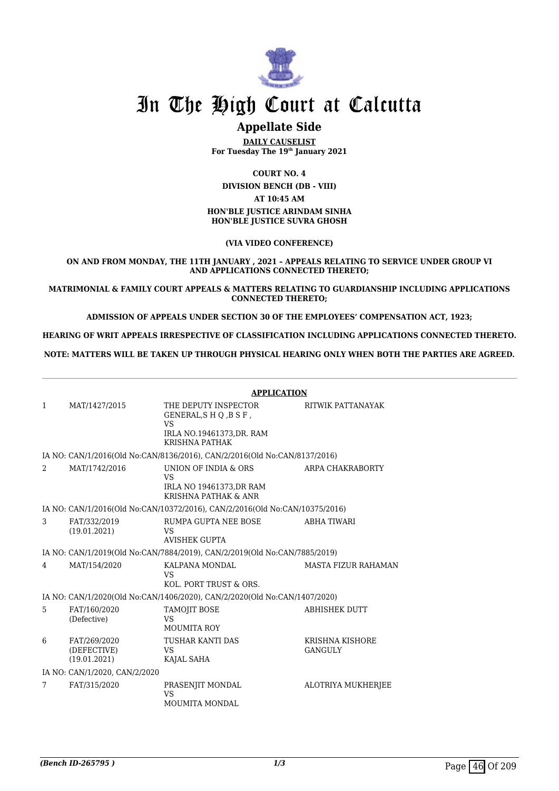

## In The High Court at Calcutta

### **Appellate Side**

**DAILY CAUSELIST For Tuesday The 19th January 2021**

**COURT NO. 4**

**DIVISION BENCH (DB - VIII) AT 10:45 AM HON'BLE JUSTICE ARINDAM SINHA**

**HON'BLE JUSTICE SUVRA GHOSH**

**(VIA VIDEO CONFERENCE)**

**ON AND FROM MONDAY, THE 11TH JANUARY , 2021 – APPEALS RELATING TO SERVICE UNDER GROUP VI AND APPLICATIONS CONNECTED THERETO;**

**MATRIMONIAL & FAMILY COURT APPEALS & MATTERS RELATING TO GUARDIANSHIP INCLUDING APPLICATIONS CONNECTED THERETO;**

**ADMISSION OF APPEALS UNDER SECTION 30 OF THE EMPLOYEES' COMPENSATION ACT, 1923;**

**HEARING OF WRIT APPEALS IRRESPECTIVE OF CLASSIFICATION INCLUDING APPLICATIONS CONNECTED THERETO.**

**NOTE: MATTERS WILL BE TAKEN UP THROUGH PHYSICAL HEARING ONLY WHEN BOTH THE PARTIES ARE AGREED.**

|              |                                             | <b>APPLICATION</b>                                                                                     |                                   |  |
|--------------|---------------------------------------------|--------------------------------------------------------------------------------------------------------|-----------------------------------|--|
| $\mathbf{1}$ | MAT/1427/2015                               | THE DEPUTY INSPECTOR<br>GENERAL, SHQ, BSF,<br>VS<br>IRLA NO.19461373, DR. RAM<br><b>KRISHNA PATHAK</b> | RITWIK PATTANAYAK                 |  |
|              |                                             | IA NO: CAN/1/2016(Old No:CAN/8136/2016), CAN/2/2016(Old No:CAN/8137/2016)                              |                                   |  |
| 2            | MAT/1742/2016                               | UNION OF INDIA & ORS<br>VS<br>IRLA NO 19461373, DR RAM<br>KRISHNA PATHAK & ANR                         | ARPA CHAKRABORTY                  |  |
|              |                                             | IA NO: CAN/1/2016(Old No:CAN/10372/2016), CAN/2/2016(Old No:CAN/10375/2016)                            |                                   |  |
| 3            | FAT/332/2019<br>(19.01.2021)                | RUMPA GUPTA NEE BOSE<br>VS<br><b>AVISHEK GUPTA</b>                                                     | ABHA TIWARI                       |  |
|              |                                             | IA NO: CAN/1/2019(Old No:CAN/7884/2019), CAN/2/2019(Old No:CAN/7885/2019)                              |                                   |  |
| 4            | MAT/154/2020                                | KALPANA MONDAL<br>VS<br>KOL. PORT TRUST & ORS.                                                         | <b>MASTA FIZUR RAHAMAN</b>        |  |
|              |                                             | IA NO: CAN/1/2020(Old No:CAN/1406/2020), CAN/2/2020(Old No:CAN/1407/2020)                              |                                   |  |
| 5            | FAT/160/2020<br>(Defective)                 | <b>TAMOJIT BOSE</b><br>VS<br><b>MOUMITA ROY</b>                                                        | <b>ABHISHEK DUTT</b>              |  |
| 6            | FAT/269/2020<br>(DEFECTIVE)<br>(19.01.2021) | <b>TUSHAR KANTI DAS</b><br>VS<br>KAJAL SAHA                                                            | KRISHNA KISHORE<br><b>GANGULY</b> |  |
|              | IA NO: CAN/1/2020, CAN/2/2020               |                                                                                                        |                                   |  |
| 7            | FAT/315/2020                                | PRASENJIT MONDAL<br><b>VS</b><br><b>MOUMITA MONDAL</b>                                                 | <b>ALOTRIYA MUKHERJEE</b>         |  |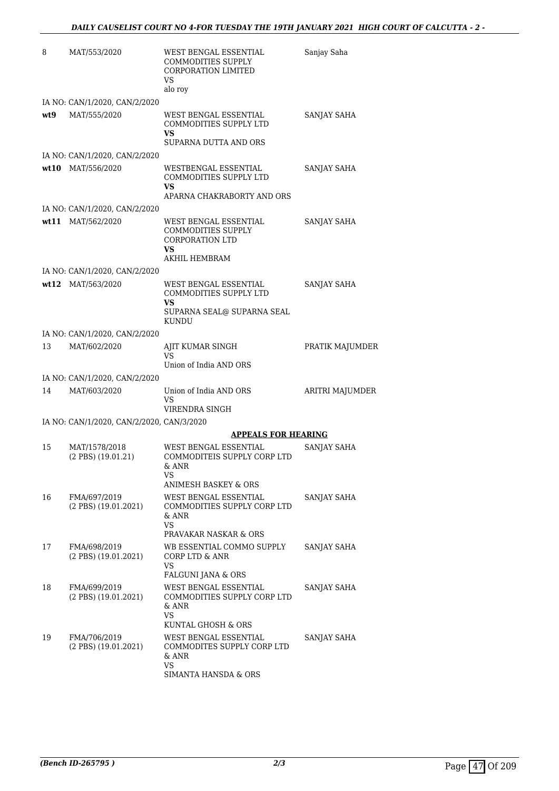| 8   | MAT/553/2020                                | WEST BENGAL ESSENTIAL<br><b>COMMODITIES SUPPLY</b><br>CORPORATION LIMITED<br>VS<br>alo roy                       | Sanjay Saha     |
|-----|---------------------------------------------|------------------------------------------------------------------------------------------------------------------|-----------------|
|     | IA NO: CAN/1/2020, CAN/2/2020               |                                                                                                                  |                 |
| wt9 | MAT/555/2020                                | WEST BENGAL ESSENTIAL<br>COMMODITIES SUPPLY LTD<br>VS                                                            | SANJAY SAHA     |
|     |                                             | SUPARNA DUTTA AND ORS                                                                                            |                 |
|     | IA NO: CAN/1/2020, CAN/2/2020               |                                                                                                                  |                 |
|     | wt10 MAT/556/2020                           | WESTBENGAL ESSENTIAL<br>COMMODITIES SUPPLY LTD<br>VS                                                             | SANJAY SAHA     |
|     |                                             | APARNA CHAKRABORTY AND ORS                                                                                       |                 |
|     | IA NO: CAN/1/2020, CAN/2/2020               |                                                                                                                  |                 |
|     | wt11 MAT/562/2020                           | WEST BENGAL ESSENTIAL<br>COMMODITIES SUPPLY<br><b>CORPORATION LTD</b><br>VS<br>AKHIL HEMBRAM                     | SANJAY SAHA     |
|     | IA NO: CAN/1/2020, CAN/2/2020               |                                                                                                                  |                 |
|     | wt12 MAT/563/2020                           | WEST BENGAL ESSENTIAL<br>COMMODITIES SUPPLY LTD                                                                  | SANJAY SAHA     |
|     |                                             | VS<br>SUPARNA SEAL@ SUPARNA SEAL<br>KUNDU                                                                        |                 |
|     | IA NO: CAN/1/2020, CAN/2/2020               |                                                                                                                  |                 |
| 13  | MAT/602/2020                                | AJIT KUMAR SINGH<br>VS<br>Union of India AND ORS                                                                 | PRATIK MAJUMDER |
|     | IA NO: CAN/1/2020, CAN/2/2020               |                                                                                                                  |                 |
| 14  | MAT/603/2020                                | Union of India AND ORS<br>VS                                                                                     | ARITRI MAJUMDER |
|     |                                             | VIRENDRA SINGH                                                                                                   |                 |
|     | IA NO: CAN/1/2020, CAN/2/2020, CAN/3/2020   |                                                                                                                  |                 |
|     |                                             | <b>APPEALS FOR HEARING</b>                                                                                       |                 |
| 15  | MAT/1578/2018<br>$(2$ PBS $)$ $(19.01.21)$  | WEST BENGAL ESSENTIAL<br>COMMODITEIS SUPPLY CORP LTD<br>& ANR<br>VS<br>ANIMESH BASKEY & ORS                      | SANJAY SAHA     |
| 16  | FMA/697/2019<br>$(2$ PBS $)$ $(19.01.2021)$ | WEST BENGAL ESSENTIAL<br>COMMODITIES SUPPLY CORP LTD<br>& ANR<br>VS<br>PRAVAKAR NASKAR & ORS                     | SANJAY SAHA     |
| 17  | FMA/698/2019<br>$(2$ PBS $)$ $(19.01.2021)$ | WB ESSENTIAL COMMO SUPPLY<br>CORP LTD & ANR<br>VS<br>FALGUNI JANA & ORS                                          | SANJAY SAHA     |
| 18  | FMA/699/2019<br>$(2$ PBS $)$ $(19.01.2021)$ | WEST BENGAL ESSENTIAL<br>COMMODITIES SUPPLY CORP LTD<br>& ANR<br>VS                                              | SANJAY SAHA     |
| 19  | FMA/706/2019<br>$(2$ PBS $)$ $(19.01.2021)$ | KUNTAL GHOSH & ORS<br>WEST BENGAL ESSENTIAL<br>COMMODITES SUPPLY CORP LTD<br>& ANR<br>VS<br>SIMANTA HANSDA & ORS | SANJAY SAHA     |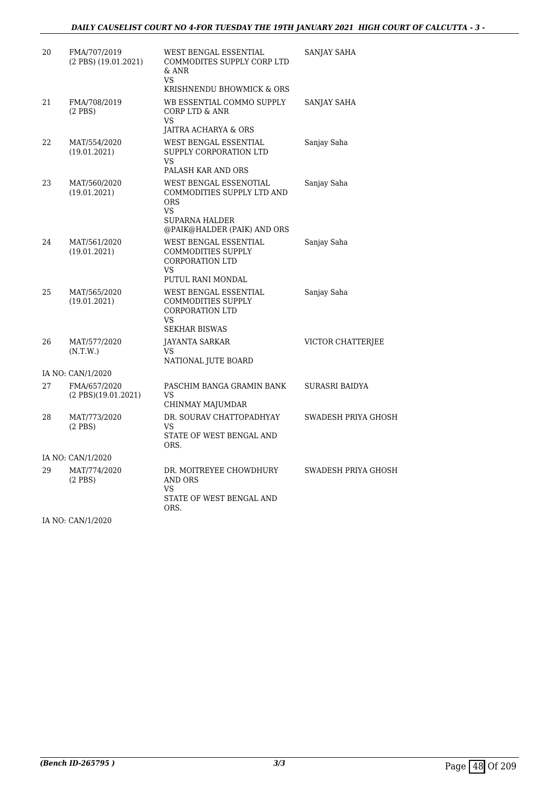| 20 | FMA/707/2019<br>$(2$ PBS $)$ $(19.01.2021)$ | WEST BENGAL ESSENTIAL<br>COMMODITES SUPPLY CORP LTD<br>& ANR<br>VS<br>KRISHNENDU BHOWMICK & ORS                           | SANJAY SAHA         |
|----|---------------------------------------------|---------------------------------------------------------------------------------------------------------------------------|---------------------|
| 21 | FMA/708/2019<br>$(2$ PBS $)$                | WB ESSENTIAL COMMO SUPPLY<br>CORP LTD & ANR<br>VS                                                                         | SANJAY SAHA         |
|    |                                             | JAITRA ACHARYA & ORS                                                                                                      |                     |
| 22 | MAT/554/2020<br>(19.01.2021)                | WEST BENGAL ESSENTIAL<br>SUPPLY CORPORATION LTD<br>VS<br>PALASH KAR AND ORS                                               | Sanjay Saha         |
| 23 | MAT/560/2020<br>(19.01.2021)                | WEST BENGAL ESSENOTIAL<br>COMMODITIES SUPPLY LTD AND<br><b>ORS</b><br>VS<br>SUPARNA HALDER<br>@PAIK@HALDER (PAIK) AND ORS | Sanjay Saha         |
| 24 | MAT/561/2020<br>(19.01.2021)                | WEST BENGAL ESSENTIAL<br>COMMODITIES SUPPLY<br><b>CORPORATION LTD</b><br>VS<br>PUTUL RANI MONDAL                          | Sanjay Saha         |
| 25 | MAT/565/2020<br>(19.01.2021)                | WEST BENGAL ESSENTIAL<br>COMMODITIES SUPPLY<br>CORPORATION LTD<br>VS<br><b>SEKHAR BISWAS</b>                              | Sanjay Saha         |
| 26 | MAT/577/2020<br>(N.T.W.)                    | <b>JAYANTA SARKAR</b><br>VS<br>NATIONAL JUTE BOARD                                                                        | VICTOR CHATTERJEE   |
|    | IA NO: CAN/1/2020                           |                                                                                                                           |                     |
| 27 | FMA/657/2020<br>$(2$ PBS $)(19.01.2021)$    | PASCHIM BANGA GRAMIN BANK<br>VS<br>CHINMAY MAJUMDAR                                                                       | SURASRI BAIDYA      |
| 28 | MAT/773/2020<br>$(2$ PBS $)$                | DR. SOURAV CHATTOPADHYAY<br>VS<br>STATE OF WEST BENGAL AND<br>ORS.                                                        | SWADESH PRIYA GHOSH |
|    | IA NO: CAN/1/2020                           |                                                                                                                           |                     |
| 29 | MAT/774/2020<br>$(2$ PBS $)$                | DR. MOITREYEE CHOWDHURY<br>AND ORS<br>VS<br>STATE OF WEST BENGAL AND<br>ORS.                                              | SWADESH PRIYA GHOSH |

IA NO: CAN/1/2020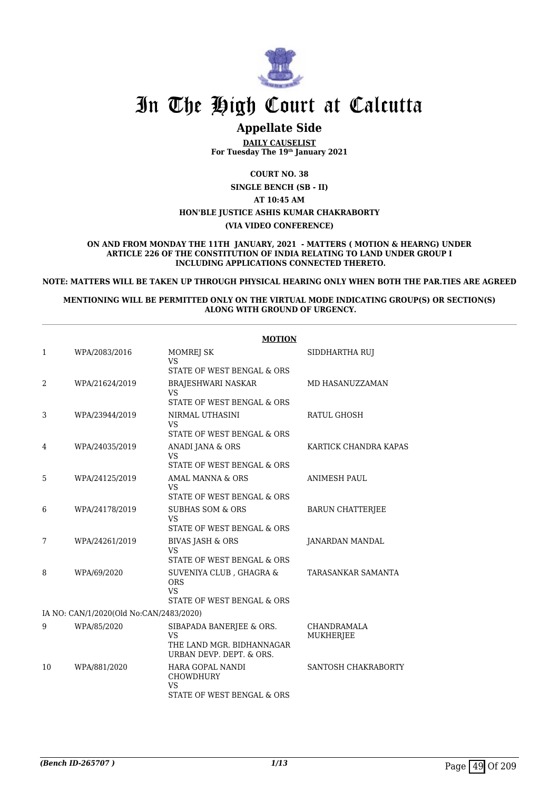

## In The High Court at Calcutta

### **Appellate Side**

**DAILY CAUSELIST For Tuesday The 19th January 2021**

**COURT NO. 38**

**SINGLE BENCH (SB - II)**

**AT 10:45 AM HON'BLE JUSTICE ASHIS KUMAR CHAKRABORTY**

**(VIA VIDEO CONFERENCE)**

**ON AND FROM MONDAY THE 11TH JANUARY, 2021 - MATTERS ( MOTION & HEARNG) UNDER ARTICLE 226 OF THE CONSTITUTION OF INDIA RELATING TO LAND UNDER GROUP I INCLUDING APPLICATIONS CONNECTED THERETO.**

**NOTE: MATTERS WILL BE TAKEN UP THROUGH PHYSICAL HEARING ONLY WHEN BOTH THE PAR.TIES ARE AGREED**

#### **MENTIONING WILL BE PERMITTED ONLY ON THE VIRTUAL MODE INDICATING GROUP(S) OR SECTION(S) ALONG WITH GROUND OF URGENCY.**

|    | <b>MOTION</b>                           |                                                                                  |                                 |  |  |  |
|----|-----------------------------------------|----------------------------------------------------------------------------------|---------------------------------|--|--|--|
| 1  | WPA/2083/2016                           | MOMREJ SK<br><b>VS</b>                                                           | SIDDHARTHA RUJ                  |  |  |  |
|    |                                         | STATE OF WEST BENGAL & ORS                                                       |                                 |  |  |  |
| 2  | WPA/21624/2019                          | BRAJESHWARI NASKAR<br><b>VS</b><br>STATE OF WEST BENGAL & ORS                    | MD HASANUZZAMAN                 |  |  |  |
| 3  | WPA/23944/2019                          | NIRMAL UTHASINI<br><b>VS</b><br>STATE OF WEST BENGAL & ORS                       | RATUL GHOSH                     |  |  |  |
| 4  | WPA/24035/2019                          | ANADI JANA & ORS<br><b>VS</b><br>STATE OF WEST BENGAL & ORS                      | KARTICK CHANDRA KAPAS           |  |  |  |
| 5  | WPA/24125/2019                          | AMAL MANNA & ORS<br><b>VS</b><br>STATE OF WEST BENGAL & ORS                      | <b>ANIMESH PAUL</b>             |  |  |  |
| 6  | WPA/24178/2019                          | <b>SUBHAS SOM &amp; ORS</b><br>VS.<br>STATE OF WEST BENGAL & ORS                 | <b>BARUN CHATTERJEE</b>         |  |  |  |
| 7  | WPA/24261/2019                          | <b>BIVAS JASH &amp; ORS</b><br><b>VS</b><br>STATE OF WEST BENGAL & ORS           | JANARDAN MANDAL                 |  |  |  |
| 8  | WPA/69/2020                             | SUVENIYA CLUB, GHAGRA &<br><b>ORS</b><br><b>VS</b><br>STATE OF WEST BENGAL & ORS | TARASANKAR SAMANTA              |  |  |  |
|    | IA NO: CAN/1/2020(Old No:CAN/2483/2020) |                                                                                  |                                 |  |  |  |
| 9  | WPA/85/2020                             | SIBAPADA BANERJEE & ORS.<br><b>VS</b><br>THE LAND MGR. BIDHANNAGAR               | CHANDRAMALA<br><b>MUKHERJEE</b> |  |  |  |
|    |                                         | URBAN DEVP. DEPT. & ORS.                                                         |                                 |  |  |  |
| 10 | WPA/881/2020                            | HARA GOPAL NANDI<br>CHOWDHURY<br><b>VS</b><br>STATE OF WEST BENGAL & ORS         | SANTOSH CHAKRABORTY             |  |  |  |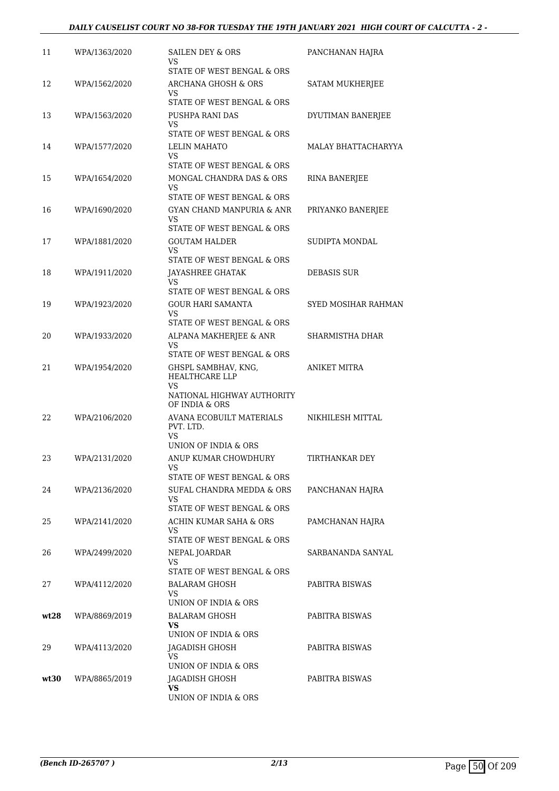| 11   | WPA/1363/2020 | SAILEN DEY & ORS<br>VS<br>STATE OF WEST BENGAL & ORS                                        | PANCHANAN HAJRA     |
|------|---------------|---------------------------------------------------------------------------------------------|---------------------|
| 12   | WPA/1562/2020 | ARCHANA GHOSH & ORS<br>VS.                                                                  | SATAM MUKHERJEE     |
| 13   | WPA/1563/2020 | STATE OF WEST BENGAL & ORS<br>PUSHPA RANI DAS<br>VS                                         | DYUTIMAN BANERJEE   |
| 14   | WPA/1577/2020 | STATE OF WEST BENGAL & ORS<br><b>LELIN MAHATO</b><br>VS                                     | MALAY BHATTACHARYYA |
| 15   | WPA/1654/2020 | STATE OF WEST BENGAL & ORS<br>MONGAL CHANDRA DAS & ORS<br>VS                                | RINA BANERJEE       |
| 16   | WPA/1690/2020 | STATE OF WEST BENGAL & ORS<br>GYAN CHAND MANPURIA & ANR<br>VS                               | PRIYANKO BANERJEE   |
| 17   | WPA/1881/2020 | STATE OF WEST BENGAL & ORS<br><b>GOUTAM HALDER</b><br>VS                                    | SUDIPTA MONDAL      |
| 18   | WPA/1911/2020 | STATE OF WEST BENGAL & ORS<br>JAYASHREE GHATAK<br>VS                                        | <b>DEBASIS SUR</b>  |
| 19   | WPA/1923/2020 | STATE OF WEST BENGAL & ORS<br><b>GOUR HARI SAMANTA</b><br>VS                                | SYED MOSIHAR RAHMAN |
| 20   | WPA/1933/2020 | STATE OF WEST BENGAL & ORS<br>ALPANA MAKHERJEE & ANR<br>VS                                  | SHARMISTHA DHAR     |
| 21   | WPA/1954/2020 | STATE OF WEST BENGAL & ORS<br>GHSPL SAMBHAV, KNG,<br>HEALTHCARE LLP<br>VS                   | <b>ANIKET MITRA</b> |
| 22   | WPA/2106/2020 | NATIONAL HIGHWAY AUTHORITY<br>OF INDIA & ORS<br>AVANA ECOBUILT MATERIALS<br>PVT. LTD.<br>VS | NIKHILESH MITTAL    |
| 23   | WPA/2131/2020 | UNION OF INDIA & ORS<br>ANUP KUMAR CHOWDHURY<br>VS                                          | TIRTHANKAR DEY      |
| 24   | WPA/2136/2020 | STATE OF WEST BENGAL & ORS<br>SUFAL CHANDRA MEDDA & ORS<br>VS<br>STATE OF WEST BENGAL & ORS | PANCHANAN HAJRA     |
| 25   | WPA/2141/2020 | ACHIN KUMAR SAHA & ORS<br>VS<br>STATE OF WEST BENGAL & ORS                                  | PAMCHANAN HAJRA     |
| 26   | WPA/2499/2020 | NEPAL JOARDAR<br>VS<br>STATE OF WEST BENGAL & ORS                                           | SARBANANDA SANYAL   |
| 27   | WPA/4112/2020 | BALARAM GHOSH<br>VS.<br>UNION OF INDIA & ORS                                                | PABITRA BISWAS      |
| wt28 | WPA/8869/2019 | BALARAM GHOSH<br>VS.<br>UNION OF INDIA & ORS                                                | PABITRA BISWAS      |
| 29   | WPA/4113/2020 | JAGADISH GHOSH<br>VS<br>UNION OF INDIA & ORS                                                | PABITRA BISWAS      |
| wt30 | WPA/8865/2019 | JAGADISH GHOSH<br><b>VS</b><br>UNION OF INDIA & ORS                                         | PABITRA BISWAS      |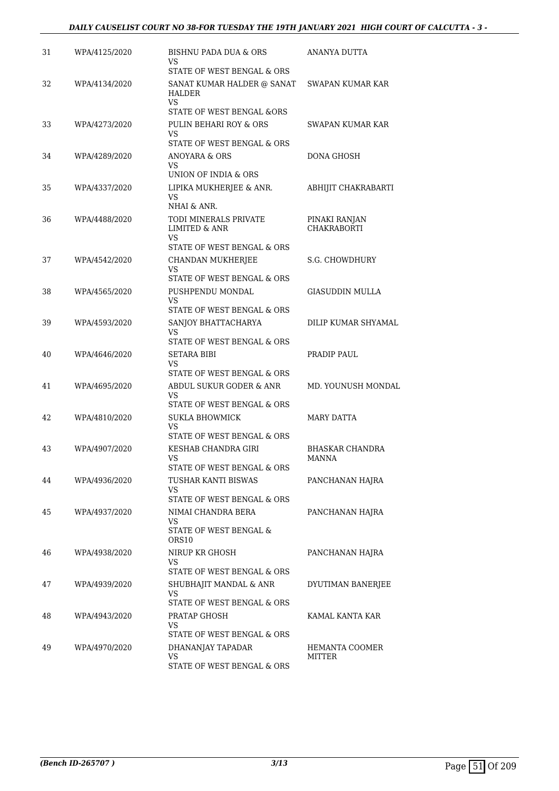| 31<br>WPA/4125/2020<br>BISHNU PADA DUA & ORS<br>ANANYA DUTTA<br>VS<br>STATE OF WEST BENGAL & ORS<br>32<br>WPA/4134/2020<br>SANAT KUMAR HALDER @ SANAT<br>SWAPAN KUMAR KAR<br>HALDER<br><b>VS</b><br>STATE OF WEST BENGAL &ORS<br>33<br>PULIN BEHARI ROY & ORS<br>SWAPAN KUMAR KAR<br>WPA/4273/2020<br>VS<br>STATE OF WEST BENGAL & ORS<br>DONA GHOSH<br>34<br>WPA/4289/2020<br>ANOYARA & ORS<br>VS<br>UNION OF INDIA & ORS<br>35<br>WPA/4337/2020<br>LIPIKA MUKHERJEE & ANR.<br>ABHIJIT CHAKRABARTI<br>VS<br>NHAI & ANR.<br>TODI MINERALS PRIVATE<br>36<br>WPA/4488/2020<br>PINAKI RANJAN<br><b>CHAKRABORTI</b><br><b>LIMITED &amp; ANR</b><br>VS.<br>STATE OF WEST BENGAL & ORS<br>WPA/4542/2020<br>S.G. CHOWDHURY<br>37<br><b>CHANDAN MUKHERJEE</b><br>VS<br>STATE OF WEST BENGAL & ORS<br>38<br>PUSHPENDU MONDAL<br>GIASUDDIN MULLA<br>WPA/4565/2020<br>VS<br>STATE OF WEST BENGAL & ORS<br>DILIP KUMAR SHYAMAL<br>39<br>WPA/4593/2020<br>SANJOY BHATTACHARYA<br>VS<br>STATE OF WEST BENGAL & ORS<br>PRADIP PAUL<br>40<br>WPA/4646/2020<br>SETARA BIBI<br>VS<br>STATE OF WEST BENGAL & ORS<br>41<br>ABDUL SUKUR GODER & ANR<br>MD. YOUNUSH MONDAL<br>WPA/4695/2020<br>VS<br>STATE OF WEST BENGAL & ORS<br>42<br>WPA/4810/2020<br><b>SUKLA BHOWMICK</b><br><b>MARY DATTA</b><br>VS<br>STATE OF WEST BENGAL & ORS<br>43<br>WPA/4907/2020<br>KESHAB CHANDRA GIRI<br><b>BHASKAR CHANDRA</b><br>VS<br>MANNA<br>STATE OF WEST BENGAL & ORS<br>TUSHAR KANTI BISWAS<br>44<br>WPA/4936/2020<br>PANCHANAN HAJRA<br>VS<br>STATE OF WEST BENGAL & ORS<br>45<br>WPA/4937/2020<br>NIMAI CHANDRA BERA<br>PANCHANAN HAJRA<br>VS<br>STATE OF WEST BENGAL &<br>ORS <sub>10</sub><br>46<br>WPA/4938/2020<br>NIRUP KR GHOSH<br>PANCHANAN HAJRA<br>VS<br>STATE OF WEST BENGAL & ORS<br>47<br>WPA/4939/2020<br>SHUBHAJIT MANDAL & ANR<br>DYUTIMAN BANERJEE<br>VS<br>STATE OF WEST BENGAL & ORS<br>48<br>WPA/4943/2020<br>PRATAP GHOSH<br>KAMAL KANTA KAR<br>VS<br>STATE OF WEST BENGAL & ORS<br>49<br>WPA/4970/2020<br>DHANANJAY TAPADAR<br>HEMANTA COOMER<br>VS<br>MITTER |  |                            |  |
|---------------------------------------------------------------------------------------------------------------------------------------------------------------------------------------------------------------------------------------------------------------------------------------------------------------------------------------------------------------------------------------------------------------------------------------------------------------------------------------------------------------------------------------------------------------------------------------------------------------------------------------------------------------------------------------------------------------------------------------------------------------------------------------------------------------------------------------------------------------------------------------------------------------------------------------------------------------------------------------------------------------------------------------------------------------------------------------------------------------------------------------------------------------------------------------------------------------------------------------------------------------------------------------------------------------------------------------------------------------------------------------------------------------------------------------------------------------------------------------------------------------------------------------------------------------------------------------------------------------------------------------------------------------------------------------------------------------------------------------------------------------------------------------------------------------------------------------------------------------------------------------------------------------------------------------------------------------------------------------------------------------------------------------------------------|--|----------------------------|--|
|                                                                                                                                                                                                                                                                                                                                                                                                                                                                                                                                                                                                                                                                                                                                                                                                                                                                                                                                                                                                                                                                                                                                                                                                                                                                                                                                                                                                                                                                                                                                                                                                                                                                                                                                                                                                                                                                                                                                                                                                                                                         |  |                            |  |
|                                                                                                                                                                                                                                                                                                                                                                                                                                                                                                                                                                                                                                                                                                                                                                                                                                                                                                                                                                                                                                                                                                                                                                                                                                                                                                                                                                                                                                                                                                                                                                                                                                                                                                                                                                                                                                                                                                                                                                                                                                                         |  |                            |  |
|                                                                                                                                                                                                                                                                                                                                                                                                                                                                                                                                                                                                                                                                                                                                                                                                                                                                                                                                                                                                                                                                                                                                                                                                                                                                                                                                                                                                                                                                                                                                                                                                                                                                                                                                                                                                                                                                                                                                                                                                                                                         |  |                            |  |
|                                                                                                                                                                                                                                                                                                                                                                                                                                                                                                                                                                                                                                                                                                                                                                                                                                                                                                                                                                                                                                                                                                                                                                                                                                                                                                                                                                                                                                                                                                                                                                                                                                                                                                                                                                                                                                                                                                                                                                                                                                                         |  |                            |  |
|                                                                                                                                                                                                                                                                                                                                                                                                                                                                                                                                                                                                                                                                                                                                                                                                                                                                                                                                                                                                                                                                                                                                                                                                                                                                                                                                                                                                                                                                                                                                                                                                                                                                                                                                                                                                                                                                                                                                                                                                                                                         |  |                            |  |
|                                                                                                                                                                                                                                                                                                                                                                                                                                                                                                                                                                                                                                                                                                                                                                                                                                                                                                                                                                                                                                                                                                                                                                                                                                                                                                                                                                                                                                                                                                                                                                                                                                                                                                                                                                                                                                                                                                                                                                                                                                                         |  |                            |  |
|                                                                                                                                                                                                                                                                                                                                                                                                                                                                                                                                                                                                                                                                                                                                                                                                                                                                                                                                                                                                                                                                                                                                                                                                                                                                                                                                                                                                                                                                                                                                                                                                                                                                                                                                                                                                                                                                                                                                                                                                                                                         |  |                            |  |
|                                                                                                                                                                                                                                                                                                                                                                                                                                                                                                                                                                                                                                                                                                                                                                                                                                                                                                                                                                                                                                                                                                                                                                                                                                                                                                                                                                                                                                                                                                                                                                                                                                                                                                                                                                                                                                                                                                                                                                                                                                                         |  |                            |  |
|                                                                                                                                                                                                                                                                                                                                                                                                                                                                                                                                                                                                                                                                                                                                                                                                                                                                                                                                                                                                                                                                                                                                                                                                                                                                                                                                                                                                                                                                                                                                                                                                                                                                                                                                                                                                                                                                                                                                                                                                                                                         |  |                            |  |
|                                                                                                                                                                                                                                                                                                                                                                                                                                                                                                                                                                                                                                                                                                                                                                                                                                                                                                                                                                                                                                                                                                                                                                                                                                                                                                                                                                                                                                                                                                                                                                                                                                                                                                                                                                                                                                                                                                                                                                                                                                                         |  |                            |  |
|                                                                                                                                                                                                                                                                                                                                                                                                                                                                                                                                                                                                                                                                                                                                                                                                                                                                                                                                                                                                                                                                                                                                                                                                                                                                                                                                                                                                                                                                                                                                                                                                                                                                                                                                                                                                                                                                                                                                                                                                                                                         |  |                            |  |
|                                                                                                                                                                                                                                                                                                                                                                                                                                                                                                                                                                                                                                                                                                                                                                                                                                                                                                                                                                                                                                                                                                                                                                                                                                                                                                                                                                                                                                                                                                                                                                                                                                                                                                                                                                                                                                                                                                                                                                                                                                                         |  |                            |  |
|                                                                                                                                                                                                                                                                                                                                                                                                                                                                                                                                                                                                                                                                                                                                                                                                                                                                                                                                                                                                                                                                                                                                                                                                                                                                                                                                                                                                                                                                                                                                                                                                                                                                                                                                                                                                                                                                                                                                                                                                                                                         |  |                            |  |
|                                                                                                                                                                                                                                                                                                                                                                                                                                                                                                                                                                                                                                                                                                                                                                                                                                                                                                                                                                                                                                                                                                                                                                                                                                                                                                                                                                                                                                                                                                                                                                                                                                                                                                                                                                                                                                                                                                                                                                                                                                                         |  |                            |  |
|                                                                                                                                                                                                                                                                                                                                                                                                                                                                                                                                                                                                                                                                                                                                                                                                                                                                                                                                                                                                                                                                                                                                                                                                                                                                                                                                                                                                                                                                                                                                                                                                                                                                                                                                                                                                                                                                                                                                                                                                                                                         |  |                            |  |
|                                                                                                                                                                                                                                                                                                                                                                                                                                                                                                                                                                                                                                                                                                                                                                                                                                                                                                                                                                                                                                                                                                                                                                                                                                                                                                                                                                                                                                                                                                                                                                                                                                                                                                                                                                                                                                                                                                                                                                                                                                                         |  |                            |  |
|                                                                                                                                                                                                                                                                                                                                                                                                                                                                                                                                                                                                                                                                                                                                                                                                                                                                                                                                                                                                                                                                                                                                                                                                                                                                                                                                                                                                                                                                                                                                                                                                                                                                                                                                                                                                                                                                                                                                                                                                                                                         |  |                            |  |
|                                                                                                                                                                                                                                                                                                                                                                                                                                                                                                                                                                                                                                                                                                                                                                                                                                                                                                                                                                                                                                                                                                                                                                                                                                                                                                                                                                                                                                                                                                                                                                                                                                                                                                                                                                                                                                                                                                                                                                                                                                                         |  |                            |  |
|                                                                                                                                                                                                                                                                                                                                                                                                                                                                                                                                                                                                                                                                                                                                                                                                                                                                                                                                                                                                                                                                                                                                                                                                                                                                                                                                                                                                                                                                                                                                                                                                                                                                                                                                                                                                                                                                                                                                                                                                                                                         |  |                            |  |
|                                                                                                                                                                                                                                                                                                                                                                                                                                                                                                                                                                                                                                                                                                                                                                                                                                                                                                                                                                                                                                                                                                                                                                                                                                                                                                                                                                                                                                                                                                                                                                                                                                                                                                                                                                                                                                                                                                                                                                                                                                                         |  |                            |  |
|                                                                                                                                                                                                                                                                                                                                                                                                                                                                                                                                                                                                                                                                                                                                                                                                                                                                                                                                                                                                                                                                                                                                                                                                                                                                                                                                                                                                                                                                                                                                                                                                                                                                                                                                                                                                                                                                                                                                                                                                                                                         |  |                            |  |
|                                                                                                                                                                                                                                                                                                                                                                                                                                                                                                                                                                                                                                                                                                                                                                                                                                                                                                                                                                                                                                                                                                                                                                                                                                                                                                                                                                                                                                                                                                                                                                                                                                                                                                                                                                                                                                                                                                                                                                                                                                                         |  |                            |  |
|                                                                                                                                                                                                                                                                                                                                                                                                                                                                                                                                                                                                                                                                                                                                                                                                                                                                                                                                                                                                                                                                                                                                                                                                                                                                                                                                                                                                                                                                                                                                                                                                                                                                                                                                                                                                                                                                                                                                                                                                                                                         |  |                            |  |
|                                                                                                                                                                                                                                                                                                                                                                                                                                                                                                                                                                                                                                                                                                                                                                                                                                                                                                                                                                                                                                                                                                                                                                                                                                                                                                                                                                                                                                                                                                                                                                                                                                                                                                                                                                                                                                                                                                                                                                                                                                                         |  |                            |  |
|                                                                                                                                                                                                                                                                                                                                                                                                                                                                                                                                                                                                                                                                                                                                                                                                                                                                                                                                                                                                                                                                                                                                                                                                                                                                                                                                                                                                                                                                                                                                                                                                                                                                                                                                                                                                                                                                                                                                                                                                                                                         |  |                            |  |
|                                                                                                                                                                                                                                                                                                                                                                                                                                                                                                                                                                                                                                                                                                                                                                                                                                                                                                                                                                                                                                                                                                                                                                                                                                                                                                                                                                                                                                                                                                                                                                                                                                                                                                                                                                                                                                                                                                                                                                                                                                                         |  |                            |  |
|                                                                                                                                                                                                                                                                                                                                                                                                                                                                                                                                                                                                                                                                                                                                                                                                                                                                                                                                                                                                                                                                                                                                                                                                                                                                                                                                                                                                                                                                                                                                                                                                                                                                                                                                                                                                                                                                                                                                                                                                                                                         |  |                            |  |
|                                                                                                                                                                                                                                                                                                                                                                                                                                                                                                                                                                                                                                                                                                                                                                                                                                                                                                                                                                                                                                                                                                                                                                                                                                                                                                                                                                                                                                                                                                                                                                                                                                                                                                                                                                                                                                                                                                                                                                                                                                                         |  |                            |  |
|                                                                                                                                                                                                                                                                                                                                                                                                                                                                                                                                                                                                                                                                                                                                                                                                                                                                                                                                                                                                                                                                                                                                                                                                                                                                                                                                                                                                                                                                                                                                                                                                                                                                                                                                                                                                                                                                                                                                                                                                                                                         |  |                            |  |
|                                                                                                                                                                                                                                                                                                                                                                                                                                                                                                                                                                                                                                                                                                                                                                                                                                                                                                                                                                                                                                                                                                                                                                                                                                                                                                                                                                                                                                                                                                                                                                                                                                                                                                                                                                                                                                                                                                                                                                                                                                                         |  | STATE OF WEST BENGAL & ORS |  |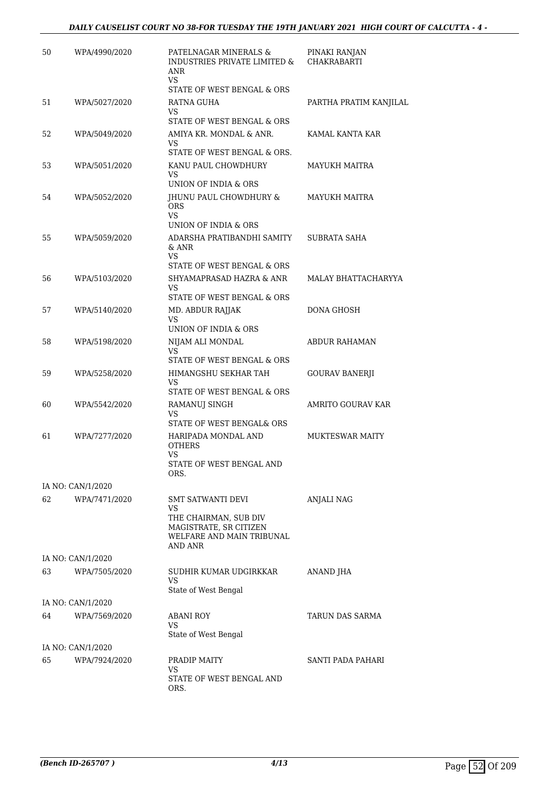#### *DAILY CAUSELIST COURT NO 38-FOR TUESDAY THE 19TH JANUARY 2021 HIGH COURT OF CALCUTTA - 4 -*

| 50 | WPA/4990/2020                      | PATELNAGAR MINERALS &<br>INDUSTRIES PRIVATE LIMITED &<br>ANR<br>VS.                                      | PINAKI RANJAN<br><b>CHAKRABARTI</b> |
|----|------------------------------------|----------------------------------------------------------------------------------------------------------|-------------------------------------|
|    |                                    | STATE OF WEST BENGAL & ORS                                                                               |                                     |
| 51 | WPA/5027/2020                      | RATNA GUHA                                                                                               | PARTHA PRATIM KANJILAL              |
|    |                                    | VS<br>STATE OF WEST BENGAL & ORS                                                                         |                                     |
| 52 | WPA/5049/2020                      | AMIYA KR. MONDAL & ANR.<br>VS.<br>STATE OF WEST BENGAL & ORS.                                            | KAMAL KANTA KAR                     |
| 53 | WPA/5051/2020                      | KANU PAUL CHOWDHURY                                                                                      | MAYUKH MAITRA                       |
|    |                                    | VS.<br>UNION OF INDIA & ORS                                                                              |                                     |
| 54 | WPA/5052/2020                      | JHUNU PAUL CHOWDHURY &<br><b>ORS</b><br><b>VS</b>                                                        | MAYUKH MAITRA                       |
|    |                                    | UNION OF INDIA & ORS                                                                                     |                                     |
| 55 | WPA/5059/2020                      | ADARSHA PRATIBANDHI SAMITY<br>& ANR<br>VS.                                                               | <b>SUBRATA SAHA</b>                 |
|    |                                    | STATE OF WEST BENGAL & ORS                                                                               |                                     |
| 56 | WPA/5103/2020                      | SHYAMAPRASAD HAZRA & ANR<br>VS<br>STATE OF WEST BENGAL & ORS                                             | MALAY BHATTACHARYYA                 |
| 57 | WPA/5140/2020                      | MD. ABDUR RAJJAK                                                                                         | DONA GHOSH                          |
|    |                                    | VS.<br>UNION OF INDIA & ORS                                                                              |                                     |
| 58 | WPA/5198/2020                      | NIJAM ALI MONDAL<br><b>VS</b>                                                                            | ABDUR RAHAMAN                       |
|    |                                    | STATE OF WEST BENGAL & ORS                                                                               |                                     |
| 59 | WPA/5258/2020                      | HIMANGSHU SEKHAR TAH<br>VS<br>STATE OF WEST BENGAL & ORS                                                 | <b>GOURAV BANERJI</b>               |
| 60 | WPA/5542/2020                      | RAMANUJ SINGH                                                                                            | AMRITO GOURAV KAR                   |
|    |                                    | VS.<br>STATE OF WEST BENGAL& ORS                                                                         |                                     |
| 61 | WPA/7277/2020                      | HARIPADA MONDAL AND<br><b>OTHERS</b><br>VS.<br>STATE OF WEST BENGAL AND<br>ORS.                          | <b>MUKTESWAR MAITY</b>              |
|    | IA NO: CAN/1/2020                  |                                                                                                          |                                     |
| 62 | WPA/7471/2020                      | SMT SATWANTI DEVI<br>VS.<br>THE CHAIRMAN, SUB DIV<br>MAGISTRATE, SR CITIZEN<br>WELFARE AND MAIN TRIBUNAL | ANJALI NAG                          |
|    |                                    | AND ANR                                                                                                  |                                     |
| 63 | IA NO: CAN/1/2020<br>WPA/7505/2020 | SUDHIR KUMAR UDGIRKKAR                                                                                   | <b>ANAND JHA</b>                    |
|    |                                    | VS<br>State of West Bengal                                                                               |                                     |
|    | IA NO: CAN/1/2020                  |                                                                                                          |                                     |
| 64 | WPA/7569/2020                      | <b>ABANI ROY</b>                                                                                         | TARUN DAS SARMA                     |
|    |                                    | VS<br>State of West Bengal                                                                               |                                     |
|    | IA NO: CAN/1/2020                  |                                                                                                          |                                     |
| 65 | WPA/7924/2020                      | PRADIP MAITY<br>VS                                                                                       | SANTI PADA PAHARI                   |
|    |                                    | STATE OF WEST BENGAL AND<br>ORS.                                                                         |                                     |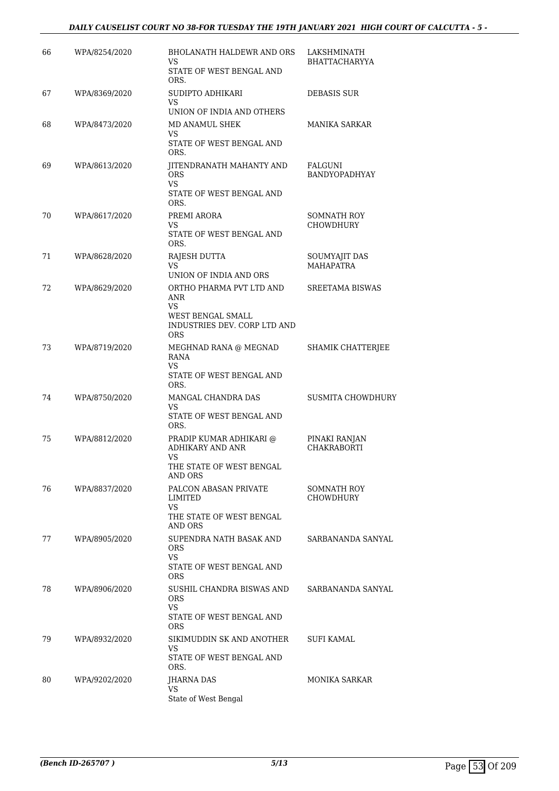#### *DAILY CAUSELIST COURT NO 38-FOR TUESDAY THE 19TH JANUARY 2021 HIGH COURT OF CALCUTTA - 5 -*

| 66 | WPA/8254/2020 | <b>BHOLANATH HALDEWR AND ORS</b><br>VS<br>STATE OF WEST BENGAL AND                                              | LAKSHMINATH<br><b>BHATTACHARYYA</b>      |
|----|---------------|-----------------------------------------------------------------------------------------------------------------|------------------------------------------|
| 67 | WPA/8369/2020 | ORS.<br>SUDIPTO ADHIKARI<br>VS                                                                                  | DEBASIS SUR                              |
| 68 | WPA/8473/2020 | UNION OF INDIA AND OTHERS<br>MD ANAMUL SHEK<br>VS<br>STATE OF WEST BENGAL AND<br>ORS.                           | <b>MANIKA SARKAR</b>                     |
| 69 | WPA/8613/2020 | JITENDRANATH MAHANTY AND<br><b>ORS</b><br>VS.<br>STATE OF WEST BENGAL AND                                       | <b>FALGUNI</b><br>BANDYOPADHYAY          |
| 70 | WPA/8617/2020 | ORS.<br>PREMI ARORA<br>VS<br>STATE OF WEST BENGAL AND<br>ORS.                                                   | <b>SOMNATH ROY</b><br><b>CHOWDHURY</b>   |
| 71 | WPA/8628/2020 | RAJESH DUTTA<br>VS<br>UNION OF INDIA AND ORS                                                                    | <b>SOUMYAJIT DAS</b><br><b>MAHAPATRA</b> |
| 72 | WPA/8629/2020 | ORTHO PHARMA PVT LTD AND<br>ANR<br><b>VS</b><br>WEST BENGAL SMALL<br>INDUSTRIES DEV. CORP LTD AND<br><b>ORS</b> | <b>SREETAMA BISWAS</b>                   |
| 73 | WPA/8719/2020 | MEGHNAD RANA @ MEGNAD<br>RANA<br>VS.<br>STATE OF WEST BENGAL AND<br>ORS.                                        | SHAMIK CHATTERJEE                        |
| 74 | WPA/8750/2020 | MANGAL CHANDRA DAS<br>VS.<br>STATE OF WEST BENGAL AND<br>ORS.                                                   | <b>SUSMITA CHOWDHURY</b>                 |
| 75 | WPA/8812/2020 | PRADIP KUMAR ADHIKARI @<br>ADHIKARY AND ANR<br>VS<br>THE STATE OF WEST BENGAL<br>AND ORS                        | PINAKI RANJAN<br><b>CHAKRABORTI</b>      |
| 76 | WPA/8837/2020 | PALCON ABASAN PRIVATE<br>LIMITED<br><b>VS</b><br>THE STATE OF WEST BENGAL                                       | <b>SOMNATH ROY</b><br>CHOWDHURY          |
| 77 | WPA/8905/2020 | AND ORS<br>SUPENDRA NATH BASAK AND<br><b>ORS</b><br>VS.<br>STATE OF WEST BENGAL AND<br><b>ORS</b>               | SARBANANDA SANYAL                        |
| 78 | WPA/8906/2020 | SUSHIL CHANDRA BISWAS AND<br><b>ORS</b><br>VS.<br>STATE OF WEST BENGAL AND<br><b>ORS</b>                        | SARBANANDA SANYAL                        |
| 79 | WPA/8932/2020 | SIKIMUDDIN SK AND ANOTHER<br>VS<br>STATE OF WEST BENGAL AND<br>ORS.                                             | SUFI KAMAL                               |
| 80 | WPA/9202/2020 | JHARNA DAS<br>VS<br>State of West Bengal                                                                        | <b>MONIKA SARKAR</b>                     |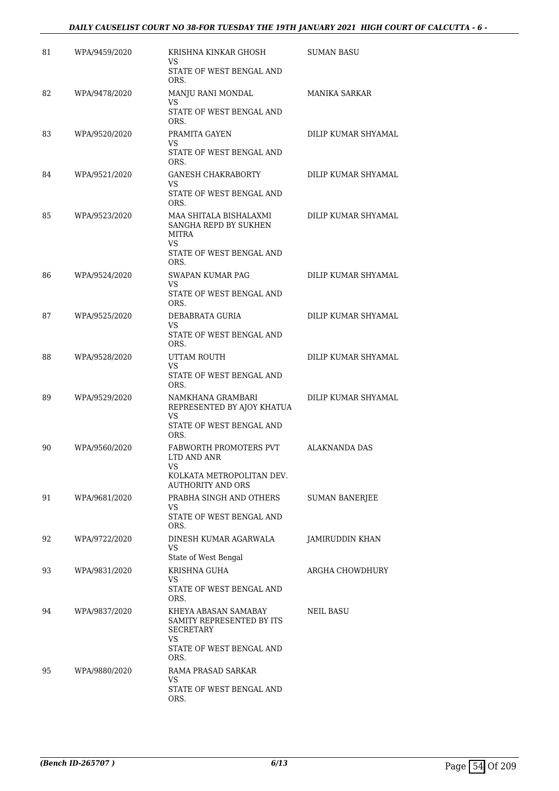#### *DAILY CAUSELIST COURT NO 38-FOR TUESDAY THE 19TH JANUARY 2021 HIGH COURT OF CALCUTTA - 6 -*

| 81 | WPA/9459/2020 | KRISHNA KINKAR GHOSH<br>VS<br>STATE OF WEST BENGAL AND<br>ORS.                                                   | SUMAN BASU            |
|----|---------------|------------------------------------------------------------------------------------------------------------------|-----------------------|
| 82 | WPA/9478/2020 | MANJU RANI MONDAL<br>VS<br>STATE OF WEST BENGAL AND<br>ORS.                                                      | <b>MANIKA SARKAR</b>  |
| 83 | WPA/9520/2020 | PRAMITA GAYEN<br>VS<br>STATE OF WEST BENGAL AND<br>ORS.                                                          | DILIP KUMAR SHYAMAL   |
| 84 | WPA/9521/2020 | <b>GANESH CHAKRABORTY</b><br>VS.<br>STATE OF WEST BENGAL AND<br>ORS.                                             | DILIP KUMAR SHYAMAL   |
| 85 | WPA/9523/2020 | MAA SHITALA BISHALAXMI<br>SANGHA REPD BY SUKHEN<br>MITRA<br>VS<br>STATE OF WEST BENGAL AND<br>ORS.               | DILIP KUMAR SHYAMAL   |
| 86 | WPA/9524/2020 | <b>SWAPAN KUMAR PAG</b><br>VS<br>STATE OF WEST BENGAL AND<br>ORS.                                                | DILIP KUMAR SHYAMAL   |
| 87 | WPA/9525/2020 | DEBABRATA GURIA<br>VS.<br>STATE OF WEST BENGAL AND<br>ORS.                                                       | DILIP KUMAR SHYAMAL   |
| 88 | WPA/9528/2020 | UTTAM ROUTH<br>VS<br>STATE OF WEST BENGAL AND<br>ORS.                                                            | DILIP KUMAR SHYAMAL   |
| 89 | WPA/9529/2020 | NAMKHANA GRAMBARI<br>REPRESENTED BY AJOY KHATUA<br>VS<br>STATE OF WEST BENGAL AND<br>ORS.                        | DILIP KUMAR SHYAMAL   |
| 90 | WPA/9560/2020 | FABWORTH PROMOTERS PVT<br>LTD AND ANR<br>VS<br>KOLKATA METROPOLITAN DEV.<br><b>AUTHORITY AND ORS</b>             | <b>ALAKNANDA DAS</b>  |
| 91 | WPA/9681/2020 | PRABHA SINGH AND OTHERS<br>VS.<br>STATE OF WEST BENGAL AND<br>ORS.                                               | <b>SUMAN BANERJEE</b> |
| 92 | WPA/9722/2020 | DINESH KUMAR AGARWALA<br>VS.<br>State of West Bengal                                                             | JAMIRUDDIN KHAN       |
| 93 | WPA/9831/2020 | KRISHNA GUHA<br>VS<br>STATE OF WEST BENGAL AND<br>ORS.                                                           | ARGHA CHOWDHURY       |
| 94 | WPA/9837/2020 | KHEYA ABASAN SAMABAY<br>SAMITY REPRESENTED BY ITS<br><b>SECRETARY</b><br>VS.<br>STATE OF WEST BENGAL AND<br>ORS. | NEIL BASU             |
| 95 | WPA/9880/2020 | RAMA PRASAD SARKAR<br>VS.<br>STATE OF WEST BENGAL AND<br>ORS.                                                    |                       |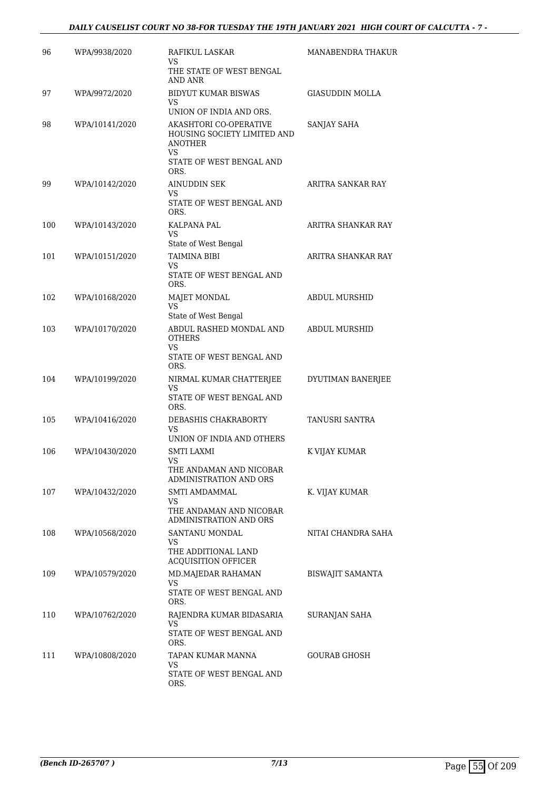| 96  | WPA/9938/2020  | RAFIKUL LASKAR<br>VS                                                                                       | <b>MANABENDRA THAKUR</b> |
|-----|----------------|------------------------------------------------------------------------------------------------------------|--------------------------|
|     |                | THE STATE OF WEST BENGAL<br>AND ANR                                                                        |                          |
| 97  | WPA/9972/2020  | BIDYUT KUMAR BISWAS<br>VS<br>UNION OF INDIA AND ORS.                                                       | <b>GIASUDDIN MOLLA</b>   |
| 98  | WPA/10141/2020 | AKASHTORI CO-OPERATIVE<br>HOUSING SOCIETY LIMITED AND<br>ANOTHER<br>VS<br>STATE OF WEST BENGAL AND<br>ORS. | SANJAY SAHA              |
| 99  | WPA/10142/2020 | AINUDDIN SEK<br>VS<br>STATE OF WEST BENGAL AND<br>ORS.                                                     | ARITRA SANKAR RAY        |
| 100 | WPA/10143/2020 | KALPANA PAL<br>VS<br>State of West Bengal                                                                  | ARITRA SHANKAR RAY       |
| 101 | WPA/10151/2020 | TAIMINA BIBI<br>VS<br>STATE OF WEST BENGAL AND<br>ORS.                                                     | ARITRA SHANKAR RAY       |
| 102 | WPA/10168/2020 | MAJET MONDAL<br><b>VS</b><br>State of West Bengal                                                          | ABDUL MURSHID            |
| 103 | WPA/10170/2020 | ABDUL RASHED MONDAL AND<br><b>OTHERS</b><br>VS<br>STATE OF WEST BENGAL AND<br>ORS.                         | <b>ABDUL MURSHID</b>     |
| 104 | WPA/10199/2020 | NIRMAL KUMAR CHATTERJEE<br>VS<br>STATE OF WEST BENGAL AND<br>ORS.                                          | DYUTIMAN BANERJEE        |
| 105 | WPA/10416/2020 | DEBASHIS CHAKRABORTY<br>VS<br>UNION OF INDIA AND OTHERS                                                    | <b>TANUSRI SANTRA</b>    |
| 106 | WPA/10430/2020 | <b>SMTI LAXMI</b><br>VS<br>THE ANDAMAN AND NICOBAR<br>ADMINISTRATION AND ORS                               | K VIJAY KUMAR            |
| 107 | WPA/10432/2020 | SMTI AMDAMMAL<br>VS<br>THE ANDAMAN AND NICOBAR<br>ADMINISTRATION AND ORS                                   | K. VIJAY KUMAR           |
| 108 | WPA/10568/2020 | SANTANU MONDAL<br>VS<br>THE ADDITIONAL LAND<br><b>ACQUISITION OFFICER</b>                                  | NITAI CHANDRA SAHA       |
| 109 | WPA/10579/2020 | MD.MAJEDAR RAHAMAN<br>VS<br>STATE OF WEST BENGAL AND<br>ORS.                                               | <b>BISWAJIT SAMANTA</b>  |
| 110 | WPA/10762/2020 | RAJENDRA KUMAR BIDASARIA<br>VS<br>STATE OF WEST BENGAL AND<br>ORS.                                         | SURANJAN SAHA            |
| 111 | WPA/10808/2020 | TAPAN KUMAR MANNA<br>VS<br>STATE OF WEST BENGAL AND<br>ORS.                                                | GOURAB GHOSH             |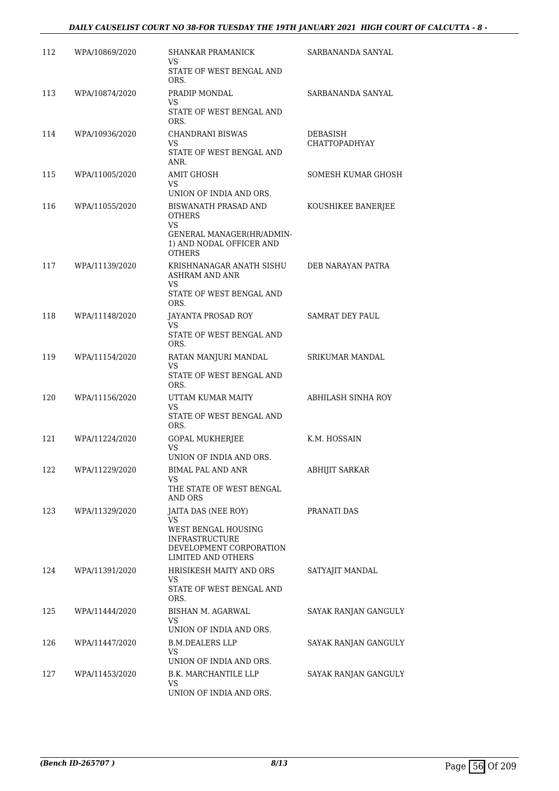| 112 | WPA/10869/2020 | SHANKAR PRAMANICK<br>VS                                                                       | SARBANANDA SANYAL                |
|-----|----------------|-----------------------------------------------------------------------------------------------|----------------------------------|
|     |                | STATE OF WEST BENGAL AND<br>ORS.                                                              |                                  |
| 113 | WPA/10874/2020 | PRADIP MONDAL<br>VS                                                                           | SARBANANDA SANYAL                |
|     |                | STATE OF WEST BENGAL AND<br>ORS.                                                              |                                  |
| 114 | WPA/10936/2020 | CHANDRANI BISWAS<br>VS.                                                                       | DEBASISH<br><b>CHATTOPADHYAY</b> |
|     |                | STATE OF WEST BENGAL AND<br>ANR.                                                              |                                  |
| 115 | WPA/11005/2020 | <b>AMIT GHOSH</b><br>VS                                                                       | SOMESH KUMAR GHOSH               |
| 116 | WPA/11055/2020 | UNION OF INDIA AND ORS.<br>BISWANATH PRASAD AND                                               | KOUSHIKEE BANERJEE               |
|     |                | OTHERS<br>VS<br>GENERAL MANAGER(HR/ADMIN-<br>1) AND NODAL OFFICER AND<br><b>OTHERS</b>        |                                  |
| 117 | WPA/11139/2020 | KRISHNANAGAR ANATH SISHU<br><b>ASHRAM AND ANR</b>                                             | DEB NARAYAN PATRA                |
|     |                | VS.<br>STATE OF WEST BENGAL AND<br>ORS.                                                       |                                  |
| 118 | WPA/11148/2020 | JAYANTA PROSAD ROY<br>VS.                                                                     | SAMRAT DEY PAUL                  |
|     |                | STATE OF WEST BENGAL AND<br>ORS.                                                              |                                  |
| 119 | WPA/11154/2020 | RATAN MANJURI MANDAL<br>VS                                                                    | SRIKUMAR MANDAL                  |
|     |                | STATE OF WEST BENGAL AND<br>ORS.                                                              |                                  |
| 120 | WPA/11156/2020 | UTTAM KUMAR MAITY<br><b>VS</b>                                                                | ABHILASH SINHA ROY               |
|     |                | STATE OF WEST BENGAL AND<br>ORS.                                                              |                                  |
| 121 | WPA/11224/2020 | GOPAL MUKHERJEE<br>VS                                                                         | K.M. HOSSAIN                     |
|     |                | UNION OF INDIA AND ORS.                                                                       |                                  |
| 122 | WPA/11229/2020 | <b>BIMAL PAL AND ANR</b><br>VS                                                                | <b>ABHIJIT SARKAR</b>            |
|     |                | THE STATE OF WEST BENGAL<br><b>AND ORS</b>                                                    |                                  |
| 123 | WPA/11329/2020 | JAITA DAS (NEE ROY)<br>VS                                                                     | PRANATI DAS                      |
|     |                | WEST BENGAL HOUSING<br><b>INFRASTRUCTURE</b><br>DEVELOPMENT CORPORATION<br>LIMITED AND OTHERS |                                  |
| 124 | WPA/11391/2020 | HRISIKESH MAITY AND ORS<br>VS                                                                 | SATYAJIT MANDAL                  |
|     |                | STATE OF WEST BENGAL AND<br>ORS.                                                              |                                  |
| 125 | WPA/11444/2020 | BISHAN M. AGARWAL<br>VS<br>UNION OF INDIA AND ORS.                                            | SAYAK RANJAN GANGULY             |
| 126 | WPA/11447/2020 | <b>B.M.DEALERS LLP</b>                                                                        | SAYAK RANJAN GANGULY             |
|     |                | <b>VS</b><br>UNION OF INDIA AND ORS.                                                          |                                  |
| 127 | WPA/11453/2020 | B.K. MARCHANTILE LLP                                                                          | SAYAK RANJAN GANGULY             |
|     |                | VS.                                                                                           |                                  |
|     |                | UNION OF INDIA AND ORS.                                                                       |                                  |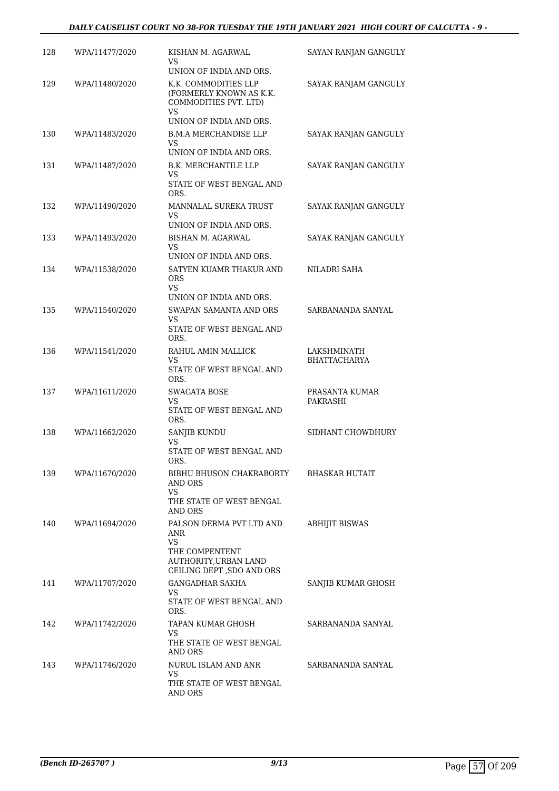| 128 | WPA/11477/2020 | KISHAN M. AGARWAL<br>VS<br>UNION OF INDIA AND ORS.                             | SAYAN RANJAN GANGULY |
|-----|----------------|--------------------------------------------------------------------------------|----------------------|
| 129 | WPA/11480/2020 | K.K. COMMODITIES LLP<br>(FORMERLY KNOWN AS K.K.<br>COMMODITIES PVT. LTD)<br>VS | SAYAK RANJAM GANGULY |
|     |                | UNION OF INDIA AND ORS.                                                        |                      |
| 130 | WPA/11483/2020 | <b>B.M.A MERCHANDISE LLP</b><br>VS<br>UNION OF INDIA AND ORS.                  | SAYAK RANJAN GANGULY |
| 131 | WPA/11487/2020 | B.K. MERCHANTILE LLP                                                           | SAYAK RANJAN GANGULY |
|     |                | VS<br>STATE OF WEST BENGAL AND<br>ORS.                                         |                      |
| 132 | WPA/11490/2020 | MANNALAL SUREKA TRUST<br>VS                                                    | SAYAK RANJAN GANGULY |
|     |                | UNION OF INDIA AND ORS.                                                        |                      |
| 133 | WPA/11493/2020 | <b>BISHAN M. AGARWAL</b><br>VS                                                 | SAYAK RANJAN GANGULY |
| 134 | WPA/11538/2020 | UNION OF INDIA AND ORS.<br>SATYEN KUAMR THAKUR AND                             | NILADRI SAHA         |
|     |                | <b>ORS</b><br>VS                                                               |                      |
| 135 | WPA/11540/2020 | UNION OF INDIA AND ORS.<br>SWAPAN SAMANTA AND ORS                              | SARBANANDA SANYAL    |
|     |                | VS<br>STATE OF WEST BENGAL AND<br>ORS.                                         |                      |
| 136 | WPA/11541/2020 | RAHUL AMIN MALLICK                                                             | LAKSHMINATH          |
|     |                | VS<br>STATE OF WEST BENGAL AND<br>ORS.                                         | <b>BHATTACHARYA</b>  |
| 137 | WPA/11611/2020 | SWAGATA BOSE                                                                   | PRASANTA KUMAR       |
|     |                | VS<br>STATE OF WEST BENGAL AND<br>ORS.                                         | PAKRASHI             |
| 138 | WPA/11662/2020 | SANJIB KUNDU                                                                   | SIDHANT CHOWDHURY    |
|     |                | VS<br>STATE OF WEST BENGAL AND<br>ORS.                                         |                      |
| 139 | WPA/11670/2020 | BIBHU BHUSON CHAKRABORTY<br>AND ORS<br>VS                                      | BHASKAR HUTAIT       |
|     |                | THE STATE OF WEST BENGAL<br>AND ORS                                            |                      |
| 140 | WPA/11694/2020 | PALSON DERMA PVT LTD AND<br>ANR<br><b>VS</b>                                   | ABHIJIT BISWAS       |
|     |                | THE COMPENTENT<br>AUTHORITY, URBAN LAND<br>CEILING DEPT, SDO AND ORS           |                      |
| 141 | WPA/11707/2020 | <b>GANGADHAR SAKHA</b><br>VS<br>STATE OF WEST BENGAL AND                       | SANJIB KUMAR GHOSH   |
|     |                | ORS.                                                                           |                      |
| 142 | WPA/11742/2020 | TAPAN KUMAR GHOSH<br><b>VS</b>                                                 | SARBANANDA SANYAL    |
|     |                | THE STATE OF WEST BENGAL<br>AND ORS                                            |                      |
| 143 | WPA/11746/2020 | NURUL ISLAM AND ANR<br>VS.                                                     | SARBANANDA SANYAL    |
|     |                | THE STATE OF WEST BENGAL<br>AND ORS                                            |                      |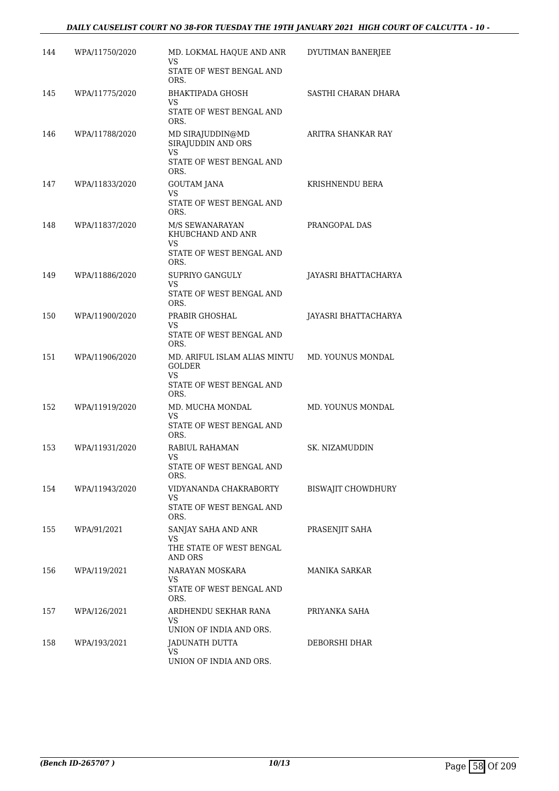#### *DAILY CAUSELIST COURT NO 38-FOR TUESDAY THE 19TH JANUARY 2021 HIGH COURT OF CALCUTTA - 10 -*

| 144 | WPA/11750/2020 | MD. LOKMAL HAQUE AND ANR<br>VS<br>STATE OF WEST BENGAL AND                        | DYUTIMAN BANERJEE    |
|-----|----------------|-----------------------------------------------------------------------------------|----------------------|
| 145 | WPA/11775/2020 | ORS.<br><b>BHAKTIPADA GHOSH</b><br>VS<br>STATE OF WEST BENGAL AND                 | SASTHI CHARAN DHARA  |
| 146 | WPA/11788/2020 | ORS.<br>MD SIRAJUDDIN@MD<br>SIRAJUDDIN AND ORS<br>VS.<br>STATE OF WEST BENGAL AND | ARITRA SHANKAR RAY   |
| 147 | WPA/11833/2020 | ORS.<br>GOUTAM JANA<br><b>VS</b><br>STATE OF WEST BENGAL AND<br>ORS.              | KRISHNENDU BERA      |
| 148 | WPA/11837/2020 | M/S SEWANARAYAN<br>KHUBCHAND AND ANR<br>VS.<br>STATE OF WEST BENGAL AND           | PRANGOPAL DAS        |
| 149 | WPA/11886/2020 | ORS.<br>SUPRIYO GANGULY<br>VS.<br>STATE OF WEST BENGAL AND<br>ORS.                | JAYASRI BHATTACHARYA |
| 150 | WPA/11900/2020 | PRABIR GHOSHAL<br>VS<br>STATE OF WEST BENGAL AND<br>ORS.                          | JAYASRI BHATTACHARYA |
| 151 | WPA/11906/2020 | MD. ARIFUL ISLAM ALIAS MINTU<br>GOLDER<br>VS.<br>STATE OF WEST BENGAL AND<br>ORS. | MD. YOUNUS MONDAL    |
| 152 | WPA/11919/2020 | MD. MUCHA MONDAL<br>VS<br>STATE OF WEST BENGAL AND<br>ORS.                        | MD. YOUNUS MONDAL    |
| 153 | WPA/11931/2020 | RABIUL RAHAMAN<br>VS<br>STATE OF WEST BENGAL AND<br>ORS.                          | SK. NIZAMUDDIN       |
| 154 | WPA/11943/2020 | VIDYANANDA CHAKRABORTY<br>VS.<br>STATE OF WEST BENGAL AND<br>ORS.                 | BISWAJIT CHOWDHURY   |
| 155 | WPA/91/2021    | SANJAY SAHA AND ANR<br>VS.<br>THE STATE OF WEST BENGAL<br><b>AND ORS</b>          | PRASENJIT SAHA       |
| 156 | WPA/119/2021   | NARAYAN MOSKARA<br>VS.<br>STATE OF WEST BENGAL AND<br>ORS.                        | MANIKA SARKAR        |
| 157 | WPA/126/2021   | ARDHENDU SEKHAR RANA<br>VS.<br>UNION OF INDIA AND ORS.                            | PRIYANKA SAHA        |
| 158 | WPA/193/2021   | JADUNATH DUTTA<br>VS.<br>UNION OF INDIA AND ORS.                                  | DEBORSHI DHAR        |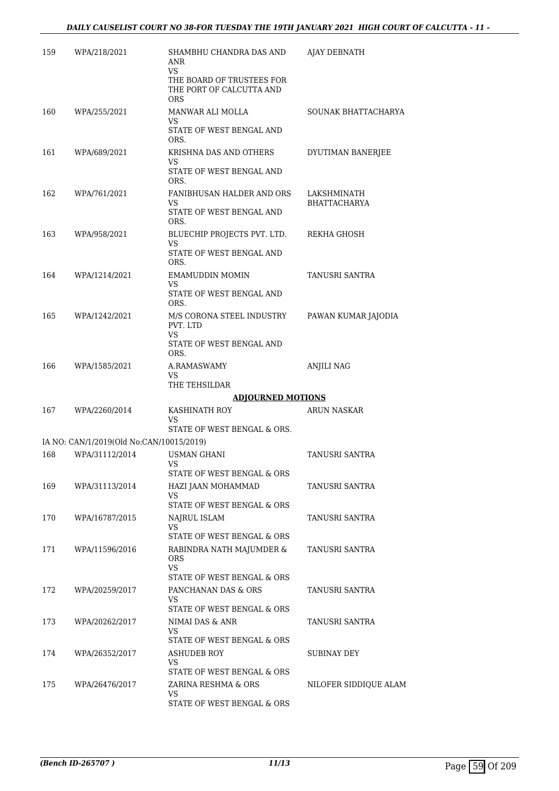| 159 | WPA/218/2021                             | SHAMBHU CHANDRA DAS AND<br>ANR<br>VS<br>THE BOARD OF TRUSTEES FOR<br>THE PORT OF CALCUTTA AND<br><b>ORS</b> | AJAY DEBNATH                |
|-----|------------------------------------------|-------------------------------------------------------------------------------------------------------------|-----------------------------|
| 160 | WPA/255/2021                             | MANWAR ALI MOLLA<br>VS<br>STATE OF WEST BENGAL AND<br>ORS.                                                  | SOUNAK BHATTACHARYA         |
| 161 | WPA/689/2021                             | KRISHNA DAS AND OTHERS<br>VS<br>STATE OF WEST BENGAL AND<br>ORS.                                            | DYUTIMAN BANERJEE           |
| 162 | WPA/761/2021                             | FANIBHUSAN HALDER AND ORS<br>VS<br>STATE OF WEST BENGAL AND<br>ORS.                                         | LAKSHMINATH<br>BHATTACHARYA |
| 163 | WPA/958/2021                             | BLUECHIP PROJECTS PVT. LTD.<br><b>VS</b><br>STATE OF WEST BENGAL AND<br>ORS.                                | REKHA GHOSH                 |
| 164 | WPA/1214/2021                            | <b>EMAMUDDIN MOMIN</b><br>VS<br>STATE OF WEST BENGAL AND<br>ORS.                                            | TANUSRI SANTRA              |
| 165 | WPA/1242/2021                            | M/S CORONA STEEL INDUSTRY<br>PVT. LTD<br><b>VS</b><br>STATE OF WEST BENGAL AND                              | PAWAN KUMAR JAJODIA         |
| 166 | WPA/1585/2021                            | ORS.<br>A.RAMASWAMY<br>VS<br>THE TEHSILDAR                                                                  | <b>ANJILI NAG</b>           |
|     |                                          | <b>ADJOURNED MOTIONS</b>                                                                                    |                             |
| 167 | WPA/2260/2014                            | KASHINATH ROY<br>VS<br>STATE OF WEST BENGAL & ORS.                                                          | <b>ARUN NASKAR</b>          |
|     | IA NO: CAN/1/2019(Old No:CAN/10015/2019) |                                                                                                             |                             |
| 168 | WPA/31112/2014                           | <b>USMAN GHANI</b>                                                                                          | TANUSRI SANTRA              |
|     |                                          | VS<br>STATE OF WEST BENGAL & ORS                                                                            |                             |
| 169 | WPA/31113/2014                           | HAZI JAAN MOHAMMAD<br>VS.<br>STATE OF WEST BENGAL & ORS                                                     | TANUSRI SANTRA              |
| 170 | WPA/16787/2015                           | NAJRUL ISLAM<br>VS.                                                                                         | TANUSRI SANTRA              |
| 171 | WPA/11596/2016                           | STATE OF WEST BENGAL & ORS<br>RABINDRA NATH MAJUMDER &<br><b>ORS</b><br>VS.                                 | TANUSRI SANTRA              |
| 172 | WPA/20259/2017                           | STATE OF WEST BENGAL & ORS<br>PANCHANAN DAS & ORS<br>VS.                                                    | TANUSRI SANTRA              |
| 173 | WPA/20262/2017                           | STATE OF WEST BENGAL & ORS<br>NIMAI DAS & ANR<br>VS.<br>STATE OF WEST BENGAL & ORS                          | TANUSRI SANTRA              |
| 174 | WPA/26352/2017                           | ASHUDEB ROY<br>VS                                                                                           | SUBINAY DEY                 |
| 175 | WPA/26476/2017                           | STATE OF WEST BENGAL & ORS<br>ZARINA RESHMA & ORS<br>VS.<br>STATE OF WEST BENGAL & ORS                      | NILOFER SIDDIQUE ALAM       |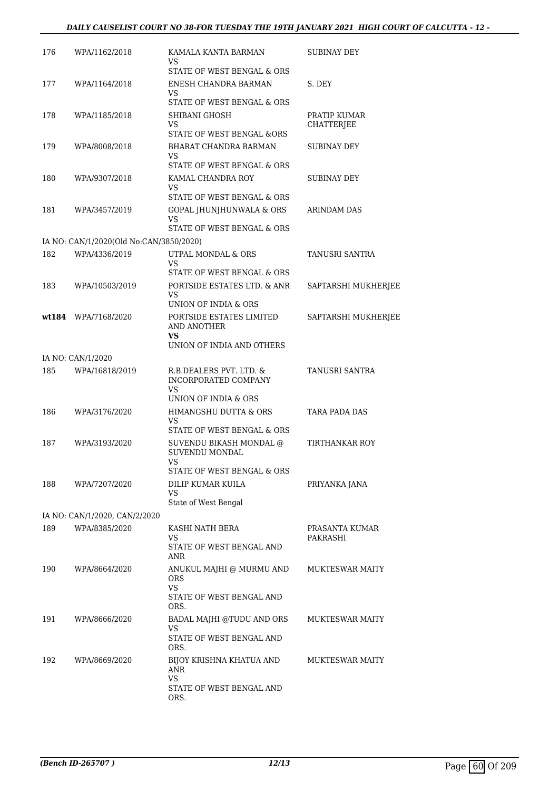#### *DAILY CAUSELIST COURT NO 38-FOR TUESDAY THE 19TH JANUARY 2021 HIGH COURT OF CALCUTTA - 12 -*

| 176 | WPA/1162/2018                           | KAMALA KANTA BARMAN<br>VS                                 | SUBINAY DEY                       |
|-----|-----------------------------------------|-----------------------------------------------------------|-----------------------------------|
|     |                                         | STATE OF WEST BENGAL & ORS                                |                                   |
| 177 | WPA/1164/2018                           | ENESH CHANDRA BARMAN<br>VS                                | S. DEY                            |
|     |                                         | STATE OF WEST BENGAL & ORS                                |                                   |
| 178 | WPA/1185/2018                           | SHIBANI GHOSH<br>VS                                       | PRATIP KUMAR<br><b>CHATTERJEE</b> |
|     |                                         | STATE OF WEST BENGAL &ORS<br>BHARAT CHANDRA BARMAN        |                                   |
| 179 | WPA/8008/2018                           | VS<br>STATE OF WEST BENGAL & ORS                          | SUBINAY DEY                       |
| 180 | WPA/9307/2018                           | KAMAL CHANDRA ROY<br>VS.                                  | SUBINAY DEY                       |
|     |                                         | STATE OF WEST BENGAL & ORS                                |                                   |
| 181 | WPA/3457/2019                           | GOPAL JHUNJHUNWALA & ORS<br>VS                            | <b>ARINDAM DAS</b>                |
|     |                                         | STATE OF WEST BENGAL & ORS                                |                                   |
|     | IA NO: CAN/1/2020(Old No:CAN/3850/2020) |                                                           |                                   |
| 182 | WPA/4336/2019                           | UTPAL MONDAL & ORS<br>VS                                  | TANUSRI SANTRA                    |
| 183 |                                         | STATE OF WEST BENGAL & ORS<br>PORTSIDE ESTATES LTD. & ANR |                                   |
|     | WPA/10503/2019                          | VS<br>UNION OF INDIA & ORS                                | SAPTARSHI MUKHERJEE               |
|     | wt184 WPA/7168/2020                     | PORTSIDE ESTATES LIMITED                                  | SAPTARSHI MUKHERJEE               |
|     |                                         | AND ANOTHER<br>VS<br>UNION OF INDIA AND OTHERS            |                                   |
|     | IA NO: CAN/1/2020                       |                                                           |                                   |
| 185 | WPA/16818/2019                          | R.B.DEALERS PVT. LTD. &                                   | TANUSRI SANTRA                    |
|     |                                         | <b>INCORPORATED COMPANY</b><br>VS<br>UNION OF INDIA & ORS |                                   |
| 186 | WPA/3176/2020                           | HIMANGSHU DUTTA & ORS                                     | TARA PADA DAS                     |
|     |                                         | VS<br>STATE OF WEST BENGAL & ORS                          |                                   |
| 187 | WPA/3193/2020                           | SUVENDU BIKASH MONDAL @<br>SUVENDU MONDAL<br>VS.          | TIRTHANKAR ROY                    |
|     |                                         | STATE OF WEST BENGAL & ORS                                |                                   |
| 188 | WPA/7207/2020                           | DILIP KUMAR KUILA<br>VS<br>State of West Bengal           | PRIYANKA JANA                     |
|     | IA NO: CAN/1/2020, CAN/2/2020           |                                                           |                                   |
| 189 | WPA/8385/2020                           | KASHI NATH BERA<br>VS.                                    | PRASANTA KUMAR<br><b>PAKRASHI</b> |
|     |                                         | STATE OF WEST BENGAL AND<br>ANR                           |                                   |
| 190 | WPA/8664/2020                           | ANUKUL MAJHI @ MURMU AND<br><b>ORS</b><br>VS.             | <b>MUKTESWAR MAITY</b>            |
|     |                                         | STATE OF WEST BENGAL AND<br>ORS.                          |                                   |
| 191 | WPA/8666/2020                           | BADAL MAJHI @TUDU AND ORS<br>VS                           | <b>MUKTESWAR MAITY</b>            |
|     |                                         | STATE OF WEST BENGAL AND<br>ORS.                          |                                   |
| 192 | WPA/8669/2020                           | BIJOY KRISHNA KHATUA AND<br>ANR                           | <b>MUKTESWAR MAITY</b>            |
|     |                                         | VS<br>STATE OF WEST BENGAL AND<br>ORS.                    |                                   |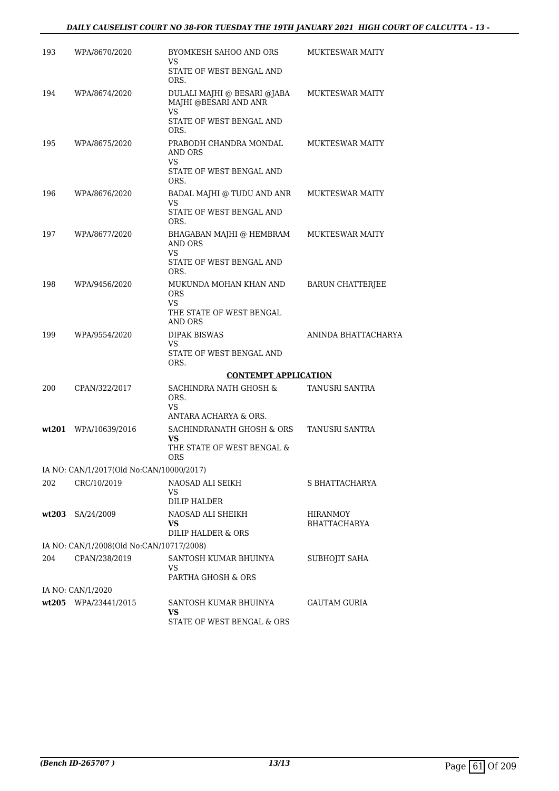#### *DAILY CAUSELIST COURT NO 38-FOR TUESDAY THE 19TH JANUARY 2021 HIGH COURT OF CALCUTTA - 13 -*

| 193   | WPA/8670/2020                            | BYOMKESH SAHOO AND ORS<br>VS                                                | <b>MUKTESWAR MAITY</b>   |
|-------|------------------------------------------|-----------------------------------------------------------------------------|--------------------------|
|       |                                          | STATE OF WEST BENGAL AND<br>ORS.                                            |                          |
| 194   | WPA/8674/2020                            | DULALI MAJHI @ BESARI @JABA<br>MAJHI @BESARI AND ANR<br><b>VS</b>           | <b>MUKTESWAR MAITY</b>   |
|       |                                          | STATE OF WEST BENGAL AND<br>ORS.                                            |                          |
| 195   | WPA/8675/2020                            | PRABODH CHANDRA MONDAL<br>AND ORS<br>VS                                     | <b>MUKTESWAR MAITY</b>   |
|       |                                          | STATE OF WEST BENGAL AND<br>ORS.                                            |                          |
| 196   | WPA/8676/2020                            | BADAL MAJHI @ TUDU AND ANR<br><b>VS</b><br>STATE OF WEST BENGAL AND<br>ORS. | <b>MUKTESWAR MAITY</b>   |
| 197   | WPA/8677/2020                            | BHAGABAN MAJHI @ HEMBRAM<br>AND ORS<br><b>VS</b>                            | <b>MUKTESWAR MAITY</b>   |
|       |                                          | STATE OF WEST BENGAL AND<br>ORS.                                            |                          |
| 198   | WPA/9456/2020                            | MUKUNDA MOHAN KHAN AND<br><b>ORS</b><br><b>VS</b>                           | <b>BARUN CHATTERJEE</b>  |
|       |                                          | THE STATE OF WEST BENGAL<br>AND ORS                                         |                          |
| 199   | WPA/9554/2020                            | <b>DIPAK BISWAS</b><br>VS                                                   | ANINDA BHATTACHARYA      |
|       |                                          | STATE OF WEST BENGAL AND<br>ORS.                                            |                          |
|       |                                          | <b>CONTEMPT APPLICATION</b>                                                 |                          |
| 200   | CPAN/322/2017                            | SACHINDRA NATH GHOSH &<br>ORS.<br>VS                                        | TANUSRI SANTRA           |
|       |                                          | ANTARA ACHARYA & ORS.                                                       |                          |
|       | wt201 WPA/10639/2016                     | SACHINDRANATH GHOSH & ORS<br><b>VS</b><br>THE STATE OF WEST BENGAL &        | TANUSRI SANTRA           |
|       |                                          | ORS                                                                         |                          |
|       | IA NO: CAN/1/2017(Old No:CAN/10000/2017) |                                                                             |                          |
| 202   | CRC/10/2019                              | NAOSAD ALI SEIKH<br>VS<br><b>DILIP HALDER</b>                               | S BHATTACHARYA           |
| wt203 | SA/24/2009                               | NAOSAD ALI SHEIKH<br>VS<br>DILIP HALDER & ORS                               | HIRANMOY<br>BHATTACHARYA |
|       | IA NO: CAN/1/2008(Old No:CAN/10717/2008) |                                                                             |                          |
| 204   | CPAN/238/2019                            | SANTOSH KUMAR BHUINYA<br>VS.                                                | SUBHOJIT SAHA            |
|       | IA NO: CAN/1/2020                        | PARTHA GHOSH & ORS                                                          |                          |
|       | wt205 WPA/23441/2015                     | SANTOSH KUMAR BHUINYA                                                       | <b>GAUTAM GURIA</b>      |
|       |                                          | VS<br>STATE OF WEST BENGAL & ORS                                            |                          |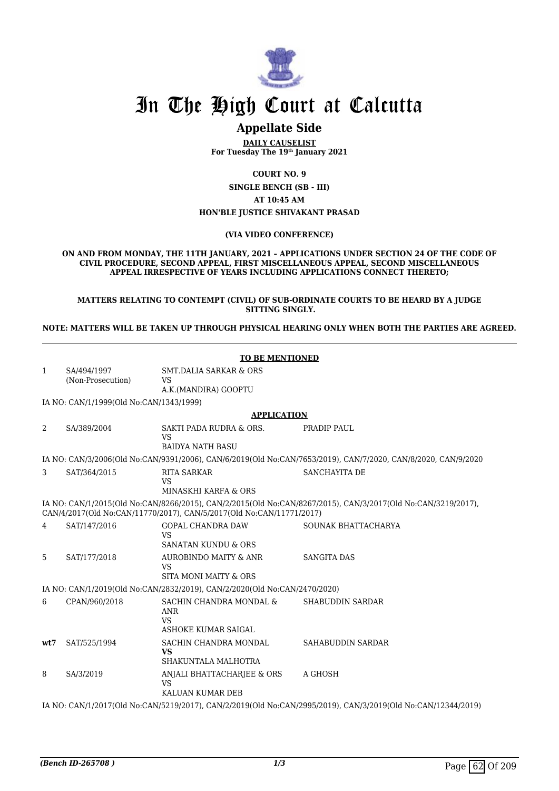

## In The High Court at Calcutta

### **Appellate Side**

**DAILY CAUSELIST For Tuesday The 19th January 2021**

**COURT NO. 9**

**SINGLE BENCH (SB - III) AT 10:45 AM HON'BLE JUSTICE SHIVAKANT PRASAD**

#### **(VIA VIDEO CONFERENCE)**

**ON AND FROM MONDAY, THE 11TH JANUARY, 2021 – APPLICATIONS UNDER SECTION 24 OF THE CODE OF CIVIL PROCEDURE, SECOND APPEAL, FIRST MISCELLANEOUS APPEAL, SECOND MISCELLANEOUS APPEAL IRRESPECTIVE OF YEARS INCLUDING APPLICATIONS CONNECT THERETO;**

**MATTERS RELATING TO CONTEMPT (CIVIL) OF SUB-ORDINATE COURTS TO BE HEARD BY A JUDGE SITTING SINGLY.**

**NOTE: MATTERS WILL BE TAKEN UP THROUGH PHYSICAL HEARING ONLY WHEN BOTH THE PARTIES ARE AGREED.**

|              | <b>TO BE MENTIONED</b>                                                                                       |                                                                           |                                                                                                               |  |
|--------------|--------------------------------------------------------------------------------------------------------------|---------------------------------------------------------------------------|---------------------------------------------------------------------------------------------------------------|--|
| $\mathbf{1}$ | SA/494/1997<br>(Non-Prosecution)                                                                             | <b>SMT.DALIA SARKAR &amp; ORS</b><br><b>VS</b><br>A.K.(MANDIRA) GOOPTU    |                                                                                                               |  |
|              | IA NO: CAN/1/1999(Old No:CAN/1343/1999)                                                                      |                                                                           |                                                                                                               |  |
|              |                                                                                                              | <b>APPLICATION</b>                                                        |                                                                                                               |  |
| 2            | SA/389/2004                                                                                                  | SAKTI PADA RUDRA & ORS.<br><b>VS</b><br><b>BAIDYA NATH BASU</b>           | PRADIP PAUL                                                                                                   |  |
|              |                                                                                                              |                                                                           | IA NO: CAN/3/2006(Old No:CAN/9391/2006), CAN/6/2019(Old No:CAN/7653/2019), CAN/7/2020, CAN/8/2020, CAN/9/2020 |  |
| 3            | SAT/364/2015                                                                                                 | <b>RITA SARKAR</b><br><b>VS</b><br>MINASKHI KARFA & ORS                   | SANCHAYITA DE                                                                                                 |  |
|              |                                                                                                              | CAN/4/2017(Old No:CAN/11770/2017), CAN/5/2017(Old No:CAN/11771/2017)      | IA NO: CAN/1/2015(Old No:CAN/8266/2015), CAN/2/2015(Old No:CAN/8267/2015), CAN/3/2017(Old No:CAN/3219/2017),  |  |
| 4            | SAT/147/2016                                                                                                 | <b>GOPAL CHANDRA DAW</b><br><b>VS</b><br><b>SANATAN KUNDU &amp; ORS</b>   | SOUNAK BHATTACHARYA                                                                                           |  |
| 5            | SAT/177/2018                                                                                                 | AUROBINDO MAITY & ANR<br><b>VS</b><br>SITA MONI MAITY & ORS               | SANGITA DAS                                                                                                   |  |
|              |                                                                                                              | IA NO: CAN/1/2019(Old No:CAN/2832/2019), CAN/2/2020(Old No:CAN/2470/2020) |                                                                                                               |  |
| 6            | CPAN/960/2018                                                                                                | SACHIN CHANDRA MONDAL &<br><b>ANR</b><br><b>VS</b><br>ASHOKE KUMAR SAIGAL | <b>SHABUDDIN SARDAR</b>                                                                                       |  |
| wt7          | SAT/525/1994                                                                                                 | SACHIN CHANDRA MONDAL<br><b>VS</b><br>SHAKUNTALA MALHOTRA                 | SAHABUDDIN SARDAR                                                                                             |  |
| 8            | SA/3/2019                                                                                                    | ANJALI BHATTACHARJEE & ORS<br>VS<br>KALUAN KUMAR DEB                      | A GHOSH                                                                                                       |  |
|              | IA NO: CAN/1/2017(Old No:CAN/5219/2017), CAN/2/2019(Old No:CAN/2995/2019), CAN/3/2019(Old No:CAN/12344/2019) |                                                                           |                                                                                                               |  |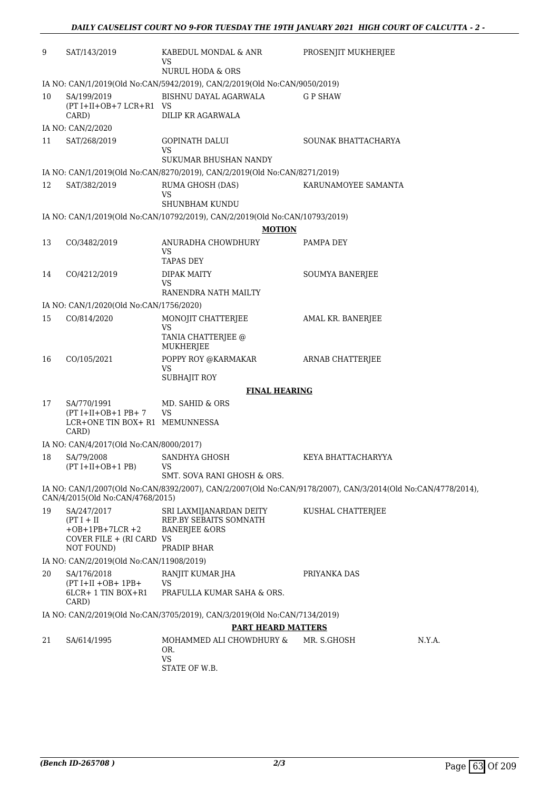| 9  | SAT/143/2019                                                                              | KABEDUL MONDAL & ANR<br>VS<br>NURUL HODA & ORS                                                               | PROSENJIT MUKHERJEE |        |
|----|-------------------------------------------------------------------------------------------|--------------------------------------------------------------------------------------------------------------|---------------------|--------|
|    |                                                                                           | IA NO: CAN/1/2019(Old No:CAN/5942/2019), CAN/2/2019(Old No:CAN/9050/2019)                                    |                     |        |
| 10 | SA/199/2019<br>$(PT I+II+OB+7 LCR+R1$ VS<br>CARD)                                         | BISHNU DAYAL AGARWALA<br>DILIP KR AGARWALA                                                                   | G P SHAW            |        |
|    | IA NO: CAN/2/2020                                                                         |                                                                                                              |                     |        |
| 11 | SAT/268/2019                                                                              | <b>GOPINATH DALUI</b><br><b>VS</b>                                                                           | SOUNAK BHATTACHARYA |        |
|    |                                                                                           | SUKUMAR BHUSHAN NANDY                                                                                        |                     |        |
|    |                                                                                           | IA NO: CAN/1/2019(Old No:CAN/8270/2019), CAN/2/2019(Old No:CAN/8271/2019)                                    |                     |        |
| 12 | SAT/382/2019                                                                              | RUMA GHOSH (DAS)<br><b>VS</b><br>SHUNBHAM KUNDU                                                              | KARUNAMOYEE SAMANTA |        |
|    |                                                                                           | IA NO: CAN/1/2019(Old No:CAN/10792/2019), CAN/2/2019(Old No:CAN/10793/2019)                                  |                     |        |
|    |                                                                                           | <b>MOTION</b>                                                                                                |                     |        |
| 13 | CO/3482/2019                                                                              | ANURADHA CHOWDHURY                                                                                           | PAMPA DEY           |        |
|    |                                                                                           | VS                                                                                                           |                     |        |
|    |                                                                                           | <b>TAPAS DEY</b>                                                                                             |                     |        |
| 14 | CO/4212/2019                                                                              | <b>DIPAK MAITY</b><br>VS<br>RANENDRA NATH MAILTY                                                             | SOUMYA BANERJEE     |        |
|    | IA NO: CAN/1/2020(Old No:CAN/1756/2020)                                                   |                                                                                                              |                     |        |
| 15 | CO/814/2020                                                                               | MONOJIT CHATTERJEE<br><b>VS</b>                                                                              | AMAL KR. BANERJEE   |        |
|    |                                                                                           | TANIA CHATTERJEE @<br><b>MUKHERJEE</b>                                                                       |                     |        |
| 16 | CO/105/2021                                                                               | POPPY ROY @KARMAKAR<br>VS                                                                                    | ARNAB CHATTERJEE    |        |
|    |                                                                                           | <b>SUBHAJIT ROY</b>                                                                                          |                     |        |
|    |                                                                                           | <b>FINAL HEARING</b>                                                                                         |                     |        |
| 17 | SA/770/1991<br>$(PT I+II+OB+1 PB+ 7)$<br>LCR+ONE TIN BOX+ R1 MEMUNNESSA                   | MD. SAHID & ORS<br><b>VS</b>                                                                                 |                     |        |
|    | CARD)                                                                                     |                                                                                                              |                     |        |
|    | IA NO: CAN/4/2017(Old No:CAN/8000/2017)<br>SA/79/2008                                     |                                                                                                              |                     |        |
| 18 | $(PT I+II+OB+1 PB)$                                                                       | SANDHYA GHOSH<br>VS<br>SMT. SOVA RANI GHOSH & ORS.                                                           | KEYA BHATTACHARYYA  |        |
|    |                                                                                           | IA NO: CAN/1/2007(Old No:CAN/8392/2007), CAN/2/2007(Old No:CAN/9178/2007), CAN/3/2014(Old No:CAN/4778/2014), |                     |        |
|    | CAN/4/2015(Old No:CAN/4768/2015)                                                          |                                                                                                              |                     |        |
| 19 | SA/247/2017<br>$(PT I + II$<br>$+OB+1PB+7LCR+2$<br>COVER FILE + (RI CARD VS<br>NOT FOUND) | SRI LAXMIJANARDAN DEITY<br>REP.BY SEBAITS SOMNATH<br><b>BANERJEE &amp;ORS</b><br>PRADIP BHAR                 | KUSHAL CHATTERJEE   |        |
|    | IA NO: CAN/2/2019(Old No:CAN/11908/2019)                                                  |                                                                                                              |                     |        |
| 20 | SA/176/2018                                                                               | RANJIT KUMAR JHA                                                                                             | PRIYANKA DAS        |        |
|    | $(PT I+II +OB+ 1PB+$<br>6LCR+ 1 TIN BOX+R1<br>CARD)                                       | VS<br>PRAFULLA KUMAR SAHA & ORS.                                                                             |                     |        |
|    |                                                                                           | IA NO: CAN/2/2019(Old No:CAN/3705/2019), CAN/3/2019(Old No:CAN/7134/2019)                                    |                     |        |
|    |                                                                                           | <b>PART HEARD MATTERS</b>                                                                                    |                     |        |
| 21 | SA/614/1995                                                                               | MOHAMMED ALI CHOWDHURY &                                                                                     | MR. S.GHOSH         | N.Y.A. |
|    |                                                                                           | OR.<br><b>VS</b><br>STATE OF W.B.                                                                            |                     |        |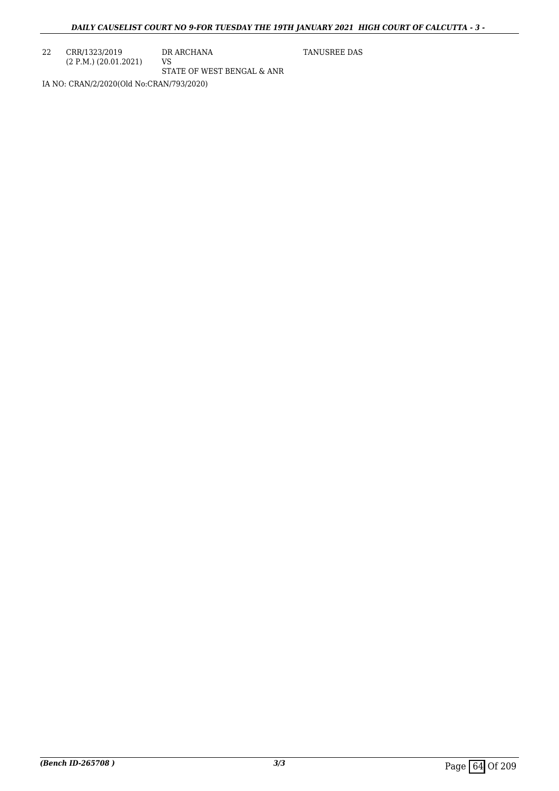22 CRR/1323/2019 (2 P.M.) (20.01.2021) DR ARCHANA VS STATE OF WEST BENGAL & ANR TANUSREE DAS

IA NO: CRAN/2/2020(Old No:CRAN/793/2020)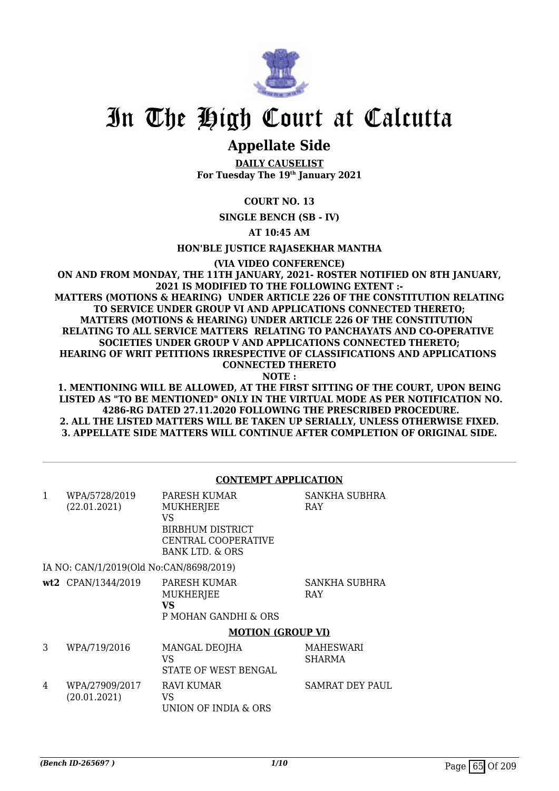

# In The High Court at Calcutta

## **Appellate Side**

**DAILY CAUSELIST For Tuesday The 19th January 2021**

**COURT NO. 13**

**SINGLE BENCH (SB - IV)**

**AT 10:45 AM**

**HON'BLE JUSTICE RAJASEKHAR MANTHA**

**(VIA VIDEO CONFERENCE)**

**ON AND FROM MONDAY, THE 11TH JANUARY, 2021- ROSTER NOTIFIED ON 8TH JANUARY, 2021 IS MODIFIED TO THE FOLLOWING EXTENT :- MATTERS (MOTIONS & HEARING) UNDER ARTICLE 226 OF THE CONSTITUTION RELATING TO SERVICE UNDER GROUP VI AND APPLICATIONS CONNECTED THERETO; MATTERS (MOTIONS & HEARING) UNDER ARTICLE 226 OF THE CONSTITUTION RELATING TO ALL SERVICE MATTERS RELATING TO PANCHAYATS AND CO-OPERATIVE SOCIETIES UNDER GROUP V AND APPLICATIONS CONNECTED THERETO; HEARING OF WRIT PETITIONS IRRESPECTIVE OF CLASSIFICATIONS AND APPLICATIONS CONNECTED THERETO NOTE :**

**1. MENTIONING WILL BE ALLOWED, AT THE FIRST SITTING OF THE COURT, UPON BEING LISTED AS "TO BE MENTIONED" ONLY IN THE VIRTUAL MODE AS PER NOTIFICATION NO. 4286-RG DATED 27.11.2020 FOLLOWING THE PRESCRIBED PROCEDURE. 2. ALL THE LISTED MATTERS WILL BE TAKEN UP SERIALLY, UNLESS OTHERWISE FIXED. 3. APPELLATE SIDE MATTERS WILL CONTINUE AFTER COMPLETION OF ORIGINAL SIDE.**

#### **CONTEMPT APPLICATION**

| 1 | WPA/5728/2019<br>(22.01.2021)           | PARESH KUMAR<br><b>MUKHERJEE</b><br>VS<br><b>BIRBHUM DISTRICT</b><br>CENTRAL COOPERATIVE<br>BANK LTD. & ORS | SANKHA SUBHRA<br><b>RAY</b>       |
|---|-----------------------------------------|-------------------------------------------------------------------------------------------------------------|-----------------------------------|
|   | IA NO: CAN/1/2019(Old No:CAN/8698/2019) |                                                                                                             |                                   |
|   | wt2 CPAN/1344/2019                      | PARESH KUMAR<br><b>MUKHERJEE</b><br>VS<br>P MOHAN GANDHI & ORS                                              | SANKHA SUBHRA<br><b>RAY</b>       |
|   |                                         | <b>MOTION (GROUP VI)</b>                                                                                    |                                   |
| 3 | WPA/719/2016                            | MANGAL DEOJHA<br>VS<br>STATE OF WEST BENGAL                                                                 | <b>MAHESWARI</b><br><b>SHARMA</b> |
| 4 | WPA/27909/2017<br>(20.01.2021)          | <b>RAVI KUMAR</b><br>VS<br>UNION OF INDIA & ORS                                                             | <b>SAMRAT DEY PAUL</b>            |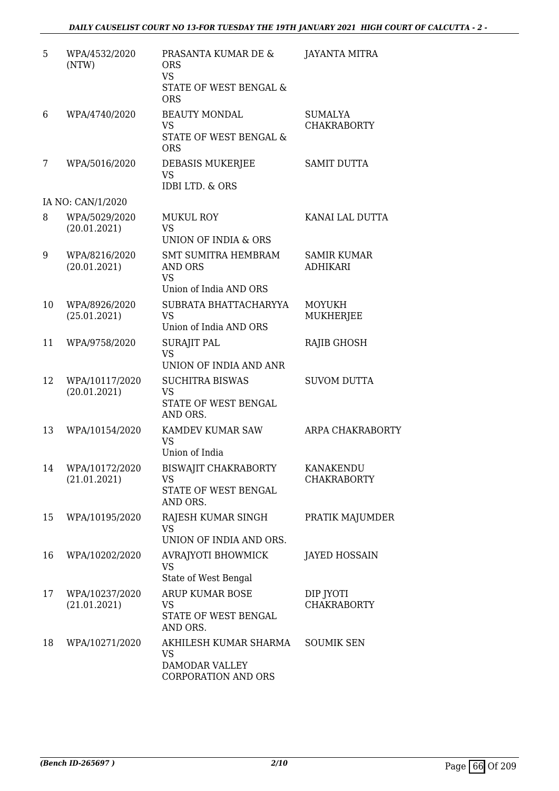| 5  | WPA/4532/2020<br>(NTW)            | PRASANTA KUMAR DE &<br><b>ORS</b><br><b>VS</b><br>STATE OF WEST BENGAL &<br><b>ORS</b> | <b>JAYANTA MITRA</b>                  |
|----|-----------------------------------|----------------------------------------------------------------------------------------|---------------------------------------|
| 6  | WPA/4740/2020                     | <b>BEAUTY MONDAL</b><br><b>VS</b><br>STATE OF WEST BENGAL &<br><b>ORS</b>              | SUMALYA<br><b>CHAKRABORTY</b>         |
| 7  | WPA/5016/2020                     | DEBASIS MUKERJEE<br><b>VS</b><br><b>IDBI LTD. &amp; ORS</b>                            | <b>SAMIT DUTTA</b>                    |
|    | IA NO: CAN/1/2020                 |                                                                                        |                                       |
| 8  | WPA/5029/2020<br>(20.01.2021)     | <b>MUKUL ROY</b><br><b>VS</b><br>UNION OF INDIA & ORS                                  | KANAI LAL DUTTA                       |
| 9  | WPA/8216/2020<br>(20.01.2021)     | <b>SMT SUMITRA HEMBRAM</b><br>AND ORS<br><b>VS</b><br>Union of India AND ORS           | <b>SAMIR KUMAR</b><br><b>ADHIKARI</b> |
| 10 | WPA/8926/2020<br>(25.01.2021)     | SUBRATA BHATTACHARYYA<br><b>VS</b><br>Union of India AND ORS                           | <b>MOYUKH</b><br><b>MUKHERJEE</b>     |
| 11 | WPA/9758/2020                     | <b>SURAJIT PAL</b><br><b>VS</b><br>UNION OF INDIA AND ANR                              | <b>RAJIB GHOSH</b>                    |
| 12 | WPA/10117/2020<br>(20.01.2021)    | <b>SUCHITRA BISWAS</b><br><b>VS</b><br>STATE OF WEST BENGAL<br>AND ORS.                | <b>SUVOM DUTTA</b>                    |
| 13 | WPA/10154/2020                    | KAMDEV KUMAR SAW<br><b>VS</b><br>Union of India                                        | ARPA CHAKRABORTY                      |
|    | 14 WPA/10172/2020<br>(21.01.2021) | BISWAJIT CHAKRABORTY KANAKENDU<br>VS<br>STATE OF WEST BENGAL<br>AND ORS.               | <b>CHAKRABORTY</b>                    |
| 15 | WPA/10195/2020                    | RAJESH KUMAR SINGH<br><b>VS</b><br>UNION OF INDIA AND ORS.                             | PRATIK MAJUMDER                       |
| 16 | WPA/10202/2020                    | <b>AVRAJYOTI BHOWMICK</b><br><b>VS</b><br>State of West Bengal                         | <b>JAYED HOSSAIN</b>                  |
| 17 | WPA/10237/2020<br>(21.01.2021)    | <b>ARUP KUMAR BOSE</b><br>VS<br>STATE OF WEST BENGAL<br>AND ORS.                       | DIP JYOTI<br><b>CHAKRABORTY</b>       |
| 18 | WPA/10271/2020                    | AKHILESH KUMAR SHARMA<br><b>VS</b><br>DAMODAR VALLEY<br>CORPORATION AND ORS            | <b>SOUMIK SEN</b>                     |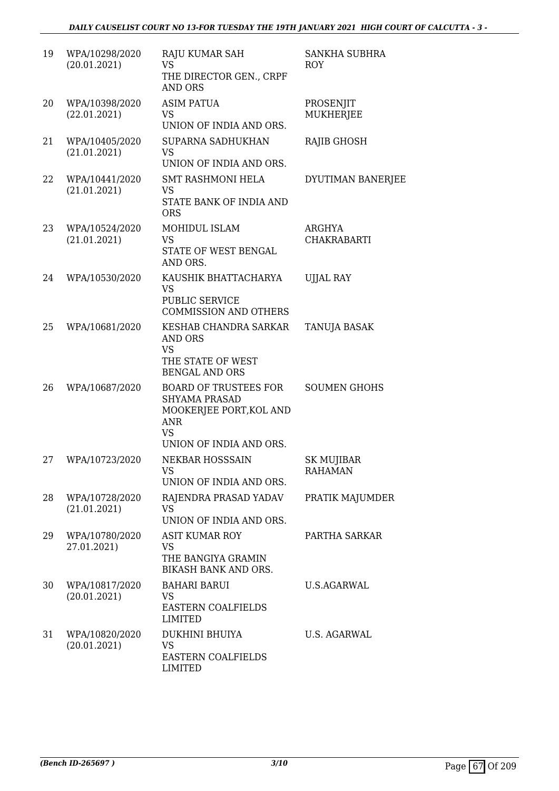#### *DAILY CAUSELIST COURT NO 13-FOR TUESDAY THE 19TH JANUARY 2021 HIGH COURT OF CALCUTTA - 3 -*

| 19 | WPA/10298/2020<br>(20.01.2021) | RAJU KUMAR SAH<br><b>VS</b><br>THE DIRECTOR GEN., CRPF<br><b>AND ORS</b>                                                              | <b>SANKHA SUBHRA</b><br><b>ROY</b>  |
|----|--------------------------------|---------------------------------------------------------------------------------------------------------------------------------------|-------------------------------------|
| 20 | WPA/10398/2020<br>(22.01.2021) | <b>ASIM PATUA</b><br><b>VS</b><br>UNION OF INDIA AND ORS.                                                                             | PROSENJIT<br>MUKHERJEE              |
| 21 | WPA/10405/2020<br>(21.01.2021) | SUPARNA SADHUKHAN<br><b>VS</b><br>UNION OF INDIA AND ORS.                                                                             | RAJIB GHOSH                         |
| 22 | WPA/10441/2020<br>(21.01.2021) | <b>SMT RASHMONI HELA</b><br><b>VS</b><br>STATE BANK OF INDIA AND<br><b>ORS</b>                                                        | DYUTIMAN BANERJEE                   |
| 23 | WPA/10524/2020<br>(21.01.2021) | MOHIDUL ISLAM<br><b>VS</b><br><b>STATE OF WEST BENGAL</b><br>AND ORS.                                                                 | ARGHYA<br><b>CHAKRABARTI</b>        |
| 24 | WPA/10530/2020                 | KAUSHIK BHATTACHARYA<br><b>VS</b><br>PUBLIC SERVICE<br><b>COMMISSION AND OTHERS</b>                                                   | <b>UJJAL RAY</b>                    |
| 25 | WPA/10681/2020                 | KESHAB CHANDRA SARKAR<br><b>AND ORS</b><br><b>VS</b><br>THE STATE OF WEST<br><b>BENGAL AND ORS</b>                                    | TANUJA BASAK                        |
| 26 | WPA/10687/2020                 | <b>BOARD OF TRUSTEES FOR</b><br><b>SHYAMA PRASAD</b><br>MOOKERJEE PORT, KOL AND<br><b>ANR</b><br><b>VS</b><br>UNION OF INDIA AND ORS. | <b>SOUMEN GHOHS</b>                 |
| 27 | WPA/10723/2020                 | <b>NEKBAR HOSSSAIN</b><br><b>VS</b><br>UNION OF INDIA AND ORS.                                                                        | <b>SK MUJIBAR</b><br><b>RAHAMAN</b> |
| 28 | WPA/10728/2020<br>(21.01.2021) | RAJENDRA PRASAD YADAV<br><b>VS</b><br>UNION OF INDIA AND ORS.                                                                         | PRATIK MAJUMDER                     |
| 29 | WPA/10780/2020<br>27.01.2021)  | <b>ASIT KUMAR ROY</b><br><b>VS</b><br>THE BANGIYA GRAMIN<br>BIKASH BANK AND ORS.                                                      | PARTHA SARKAR                       |
| 30 | WPA/10817/2020<br>(20.01.2021) | <b>BAHARI BARUI</b><br><b>VS</b><br>EASTERN COALFIELDS<br><b>LIMITED</b>                                                              | U.S.AGARWAL                         |
| 31 | WPA/10820/2020<br>(20.01.2021) | <b>DUKHINI BHUIYA</b><br><b>VS</b><br>EASTERN COALFIELDS<br><b>LIMITED</b>                                                            | U.S. AGARWAL                        |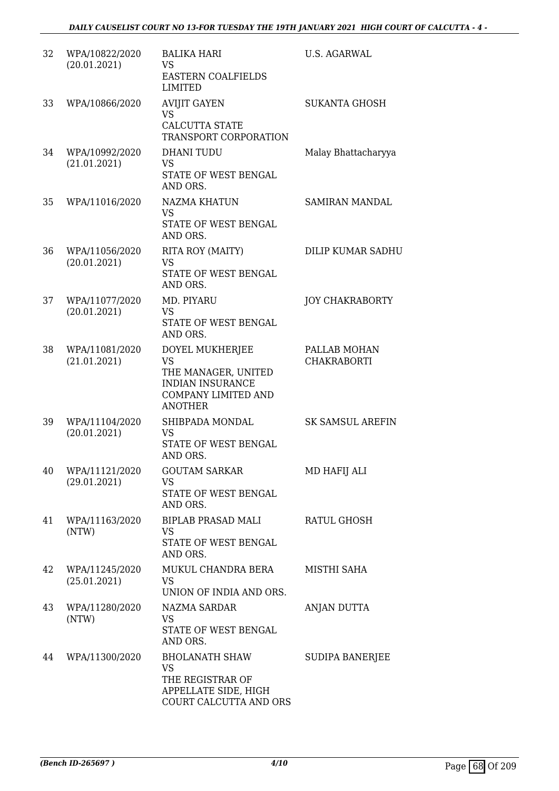| 32 | WPA/10822/2020<br>(20.01.2021) | <b>BALIKA HARI</b><br><b>VS</b><br><b>EASTERN COALFIELDS</b><br><b>LIMITED</b>                                                 | <b>U.S. AGARWAL</b>                |
|----|--------------------------------|--------------------------------------------------------------------------------------------------------------------------------|------------------------------------|
| 33 | WPA/10866/2020                 | <b>AVIJIT GAYEN</b><br>VS.<br><b>CALCUTTA STATE</b><br>TRANSPORT CORPORATION                                                   | <b>SUKANTA GHOSH</b>               |
| 34 | WPA/10992/2020<br>(21.01.2021) | DHANI TUDU<br>VS<br>STATE OF WEST BENGAL<br>AND ORS.                                                                           | Malay Bhattacharyya                |
| 35 | WPA/11016/2020                 | <b>NAZMA KHATUN</b><br>VS.<br>STATE OF WEST BENGAL<br>AND ORS.                                                                 | SAMIRAN MANDAL                     |
| 36 | WPA/11056/2020<br>(20.01.2021) | RITA ROY (MAITY)<br><b>VS</b><br>STATE OF WEST BENGAL<br>AND ORS.                                                              | DILIP KUMAR SADHU                  |
| 37 | WPA/11077/2020<br>(20.01.2021) | MD. PIYARU<br>VS<br>STATE OF WEST BENGAL<br>AND ORS.                                                                           | <b>JOY CHAKRABORTY</b>             |
| 38 | WPA/11081/2020<br>(21.01.2021) | DOYEL MUKHERJEE<br><b>VS</b><br>THE MANAGER, UNITED<br><b>INDIAN INSURANCE</b><br><b>COMPANY LIMITED AND</b><br><b>ANOTHER</b> | PALLAB MOHAN<br><b>CHAKRABORTI</b> |
| 39 | WPA/11104/2020<br>(20.01.2021) | SHIBPADA MONDAL<br>VS<br>STATE OF WEST BENGAL<br>AND ORS.                                                                      | <b>SK SAMSUL AREFIN</b>            |
| 40 | WPA/11121/2020<br>(29.01.2021) | <b>GOUTAM SARKAR</b><br><b>VS</b><br>STATE OF WEST BENGAL<br>AND ORS.                                                          | MD HAFIJ ALI                       |
| 41 | WPA/11163/2020<br>(NTW)        | BIPLAB PRASAD MALI<br>VS<br>STATE OF WEST BENGAL<br>AND ORS.                                                                   | RATUL GHOSH                        |
| 42 | WPA/11245/2020<br>(25.01.2021) | MUKUL CHANDRA BERA<br>VS<br>UNION OF INDIA AND ORS.                                                                            | MISTHI SAHA                        |
| 43 | WPA/11280/2020<br>(NTW)        | NAZMA SARDAR<br><b>VS</b><br>STATE OF WEST BENGAL<br>AND ORS.                                                                  | ANJAN DUTTA                        |
| 44 | WPA/11300/2020                 | <b>BHOLANATH SHAW</b><br><b>VS</b><br>THE REGISTRAR OF<br>APPELLATE SIDE, HIGH<br>COURT CALCUTTA AND ORS                       | <b>SUDIPA BANERJEE</b>             |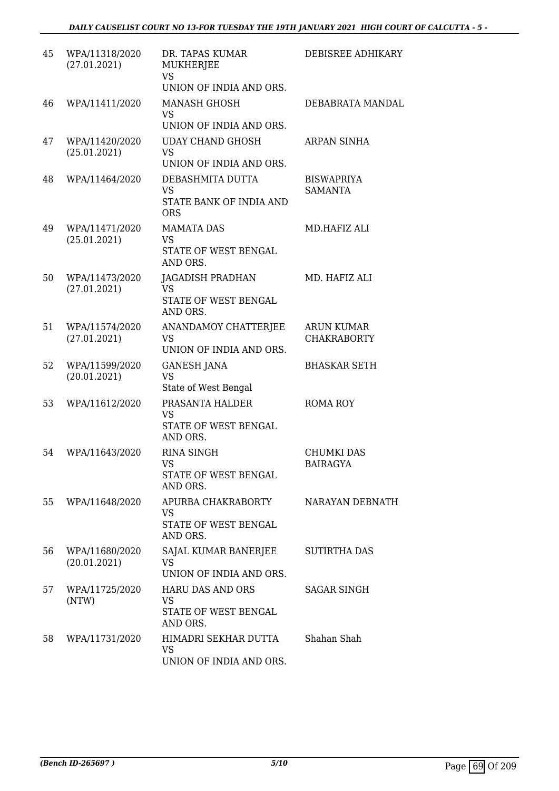| 45 | WPA/11318/2020<br>(27.01.2021) | DR. TAPAS KUMAR<br>MUKHERJEE<br><b>VS</b><br>UNION OF INDIA AND ORS.   | DEBISREE ADHIKARY                       |
|----|--------------------------------|------------------------------------------------------------------------|-----------------------------------------|
| 46 | WPA/11411/2020                 | <b>MANASH GHOSH</b><br><b>VS</b><br>UNION OF INDIA AND ORS.            | DEBABRATA MANDAL                        |
| 47 | WPA/11420/2020<br>(25.01.2021) | <b>UDAY CHAND GHOSH</b><br><b>VS</b><br>UNION OF INDIA AND ORS.        | ARPAN SINHA                             |
| 48 | WPA/11464/2020                 | DEBASHMITA DUTTA<br><b>VS</b><br>STATE BANK OF INDIA AND<br><b>ORS</b> | <b>BISWAPRIYA</b><br><b>SAMANTA</b>     |
| 49 | WPA/11471/2020<br>(25.01.2021) | <b>MAMATA DAS</b><br><b>VS</b><br>STATE OF WEST BENGAL<br>AND ORS.     | MD.HAFIZ ALI                            |
| 50 | WPA/11473/2020<br>(27.01.2021) | JAGADISH PRADHAN<br><b>VS</b><br>STATE OF WEST BENGAL<br>AND ORS.      | MD. HAFIZ ALI                           |
| 51 | WPA/11574/2020<br>(27.01.2021) | ANANDAMOY CHATTERJEE<br><b>VS</b><br>UNION OF INDIA AND ORS.           | <b>ARUN KUMAR</b><br><b>CHAKRABORTY</b> |
| 52 | WPA/11599/2020<br>(20.01.2021) | <b>GANESH JANA</b><br>VS<br>State of West Bengal                       | <b>BHASKAR SETH</b>                     |
| 53 | WPA/11612/2020                 | PRASANTA HALDER<br><b>VS</b><br>STATE OF WEST BENGAL<br>AND ORS.       | <b>ROMA ROY</b>                         |
| 54 | WPA/11643/2020                 | <b>RINA SINGH</b><br>VS.<br>STATE OF WEST BENGAL<br>AND ORS.           | <b>CHUMKI DAS</b><br><b>BAIRAGYA</b>    |
| 55 | WPA/11648/2020                 | APURBA CHAKRABORTY<br><b>VS</b><br>STATE OF WEST BENGAL<br>AND ORS.    | NARAYAN DEBNATH                         |
| 56 | WPA/11680/2020<br>(20.01.2021) | SAJAL KUMAR BANERJEE<br><b>VS</b><br>UNION OF INDIA AND ORS.           | <b>SUTIRTHA DAS</b>                     |
| 57 | WPA/11725/2020<br>(NTW)        | HARU DAS AND ORS<br><b>VS</b><br>STATE OF WEST BENGAL<br>AND ORS.      | SAGAR SINGH                             |
| 58 | WPA/11731/2020                 | HIMADRI SEKHAR DUTTA<br><b>VS</b><br>UNION OF INDIA AND ORS.           | Shahan Shah                             |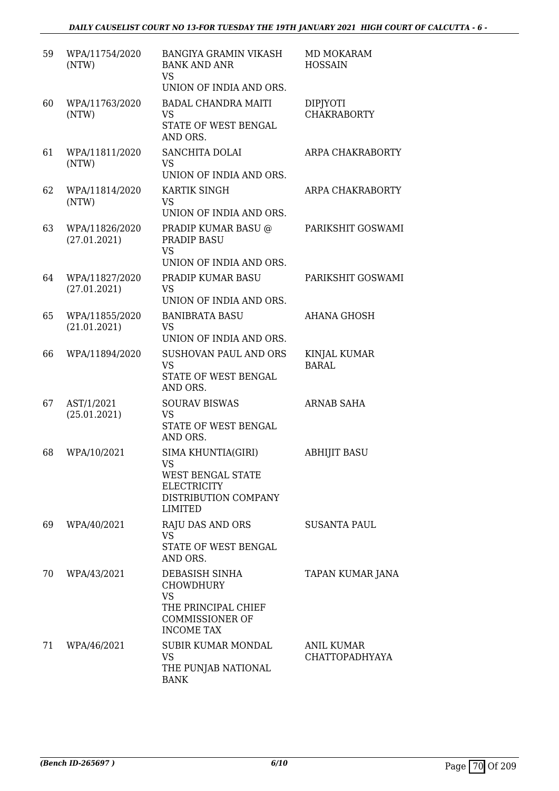| 59 | WPA/11754/2020<br>(NTW)        | <b>BANGIYA GRAMIN VIKASH</b><br><b>BANK AND ANR</b><br><b>VS</b><br>UNION OF INDIA AND ORS.                            | MD MOKARAM<br><b>HOSSAIN</b>          |
|----|--------------------------------|------------------------------------------------------------------------------------------------------------------------|---------------------------------------|
| 60 | WPA/11763/2020<br>(NTW)        | <b>BADAL CHANDRA MAITI</b><br><b>VS</b><br>STATE OF WEST BENGAL<br>AND ORS.                                            | <b>DIPJYOTI</b><br><b>CHAKRABORTY</b> |
| 61 | WPA/11811/2020<br>(NTW)        | <b>SANCHITA DOLAI</b><br><b>VS</b><br>UNION OF INDIA AND ORS.                                                          | ARPA CHAKRABORTY                      |
| 62 | WPA/11814/2020<br>(NTW)        | KARTIK SINGH<br><b>VS</b><br>UNION OF INDIA AND ORS.                                                                   | ARPA CHAKRABORTY                      |
| 63 | WPA/11826/2020<br>(27.01.2021) | PRADIP KUMAR BASU @<br><b>PRADIP BASU</b><br><b>VS</b><br>UNION OF INDIA AND ORS.                                      | PARIKSHIT GOSWAMI                     |
| 64 | WPA/11827/2020<br>(27.01.2021) | PRADIP KUMAR BASU<br><b>VS</b><br>UNION OF INDIA AND ORS.                                                              | PARIKSHIT GOSWAMI                     |
| 65 | WPA/11855/2020<br>(21.01.2021) | <b>BANIBRATA BASU</b><br><b>VS</b><br>UNION OF INDIA AND ORS.                                                          | <b>AHANA GHOSH</b>                    |
| 66 | WPA/11894/2020                 | SUSHOVAN PAUL AND ORS<br><b>VS</b><br>STATE OF WEST BENGAL<br>AND ORS.                                                 | <b>KINJAL KUMAR</b><br><b>BARAL</b>   |
| 67 | AST/1/2021<br>(25.01.2021)     | <b>SOURAV BISWAS</b><br><b>VS</b><br>STATE OF WEST BENGAL<br>AND ORS.                                                  | <b>ARNAB SAHA</b>                     |
| 68 | WPA/10/2021                    | SIMA KHUNTIA(GIRI)<br>VS —<br><b>WEST BENGAL STATE</b><br><b>ELECTRICITY</b><br>DISTRIBUTION COMPANY<br><b>LIMITED</b> | <b>ABHIJIT BASU</b>                   |
| 69 | WPA/40/2021                    | RAJU DAS AND ORS<br>VS.<br>STATE OF WEST BENGAL<br>AND ORS.                                                            | <b>SUSANTA PAUL</b>                   |
| 70 | WPA/43/2021                    | DEBASISH SINHA<br><b>CHOWDHURY</b><br><b>VS</b><br>THE PRINCIPAL CHIEF<br><b>COMMISSIONER OF</b><br><b>INCOME TAX</b>  | TAPAN KUMAR JANA                      |
| 71 | WPA/46/2021                    | <b>SUBIR KUMAR MONDAL</b><br><b>VS</b><br>THE PUNJAB NATIONAL<br><b>BANK</b>                                           | ANIL KUMAR<br><b>CHATTOPADHYAYA</b>   |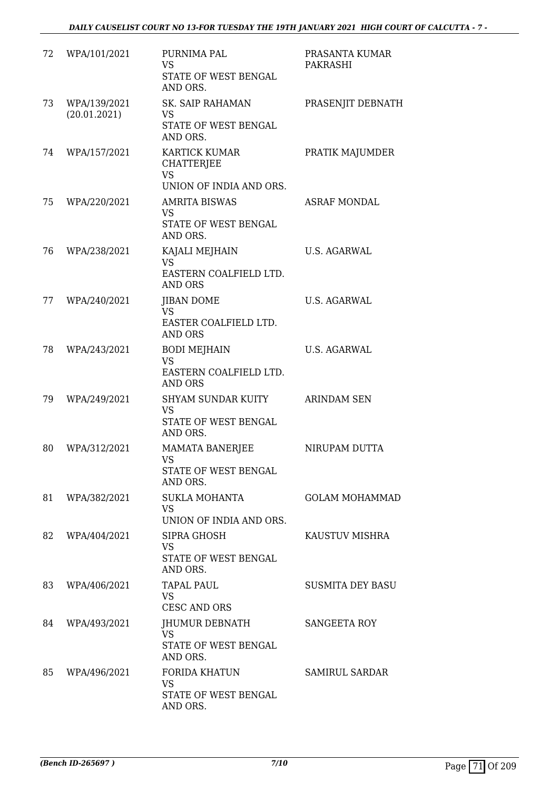| 72 | WPA/101/2021                 | PURNIMA PAL<br><b>VS</b><br>STATE OF WEST BENGAL<br>AND ORS.                      | PRASANTA KUMAR<br>PAKRASHI |
|----|------------------------------|-----------------------------------------------------------------------------------|----------------------------|
| 73 | WPA/139/2021<br>(20.01.2021) | <b>SK. SAIP RAHAMAN</b><br><b>VS</b><br>STATE OF WEST BENGAL<br>AND ORS.          | PRASENJIT DEBNATH          |
| 74 | WPA/157/2021                 | <b>KARTICK KUMAR</b><br><b>CHATTERJEE</b><br><b>VS</b><br>UNION OF INDIA AND ORS. | PRATIK MAJUMDER            |
| 75 | WPA/220/2021                 | <b>AMRITA BISWAS</b><br><b>VS</b><br>STATE OF WEST BENGAL<br>AND ORS.             | <b>ASRAF MONDAL</b>        |
| 76 | WPA/238/2021                 | KAJALI MEJHAIN<br><b>VS</b><br>EASTERN COALFIELD LTD.<br><b>AND ORS</b>           | <b>U.S. AGARWAL</b>        |
| 77 | WPA/240/2021                 | <b>JIBAN DOME</b><br><b>VS</b><br>EASTER COALFIELD LTD.<br><b>AND ORS</b>         | <b>U.S. AGARWAL</b>        |
| 78 | WPA/243/2021                 | <b>BODI MEJHAIN</b><br><b>VS</b><br>EASTERN COALFIELD LTD.<br><b>AND ORS</b>      | <b>U.S. AGARWAL</b>        |
| 79 | WPA/249/2021                 | <b>SHYAM SUNDAR KUITY</b><br>VS<br>STATE OF WEST BENGAL<br>AND ORS.               | <b>ARINDAM SEN</b>         |
| 80 | WPA/312/2021                 | <b>MAMATA BANERJEE</b><br><b>VS</b><br><b>STATE OF WEST BENGAL</b><br>AND ORS.    | NIRUPAM DUTTA              |
| 81 | WPA/382/2021                 | <b>SUKLA MOHANTA</b><br><b>VS</b><br>UNION OF INDIA AND ORS.                      | <b>GOLAM MOHAMMAD</b>      |
| 82 | WPA/404/2021                 | SIPRA GHOSH<br><b>VS</b><br>STATE OF WEST BENGAL<br>AND ORS.                      | KAUSTUV MISHRA             |
| 83 | WPA/406/2021                 | TAPAL PAUL<br><b>VS</b><br><b>CESC AND ORS</b>                                    | <b>SUSMITA DEY BASU</b>    |
| 84 | WPA/493/2021                 | JHUMUR DEBNATH<br><b>VS</b><br>STATE OF WEST BENGAL<br>AND ORS.                   | SANGEETA ROY               |
| 85 | WPA/496/2021                 | <b>FORIDA KHATUN</b><br><b>VS</b><br>STATE OF WEST BENGAL<br>AND ORS.             | <b>SAMIRUL SARDAR</b>      |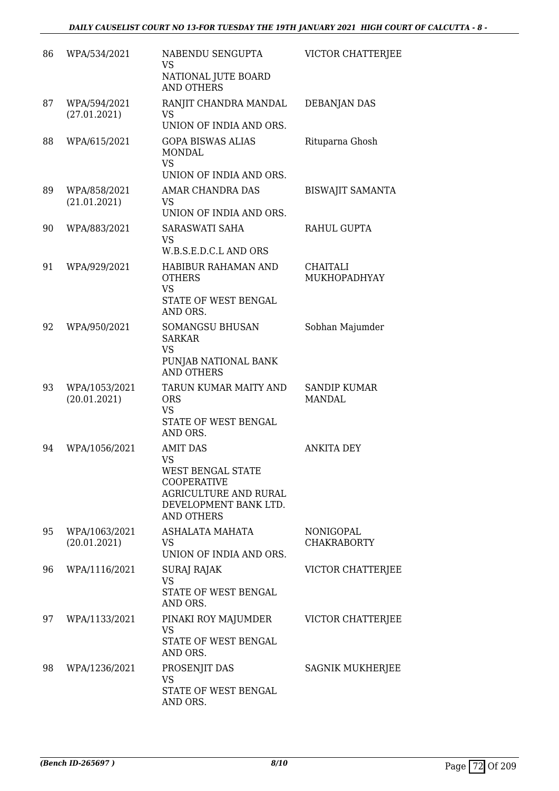| 86 | WPA/534/2021                  | NABENDU SENGUPTA<br><b>VS</b><br>NATIONAL JUTE BOARD                                                                                           | VICTOR CHATTERIEE                      |
|----|-------------------------------|------------------------------------------------------------------------------------------------------------------------------------------------|----------------------------------------|
| 87 | WPA/594/2021<br>(27.01.2021)  | <b>AND OTHERS</b><br>RANJIT CHANDRA MANDAL<br>VS                                                                                               | <b>DEBANJAN DAS</b>                    |
|    |                               | UNION OF INDIA AND ORS.                                                                                                                        |                                        |
| 88 | WPA/615/2021                  | <b>GOPA BISWAS ALIAS</b><br>MONDAL<br><b>VS</b><br>UNION OF INDIA AND ORS.                                                                     | Rituparna Ghosh                        |
| 89 | WPA/858/2021<br>(21.01.2021)  | <b>AMAR CHANDRA DAS</b><br>VS<br>UNION OF INDIA AND ORS.                                                                                       | <b>BISWAJIT SAMANTA</b>                |
| 90 | WPA/883/2021                  | SARASWATI SAHA<br><b>VS</b><br>W.B.S.E.D.C.L AND ORS                                                                                           | RAHUL GUPTA                            |
| 91 | WPA/929/2021                  | HABIBUR RAHAMAN AND<br><b>OTHERS</b><br><b>VS</b><br>STATE OF WEST BENGAL<br>AND ORS.                                                          | CHAITALI<br>MUKHOPADHYAY               |
| 92 | WPA/950/2021                  | <b>SOMANGSU BHUSAN</b><br><b>SARKAR</b><br>VS<br>PUNJAB NATIONAL BANK<br><b>AND OTHERS</b>                                                     | Sobhan Majumder                        |
| 93 | WPA/1053/2021<br>(20.01.2021) | TARUN KUMAR MAITY AND<br><b>ORS</b><br><b>VS</b><br>STATE OF WEST BENGAL<br>AND ORS.                                                           | <b>SANDIP KUMAR</b><br><b>MANDAL</b>   |
| 94 | WPA/1056/2021                 | <b>AMIT DAS</b><br><b>VS</b><br>WEST BENGAL STATE<br><b>COOPERATIVE</b><br>AGRICULTURE AND RURAL<br>DEVELOPMENT BANK LTD.<br><b>AND OTHERS</b> | <b>ANKITA DEY</b>                      |
| 95 | WPA/1063/2021<br>(20.01.2021) | ASHALATA MAHATA<br>VS<br>UNION OF INDIA AND ORS.                                                                                               | <b>NONIGOPAL</b><br><b>CHAKRABORTY</b> |
| 96 | WPA/1116/2021                 | <b>SURAJ RAJAK</b><br><b>VS</b><br>STATE OF WEST BENGAL<br>AND ORS.                                                                            | VICTOR CHATTERJEE                      |
| 97 | WPA/1133/2021                 | PINAKI ROY MAJUMDER<br><b>VS</b><br>STATE OF WEST BENGAL<br>AND ORS.                                                                           | VICTOR CHATTERJEE                      |
| 98 | WPA/1236/2021                 | PROSENJIT DAS<br>VS<br>STATE OF WEST BENGAL<br>AND ORS.                                                                                        | SAGNIK MUKHERJEE                       |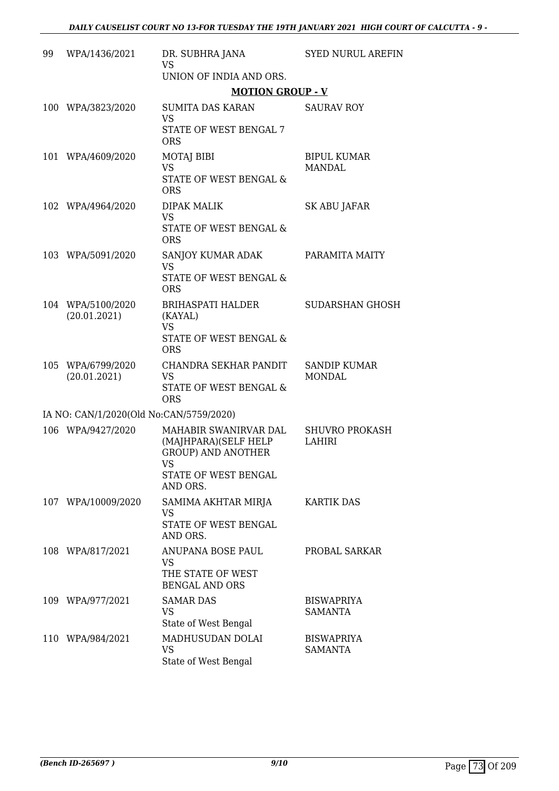| 99 | WPA/1436/2021                           | DR. SUBHRA JANA<br>VS.                                                                                                 | <b>SYED NURUL AREFIN</b>               |
|----|-----------------------------------------|------------------------------------------------------------------------------------------------------------------------|----------------------------------------|
|    |                                         | UNION OF INDIA AND ORS.                                                                                                |                                        |
|    |                                         | <b>MOTION GROUP - V</b>                                                                                                |                                        |
|    | 100 WPA/3823/2020                       | <b>SUMITA DAS KARAN</b><br><b>VS</b><br>STATE OF WEST BENGAL 7                                                         | <b>SAURAV ROY</b>                      |
|    | 101 WPA/4609/2020                       | <b>ORS</b><br>MOTAJ BIBI<br><b>VS</b><br><b>STATE OF WEST BENGAL &amp;</b><br><b>ORS</b>                               | <b>BIPUL KUMAR</b><br><b>MANDAL</b>    |
|    | 102 WPA/4964/2020                       | DIPAK MALIK<br><b>VS</b><br><b>STATE OF WEST BENGAL &amp;</b><br><b>ORS</b>                                            | SK ABU JAFAR                           |
|    | 103 WPA/5091/2020                       | SANJOY KUMAR ADAK<br><b>VS</b><br>STATE OF WEST BENGAL &<br><b>ORS</b>                                                 | PARAMITA MAITY                         |
|    | 104 WPA/5100/2020<br>(20.01.2021)       | <b>BRIHASPATI HALDER</b><br>(KAYAL)<br><b>VS</b><br>STATE OF WEST BENGAL &<br><b>ORS</b>                               | <b>SUDARSHAN GHOSH</b>                 |
|    | 105 WPA/6799/2020<br>(20.01.2021)       | CHANDRA SEKHAR PANDIT<br><b>VS</b><br>STATE OF WEST BENGAL &<br><b>ORS</b>                                             | <b>SANDIP KUMAR</b><br><b>MONDAL</b>   |
|    | IA NO: CAN/1/2020(Old No:CAN/5759/2020) |                                                                                                                        |                                        |
|    | 106 WPA/9427/2020                       | MAHABIR SWANIRVAR DAL<br>(MAJHPARA)(SELF HELP<br><b>GROUP) AND ANOTHER</b><br>VS —<br>STATE OF WEST BENGAL<br>AND ORS. | <b>SHUVRO PROKASH</b><br><b>LAHIRI</b> |
|    | 107 WPA/10009/2020                      | SAMIMA AKHTAR MIRJA<br><b>VS</b><br>STATE OF WEST BENGAL<br>AND ORS.                                                   | <b>KARTIK DAS</b>                      |
|    | 108 WPA/817/2021                        | ANUPANA BOSE PAUL<br><b>VS</b><br>THE STATE OF WEST<br><b>BENGAL AND ORS</b>                                           | PROBAL SARKAR                          |
|    | 109 WPA/977/2021                        | <b>SAMAR DAS</b><br>VS<br>State of West Bengal                                                                         | <b>BISWAPRIYA</b><br>SAMANTA           |
|    | 110 WPA/984/2021                        | MADHUSUDAN DOLAI<br><b>VS</b><br>State of West Bengal                                                                  | <b>BISWAPRIYA</b><br><b>SAMANTA</b>    |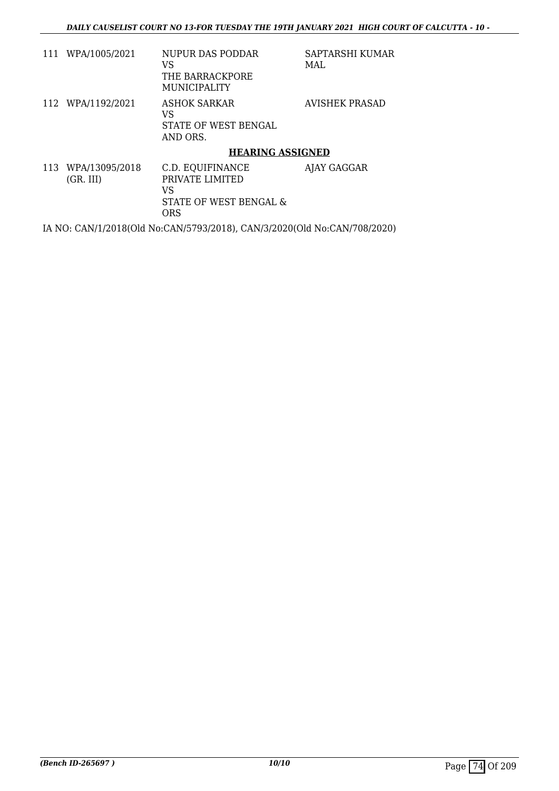| 111 WPA/1005/2021               | NUPUR DAS PODDAR<br>VS<br>THE BARRACKPORE<br><b>MUNICIPALITY</b>                  | SAPTARSHI KUMAR<br>MAL. |
|---------------------------------|-----------------------------------------------------------------------------------|-------------------------|
| 112 WPA/1192/2021               | ASHOK SARKAR<br>VS<br>STATE OF WEST BENGAL<br>AND ORS.                            | AVISHEK PRASAD          |
|                                 | <b>HEARING ASSIGNED</b>                                                           |                         |
| 113 WPA/13095/2018<br>(GR. III) | C.D. EQUIFINANCE<br>PRIVATE LIMITED<br>VS<br>STATE OF WEST BENGAL &<br><b>ORS</b> | AJAY GAGGAR             |

IA NO: CAN/1/2018(Old No:CAN/5793/2018), CAN/3/2020(Old No:CAN/708/2020)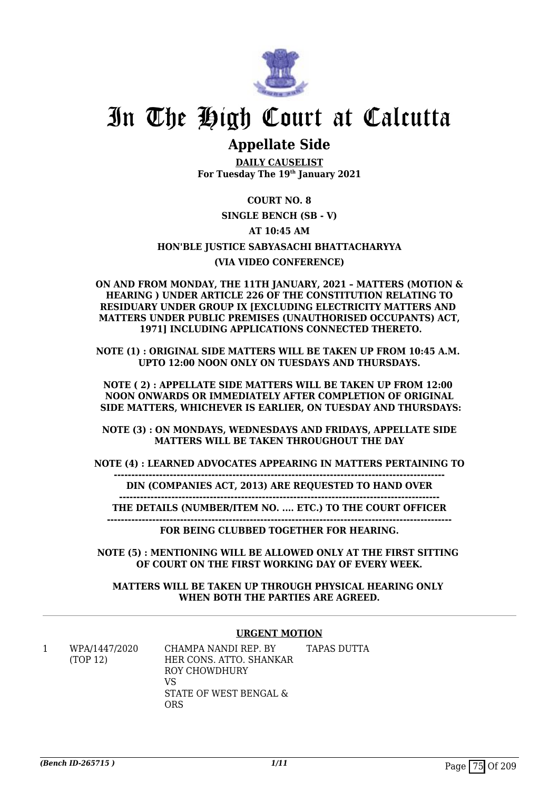

# In The High Court at Calcutta

# **Appellate Side**

**DAILY CAUSELIST For Tuesday The 19th January 2021**

## **COURT NO. 8**

## **SINGLE BENCH (SB - V)**

## **AT 10:45 AM**

# **HON'BLE JUSTICE SABYASACHI BHATTACHARYYA**

## **(VIA VIDEO CONFERENCE)**

**ON AND FROM MONDAY, THE 11TH JANUARY, 2021 – MATTERS (MOTION & HEARING ) UNDER ARTICLE 226 OF THE CONSTITUTION RELATING TO RESIDUARY UNDER GROUP IX [EXCLUDING ELECTRICITY MATTERS AND MATTERS UNDER PUBLIC PREMISES (UNAUTHORISED OCCUPANTS) ACT, 1971] INCLUDING APPLICATIONS CONNECTED THERETO.**

**NOTE (1) : ORIGINAL SIDE MATTERS WILL BE TAKEN UP FROM 10:45 A.M. UPTO 12:00 NOON ONLY ON TUESDAYS AND THURSDAYS.**

**NOTE ( 2) : APPELLATE SIDE MATTERS WILL BE TAKEN UP FROM 12:00 NOON ONWARDS OR IMMEDIATELY AFTER COMPLETION OF ORIGINAL SIDE MATTERS, WHICHEVER IS EARLIER, ON TUESDAY AND THURSDAYS:**

**NOTE (3) : ON MONDAYS, WEDNESDAYS AND FRIDAYS, APPELLATE SIDE MATTERS WILL BE TAKEN THROUGHOUT THE DAY**

**NOTE (4) : LEARNED ADVOCATES APPEARING IN MATTERS PERTAINING TO**

**-----------------------------------------------------------------------------------------------**

**DIN (COMPANIES ACT, 2013) ARE REQUESTED TO HAND OVER**

**--------------------------------------------------------------------------------------------**

**THE DETAILS (NUMBER/ITEM NO. .... ETC.) TO THE COURT OFFICER ---------------------------------------------------------------------------------------------------**

**FOR BEING CLUBBED TOGETHER FOR HEARING.**

**NOTE (5) : MENTIONING WILL BE ALLOWED ONLY AT THE FIRST SITTING OF COURT ON THE FIRST WORKING DAY OF EVERY WEEK.**

### **MATTERS WILL BE TAKEN UP THROUGH PHYSICAL HEARING ONLY WHEN BOTH THE PARTIES ARE AGREED.**

### **URGENT MOTION**

| WPA/1447/2020 | CHAMPA NANDI REP. BY    | TAPAS DUTTA |
|---------------|-------------------------|-------------|
| (TOP 12)      | HER CONS. ATTO. SHANKAR |             |
|               | ROY CHOWDHURY           |             |
|               | VS                      |             |
|               | STATE OF WEST BENGAL &  |             |
|               | ORS                     |             |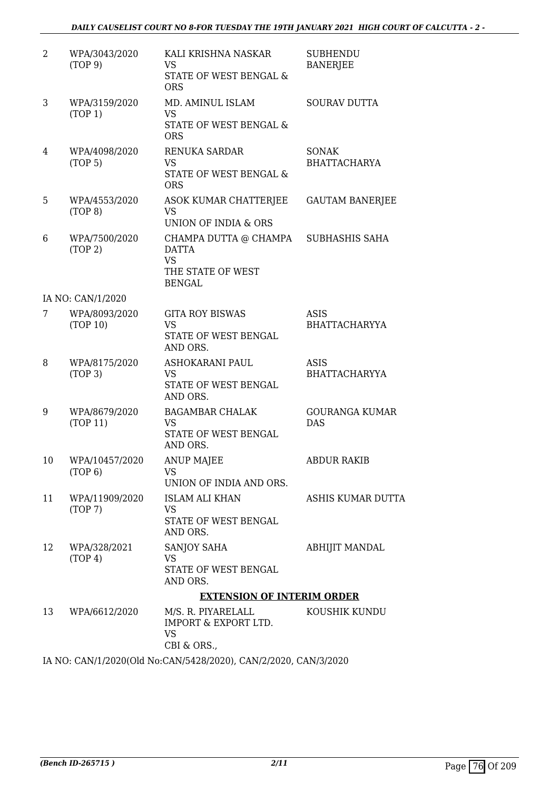### *DAILY CAUSELIST COURT NO 8-FOR TUESDAY THE 19TH JANUARY 2021 HIGH COURT OF CALCUTTA - 2 -*

| 2  | WPA/3043/2020<br>(TOP 9)             | KALI KRISHNA NASKAR<br>VS<br>STATE OF WEST BENGAL &<br><b>ORS</b>                        | <b>SUBHENDU</b><br><b>BANERJEE</b>  |
|----|--------------------------------------|------------------------------------------------------------------------------------------|-------------------------------------|
| 3  | WPA/3159/2020<br>(TOP 1)             | MD. AMINUL ISLAM<br><b>VS</b><br>STATE OF WEST BENGAL &<br><b>ORS</b>                    | <b>SOURAV DUTTA</b>                 |
| 4  | WPA/4098/2020<br>(TOP <sub>5</sub> ) | RENUKA SARDAR<br><b>VS</b><br>STATE OF WEST BENGAL &<br><b>ORS</b>                       | <b>SONAK</b><br><b>BHATTACHARYA</b> |
| 5  | WPA/4553/2020<br>(TOP 8)             | ASOK KUMAR CHATTERJEE<br>VS<br>UNION OF INDIA & ORS                                      | <b>GAUTAM BANERJEE</b>              |
| 6  | WPA/7500/2020<br>(TOP 2)             | CHAMPA DUTTA @ CHAMPA<br><b>DATTA</b><br><b>VS</b><br>THE STATE OF WEST<br><b>BENGAL</b> | SUBHASHIS SAHA                      |
|    | IA NO: CAN/1/2020                    |                                                                                          |                                     |
| 7  | WPA/8093/2020<br>(TOP 10)            | <b>GITA ROY BISWAS</b><br><b>VS</b><br>STATE OF WEST BENGAL<br>AND ORS.                  | <b>ASIS</b><br><b>BHATTACHARYYA</b> |
| 8  | WPA/8175/2020<br>(TOP 3)             | ASHOKARANI PAUL<br><b>VS</b><br>STATE OF WEST BENGAL<br>AND ORS.                         | <b>ASIS</b><br><b>BHATTACHARYYA</b> |
| 9  | WPA/8679/2020<br>(TOP 11)            | <b>BAGAMBAR CHALAK</b><br>VS<br>STATE OF WEST BENGAL<br>AND ORS.                         | <b>GOURANGA KUMAR</b><br><b>DAS</b> |
| 10 | WPA/10457/2020<br>(TOP 6)            | <b>ANUP MAJEE</b><br>VS<br>UNION OF INDIA AND ORS.                                       | <b>ABDUR RAKIB</b>                  |
| 11 | WPA/11909/2020<br>(TOP7)             | <b>ISLAM ALI KHAN</b><br>VS<br>STATE OF WEST BENGAL<br>AND ORS.                          | <b>ASHIS KUMAR DUTTA</b>            |
| 12 | WPA/328/2021<br>(TOP 4)              | SANJOY SAHA<br>VS<br>STATE OF WEST BENGAL<br>AND ORS.                                    | ABHIJIT MANDAL                      |
|    |                                      | <b>EXTENSION OF INTERIM ORDER</b>                                                        |                                     |
| 13 | WPA/6612/2020                        | M/S. R. PIYARELALL<br><b>IMPORT &amp; EXPORT LTD.</b><br><b>VS</b><br>CBI & ORS.,        | KOUSHIK KUNDU                       |

IA NO: CAN/1/2020(Old No:CAN/5428/2020), CAN/2/2020, CAN/3/2020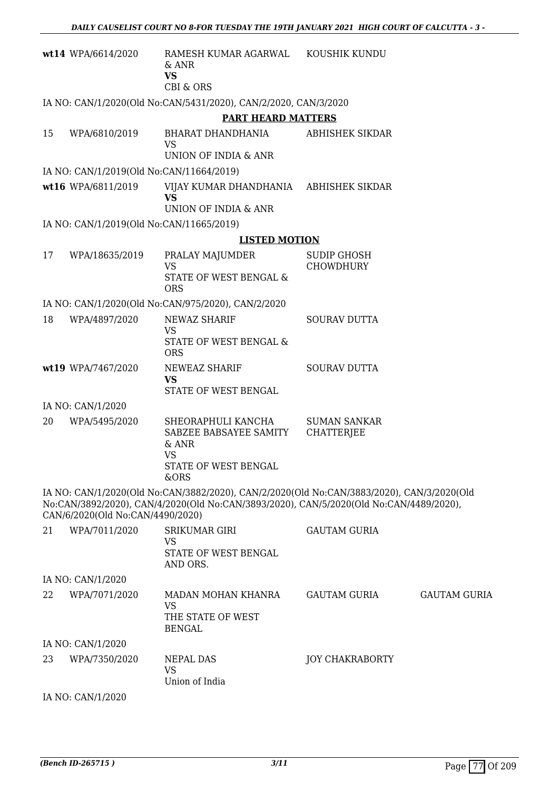|    | wt14 WPA/6614/2020                       | RAMESH KUMAR AGARWAL KOUSHIK KUNDU<br>& ANR<br><b>VS</b><br><b>CBI &amp; ORS</b>                                                                                                    |                                   |                     |
|----|------------------------------------------|-------------------------------------------------------------------------------------------------------------------------------------------------------------------------------------|-----------------------------------|---------------------|
|    |                                          | IA NO: CAN/1/2020(Old No:CAN/5431/2020), CAN/2/2020, CAN/3/2020                                                                                                                     |                                   |                     |
|    |                                          | <b>PART HEARD MATTERS</b>                                                                                                                                                           |                                   |                     |
| 15 | WPA/6810/2019                            | BHARAT DHANDHANIA<br><b>VS</b><br>UNION OF INDIA & ANR                                                                                                                              | <b>ABHISHEK SIKDAR</b>            |                     |
|    | IA NO: CAN/1/2019(Old No:CAN/11664/2019) |                                                                                                                                                                                     |                                   |                     |
|    | wt16 WPA/6811/2019                       | VIJAY KUMAR DHANDHANIA<br><b>VS</b><br>UNION OF INDIA & ANR                                                                                                                         | ABHISHEK SIKDAR                   |                     |
|    | IA NO: CAN/1/2019(Old No:CAN/11665/2019) |                                                                                                                                                                                     |                                   |                     |
|    |                                          | <b>LISTED MOTION</b>                                                                                                                                                                |                                   |                     |
| 17 | WPA/18635/2019                           | PRALAY MAJUMDER                                                                                                                                                                     | <b>SUDIP GHOSH</b>                |                     |
|    |                                          | <b>VS</b><br><b>STATE OF WEST BENGAL &amp;</b><br><b>ORS</b>                                                                                                                        | <b>CHOWDHURY</b>                  |                     |
|    |                                          | IA NO: CAN/1/2020(Old No:CAN/975/2020), CAN/2/2020                                                                                                                                  |                                   |                     |
| 18 | WPA/4897/2020                            | NEWAZ SHARIF                                                                                                                                                                        | <b>SOURAV DUTTA</b>               |                     |
|    |                                          | <b>VS</b><br>STATE OF WEST BENGAL &<br><b>ORS</b>                                                                                                                                   |                                   |                     |
|    | wt19 WPA/7467/2020                       | NEWEAZ SHARIF<br><b>VS</b><br>STATE OF WEST BENGAL                                                                                                                                  | <b>SOURAV DUTTA</b>               |                     |
|    | IA NO: CAN/1/2020                        |                                                                                                                                                                                     |                                   |                     |
| 20 | WPA/5495/2020                            | SHEORAPHULI KANCHA<br>SABZEE BABSAYEE SAMITY<br>$&$ ANR<br><b>VS</b>                                                                                                                | <b>SUMAN SANKAR</b><br>CHATTERJEE |                     |
|    |                                          | STATE OF WEST BENGAL<br>&ORS                                                                                                                                                        |                                   |                     |
|    | CAN/6/2020(Old No:CAN/4490/2020)         | IA NO: CAN/1/2020(Old No:CAN/3882/2020), CAN/2/2020(Old No:CAN/3883/2020), CAN/3/2020(Old<br>No:CAN/3892/2020), CAN/4/2020(Old No:CAN/3893/2020), CAN/5/2020(Old No:CAN/4489/2020), |                                   |                     |
| 21 | WPA/7011/2020                            | <b>SRIKUMAR GIRI</b><br><b>VS</b><br>STATE OF WEST BENGAL<br>AND ORS.                                                                                                               | <b>GAUTAM GURIA</b>               |                     |
|    | IA NO: CAN/1/2020                        |                                                                                                                                                                                     |                                   |                     |
| 22 | WPA/7071/2020                            | MADAN MOHAN KHANRA<br><b>VS</b><br>THE STATE OF WEST<br><b>BENGAL</b>                                                                                                               | <b>GAUTAM GURIA</b>               | <b>GAUTAM GURIA</b> |
|    | IA NO: CAN/1/2020                        |                                                                                                                                                                                     |                                   |                     |
| 23 | WPA/7350/2020                            | NEPAL DAS<br><b>VS</b><br>Union of India                                                                                                                                            | <b>JOY CHAKRABORTY</b>            |                     |
|    | IA NO: CAN/1/2020                        |                                                                                                                                                                                     |                                   |                     |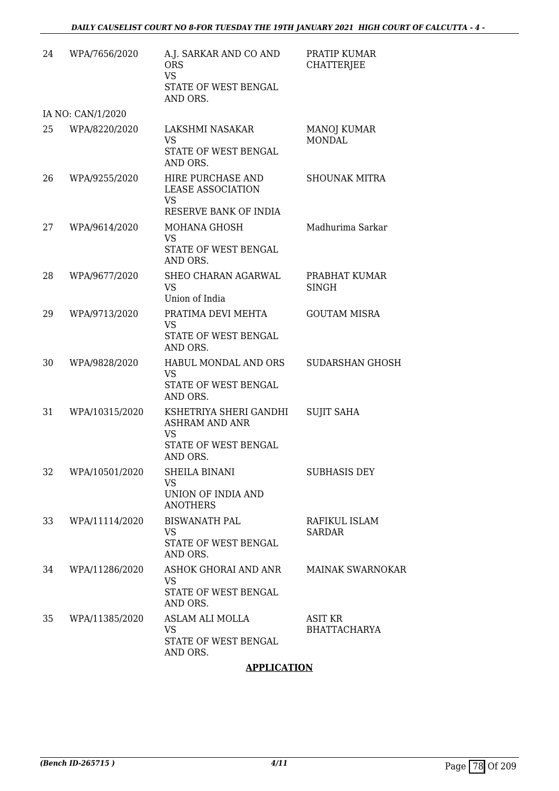| 24 | WPA/7656/2020     | A.J. SARKAR AND CO AND<br><b>ORS</b><br><b>VS</b><br>STATE OF WEST BENGAL<br>AND ORS.            | PRATIP KUMAR<br><b>CHATTERJEE</b> |
|----|-------------------|--------------------------------------------------------------------------------------------------|-----------------------------------|
|    | IA NO: CAN/1/2020 |                                                                                                  |                                   |
| 25 | WPA/8220/2020     | LAKSHMI NASAKAR<br><b>VS</b><br>STATE OF WEST BENGAL<br>AND ORS.                                 | MANOJ KUMAR<br><b>MONDAL</b>      |
| 26 | WPA/9255/2020     | HIRE PURCHASE AND<br><b>LEASE ASSOCIATION</b><br><b>VS</b><br>RESERVE BANK OF INDIA              | <b>SHOUNAK MITRA</b>              |
| 27 | WPA/9614/2020     | MOHANA GHOSH<br><b>VS</b><br>STATE OF WEST BENGAL<br>AND ORS.                                    | Madhurima Sarkar                  |
| 28 | WPA/9677/2020     | SHEO CHARAN AGARWAL<br><b>VS</b><br>Union of India                                               | PRABHAT KUMAR<br><b>SINGH</b>     |
| 29 | WPA/9713/2020     | PRATIMA DEVI MEHTA<br>VS<br>STATE OF WEST BENGAL<br>AND ORS.                                     | <b>GOUTAM MISRA</b>               |
| 30 | WPA/9828/2020     | HABUL MONDAL AND ORS<br><b>VS</b><br>STATE OF WEST BENGAL<br>AND ORS.                            | SUDARSHAN GHOSH                   |
| 31 | WPA/10315/2020    | KSHETRIYA SHERI GANDHI<br><b>ASHRAM AND ANR</b><br><b>VS</b><br>STATE OF WEST BENGAL<br>AND ORS. | <b>SUJIT SAHA</b>                 |
| 32 | WPA/10501/2020    | <b>SHEILA BINANI</b><br><b>VS</b><br>UNION OF INDIA AND<br><b>ANOTHERS</b>                       | <b>SUBHASIS DEY</b>               |
| 33 | WPA/11114/2020    | <b>BISWANATH PAL</b><br><b>VS</b><br>STATE OF WEST BENGAL<br>AND ORS.                            | RAFIKUL ISLAM<br><b>SARDAR</b>    |
| 34 | WPA/11286/2020    | ASHOK GHORAI AND ANR<br><b>VS</b><br>STATE OF WEST BENGAL<br>AND ORS.                            | <b>MAINAK SWARNOKAR</b>           |
| 35 | WPA/11385/2020    | <b>ASLAM ALI MOLLA</b><br><b>VS</b><br>STATE OF WEST BENGAL<br>AND ORS.                          | ASIT KR<br><b>BHATTACHARYA</b>    |

# **APPLICATION**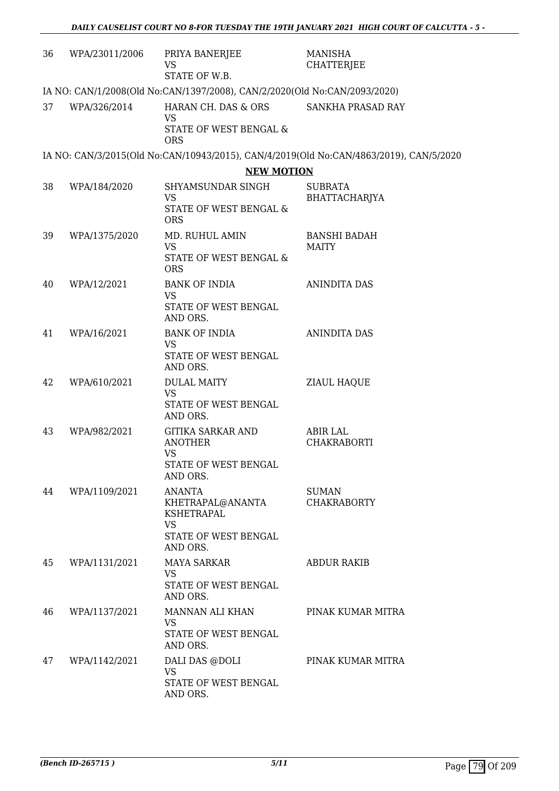| 36 | WPA/23011/2006                                                            | PRIYA BANERJEE<br>VS<br>STATE OF W.B.                                                                               | <b>MANISHA</b><br><b>CHATTERJEE</b>                                                    |  |  |  |
|----|---------------------------------------------------------------------------|---------------------------------------------------------------------------------------------------------------------|----------------------------------------------------------------------------------------|--|--|--|
|    | IA NO: CAN/1/2008(Old No:CAN/1397/2008), CAN/2/2020(Old No:CAN/2093/2020) |                                                                                                                     |                                                                                        |  |  |  |
| 37 | WPA/326/2014                                                              | HARAN CH. DAS & ORS<br><b>VS</b><br>STATE OF WEST BENGAL &<br><b>ORS</b>                                            | SANKHA PRASAD RAY                                                                      |  |  |  |
|    |                                                                           |                                                                                                                     | IA NO: CAN/3/2015(Old No:CAN/10943/2015), CAN/4/2019(Old No:CAN/4863/2019), CAN/5/2020 |  |  |  |
|    |                                                                           | <b>NEW MOTION</b>                                                                                                   |                                                                                        |  |  |  |
| 38 | WPA/184/2020                                                              | SHYAMSUNDAR SINGH<br><b>VS</b><br>STATE OF WEST BENGAL &<br><b>ORS</b>                                              | <b>SUBRATA</b><br>BHATTACHARJYA                                                        |  |  |  |
| 39 | WPA/1375/2020                                                             | MD. RUHUL AMIN<br><b>VS</b><br>STATE OF WEST BENGAL &<br><b>ORS</b>                                                 | <b>BANSHI BADAH</b><br><b>MAITY</b>                                                    |  |  |  |
| 40 | WPA/12/2021                                                               | <b>BANK OF INDIA</b><br><b>VS</b><br>STATE OF WEST BENGAL<br>AND ORS.                                               | <b>ANINDITA DAS</b>                                                                    |  |  |  |
| 41 | WPA/16/2021                                                               | <b>BANK OF INDIA</b><br><b>VS</b><br>STATE OF WEST BENGAL<br>AND ORS.                                               | ANINDITA DAS                                                                           |  |  |  |
| 42 | WPA/610/2021                                                              | <b>DULAL MAITY</b><br><b>VS</b><br>STATE OF WEST BENGAL<br>AND ORS.                                                 | ZIAUL HAQUE                                                                            |  |  |  |
| 43 | WPA/982/2021                                                              | <b>GITIKA SARKAR AND</b><br><b>ANOTHER</b><br><b>VS</b><br>STATE OF WEST BENGAL                                     | <b>ABIR LAL</b><br><b>CHAKRABORTI</b>                                                  |  |  |  |
| 44 | WPA/1109/2021                                                             | AND ORS.<br><b>ANANTA</b><br>KHETRAPAL@ANANTA<br><b>KSHETRAPAL</b><br><b>VS</b><br>STATE OF WEST BENGAL<br>AND ORS. | <b>SUMAN</b><br><b>CHAKRABORTY</b>                                                     |  |  |  |
| 45 | WPA/1131/2021                                                             | MAYA SARKAR<br><b>VS</b><br>STATE OF WEST BENGAL<br>AND ORS.                                                        | ABDUR RAKIB                                                                            |  |  |  |
| 46 | WPA/1137/2021                                                             | MANNAN ALI KHAN<br>VS.<br>STATE OF WEST BENGAL<br>AND ORS.                                                          | PINAK KUMAR MITRA                                                                      |  |  |  |
| 47 | WPA/1142/2021                                                             | DALI DAS @DOLI<br><b>VS</b><br>STATE OF WEST BENGAL<br>AND ORS.                                                     | PINAK KUMAR MITRA                                                                      |  |  |  |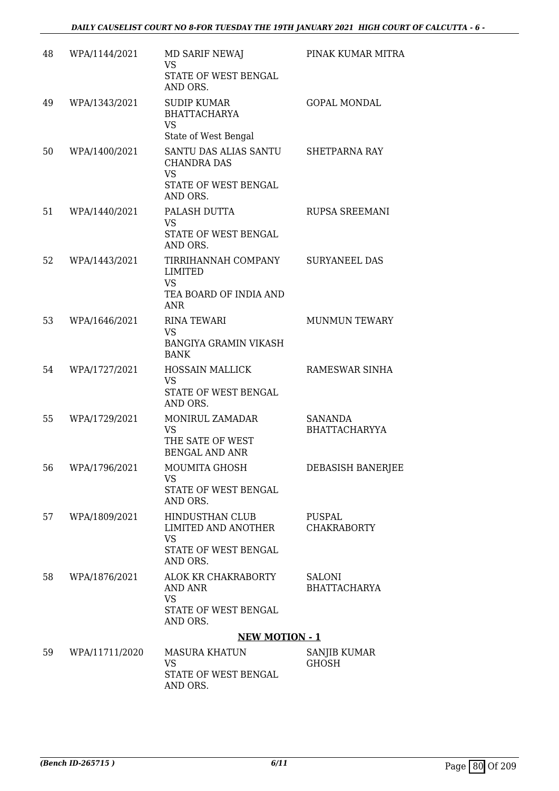| 48 | WPA/1144/2021  | MD SARIF NEWAJ<br>VS<br>STATE OF WEST BENGAL                                 | PINAK KUMAR MITRA                   |
|----|----------------|------------------------------------------------------------------------------|-------------------------------------|
| 49 | WPA/1343/2021  | AND ORS.<br><b>SUDIP KUMAR</b><br><b>BHATTACHARYA</b><br><b>VS</b>           | <b>GOPAL MONDAL</b>                 |
|    |                | State of West Bengal                                                         |                                     |
| 50 | WPA/1400/2021  | SANTU DAS ALIAS SANTU<br><b>CHANDRA DAS</b><br><b>VS</b>                     | <b>SHETPARNA RAY</b>                |
|    |                | STATE OF WEST BENGAL<br>AND ORS.                                             |                                     |
| 51 | WPA/1440/2021  | PALASH DUTTA<br><b>VS</b><br>STATE OF WEST BENGAL<br>AND ORS.                | RUPSA SREEMANI                      |
| 52 | WPA/1443/2021  | TIRRIHANNAH COMPANY<br><b>LIMITED</b><br><b>VS</b><br>TEA BOARD OF INDIA AND | <b>SURYANEEL DAS</b>                |
|    |                | <b>ANR</b>                                                                   |                                     |
| 53 | WPA/1646/2021  | <b>RINA TEWARI</b><br><b>VS</b>                                              | <b>MUNMUN TEWARY</b>                |
|    |                | <b>BANGIYA GRAMIN VIKASH</b><br><b>BANK</b>                                  |                                     |
| 54 | WPA/1727/2021  | <b>HOSSAIN MALLICK</b><br><b>VS</b><br>STATE OF WEST BENGAL<br>AND ORS.      | RAMESWAR SINHA                      |
| 55 | WPA/1729/2021  | MONIRUL ZAMADAR<br><b>VS</b><br>THE SATE OF WEST<br><b>BENGAL AND ANR</b>    | SANANDA<br><b>BHATTACHARYYA</b>     |
| 56 | WPA/1796/2021  | MOUMITA GHOSH<br>VS<br>STATE OF WEST BENGAL<br>AND ORS.                      | DEBASISH BANERJEE                   |
| 57 | WPA/1809/2021  | HINDUSTHAN CLUB<br>LIMITED AND ANOTHER<br><b>VS</b>                          | PUSPAL<br><b>CHAKRABORTY</b>        |
|    |                | STATE OF WEST BENGAL<br>AND ORS.                                             |                                     |
| 58 | WPA/1876/2021  | ALOK KR CHAKRABORTY<br>AND ANR<br><b>VS</b>                                  | SALONI<br><b>BHATTACHARYA</b>       |
|    |                | STATE OF WEST BENGAL<br>AND ORS.                                             |                                     |
|    |                | <b>NEW MOTION - 1</b>                                                        |                                     |
| 59 | WPA/11711/2020 | <b>MASURA KHATUN</b><br><b>VS</b>                                            | <b>SANJIB KUMAR</b><br><b>GHOSH</b> |
|    |                | STATE OF WEST BENGAL<br>AND ORS.                                             |                                     |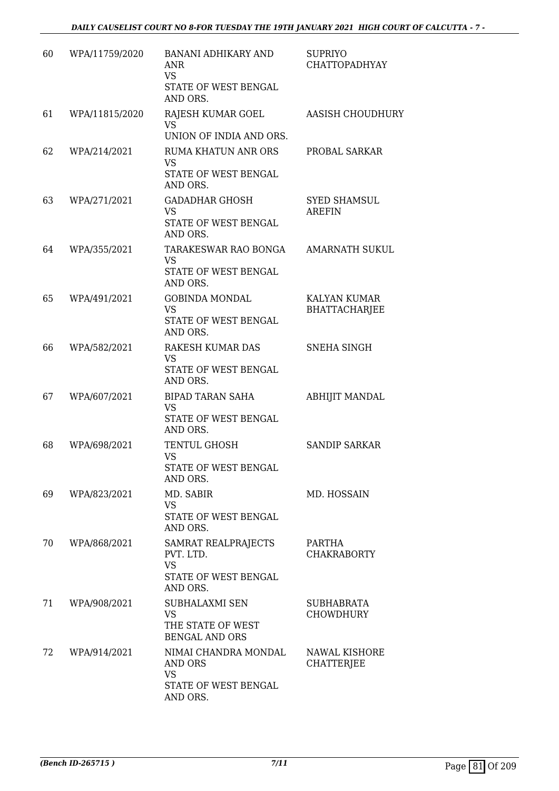| 60 | WPA/11759/2020 | <b>BANANI ADHIKARY AND</b><br>ANR<br><b>VS</b><br>STATE OF WEST BENGAL<br>AND ORS. | <b>SUPRIYO</b><br>CHATTOPADHYAY       |
|----|----------------|------------------------------------------------------------------------------------|---------------------------------------|
| 61 | WPA/11815/2020 | RAJESH KUMAR GOEL<br>VS.<br>UNION OF INDIA AND ORS.                                | <b>AASISH CHOUDHURY</b>               |
| 62 | WPA/214/2021   | <b>RUMA KHATUN ANR ORS</b><br><b>VS</b><br>STATE OF WEST BENGAL<br>AND ORS.        | PROBAL SARKAR                         |
| 63 | WPA/271/2021   | GADADHAR GHOSH<br>VS<br>STATE OF WEST BENGAL<br>AND ORS.                           | <b>SYED SHAMSUL</b><br><b>AREFIN</b>  |
| 64 | WPA/355/2021   | TARAKESWAR RAO BONGA<br><b>VS</b><br>STATE OF WEST BENGAL<br>AND ORS.              | <b>AMARNATH SUKUL</b>                 |
| 65 | WPA/491/2021   | <b>GOBINDA MONDAL</b><br><b>VS</b><br>STATE OF WEST BENGAL<br>AND ORS.             | KALYAN KUMAR<br><b>BHATTACHARJEE</b>  |
| 66 | WPA/582/2021   | RAKESH KUMAR DAS<br><b>VS</b><br>STATE OF WEST BENGAL<br>AND ORS.                  | <b>SNEHA SINGH</b>                    |
| 67 | WPA/607/2021   | BIPAD TARAN SAHA<br><b>VS</b><br>STATE OF WEST BENGAL<br>AND ORS.                  | <b>ABHIJIT MANDAL</b>                 |
| 68 | WPA/698/2021   | TENTUL GHOSH<br>VS<br>STATE OF WEST BENGAL<br>AND ORS.                             | <b>SANDIP SARKAR</b>                  |
| 69 | WPA/823/2021   | MD. SABIR<br><b>VS</b><br>STATE OF WEST BENGAL<br>AND ORS.                         | MD. HOSSAIN                           |
| 70 | WPA/868/2021   | SAMRAT REALPRAJECTS<br>PVT. LTD.<br><b>VS</b><br>STATE OF WEST BENGAL<br>AND ORS.  | PARTHA<br><b>CHAKRABORTY</b>          |
| 71 | WPA/908/2021   | <b>SUBHALAXMI SEN</b><br><b>VS</b><br>THE STATE OF WEST<br><b>BENGAL AND ORS</b>   | <b>SUBHABRATA</b><br><b>CHOWDHURY</b> |
| 72 | WPA/914/2021   | NIMAI CHANDRA MONDAL<br>AND ORS<br><b>VS</b><br>STATE OF WEST BENGAL<br>AND ORS.   | NAWAL KISHORE<br><b>CHATTERJEE</b>    |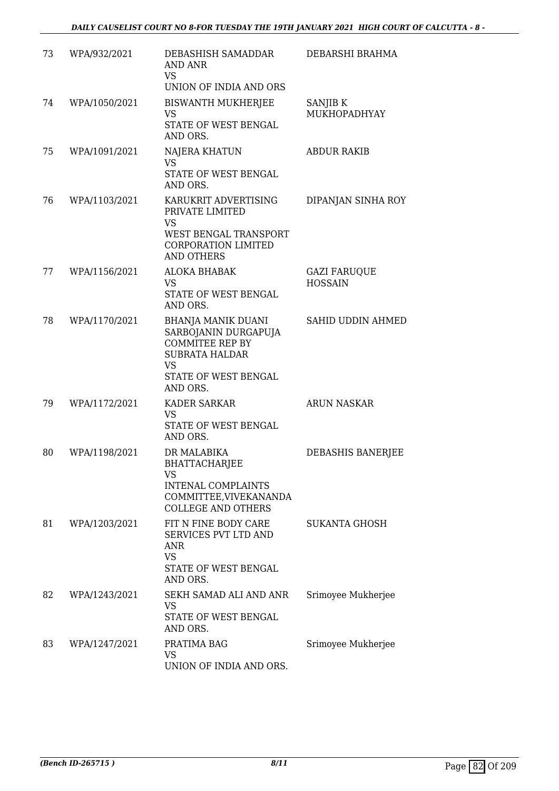| 73 | WPA/932/2021  | DEBASHISH SAMADDAR<br>AND ANR<br><b>VS</b><br>UNION OF INDIA AND ORS                                                                                  | DEBARSHI BRAHMA                       |
|----|---------------|-------------------------------------------------------------------------------------------------------------------------------------------------------|---------------------------------------|
| 74 | WPA/1050/2021 | <b>BISWANTH MUKHERJEE</b><br><b>VS</b><br>STATE OF WEST BENGAL<br>AND ORS.                                                                            | SANJIB K<br>MUKHOPADHYAY              |
| 75 | WPA/1091/2021 | <b>NAJERA KHATUN</b><br><b>VS</b><br>STATE OF WEST BENGAL<br>AND ORS.                                                                                 | <b>ABDUR RAKIB</b>                    |
| 76 | WPA/1103/2021 | KARUKRIT ADVERTISING<br>PRIVATE LIMITED<br>VS<br>WEST BENGAL TRANSPORT<br>CORPORATION LIMITED<br><b>AND OTHERS</b>                                    | DIPANJAN SINHA ROY                    |
| 77 | WPA/1156/2021 | <b>ALOKA BHABAK</b><br><b>VS</b><br>STATE OF WEST BENGAL<br>AND ORS.                                                                                  | <b>GAZI FARUQUE</b><br><b>HOSSAIN</b> |
| 78 | WPA/1170/2021 | <b>BHANJA MANIK DUANI</b><br>SARBOJANIN DURGAPUJA<br><b>COMMITEE REP BY</b><br><b>SUBRATA HALDAR</b><br><b>VS</b><br>STATE OF WEST BENGAL<br>AND ORS. | SAHID UDDIN AHMED                     |
| 79 | WPA/1172/2021 | <b>KADER SARKAR</b><br><b>VS</b><br>STATE OF WEST BENGAL<br>AND ORS.                                                                                  | <b>ARUN NASKAR</b>                    |
| 80 | WPA/1198/2021 | DR MALABIKA<br><b>BHATTACHARJEE</b><br>VS<br><b>INTENAL COMPLAINTS</b><br>COMMITTEE, VIVEKANANDA<br><b>COLLEGE AND OTHERS</b>                         | DEBASHIS BANERJEE                     |
| 81 | WPA/1203/2021 | FIT N FINE BODY CARE<br>SERVICES PVT LTD AND<br><b>ANR</b><br><b>VS</b><br>STATE OF WEST BENGAL<br>AND ORS.                                           | <b>SUKANTA GHOSH</b>                  |
| 82 | WPA/1243/2021 | SEKH SAMAD ALI AND ANR<br><b>VS</b><br>STATE OF WEST BENGAL<br>AND ORS.                                                                               | Srimoyee Mukherjee                    |
| 83 | WPA/1247/2021 | PRATIMA BAG<br>VS<br>UNION OF INDIA AND ORS.                                                                                                          | Srimoyee Mukherjee                    |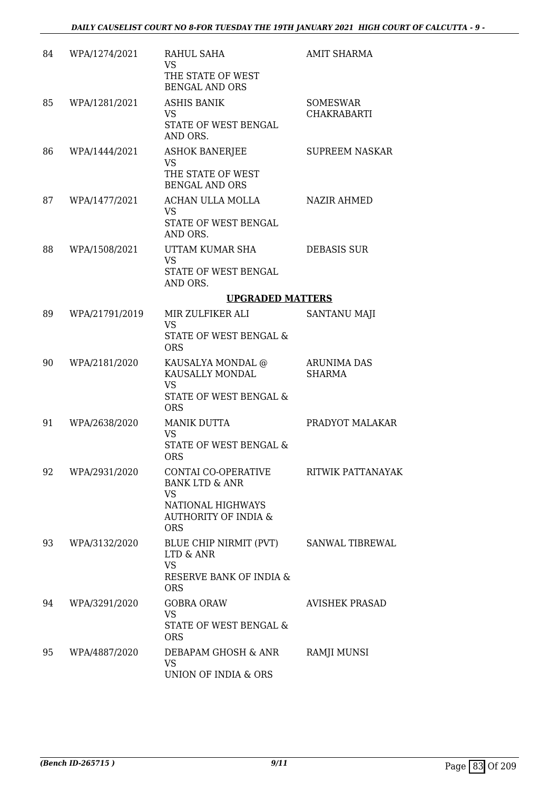| 84 | WPA/1274/2021  | RAHUL SAHA<br>VS<br>THE STATE OF WEST<br><b>BENGAL AND ORS</b>                                                                      | AMIT SHARMA                           |
|----|----------------|-------------------------------------------------------------------------------------------------------------------------------------|---------------------------------------|
| 85 | WPA/1281/2021  | <b>ASHIS BANIK</b><br>VS.<br>STATE OF WEST BENGAL<br>AND ORS.                                                                       | <b>SOMESWAR</b><br><b>CHAKRABARTI</b> |
| 86 | WPA/1444/2021  | <b>ASHOK BANERJEE</b><br>VS<br>THE STATE OF WEST<br><b>BENGAL AND ORS</b>                                                           | <b>SUPREEM NASKAR</b>                 |
| 87 | WPA/1477/2021  | ACHAN ULLA MOLLA<br>VS<br>STATE OF WEST BENGAL<br>AND ORS.                                                                          | NAZIR AHMED                           |
| 88 | WPA/1508/2021  | UTTAM KUMAR SHA<br><b>VS</b><br>STATE OF WEST BENGAL<br>AND ORS.                                                                    | <b>DEBASIS SUR</b>                    |
|    |                | <b>UPGRADED MATTERS</b>                                                                                                             |                                       |
| 89 | WPA/21791/2019 | MIR ZULFIKER ALI<br><b>VS</b><br>STATE OF WEST BENGAL &<br><b>ORS</b>                                                               | SANTANU MAJI                          |
| 90 | WPA/2181/2020  | KAUSALYA MONDAL @<br>KAUSALLY MONDAL<br><b>VS</b><br>STATE OF WEST BENGAL &<br><b>ORS</b>                                           | <b>ARUNIMA DAS</b><br><b>SHARMA</b>   |
| 91 | WPA/2638/2020  | <b>MANIK DUTTA</b><br>VS.<br>STATE OF WEST BENGAL &<br><b>ORS</b>                                                                   | PRADYOT MALAKAR                       |
| 92 | WPA/2931/2020  | CONTAI CO-OPERATIVE<br><b>BANK LTD &amp; ANR</b><br><b>VS</b><br>NATIONAL HIGHWAYS<br><b>AUTHORITY OF INDIA &amp;</b><br><b>ORS</b> | RITWIK PATTANAYAK                     |
| 93 | WPA/3132/2020  | BLUE CHIP NIRMIT (PVT)<br>LTD & ANR<br><b>VS</b><br>RESERVE BANK OF INDIA &<br><b>ORS</b>                                           | SANWAL TIBREWAL                       |
| 94 | WPA/3291/2020  | <b>GOBRA ORAW</b><br><b>VS</b><br>STATE OF WEST BENGAL &<br><b>ORS</b>                                                              | <b>AVISHEK PRASAD</b>                 |
| 95 | WPA/4887/2020  | DEBAPAM GHOSH & ANR<br><b>VS</b><br>UNION OF INDIA & ORS                                                                            | RAMJI MUNSI                           |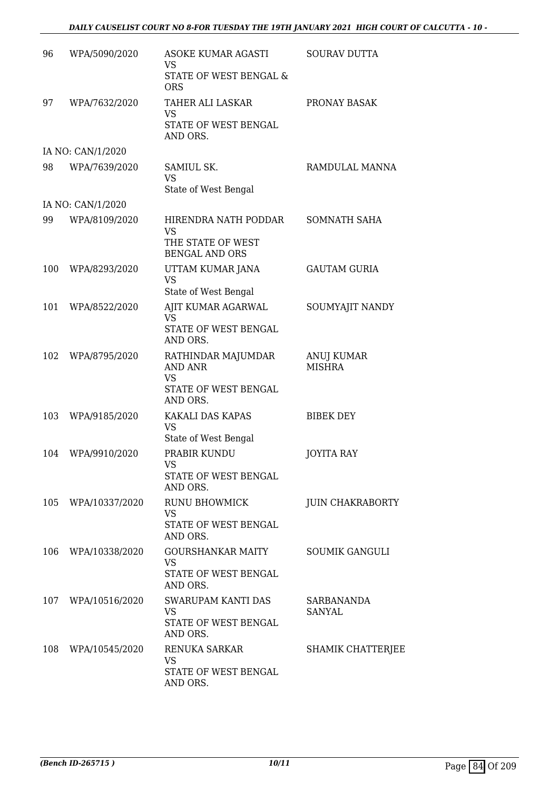| 96  | WPA/5090/2020      | <b>ASOKE KUMAR AGASTI</b><br><b>VS</b><br>STATE OF WEST BENGAL &<br><b>ORS</b>        | <b>SOURAV DUTTA</b>         |
|-----|--------------------|---------------------------------------------------------------------------------------|-----------------------------|
| 97  | WPA/7632/2020      | <b>TAHER ALI LASKAR</b><br>VS<br>STATE OF WEST BENGAL<br>AND ORS.                     | PRONAY BASAK                |
|     | IA NO: CAN/1/2020  |                                                                                       |                             |
| 98  | WPA/7639/2020      | SAMIUL SK.<br><b>VS</b><br>State of West Bengal                                       | RAMDULAL MANNA              |
|     | IA NO: CAN/1/2020  |                                                                                       |                             |
| 99  | WPA/8109/2020      | HIRENDRA NATH PODDAR<br><b>VS</b><br>THE STATE OF WEST<br><b>BENGAL AND ORS</b>       | SOMNATH SAHA                |
| 100 | WPA/8293/2020      | UTTAM KUMAR JANA<br>VS<br>State of West Bengal                                        | <b>GAUTAM GURIA</b>         |
| 101 | WPA/8522/2020      | AJIT KUMAR AGARWAL<br><b>VS</b><br>STATE OF WEST BENGAL<br>AND ORS.                   | SOUMYAJIT NANDY             |
| 102 | WPA/8795/2020      | RATHINDAR MAJUMDAR<br><b>AND ANR</b><br><b>VS</b><br>STATE OF WEST BENGAL<br>AND ORS. | ANUJ KUMAR<br><b>MISHRA</b> |
| 103 | WPA/9185/2020      | KAKALI DAS KAPAS<br><b>VS</b><br>State of West Bengal                                 | <b>BIBEK DEY</b>            |
| 104 | WPA/9910/2020      | PRABIR KUNDU<br>VS.<br>STATE OF WEST BENGAL<br>AND ORS.                               | <b>JOYITA RAY</b>           |
| 105 | WPA/10337/2020     | <b>RUNU BHOWMICK</b><br>VS<br>STATE OF WEST BENGAL<br>AND ORS.                        | <b>JUIN CHAKRABORTY</b>     |
| 106 | WPA/10338/2020     | <b>GOURSHANKAR MAITY</b><br><b>VS</b><br>STATE OF WEST BENGAL<br>AND ORS.             | <b>SOUMIK GANGULI</b>       |
|     | 107 WPA/10516/2020 | SWARUPAM KANTI DAS<br>VS<br>STATE OF WEST BENGAL<br>AND ORS.                          | <b>SARBANANDA</b><br>SANYAL |
| 108 | WPA/10545/2020     | RENUKA SARKAR<br>VS<br>STATE OF WEST BENGAL<br>AND ORS.                               | <b>SHAMIK CHATTERJEE</b>    |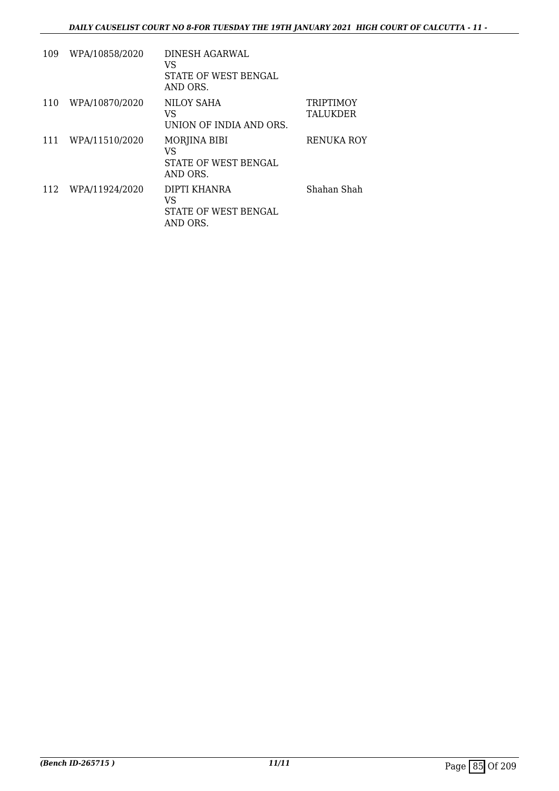| 109 | WPA/10858/2020 | DINESH AGARWAL<br>VS<br>STATE OF WEST BENGAL<br>AND ORS. |                                     |
|-----|----------------|----------------------------------------------------------|-------------------------------------|
| 110 | WPA/10870/2020 | NILOY SAHA<br>VS<br>UNION OF INDIA AND ORS.              | <b>TRIPTIMOY</b><br><b>TALUKDER</b> |
| 111 | WPA/11510/2020 | MORJINA BIBI<br>VS<br>STATE OF WEST BENGAL<br>AND ORS.   | <b>RENUKA ROY</b>                   |
| 112 | WPA/11924/2020 | DIPTI KHANRA<br>VS<br>STATE OF WEST BENGAL<br>AND ORS.   | Shahan Shah                         |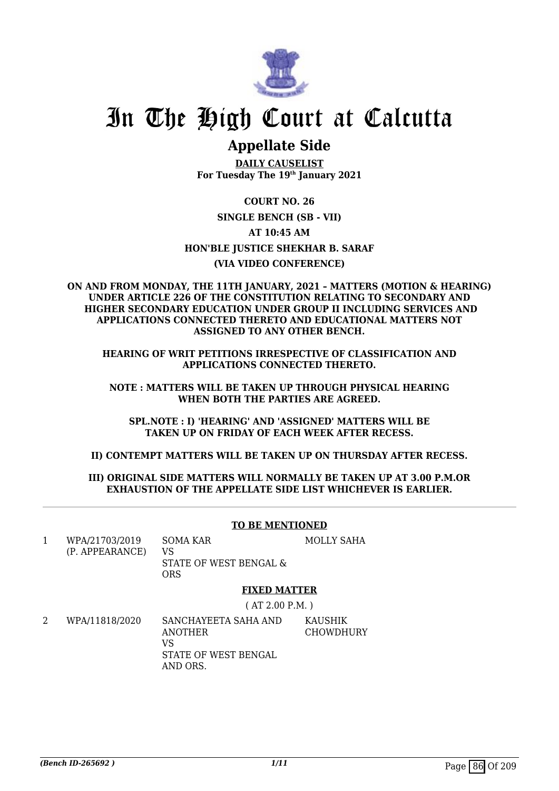

# In The High Court at Calcutta

# **Appellate Side**

**DAILY CAUSELIST For Tuesday The 19th January 2021**

**COURT NO. 26 SINGLE BENCH (SB - VII) AT 10:45 AM HON'BLE JUSTICE SHEKHAR B. SARAF (VIA VIDEO CONFERENCE)**

#### **ON AND FROM MONDAY, THE 11TH JANUARY, 2021 – MATTERS (MOTION & HEARING) UNDER ARTICLE 226 OF THE CONSTITUTION RELATING TO SECONDARY AND HIGHER SECONDARY EDUCATION UNDER GROUP II INCLUDING SERVICES AND APPLICATIONS CONNECTED THERETO AND EDUCATIONAL MATTERS NOT ASSIGNED TO ANY OTHER BENCH.**

**HEARING OF WRIT PETITIONS IRRESPECTIVE OF CLASSIFICATION AND APPLICATIONS CONNECTED THERETO.**

**NOTE : MATTERS WILL BE TAKEN UP THROUGH PHYSICAL HEARING WHEN BOTH THE PARTIES ARE AGREED.**

**SPL.NOTE : I) 'HEARING' AND 'ASSIGNED' MATTERS WILL BE TAKEN UP ON FRIDAY OF EACH WEEK AFTER RECESS.**

**II) CONTEMPT MATTERS WILL BE TAKEN UP ON THURSDAY AFTER RECESS.**

### **III) ORIGINAL SIDE MATTERS WILL NORMALLY BE TAKEN UP AT 3.00 P.M.OR EXHAUSTION OF THE APPELLATE SIDE LIST WHICHEVER IS EARLIER.**

|   |                                   | <b>TO BE MENTIONED</b>                                                    |                             |
|---|-----------------------------------|---------------------------------------------------------------------------|-----------------------------|
| 1 | WPA/21703/2019<br>(P. APPEARANCE) | <b>SOMA KAR</b><br>VS<br>STATE OF WEST BENGAL &<br><b>ORS</b>             | <b>MOLLY SAHA</b>           |
|   |                                   | <b>FIXED MATTER</b>                                                       |                             |
|   |                                   | (AT 2.00 P.M.)                                                            |                             |
| 2 | WPA/11818/2020                    | SANCHAYEETA SAHA AND<br>ANOTHER<br>VS<br>STATE OF WEST BENGAL<br>AND ORS. | KAUSHIK<br><b>CHOWDHURY</b> |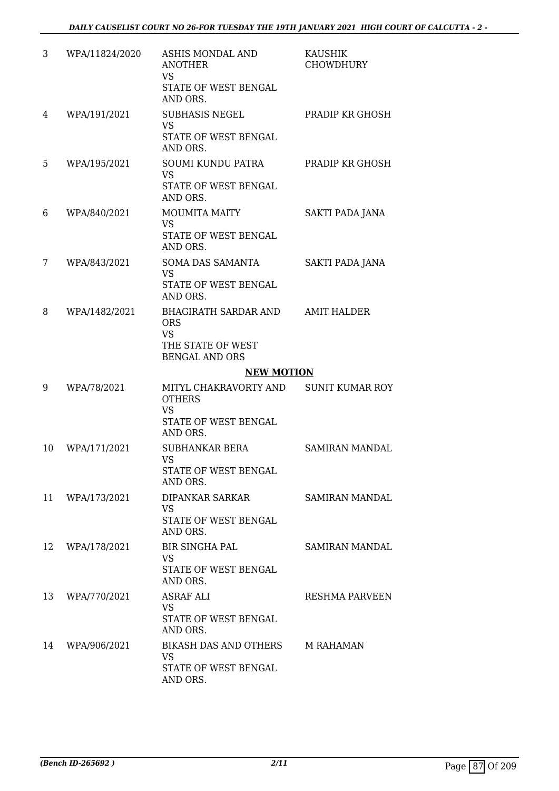| 3  | WPA/11824/2020 | <b>ASHIS MONDAL AND</b><br><b>ANOTHER</b><br><b>VS</b><br>STATE OF WEST BENGAL<br>AND ORS.           | <b>KAUSHIK</b><br><b>CHOWDHURY</b> |
|----|----------------|------------------------------------------------------------------------------------------------------|------------------------------------|
| 4  | WPA/191/2021   | <b>SUBHASIS NEGEL</b><br><b>VS</b><br>STATE OF WEST BENGAL<br>AND ORS.                               | PRADIP KR GHOSH                    |
| 5  | WPA/195/2021   | <b>SOUMI KUNDU PATRA</b><br><b>VS</b><br>STATE OF WEST BENGAL<br>AND ORS.                            | PRADIP KR GHOSH                    |
| 6  | WPA/840/2021   | <b>MOUMITA MAITY</b><br><b>VS</b><br>STATE OF WEST BENGAL<br>AND ORS.                                | SAKTI PADA JANA                    |
| 7  | WPA/843/2021   | <b>SOMA DAS SAMANTA</b><br><b>VS</b><br>STATE OF WEST BENGAL<br>AND ORS.                             | <b>SAKTI PADA JANA</b>             |
| 8  | WPA/1482/2021  | <b>BHAGIRATH SARDAR AND</b><br><b>ORS</b><br><b>VS</b><br>THE STATE OF WEST<br><b>BENGAL AND ORS</b> | <b>AMIT HALDER</b>                 |
|    |                |                                                                                                      |                                    |
|    |                | <b>NEW MOTION</b>                                                                                    |                                    |
| 9  | WPA/78/2021    | MITYL CHAKRAVORTY AND<br><b>OTHERS</b><br><b>VS</b><br>STATE OF WEST BENGAL<br>AND ORS.              | <b>SUNIT KUMAR ROY</b>             |
| 10 | WPA/171/2021   | <b>SUBHANKAR BERA</b><br><b>VS</b><br>STATE OF WEST BENGAL<br>AND ORS.                               | <b>SAMIRAN MANDAL</b>              |
| 11 | WPA/173/2021   | DIPANKAR SARKAR<br>VS.<br>STATE OF WEST BENGAL<br>AND ORS.                                           | SAMIRAN MANDAL                     |
| 12 | WPA/178/2021   | <b>BIR SINGHA PAL</b><br><b>VS</b><br>STATE OF WEST BENGAL<br>AND ORS.                               | <b>SAMIRAN MANDAL</b>              |
| 13 | WPA/770/2021   | <b>ASRAF ALI</b><br>VS.<br>STATE OF WEST BENGAL<br>AND ORS.                                          | RESHMA PARVEEN                     |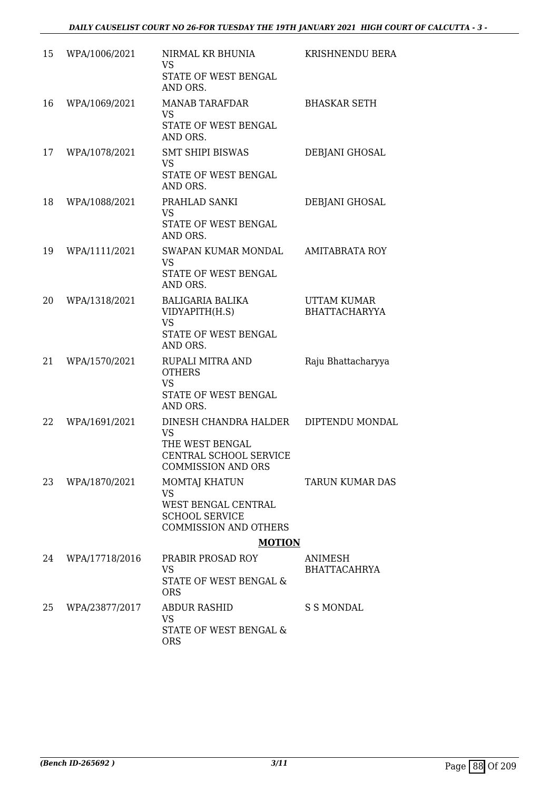| 15 | WPA/1006/2021  | NIRMAL KR BHUNIA<br>VS                                                       | KRISHNENDU BERA                            |
|----|----------------|------------------------------------------------------------------------------|--------------------------------------------|
|    |                | <b>STATE OF WEST BENGAL</b><br>AND ORS.                                      |                                            |
| 16 | WPA/1069/2021  | <b>MANAB TARAFDAR</b><br><b>VS</b>                                           | <b>BHASKAR SETH</b>                        |
|    |                | STATE OF WEST BENGAL<br>AND ORS.                                             |                                            |
| 17 | WPA/1078/2021  | <b>SMT SHIPI BISWAS</b><br><b>VS</b>                                         | DEBJANI GHOSAL                             |
|    |                | STATE OF WEST BENGAL<br>AND ORS.                                             |                                            |
| 18 | WPA/1088/2021  | PRAHLAD SANKI<br><b>VS</b>                                                   | DEBJANI GHOSAL                             |
|    |                | STATE OF WEST BENGAL<br>AND ORS.                                             |                                            |
| 19 | WPA/1111/2021  | SWAPAN KUMAR MONDAL<br><b>VS</b>                                             | <b>AMITABRATA ROY</b>                      |
|    |                | STATE OF WEST BENGAL<br>AND ORS.                                             |                                            |
| 20 | WPA/1318/2021  | <b>BALIGARIA BALIKA</b><br>VIDYAPITH(H.S)                                    | <b>UTTAM KUMAR</b><br><b>BHATTACHARYYA</b> |
|    |                | <b>VS</b><br>STATE OF WEST BENGAL<br>AND ORS.                                |                                            |
| 21 | WPA/1570/2021  | RUPALI MITRA AND<br><b>OTHERS</b>                                            | Raju Bhattacharyya                         |
|    |                | <b>VS</b><br>STATE OF WEST BENGAL<br>AND ORS.                                |                                            |
| 22 | WPA/1691/2021  | DINESH CHANDRA HALDER<br>VS                                                  | DIPTENDU MONDAL                            |
|    |                | THE WEST BENGAL<br>CENTRAL SCHOOL SERVICE<br><b>COMMISSION AND ORS</b>       |                                            |
| 23 | WPA/1870/2021  | <b>MOMTAJ KHATUN</b><br><b>VS</b>                                            | TARUN KUMAR DAS                            |
|    |                | WEST BENGAL CENTRAL<br><b>SCHOOL SERVICE</b><br><b>COMMISSION AND OTHERS</b> |                                            |
|    |                | <b>MOTION</b>                                                                |                                            |
| 24 | WPA/17718/2016 | PRABIR PROSAD ROY<br><b>VS</b><br>STATE OF WEST BENGAL &                     | ANIMESH<br><b>BHATTACAHRYA</b>             |
|    |                | <b>ORS</b>                                                                   |                                            |
| 25 | WPA/23877/2017 | <b>ABDUR RASHID</b><br><b>VS</b>                                             | <b>S S MONDAL</b>                          |
|    |                | STATE OF WEST BENGAL &<br><b>ORS</b>                                         |                                            |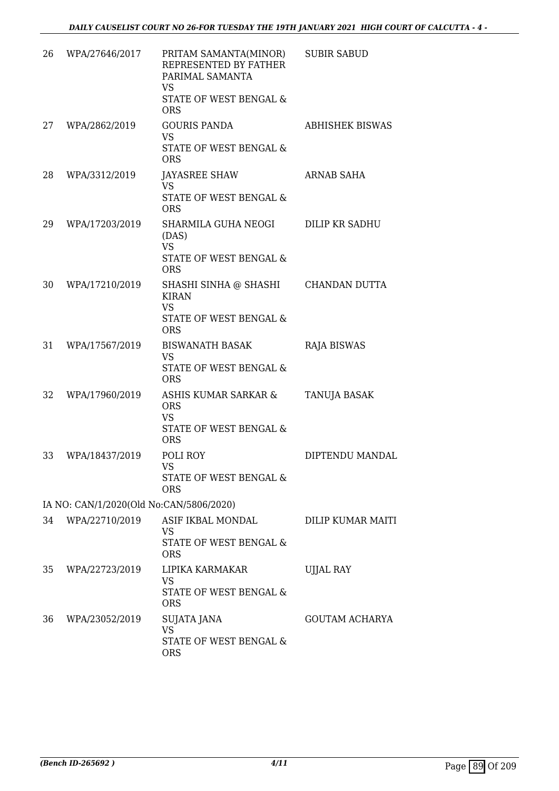| 26 | WPA/27646/2017                          | PRITAM SAMANTA(MINOR)<br>REPRESENTED BY FATHER<br>PARIMAL SAMANTA<br><b>VS</b><br><b>STATE OF WEST BENGAL &amp;</b><br><b>ORS</b> | <b>SUBIR SABUD</b>     |
|----|-----------------------------------------|-----------------------------------------------------------------------------------------------------------------------------------|------------------------|
| 27 | WPA/2862/2019                           | <b>GOURIS PANDA</b><br><b>VS</b><br>STATE OF WEST BENGAL &<br><b>ORS</b>                                                          | <b>ABHISHEK BISWAS</b> |
| 28 | WPA/3312/2019                           | <b>JAYASREE SHAW</b><br><b>VS</b><br>STATE OF WEST BENGAL &<br><b>ORS</b>                                                         | ARNAB SAHA             |
| 29 | WPA/17203/2019                          | SHARMILA GUHA NEOGI<br>(DAS)<br><b>VS</b><br>STATE OF WEST BENGAL &<br><b>ORS</b>                                                 | DILIP KR SADHU         |
| 30 | WPA/17210/2019                          | SHASHI SINHA @ SHASHI<br><b>KIRAN</b><br><b>VS</b><br>STATE OF WEST BENGAL &<br><b>ORS</b>                                        | <b>CHANDAN DUTTA</b>   |
| 31 | WPA/17567/2019                          | <b>BISWANATH BASAK</b><br><b>VS</b><br>STATE OF WEST BENGAL &<br><b>ORS</b>                                                       | <b>RAJA BISWAS</b>     |
| 32 | WPA/17960/2019                          | ASHIS KUMAR SARKAR &<br><b>ORS</b><br><b>VS</b><br>STATE OF WEST BENGAL &<br><b>ORS</b>                                           | TANUJA BASAK           |
| 33 | WPA/18437/2019                          | POLI ROY<br>VS —<br>STATE OF WEST BENGAL &<br><b>ORS</b>                                                                          | DIPTENDU MANDAL        |
|    | IA NO: CAN/1/2020(Old No:CAN/5806/2020) |                                                                                                                                   |                        |
| 34 | WPA/22710/2019                          | ASIF IKBAL MONDAL<br><b>VS</b><br>STATE OF WEST BENGAL &<br><b>ORS</b>                                                            | DILIP KUMAR MAITI      |
| 35 | WPA/22723/2019                          | LIPIKA KARMAKAR<br><b>VS</b><br>STATE OF WEST BENGAL &<br><b>ORS</b>                                                              | <b>UJJAL RAY</b>       |
| 36 | WPA/23052/2019                          | SUJATA JANA<br><b>VS</b><br>STATE OF WEST BENGAL &<br><b>ORS</b>                                                                  | <b>GOUTAM ACHARYA</b>  |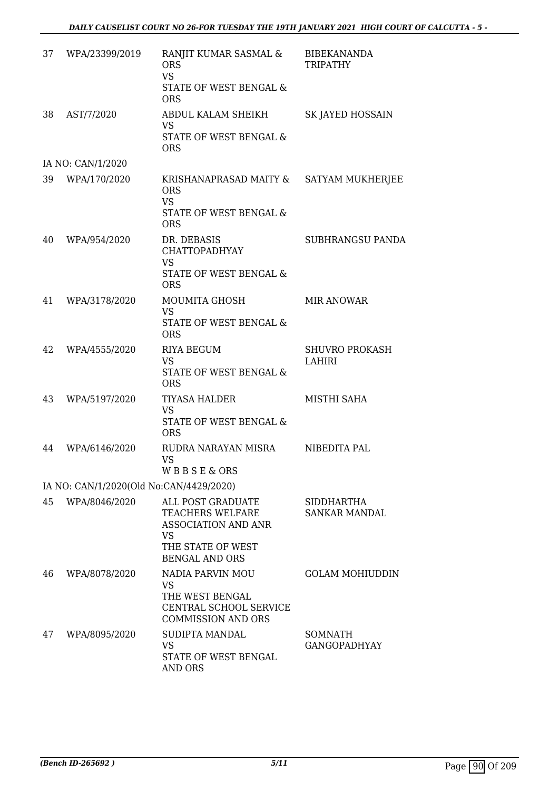| 37 | WPA/23399/2019                          | RANJIT KUMAR SASMAL &<br><b>ORS</b><br><b>VS</b><br>STATE OF WEST BENGAL &<br><b>ORS</b>                                       | <b>BIBEKANANDA</b><br><b>TRIPATHY</b>     |
|----|-----------------------------------------|--------------------------------------------------------------------------------------------------------------------------------|-------------------------------------------|
| 38 | AST/7/2020                              | ABDUL KALAM SHEIKH<br><b>VS</b><br>STATE OF WEST BENGAL &<br><b>ORS</b>                                                        | SK JAYED HOSSAIN                          |
|    | IA NO: CAN/1/2020                       |                                                                                                                                |                                           |
| 39 | WPA/170/2020                            | KRISHANAPRASAD MAITY &<br><b>ORS</b><br><b>VS</b><br>STATE OF WEST BENGAL &<br><b>ORS</b>                                      | SATYAM MUKHERJEE                          |
| 40 | WPA/954/2020                            | DR. DEBASIS<br><b>CHATTOPADHYAY</b><br><b>VS</b><br><b>STATE OF WEST BENGAL &amp;</b><br><b>ORS</b>                            | SUBHRANGSU PANDA                          |
| 41 | WPA/3178/2020                           | MOUMITA GHOSH<br><b>VS</b><br>STATE OF WEST BENGAL &<br><b>ORS</b>                                                             | <b>MIR ANOWAR</b>                         |
| 42 | WPA/4555/2020                           | <b>RIYA BEGUM</b><br><b>VS</b><br>STATE OF WEST BENGAL &<br><b>ORS</b>                                                         | <b>SHUVRO PROKASH</b><br>LAHIRI           |
| 43 | WPA/5197/2020                           | <b>TIYASA HALDER</b><br><b>VS</b><br>STATE OF WEST BENGAL &<br><b>ORS</b>                                                      | MISTHI SAHA                               |
| 44 | WPA/6146/2020                           | RUDRA NARAYAN MISRA<br><b>VS</b><br><b>WBBSE&amp;ORS</b>                                                                       | NIBEDITA PAL                              |
|    | IA NO: CAN/1/2020(Old No:CAN/4429/2020) |                                                                                                                                |                                           |
| 45 | WPA/8046/2020                           | ALL POST GRADUATE<br>TEACHERS WELFARE<br><b>ASSOCIATION AND ANR</b><br><b>VS</b><br>THE STATE OF WEST<br><b>BENGAL AND ORS</b> | <b>SIDDHARTHA</b><br><b>SANKAR MANDAL</b> |
| 46 | WPA/8078/2020                           | <b>NADIA PARVIN MOU</b><br>VS.<br>THE WEST BENGAL<br>CENTRAL SCHOOL SERVICE<br><b>COMMISSION AND ORS</b>                       | <b>GOLAM MOHIUDDIN</b>                    |
| 47 | WPA/8095/2020                           | SUDIPTA MANDAL<br><b>VS</b><br>STATE OF WEST BENGAL<br><b>AND ORS</b>                                                          | <b>SOMNATH</b><br><b>GANGOPADHYAY</b>     |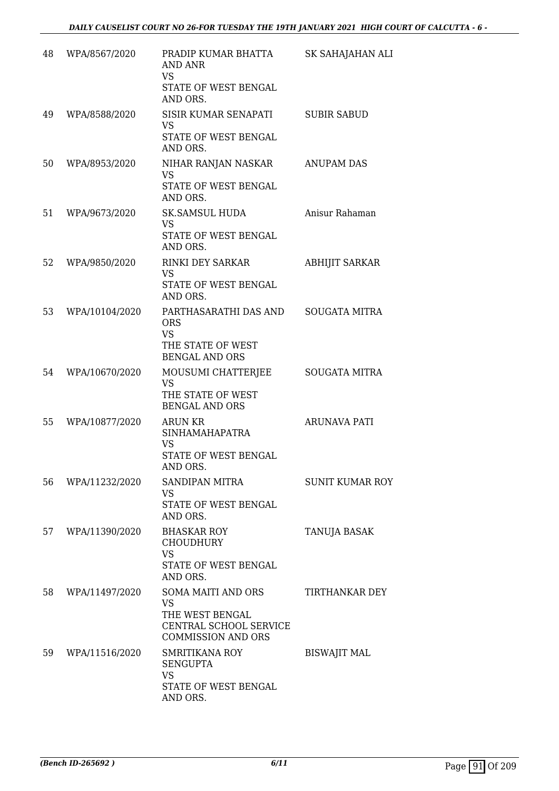| 48 | WPA/8567/2020  | PRADIP KUMAR BHATTA<br><b>AND ANR</b>                                  | SK SAHAJAHAN ALI       |
|----|----------------|------------------------------------------------------------------------|------------------------|
|    |                | VS<br>STATE OF WEST BENGAL<br>AND ORS.                                 |                        |
| 49 | WPA/8588/2020  | SISIR KUMAR SENAPATI<br><b>VS</b>                                      | <b>SUBIR SABUD</b>     |
|    |                | STATE OF WEST BENGAL<br>AND ORS.                                       |                        |
| 50 | WPA/8953/2020  | NIHAR RANJAN NASKAR<br><b>VS</b><br>STATE OF WEST BENGAL               | <b>ANUPAM DAS</b>      |
|    |                | AND ORS.                                                               |                        |
| 51 | WPA/9673/2020  | <b>SK.SAMSUL HUDA</b><br><b>VS</b><br>STATE OF WEST BENGAL<br>AND ORS. | Anisur Rahaman         |
| 52 | WPA/9850/2020  | <b>RINKI DEY SARKAR</b><br><b>VS</b>                                   | <b>ABHIJIT SARKAR</b>  |
|    |                | STATE OF WEST BENGAL<br>AND ORS.                                       |                        |
| 53 | WPA/10104/2020 | PARTHASARATHI DAS AND<br><b>ORS</b>                                    | <b>SOUGATA MITRA</b>   |
|    |                | <b>VS</b><br>THE STATE OF WEST<br><b>BENGAL AND ORS</b>                |                        |
| 54 | WPA/10670/2020 | MOUSUMI CHATTERJEE<br><b>VS</b>                                        | <b>SOUGATA MITRA</b>   |
|    |                | THE STATE OF WEST<br><b>BENGAL AND ORS</b>                             |                        |
| 55 | WPA/10877/2020 | <b>ARUN KR</b><br><b>SINHAMAHAPATRA</b>                                | ARUNAVA PATI           |
|    |                | <b>VS</b><br>STATE OF WEST BENGAL<br>AND ORS.                          |                        |
| 56 | WPA/11232/2020 | <b>SANDIPAN MITRA</b><br><b>VS</b>                                     | <b>SUNIT KUMAR ROY</b> |
|    |                | STATE OF WEST BENGAL<br>AND ORS.                                       |                        |
| 57 | WPA/11390/2020 | <b>BHASKAR ROY</b><br>CHOUDHURY<br><b>VS</b>                           | <b>TANUJA BASAK</b>    |
|    |                | STATE OF WEST BENGAL<br>AND ORS.                                       |                        |
| 58 | WPA/11497/2020 | <b>SOMA MAITI AND ORS</b><br><b>VS</b>                                 | <b>TIRTHANKAR DEY</b>  |
|    |                | THE WEST BENGAL<br>CENTRAL SCHOOL SERVICE<br><b>COMMISSION AND ORS</b> |                        |
| 59 | WPA/11516/2020 | SMRITIKANA ROY<br><b>SENGUPTA</b>                                      | <b>BISWAJIT MAL</b>    |
|    |                | <b>VS</b><br>STATE OF WEST BENGAL<br>AND ORS.                          |                        |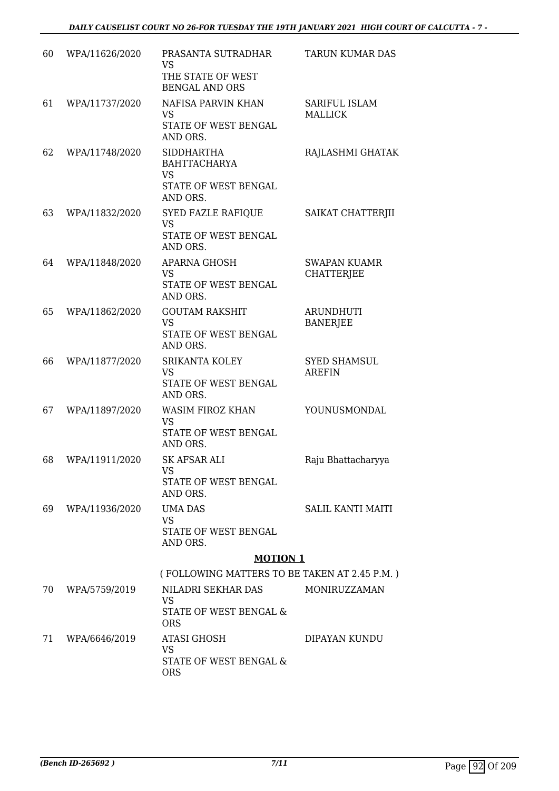| 60 | WPA/11626/2020 | PRASANTA SUTRADHAR<br><b>VS</b><br>THE STATE OF WEST<br><b>BENGAL AND ORS</b>             | <b>TARUN KUMAR DAS</b>                   |
|----|----------------|-------------------------------------------------------------------------------------------|------------------------------------------|
| 61 | WPA/11737/2020 | <b>NAFISA PARVIN KHAN</b><br><b>VS</b><br>STATE OF WEST BENGAL<br>AND ORS.                | <b>SARIFUL ISLAM</b><br><b>MALLICK</b>   |
| 62 | WPA/11748/2020 | <b>SIDDHARTHA</b><br><b>BAHTTACHARYA</b><br><b>VS</b><br>STATE OF WEST BENGAL<br>AND ORS. | RAJLASHMI GHATAK                         |
| 63 | WPA/11832/2020 | SYED FAZLE RAFIQUE<br><b>VS</b><br>STATE OF WEST BENGAL<br>AND ORS.                       | SAIKAT CHATTERJII                        |
| 64 | WPA/11848/2020 | APARNA GHOSH<br><b>VS</b><br>STATE OF WEST BENGAL<br>AND ORS.                             | <b>SWAPAN KUAMR</b><br><b>CHATTERJEE</b> |
| 65 | WPA/11862/2020 | <b>GOUTAM RAKSHIT</b><br><b>VS</b><br>STATE OF WEST BENGAL<br>AND ORS.                    | <b>ARUNDHUTI</b><br><b>BANERJEE</b>      |
| 66 | WPA/11877/2020 | SRIKANTA KOLEY<br><b>VS</b><br>STATE OF WEST BENGAL<br>AND ORS.                           | <b>SYED SHAMSUL</b><br><b>AREFIN</b>     |
| 67 | WPA/11897/2020 | <b>WASIM FIROZ KHAN</b><br><b>VS</b><br>STATE OF WEST BENGAL<br>AND ORS.                  | YOUNUSMONDAL                             |
| 68 | WPA/11911/2020 | <b>SK AFSAR ALI</b><br><b>VS</b><br>STATE OF WEST BENGAL<br>AND ORS.                      | Raju Bhattacharyya                       |
| 69 | WPA/11936/2020 | UMA DAS<br><b>VS</b><br>STATE OF WEST BENGAL<br>AND ORS.                                  | SALIL KANTI MAITI                        |
|    |                | <b>MOTION 1</b>                                                                           |                                          |
| 70 | WPA/5759/2019  | (FOLLOWING MATTERS TO BE TAKEN AT 2.45 P.M.)<br>NILADRI SEKHAR DAS                        | MONIRUZZAMAN                             |
|    |                | VS<br>STATE OF WEST BENGAL &<br><b>ORS</b>                                                |                                          |
| 71 | WPA/6646/2019  | <b>ATASI GHOSH</b><br><b>VS</b><br>STATE OF WEST BENGAL &<br><b>ORS</b>                   | DIPAYAN KUNDU                            |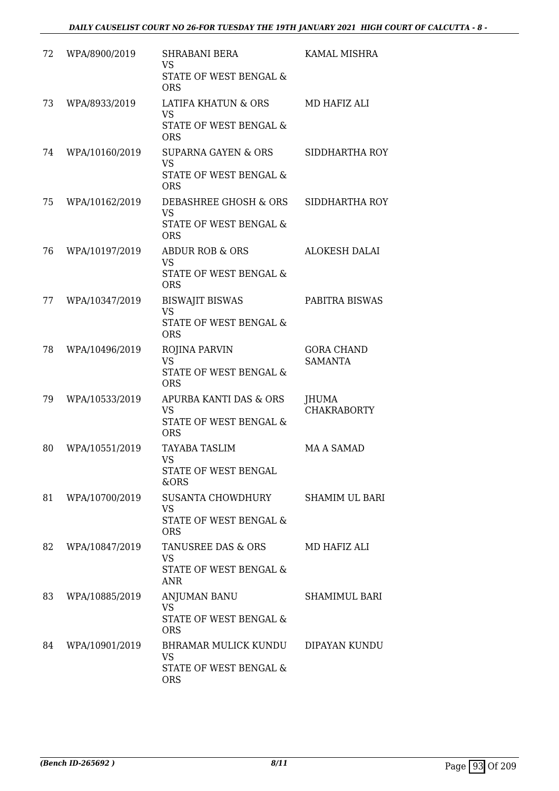| 72 | WPA/8900/2019  | <b>SHRABANI BERA</b><br><b>VS</b><br>STATE OF WEST BENGAL &<br><b>ORS</b>                      | <b>KAMAL MISHRA</b>                 |
|----|----------------|------------------------------------------------------------------------------------------------|-------------------------------------|
| 73 | WPA/8933/2019  | LATIFA KHATUN & ORS<br><b>VS</b><br>STATE OF WEST BENGAL &<br><b>ORS</b>                       | MD HAFIZ ALI                        |
| 74 | WPA/10160/2019 | <b>SUPARNA GAYEN &amp; ORS</b><br><b>VS</b><br><b>STATE OF WEST BENGAL &amp;</b><br><b>ORS</b> | SIDDHARTHA ROY                      |
| 75 | WPA/10162/2019 | DEBASHREE GHOSH & ORS<br><b>VS</b><br>STATE OF WEST BENGAL &<br><b>ORS</b>                     | SIDDHARTHA ROY                      |
| 76 | WPA/10197/2019 | <b>ABDUR ROB &amp; ORS</b><br><b>VS</b><br>STATE OF WEST BENGAL &<br><b>ORS</b>                | <b>ALOKESH DALAI</b>                |
| 77 | WPA/10347/2019 | <b>BISWAJIT BISWAS</b><br><b>VS</b><br>STATE OF WEST BENGAL &<br><b>ORS</b>                    | PABITRA BISWAS                      |
| 78 | WPA/10496/2019 | <b>ROJINA PARVIN</b><br><b>VS</b><br>STATE OF WEST BENGAL &<br><b>ORS</b>                      | <b>GORA CHAND</b><br><b>SAMANTA</b> |
| 79 | WPA/10533/2019 | APURBA KANTI DAS & ORS<br><b>VS</b><br>STATE OF WEST BENGAL &<br><b>ORS</b>                    | JHUMA<br><b>CHAKRABORTY</b>         |
| 80 | WPA/10551/2019 | TAYABA TASLIM<br><b>VS</b><br>STATE OF WEST BENGAL<br>&ORS                                     | MA A SAMAD                          |
| 81 | WPA/10700/2019 | SUSANTA CHOWDHURY<br><b>VS</b><br>STATE OF WEST BENGAL &<br><b>ORS</b>                         | SHAMIM UL BARI                      |
| 82 | WPA/10847/2019 | TANUSREE DAS & ORS<br><b>VS</b><br><b>STATE OF WEST BENGAL &amp;</b><br><b>ANR</b>             | MD HAFIZ ALI                        |
| 83 | WPA/10885/2019 | ANJUMAN BANU<br><b>VS</b><br>STATE OF WEST BENGAL &<br><b>ORS</b>                              | SHAMIMUL BARI                       |
| 84 | WPA/10901/2019 | BHRAMAR MULICK KUNDU<br><b>VS</b><br>STATE OF WEST BENGAL &<br><b>ORS</b>                      | DIPAYAN KUNDU                       |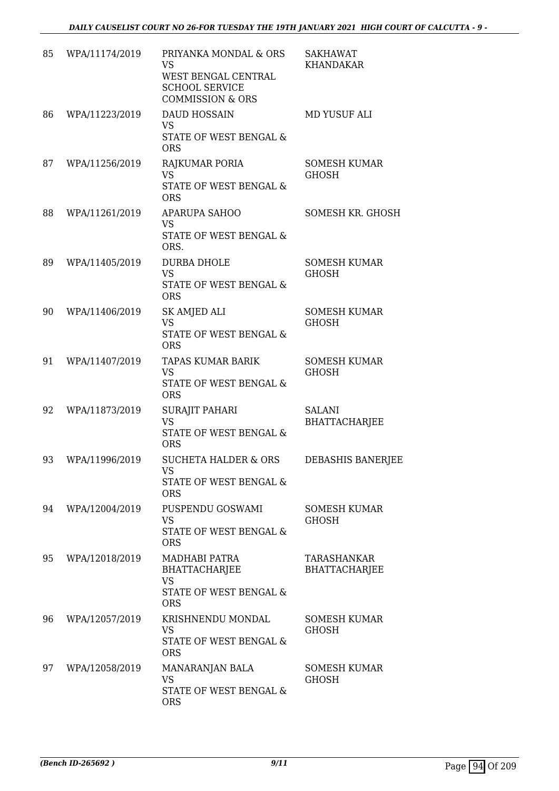| 85 | WPA/11174/2019 | PRIYANKA MONDAL & ORS<br><b>VS</b><br>WEST BENGAL CENTRAL<br><b>SCHOOL SERVICE</b><br><b>COMMISSION &amp; ORS</b> | <b>SAKHAWAT</b><br><b>KHANDAKAR</b> |
|----|----------------|-------------------------------------------------------------------------------------------------------------------|-------------------------------------|
| 86 | WPA/11223/2019 | <b>DAUD HOSSAIN</b><br><b>VS</b><br>STATE OF WEST BENGAL &<br><b>ORS</b>                                          | MD YUSUF ALI                        |
| 87 | WPA/11256/2019 | RAJKUMAR PORIA<br><b>VS</b><br>STATE OF WEST BENGAL &<br><b>ORS</b>                                               | <b>SOMESH KUMAR</b><br><b>GHOSH</b> |
| 88 | WPA/11261/2019 | <b>APARUPA SAHOO</b><br><b>VS</b><br>STATE OF WEST BENGAL &<br>ORS.                                               | SOMESH KR. GHOSH                    |
| 89 | WPA/11405/2019 | <b>DURBA DHOLE</b><br><b>VS</b><br>STATE OF WEST BENGAL &<br><b>ORS</b>                                           | <b>SOMESH KUMAR</b><br><b>GHOSH</b> |
| 90 | WPA/11406/2019 | SK AMJED ALI<br><b>VS</b><br>STATE OF WEST BENGAL &<br><b>ORS</b>                                                 | <b>SOMESH KUMAR</b><br><b>GHOSH</b> |
| 91 | WPA/11407/2019 | TAPAS KUMAR BARIK<br><b>VS</b><br>STATE OF WEST BENGAL &<br><b>ORS</b>                                            | <b>SOMESH KUMAR</b><br><b>GHOSH</b> |
| 92 | WPA/11873/2019 | <b>SURAJIT PAHARI</b><br><b>VS</b><br><b>STATE OF WEST BENGAL &amp;</b><br><b>ORS</b>                             | SALANI<br><b>BHATTACHARJEE</b>      |
| 93 | WPA/11996/2019 | <b>SUCHETA HALDER &amp; ORS</b><br><b>VS</b><br>STATE OF WEST BENGAL &<br><b>ORS</b>                              | DEBASHIS BANERJEE                   |
| 94 | WPA/12004/2019 | PUSPENDU GOSWAMI<br><b>VS</b><br>STATE OF WEST BENGAL &<br><b>ORS</b>                                             | <b>SOMESH KUMAR</b><br><b>GHOSH</b> |
| 95 | WPA/12018/2019 | MADHABI PATRA<br><b>BHATTACHARJEE</b><br><b>VS</b><br>STATE OF WEST BENGAL &<br><b>ORS</b>                        | TARASHANKAR<br><b>BHATTACHARJEE</b> |
| 96 | WPA/12057/2019 | KRISHNENDU MONDAL<br><b>VS</b><br>STATE OF WEST BENGAL &<br><b>ORS</b>                                            | <b>SOMESH KUMAR</b><br><b>GHOSH</b> |
| 97 | WPA/12058/2019 | MANARANJAN BALA<br><b>VS</b><br>STATE OF WEST BENGAL &<br><b>ORS</b>                                              | SOMESH KUMAR<br>GHOSH               |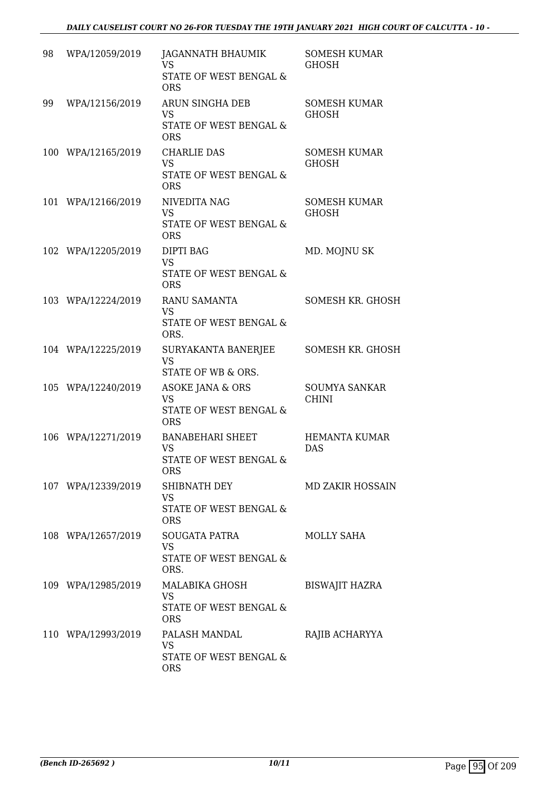| 98 | WPA/12059/2019     | JAGANNATH BHAUMIK<br><b>VS</b>                         | <b>SOMESH KUMAR</b><br>GHOSH |
|----|--------------------|--------------------------------------------------------|------------------------------|
|    |                    | STATE OF WEST BENGAL &<br><b>ORS</b>                   |                              |
| 99 | WPA/12156/2019     | ARUN SINGHA DEB<br><b>VS</b>                           | <b>SOMESH KUMAR</b><br>GHOSH |
|    |                    | STATE OF WEST BENGAL &<br><b>ORS</b>                   |                              |
|    | 100 WPA/12165/2019 | <b>CHARLIE DAS</b><br><b>VS</b>                        | SOMESH KUMAR<br><b>GHOSH</b> |
|    |                    | STATE OF WEST BENGAL &<br><b>ORS</b>                   |                              |
|    | 101 WPA/12166/2019 | NIVEDITA NAG<br><b>VS</b>                              | SOMESH KUMAR<br>GHOSH        |
|    |                    | STATE OF WEST BENGAL &<br><b>ORS</b>                   |                              |
|    | 102 WPA/12205/2019 | <b>DIPTI BAG</b><br><b>VS</b>                          | MD. MOJNU SK                 |
|    |                    | STATE OF WEST BENGAL &<br><b>ORS</b>                   |                              |
|    | 103 WPA/12224/2019 | RANU SAMANTA<br><b>VS</b>                              | SOMESH KR. GHOSH             |
|    |                    | STATE OF WEST BENGAL &<br>ORS.                         |                              |
|    | 104 WPA/12225/2019 | SURYAKANTA BANERJEE<br><b>VS</b><br>STATE OF WB & ORS. | SOMESH KR. GHOSH             |
|    | 105 WPA/12240/2019 | ASOKE JANA & ORS                                       | <b>SOUMYA SANKAR</b>         |
|    |                    | <b>VS</b><br>STATE OF WEST BENGAL &<br><b>ORS</b>      | <b>CHINI</b>                 |
|    | 106 WPA/12271/2019 | <b>BANABEHARI SHEET</b><br><b>VS</b>                   | HEMANTA KUMAR<br><b>DAS</b>  |
|    |                    | <b>STATE OF WEST BENGAL &amp;</b><br>ORS               |                              |
|    | 107 WPA/12339/2019 | SHIBNATH DEY<br><b>VS</b>                              | <b>MD ZAKIR HOSSAIN</b>      |
|    |                    | STATE OF WEST BENGAL &<br><b>ORS</b>                   |                              |
|    | 108 WPA/12657/2019 | SOUGATA PATRA<br>VS                                    | <b>MOLLY SAHA</b>            |
|    |                    | STATE OF WEST BENGAL &<br>ORS.                         |                              |
|    | 109 WPA/12985/2019 | MALABIKA GHOSH<br><b>VS</b>                            | <b>BISWAJIT HAZRA</b>        |
|    |                    | STATE OF WEST BENGAL &<br><b>ORS</b>                   |                              |
|    | 110 WPA/12993/2019 | PALASH MANDAL<br>VS                                    | RAJIB ACHARYYA               |
|    |                    | STATE OF WEST BENGAL &<br><b>ORS</b>                   |                              |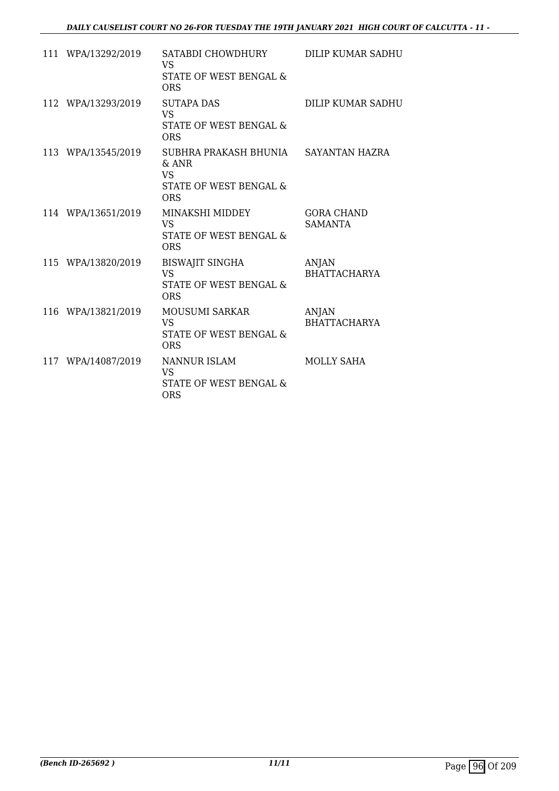| 111 WPA/13292/2019 | SATABDI CHOWDHURY<br>VS<br>STATE OF WEST BENGAL &<br><b>ORS</b>                       | <b>DILIP KUMAR SADHU</b>            |
|--------------------|---------------------------------------------------------------------------------------|-------------------------------------|
| 112 WPA/13293/2019 | <b>SUTAPA DAS</b><br><b>VS</b><br><b>STATE OF WEST BENGAL &amp;</b><br><b>ORS</b>     | DILIP KUMAR SADHU                   |
| 113 WPA/13545/2019 | SUBHRA PRAKASH BHUNIA<br>$&$ ANR<br><b>VS</b><br>STATE OF WEST BENGAL &<br><b>ORS</b> | SAYANTAN HAZRA                      |
| 114 WPA/13651/2019 | MINAKSHI MIDDEY<br><b>VS</b><br><b>STATE OF WEST BENGAL &amp;</b><br><b>ORS</b>       | <b>GORA CHAND</b><br><b>SAMANTA</b> |
| 115 WPA/13820/2019 | <b>BISWAJIT SINGHA</b><br><b>VS</b><br>STATE OF WEST BENGAL &<br><b>ORS</b>           | <b>ANJAN</b><br><b>BHATTACHARYA</b> |
| 116 WPA/13821/2019 | <b>MOUSUMI SARKAR</b><br><b>VS</b><br>STATE OF WEST BENGAL &<br><b>ORS</b>            | ANJAN<br><b>BHATTACHARYA</b>        |
| 117 WPA/14087/2019 | NANNUR ISLAM<br><b>VS</b><br>STATE OF WEST BENGAL &<br><b>ORS</b>                     | <b>MOLLY SAHA</b>                   |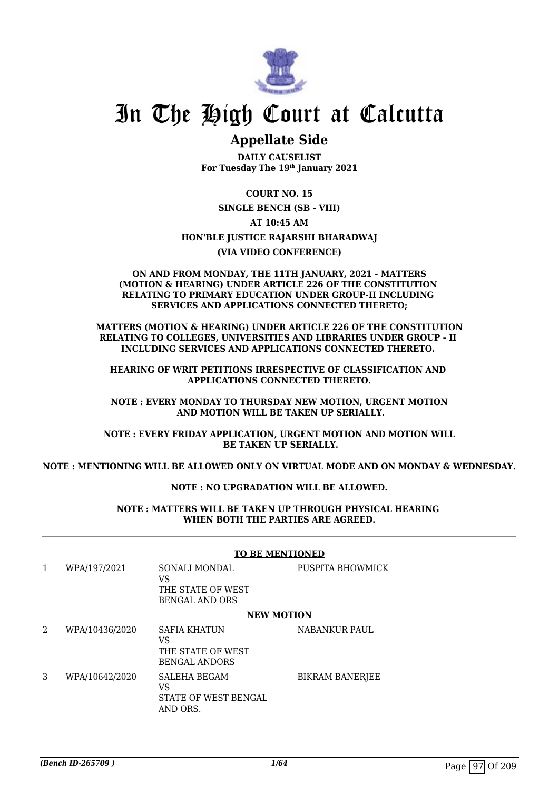

# In The High Court at Calcutta

# **Appellate Side**

**DAILY CAUSELIST For Tuesday The 19th January 2021**

**COURT NO. 15**

**SINGLE BENCH (SB - VIII)**

**AT 10:45 AM**

#### **HON'BLE JUSTICE RAJARSHI BHARADWAJ**

**(VIA VIDEO CONFERENCE)**

#### **ON AND FROM MONDAY, THE 11TH JANUARY, 2021 - MATTERS (MOTION & HEARING) UNDER ARTICLE 226 OF THE CONSTITUTION RELATING TO PRIMARY EDUCATION UNDER GROUP-II INCLUDING SERVICES AND APPLICATIONS CONNECTED THERETO;**

**MATTERS (MOTION & HEARING) UNDER ARTICLE 226 OF THE CONSTITUTION RELATING TO COLLEGES, UNIVERSITIES AND LIBRARIES UNDER GROUP - II INCLUDING SERVICES AND APPLICATIONS CONNECTED THERETO.** 

**HEARING OF WRIT PETITIONS IRRESPECTIVE OF CLASSIFICATION AND APPLICATIONS CONNECTED THERETO.**

**NOTE : EVERY MONDAY TO THURSDAY NEW MOTION, URGENT MOTION AND MOTION WILL BE TAKEN UP SERIALLY.**

**NOTE : EVERY FRIDAY APPLICATION, URGENT MOTION AND MOTION WILL BE TAKEN UP SERIALLY.**

**NOTE : MENTIONING WILL BE ALLOWED ONLY ON VIRTUAL MODE AND ON MONDAY & WEDNESDAY.**

#### **NOTE : NO UPGRADATION WILL BE ALLOWED.**

**NOTE : MATTERS WILL BE TAKEN UP THROUGH PHYSICAL HEARING WHEN BOTH THE PARTIES ARE AGREED.**

|   |                | <b>TO BE MENTIONED</b>                                                 |                        |
|---|----------------|------------------------------------------------------------------------|------------------------|
| 1 | WPA/197/2021   | SONALI MONDAL<br>VS<br>THE STATE OF WEST<br><b>BENGAL AND ORS</b>      | PUSPITA BHOWMICK       |
|   |                | <b>NEW MOTION</b>                                                      |                        |
| 2 | WPA/10436/2020 | <b>SAFIA KHATUN</b><br>VS<br>THE STATE OF WEST<br><b>BENGAL ANDORS</b> | <b>NABANKUR PAUL</b>   |
| 3 | WPA/10642/2020 | <b>SALEHA BEGAM</b><br>VS<br>STATE OF WEST BENGAL<br>AND ORS.          | <b>BIKRAM BANERJEE</b> |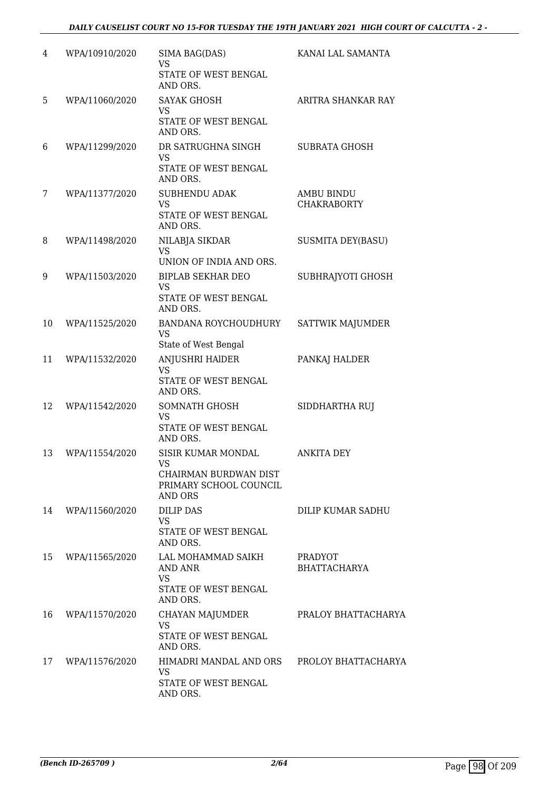| 4  | WPA/10910/2020 | SIMA BAG(DAS)                                                    | KANAI LAL SAMANTA                     |
|----|----------------|------------------------------------------------------------------|---------------------------------------|
|    |                | VS<br>STATE OF WEST BENGAL<br>AND ORS.                           |                                       |
| 5  | WPA/11060/2020 | <b>SAYAK GHOSH</b><br><b>VS</b>                                  | ARITRA SHANKAR RAY                    |
|    |                | STATE OF WEST BENGAL<br>AND ORS.                                 |                                       |
| 6  | WPA/11299/2020 | DR SATRUGHNA SINGH<br><b>VS</b><br>STATE OF WEST BENGAL          | <b>SUBRATA GHOSH</b>                  |
| 7  | WPA/11377/2020 | AND ORS.<br><b>SUBHENDU ADAK</b>                                 | <b>AMBU BINDU</b>                     |
|    |                | <b>VS</b><br>STATE OF WEST BENGAL<br>AND ORS.                    | <b>CHAKRABORTY</b>                    |
| 8  | WPA/11498/2020 | NILABJA SIKDAR                                                   | SUSMITA DEY(BASU)                     |
|    |                | VS<br>UNION OF INDIA AND ORS.                                    |                                       |
| 9  | WPA/11503/2020 | <b>BIPLAB SEKHAR DEO</b>                                         | SUBHRAJYOTI GHOSH                     |
|    |                | <b>VS</b><br>STATE OF WEST BENGAL<br>AND ORS.                    |                                       |
| 10 | WPA/11525/2020 | BANDANA ROYCHOUDHURY<br>VS<br>State of West Bengal               | SATTWIK MAJUMDER                      |
| 11 | WPA/11532/2020 | <b>ANJUSHRI HAIDER</b>                                           | PANKAJ HALDER                         |
|    |                | VS<br>STATE OF WEST BENGAL<br>AND ORS.                           |                                       |
| 12 | WPA/11542/2020 | SOMNATH GHOSH                                                    | SIDDHARTHA RUJ                        |
|    |                | <b>VS</b><br>STATE OF WEST BENGAL<br>AND ORS.                    |                                       |
| 13 | WPA/11554/2020 | SISIR KUMAR MONDAL<br>VS.                                        | <b>ANKITA DEY</b>                     |
|    |                | CHAIRMAN BURDWAN DIST<br>PRIMARY SCHOOL COUNCIL<br>AND ORS       |                                       |
| 14 | WPA/11560/2020 | <b>DILIP DAS</b>                                                 | DILIP KUMAR SADHU                     |
|    |                | VS.<br>STATE OF WEST BENGAL<br>AND ORS.                          |                                       |
| 15 | WPA/11565/2020 | LAL MOHAMMAD SAIKH<br>AND ANR<br>VS                              | <b>PRADYOT</b><br><b>BHATTACHARYA</b> |
|    |                | STATE OF WEST BENGAL<br>AND ORS.                                 |                                       |
| 16 | WPA/11570/2020 | CHAYAN MAJUMDER<br><b>VS</b><br>STATE OF WEST BENGAL<br>AND ORS. | PRALOY BHATTACHARYA                   |
| 17 | WPA/11576/2020 | HIMADRI MANDAL AND ORS PROLOY BHATTACHARYA                       |                                       |
|    |                | VS<br>STATE OF WEST BENGAL<br>AND ORS.                           |                                       |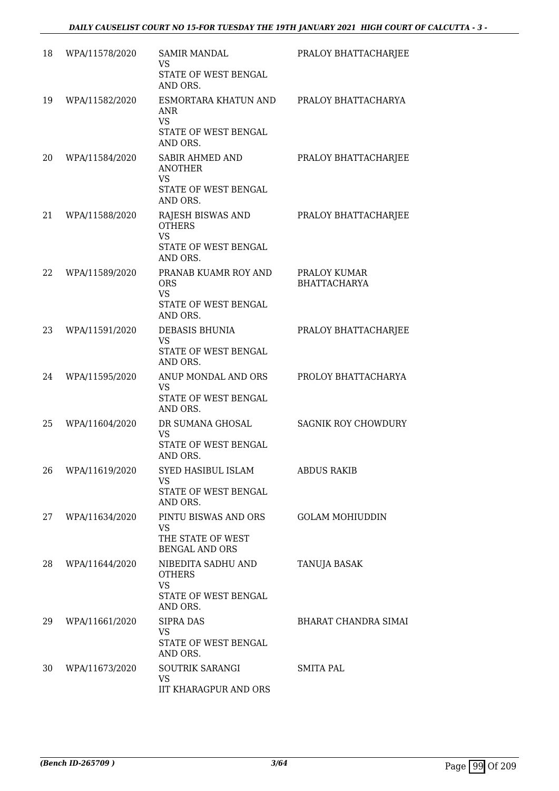| 18 | WPA/11578/2020 | <b>SAMIR MANDAL</b><br><b>VS</b><br>STATE OF WEST BENGAL<br>AND ORS.                            | PRALOY BHATTACHARJEE                |
|----|----------------|-------------------------------------------------------------------------------------------------|-------------------------------------|
| 19 | WPA/11582/2020 | ESMORTARA KHATUN AND<br>ANR<br><b>VS</b><br>STATE OF WEST BENGAL                                | PRALOY BHATTACHARYA                 |
| 20 | WPA/11584/2020 | AND ORS.<br><b>SABIR AHMED AND</b><br><b>ANOTHER</b><br><b>VS</b><br>STATE OF WEST BENGAL       | PRALOY BHATTACHARJEE                |
| 21 | WPA/11588/2020 | AND ORS.<br>RAJESH BISWAS AND<br><b>OTHERS</b><br><b>VS</b><br>STATE OF WEST BENGAL             | PRALOY BHATTACHARJEE                |
| 22 | WPA/11589/2020 | AND ORS.<br>PRANAB KUAMR ROY AND<br><b>ORS</b><br><b>VS</b><br>STATE OF WEST BENGAL<br>AND ORS. | PRALOY KUMAR<br><b>BHATTACHARYA</b> |
| 23 | WPA/11591/2020 | <b>DEBASIS BHUNIA</b><br><b>VS</b><br>STATE OF WEST BENGAL<br>AND ORS.                          | PRALOY BHATTACHARJEE                |
| 24 | WPA/11595/2020 | ANUP MONDAL AND ORS<br><b>VS</b><br>STATE OF WEST BENGAL<br>AND ORS.                            | PROLOY BHATTACHARYA                 |
| 25 | WPA/11604/2020 | DR SUMANA GHOSAL<br>VS<br>STATE OF WEST BENGAL<br>AND ORS.                                      | <b>SAGNIK ROY CHOWDURY</b>          |
| 26 | WPA/11619/2020 | SYED HASIBUL ISLAM<br><b>VS</b><br>STATE OF WEST BENGAL<br>AND ORS.                             | <b>ABDUS RAKIB</b>                  |
| 27 | WPA/11634/2020 | PINTU BISWAS AND ORS<br><b>VS</b><br>THE STATE OF WEST<br><b>BENGAL AND ORS</b>                 | <b>GOLAM MOHIUDDIN</b>              |
| 28 | WPA/11644/2020 | NIBEDITA SADHU AND<br><b>OTHERS</b><br><b>VS</b><br>STATE OF WEST BENGAL                        | TANUJA BASAK                        |
| 29 | WPA/11661/2020 | AND ORS.<br><b>SIPRA DAS</b><br>VS.<br>STATE OF WEST BENGAL<br>AND ORS.                         | BHARAT CHANDRA SIMAI                |
| 30 | WPA/11673/2020 | SOUTRIK SARANGI<br>VS<br>IIT KHARAGPUR AND ORS                                                  | SMITA PAL                           |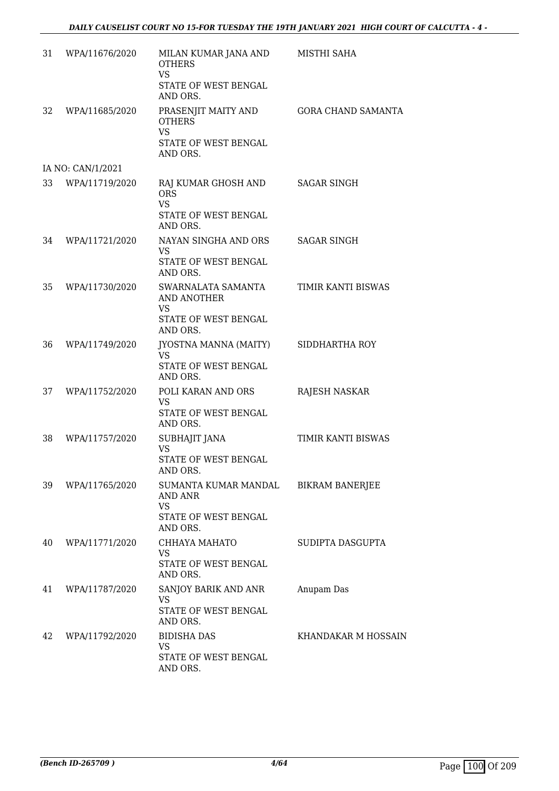| 31 | WPA/11676/2020    | MILAN KUMAR JANA AND<br><b>OTHERS</b><br><b>VS</b><br>STATE OF WEST BENGAL                        | MISTHI SAHA               |
|----|-------------------|---------------------------------------------------------------------------------------------------|---------------------------|
| 32 | WPA/11685/2020    | AND ORS.<br>PRASENJIT MAITY AND<br><b>OTHERS</b><br><b>VS</b><br>STATE OF WEST BENGAL<br>AND ORS. | <b>GORA CHAND SAMANTA</b> |
|    | IA NO: CAN/1/2021 |                                                                                                   |                           |
| 33 | WPA/11719/2020    | RAJ KUMAR GHOSH AND<br><b>ORS</b><br><b>VS</b><br>STATE OF WEST BENGAL<br>AND ORS.                | <b>SAGAR SINGH</b>        |
| 34 | WPA/11721/2020    | NAYAN SINGHA AND ORS<br><b>VS</b><br>STATE OF WEST BENGAL<br>AND ORS.                             | <b>SAGAR SINGH</b>        |
| 35 | WPA/11730/2020    | SWARNALATA SAMANTA<br>AND ANOTHER<br><b>VS</b><br>STATE OF WEST BENGAL                            | TIMIR KANTI BISWAS        |
| 36 | WPA/11749/2020    | AND ORS.<br>JYOSTNA MANNA (MAITY)<br><b>VS</b><br>STATE OF WEST BENGAL<br>AND ORS.                | SIDDHARTHA ROY            |
| 37 | WPA/11752/2020    | POLI KARAN AND ORS<br>VS.<br>STATE OF WEST BENGAL<br>AND ORS.                                     | RAJESH NASKAR             |
| 38 | WPA/11757/2020    | SUBHAJIT JANA<br><b>VS</b><br>STATE OF WEST BENGAL<br>AND ORS.                                    | TIMIR KANTI BISWAS        |
|    | 39 WPA/11765/2020 | SUMANTA KUMAR MANDAL BIKRAM BANERJEE<br>AND ANR<br>VS<br>STATE OF WEST BENGAL<br>AND ORS.         |                           |
| 40 | WPA/11771/2020    | CHHAYA MAHATO<br><b>VS</b><br>STATE OF WEST BENGAL<br>AND ORS.                                    | SUDIPTA DASGUPTA          |
| 41 | WPA/11787/2020    | SANJOY BARIK AND ANR<br><b>VS</b><br>STATE OF WEST BENGAL<br>AND ORS.                             | Anupam Das                |
| 42 | WPA/11792/2020    | <b>BIDISHA DAS</b><br><b>VS</b><br>STATE OF WEST BENGAL<br>AND ORS.                               | KHANDAKAR M HOSSAIN       |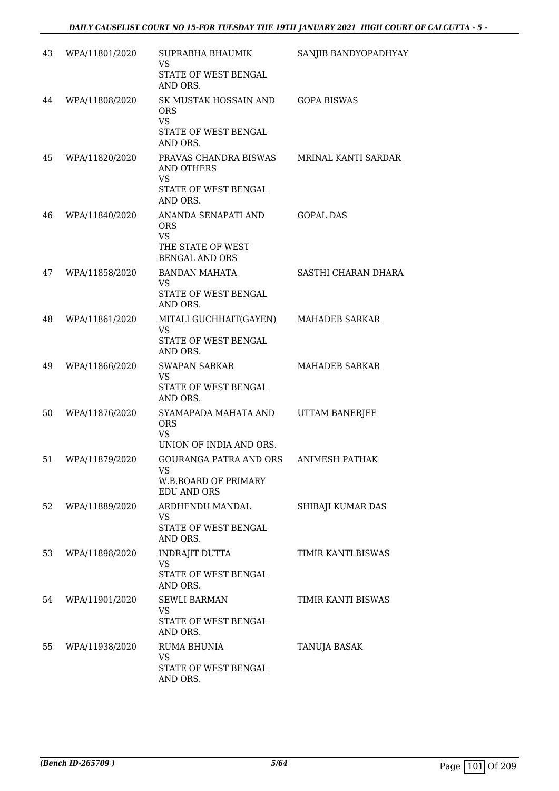| 43 | WPA/11801/2020 | SUPRABHA BHAUMIK<br><b>VS</b>                                                                | SANJIB BANDYOPADHYAY  |
|----|----------------|----------------------------------------------------------------------------------------------|-----------------------|
|    |                | STATE OF WEST BENGAL<br>AND ORS.                                                             |                       |
| 44 | WPA/11808/2020 | SK MUSTAK HOSSAIN AND<br><b>ORS</b><br><b>VS</b>                                             | <b>GOPA BISWAS</b>    |
|    |                | STATE OF WEST BENGAL<br>AND ORS.                                                             |                       |
| 45 | WPA/11820/2020 | PRAVAS CHANDRA BISWAS<br><b>AND OTHERS</b><br><b>VS</b>                                      | MRINAL KANTI SARDAR   |
|    |                | STATE OF WEST BENGAL<br>AND ORS.                                                             |                       |
| 46 | WPA/11840/2020 | ANANDA SENAPATI AND<br><b>ORS</b><br><b>VS</b><br>THE STATE OF WEST<br><b>BENGAL AND ORS</b> | <b>GOPAL DAS</b>      |
| 47 | WPA/11858/2020 | <b>BANDAN MAHATA</b>                                                                         | SASTHI CHARAN DHARA   |
|    |                | <b>VS</b><br>STATE OF WEST BENGAL<br>AND ORS.                                                |                       |
| 48 | WPA/11861/2020 | MITALI GUCHHAIT(GAYEN)<br><b>VS</b>                                                          | <b>MAHADEB SARKAR</b> |
|    |                | STATE OF WEST BENGAL<br>AND ORS.                                                             |                       |
| 49 | WPA/11866/2020 | <b>SWAPAN SARKAR</b><br><b>VS</b>                                                            | <b>MAHADEB SARKAR</b> |
|    |                | STATE OF WEST BENGAL<br>AND ORS.                                                             |                       |
| 50 | WPA/11876/2020 | SYAMAPADA MAHATA AND<br><b>ORS</b><br><b>VS</b>                                              | UTTAM BANERJEE        |
| 51 | WPA/11879/2020 | UNION OF INDIA AND ORS.<br>GOURANGA PATRA AND ORS                                            | <b>ANIMESH PATHAK</b> |
|    |                | VS<br>W.B.BOARD OF PRIMARY<br><b>EDU AND ORS</b>                                             |                       |
| 52 | WPA/11889/2020 | ARDHENDU MANDAL<br><b>VS</b><br>STATE OF WEST BENGAL<br>AND ORS.                             | SHIBAJI KUMAR DAS     |
| 53 | WPA/11898/2020 | <b>INDRAJIT DUTTA</b>                                                                        | TIMIR KANTI BISWAS    |
|    |                | <b>VS</b><br>STATE OF WEST BENGAL<br>AND ORS.                                                |                       |
| 54 | WPA/11901/2020 | <b>SEWLI BARMAN</b><br><b>VS</b>                                                             | TIMIR KANTI BISWAS    |
|    |                | STATE OF WEST BENGAL<br>AND ORS.                                                             |                       |
| 55 | WPA/11938/2020 | <b>RUMA BHUNIA</b><br>VS                                                                     | TANUJA BASAK          |
|    |                | STATE OF WEST BENGAL<br>AND ORS.                                                             |                       |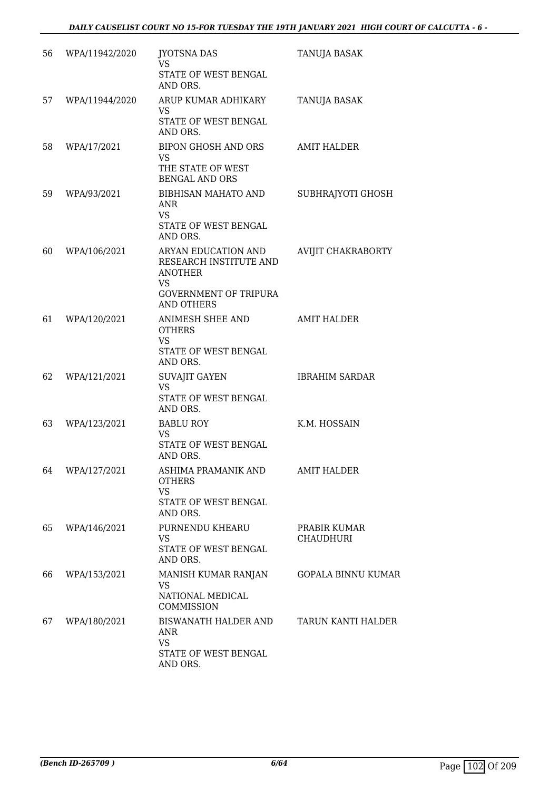| 56 | WPA/11942/2020 | <b>JYOTSNA DAS</b>                                                                                                                | TANUJA BASAK                     |
|----|----------------|-----------------------------------------------------------------------------------------------------------------------------------|----------------------------------|
|    |                | VS<br>STATE OF WEST BENGAL<br>AND ORS.                                                                                            |                                  |
| 57 | WPA/11944/2020 | ARUP KUMAR ADHIKARY<br>VS<br>STATE OF WEST BENGAL<br>AND ORS.                                                                     | TANUJA BASAK                     |
| 58 | WPA/17/2021    | BIPON GHOSH AND ORS<br><b>VS</b><br>THE STATE OF WEST<br><b>BENGAL AND ORS</b>                                                    | <b>AMIT HALDER</b>               |
| 59 | WPA/93/2021    | BIBHISAN MAHATO AND<br><b>ANR</b><br><b>VS</b><br>STATE OF WEST BENGAL<br>AND ORS.                                                | SUBHRAJYOTI GHOSH                |
| 60 | WPA/106/2021   | ARYAN EDUCATION AND<br>RESEARCH INSTITUTE AND<br><b>ANOTHER</b><br><b>VS</b><br><b>GOVERNMENT OF TRIPURA</b><br><b>AND OTHERS</b> | AVIJIT CHAKRABORTY               |
| 61 | WPA/120/2021   | ANIMESH SHEE AND<br><b>OTHERS</b><br><b>VS</b><br>STATE OF WEST BENGAL<br>AND ORS.                                                | <b>AMIT HALDER</b>               |
| 62 | WPA/121/2021   | <b>SUVAJIT GAYEN</b><br><b>VS</b><br>STATE OF WEST BENGAL<br>AND ORS.                                                             | <b>IBRAHIM SARDAR</b>            |
| 63 | WPA/123/2021   | <b>BABLU ROY</b><br>VS<br>STATE OF WEST BENGAL<br>AND ORS.                                                                        | K.M. HOSSAIN                     |
| 64 | WPA/127/2021   | ASHIMA PRAMANIK AND<br><b>OTHERS</b><br><b>VS</b><br>STATE OF WEST BENGAL<br>AND ORS.                                             | <b>AMIT HALDER</b>               |
| 65 | WPA/146/2021   | PURNENDU KHEARU<br>VS<br>STATE OF WEST BENGAL<br>AND ORS.                                                                         | PRABIR KUMAR<br><b>CHAUDHURI</b> |
| 66 | WPA/153/2021   | MANISH KUMAR RANJAN<br>VS<br>NATIONAL MEDICAL<br>COMMISSION                                                                       | <b>GOPALA BINNU KUMAR</b>        |
| 67 | WPA/180/2021   | BISWANATH HALDER AND<br><b>ANR</b><br><b>VS</b><br>STATE OF WEST BENGAL<br>AND ORS.                                               | TARUN KANTI HALDER               |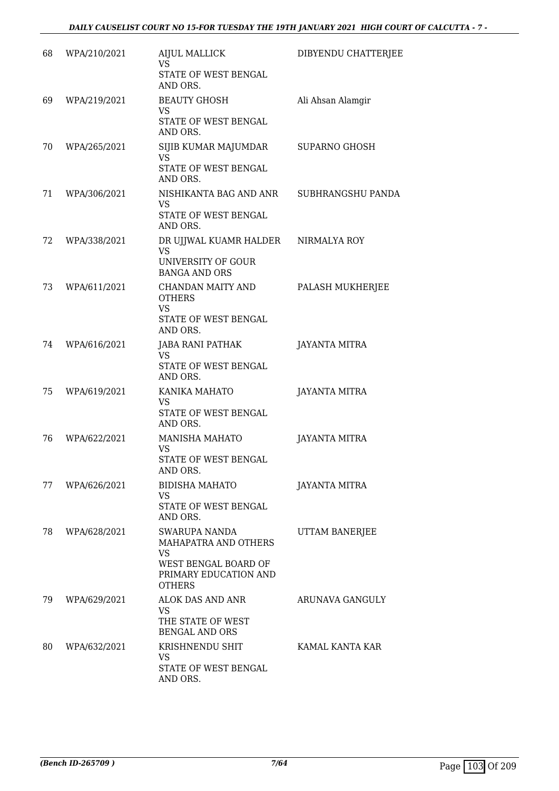| 68 | WPA/210/2021 | <b>AIJUL MALLICK</b><br><b>VS</b><br>STATE OF WEST BENGAL<br>AND ORS.                                                | DIBYENDU CHATTERJEE  |
|----|--------------|----------------------------------------------------------------------------------------------------------------------|----------------------|
| 69 | WPA/219/2021 | <b>BEAUTY GHOSH</b><br>VS<br>STATE OF WEST BENGAL<br>AND ORS.                                                        | Ali Ahsan Alamgir    |
| 70 | WPA/265/2021 | SIJIB KUMAR MAJUMDAR<br><b>VS</b><br>STATE OF WEST BENGAL<br>AND ORS.                                                | <b>SUPARNO GHOSH</b> |
| 71 | WPA/306/2021 | NISHIKANTA BAG AND ANR SUBHRANGSHU PANDA<br><b>VS</b><br>STATE OF WEST BENGAL<br>AND ORS.                            |                      |
| 72 | WPA/338/2021 | DR UJJWAL KUAMR HALDER<br><b>VS</b><br>UNIVERSITY OF GOUR<br><b>BANGA AND ORS</b>                                    | NIRMALYA ROY         |
| 73 | WPA/611/2021 | CHANDAN MAITY AND<br><b>OTHERS</b><br><b>VS</b><br>STATE OF WEST BENGAL<br>AND ORS.                                  | PALASH MUKHERJEE     |
| 74 | WPA/616/2021 | JABA RANI PATHAK<br>VS<br>STATE OF WEST BENGAL<br>AND ORS.                                                           | <b>JAYANTA MITRA</b> |
| 75 | WPA/619/2021 | KANIKA MAHATO<br>VS<br>STATE OF WEST BENGAL<br>AND ORS.                                                              | JAYANTA MITRA        |
| 76 | WPA/622/2021 | <b>MANISHA MAHATO</b><br><b>VS</b><br>STATE OF WEST BENGAL<br>AND ORS.                                               | <b>JAYANTA MITRA</b> |
| 77 | WPA/626/2021 | <b>BIDISHA MAHATO</b><br>VS.<br>STATE OF WEST BENGAL<br>AND ORS.                                                     | <b>JAYANTA MITRA</b> |
| 78 | WPA/628/2021 | SWARUPA NANDA<br>MAHAPATRA AND OTHERS<br><b>VS</b><br>WEST BENGAL BOARD OF<br>PRIMARY EDUCATION AND<br><b>OTHERS</b> | UTTAM BANERJEE       |
| 79 | WPA/629/2021 | ALOK DAS AND ANR<br>VS<br>THE STATE OF WEST<br><b>BENGAL AND ORS</b>                                                 | ARUNAVA GANGULY      |
| 80 | WPA/632/2021 | KRISHNENDU SHIT<br>VS<br>STATE OF WEST BENGAL<br>AND ORS.                                                            | KAMAL KANTA KAR      |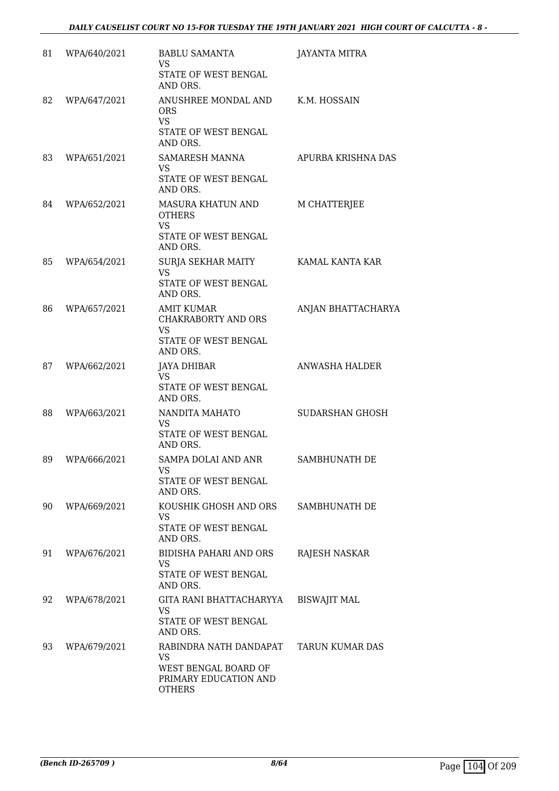| 81 | WPA/640/2021 | <b>BABLU SAMANTA</b><br><b>VS</b><br>STATE OF WEST BENGAL<br>AND ORS.                            | <b>JAYANTA MITRA</b>   |
|----|--------------|--------------------------------------------------------------------------------------------------|------------------------|
| 82 | WPA/647/2021 | ANUSHREE MONDAL AND<br><b>ORS</b><br><b>VS</b><br>STATE OF WEST BENGAL<br>AND ORS.               | K.M. HOSSAIN           |
| 83 | WPA/651/2021 | SAMARESH MANNA<br>VS<br>STATE OF WEST BENGAL<br>AND ORS.                                         | APURBA KRISHNA DAS     |
| 84 | WPA/652/2021 | MASURA KHATUN AND<br><b>OTHERS</b><br><b>VS</b><br>STATE OF WEST BENGAL<br>AND ORS.              | M CHATTERJEE           |
| 85 | WPA/654/2021 | <b>SURJA SEKHAR MAITY</b><br><b>VS</b><br>STATE OF WEST BENGAL<br>AND ORS.                       | KAMAL KANTA KAR        |
| 86 | WPA/657/2021 | <b>AMIT KUMAR</b><br><b>CHAKRABORTY AND ORS</b><br><b>VS</b><br>STATE OF WEST BENGAL<br>AND ORS. | ANJAN BHATTACHARYA     |
| 87 | WPA/662/2021 | <b>JAYA DHIBAR</b><br><b>VS</b><br>STATE OF WEST BENGAL<br>AND ORS.                              | ANWASHA HALDER         |
| 88 | WPA/663/2021 | NANDITA MAHATO<br><b>VS</b><br>STATE OF WEST BENGAL<br>AND ORS.                                  | SUDARSHAN GHOSH        |
| 89 | WPA/666/2021 | SAMPA DOLAI AND ANR<br>VS<br>STATE OF WEST BENGAL<br>AND ORS.                                    | SAMBHUNATH DE          |
| 90 | WPA/669/2021 | KOUSHIK GHOSH AND ORS<br><b>VS</b><br>STATE OF WEST BENGAL<br>AND ORS.                           | SAMBHUNATH DE          |
| 91 | WPA/676/2021 | <b>BIDISHA PAHARI AND ORS</b><br><b>VS</b><br>STATE OF WEST BENGAL<br>AND ORS.                   | <b>RAJESH NASKAR</b>   |
| 92 | WPA/678/2021 | GITA RANI BHATTACHARYYA<br><b>VS</b><br>STATE OF WEST BENGAL<br>AND ORS.                         | <b>BISWAJIT MAL</b>    |
| 93 | WPA/679/2021 | RABINDRA NATH DANDAPAT<br>VS<br>WEST BENGAL BOARD OF<br>PRIMARY EDUCATION AND<br><b>OTHERS</b>   | <b>TARUN KUMAR DAS</b> |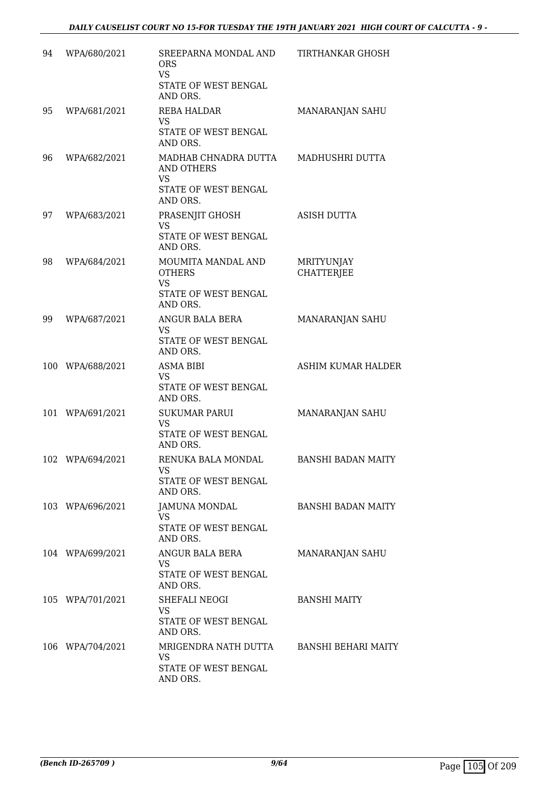| 94 | WPA/680/2021     | SREEPARNA MONDAL AND<br><b>ORS</b><br><b>VS</b><br>STATE OF WEST BENGAL      | TIRTHANKAR GHOSH                |
|----|------------------|------------------------------------------------------------------------------|---------------------------------|
| 95 | WPA/681/2021     | AND ORS.<br>REBA HALDAR<br><b>VS</b><br>STATE OF WEST BENGAL                 | MANARANJAN SAHU                 |
|    |                  | AND ORS.                                                                     |                                 |
| 96 | WPA/682/2021     | MADHAB CHNADRA DUTTA<br>AND OTHERS<br><b>VS</b><br>STATE OF WEST BENGAL      | MADHUSHRI DUTTA                 |
| 97 | WPA/683/2021     | AND ORS.<br>PRASENJIT GHOSH<br><b>VS</b><br>STATE OF WEST BENGAL<br>AND ORS. | <b>ASISH DUTTA</b>              |
| 98 | WPA/684/2021     | MOUMITA MANDAL AND<br><b>OTHERS</b><br><b>VS</b><br>STATE OF WEST BENGAL     | MRITYUNJAY<br><b>CHATTERJEE</b> |
| 99 | WPA/687/2021     | AND ORS.<br>ANGUR BALA BERA<br>VS.<br>STATE OF WEST BENGAL<br>AND ORS.       | MANARANJAN SAHU                 |
|    | 100 WPA/688/2021 | <b>ASMA BIBI</b><br>VS<br>STATE OF WEST BENGAL<br>AND ORS.                   | <b>ASHIM KUMAR HALDER</b>       |
|    | 101 WPA/691/2021 | <b>SUKUMAR PARUI</b><br>VS<br>STATE OF WEST BENGAL<br>AND ORS.               | MANARANJAN SAHU                 |
|    | 102 WPA/694/2021 | RENUKA BALA MONDAL<br>VS<br>STATE OF WEST BENGAL<br>AND ORS.                 | <b>BANSHI BADAN MAITY</b>       |
|    | 103 WPA/696/2021 | JAMUNA MONDAL<br><b>VS</b><br>STATE OF WEST BENGAL<br>AND ORS.               | <b>BANSHI BADAN MAITY</b>       |
|    | 104 WPA/699/2021 | ANGUR BALA BERA<br><b>VS</b><br>STATE OF WEST BENGAL<br>AND ORS.             | MANARANJAN SAHU                 |
|    | 105 WPA/701/2021 | SHEFALI NEOGI<br>VS<br>STATE OF WEST BENGAL<br>AND ORS.                      | <b>BANSHI MAITY</b>             |
|    | 106 WPA/704/2021 | MRIGENDRA NATH DUTTA<br>VS<br>STATE OF WEST BENGAL<br>AND ORS.               | BANSHI BEHARI MAITY             |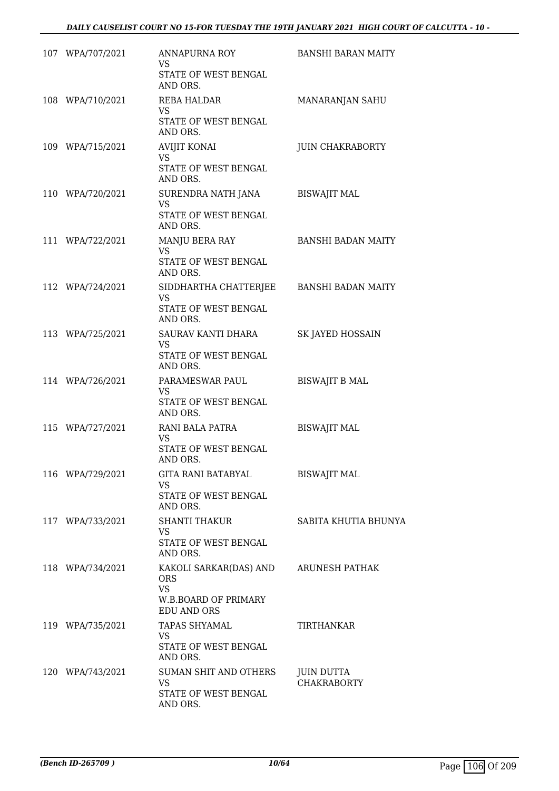| 107 WPA/707/2021 | ANNAPURNA ROY                                     | <b>BANSHI BARAN MAITY</b> |
|------------------|---------------------------------------------------|---------------------------|
|                  | VS.<br>STATE OF WEST BENGAL                       |                           |
| 108 WPA/710/2021 | AND ORS.<br>REBA HALDAR                           | MANARANJAN SAHU           |
|                  | VS.                                               |                           |
|                  | STATE OF WEST BENGAL<br>AND ORS.                  |                           |
| 109 WPA/715/2021 | <b>AVIJIT KONAI</b>                               | <b>JUIN CHAKRABORTY</b>   |
|                  | <b>VS</b><br>STATE OF WEST BENGAL<br>AND ORS.     |                           |
| 110 WPA/720/2021 | SURENDRA NATH JANA                                | <b>BISWAJIT MAL</b>       |
|                  | <b>VS</b><br>STATE OF WEST BENGAL<br>AND ORS.     |                           |
| 111 WPA/722/2021 | MANJU BERA RAY                                    | <b>BANSHI BADAN MAITY</b> |
|                  | <b>VS</b><br>STATE OF WEST BENGAL<br>AND ORS.     |                           |
| 112 WPA/724/2021 | SIDDHARTHA CHATTERJEE                             | BANSHI BADAN MAITY        |
|                  | <b>VS</b><br>STATE OF WEST BENGAL                 |                           |
|                  | AND ORS.                                          |                           |
| 113 WPA/725/2021 | SAURAV KANTI DHARA                                | SK JAYED HOSSAIN          |
|                  | VS.<br>STATE OF WEST BENGAL<br>AND ORS.           |                           |
| 114 WPA/726/2021 | PARAMESWAR PAUL                                   | <b>BISWAJIT B MAL</b>     |
|                  | <b>VS</b><br>STATE OF WEST BENGAL<br>AND ORS.     |                           |
| 115 WPA/727/2021 | RANI BALA PATRA                                   | <b>BISWAJIT MAL</b>       |
|                  | <b>VS</b><br>STATE OF WEST BENGAL                 |                           |
|                  | AND ORS.                                          |                           |
| 116 WPA/729/2021 | GITA RANI BATABYAL                                | <b>BISWAJIT MAL</b>       |
|                  | VS<br>STATE OF WEST BENGAL<br>AND ORS.            |                           |
| 117 WPA/733/2021 | <b>SHANTI THAKUR</b>                              | SABITA KHUTIA BHUNYA      |
|                  | VS.<br>STATE OF WEST BENGAL<br>AND ORS.           |                           |
| 118 WPA/734/2021 | KAKOLI SARKAR(DAS) AND                            | ARUNESH PATHAK            |
|                  | <b>ORS</b><br><b>VS</b>                           |                           |
|                  | <b>W.B.BOARD OF PRIMARY</b><br><b>EDU AND ORS</b> |                           |
| 119 WPA/735/2021 | TAPAS SHYAMAL                                     | TIRTHANKAR                |
|                  | VS.<br>STATE OF WEST BENGAL                       |                           |
|                  | AND ORS.                                          |                           |
| 120 WPA/743/2021 | SUMAN SHIT AND OTHERS                             | <b>JUIN DUTTA</b>         |
|                  | VS<br>STATE OF WEST BENGAL                        | <b>CHAKRABORTY</b>        |
|                  | AND ORS.                                          |                           |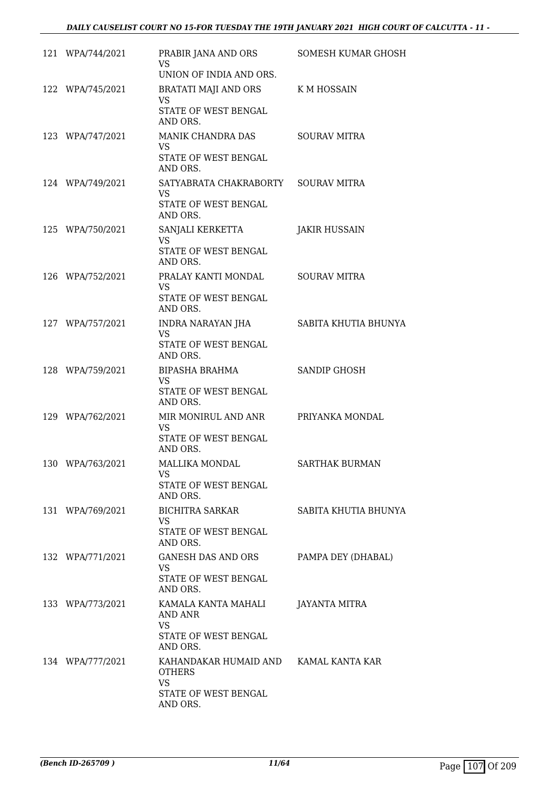| 121 WPA/744/2021 | PRABIR JANA AND ORS<br>VS.<br>UNION OF INDIA AND ORS.                                                   | <b>SOMESH KUMAR GHOSH</b> |
|------------------|---------------------------------------------------------------------------------------------------------|---------------------------|
| 122 WPA/745/2021 | BRATATI MAJI AND ORS<br><b>VS</b><br>STATE OF WEST BENGAL<br>AND ORS.                                   | K M HOSSAIN               |
| 123 WPA/747/2021 | MANIK CHANDRA DAS<br><b>VS</b><br>STATE OF WEST BENGAL<br>AND ORS.                                      | SOURAV MITRA              |
| 124 WPA/749/2021 | SATYABRATA CHAKRABORTY SOURAV MITRA<br>VS.<br>STATE OF WEST BENGAL<br>AND ORS.                          |                           |
| 125 WPA/750/2021 | SANJALI KERKETTA<br><b>VS</b><br>STATE OF WEST BENGAL<br>AND ORS.                                       | <b>JAKIR HUSSAIN</b>      |
| 126 WPA/752/2021 | PRALAY KANTI MONDAL<br><b>VS</b><br>STATE OF WEST BENGAL<br>AND ORS.                                    | SOURAV MITRA              |
| 127 WPA/757/2021 | INDRA NARAYAN JHA<br><b>VS</b><br>STATE OF WEST BENGAL<br>AND ORS.                                      | SABITA KHUTIA BHUNYA      |
| 128 WPA/759/2021 | BIPASHA BRAHMA<br>VS.<br>STATE OF WEST BENGAL<br>AND ORS.                                               | SANDIP GHOSH              |
| 129 WPA/762/2021 | MIR MONIRUL AND ANR PRIYANKA MONDAL<br><b>VS</b><br>STATE OF WEST BENGAL<br>AND ORS.                    |                           |
| 130 WPA/763/2021 | MALLIKA MONDAL<br>VS<br>STATE OF WEST BENGAL<br>AND ORS.                                                | SARTHAK BURMAN            |
| 131 WPA/769/2021 | <b>BICHITRA SARKAR</b><br>VS.<br>STATE OF WEST BENGAL<br>AND ORS.                                       | SABITA KHUTIA BHUNYA      |
| 132 WPA/771/2021 | GANESH DAS AND ORS<br>VS.<br>STATE OF WEST BENGAL<br>AND ORS.                                           | PAMPA DEY (DHABAL)        |
| 133 WPA/773/2021 | KAMALA KANTA MAHALI<br>AND ANR<br><b>VS</b><br>STATE OF WEST BENGAL<br>AND ORS.                         | JAYANTA MITRA             |
| 134 WPA/777/2021 | KAHANDAKAR HUMAID AND KAMAL KANTA KAR<br><b>OTHERS</b><br><b>VS</b><br>STATE OF WEST BENGAL<br>AND ORS. |                           |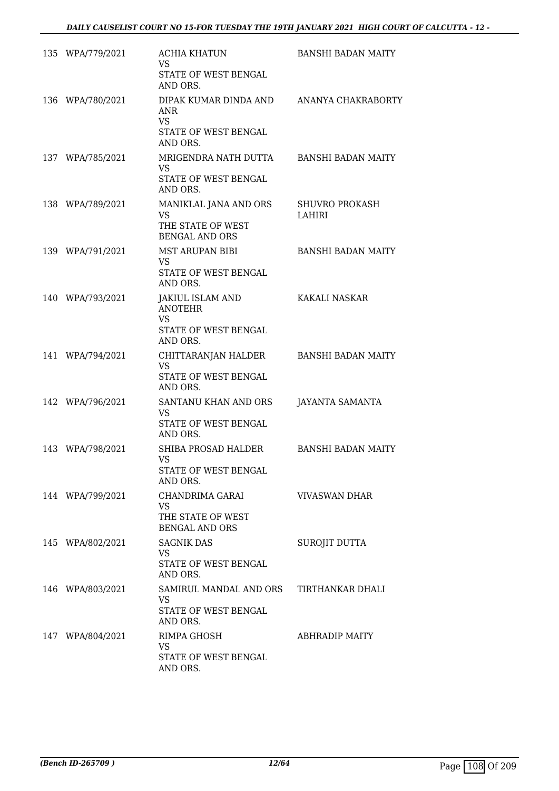|     | 135 WPA/779/2021 | ACHIA KHATUN<br><b>VS</b><br>STATE OF WEST BENGAL<br>AND ORS.                       | <b>BANSHI BADAN MAITY</b>       |
|-----|------------------|-------------------------------------------------------------------------------------|---------------------------------|
|     | 136 WPA/780/2021 | DIPAK KUMAR DINDA AND<br>ANR<br><b>VS</b><br>STATE OF WEST BENGAL<br>AND ORS.       | ANANYA CHAKRABORTY              |
| 137 | WPA/785/2021     | MRIGENDRA NATH DUTTA<br>VS.<br>STATE OF WEST BENGAL<br>AND ORS.                     | <b>BANSHI BADAN MAITY</b>       |
|     | 138 WPA/789/2021 | MANIKLAL JANA AND ORS<br><b>VS</b><br>THE STATE OF WEST<br><b>BENGAL AND ORS</b>    | <b>SHUVRO PROKASH</b><br>LAHIRI |
|     | 139 WPA/791/2021 | <b>MST ARUPAN BIBI</b><br><b>VS</b><br>STATE OF WEST BENGAL<br>AND ORS.             | <b>BANSHI BADAN MAITY</b>       |
|     | 140 WPA/793/2021 | <b>JAKIUL ISLAM AND</b><br><b>ANOTEHR</b><br>VS<br>STATE OF WEST BENGAL<br>AND ORS. | KAKALI NASKAR                   |
|     | 141 WPA/794/2021 | CHITTARANJAN HALDER<br><b>VS</b><br>STATE OF WEST BENGAL<br>AND ORS.                | <b>BANSHI BADAN MAITY</b>       |
|     | 142 WPA/796/2021 | SANTANU KHAN AND ORS<br><b>VS</b><br>STATE OF WEST BENGAL<br>AND ORS.               | <b>JAYANTA SAMANTA</b>          |
|     | 143 WPA/798/2021 | SHIBA PROSAD HALDER<br>VS<br>STATE OF WEST BENGAL<br>AND ORS.                       | <b>BANSHI BADAN MAITY</b>       |
|     | 144 WPA/799/2021 | CHANDRIMA GARAI<br>VS.<br>THE STATE OF WEST<br><b>BENGAL AND ORS</b>                | <b>VIVASWAN DHAR</b>            |
|     | 145 WPA/802/2021 | <b>SAGNIK DAS</b><br>VS.<br>STATE OF WEST BENGAL<br>AND ORS.                        | SUROJIT DUTTA                   |
|     | 146 WPA/803/2021 | SAMIRUL MANDAL AND ORS<br>VS.<br>STATE OF WEST BENGAL<br>AND ORS.                   | TIRTHANKAR DHALI                |
|     | 147 WPA/804/2021 | RIMPA GHOSH<br><b>VS</b><br>STATE OF WEST BENGAL<br>AND ORS.                        | <b>ABHRADIP MAITY</b>           |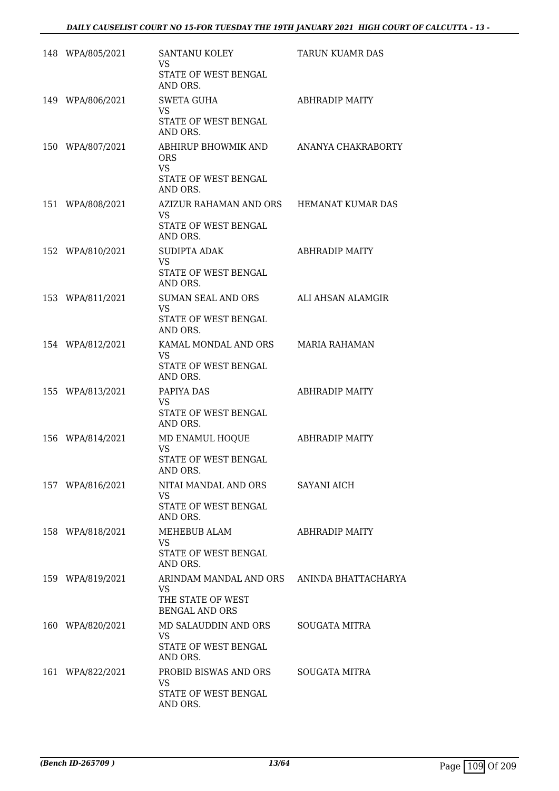| 148 WPA/805/2021 | SANTANU KOLEY                                                                                   | TARUN KUAMR DAS       |
|------------------|-------------------------------------------------------------------------------------------------|-----------------------|
|                  | VS.<br>STATE OF WEST BENGAL<br>AND ORS.                                                         |                       |
| 149 WPA/806/2021 | <b>SWETA GUHA</b><br><b>VS</b>                                                                  | <b>ABHRADIP MAITY</b> |
|                  | STATE OF WEST BENGAL<br>AND ORS.                                                                |                       |
| 150 WPA/807/2021 | ABHIRUP BHOWMIK AND<br><b>ORS</b><br><b>VS</b>                                                  | ANANYA CHAKRABORTY    |
|                  | STATE OF WEST BENGAL<br>AND ORS.                                                                |                       |
| 151 WPA/808/2021 | AZIZUR RAHAMAN AND ORS HEMANAT KUMAR DAS<br>VS.<br>STATE OF WEST BENGAL<br>AND ORS.             |                       |
| 152 WPA/810/2021 | <b>SUDIPTA ADAK</b><br><b>VS</b>                                                                | <b>ABHRADIP MAITY</b> |
|                  | STATE OF WEST BENGAL<br>AND ORS.                                                                |                       |
| 153 WPA/811/2021 | SUMAN SEAL AND ORS<br><b>VS</b>                                                                 | ALI AHSAN ALAMGIR     |
|                  | STATE OF WEST BENGAL<br>AND ORS.                                                                |                       |
| 154 WPA/812/2021 | KAMAL MONDAL AND ORS<br>VS.<br>STATE OF WEST BENGAL<br>AND ORS.                                 | MARIA RAHAMAN         |
| 155 WPA/813/2021 | PAPIYA DAS                                                                                      | ABHRADIP MAITY        |
|                  | VS<br>STATE OF WEST BENGAL<br>AND ORS.                                                          |                       |
| 156 WPA/814/2021 | MD ENAMUL HOQUE<br><b>VS</b>                                                                    | <b>ABHRADIP MAITY</b> |
|                  | STATE OF WEST BENGAL<br>AND ORS.                                                                |                       |
| 157 WPA/816/2021 | NITAI MANDAL AND ORS<br><b>VS</b>                                                               | <b>SAYANI AICH</b>    |
|                  | STATE OF WEST BENGAL<br>AND ORS.                                                                |                       |
| 158 WPA/818/2021 | MEHEBUB ALAM<br>VS                                                                              | <b>ABHRADIP MAITY</b> |
|                  | STATE OF WEST BENGAL<br>AND ORS.                                                                |                       |
| 159 WPA/819/2021 | ARINDAM MANDAL AND ORS ANINDA BHATTACHARYA<br>VS.<br>THE STATE OF WEST<br><b>BENGAL AND ORS</b> |                       |
| 160 WPA/820/2021 | MD SALAUDDIN AND ORS<br><b>VS</b><br>STATE OF WEST BENGAL<br>AND ORS.                           | <b>SOUGATA MITRA</b>  |
| 161 WPA/822/2021 | PROBID BISWAS AND ORS                                                                           | <b>SOUGATA MITRA</b>  |
|                  | <b>VS</b><br>STATE OF WEST BENGAL<br>AND ORS.                                                   |                       |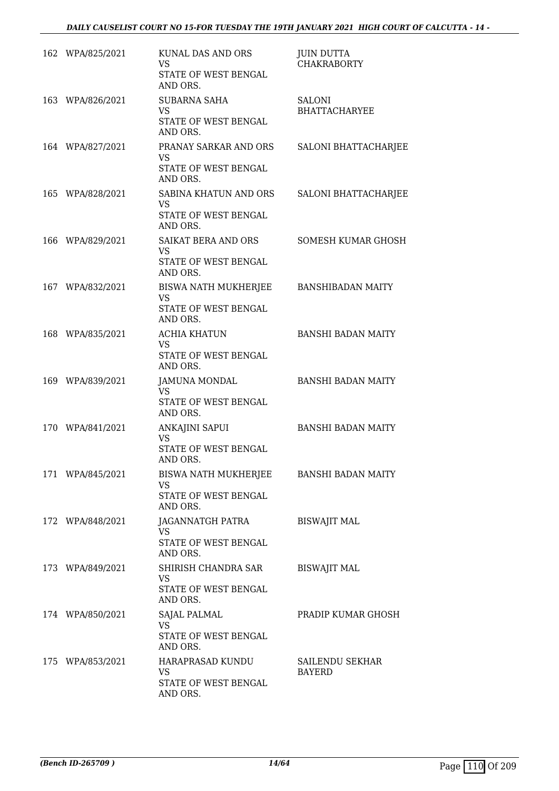| 162 WPA/825/2021 | KUNAL DAS AND ORS<br><b>VS</b><br>STATE OF WEST BENGAL<br>AND ORS.     | <b>JUIN DUTTA</b><br><b>CHAKRABORTY</b> |
|------------------|------------------------------------------------------------------------|-----------------------------------------|
| 163 WPA/826/2021 | <b>SUBARNA SAHA</b><br>VS.<br>STATE OF WEST BENGAL<br>AND ORS.         | SALONI<br><b>BHATTACHARYEE</b>          |
| 164 WPA/827/2021 | PRANAY SARKAR AND ORS<br>VS.<br>STATE OF WEST BENGAL<br>AND ORS.       | SALONI BHATTACHARJEE                    |
| 165 WPA/828/2021 | SABINA KHATUN AND ORS<br><b>VS</b><br>STATE OF WEST BENGAL<br>AND ORS. | SALONI BHATTACHARJEE                    |
| 166 WPA/829/2021 | SAIKAT BERA AND ORS<br><b>VS</b><br>STATE OF WEST BENGAL<br>AND ORS.   | SOMESH KUMAR GHOSH                      |
| 167 WPA/832/2021 | BISWA NATH MUKHERJEE<br><b>VS</b><br>STATE OF WEST BENGAL<br>AND ORS.  | <b>BANSHIBADAN MAITY</b>                |
| 168 WPA/835/2021 | <b>ACHIA KHATUN</b><br><b>VS</b><br>STATE OF WEST BENGAL<br>AND ORS.   | <b>BANSHI BADAN MAITY</b>               |
| 169 WPA/839/2021 | <b>JAMUNA MONDAL</b><br>VS.<br>STATE OF WEST BENGAL<br>AND ORS.        | <b>BANSHI BADAN MAITY</b>               |
| 170 WPA/841/2021 | ANKAJINI SAPUI<br><b>VS</b><br>STATE OF WEST BENGAL<br>AND ORS.        | <b>BANSHI BADAN MAITY</b>               |
| 171 WPA/845/2021 | BISWA NATH MUKHERJEE<br>VS.<br>STATE OF WEST BENGAL<br>AND ORS.        | <b>BANSHI BADAN MAITY</b>               |
| 172 WPA/848/2021 | JAGANNATGH PATRA<br>VS.<br>STATE OF WEST BENGAL<br>AND ORS.            | <b>BISWAJIT MAL</b>                     |
| 173 WPA/849/2021 | SHIRISH CHANDRA SAR<br>VS<br>STATE OF WEST BENGAL<br>AND ORS.          | <b>BISWAJIT MAL</b>                     |
| 174 WPA/850/2021 | SAJAL PALMAL<br>VS<br>STATE OF WEST BENGAL<br>AND ORS.                 | PRADIP KUMAR GHOSH                      |
| 175 WPA/853/2021 | HARAPRASAD KUNDU<br><b>VS</b><br>STATE OF WEST BENGAL<br>AND ORS.      | SAILENDU SEKHAR<br><b>BAYERD</b>        |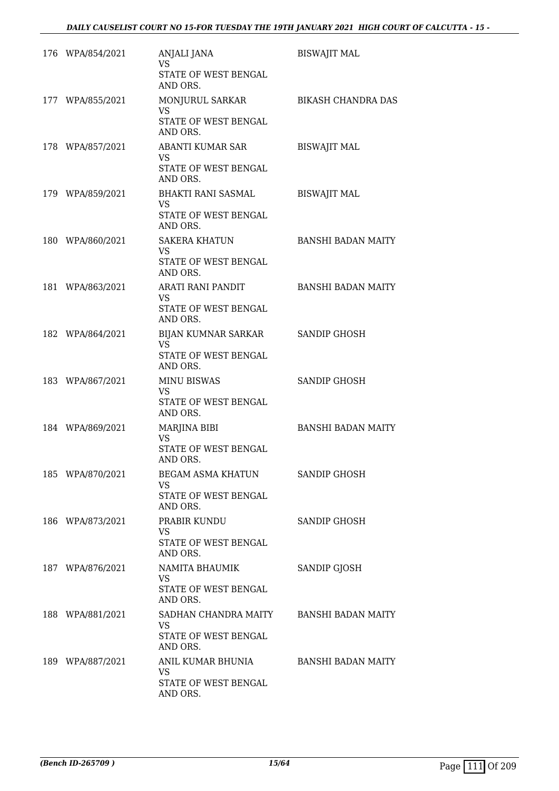| 176 WPA/854/2021 | ANJALI JANA<br><b>VS</b><br>STATE OF WEST BENGAL<br>AND ORS.            | <b>BISWAJIT MAL</b>       |
|------------------|-------------------------------------------------------------------------|---------------------------|
| 177 WPA/855/2021 | MONJURUL SARKAR<br>VS<br>STATE OF WEST BENGAL<br>AND ORS.               | BIKASH CHANDRA DAS        |
| 178 WPA/857/2021 | ABANTI KUMAR SAR<br>VS<br>STATE OF WEST BENGAL<br>AND ORS.              | <b>BISWAJIT MAL</b>       |
| 179 WPA/859/2021 | <b>BHAKTI RANI SASMAL</b><br>VS<br>STATE OF WEST BENGAL<br>AND ORS.     | <b>BISWAJIT MAL</b>       |
| 180 WPA/860/2021 | <b>SAKERA KHATUN</b><br>VS<br>STATE OF WEST BENGAL<br>AND ORS.          | <b>BANSHI BADAN MAITY</b> |
| 181 WPA/863/2021 | ARATI RANI PANDIT<br>VS<br>STATE OF WEST BENGAL<br>AND ORS.             | <b>BANSHI BADAN MAITY</b> |
| 182 WPA/864/2021 | BIJAN KUMNAR SARKAR<br><b>VS</b><br>STATE OF WEST BENGAL<br>AND ORS.    | SANDIP GHOSH              |
| 183 WPA/867/2021 | <b>MINU BISWAS</b><br><b>VS</b><br>STATE OF WEST BENGAL<br>AND ORS.     | <b>SANDIP GHOSH</b>       |
|                  |                                                                         |                           |
| 184 WPA/869/2021 | MARJINA BIBI<br><b>VS</b><br>STATE OF WEST BENGAL                       | <b>BANSHI BADAN MAITY</b> |
| 185 WPA/870/2021 | AND ORS.<br>BEGAM ASMA KHATUN<br>VS<br>STATE OF WEST BENGAL<br>AND ORS. | <b>SANDIP GHOSH</b>       |
| 186 WPA/873/2021 | PRABIR KUNDU<br>VS<br>STATE OF WEST BENGAL<br>AND ORS.                  | SANDIP GHOSH              |
| 187 WPA/876/2021 | NAMITA BHAUMIK<br>VS<br>STATE OF WEST BENGAL<br>AND ORS.                | SANDIP GJOSH              |
| 188 WPA/881/2021 | SADHAN CHANDRA MAITY<br>VS<br>STATE OF WEST BENGAL<br>AND ORS.          | <b>BANSHI BADAN MAITY</b> |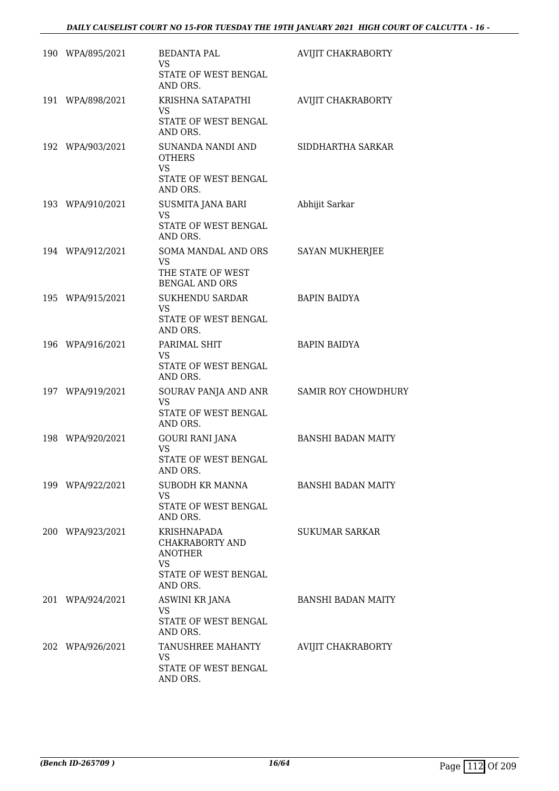| 190 WPA/895/2021 | <b>BEDANTA PAL</b><br><b>VS</b><br>STATE OF WEST BENGAL<br>AND ORS.                         | AVIJIT CHAKRABORTY         |
|------------------|---------------------------------------------------------------------------------------------|----------------------------|
| 191 WPA/898/2021 | KRISHNA SATAPATHI<br><b>VS</b><br>STATE OF WEST BENGAL<br>AND ORS.                          | <b>AVIJIT CHAKRABORTY</b>  |
| 192 WPA/903/2021 | SUNANDA NANDI AND<br><b>OTHERS</b><br><b>VS</b><br>STATE OF WEST BENGAL<br>AND ORS.         | SIDDHARTHA SARKAR          |
| 193 WPA/910/2021 | SUSMITA JANA BARI<br><b>VS</b><br>STATE OF WEST BENGAL<br>AND ORS.                          | Abhijit Sarkar             |
| 194 WPA/912/2021 | SOMA MANDAL AND ORS<br><b>VS</b><br>THE STATE OF WEST<br><b>BENGAL AND ORS</b>              | SAYAN MUKHERJEE            |
| 195 WPA/915/2021 | SUKHENDU SARDAR<br><b>VS</b><br>STATE OF WEST BENGAL<br>AND ORS.                            | <b>BAPIN BAIDYA</b>        |
| 196 WPA/916/2021 | PARIMAL SHIT<br>VS.<br>STATE OF WEST BENGAL<br>AND ORS.                                     | <b>BAPIN BAIDYA</b>        |
| 197 WPA/919/2021 | SOURAV PANJA AND ANR<br><b>VS</b><br>STATE OF WEST BENGAL<br>AND ORS.                       | <b>SAMIR ROY CHOWDHURY</b> |
| 198 WPA/920/2021 | <b>GOURI RANI JANA</b><br><b>VS</b><br>STATE OF WEST BENGAL<br>AND ORS.                     | <b>BANSHI BADAN MAITY</b>  |
| 199 WPA/922/2021 | SUBODH KR MANNA<br>VS.<br>STATE OF WEST BENGAL<br>AND ORS.                                  | <b>BANSHI BADAN MAITY</b>  |
| 200 WPA/923/2021 | KRISHNAPADA<br>CHAKRABORTY AND<br><b>ANOTHER</b><br>VS.<br>STATE OF WEST BENGAL<br>AND ORS. | <b>SUKUMAR SARKAR</b>      |
| 201 WPA/924/2021 | <b>ASWINI KR JANA</b><br>VS<br>STATE OF WEST BENGAL<br>AND ORS.                             | <b>BANSHI BADAN MAITY</b>  |
| 202 WPA/926/2021 | TANUSHREE MAHANTY<br><b>VS</b><br>STATE OF WEST BENGAL<br>AND ORS.                          | AVIJIT CHAKRABORTY         |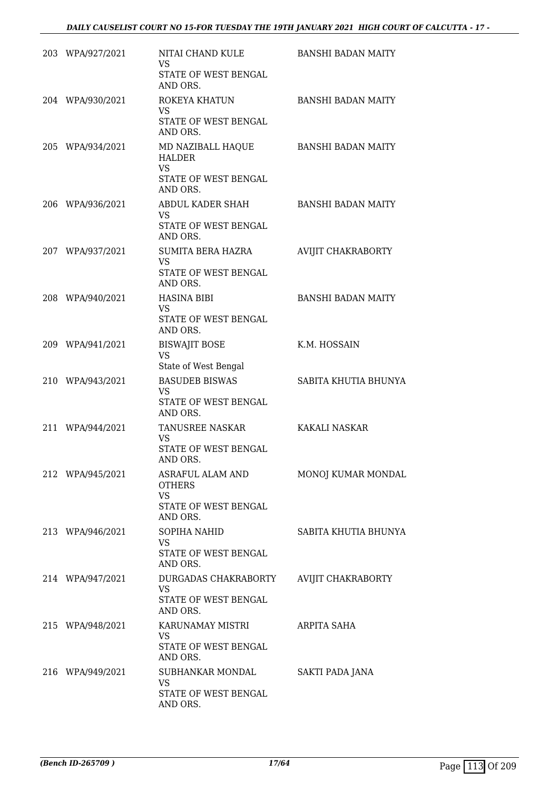| 203 WPA/927/2021 | NITAI CHAND KULE<br><b>VS</b><br>STATE OF WEST BENGAL<br>AND ORS.            | <b>BANSHI BADAN MAITY</b> |
|------------------|------------------------------------------------------------------------------|---------------------------|
| 204 WPA/930/2021 | ROKEYA KHATUN<br><b>VS</b>                                                   | <b>BANSHI BADAN MAITY</b> |
|                  | STATE OF WEST BENGAL<br>AND ORS.                                             |                           |
| 205 WPA/934/2021 | MD NAZIBALL HAQUE<br><b>HALDER</b><br><b>VS</b>                              | <b>BANSHI BADAN MAITY</b> |
|                  | STATE OF WEST BENGAL<br>AND ORS.                                             |                           |
| 206 WPA/936/2021 | ABDUL KADER SHAH<br><b>VS</b><br>STATE OF WEST BENGAL<br>AND ORS.            | <b>BANSHI BADAN MAITY</b> |
| 207 WPA/937/2021 | <b>SUMITA BERA HAZRA</b><br><b>VS</b><br>STATE OF WEST BENGAL                | <b>AVIJIT CHAKRABORTY</b> |
|                  | AND ORS.                                                                     |                           |
| 208 WPA/940/2021 | <b>HASINA BIBI</b><br><b>VS</b><br>STATE OF WEST BENGAL<br>AND ORS.          | <b>BANSHI BADAN MAITY</b> |
| 209 WPA/941/2021 | <b>BISWAJIT BOSE</b><br><b>VS</b><br>State of West Bengal                    | K.M. HOSSAIN              |
| 210 WPA/943/2021 | <b>BASUDEB BISWAS</b><br><b>VS</b><br>STATE OF WEST BENGAL<br>AND ORS.       | SABITA KHUTIA BHUNYA      |
| 211 WPA/944/2021 | TANUSREE NASKAR<br><b>VS</b><br>STATE OF WEST BENGAL<br>AND ORS.             | KAKALI NASKAR             |
| 212 WPA/945/2021 | ASRAFUL ALAM AND<br><b>OTHERS</b><br>VS.<br>STATE OF WEST BENGAL<br>AND ORS. | MONOJ KUMAR MONDAL        |
| 213 WPA/946/2021 | SOPIHA NAHID<br><b>VS</b><br>STATE OF WEST BENGAL<br>AND ORS.                | SABITA KHUTIA BHUNYA      |
| 214 WPA/947/2021 | DURGADAS CHAKRABORTY<br><b>VS</b><br>STATE OF WEST BENGAL<br>AND ORS.        | AVIJIT CHAKRABORTY        |
| 215 WPA/948/2021 | KARUNAMAY MISTRI<br><b>VS</b><br>STATE OF WEST BENGAL<br>AND ORS.            | ARPITA SAHA               |
| 216 WPA/949/2021 | SUBHANKAR MONDAL<br><b>VS</b><br>STATE OF WEST BENGAL<br>AND ORS.            | SAKTI PADA JANA           |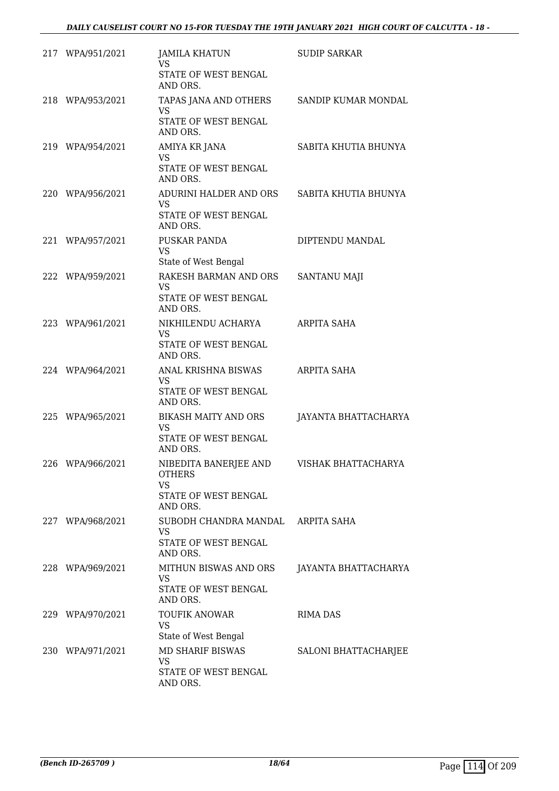| 217 WPA/951/2021 | <b>JAMILA KHATUN</b><br>VS.<br>STATE OF WEST BENGAL<br>AND ORS.                                             | <b>SUDIP SARKAR</b>  |
|------------------|-------------------------------------------------------------------------------------------------------------|----------------------|
| 218 WPA/953/2021 | TAPAS JANA AND OTHERS<br><b>VS</b><br>STATE OF WEST BENGAL<br>AND ORS.                                      | SANDIP KUMAR MONDAL  |
| 219 WPA/954/2021 | AMIYA KR JANA<br><b>VS</b><br>STATE OF WEST BENGAL<br>AND ORS.                                              | SABITA KHUTIA BHUNYA |
| 220 WPA/956/2021 | ADURINI HALDER AND ORS<br><b>VS</b><br>STATE OF WEST BENGAL<br>AND ORS.                                     | SABITA KHUTIA BHUNYA |
| 221 WPA/957/2021 | PUSKAR PANDA<br><b>VS</b><br>State of West Bengal                                                           | DIPTENDU MANDAL      |
| 222 WPA/959/2021 | RAKESH BARMAN AND ORS<br><b>VS</b><br>STATE OF WEST BENGAL<br>AND ORS.                                      | SANTANU MAJI         |
| 223 WPA/961/2021 | NIKHILENDU ACHARYA<br><b>VS</b><br>STATE OF WEST BENGAL<br>AND ORS.                                         | <b>ARPITA SAHA</b>   |
| 224 WPA/964/2021 | ANAL KRISHNA BISWAS<br><b>VS</b><br>STATE OF WEST BENGAL<br>AND ORS.                                        | ARPITA SAHA          |
| 225 WPA/965/2021 | <b>BIKASH MAITY AND ORS</b><br>VS<br>STATE OF WEST BENGAL<br>AND ORS.                                       | JAYANTA BHATTACHARYA |
| 226 WPA/966/2021 | NIBEDITA BANERJEE AND VISHAK BHATTACHARYA<br><b>OTHERS</b><br><b>VS</b><br>STATE OF WEST BENGAL<br>AND ORS. |                      |
| 227 WPA/968/2021 | SUBODH CHANDRA MANDAL<br><b>VS</b><br>STATE OF WEST BENGAL<br>AND ORS.                                      | ARPITA SAHA          |
| 228 WPA/969/2021 | MITHUN BISWAS AND ORS<br><b>VS</b><br>STATE OF WEST BENGAL<br>AND ORS.                                      | JAYANTA BHATTACHARYA |
| 229 WPA/970/2021 | <b>TOUFIK ANOWAR</b><br>VS<br>State of West Bengal                                                          | <b>RIMA DAS</b>      |
| 230 WPA/971/2021 | MD SHARIF BISWAS<br><b>VS</b><br>STATE OF WEST BENGAL<br>AND ORS.                                           | SALONI BHATTACHARJEE |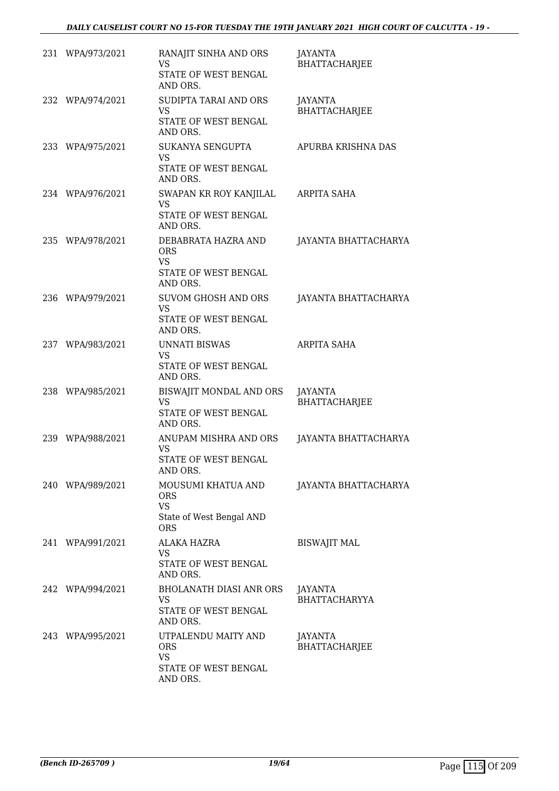| 231 WPA/973/2021 | RANAJIT SINHA AND ORS<br><b>VS</b><br>STATE OF WEST BENGAL<br>AND ORS.             | <b>JAYANTA</b><br><b>BHATTACHARJEE</b> |
|------------------|------------------------------------------------------------------------------------|----------------------------------------|
| 232 WPA/974/2021 | SUDIPTA TARAI AND ORS<br><b>VS</b><br>STATE OF WEST BENGAL<br>AND ORS.             | JAYANTA<br><b>BHATTACHARJEE</b>        |
| 233 WPA/975/2021 | SUKANYA SENGUPTA<br><b>VS</b><br>STATE OF WEST BENGAL<br>AND ORS.                  | APURBA KRISHNA DAS                     |
| 234 WPA/976/2021 | SWAPAN KR ROY KANJILAL<br><b>VS</b><br>STATE OF WEST BENGAL<br>AND ORS.            | ARPITA SAHA                            |
| 235 WPA/978/2021 | DEBABRATA HAZRA AND<br><b>ORS</b><br><b>VS</b><br>STATE OF WEST BENGAL<br>AND ORS. | JAYANTA BHATTACHARYA                   |
| 236 WPA/979/2021 | SUVOM GHOSH AND ORS<br><b>VS</b><br>STATE OF WEST BENGAL<br>AND ORS.               | JAYANTA BHATTACHARYA                   |
| 237 WPA/983/2021 | <b>UNNATI BISWAS</b><br>VS.<br>STATE OF WEST BENGAL<br>AND ORS.                    | ARPITA SAHA                            |
| 238 WPA/985/2021 | BISWAJIT MONDAL AND ORS<br><b>VS</b><br>STATE OF WEST BENGAL<br>AND ORS.           | JAYANTA<br><b>BHATTACHARJEE</b>        |
| 239 WPA/988/2021 | ANUPAM MISHRA AND ORS<br><b>VS</b><br>STATE OF WEST BENGAL<br>AND ORS.             | JAYANTA BHATTACHARYA                   |
| 240 WPA/989/2021 | MOUSUMI KHATUA AND<br>ORS.<br><b>VS</b><br>State of West Bengal AND<br>ORS         | JAYANTA BHATTACHARYA                   |
| 241 WPA/991/2021 | ALAKA HAZRA<br>VS.<br>STATE OF WEST BENGAL<br>AND ORS.                             | <b>BISWAJIT MAL</b>                    |
| 242 WPA/994/2021 | BHOLANATH DIASI ANR ORS<br>VS<br>STATE OF WEST BENGAL<br>AND ORS.                  | <b>JAYANTA</b><br><b>BHATTACHARYYA</b> |
| 243 WPA/995/2021 | UTPALENDU MAITY AND<br><b>ORS</b><br><b>VS</b><br>STATE OF WEST BENGAL<br>AND ORS. | JAYANTA<br>BHATTACHARJEE               |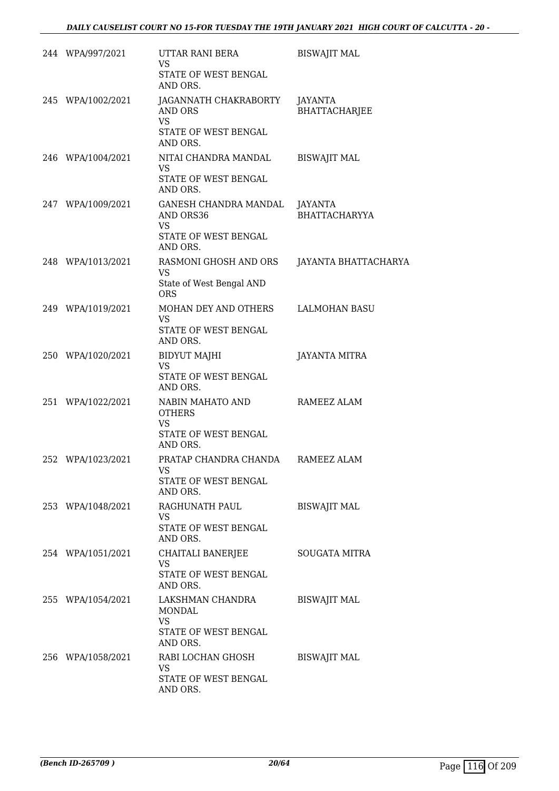| 244 WPA/997/2021  | UTTAR RANI BERA<br><b>VS</b><br>STATE OF WEST BENGAL                                          | <b>BISWAJIT MAL</b>             |
|-------------------|-----------------------------------------------------------------------------------------------|---------------------------------|
| 245 WPA/1002/2021 | AND ORS.<br>JAGANNATH CHAKRABORTY<br>AND ORS<br><b>VS</b><br>STATE OF WEST BENGAL<br>AND ORS. | JAYANTA<br>BHATTACHARJEE        |
| 246 WPA/1004/2021 | NITAI CHANDRA MANDAL<br><b>VS</b><br>STATE OF WEST BENGAL<br>AND ORS.                         | <b>BISWAJIT MAL</b>             |
| 247 WPA/1009/2021 | GANESH CHANDRA MANDAL<br>AND ORS36<br><b>VS</b><br>STATE OF WEST BENGAL<br>AND ORS.           | JAYANTA<br><b>BHATTACHARYYA</b> |
| 248 WPA/1013/2021 | RASMONI GHOSH AND ORS<br><b>VS</b><br>State of West Bengal AND<br><b>ORS</b>                  | JAYANTA BHATTACHARYA            |
| 249 WPA/1019/2021 | MOHAN DEY AND OTHERS<br><b>VS</b><br>STATE OF WEST BENGAL<br>AND ORS.                         | <b>LALMOHAN BASU</b>            |
| 250 WPA/1020/2021 | <b>BIDYUT MAJHI</b><br><b>VS</b><br>STATE OF WEST BENGAL<br>AND ORS.                          | JAYANTA MITRA                   |
| 251 WPA/1022/2021 | NABIN MAHATO AND<br><b>OTHERS</b><br><b>VS</b><br>STATE OF WEST BENGAL<br>AND ORS.            | RAMEEZ ALAM                     |
| 252 WPA/1023/2021 | PRATAP CHANDRA CHANDA<br><b>VS</b><br>STATE OF WEST BENGAL<br>AND ORS.                        | RAMEEZ ALAM                     |
| 253 WPA/1048/2021 | RAGHUNATH PAUL<br>VS.<br>STATE OF WEST BENGAL<br>AND ORS.                                     | <b>BISWAJIT MAL</b>             |
| 254 WPA/1051/2021 | CHAITALI BANERJEE<br><b>VS</b><br>STATE OF WEST BENGAL<br>AND ORS.                            | <b>SOUGATA MITRA</b>            |
| 255 WPA/1054/2021 | LAKSHMAN CHANDRA<br>MONDAL<br><b>VS</b><br>STATE OF WEST BENGAL<br>AND ORS.                   | <b>BISWAJIT MAL</b>             |
| 256 WPA/1058/2021 | RABI LOCHAN GHOSH<br>VS.<br>STATE OF WEST BENGAL<br>AND ORS.                                  | <b>BISWAJIT MAL</b>             |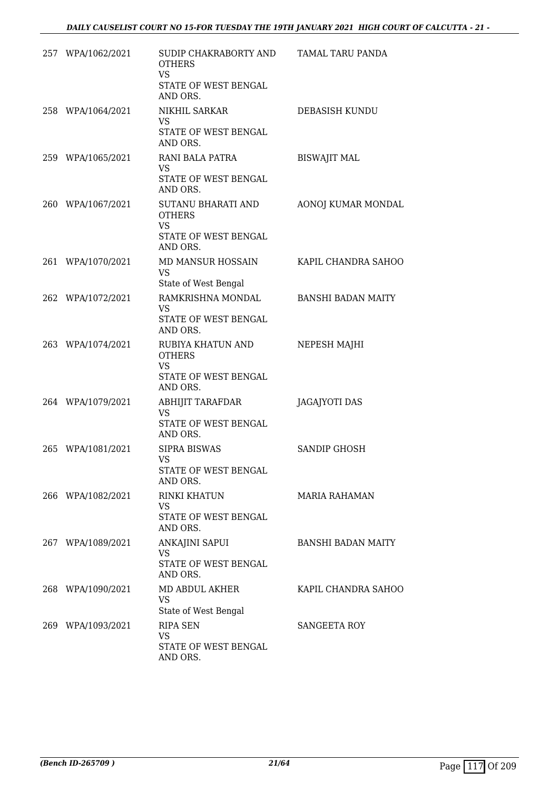| 257 WPA/1062/2021 | SUDIP CHAKRABORTY AND<br><b>OTHERS</b><br><b>VS</b><br>STATE OF WEST BENGAL<br>AND ORS. | TAMAL TARU PANDA          |
|-------------------|-----------------------------------------------------------------------------------------|---------------------------|
| 258 WPA/1064/2021 | NIKHIL SARKAR<br>VS.<br>STATE OF WEST BENGAL<br>AND ORS.                                | DEBASISH KUNDU            |
| 259 WPA/1065/2021 | RANI BALA PATRA<br>VS.<br>STATE OF WEST BENGAL<br>AND ORS.                              | <b>BISWAJIT MAL</b>       |
| 260 WPA/1067/2021 | SUTANU BHARATI AND<br><b>OTHERS</b><br>VS<br>STATE OF WEST BENGAL<br>AND ORS.           | AONOJ KUMAR MONDAL        |
| 261 WPA/1070/2021 | MD MANSUR HOSSAIN<br><b>VS</b><br>State of West Bengal                                  | KAPIL CHANDRA SAHOO       |
| 262 WPA/1072/2021 | RAMKRISHNA MONDAL<br><b>VS</b><br>STATE OF WEST BENGAL<br>AND ORS.                      | <b>BANSHI BADAN MAITY</b> |
| 263 WPA/1074/2021 | RUBIYA KHATUN AND<br><b>OTHERS</b><br>VS.<br>STATE OF WEST BENGAL<br>AND ORS.           | NEPESH MAJHI              |
| 264 WPA/1079/2021 | ABHIJIT TARAFDAR<br><b>VS</b><br>STATE OF WEST BENGAL<br>AND ORS.                       | JAGAJYOTI DAS             |
| 265 WPA/1081/2021 | <b>SIPRA BISWAS</b><br><b>VS</b><br>STATE OF WEST BENGAL<br>AND ORS.                    | <b>SANDIP GHOSH</b>       |
| 266 WPA/1082/2021 | <b>RINKI KHATUN</b><br>VS.<br>STATE OF WEST BENGAL<br>AND ORS.                          | <b>MARIA RAHAMAN</b>      |
| 267 WPA/1089/2021 | ANKAJINI SAPUI<br>VS<br>STATE OF WEST BENGAL<br>AND ORS.                                | <b>BANSHI BADAN MAITY</b> |
| 268 WPA/1090/2021 | MD ABDUL AKHER<br><b>VS</b><br>State of West Bengal                                     | KAPIL CHANDRA SAHOO       |
| 269 WPA/1093/2021 | RIPA SEN<br>VS<br>STATE OF WEST BENGAL<br>AND ORS.                                      | <b>SANGEETA ROY</b>       |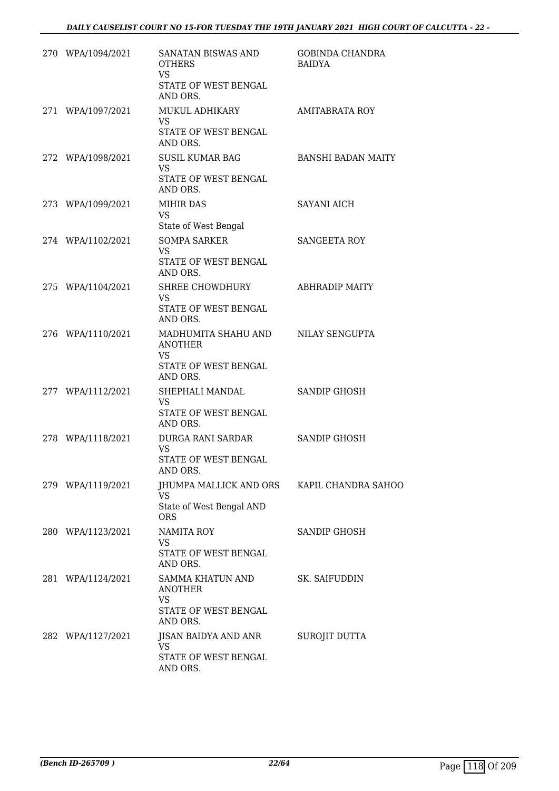| 270 WPA/1094/2021 | SANATAN BISWAS AND<br><b>OTHERS</b><br>VS.<br>STATE OF WEST BENGAL<br>AND ORS.                        | GOBINDA CHANDRA<br>BAIDYA |
|-------------------|-------------------------------------------------------------------------------------------------------|---------------------------|
| 271 WPA/1097/2021 | MUKUL ADHIKARY<br><b>VS</b><br>STATE OF WEST BENGAL                                                   | AMITABRATA ROY            |
| 272 WPA/1098/2021 | AND ORS.<br>SUSIL KUMAR BAG<br><b>VS</b><br>STATE OF WEST BENGAL<br>AND ORS.                          | <b>BANSHI BADAN MAITY</b> |
| 273 WPA/1099/2021 | <b>MIHIR DAS</b><br><b>VS</b><br>State of West Bengal                                                 | <b>SAYANI AICH</b>        |
| 274 WPA/1102/2021 | <b>SOMPA SARKER</b><br><b>VS</b><br>STATE OF WEST BENGAL<br>AND ORS.                                  | <b>SANGEETA ROY</b>       |
| 275 WPA/1104/2021 | SHREE CHOWDHURY<br><b>VS</b><br>STATE OF WEST BENGAL<br>AND ORS.                                      | <b>ABHRADIP MAITY</b>     |
| 276 WPA/1110/2021 | MADHUMITA SHAHU AND NILAY SENGUPTA<br><b>ANOTHER</b><br><b>VS</b><br>STATE OF WEST BENGAL<br>AND ORS. |                           |
| 277 WPA/1112/2021 | SHEPHALI MANDAL<br>VS<br>STATE OF WEST BENGAL<br>AND ORS.                                             | SANDIP GHOSH              |
| 278 WPA/1118/2021 | DURGA RANI SARDAR<br><b>VS</b><br>STATE OF WEST BENGAL<br>AND ORS.                                    | <b>SANDIP GHOSH</b>       |
| 279 WPA/1119/2021 | JHUMPA MALLICK AND ORS KAPIL CHANDRA SAHOO<br><b>VS</b><br>State of West Bengal AND<br><b>ORS</b>     |                           |
| 280 WPA/1123/2021 | <b>NAMITA ROY</b><br>VS<br>STATE OF WEST BENGAL<br>AND ORS.                                           | SANDIP GHOSH              |
| 281 WPA/1124/2021 | SAMMA KHATUN AND<br>ANOTHER<br>VS<br>STATE OF WEST BENGAL<br>AND ORS.                                 | SK. SAIFUDDIN             |
| 282 WPA/1127/2021 | JISAN BAIDYA AND ANR<br>VS<br>STATE OF WEST BENGAL<br>AND ORS.                                        | SUROJIT DUTTA             |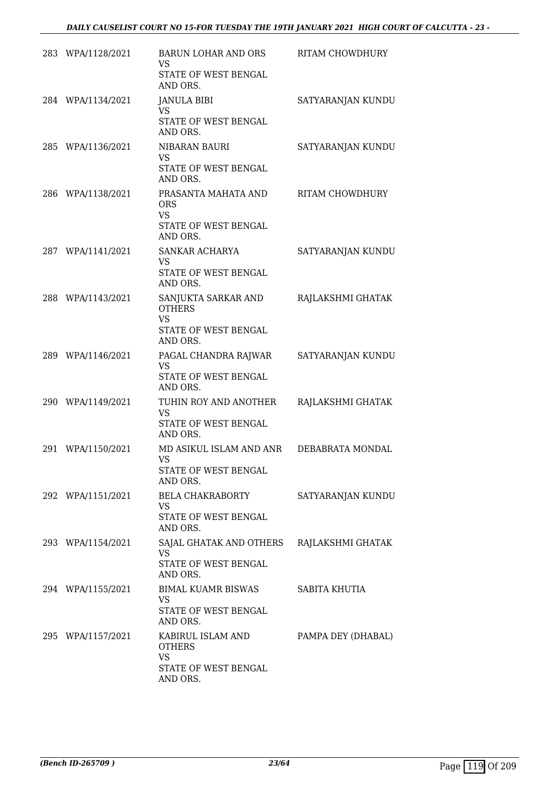|     | 283 WPA/1128/2021 | BARUN LOHAR AND ORS<br>VS<br>STATE OF WEST BENGAL<br>AND ORS.                         | RITAM CHOWDHURY    |
|-----|-------------------|---------------------------------------------------------------------------------------|--------------------|
|     | 284 WPA/1134/2021 | <b>JANULA BIBI</b><br><b>VS</b><br>STATE OF WEST BENGAL<br>AND ORS.                   | SATYARANJAN KUNDU  |
|     | 285 WPA/1136/2021 | NIBARAN BAURI<br><b>VS</b><br>STATE OF WEST BENGAL<br>AND ORS.                        | SATYARANJAN KUNDU  |
|     | 286 WPA/1138/2021 | PRASANTA MAHATA AND<br><b>ORS</b><br><b>VS</b><br>STATE OF WEST BENGAL<br>AND ORS.    | RITAM CHOWDHURY    |
|     | 287 WPA/1141/2021 | SANKAR ACHARYA<br><b>VS</b><br>STATE OF WEST BENGAL<br>AND ORS.                       | SATYARANJAN KUNDU  |
|     | 288 WPA/1143/2021 | SANJUKTA SARKAR AND<br><b>OTHERS</b><br><b>VS</b><br>STATE OF WEST BENGAL<br>AND ORS. | RAJLAKSHMI GHATAK  |
|     | 289 WPA/1146/2021 | PAGAL CHANDRA RAJWAR<br><b>VS</b><br>STATE OF WEST BENGAL<br>AND ORS.                 | SATYARANJAN KUNDU  |
|     | 290 WPA/1149/2021 | TUHIN ROY AND ANOTHER<br><b>VS</b><br>STATE OF WEST BENGAL<br>AND ORS.                | RAJLAKSHMI GHATAK  |
| 291 | WPA/1150/2021     | MD ASIKUL ISLAM AND ANR<br><b>VS</b><br>STATE OF WEST BENGAL<br>AND ORS.              | DEBABRATA MONDAL   |
|     | 292 WPA/1151/2021 | BELA CHAKRABORTY<br>VS<br>STATE OF WEST BENGAL<br>AND ORS.                            | SATYARANJAN KUNDU  |
|     | 293 WPA/1154/2021 | SAJAL GHATAK AND OTHERS RAJLAKSHMI GHATAK<br>VS.<br>STATE OF WEST BENGAL<br>AND ORS.  |                    |
|     | 294 WPA/1155/2021 | BIMAL KUAMR BISWAS<br>VS.<br>STATE OF WEST BENGAL<br>AND ORS.                         | SABITA KHUTIA      |
|     | 295 WPA/1157/2021 | KABIRUL ISLAM AND<br><b>OTHERS</b><br><b>VS</b><br>STATE OF WEST BENGAL<br>AND ORS.   | PAMPA DEY (DHABAL) |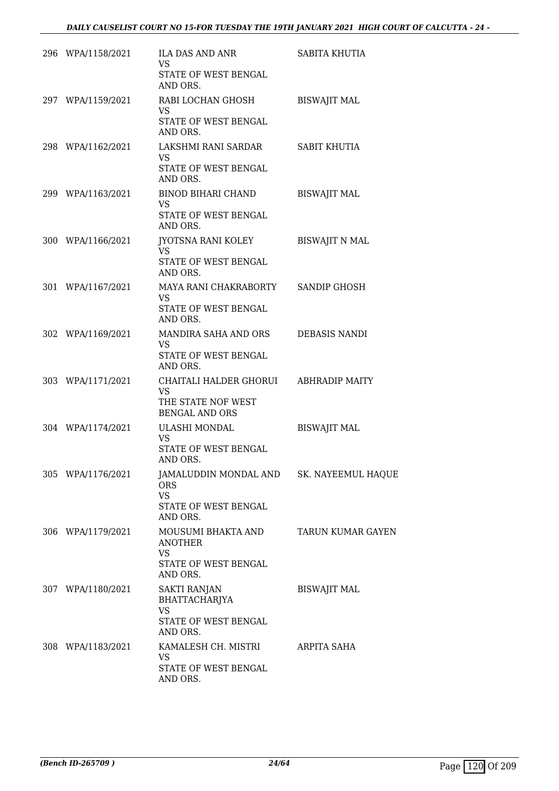| 296 WPA/1158/2021 | ILA DAS AND ANR<br>VS.<br>STATE OF WEST BENGAL<br>AND ORS.                                              | SABITA KHUTIA         |
|-------------------|---------------------------------------------------------------------------------------------------------|-----------------------|
| 297 WPA/1159/2021 | RABI LOCHAN GHOSH<br>VS.<br>STATE OF WEST BENGAL<br>AND ORS.                                            | <b>BISWAJIT MAL</b>   |
| 298 WPA/1162/2021 | LAKSHMI RANI SARDAR<br><b>VS</b><br>STATE OF WEST BENGAL<br>AND ORS.                                    | <b>SABIT KHUTIA</b>   |
| 299 WPA/1163/2021 | BINOD BIHARI CHAND<br><b>VS</b><br>STATE OF WEST BENGAL<br>AND ORS.                                     | <b>BISWAJIT MAL</b>   |
| 300 WPA/1166/2021 | JYOTSNA RANI KOLEY<br><b>VS</b><br>STATE OF WEST BENGAL<br>AND ORS.                                     | <b>BISWAJIT N MAL</b> |
| 301 WPA/1167/2021 | MAYA RANI CHAKRABORTY<br>VS<br>STATE OF WEST BENGAL<br>AND ORS.                                         | SANDIP GHOSH          |
| 302 WPA/1169/2021 | MANDIRA SAHA AND ORS<br>VS.<br>STATE OF WEST BENGAL<br>AND ORS.                                         | DEBASIS NANDI         |
| 303 WPA/1171/2021 | CHAITALI HALDER GHORUI<br><b>VS</b><br>THE STATE NOF WEST<br><b>BENGAL AND ORS</b>                      | ABHRADIP MAITY        |
| 304 WPA/1174/2021 | ULASHI MONDAL<br><b>VS</b><br>STATE OF WEST BENGAL<br>AND ORS.                                          | <b>BISWAJIT MAL</b>   |
| 305 WPA/1176/2021 | JAMALUDDIN MONDAL AND SK. NAYEEMUL HAQUE<br><b>ORS</b><br><b>VS</b><br>STATE OF WEST BENGAL<br>AND ORS. |                       |
| 306 WPA/1179/2021 | MOUSUMI BHAKTA AND<br><b>ANOTHER</b><br><b>VS</b><br>STATE OF WEST BENGAL<br>AND ORS.                   | TARUN KUMAR GAYEN     |
| 307 WPA/1180/2021 | <b>SAKTI RANJAN</b><br>BHATTACHARJYA<br><b>VS</b><br>STATE OF WEST BENGAL<br>AND ORS.                   | <b>BISWAJIT MAL</b>   |
| 308 WPA/1183/2021 | KAMALESH CH. MISTRI<br><b>VS</b><br>STATE OF WEST BENGAL<br>AND ORS.                                    | ARPITA SAHA           |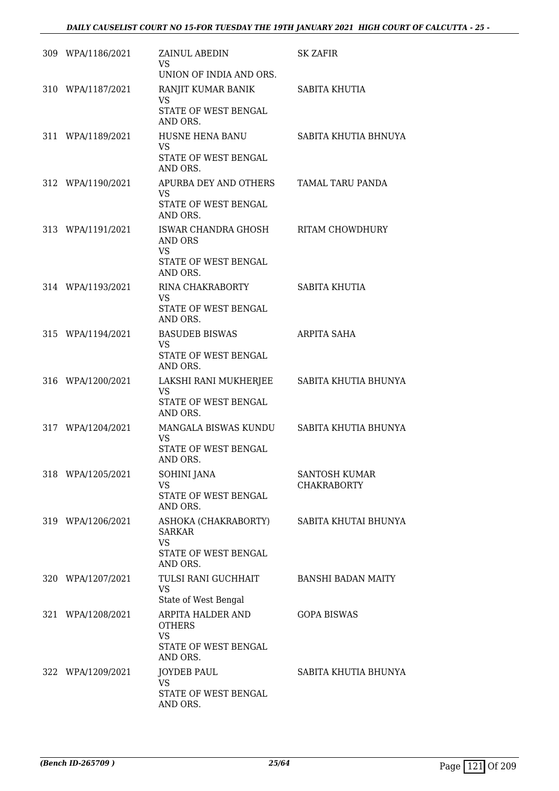| 309 WPA/1186/2021 | ZAINUL ABEDIN<br><b>VS</b><br>UNION OF INDIA AND ORS.                                  | <b>SK ZAFIR</b>                     |
|-------------------|----------------------------------------------------------------------------------------|-------------------------------------|
| 310 WPA/1187/2021 | RANJIT KUMAR BANIK<br><b>VS</b><br>STATE OF WEST BENGAL<br>AND ORS.                    | SABITA KHUTIA                       |
| 311 WPA/1189/2021 | HUSNE HENA BANU<br><b>VS</b><br>STATE OF WEST BENGAL<br>AND ORS.                       | SABITA KHUTIA BHNUYA                |
| 312 WPA/1190/2021 | APURBA DEY AND OTHERS<br><b>VS</b><br>STATE OF WEST BENGAL<br>AND ORS.                 | TAMAL TARU PANDA                    |
| 313 WPA/1191/2021 | ISWAR CHANDRA GHOSH<br>AND ORS<br><b>VS</b><br>STATE OF WEST BENGAL<br>AND ORS.        | RITAM CHOWDHURY                     |
| 314 WPA/1193/2021 | RINA CHAKRABORTY<br><b>VS</b><br>STATE OF WEST BENGAL<br>AND ORS.                      | SABITA KHUTIA                       |
| 315 WPA/1194/2021 | <b>BASUDEB BISWAS</b><br>VS.<br>STATE OF WEST BENGAL<br>AND ORS.                       | ARPITA SAHA                         |
| 316 WPA/1200/2021 | LAKSHI RANI MUKHERJEE<br><b>VS</b><br>STATE OF WEST BENGAL<br>AND ORS.                 | SABITA KHUTIA BHUNYA                |
| 317 WPA/1204/2021 | MANGALA BISWAS KUNDU<br><b>VS</b><br>STATE OF WEST BENGAL<br>AND ORS.                  | SABITA KHUTIA BHUNYA                |
| 318 WPA/1205/2021 | <b>SOHINI JANA</b><br><b>VS</b><br>STATE OF WEST BENGAL<br>AND ORS.                    | SANTOSH KUMAR<br><b>CHAKRABORTY</b> |
| 319 WPA/1206/2021 | ASHOKA (CHAKRABORTY)<br><b>SARKAR</b><br><b>VS</b><br>STATE OF WEST BENGAL<br>AND ORS. | SABITA KHUTAI BHUNYA                |
| 320 WPA/1207/2021 | TULSI RANI GUCHHAIT<br><b>VS</b><br>State of West Bengal                               | <b>BANSHI BADAN MAITY</b>           |
| 321 WPA/1208/2021 | ARPITA HALDER AND<br><b>OTHERS</b><br><b>VS</b><br>STATE OF WEST BENGAL<br>AND ORS.    | <b>GOPA BISWAS</b>                  |
| 322 WPA/1209/2021 | <b>JOYDEB PAUL</b><br><b>VS</b><br>STATE OF WEST BENGAL<br>AND ORS.                    | SABITA KHUTIA BHUNYA                |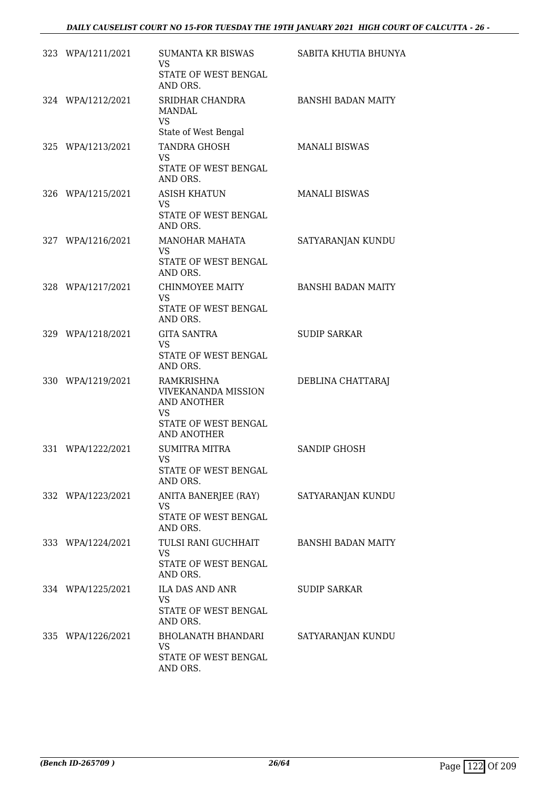| 323 WPA/1211/2021 | SUMANTA KR BISWAS<br>VS.<br>STATE OF WEST BENGAL<br>AND ORS.                                                | SABITA KHUTIA BHUNYA      |
|-------------------|-------------------------------------------------------------------------------------------------------------|---------------------------|
| 324 WPA/1212/2021 | SRIDHAR CHANDRA<br><b>MANDAL</b><br>VS<br>State of West Bengal                                              | <b>BANSHI BADAN MAITY</b> |
| 325 WPA/1213/2021 | TANDRA GHOSH<br><b>VS</b><br>STATE OF WEST BENGAL<br>AND ORS.                                               | <b>MANALI BISWAS</b>      |
| 326 WPA/1215/2021 | <b>ASISH KHATUN</b><br>VS.<br>STATE OF WEST BENGAL<br>AND ORS.                                              | <b>MANALI BISWAS</b>      |
| 327 WPA/1216/2021 | MANOHAR MAHATA<br>VS.<br>STATE OF WEST BENGAL<br>AND ORS.                                                   | SATYARANJAN KUNDU         |
| 328 WPA/1217/2021 | CHINMOYEE MAITY<br><b>VS</b><br>STATE OF WEST BENGAL<br>AND ORS.                                            | <b>BANSHI BADAN MAITY</b> |
| 329 WPA/1218/2021 | <b>GITA SANTRA</b><br>VS.<br>STATE OF WEST BENGAL<br>AND ORS.                                               | <b>SUDIP SARKAR</b>       |
| 330 WPA/1219/2021 | RAMKRISHNA<br><b>VIVEKANANDA MISSION</b><br>AND ANOTHER<br>VS<br>STATE OF WEST BENGAL<br><b>AND ANOTHER</b> | DEBLINA CHATTARAJ         |
| 331 WPA/1222/2021 | <b>SUMITRA MITRA</b><br><b>VS</b><br>STATE OF WEST BENGAL<br>AND ORS.                                       | SANDIP GHOSH              |
| 332 WPA/1223/2021 | ANITA BANERJEE (RAY)<br>VS<br>STATE OF WEST BENGAL<br>AND ORS.                                              | SATYARANJAN KUNDU         |
| 333 WPA/1224/2021 | TULSI RANI GUCHHAIT<br>VS.<br>STATE OF WEST BENGAL<br>AND ORS.                                              | <b>BANSHI BADAN MAITY</b> |
| 334 WPA/1225/2021 | ILA DAS AND ANR<br>VS<br>STATE OF WEST BENGAL<br>AND ORS.                                                   | <b>SUDIP SARKAR</b>       |
| 335 WPA/1226/2021 | BHOLANATH BHANDARI<br><b>VS</b><br>STATE OF WEST BENGAL<br>AND ORS.                                         | SATYARANJAN KUNDU         |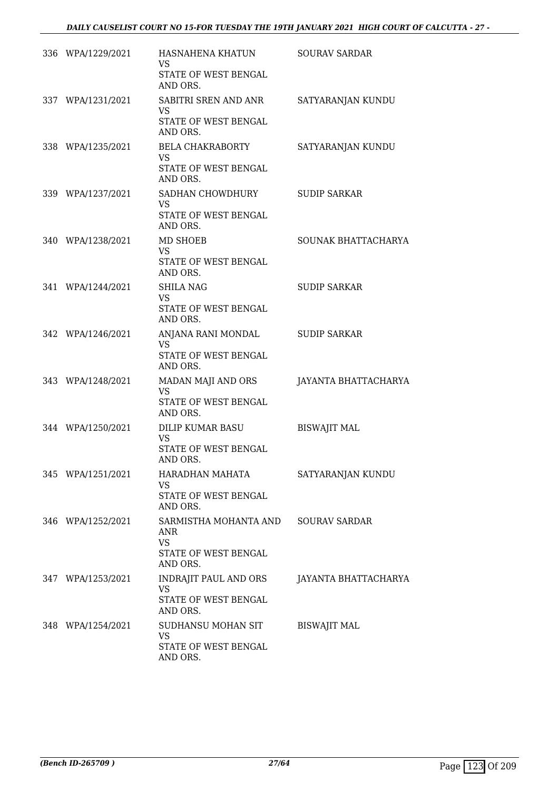| 336 WPA/1229/2021 | HASNAHENA KHATUN<br>VS<br>STATE OF WEST BENGAL<br>AND ORS.                           | <b>SOURAV SARDAR</b> |
|-------------------|--------------------------------------------------------------------------------------|----------------------|
| 337 WPA/1231/2021 | SABITRI SREN AND ANR<br><b>VS</b><br>STATE OF WEST BENGAL<br>AND ORS.                | SATYARANJAN KUNDU    |
| 338 WPA/1235/2021 | <b>BELA CHAKRABORTY</b><br><b>VS</b><br>STATE OF WEST BENGAL<br>AND ORS.             | SATYARANJAN KUNDU    |
| 339 WPA/1237/2021 | SADHAN CHOWDHURY<br>VS.<br>STATE OF WEST BENGAL<br>AND ORS.                          | <b>SUDIP SARKAR</b>  |
| 340 WPA/1238/2021 | MD SHOEB<br><b>VS</b><br>STATE OF WEST BENGAL<br>AND ORS.                            | SOUNAK BHATTACHARYA  |
| 341 WPA/1244/2021 | SHILA NAG<br><b>VS</b><br>STATE OF WEST BENGAL<br>AND ORS.                           | <b>SUDIP SARKAR</b>  |
| 342 WPA/1246/2021 | ANJANA RANI MONDAL<br><b>VS</b><br>STATE OF WEST BENGAL<br>AND ORS.                  | <b>SUDIP SARKAR</b>  |
| 343 WPA/1248/2021 | MADAN MAJI AND ORS<br><b>VS</b><br>STATE OF WEST BENGAL<br>AND ORS.                  | JAYANTA BHATTACHARYA |
| 344 WPA/1250/2021 | DILIP KUMAR BASU<br><b>VS</b><br>STATE OF WEST BENGAL<br>AND ORS.                    | <b>BISWAJIT MAL</b>  |
| 345 WPA/1251/2021 | HARADHAN MAHATA<br>VS<br>STATE OF WEST BENGAL<br>AND ORS.                            | SATYARANJAN KUNDU    |
| 346 WPA/1252/2021 | SARMISTHA MOHANTA AND<br><b>ANR</b><br><b>VS</b><br>STATE OF WEST BENGAL<br>AND ORS. | <b>SOURAV SARDAR</b> |
| 347 WPA/1253/2021 | INDRAJIT PAUL AND ORS<br><b>VS</b><br>STATE OF WEST BENGAL<br>AND ORS.               | JAYANTA BHATTACHARYA |
| 348 WPA/1254/2021 | SUDHANSU MOHAN SIT<br><b>VS</b><br>STATE OF WEST BENGAL<br>AND ORS.                  | <b>BISWAJIT MAL</b>  |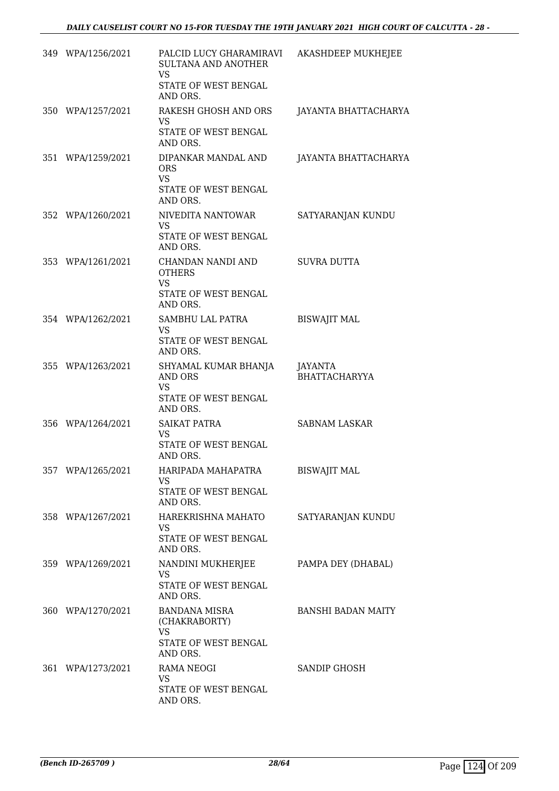| 349 WPA/1256/2021 | PALCID LUCY GHARAMIRAVI<br>SULTANA AND ANOTHER<br><b>VS</b><br>STATE OF WEST BENGAL<br>AND ORS. | <b>AKASHDEEP MUKHEJEE</b>              |
|-------------------|-------------------------------------------------------------------------------------------------|----------------------------------------|
| 350 WPA/1257/2021 | RAKESH GHOSH AND ORS<br><b>VS</b><br>STATE OF WEST BENGAL<br>AND ORS.                           | JAYANTA BHATTACHARYA                   |
| 351 WPA/1259/2021 | DIPANKAR MANDAL AND<br><b>ORS</b><br><b>VS</b><br>STATE OF WEST BENGAL<br>AND ORS.              | JAYANTA BHATTACHARYA                   |
| 352 WPA/1260/2021 | NIVEDITA NANTOWAR<br><b>VS</b><br>STATE OF WEST BENGAL<br>AND ORS.                              | SATYARANJAN KUNDU                      |
| 353 WPA/1261/2021 | CHANDAN NANDI AND<br><b>OTHERS</b><br><b>VS</b><br>STATE OF WEST BENGAL<br>AND ORS.             | <b>SUVRA DUTTA</b>                     |
| 354 WPA/1262/2021 | SAMBHU LAL PATRA<br><b>VS</b><br>STATE OF WEST BENGAL<br>AND ORS.                               | <b>BISWAJIT MAL</b>                    |
| 355 WPA/1263/2021 | SHYAMAL KUMAR BHANJA<br><b>AND ORS</b><br><b>VS</b><br>STATE OF WEST BENGAL<br>AND ORS.         | <b>JAYANTA</b><br><b>BHATTACHARYYA</b> |
| 356 WPA/1264/2021 | SAIKAT PATRA<br><b>VS</b><br>STATE OF WEST BENGAL<br>AND ORS.                                   | <b>SABNAM LASKAR</b>                   |
| 357 WPA/1265/2021 | HARIPADA MAHAPATRA<br>VS<br>STATE OF WEST BENGAL<br>AND ORS.                                    | BISWAJIT MAL                           |
| 358 WPA/1267/2021 | HAREKRISHNA MAHATO<br><b>VS</b><br>STATE OF WEST BENGAL<br>AND ORS.                             | SATYARANJAN KUNDU                      |
| 359 WPA/1269/2021 | NANDINI MUKHERJEE<br><b>VS</b><br>STATE OF WEST BENGAL<br>AND ORS.                              | PAMPA DEY (DHABAL)                     |
| 360 WPA/1270/2021 | <b>BANDANA MISRA</b><br>(CHAKRABORTY)<br><b>VS</b><br>STATE OF WEST BENGAL<br>AND ORS.          | <b>BANSHI BADAN MAITY</b>              |
| 361 WPA/1273/2021 | RAMA NEOGI<br><b>VS</b><br>STATE OF WEST BENGAL<br>AND ORS.                                     | SANDIP GHOSH                           |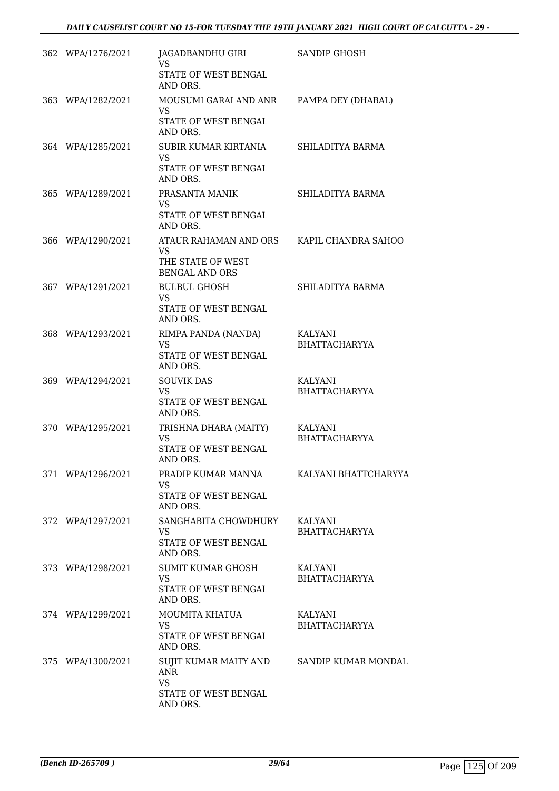| 362 WPA/1276/2021 | JAGADBANDHU GIRI<br>VS.<br>STATE OF WEST BENGAL<br>AND ORS.                                       | <b>SANDIP GHOSH</b>             |
|-------------------|---------------------------------------------------------------------------------------------------|---------------------------------|
| 363 WPA/1282/2021 | MOUSUMI GARAI AND ANR<br><b>VS</b><br>STATE OF WEST BENGAL<br>AND ORS.                            | PAMPA DEY (DHABAL)              |
| 364 WPA/1285/2021 | SUBIR KUMAR KIRTANIA<br><b>VS</b><br>STATE OF WEST BENGAL<br>AND ORS.                             | SHILADITYA BARMA                |
| 365 WPA/1289/2021 | PRASANTA MANIK<br><b>VS</b><br>STATE OF WEST BENGAL<br>AND ORS.                                   | SHILADITYA BARMA                |
| 366 WPA/1290/2021 | ATAUR RAHAMAN AND ORS<br><b>VS</b><br>THE STATE OF WEST<br><b>BENGAL AND ORS</b>                  | KAPIL CHANDRA SAHOO             |
| 367 WPA/1291/2021 | <b>BULBUL GHOSH</b><br><b>VS</b><br>STATE OF WEST BENGAL<br>AND ORS.                              | SHILADITYA BARMA                |
| 368 WPA/1293/2021 | RIMPA PANDA (NANDA)<br>VS.<br>STATE OF WEST BENGAL<br>AND ORS.                                    | KALYANI<br><b>BHATTACHARYYA</b> |
| 369 WPA/1294/2021 | <b>SOUVIK DAS</b><br>VS.<br>STATE OF WEST BENGAL<br>AND ORS.                                      | KALYANI<br><b>BHATTACHARYYA</b> |
| 370 WPA/1295/2021 | TRISHNA DHARA (MAITY)<br><b>VS</b><br>STATE OF WEST BENGAL<br>AND ORS.                            | KALYANI<br><b>BHATTACHARYYA</b> |
| 371 WPA/1296/2021 | PRADIP KUMAR MANNA<br>VS.<br>STATE OF WEST BENGAL<br>AND ORS.                                     | KALYANI BHATTCHARYYA            |
| 372 WPA/1297/2021 | SANGHABITA CHOWDHURY<br>VS.<br>STATE OF WEST BENGAL<br>AND ORS.                                   | KALYANI<br><b>BHATTACHARYYA</b> |
| 373 WPA/1298/2021 | SUMIT KUMAR GHOSH<br><b>VS</b><br>STATE OF WEST BENGAL<br>AND ORS.                                | KALYANI<br><b>BHATTACHARYYA</b> |
| 374 WPA/1299/2021 | MOUMITA KHATUA<br><b>VS</b><br>STATE OF WEST BENGAL<br>AND ORS.                                   | KALYANI<br><b>BHATTACHARYYA</b> |
| 375 WPA/1300/2021 | SUJIT KUMAR MAITY AND SANDIP KUMAR MONDAL<br>ANR<br><b>VS</b><br>STATE OF WEST BENGAL<br>AND ORS. |                                 |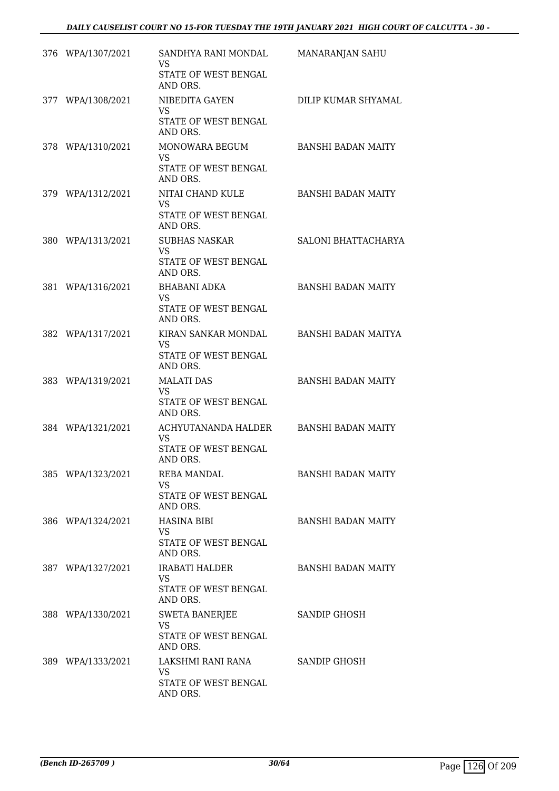| 376 WPA/1307/2021 | SANDHYA RANI MONDAL<br>VS.<br>STATE OF WEST BENGAL<br>AND ORS.         | MANARANJAN SAHU           |
|-------------------|------------------------------------------------------------------------|---------------------------|
| 377 WPA/1308/2021 | NIBEDITA GAYEN<br><b>VS</b><br>STATE OF WEST BENGAL<br>AND ORS.        | DILIP KUMAR SHYAMAL       |
| 378 WPA/1310/2021 | MONOWARA BEGUM<br><b>VS</b><br>STATE OF WEST BENGAL<br>AND ORS.        | <b>BANSHI BADAN MAITY</b> |
| 379 WPA/1312/2021 | NITAI CHAND KULE<br><b>VS</b><br>STATE OF WEST BENGAL<br>AND ORS.      | <b>BANSHI BADAN MAITY</b> |
| 380 WPA/1313/2021 | <b>SUBHAS NASKAR</b><br><b>VS</b><br>STATE OF WEST BENGAL<br>AND ORS.  | SALONI BHATTACHARYA       |
| 381 WPA/1316/2021 | <b>BHABANI ADKA</b><br>VS<br>STATE OF WEST BENGAL<br>AND ORS.          | <b>BANSHI BADAN MAITY</b> |
| 382 WPA/1317/2021 | KIRAN SANKAR MONDAL<br><b>VS</b><br>STATE OF WEST BENGAL<br>AND ORS.   | BANSHI BADAN MAITYA       |
| 383 WPA/1319/2021 | <b>MALATI DAS</b><br><b>VS</b><br>STATE OF WEST BENGAL<br>AND ORS.     | <b>BANSHI BADAN MAITY</b> |
| 384 WPA/1321/2021 | ACHYUTANANDA HALDER<br><b>VS</b><br>STATE OF WEST BENGAL<br>AND ORS.   | <b>BANSHI BADAN MAITY</b> |
| 385 WPA/1323/2021 | <b>REBA MANDAL</b><br><b>VS</b><br>STATE OF WEST BENGAL<br>AND ORS.    | <b>BANSHI BADAN MAITY</b> |
| 386 WPA/1324/2021 | <b>HASINA BIBI</b><br>VS.<br>STATE OF WEST BENGAL<br>AND ORS.          | <b>BANSHI BADAN MAITY</b> |
| 387 WPA/1327/2021 | <b>IRABATI HALDER</b><br>VS.<br>STATE OF WEST BENGAL<br>AND ORS.       | <b>BANSHI BADAN MAITY</b> |
| 388 WPA/1330/2021 | <b>SWETA BANERJEE</b><br><b>VS</b><br>STATE OF WEST BENGAL<br>AND ORS. | SANDIP GHOSH              |
| 389 WPA/1333/2021 | LAKSHMI RANI RANA<br><b>VS</b><br>STATE OF WEST BENGAL<br>AND ORS.     | SANDIP GHOSH              |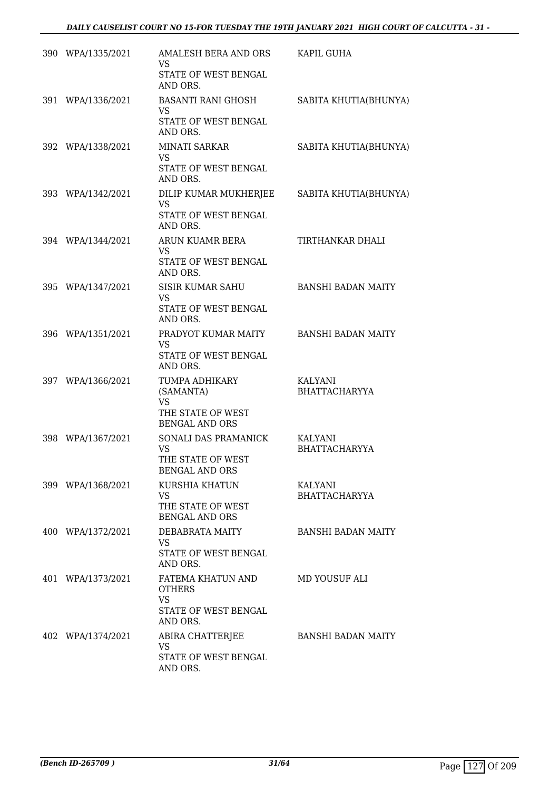| 390 WPA/1335/2021 | AMALESH BERA AND ORS<br>VS.<br>STATE OF WEST BENGAL<br>AND ORS.                        | KAPIL GUHA                             |
|-------------------|----------------------------------------------------------------------------------------|----------------------------------------|
| 391 WPA/1336/2021 | BASANTI RANI GHOSH<br>VS<br>STATE OF WEST BENGAL<br>AND ORS.                           | SABITA KHUTIA(BHUNYA)                  |
| 392 WPA/1338/2021 | <b>MINATI SARKAR</b><br><b>VS</b><br>STATE OF WEST BENGAL<br>AND ORS.                  | SABITA KHUTIA(BHUNYA)                  |
| 393 WPA/1342/2021 | DILIP KUMAR MUKHERJEE<br><b>VS</b><br>STATE OF WEST BENGAL<br>AND ORS.                 | SABITA KHUTIA(BHUNYA)                  |
| 394 WPA/1344/2021 | ARUN KUAMR BERA<br><b>VS</b><br>STATE OF WEST BENGAL<br>AND ORS.                       | TIRTHANKAR DHALI                       |
| 395 WPA/1347/2021 | <b>SISIR KUMAR SAHU</b><br>VS.<br>STATE OF WEST BENGAL<br>AND ORS.                     | <b>BANSHI BADAN MAITY</b>              |
| 396 WPA/1351/2021 | PRADYOT KUMAR MAITY<br><b>VS</b><br>STATE OF WEST BENGAL<br>AND ORS.                   | <b>BANSHI BADAN MAITY</b>              |
| 397 WPA/1366/2021 | TUMPA ADHIKARY<br>(SAMANTA)<br><b>VS</b><br>THE STATE OF WEST<br><b>BENGAL AND ORS</b> | <b>KALYANI</b><br><b>BHATTACHARYYA</b> |
| 398 WPA/1367/2021 | SONALI DAS PRAMANICK<br><b>VS</b><br>THE STATE OF WEST<br><b>BENGAL AND ORS</b>        | KALYANI<br><b>BHATTACHARYYA</b>        |
| 399 WPA/1368/2021 | KURSHIA KHATUN<br>VS.<br>THE STATE OF WEST<br><b>BENGAL AND ORS</b>                    | KALYANI<br><b>BHATTACHARYYA</b>        |
| 400 WPA/1372/2021 | DEBABRATA MAITY<br>VS.<br>STATE OF WEST BENGAL<br>AND ORS.                             | <b>BANSHI BADAN MAITY</b>              |
| 401 WPA/1373/2021 | FATEMA KHATUN AND<br><b>OTHERS</b><br><b>VS</b><br>STATE OF WEST BENGAL<br>AND ORS.    | MD YOUSUF ALI                          |
| 402 WPA/1374/2021 | ABIRA CHATTERJEE<br><b>VS</b><br>STATE OF WEST BENGAL<br>AND ORS.                      | <b>BANSHI BADAN MAITY</b>              |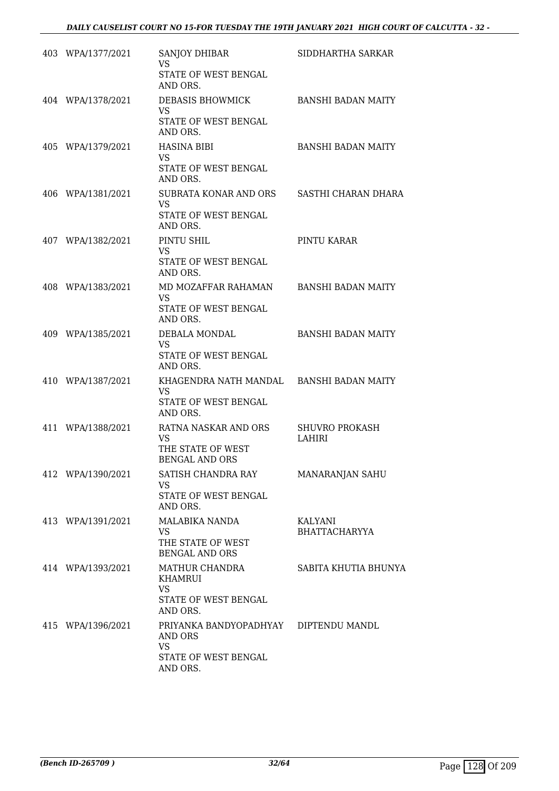|     | 403 WPA/1377/2021 | SANJOY DHIBAR<br>VS                                     | SIDDHARTHA SARKAR                      |
|-----|-------------------|---------------------------------------------------------|----------------------------------------|
|     |                   | STATE OF WEST BENGAL<br>AND ORS.                        |                                        |
|     | 404 WPA/1378/2021 | DEBASIS BHOWMICK<br><b>VS</b>                           | <b>BANSHI BADAN MAITY</b>              |
|     |                   | STATE OF WEST BENGAL<br>AND ORS.                        |                                        |
|     | 405 WPA/1379/2021 | HASINA BIBI<br><b>VS</b>                                | <b>BANSHI BADAN MAITY</b>              |
|     |                   | STATE OF WEST BENGAL<br>AND ORS.                        |                                        |
|     | 406 WPA/1381/2021 | SUBRATA KONAR AND ORS<br><b>VS</b>                      | SASTHI CHARAN DHARA                    |
|     |                   | STATE OF WEST BENGAL<br>AND ORS.                        |                                        |
|     | 407 WPA/1382/2021 | PINTU SHIL<br><b>VS</b>                                 | PINTU KARAR                            |
|     |                   | STATE OF WEST BENGAL<br>AND ORS.                        |                                        |
|     | 408 WPA/1383/2021 | MD MOZAFFAR RAHAMAN<br>VS                               | <b>BANSHI BADAN MAITY</b>              |
|     |                   | STATE OF WEST BENGAL<br>AND ORS.                        |                                        |
|     | 409 WPA/1385/2021 | DEBALA MONDAL<br><b>VS</b>                              | <b>BANSHI BADAN MAITY</b>              |
|     |                   | STATE OF WEST BENGAL<br>AND ORS.                        |                                        |
|     | 410 WPA/1387/2021 | KHAGENDRA NATH MANDAL BANSHI BADAN MAITY<br><b>VS</b>   |                                        |
|     |                   | STATE OF WEST BENGAL<br>AND ORS.                        |                                        |
| 411 | WPA/1388/2021     | RATNA NASKAR AND ORS<br>VS                              | <b>SHUVRO PROKASH</b><br><b>LAHIRI</b> |
|     |                   | THE STATE OF WEST<br><b>BENGAL AND ORS</b>              |                                        |
|     | 412 WPA/1390/2021 | SATISH CHANDRA RAY<br>VS                                | MANARANJAN SAHU                        |
|     |                   | STATE OF WEST BENGAL<br>AND ORS.                        |                                        |
|     | 413 WPA/1391/2021 | <b>MALABIKA NANDA</b><br><b>VS</b>                      | KALYANI<br><b>BHATTACHARYYA</b>        |
|     |                   | THE STATE OF WEST<br><b>BENGAL AND ORS</b>              |                                        |
|     | 414 WPA/1393/2021 | MATHUR CHANDRA<br>KHAMRUI                               | SABITA KHUTIA BHUNYA                   |
|     |                   | <b>VS</b><br>STATE OF WEST BENGAL                       |                                        |
|     |                   | AND ORS.                                                |                                        |
|     | 415 WPA/1396/2021 | PRIYANKA BANDYOPADHYAY DIPTENDU MANDL<br>AND ORS<br>VS. |                                        |
|     |                   | STATE OF WEST BENGAL<br>AND ORS.                        |                                        |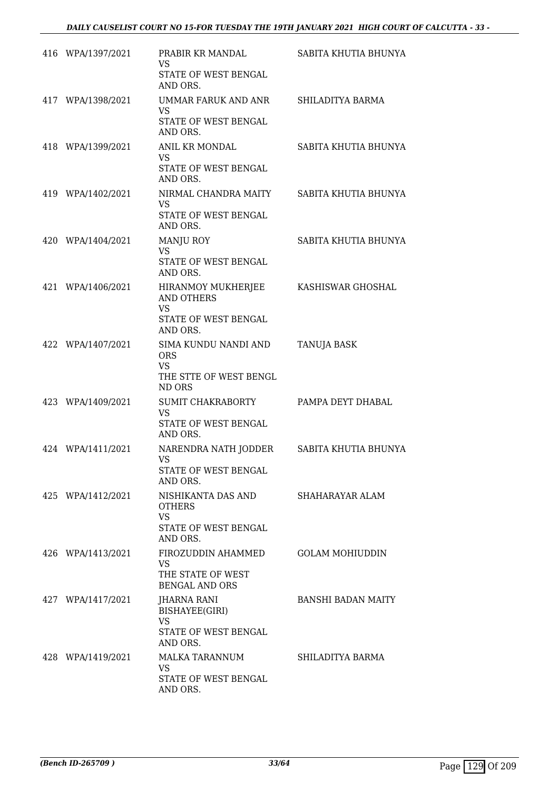| 416 WPA/1397/2021 | PRABIR KR MANDAL<br><b>VS</b><br>STATE OF WEST BENGAL<br>AND ORS.                        | SABITA KHUTIA BHUNYA      |
|-------------------|------------------------------------------------------------------------------------------|---------------------------|
| 417 WPA/1398/2021 | UMMAR FARUK AND ANR<br><b>VS</b><br>STATE OF WEST BENGAL<br>AND ORS.                     | SHILADITYA BARMA          |
| 418 WPA/1399/2021 | ANIL KR MONDAL<br><b>VS</b><br>STATE OF WEST BENGAL<br>AND ORS.                          | SABITA KHUTIA BHUNYA      |
| 419 WPA/1402/2021 | NIRMAL CHANDRA MAITY<br><b>VS</b><br>STATE OF WEST BENGAL<br>AND ORS.                    | SABITA KHUTIA BHUNYA      |
| 420 WPA/1404/2021 | <b>MANJU ROY</b><br><b>VS</b><br>STATE OF WEST BENGAL<br>AND ORS.                        | SABITA KHUTIA BHUNYA      |
| 421 WPA/1406/2021 | HIRANMOY MUKHERJEE<br><b>AND OTHERS</b><br><b>VS</b><br>STATE OF WEST BENGAL<br>AND ORS. | KASHISWAR GHOSHAL         |
| 422 WPA/1407/2021 | SIMA KUNDU NANDI AND<br><b>ORS</b><br><b>VS</b><br>THE STTE OF WEST BENGL<br>ND ORS      | <b>TANUJA BASK</b>        |
| 423 WPA/1409/2021 | SUMIT CHAKRABORTY<br><b>VS</b><br>STATE OF WEST BENGAL<br>AND ORS.                       | PAMPA DEYT DHABAL         |
| 424 WPA/1411/2021 | NARENDRA NATH JODDER<br><b>VS</b><br>STATE OF WEST BENGAL<br>AND ORS.                    | SABITA KHUTIA BHUNYA      |
| 425 WPA/1412/2021 | NISHIKANTA DAS AND<br><b>OTHERS</b><br><b>VS</b><br>STATE OF WEST BENGAL<br>AND ORS.     | SHAHARAYAR ALAM           |
| 426 WPA/1413/2021 | FIROZUDDIN AHAMMED<br>VS<br>THE STATE OF WEST<br><b>BENGAL AND ORS</b>                   | <b>GOLAM MOHIUDDIN</b>    |
| 427 WPA/1417/2021 | JHARNA RANI<br>BISHAYEE(GIRI)<br><b>VS</b><br>STATE OF WEST BENGAL<br>AND ORS.           | <b>BANSHI BADAN MAITY</b> |
| 428 WPA/1419/2021 | MALKA TARANNUM<br><b>VS</b><br>STATE OF WEST BENGAL<br>AND ORS.                          | SHILADITYA BARMA          |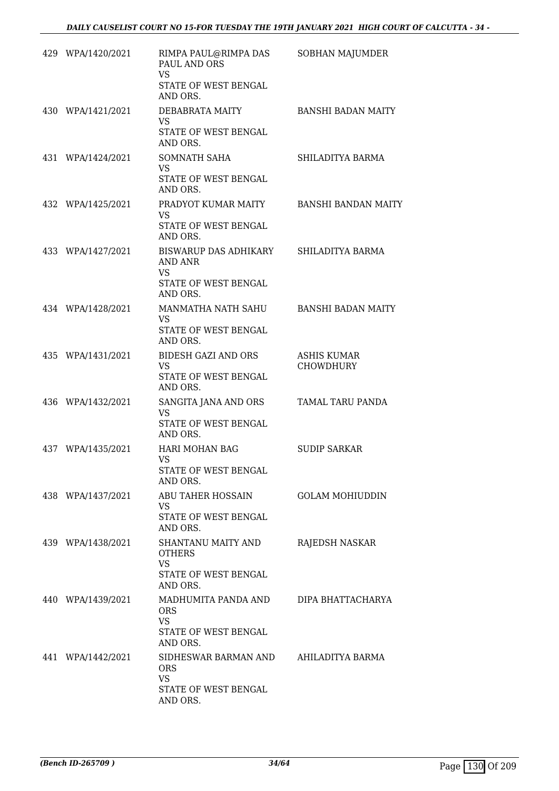| 429 WPA/1420/2021 | RIMPA PAUL@RIMPA DAS<br>PAUL AND ORS<br>VS<br>STATE OF WEST BENGAL                            | SOBHAN MAJUMDER                        |
|-------------------|-----------------------------------------------------------------------------------------------|----------------------------------------|
| 430 WPA/1421/2021 | AND ORS.<br>DEBABRATA MAITY<br><b>VS</b><br>STATE OF WEST BENGAL                              | <b>BANSHI BADAN MAITY</b>              |
| 431 WPA/1424/2021 | AND ORS.<br><b>SOMNATH SAHA</b><br><b>VS</b><br>STATE OF WEST BENGAL                          | SHILADITYA BARMA                       |
| 432 WPA/1425/2021 | AND ORS.<br>PRADYOT KUMAR MAITY<br><b>VS</b><br>STATE OF WEST BENGAL                          | <b>BANSHI BANDAN MAITY</b>             |
| 433 WPA/1427/2021 | AND ORS.<br>BISWARUP DAS ADHIKARY<br>AND ANR<br><b>VS</b><br>STATE OF WEST BENGAL<br>AND ORS. | SHILADITYA BARMA                       |
| 434 WPA/1428/2021 | MANMATHA NATH SAHU<br><b>VS</b><br>STATE OF WEST BENGAL<br>AND ORS.                           | <b>BANSHI BADAN MAITY</b>              |
| 435 WPA/1431/2021 | <b>BIDESH GAZI AND ORS</b><br><b>VS</b><br>STATE OF WEST BENGAL<br>AND ORS.                   | <b>ASHIS KUMAR</b><br><b>CHOWDHURY</b> |
| 436 WPA/1432/2021 | SANGITA JANA AND ORS<br><b>VS</b><br>STATE OF WEST BENGAL<br>AND ORS.                         | TAMAL TARU PANDA                       |
| 437 WPA/1435/2021 | HARI MOHAN BAG<br><b>VS</b><br>STATE OF WEST BENGAL<br>AND ORS.                               | <b>SUDIP SARKAR</b>                    |
| 438 WPA/1437/2021 | ABU TAHER HOSSAIN<br>VS.<br>STATE OF WEST BENGAL<br>AND ORS.                                  | <b>GOLAM MOHIUDDIN</b>                 |
| 439 WPA/1438/2021 | SHANTANU MAITY AND<br><b>OTHERS</b><br><b>VS</b><br>STATE OF WEST BENGAL<br>AND ORS.          | RAJEDSH NASKAR                         |
| 440 WPA/1439/2021 | MADHUMITA PANDA AND<br><b>ORS</b><br><b>VS</b><br>STATE OF WEST BENGAL<br>AND ORS.            | DIPA BHATTACHARYA                      |
| 441 WPA/1442/2021 | SIDHESWAR BARMAN AND<br><b>ORS</b><br><b>VS</b><br>STATE OF WEST BENGAL<br>AND ORS.           | AHILADITYA BARMA                       |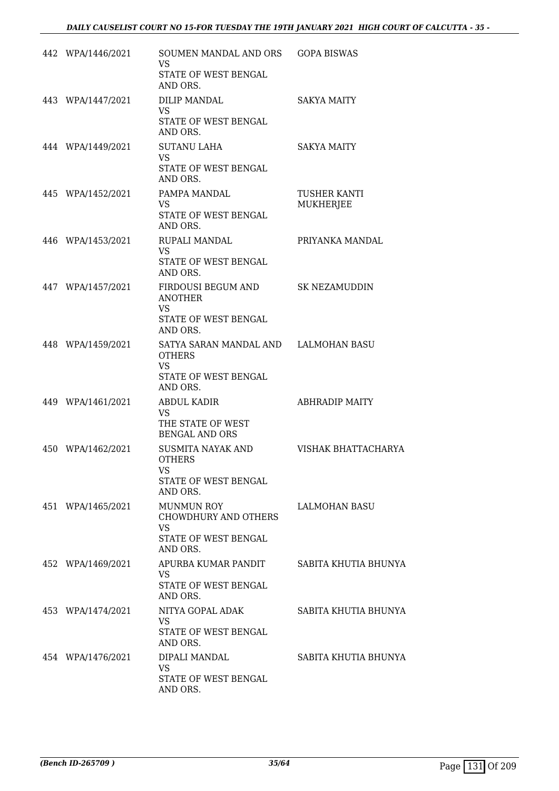| 442 WPA/1446/2021 | SOUMEN MANDAL AND ORS<br><b>VS</b><br>STATE OF WEST BENGAL<br>AND ORS.                                 | <b>GOPA BISWAS</b>        |
|-------------------|--------------------------------------------------------------------------------------------------------|---------------------------|
| 443 WPA/1447/2021 | DILIP MANDAL<br>VS.<br>STATE OF WEST BENGAL<br>AND ORS.                                                | <b>SAKYA MAITY</b>        |
| 444 WPA/1449/2021 | <b>SUTANU LAHA</b><br>VS.<br>STATE OF WEST BENGAL<br>AND ORS.                                          | <b>SAKYA MAITY</b>        |
| 445 WPA/1452/2021 | PAMPA MANDAL<br><b>VS</b><br>STATE OF WEST BENGAL<br>AND ORS.                                          | TUSHER KANTI<br>MUKHERJEE |
| 446 WPA/1453/2021 | RUPALI MANDAL<br><b>VS</b><br>STATE OF WEST BENGAL<br>AND ORS.                                         | PRIYANKA MANDAL           |
| 447 WPA/1457/2021 | FIRDOUSI BEGUM AND<br><b>ANOTHER</b><br>VS.<br>STATE OF WEST BENGAL<br>AND ORS.                        | SK NEZAMUDDIN             |
| 448 WPA/1459/2021 | SATYA SARAN MANDAL AND LALMOHAN BASU<br><b>OTHERS</b><br><b>VS</b><br>STATE OF WEST BENGAL<br>AND ORS. |                           |
| 449 WPA/1461/2021 | <b>ABDUL KADIR</b><br>VS<br>THE STATE OF WEST<br><b>BENGAL AND ORS</b>                                 | <b>ABHRADIP MAITY</b>     |
| 450 WPA/1462/2021 | SUSMITA NAYAK AND<br><b>OTHERS</b><br>VS<br>STATE OF WEST BENGAL<br>AND ORS.                           | VISHAK BHATTACHARYA       |
| 451 WPA/1465/2021 | <b>MUNMUN ROY</b><br><b>CHOWDHURY AND OTHERS</b><br><b>VS</b><br>STATE OF WEST BENGAL<br>AND ORS.      | LALMOHAN BASU             |
| 452 WPA/1469/2021 | APURBA KUMAR PANDIT<br>VS.<br>STATE OF WEST BENGAL<br>AND ORS.                                         | SABITA KHUTIA BHUNYA      |
| 453 WPA/1474/2021 | NITYA GOPAL ADAK<br><b>VS</b><br>STATE OF WEST BENGAL<br>AND ORS.                                      | SABITA KHUTIA BHUNYA      |
| 454 WPA/1476/2021 | DIPALI MANDAL<br><b>VS</b><br>STATE OF WEST BENGAL<br>AND ORS.                                         | SABITA KHUTIA BHUNYA      |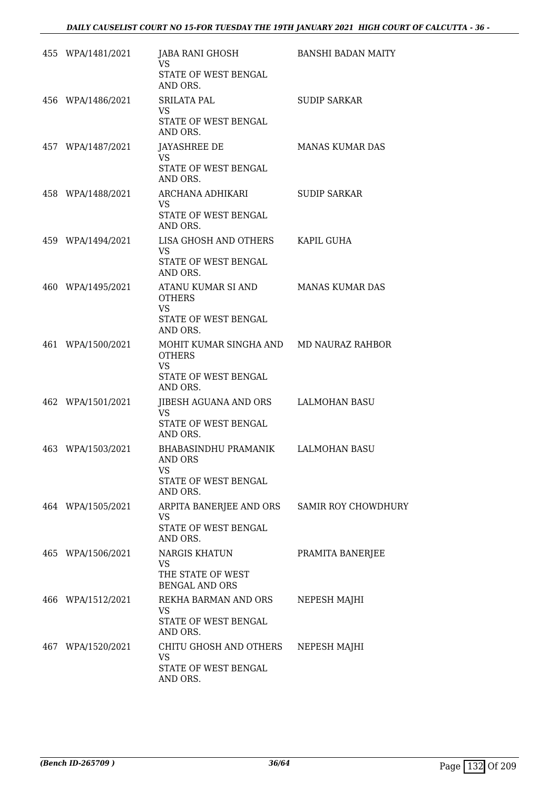| 455 WPA/1481/2021 | JABA RANI GHOSH<br>VS.                                                    | BANSHI BADAN MAITY     |
|-------------------|---------------------------------------------------------------------------|------------------------|
|                   | STATE OF WEST BENGAL<br>AND ORS.                                          |                        |
| 456 WPA/1486/2021 | <b>SRILATA PAL</b><br><b>VS</b>                                           | <b>SUDIP SARKAR</b>    |
|                   | STATE OF WEST BENGAL<br>AND ORS.                                          |                        |
| 457 WPA/1487/2021 | JAYASHREE DE<br><b>VS</b>                                                 | <b>MANAS KUMAR DAS</b> |
|                   | STATE OF WEST BENGAL<br>AND ORS.                                          |                        |
| 458 WPA/1488/2021 | ARCHANA ADHIKARI<br><b>VS</b><br>STATE OF WEST BENGAL                     | <b>SUDIP SARKAR</b>    |
| 459 WPA/1494/2021 | AND ORS.<br>LISA GHOSH AND OTHERS KAPIL GUHA                              |                        |
|                   | <b>VS</b><br>STATE OF WEST BENGAL<br>AND ORS.                             |                        |
| 460 WPA/1495/2021 | ATANU KUMAR SI AND<br><b>OTHERS</b>                                       | MANAS KUMAR DAS        |
|                   | <b>VS</b><br>STATE OF WEST BENGAL<br>AND ORS.                             |                        |
| 461 WPA/1500/2021 | MOHIT KUMAR SINGHA AND MD NAURAZ RAHBOR<br><b>OTHERS</b>                  |                        |
|                   | VS.<br>STATE OF WEST BENGAL<br>AND ORS.                                   |                        |
| 462 WPA/1501/2021 | JIBESH AGUANA AND ORS LALMOHAN BASU<br>VS                                 |                        |
|                   | STATE OF WEST BENGAL<br>AND ORS.                                          |                        |
| 463 WPA/1503/2021 | BHABASINDHU PRAMANIK LALMOHAN BASU<br>AND ORS<br>VS                       |                        |
|                   | STATE OF WEST BENGAL<br>AND ORS.                                          |                        |
| 464 WPA/1505/2021 | ARPITA BANERJEE AND ORS SAMIR ROY CHOWDHURY<br>VS<br>STATE OF WEST BENGAL |                        |
| 465 WPA/1506/2021 | AND ORS.<br><b>NARGIS KHATUN</b>                                          | PRAMITA BANERJEE       |
|                   | VS.<br>THE STATE OF WEST<br><b>BENGAL AND ORS</b>                         |                        |
| 466 WPA/1512/2021 | REKHA BARMAN AND ORS                                                      | NEPESH MAJHI           |
|                   | VS.<br>STATE OF WEST BENGAL<br>AND ORS.                                   |                        |
| 467 WPA/1520/2021 | CHITU GHOSH AND OTHERS<br><b>VS</b>                                       | NEPESH MAJHI           |
|                   | STATE OF WEST BENGAL<br>AND ORS.                                          |                        |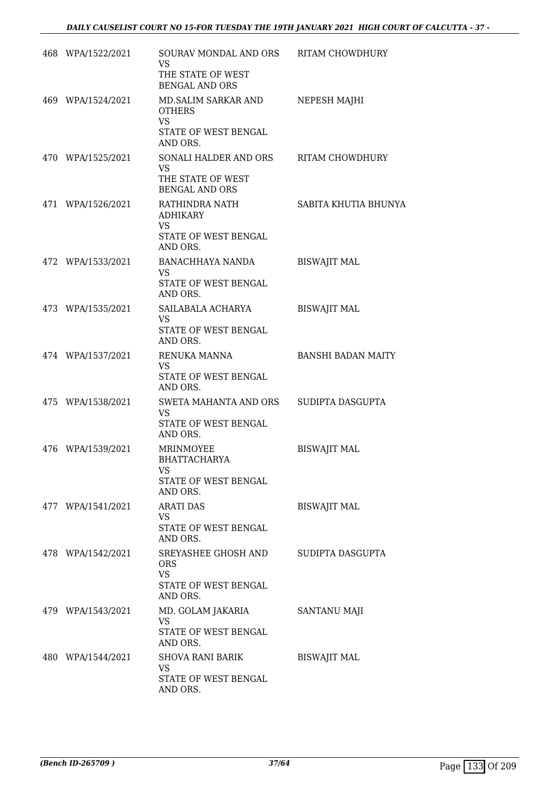| 468 WPA/1522/2021 | SOURAV MONDAL AND ORS RITAM CHOWDHURY<br>VS.<br>THE STATE OF WEST<br><b>BENGAL AND ORS</b> |                           |
|-------------------|--------------------------------------------------------------------------------------------|---------------------------|
| 469 WPA/1524/2021 | MD.SALIM SARKAR AND<br><b>OTHERS</b><br>VS<br>STATE OF WEST BENGAL<br>AND ORS.             | NEPESH MAJHI              |
| 470 WPA/1525/2021 | SONALI HALDER AND ORS<br><b>VS</b><br>THE STATE OF WEST<br><b>BENGAL AND ORS</b>           | <b>RITAM CHOWDHURY</b>    |
| 471 WPA/1526/2021 | RATHINDRA NATH<br><b>ADHIKARY</b><br><b>VS</b><br>STATE OF WEST BENGAL<br>AND ORS.         | SABITA KHUTIA BHUNYA      |
| 472 WPA/1533/2021 | BANACHHAYA NANDA<br>VS.<br>STATE OF WEST BENGAL<br>AND ORS.                                | <b>BISWAJIT MAL</b>       |
| 473 WPA/1535/2021 | SAILABALA ACHARYA<br><b>VS</b><br>STATE OF WEST BENGAL<br>AND ORS.                         | <b>BISWAJIT MAL</b>       |
| 474 WPA/1537/2021 | RENUKA MANNA<br>VS<br>STATE OF WEST BENGAL<br>AND ORS.                                     | <b>BANSHI BADAN MAITY</b> |
| 475 WPA/1538/2021 | SWETA MAHANTA AND ORS<br>VS<br>STATE OF WEST BENGAL<br>AND ORS.                            | SUDIPTA DASGUPTA          |
| 476 WPA/1539/2021 | MRINMOYEE<br><b>BHATTACHARYA</b><br>VS<br>STATE OF WEST BENGAL<br>AND ORS.                 | <b>BISWAJIT MAL</b>       |
| 477 WPA/1541/2021 | <b>ARATI DAS</b><br>VS<br>STATE OF WEST BENGAL<br>AND ORS.                                 | <b>BISWAJIT MAL</b>       |
| 478 WPA/1542/2021 | SREYASHEE GHOSH AND<br><b>ORS</b><br><b>VS</b><br>STATE OF WEST BENGAL<br>AND ORS.         | SUDIPTA DASGUPTA          |
| 479 WPA/1543/2021 | MD. GOLAM JAKARIA<br>VS.<br>STATE OF WEST BENGAL<br>AND ORS.                               | SANTANU MAJI              |
| 480 WPA/1544/2021 | SHOVA RANI BARIK<br>VS<br>STATE OF WEST BENGAL<br>AND ORS.                                 | <b>BISWAJIT MAL</b>       |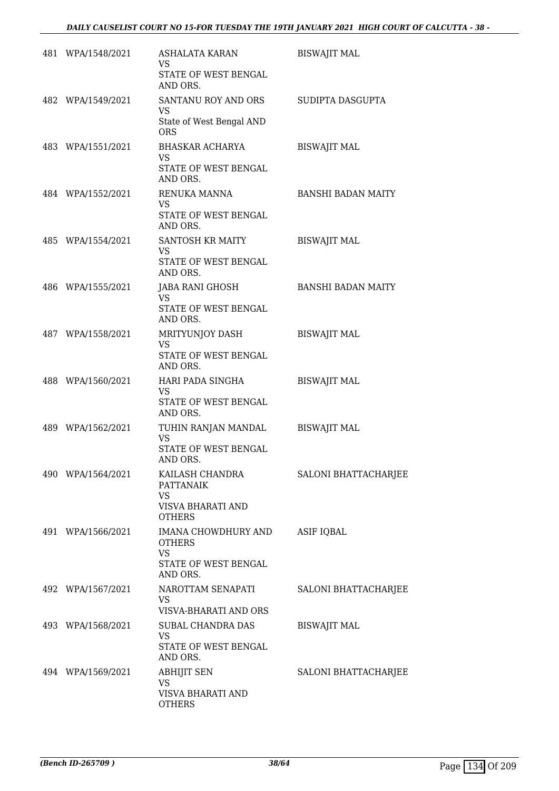| 481 WPA/1548/2021 | ASHALATA KARAN<br><b>VS</b><br>STATE OF WEST BENGAL<br>AND ORS.                       | <b>BISWAJIT MAL</b>       |
|-------------------|---------------------------------------------------------------------------------------|---------------------------|
| 482 WPA/1549/2021 | SANTANU ROY AND ORS<br>VS<br>State of West Bengal AND<br><b>ORS</b>                   | SUDIPTA DASGUPTA          |
| 483 WPA/1551/2021 | BHASKAR ACHARYA<br>VS<br>STATE OF WEST BENGAL<br>AND ORS.                             | <b>BISWAJIT MAL</b>       |
| 484 WPA/1552/2021 | RENUKA MANNA<br>VS<br>STATE OF WEST BENGAL<br>AND ORS.                                | <b>BANSHI BADAN MAITY</b> |
| 485 WPA/1554/2021 | SANTOSH KR MAITY<br>VS.<br>STATE OF WEST BENGAL<br>AND ORS.                           | <b>BISWAJIT MAL</b>       |
| 486 WPA/1555/2021 | JABA RANI GHOSH<br>VS.<br>STATE OF WEST BENGAL<br>AND ORS.                            | <b>BANSHI BADAN MAITY</b> |
| 487 WPA/1558/2021 | MRITYUNJOY DASH<br><b>VS</b><br>STATE OF WEST BENGAL<br>AND ORS.                      | <b>BISWAJIT MAL</b>       |
| 488 WPA/1560/2021 | HARI PADA SINGHA<br>VS.<br>STATE OF WEST BENGAL<br>AND ORS.                           | <b>BISWAJIT MAL</b>       |
| 489 WPA/1562/2021 | TUHIN RANJAN MANDAL<br><b>VS</b><br>STATE OF WEST BENGAL<br>AND ORS.                  | <b>BISWAJIT MAL</b>       |
| 490 WPA/1564/2021 | KAILASH CHANDRA<br><b>PATTANAIK</b><br>VS.<br>VISVA BHARATI AND<br><b>OTHERS</b>      | SALONI BHATTACHARJEE      |
| 491 WPA/1566/2021 | IMANA CHOWDHURY AND<br><b>OTHERS</b><br><b>VS</b><br>STATE OF WEST BENGAL<br>AND ORS. | ASIF IQBAL                |
| 492 WPA/1567/2021 | NAROTTAM SENAPATI<br>VS.<br>VISVA-BHARATI AND ORS                                     | SALONI BHATTACHARJEE      |
| 493 WPA/1568/2021 | SUBAL CHANDRA DAS<br>VS<br>STATE OF WEST BENGAL<br>AND ORS.                           | <b>BISWAJIT MAL</b>       |
| 494 WPA/1569/2021 | <b>ABHIJIT SEN</b><br><b>VS</b><br>VISVA BHARATI AND<br><b>OTHERS</b>                 | SALONI BHATTACHARJEE      |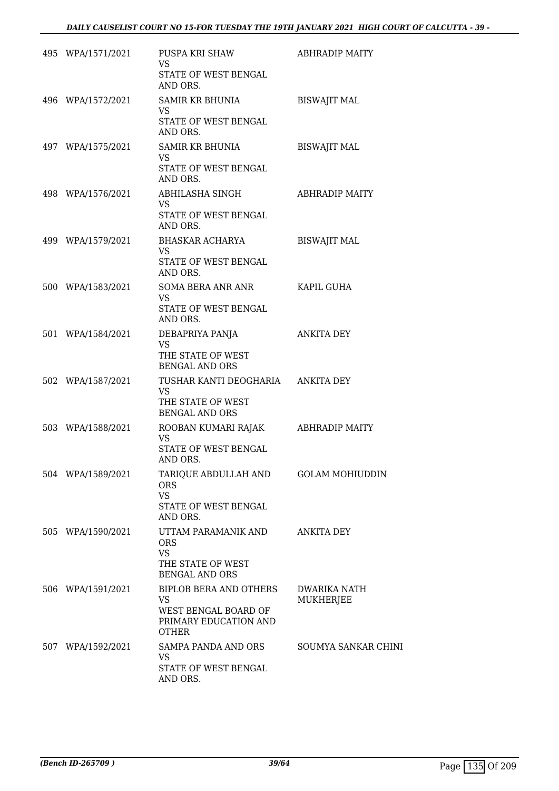| 495 WPA/1571/2021 | PUSPA KRI SHAW<br>VS<br>STATE OF WEST BENGAL<br>AND ORS.                                                    | ABHRADIP MAITY            |
|-------------------|-------------------------------------------------------------------------------------------------------------|---------------------------|
| 496 WPA/1572/2021 | SAMIR KR BHUNIA<br>VS.<br>STATE OF WEST BENGAL<br>AND ORS.                                                  | <b>BISWAJIT MAL</b>       |
| 497 WPA/1575/2021 | SAMIR KR BHUNIA<br><b>VS</b><br>STATE OF WEST BENGAL<br>AND ORS.                                            | <b>BISWAJIT MAL</b>       |
| 498 WPA/1576/2021 | ABHILASHA SINGH<br>VS.<br>STATE OF WEST BENGAL<br>AND ORS.                                                  | ABHRADIP MAITY            |
| 499 WPA/1579/2021 | BHASKAR ACHARYA<br><b>VS</b><br>STATE OF WEST BENGAL<br>AND ORS.                                            | <b>BISWAJIT MAL</b>       |
| 500 WPA/1583/2021 | SOMA BERA ANR ANR<br><b>VS</b><br>STATE OF WEST BENGAL<br>AND ORS.                                          | KAPIL GUHA                |
| 501 WPA/1584/2021 | DEBAPRIYA PANJA<br><b>VS</b><br>THE STATE OF WEST<br><b>BENGAL AND ORS</b>                                  | ANKITA DEY                |
| 502 WPA/1587/2021 | TUSHAR KANTI DEOGHARIA ANKITA DEY<br><b>VS</b><br>THE STATE OF WEST<br><b>BENGAL AND ORS</b>                |                           |
| 503 WPA/1588/2021 | ROOBAN KUMARI RAJAK ABHRADIP MAITY<br><b>VS</b><br>STATE OF WEST BENGAL<br>AND ORS.                         |                           |
| 504 WPA/1589/2021 | TARIQUE ABDULLAH AND<br><b>ORS</b><br><b>VS</b><br>STATE OF WEST BENGAL<br>AND ORS.                         | <b>GOLAM MOHIUDDIN</b>    |
| 505 WPA/1590/2021 | UTTAM PARAMANIK AND<br><b>ORS</b><br><b>VS</b><br>THE STATE OF WEST<br><b>BENGAL AND ORS</b>                | ANKITA DEY                |
| 506 WPA/1591/2021 | <b>BIPLOB BERA AND OTHERS</b><br><b>VS</b><br>WEST BENGAL BOARD OF<br>PRIMARY EDUCATION AND<br><b>OTHER</b> | DWARIKA NATH<br>MUKHERJEE |
| 507 WPA/1592/2021 | SAMPA PANDA AND ORS<br><b>VS</b><br>STATE OF WEST BENGAL<br>AND ORS.                                        | SOUMYA SANKAR CHINI       |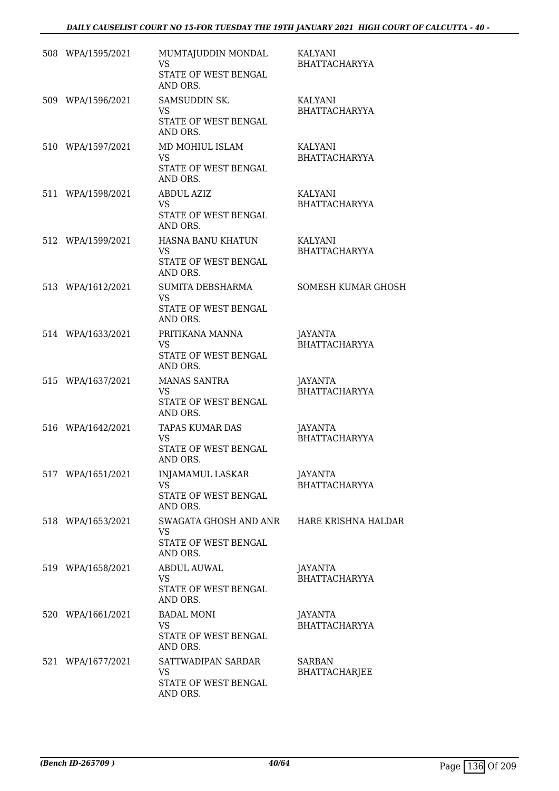| 508 WPA/1595/2021 | MUMTAJUDDIN MONDAL<br><b>VS</b><br>STATE OF WEST BENGAL<br>AND ORS.                        | KALYANI<br><b>BHATTACHARYYA</b>       |
|-------------------|--------------------------------------------------------------------------------------------|---------------------------------------|
| 509 WPA/1596/2021 | SAMSUDDIN SK.<br>VS<br>STATE OF WEST BENGAL<br>AND ORS.                                    | KALYANI<br><b>BHATTACHARYYA</b>       |
| 510 WPA/1597/2021 | MD MOHIUL ISLAM<br><b>VS</b><br>STATE OF WEST BENGAL<br>AND ORS.                           | KALYANI<br><b>BHATTACHARYYA</b>       |
| 511 WPA/1598/2021 | <b>ABDUL AZIZ</b><br><b>VS</b><br>STATE OF WEST BENGAL<br>AND ORS.                         | KALYANI<br><b>BHATTACHARYYA</b>       |
| 512 WPA/1599/2021 | HASNA BANU KHATUN<br><b>VS</b><br>STATE OF WEST BENGAL<br>AND ORS.                         | KALYANI<br><b>BHATTACHARYYA</b>       |
| 513 WPA/1612/2021 | SUMITA DEBSHARMA<br><b>VS</b><br>STATE OF WEST BENGAL<br>AND ORS.                          | <b>SOMESH KUMAR GHOSH</b>             |
| 514 WPA/1633/2021 | PRITIKANA MANNA<br><b>VS</b><br>STATE OF WEST BENGAL<br>AND ORS.                           | JAYANTA<br><b>BHATTACHARYYA</b>       |
| 515 WPA/1637/2021 | <b>MANAS SANTRA</b><br>VS<br>STATE OF WEST BENGAL<br>AND ORS.                              | JAYANTA<br><b>BHATTACHARYYA</b>       |
| 516 WPA/1642/2021 | TAPAS KUMAR DAS<br><b>VS</b><br>STATE OF WEST BENGAL<br>AND ORS.                           | JAYANTA<br><b>BHATTACHARYYA</b>       |
| 517 WPA/1651/2021 | INJAMAMUL LASKAR<br><b>VS</b><br>STATE OF WEST BENGAL<br>AND ORS.                          | JAYANTA<br><b>BHATTACHARYYA</b>       |
| 518 WPA/1653/2021 | SWAGATA GHOSH AND ANR HARE KRISHNA HALDAR<br><b>VS</b><br>STATE OF WEST BENGAL<br>AND ORS. |                                       |
| 519 WPA/1658/2021 | ABDUL AUWAL<br>VS.<br>STATE OF WEST BENGAL<br>AND ORS.                                     | JAYANTA<br><b>BHATTACHARYYA</b>       |
| 520 WPA/1661/2021 | <b>BADAL MONI</b><br>VS<br>STATE OF WEST BENGAL<br>AND ORS.                                | JAYANTA<br><b>BHATTACHARYYA</b>       |
| 521 WPA/1677/2021 | SATTWADIPAN SARDAR<br><b>VS</b><br>STATE OF WEST BENGAL<br>AND ORS.                        | <b>SARBAN</b><br><b>BHATTACHARJEE</b> |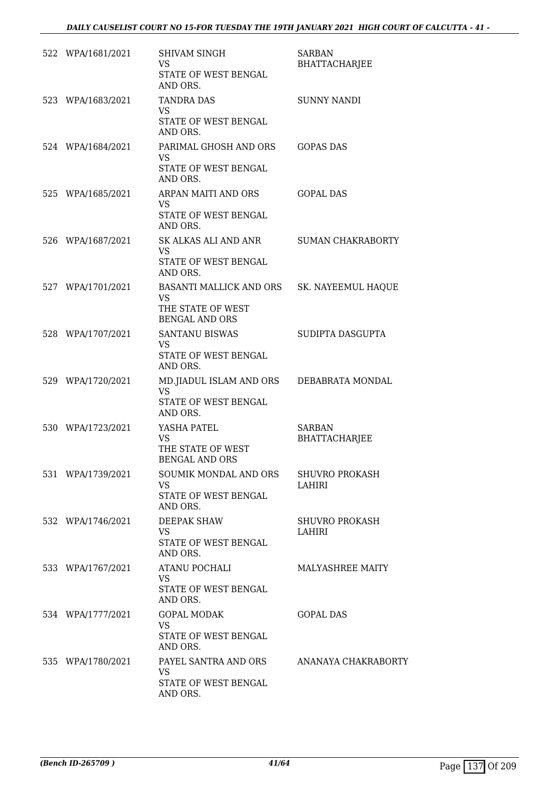| 522 WPA/1681/2021 | SHIVAM SINGH<br>VS.<br>STATE OF WEST BENGAL<br>AND ORS.                                               | SARBAN<br><b>BHATTACHARJEE</b>        |
|-------------------|-------------------------------------------------------------------------------------------------------|---------------------------------------|
| 523 WPA/1683/2021 | <b>TANDRA DAS</b><br>VS.<br>STATE OF WEST BENGAL<br>AND ORS.                                          | <b>SUNNY NANDI</b>                    |
| 524 WPA/1684/2021 | PARIMAL GHOSH AND ORS<br><b>VS</b><br>STATE OF WEST BENGAL<br>AND ORS.                                | <b>GOPAS DAS</b>                      |
| 525 WPA/1685/2021 | ARPAN MAITI AND ORS<br><b>VS</b><br>STATE OF WEST BENGAL<br>AND ORS.                                  | <b>GOPAL DAS</b>                      |
| 526 WPA/1687/2021 | SK ALKAS ALI AND ANR<br><b>VS</b><br>STATE OF WEST BENGAL<br>AND ORS.                                 | <b>SUMAN CHAKRABORTY</b>              |
| 527 WPA/1701/2021 | BASANTI MALLICK AND ORS SK. NAYEEMUL HAQUE<br><b>VS</b><br>THE STATE OF WEST<br><b>BENGAL AND ORS</b> |                                       |
| 528 WPA/1707/2021 | SANTANU BISWAS<br>VS.<br>STATE OF WEST BENGAL<br>AND ORS.                                             | SUDIPTA DASGUPTA                      |
| 529 WPA/1720/2021 | MD.JIADUL ISLAM AND ORS DEBABRATA MONDAL<br><b>VS</b><br>STATE OF WEST BENGAL<br>AND ORS.             |                                       |
| 530 WPA/1723/2021 | YASHA PATEL<br><b>VS</b><br>THE STATE OF WEST<br><b>BENGAL AND ORS</b>                                | <b>SARBAN</b><br><b>BHATTACHARJEE</b> |
| 531 WPA/1739/2021 | SOUMIK MONDAL AND ORS<br><b>VS</b><br>STATE OF WEST BENGAL<br>AND ORS.                                | <b>SHUVRO PROKASH</b><br>LAHIRI       |
| 532 WPA/1746/2021 | <b>DEEPAK SHAW</b><br>VS<br>STATE OF WEST BENGAL<br>AND ORS.                                          | <b>SHUVRO PROKASH</b><br>LAHIRI       |
| 533 WPA/1767/2021 | ATANU POCHALI<br>VS.<br>STATE OF WEST BENGAL<br>AND ORS.                                              | <b>MALYASHREE MAITY</b>               |
| 534 WPA/1777/2021 | <b>GOPAL MODAK</b><br><b>VS</b><br>STATE OF WEST BENGAL<br>AND ORS.                                   | <b>GOPAL DAS</b>                      |
| 535 WPA/1780/2021 | PAYEL SANTRA AND ORS<br>VS.<br>STATE OF WEST BENGAL<br>AND ORS.                                       | ANANAYA CHAKRABORTY                   |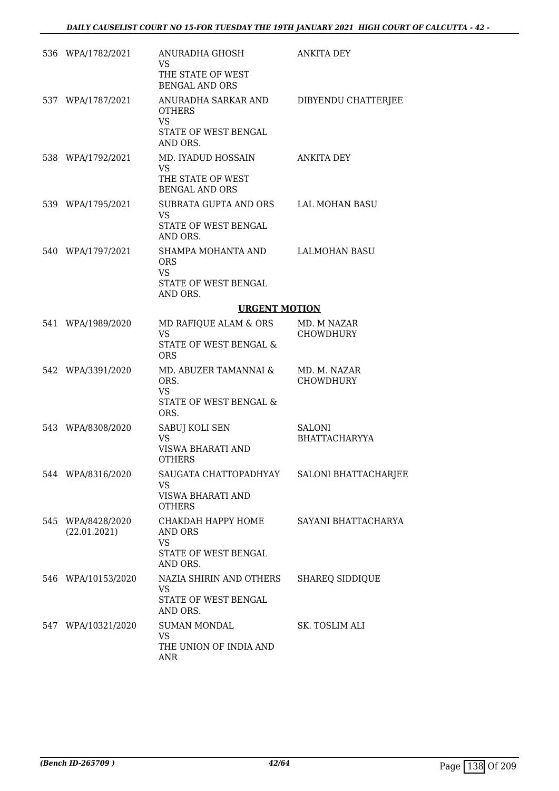| 536 WPA/1782/2021                 | ANURADHA GHOSH<br>VS<br>THE STATE OF WEST<br><b>BENGAL AND ORS</b>                    | <b>ANKITA DEY</b>                |
|-----------------------------------|---------------------------------------------------------------------------------------|----------------------------------|
| 537 WPA/1787/2021                 | ANURADHA SARKAR AND<br><b>OTHERS</b><br><b>VS</b><br>STATE OF WEST BENGAL<br>AND ORS. | DIBYENDU CHATTERJEE              |
| 538 WPA/1792/2021                 | MD. IYADUD HOSSAIN<br><b>VS</b><br>THE STATE OF WEST<br><b>BENGAL AND ORS</b>         | <b>ANKITA DEY</b>                |
| 539 WPA/1795/2021                 | SUBRATA GUPTA AND ORS<br><b>VS</b><br>STATE OF WEST BENGAL<br>AND ORS.                | LAL MOHAN BASU                   |
| 540 WPA/1797/2021                 | SHAMPA MOHANTA AND<br><b>ORS</b><br><b>VS</b><br>STATE OF WEST BENGAL<br>AND ORS.     | LALMOHAN BASU                    |
|                                   | <b>URGENT MOTION</b>                                                                  |                                  |
| 541 WPA/1989/2020                 | MD RAFIQUE ALAM & ORS                                                                 | MD. M NAZAR                      |
|                                   | <b>VS</b><br>STATE OF WEST BENGAL &<br><b>ORS</b>                                     | <b>CHOWDHURY</b>                 |
| 542 WPA/3391/2020                 | MD. ABUZER TAMANNAI &<br>ORS.<br><b>VS</b><br>STATE OF WEST BENGAL &<br>ORS.          | MD. M. NAZAR<br><b>CHOWDHURY</b> |
| 543 WPA/8308/2020                 | SABUJ KOLI SEN<br><b>VS</b><br>VISWA BHARATI AND<br><b>OTHERS</b>                     | SALONI<br><b>BHATTACHARYYA</b>   |
| 544 WPA/8316/2020                 | SAUGATA CHATTOPADHYAY<br><b>VS</b><br>VISWA BHARATI AND<br><b>OTHERS</b>              | SALONI BHATTACHARJEE             |
| 545 WPA/8428/2020<br>(22.01.2021) | СНАКДАН НАРРҮ НОМЕ<br>AND ORS<br><b>VS</b><br>STATE OF WEST BENGAL<br>AND ORS.        | SAYANI BHATTACHARYA              |
| 546 WPA/10153/2020                | NAZIA SHIRIN AND OTHERS<br>VS.<br>STATE OF WEST BENGAL<br>AND ORS.                    | SHAREQ SIDDIQUE                  |
| 547 WPA/10321/2020                | <b>SUMAN MONDAL</b><br><b>VS</b><br>THE UNION OF INDIA AND<br>ANR                     | SK. TOSLIM ALI                   |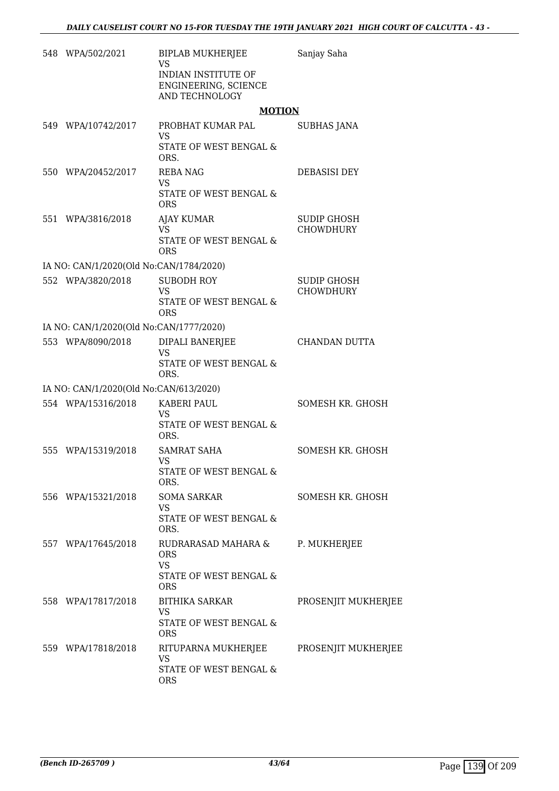| 548 WPA/502/2021                        | BIPLAB MUKHERJEE<br><b>VS</b><br>INDIAN INSTITUTE OF<br>ENGINEERING, SCIENCE<br>AND TECHNOLOGY | Sanjay Saha                            |
|-----------------------------------------|------------------------------------------------------------------------------------------------|----------------------------------------|
|                                         | <b>MOTION</b>                                                                                  |                                        |
| 549 WPA/10742/2017                      | PROBHAT KUMAR PAL<br>VS.<br>STATE OF WEST BENGAL &<br>ORS.                                     | SUBHAS JANA                            |
| 550 WPA/20452/2017                      | <b>REBA NAG</b><br><b>VS</b><br>STATE OF WEST BENGAL &<br><b>ORS</b>                           | DEBASISI DEY                           |
| 551 WPA/3816/2018                       | <b>AJAY KUMAR</b><br>VS.<br>STATE OF WEST BENGAL &<br><b>ORS</b>                               | <b>SUDIP GHOSH</b><br><b>CHOWDHURY</b> |
| IA NO: CAN/1/2020(Old No:CAN/1784/2020) |                                                                                                |                                        |
| 552 WPA/3820/2018                       | <b>SUBODH ROY</b><br><b>VS</b><br>STATE OF WEST BENGAL &<br><b>ORS</b>                         | SUDIP GHOSH<br><b>CHOWDHURY</b>        |
| IA NO: CAN/1/2020(Old No:CAN/1777/2020) |                                                                                                |                                        |
| 553 WPA/8090/2018                       | DIPALI BANERJEE<br><b>VS</b><br>STATE OF WEST BENGAL &<br>ORS.                                 | CHANDAN DUTTA                          |
| IA NO: CAN/1/2020(Old No:CAN/613/2020)  |                                                                                                |                                        |
| 554 WPA/15316/2018                      | KABERI PAUL<br><b>VS</b><br>STATE OF WEST BENGAL &<br>ORS.                                     | SOMESH KR. GHOSH                       |
| 555 WPA/15319/2018                      | <b>SAMRAT SAHA</b><br>VS<br>STATE OF WEST BENGAL &<br>ORS.                                     | SOMESH KR. GHOSH                       |
| 556 WPA/15321/2018                      | <b>SOMA SARKAR</b><br><b>VS</b><br>STATE OF WEST BENGAL &<br>ORS.                              | SOMESH KR. GHOSH                       |
| 557 WPA/17645/2018                      | RUDRARASAD MAHARA &<br><b>ORS</b><br><b>VS</b><br>STATE OF WEST BENGAL &<br><b>ORS</b>         | P. MUKHERJEE                           |
| 558 WPA/17817/2018                      | <b>BITHIKA SARKAR</b><br><b>VS</b><br>STATE OF WEST BENGAL &<br><b>ORS</b>                     | PROSENJIT MUKHERJEE                    |
| 559 WPA/17818/2018                      | RITUPARNA MUKHERJEE<br>VS<br>STATE OF WEST BENGAL &<br><b>ORS</b>                              | PROSENJIT MUKHERJEE                    |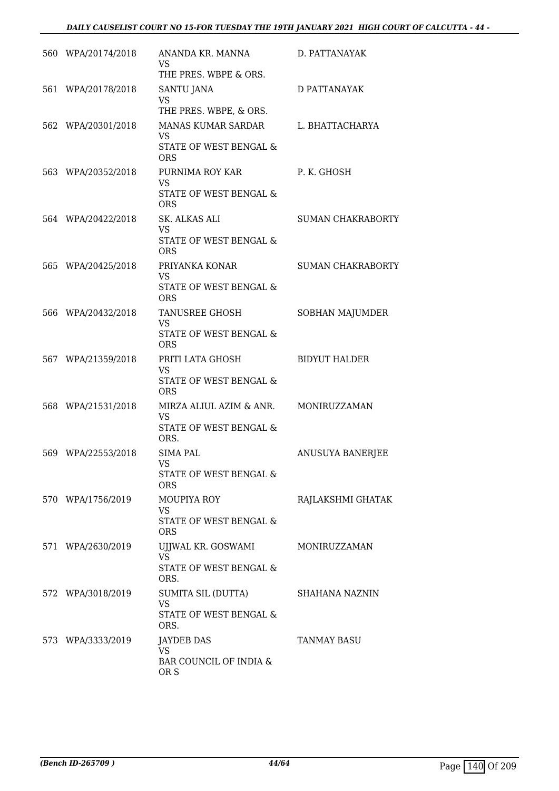## *DAILY CAUSELIST COURT NO 15-FOR TUESDAY THE 19TH JANUARY 2021 HIGH COURT OF CALCUTTA - 44 -*

| 560 WPA/20174/2018 | ANANDA KR. MANNA<br><b>VS</b><br>THE PRES. WBPE & ORS.                       | D. PATTANAYAK            |
|--------------------|------------------------------------------------------------------------------|--------------------------|
| 561 WPA/20178/2018 | SANTU JANA<br><b>VS</b><br>THE PRES. WBPE, & ORS.                            | <b>D PATTANAYAK</b>      |
| 562 WPA/20301/2018 | MANAS KUMAR SARDAR<br><b>VS</b><br>STATE OF WEST BENGAL &<br><b>ORS</b>      | L. BHATTACHARYA          |
| 563 WPA/20352/2018 | PURNIMA ROY KAR<br><b>VS</b><br>STATE OF WEST BENGAL &<br><b>ORS</b>         | P. K. GHOSH              |
| 564 WPA/20422/2018 | SK. ALKAS ALI<br><b>VS</b><br>STATE OF WEST BENGAL &<br><b>ORS</b>           | <b>SUMAN CHAKRABORTY</b> |
| 565 WPA/20425/2018 | PRIYANKA KONAR<br><b>VS</b><br>STATE OF WEST BENGAL &<br><b>ORS</b>          | <b>SUMAN CHAKRABORTY</b> |
| 566 WPA/20432/2018 | TANUSREE GHOSH<br><b>VS</b><br>STATE OF WEST BENGAL &<br><b>ORS</b>          | SOBHAN MAJUMDER          |
| 567 WPA/21359/2018 | PRITI LATA GHOSH<br><b>VS</b><br>STATE OF WEST BENGAL &<br><b>ORS</b>        | <b>BIDYUT HALDER</b>     |
| 568 WPA/21531/2018 | MIRZA ALIUL AZIM & ANR.<br><b>VS</b><br>STATE OF WEST BENGAL &<br>ORS.       | MONIRUZZAMAN             |
| 569 WPA/22553/2018 | <b>SIMA PAL</b><br>VS.<br>STATE OF WEST BENGAL &<br><b>ORS</b>               | ANUSUYA BANERJEE         |
| 570 WPA/1756/2019  | <b>MOUPIYA ROY</b><br>VS<br>STATE OF WEST BENGAL &<br><b>ORS</b>             | RAJLAKSHMI GHATAK        |
| 571 WPA/2630/2019  | UJJWAL KR. GOSWAMI<br><b>VS</b><br><b>STATE OF WEST BENGAL &amp;</b><br>ORS. | MONIRUZZAMAN             |
| 572 WPA/3018/2019  | SUMITA SIL (DUTTA)<br><b>VS</b><br>STATE OF WEST BENGAL &<br>ORS.            | SHAHANA NAZNIN           |
| 573 WPA/3333/2019  | <b>JAYDEB DAS</b><br><b>VS</b><br>BAR COUNCIL OF INDIA &<br>OR S             | <b>TANMAY BASU</b>       |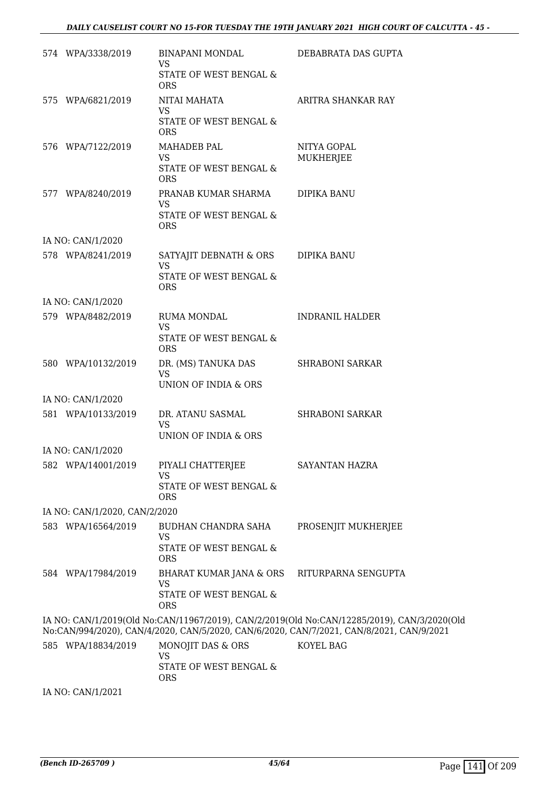| 574 WPA/3338/2019             | BINAPANI MONDAL<br>VS                                 | DEBABRATA DAS GUPTA                                                                                                                                                                     |
|-------------------------------|-------------------------------------------------------|-----------------------------------------------------------------------------------------------------------------------------------------------------------------------------------------|
|                               | STATE OF WEST BENGAL &<br><b>ORS</b>                  |                                                                                                                                                                                         |
| 575 WPA/6821/2019             | NITAI MAHATA<br>VS                                    | ARITRA SHANKAR RAY                                                                                                                                                                      |
|                               | STATE OF WEST BENGAL &<br><b>ORS</b>                  |                                                                                                                                                                                         |
| 576 WPA/7122/2019             | MAHADEB PAL<br><b>VS</b>                              | NITYA GOPAL<br><b>MUKHERJEE</b>                                                                                                                                                         |
|                               | STATE OF WEST BENGAL &<br><b>ORS</b>                  |                                                                                                                                                                                         |
| 577 WPA/8240/2019             | PRANAB KUMAR SHARMA<br><b>VS</b>                      | DIPIKA BANU                                                                                                                                                                             |
|                               | STATE OF WEST BENGAL &<br><b>ORS</b>                  |                                                                                                                                                                                         |
| IA NO: CAN/1/2020             |                                                       |                                                                                                                                                                                         |
| 578 WPA/8241/2019             | SATYAJIT DEBNATH & ORS<br><b>VS</b>                   | DIPIKA BANU                                                                                                                                                                             |
|                               | STATE OF WEST BENGAL &<br><b>ORS</b>                  |                                                                                                                                                                                         |
| IA NO: CAN/1/2020             |                                                       |                                                                                                                                                                                         |
| 579 WPA/8482/2019             | RUMA MONDAL<br><b>VS</b>                              | <b>INDRANIL HALDER</b>                                                                                                                                                                  |
|                               | STATE OF WEST BENGAL &<br><b>ORS</b>                  |                                                                                                                                                                                         |
| 580 WPA/10132/2019            | DR. (MS) TANUKA DAS<br><b>VS</b>                      | <b>SHRABONI SARKAR</b>                                                                                                                                                                  |
|                               | UNION OF INDIA & ORS                                  |                                                                                                                                                                                         |
| IA NO: CAN/1/2020             |                                                       |                                                                                                                                                                                         |
| 581 WPA/10133/2019            | DR. ATANU SASMAL<br><b>VS</b><br>UNION OF INDIA & ORS | <b>SHRABONI SARKAR</b>                                                                                                                                                                  |
| IA NO: CAN/1/2020             |                                                       |                                                                                                                                                                                         |
| 582 WPA/14001/2019            | PIYALI CHATTERJEE<br>VS                               | SAYANTAN HAZRA                                                                                                                                                                          |
|                               | STATE OF WEST BENGAL &<br><b>ORS</b>                  |                                                                                                                                                                                         |
| IA NO: CAN/1/2020, CAN/2/2020 |                                                       |                                                                                                                                                                                         |
| 583 WPA/16564/2019            | BUDHAN CHANDRA SAHA<br><b>VS</b>                      | PROSENJIT MUKHERJEE                                                                                                                                                                     |
|                               | STATE OF WEST BENGAL &<br><b>ORS</b>                  |                                                                                                                                                                                         |
| 584 WPA/17984/2019            | BHARAT KUMAR JANA & ORS<br><b>VS</b>                  | RITURPARNA SENGUPTA                                                                                                                                                                     |
|                               | STATE OF WEST BENGAL &<br><b>ORS</b>                  |                                                                                                                                                                                         |
|                               |                                                       | IA NO: CAN/1/2019(Old No:CAN/11967/2019), CAN/2/2019(Old No:CAN/12285/2019), CAN/3/2020(Old<br>No:CAN/994/2020), CAN/4/2020, CAN/5/2020, CAN/6/2020, CAN/7/2021, CAN/8/2021, CAN/9/2021 |
| 585 WPA/18834/2019            | MONOJIT DAS & ORS<br><b>VS</b>                        | KOYEL BAG                                                                                                                                                                               |
|                               | STATE OF WEST BENGAL &<br><b>ORS</b>                  |                                                                                                                                                                                         |

IA NO: CAN/1/2021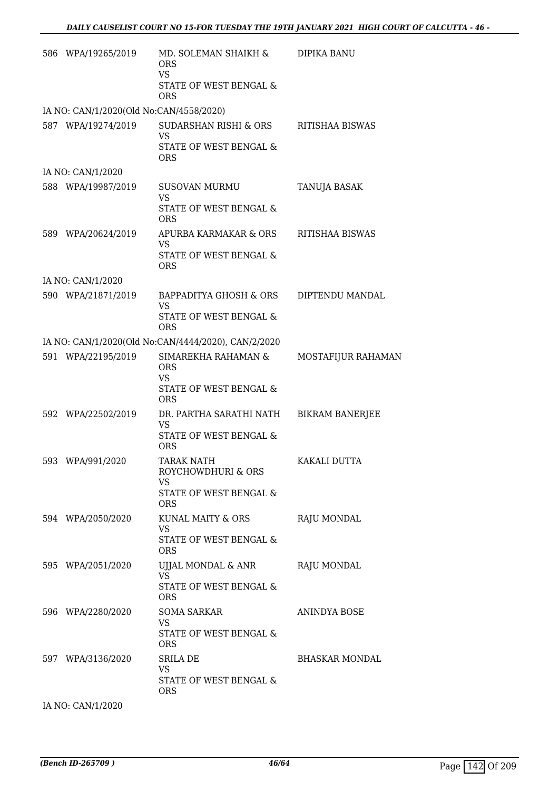| 586 WPA/19265/2019                      | MD. SOLEMAN SHAIKH &<br><b>ORS</b><br><b>VS</b><br>STATE OF WEST BENGAL &       | <b>DIPIKA BANU</b>     |
|-----------------------------------------|---------------------------------------------------------------------------------|------------------------|
| IA NO: CAN/1/2020(Old No:CAN/4558/2020) | <b>ORS</b>                                                                      |                        |
| 587 WPA/19274/2019                      | SUDARSHAN RISHI & ORS                                                           | RITISHAA BISWAS        |
|                                         | VS<br>STATE OF WEST BENGAL &<br><b>ORS</b>                                      |                        |
| IA NO: CAN/1/2020                       |                                                                                 |                        |
| 588 WPA/19987/2019                      | <b>SUSOVAN MURMU</b><br>VS<br>STATE OF WEST BENGAL &<br><b>ORS</b>              | TANUJA BASAK           |
| 589 WPA/20624/2019                      | APURBA KARMAKAR & ORS<br><b>VS</b><br>STATE OF WEST BENGAL &<br><b>ORS</b>      | RITISHAA BISWAS        |
| IA NO: CAN/1/2020                       |                                                                                 |                        |
| 590 WPA/21871/2019                      | BAPPADITYA GHOSH & ORS<br>VS<br><b>STATE OF WEST BENGAL &amp;</b><br>ORS        | DIPTENDU MANDAL        |
|                                         | IA NO: CAN/1/2020(Old No:CAN/4444/2020), CAN/2/2020                             |                        |
| 591 WPA/22195/2019                      | SIMAREKHA RAHAMAN &<br><b>ORS</b><br>VS<br>STATE OF WEST BENGAL &<br><b>ORS</b> | MOSTAFIJUR RAHAMAN     |
| 592 WPA/22502/2019                      | DR. PARTHA SARATHI NATH<br><b>VS</b><br>STATE OF WEST BENGAL &<br><b>ORS</b>    | <b>BIKRAM BANERJEE</b> |
| 593 WPA/991/2020                        | TARAK NATH<br>ROYCHOWDHURI & ORS<br>VS<br>STATE OF WEST BENGAL &<br><b>ORS</b>  | KAKALI DUTTA           |
| 594 WPA/2050/2020                       | KUNAL MAITY & ORS<br>VS<br>STATE OF WEST BENGAL &<br>ORS                        | RAJU MONDAL            |
| 595 WPA/2051/2020                       | UJJAL MONDAL & ANR<br><b>VS</b><br>STATE OF WEST BENGAL &<br><b>ORS</b>         | RAJU MONDAL            |
| 596 WPA/2280/2020                       | <b>SOMA SARKAR</b><br><b>VS</b><br>STATE OF WEST BENGAL &<br><b>ORS</b>         | ANINDYA BOSE           |
| 597 WPA/3136/2020                       | SRILA DE<br><b>VS</b><br>STATE OF WEST BENGAL &<br><b>ORS</b>                   | <b>BHASKAR MONDAL</b>  |
| IA NO: CAN/1/2020                       |                                                                                 |                        |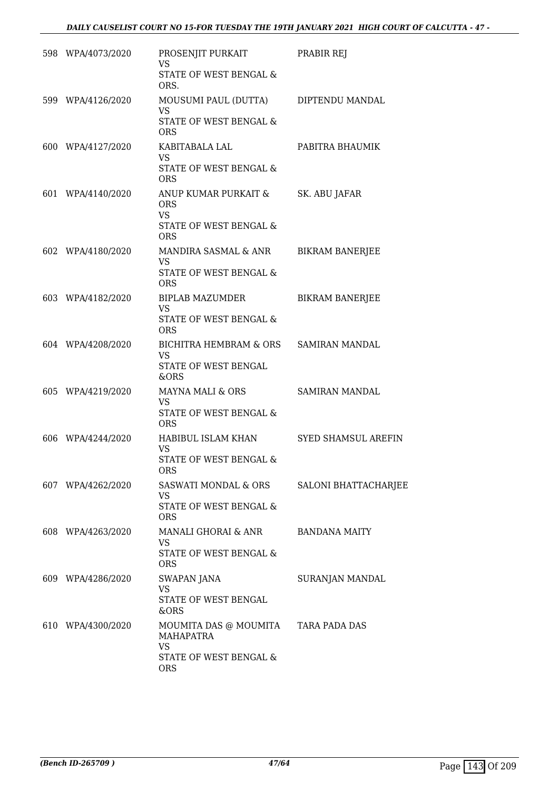| 598 WPA/4073/2020 | PROSENJIT PURKAIT<br>VS.<br>STATE OF WEST BENGAL &                                             | PRABIR REJ                 |
|-------------------|------------------------------------------------------------------------------------------------|----------------------------|
| 599 WPA/4126/2020 | ORS.<br>MOUSUMI PAUL (DUTTA)<br><b>VS</b><br>STATE OF WEST BENGAL &                            | DIPTENDU MANDAL            |
| 600 WPA/4127/2020 | <b>ORS</b><br>KABITABALA LAL<br><b>VS</b>                                                      | PABITRA BHAUMIK            |
|                   | STATE OF WEST BENGAL &<br><b>ORS</b>                                                           |                            |
| 601 WPA/4140/2020 | ANUP KUMAR PURKAIT &<br><b>ORS</b><br><b>VS</b><br>STATE OF WEST BENGAL &<br><b>ORS</b>        | SK. ABU JAFAR              |
| 602 WPA/4180/2020 | MANDIRA SASMAL & ANR<br><b>VS</b><br>STATE OF WEST BENGAL &<br><b>ORS</b>                      | <b>BIKRAM BANERJEE</b>     |
| 603 WPA/4182/2020 | BIPLAB MAZUMDER<br><b>VS</b><br>STATE OF WEST BENGAL &<br><b>ORS</b>                           | <b>BIKRAM BANERJEE</b>     |
| 604 WPA/4208/2020 | BICHITRA HEMBRAM & ORS<br>VS<br>STATE OF WEST BENGAL<br>&ORS                                   | <b>SAMIRAN MANDAL</b>      |
| 605 WPA/4219/2020 | MAYNA MALI & ORS<br><b>VS</b><br>STATE OF WEST BENGAL &<br><b>ORS</b>                          | <b>SAMIRAN MANDAL</b>      |
| 606 WPA/4244/2020 | HABIBUL ISLAM KHAN<br><b>VS</b><br>STATE OF WEST BENGAL &<br><b>ORS</b>                        | <b>SYED SHAMSUL AREFIN</b> |
| 607 WPA/4262/2020 | SASWATI MONDAL & ORS<br>VS.<br>STATE OF WEST BENGAL &<br><b>ORS</b>                            | SALONI BHATTACHARJEE       |
| 608 WPA/4263/2020 | MANALI GHORAI & ANR<br><b>VS</b><br>STATE OF WEST BENGAL &<br><b>ORS</b>                       | <b>BANDANA MAITY</b>       |
| 609 WPA/4286/2020 | <b>SWAPAN JANA</b><br><b>VS</b><br>STATE OF WEST BENGAL<br>&ORS                                | SURANJAN MANDAL            |
| 610 WPA/4300/2020 | MOUMITA DAS @ MOUMITA<br><b>MAHAPATRA</b><br><b>VS</b><br>STATE OF WEST BENGAL &<br><b>ORS</b> | TARA PADA DAS              |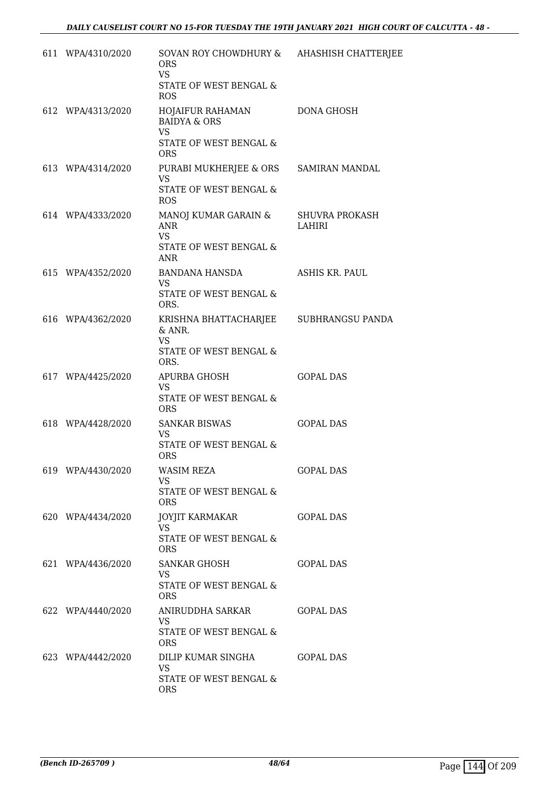| 611 WPA/4310/2020 | SOVAN ROY CHOWDHURY & AHASHISH CHATTERJEE<br><b>ORS</b><br><b>VS</b><br>STATE OF WEST BENGAL &<br><b>ROS</b> |                                 |
|-------------------|--------------------------------------------------------------------------------------------------------------|---------------------------------|
| 612 WPA/4313/2020 | HOJAIFUR RAHAMAN<br><b>BAIDYA &amp; ORS</b><br><b>VS</b><br>STATE OF WEST BENGAL &<br><b>ORS</b>             | DONA GHOSH                      |
| 613 WPA/4314/2020 | PURABI MUKHERJEE & ORS SAMIRAN MANDAL<br><b>VS</b><br>STATE OF WEST BENGAL &<br>ROS.                         |                                 |
| 614 WPA/4333/2020 | MANOJ KUMAR GARAIN &<br>ANR<br><b>VS</b><br>STATE OF WEST BENGAL &<br><b>ANR</b>                             | <b>SHUVRA PROKASH</b><br>LAHIRI |
| 615 WPA/4352/2020 | BANDANA HANSDA<br><b>VS</b><br>STATE OF WEST BENGAL &<br>ORS.                                                | ASHIS KR. PAUL                  |
| 616 WPA/4362/2020 | KRISHNA BHATTACHARJEE SUBHRANGSU PANDA<br>& ANR.<br><b>VS</b><br>STATE OF WEST BENGAL &<br>ORS.              |                                 |
| 617 WPA/4425/2020 | APURBA GHOSH<br><b>VS</b><br>STATE OF WEST BENGAL &<br><b>ORS</b>                                            | <b>GOPAL DAS</b>                |
| 618 WPA/4428/2020 | <b>SANKAR BISWAS</b><br><b>VS</b><br>STATE OF WEST BENGAL &<br><b>ORS</b>                                    | <b>GOPAL DAS</b>                |
| 619 WPA/4430/2020 | <b>WASIM REZA</b><br>VS<br>STATE OF WEST BENGAL &<br><b>ORS</b>                                              | <b>GOPAL DAS</b>                |
| 620 WPA/4434/2020 | JOYJIT KARMAKAR<br>VS.<br>STATE OF WEST BENGAL &<br><b>ORS</b>                                               | <b>GOPAL DAS</b>                |
| 621 WPA/4436/2020 | SANKAR GHOSH<br>VS.<br>STATE OF WEST BENGAL &<br>ORS.                                                        | <b>GOPAL DAS</b>                |
| 622 WPA/4440/2020 | ANIRUDDHA SARKAR<br>VS.<br>STATE OF WEST BENGAL &<br><b>ORS</b>                                              | <b>GOPAL DAS</b>                |
| 623 WPA/4442/2020 | DILIP KUMAR SINGHA<br><b>VS</b><br>STATE OF WEST BENGAL &<br>ORS                                             | GOPAL DAS                       |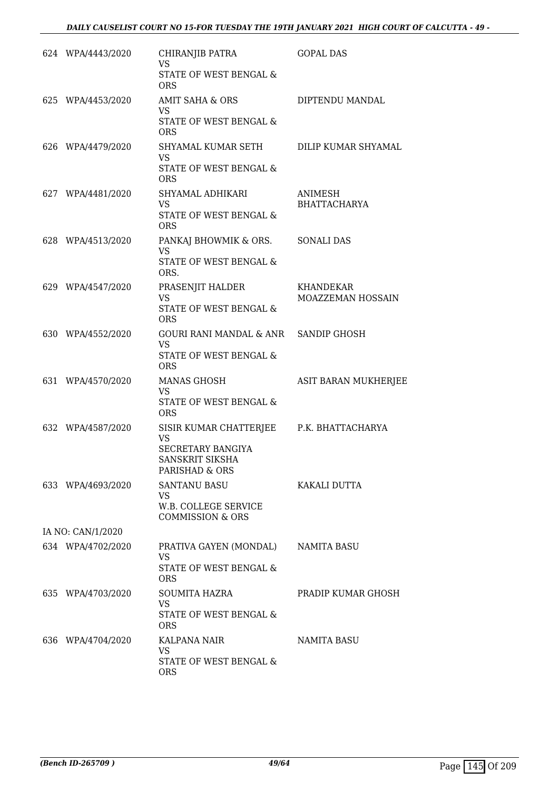| 624 WPA/4443/2020 | CHIRANJIB PATRA<br>VS.<br>STATE OF WEST BENGAL &<br><b>ORS</b>                                                         | <b>GOPAL DAS</b>               |
|-------------------|------------------------------------------------------------------------------------------------------------------------|--------------------------------|
| 625 WPA/4453/2020 | <b>AMIT SAHA &amp; ORS</b><br><b>VS</b><br>STATE OF WEST BENGAL &<br><b>ORS</b>                                        | DIPTENDU MANDAL                |
| 626 WPA/4479/2020 | SHYAMAL KUMAR SETH<br><b>VS</b><br>STATE OF WEST BENGAL &<br><b>ORS</b>                                                | DILIP KUMAR SHYAMAL            |
| 627 WPA/4481/2020 | SHYAMAL ADHIKARI<br>VS.<br>STATE OF WEST BENGAL &<br><b>ORS</b>                                                        | ANIMESH<br><b>BHATTACHARYA</b> |
| 628 WPA/4513/2020 | PANKAJ BHOWMIK & ORS. SONALI DAS<br><b>VS</b><br>STATE OF WEST BENGAL &<br>ORS.                                        |                                |
| 629 WPA/4547/2020 | PRASENJIT HALDER<br><b>VS</b><br>STATE OF WEST BENGAL &<br><b>ORS</b>                                                  | KHANDEKAR<br>MOAZZEMAN HOSSAIN |
| 630 WPA/4552/2020 | GOURI RANI MANDAL & ANR SANDIP GHOSH<br>VS.<br>STATE OF WEST BENGAL &<br><b>ORS</b>                                    |                                |
| 631 WPA/4570/2020 | MANAS GHOSH<br>VS<br>STATE OF WEST BENGAL &<br><b>ORS</b>                                                              | ASIT BARAN MUKHERJEE           |
| 632 WPA/4587/2020 | SISIR KUMAR CHATTERJEE P.K. BHATTACHARYA<br><b>VS</b><br><b>SECRETARY BANGIYA</b><br>SANSKRIT SIKSHA<br>PARISHAD & ORS |                                |
| 633 WPA/4693/2020 | <b>SANTANU BASU</b><br>VS<br>W.B. COLLEGE SERVICE<br><b>COMMISSION &amp; ORS</b>                                       | KAKALI DUTTA                   |
| IA NO: CAN/1/2020 |                                                                                                                        |                                |
| 634 WPA/4702/2020 | PRATIVA GAYEN (MONDAL)<br><b>VS</b><br>STATE OF WEST BENGAL &                                                          | NAMITA BASU                    |
| 635 WPA/4703/2020 | <b>ORS</b><br>SOUMITA HAZRA<br>VS.<br>STATE OF WEST BENGAL &<br><b>ORS</b>                                             | PRADIP KUMAR GHOSH             |
| 636 WPA/4704/2020 | KALPANA NAIR<br>VS<br>STATE OF WEST BENGAL &<br><b>ORS</b>                                                             | NAMITA BASU                    |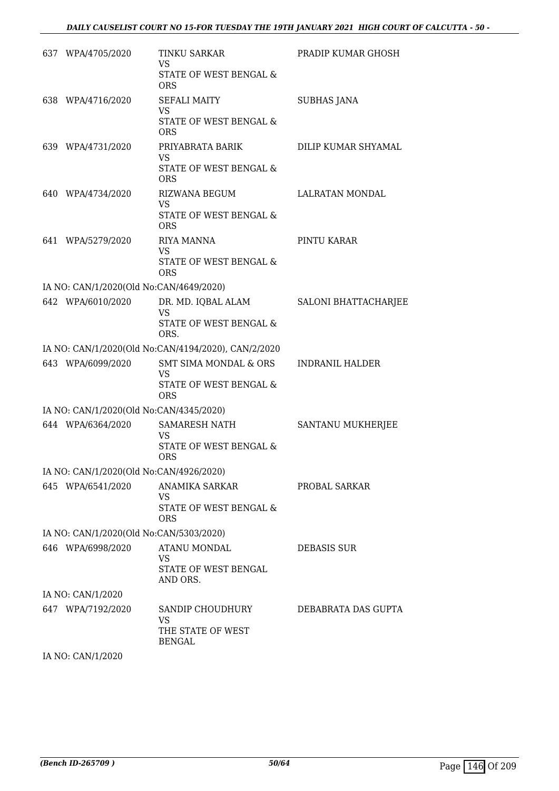| 637 WPA/4705/2020                       | TINKU SARKAR<br>VS                                            | PRADIP KUMAR GHOSH          |
|-----------------------------------------|---------------------------------------------------------------|-----------------------------|
|                                         | STATE OF WEST BENGAL &<br><b>ORS</b>                          |                             |
| 638 WPA/4716/2020                       | <b>SEFALI MAITY</b><br><b>VS</b>                              | <b>SUBHAS JANA</b>          |
|                                         | STATE OF WEST BENGAL &<br><b>ORS</b>                          |                             |
| 639 WPA/4731/2020                       | PRIYABRATA BARIK<br><b>VS</b>                                 | DILIP KUMAR SHYAMAL         |
|                                         | STATE OF WEST BENGAL &<br><b>ORS</b>                          |                             |
| 640 WPA/4734/2020                       | RIZWANA BEGUM<br><b>VS</b>                                    | LALRATAN MONDAL             |
|                                         | STATE OF WEST BENGAL &<br>ORS.                                |                             |
| 641 WPA/5279/2020                       | RIYA MANNA<br><b>VS</b>                                       | PINTU KARAR                 |
|                                         | <b>STATE OF WEST BENGAL &amp;</b><br><b>ORS</b>               |                             |
| IA NO: CAN/1/2020(Old No:CAN/4649/2020) |                                                               |                             |
| 642 WPA/6010/2020                       | DR. MD. IQBAL ALAM<br><b>VS</b>                               | <b>SALONI BHATTACHARJEE</b> |
|                                         | STATE OF WEST BENGAL &<br>ORS.                                |                             |
|                                         | IA NO: CAN/1/2020(Old No:CAN/4194/2020), CAN/2/2020           |                             |
| 643 WPA/6099/2020                       | SMT SIMA MONDAL & ORS<br><b>VS</b>                            | <b>INDRANIL HALDER</b>      |
|                                         | STATE OF WEST BENGAL &<br><b>ORS</b>                          |                             |
| IA NO: CAN/1/2020(Old No:CAN/4345/2020) |                                                               |                             |
| 644 WPA/6364/2020                       | SAMARESH NATH<br><b>VS</b>                                    | SANTANU MUKHERJEE           |
|                                         | STATE OF WEST BENGAL &<br><b>ORS</b>                          |                             |
| IA NO: CAN/1/2020(Old No:CAN/4926/2020) |                                                               |                             |
| 645 WPA/6541/2020                       | ANAMIKA SARKAR<br>VS                                          | PROBAL SARKAR               |
|                                         | STATE OF WEST BENGAL &<br><b>ORS</b>                          |                             |
| IA NO: CAN/1/2020(Old No:CAN/5303/2020) |                                                               |                             |
| 646 WPA/6998/2020                       | ATANU MONDAL<br><b>VS</b><br>STATE OF WEST BENGAL<br>AND ORS. | <b>DEBASIS SUR</b>          |
| IA NO: CAN/1/2020                       |                                                               |                             |
| 647 WPA/7192/2020                       | SANDIP CHOUDHURY                                              | DEBABRATA DAS GUPTA         |
|                                         | <b>VS</b><br>THE STATE OF WEST<br>BENGAL                      |                             |
|                                         |                                                               |                             |

IA NO: CAN/1/2020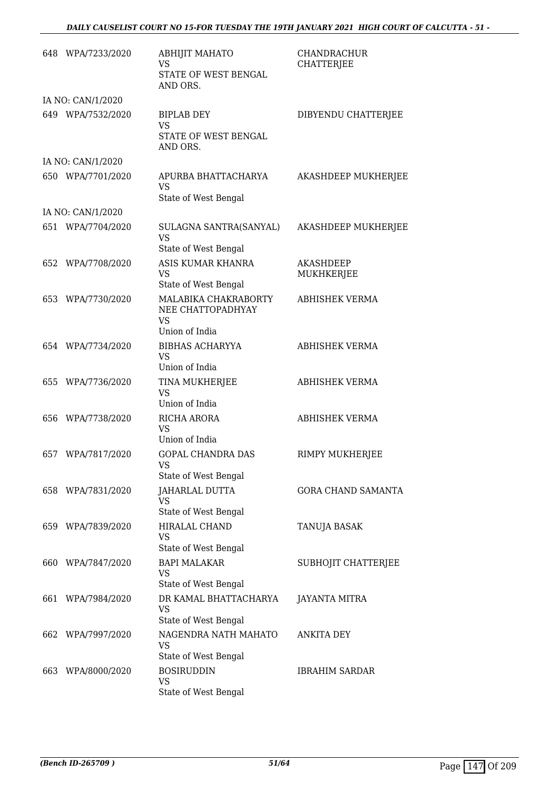#### *DAILY CAUSELIST COURT NO 15-FOR TUESDAY THE 19TH JANUARY 2021 HIGH COURT OF CALCUTTA - 51 -*

|     | 648 WPA/7233/2020 | <b>ABHIJIT MAHATO</b><br>VS<br>STATE OF WEST BENGAL<br>AND ORS.          | <b>CHANDRACHUR</b><br><b>CHATTERJEE</b> |
|-----|-------------------|--------------------------------------------------------------------------|-----------------------------------------|
|     | IA NO: CAN/1/2020 |                                                                          |                                         |
|     | 649 WPA/7532/2020 | <b>BIPLAB DEY</b><br><b>VS</b><br>STATE OF WEST BENGAL<br>AND ORS.       | DIBYENDU CHATTERJEE                     |
|     | IA NO: CAN/1/2020 |                                                                          |                                         |
|     | 650 WPA/7701/2020 | APURBA BHATTACHARYA<br><b>VS</b><br>State of West Bengal                 | AKASHDEEP MUKHERJEE                     |
|     | IA NO: CAN/1/2020 |                                                                          |                                         |
|     | 651 WPA/7704/2020 | SULAGNA SANTRA(SANYAL)<br><b>VS</b><br>State of West Bengal              | AKASHDEEP MUKHERJEE                     |
|     | 652 WPA/7708/2020 | ASIS KUMAR KHANRA<br><b>VS</b><br>State of West Bengal                   | <b>AKASHDEEP</b><br>MUKHKERJEE          |
|     | 653 WPA/7730/2020 | MALABIKA CHAKRABORTY<br>NEE CHATTOPADHYAY<br><b>VS</b><br>Union of India | <b>ABHISHEK VERMA</b>                   |
|     | 654 WPA/7734/2020 | <b>BIBHAS ACHARYYA</b><br><b>VS</b><br>Union of India                    | <b>ABHISHEK VERMA</b>                   |
|     | 655 WPA/7736/2020 | TINA MUKHERJEE<br><b>VS</b><br>Union of India                            | <b>ABHISHEK VERMA</b>                   |
|     | 656 WPA/7738/2020 | RICHA ARORA<br><b>VS</b><br>Union of India                               | <b>ABHISHEK VERMA</b>                   |
|     | 657 WPA/7817/2020 | <b>GOPAL CHANDRA DAS</b><br>VS.<br>State of West Bengal                  | <b>RIMPY MUKHERJEE</b>                  |
|     | 658 WPA/7831/2020 | <b>JAHARLAL DUTTA</b><br>VS<br>State of West Bengal                      | GORA CHAND SAMANTA                      |
| 659 | WPA/7839/2020     | <b>HIRALAL CHAND</b><br>VS<br>State of West Bengal                       | TANUJA BASAK                            |
| 660 | WPA/7847/2020     | <b>BAPI MALAKAR</b><br>VS<br>State of West Bengal                        | SUBHOJIT CHATTERJEE                     |
| 661 | WPA/7984/2020     | DR KAMAL BHATTACHARYA<br>VS<br>State of West Bengal                      | <b>JAYANTA MITRA</b>                    |
| 662 | WPA/7997/2020     | NAGENDRA NATH MAHATO<br>VS<br>State of West Bengal                       | ANKITA DEY                              |
| 663 | WPA/8000/2020     | <b>BOSIRUDDIN</b><br><b>VS</b><br>State of West Bengal                   | <b>IBRAHIM SARDAR</b>                   |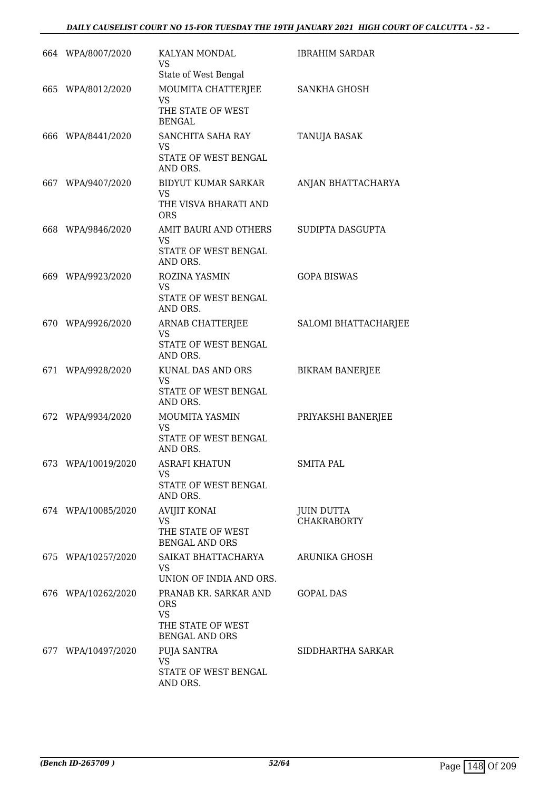#### *DAILY CAUSELIST COURT NO 15-FOR TUESDAY THE 19TH JANUARY 2021 HIGH COURT OF CALCUTTA - 52 -*

| 664 WPA/8007/2020  | KALYAN MONDAL<br>VS<br>State of West Bengal                                              | <b>IBRAHIM SARDAR</b>            |
|--------------------|------------------------------------------------------------------------------------------|----------------------------------|
| 665 WPA/8012/2020  | MOUMITA CHATTERJEE<br><b>VS</b><br>THE STATE OF WEST<br><b>BENGAL</b>                    | SANKHA GHOSH                     |
| 666 WPA/8441/2020  | SANCHITA SAHA RAY<br><b>VS</b><br>STATE OF WEST BENGAL<br>AND ORS.                       | TANUJA BASAK                     |
| 667 WPA/9407/2020  | BIDYUT KUMAR SARKAR<br><b>VS</b><br>THE VISVA BHARATI AND<br><b>ORS</b>                  | ANJAN BHATTACHARYA               |
| 668 WPA/9846/2020  | AMIT BAURI AND OTHERS<br>VS<br>STATE OF WEST BENGAL<br>AND ORS.                          | SUDIPTA DASGUPTA                 |
| 669 WPA/9923/2020  | ROZINA YASMIN<br><b>VS</b><br>STATE OF WEST BENGAL<br>AND ORS.                           | <b>GOPA BISWAS</b>               |
| 670 WPA/9926/2020  | ARNAB CHATTERJEE<br><b>VS</b><br>STATE OF WEST BENGAL<br>AND ORS.                        | SALOMI BHATTACHARJEE             |
| 671 WPA/9928/2020  | KUNAL DAS AND ORS<br><b>VS</b><br>STATE OF WEST BENGAL<br>AND ORS.                       | <b>BIKRAM BANERJEE</b>           |
| 672 WPA/9934/2020  | MOUMITA YASMIN<br><b>VS</b><br>STATE OF WEST BENGAL<br>AND ORS.                          | PRIYAKSHI BANERJEE               |
| 673 WPA/10019/2020 | ASRAFI KHATUN<br><b>VS</b><br>STATE OF WEST BENGAL<br>AND ORS.                           | <b>SMITA PAL</b>                 |
| 674 WPA/10085/2020 | <b>AVIJIT KONAI</b><br>VS.<br>THE STATE OF WEST<br><b>BENGAL AND ORS</b>                 | JUIN DUTTA<br><b>CHAKRABORTY</b> |
| 675 WPA/10257/2020 | SAIKAT BHATTACHARYA<br>VS<br>UNION OF INDIA AND ORS.                                     | ARUNIKA GHOSH                    |
| 676 WPA/10262/2020 | PRANAB KR. SARKAR AND<br><b>ORS</b><br>VS.<br>THE STATE OF WEST<br><b>BENGAL AND ORS</b> | GOPAL DAS                        |
| 677 WPA/10497/2020 | PUJA SANTRA<br><b>VS</b><br>STATE OF WEST BENGAL<br>AND ORS.                             | SIDDHARTHA SARKAR                |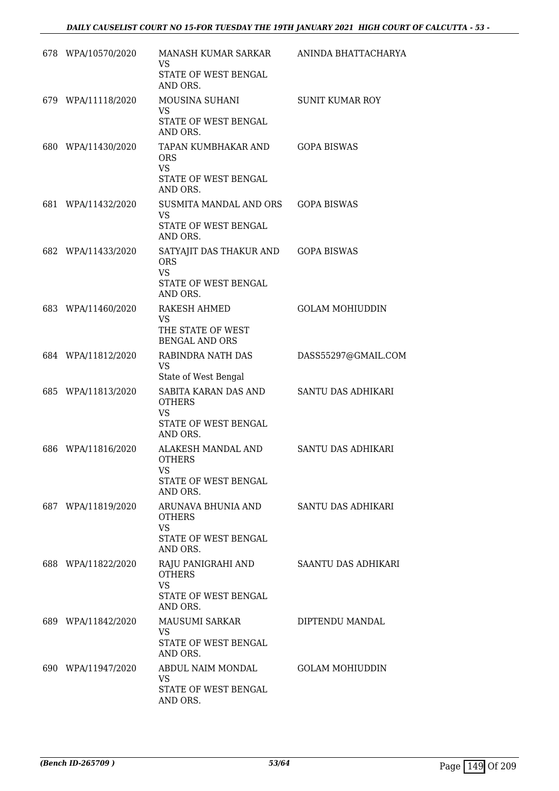| 678 WPA/10570/2020 | MANASH KUMAR SARKAR<br>VS.<br>STATE OF WEST BENGAL<br>AND ORS.                                 | ANINDA BHATTACHARYA    |
|--------------------|------------------------------------------------------------------------------------------------|------------------------|
| 679 WPA/11118/2020 | MOUSINA SUHANI<br>VS.<br>STATE OF WEST BENGAL                                                  | <b>SUNIT KUMAR ROY</b> |
| 680 WPA/11430/2020 | AND ORS.<br>TAPAN KUMBHAKAR AND<br><b>ORS</b><br><b>VS</b><br>STATE OF WEST BENGAL<br>AND ORS. | <b>GOPA BISWAS</b>     |
| 681 WPA/11432/2020 | SUSMITA MANDAL AND ORS<br><b>VS</b><br>STATE OF WEST BENGAL<br>AND ORS.                        | <b>GOPA BISWAS</b>     |
| 682 WPA/11433/2020 | SATYAJIT DAS THAKUR AND<br><b>ORS</b><br><b>VS</b><br>STATE OF WEST BENGAL<br>AND ORS.         | <b>GOPA BISWAS</b>     |
| 683 WPA/11460/2020 | RAKESH AHMED<br>VS.<br>THE STATE OF WEST<br><b>BENGAL AND ORS</b>                              | <b>GOLAM MOHIUDDIN</b> |
| 684 WPA/11812/2020 | RABINDRA NATH DAS<br><b>VS</b><br>State of West Bengal                                         | DASS55297@GMAIL.COM    |
| 685 WPA/11813/2020 | SABITA KARAN DAS AND<br><b>OTHERS</b><br><b>VS</b><br>STATE OF WEST BENGAL<br>AND ORS.         | SANTU DAS ADHIKARI     |
| 686 WPA/11816/2020 | ALAKESH MANDAL AND<br><b>OTHERS</b><br>VS<br><b>STATE OF WEST BENGAL</b><br>AND ORS.           | SANTU DAS ADHIKARI     |
| 687 WPA/11819/2020 | ARUNAVA BHUNIA AND<br><b>OTHERS</b><br><b>VS</b><br>STATE OF WEST BENGAL<br>AND ORS.           | SANTU DAS ADHIKARI     |
| 688 WPA/11822/2020 | RAJU PANIGRAHI AND<br><b>OTHERS</b><br><b>VS</b><br>STATE OF WEST BENGAL<br>AND ORS.           | SAANTU DAS ADHIKARI    |
| 689 WPA/11842/2020 | MAUSUMI SARKAR<br>VS<br>STATE OF WEST BENGAL<br>AND ORS.                                       | DIPTENDU MANDAL        |
| 690 WPA/11947/2020 | ABDUL NAIM MONDAL<br><b>VS</b><br>STATE OF WEST BENGAL<br>AND ORS.                             | <b>GOLAM MOHIUDDIN</b> |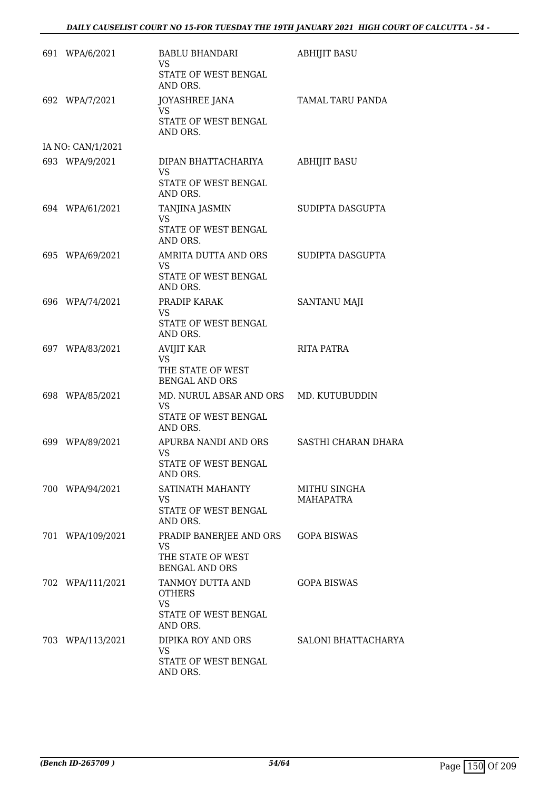| 691 WPA/6/2021    | <b>BABLU BHANDARI</b><br><b>VS</b>                                                      | <b>ABHIJIT BASU</b>        |
|-------------------|-----------------------------------------------------------------------------------------|----------------------------|
|                   | STATE OF WEST BENGAL<br>AND ORS.                                                        |                            |
| 692 WPA/7/2021    | <b>JOYASHREE JANA</b><br>VS                                                             | TAMAL TARU PANDA           |
|                   | STATE OF WEST BENGAL<br>AND ORS.                                                        |                            |
| IA NO: CAN/1/2021 |                                                                                         |                            |
| 693 WPA/9/2021    | DIPAN BHATTACHARIYA<br><b>VS</b>                                                        | <b>ABHIJIT BASU</b>        |
|                   | STATE OF WEST BENGAL<br>AND ORS.                                                        |                            |
| 694 WPA/61/2021   | TANJINA JASMIN<br><b>VS</b>                                                             | SUDIPTA DASGUPTA           |
|                   | STATE OF WEST BENGAL<br>AND ORS.                                                        |                            |
| 695 WPA/69/2021   | AMRITA DUTTA AND ORS<br>VS.                                                             | SUDIPTA DASGUPTA           |
|                   | STATE OF WEST BENGAL<br>AND ORS.                                                        |                            |
| 696 WPA/74/2021   | PRADIP KARAK<br><b>VS</b><br>STATE OF WEST BENGAL<br>AND ORS.                           | <b>SANTANU MAJI</b>        |
| 697 WPA/83/2021   | <b>AVIJIT KAR</b>                                                                       | <b>RITA PATRA</b>          |
|                   | <b>VS</b><br>THE STATE OF WEST<br><b>BENGAL AND ORS</b>                                 |                            |
| 698 WPA/85/2021   | MD. NURUL ABSAR AND ORS MD. KUTUBUDDIN<br><b>VS</b><br>STATE OF WEST BENGAL<br>AND ORS. |                            |
| 699 WPA/89/2021   | APURBA NANDI AND ORS<br>VS.                                                             | <b>SASTHI CHARAN DHARA</b> |
|                   | STATE OF WEST BENGAL<br>AND ORS.                                                        |                            |
| 700 WPA/94/2021   | SATINATH MAHANTY<br>VS                                                                  | MITHU SINGHA<br>MAHAPATRA  |
|                   | STATE OF WEST BENGAL<br>AND ORS.                                                        |                            |
| 701 WPA/109/2021  | PRADIP BANERJEE AND ORS<br><b>VS</b><br>THE STATE OF WEST<br><b>BENGAL AND ORS</b>      | <b>GOPA BISWAS</b>         |
| 702 WPA/111/2021  | TANMOY DUTTA AND<br><b>OTHERS</b><br>VS.<br>STATE OF WEST BENGAL                        | <b>GOPA BISWAS</b>         |
| 703 WPA/113/2021  | AND ORS.<br>DIPIKA ROY AND ORS                                                          | SALONI BHATTACHARYA        |
|                   | <b>VS</b>                                                                               |                            |
|                   | STATE OF WEST BENGAL<br>AND ORS.                                                        |                            |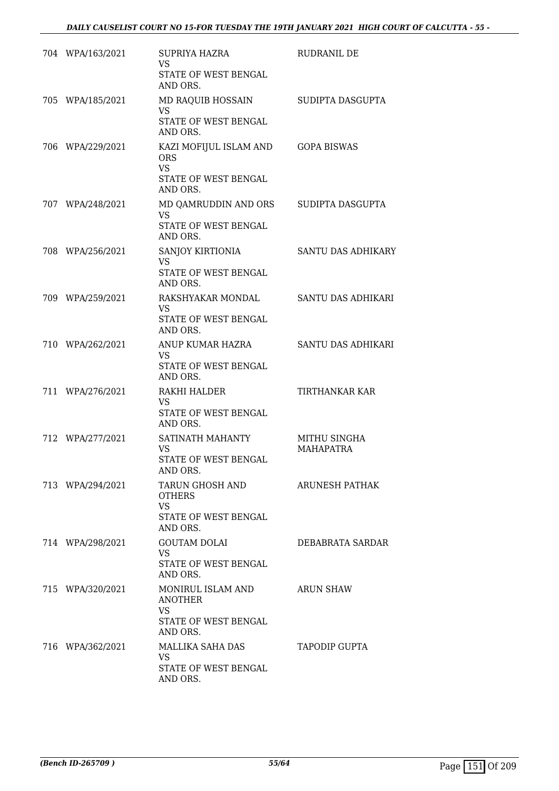|     | 704 WPA/163/2021 | SUPRIYA HAZRA<br><b>VS</b><br>STATE OF WEST BENGAL<br>AND ORS.                        | RUDRANIL DE                      |
|-----|------------------|---------------------------------------------------------------------------------------|----------------------------------|
|     | 705 WPA/185/2021 | MD RAQUIB HOSSAIN<br><b>VS</b><br>STATE OF WEST BENGAL<br>AND ORS.                    | SUDIPTA DASGUPTA                 |
|     | 706 WPA/229/2021 | KAZI MOFIJUL ISLAM AND<br><b>ORS</b><br><b>VS</b><br>STATE OF WEST BENGAL<br>AND ORS. | <b>GOPA BISWAS</b>               |
|     | 707 WPA/248/2021 | MD QAMRUDDIN AND ORS<br><b>VS</b><br>STATE OF WEST BENGAL<br>AND ORS.                 | SUDIPTA DASGUPTA                 |
|     | 708 WPA/256/2021 | SANJOY KIRTIONIA<br><b>VS</b><br>STATE OF WEST BENGAL<br>AND ORS.                     | SANTU DAS ADHIKARY               |
|     | 709 WPA/259/2021 | RAKSHYAKAR MONDAL<br>VS.<br>STATE OF WEST BENGAL<br>AND ORS.                          | SANTU DAS ADHIKARI               |
|     | 710 WPA/262/2021 | ANUP KUMAR HAZRA<br><b>VS</b><br>STATE OF WEST BENGAL<br>AND ORS.                     | SANTU DAS ADHIKARI               |
| 711 | WPA/276/2021     | RAKHI HALDER<br><b>VS</b><br>STATE OF WEST BENGAL<br>AND ORS.                         | TIRTHANKAR KAR                   |
|     | 712 WPA/277/2021 | SATINATH MAHANTY<br><b>VS</b><br>STATE OF WEST BENGAL<br>AND ORS.                     | MITHU SINGHA<br><b>MAHAPATRA</b> |
|     | 713 WPA/294/2021 | TARUN GHOSH AND<br><b>OTHERS</b><br><b>VS</b><br>STATE OF WEST BENGAL<br>AND ORS.     | ARUNESH PATHAK                   |
|     | 714 WPA/298/2021 | <b>GOUTAM DOLAI</b><br>VS.<br>STATE OF WEST BENGAL<br>AND ORS.                        | DEBABRATA SARDAR                 |
|     | 715 WPA/320/2021 | MONIRUL ISLAM AND<br><b>ANOTHER</b><br>VS<br>STATE OF WEST BENGAL<br>AND ORS.         | <b>ARUN SHAW</b>                 |
|     | 716 WPA/362/2021 | MALLIKA SAHA DAS<br>VS<br>STATE OF WEST BENGAL<br>AND ORS.                            | <b>TAPODIP GUPTA</b>             |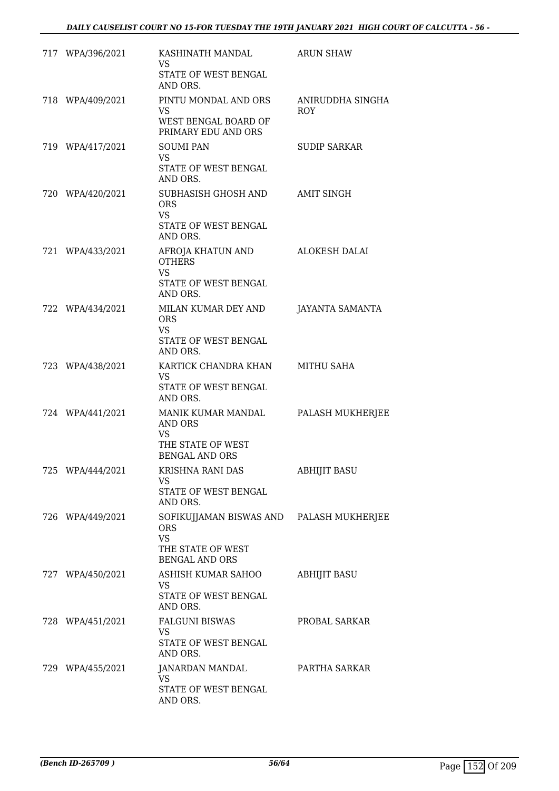| 717 WPA/396/2021 | KASHINATH MANDAL<br><b>VS</b><br>STATE OF WEST BENGAL<br>AND ORS.                                                 | <b>ARUN SHAW</b>               |
|------------------|-------------------------------------------------------------------------------------------------------------------|--------------------------------|
| 718 WPA/409/2021 | PINTU MONDAL AND ORS<br>VS.<br>WEST BENGAL BOARD OF<br>PRIMARY EDU AND ORS                                        | ANIRUDDHA SINGHA<br><b>ROY</b> |
| 719 WPA/417/2021 | <b>SOUMI PAN</b><br><b>VS</b><br>STATE OF WEST BENGAL<br>AND ORS.                                                 | <b>SUDIP SARKAR</b>            |
| 720 WPA/420/2021 | SUBHASISH GHOSH AND<br><b>ORS</b><br><b>VS</b><br>STATE OF WEST BENGAL<br>AND ORS.                                | <b>AMIT SINGH</b>              |
| 721 WPA/433/2021 | AFROJA KHATUN AND<br><b>OTHERS</b><br><b>VS</b><br>STATE OF WEST BENGAL<br>AND ORS.                               | ALOKESH DALAI                  |
| 722 WPA/434/2021 | MILAN KUMAR DEY AND<br><b>ORS</b><br><b>VS</b><br>STATE OF WEST BENGAL<br>AND ORS.                                | <b>JAYANTA SAMANTA</b>         |
| 723 WPA/438/2021 | KARTICK CHANDRA KHAN<br><b>VS</b><br>STATE OF WEST BENGAL<br>AND ORS.                                             | MITHU SAHA                     |
| 724 WPA/441/2021 | MANIK KUMAR MANDAL<br>AND ORS<br><b>VS</b><br>THE STATE OF WEST<br><b>BENGAL AND ORS</b>                          | PALASH MUKHERJEE               |
| 725 WPA/444/2021 | KRISHNA RANI DAS<br><b>VS</b><br>STATE OF WEST BENGAL<br>AND ORS.                                                 | <b>ABHIJIT BASU</b>            |
| 726 WPA/449/2021 | SOFIKUJJAMAN BISWAS AND PALASH MUKHERJEE<br><b>ORS</b><br><b>VS</b><br>THE STATE OF WEST<br><b>BENGAL AND ORS</b> |                                |
| 727 WPA/450/2021 | ASHISH KUMAR SAHOO<br><b>VS</b><br>STATE OF WEST BENGAL<br>AND ORS.                                               | <b>ABHIJIT BASU</b>            |
| 728 WPA/451/2021 | <b>FALGUNI BISWAS</b><br>VS.<br>STATE OF WEST BENGAL<br>AND ORS.                                                  | PROBAL SARKAR                  |
| 729 WPA/455/2021 | JANARDAN MANDAL<br><b>VS</b><br>STATE OF WEST BENGAL<br>AND ORS.                                                  | PARTHA SARKAR                  |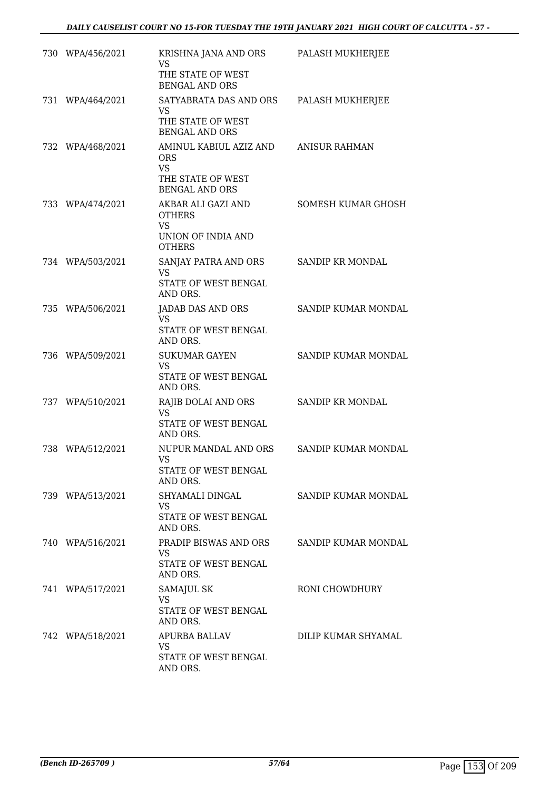| 730 WPA/456/2021 | KRISHNA JANA AND ORS<br><b>VS</b><br>THE STATE OF WEST<br><b>BENGAL AND ORS</b>                 | PALASH MUKHERJEE     |
|------------------|-------------------------------------------------------------------------------------------------|----------------------|
| 731 WPA/464/2021 | SATYABRATA DAS AND ORS<br>VS<br>THE STATE OF WEST<br><b>BENGAL AND ORS</b>                      | PALASH MUKHERJEE     |
| 732 WPA/468/2021 | AMINUL KABIUL AZIZ AND<br><b>ORS</b><br><b>VS</b><br>THE STATE OF WEST<br><b>BENGAL AND ORS</b> | <b>ANISUR RAHMAN</b> |
| 733 WPA/474/2021 | AKBAR ALI GAZI AND<br><b>OTHERS</b><br><b>VS</b><br>UNION OF INDIA AND                          | SOMESH KUMAR GHOSH   |
|                  | <b>OTHERS</b>                                                                                   |                      |
| 734 WPA/503/2021 | SANJAY PATRA AND ORS<br><b>VS</b><br>STATE OF WEST BENGAL<br>AND ORS.                           | SANDIP KR MONDAL     |
| 735 WPA/506/2021 | JADAB DAS AND ORS<br><b>VS</b><br>STATE OF WEST BENGAL<br>AND ORS.                              | SANDIP KUMAR MONDAL  |
| 736 WPA/509/2021 | <b>SUKUMAR GAYEN</b><br><b>VS</b><br>STATE OF WEST BENGAL<br>AND ORS.                           | SANDIP KUMAR MONDAL  |
| 737 WPA/510/2021 | RAJIB DOLAI AND ORS<br><b>VS</b><br>STATE OF WEST BENGAL<br>AND ORS.                            | SANDIP KR MONDAL     |
| 738 WPA/512/2021 | NUPUR MANDAL AND ORS<br><b>VS</b><br>STATE OF WEST BENGAL<br>AND ORS.                           | SANDIP KUMAR MONDAL  |
| 739 WPA/513/2021 | SHYAMALI DINGAL<br><b>VS</b><br>STATE OF WEST BENGAL<br>AND ORS.                                | SANDIP KUMAR MONDAL  |
| 740 WPA/516/2021 | PRADIP BISWAS AND ORS SANDIP KUMAR MONDAL<br>VS.<br>STATE OF WEST BENGAL<br>AND ORS.            |                      |
| 741 WPA/517/2021 | <b>SAMAJUL SK</b><br>VS<br>STATE OF WEST BENGAL<br>AND ORS.                                     | RONI CHOWDHURY       |
| 742 WPA/518/2021 | APURBA BALLAV<br>VS<br>STATE OF WEST BENGAL<br>AND ORS.                                         | DILIP KUMAR SHYAMAL  |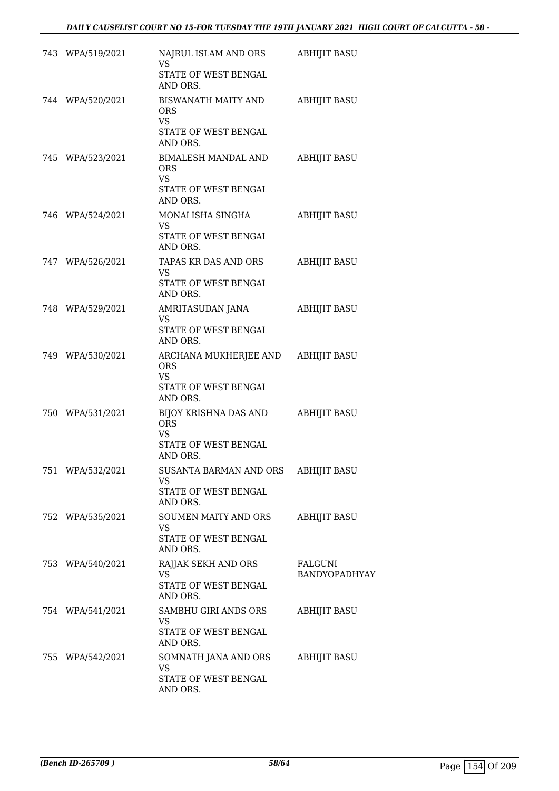| 743 WPA/519/2021 | NAJRUL ISLAM AND ORS<br>VS.                                                    | <b>ABHIJIT BASU</b>      |
|------------------|--------------------------------------------------------------------------------|--------------------------|
|                  | STATE OF WEST BENGAL<br>AND ORS.                                               |                          |
| 744 WPA/520/2021 | BISWANATH MAITY AND<br>ORS.<br>VS.                                             | <b>ABHIJIT BASU</b>      |
|                  | STATE OF WEST BENGAL<br>AND ORS.                                               |                          |
| 745 WPA/523/2021 | BIMALESH MANDAL AND<br><b>ORS</b><br><b>VS</b>                                 | <b>ABHIJIT BASU</b>      |
|                  | STATE OF WEST BENGAL<br>AND ORS.                                               |                          |
| 746 WPA/524/2021 | MONALISHA SINGHA<br>VS.                                                        | <b>ABHIJIT BASU</b>      |
|                  | STATE OF WEST BENGAL<br>AND ORS.                                               |                          |
| 747 WPA/526/2021 | TAPAS KR DAS AND ORS<br>VS.                                                    | <b>ABHIJIT BASU</b>      |
|                  | STATE OF WEST BENGAL<br>AND ORS.                                               |                          |
| 748 WPA/529/2021 | AMRITASUDAN JANA<br>VS<br>STATE OF WEST BENGAL<br>AND ORS.                     | <b>ABHIJIT BASU</b>      |
| 749 WPA/530/2021 | ARCHANA MUKHERJEE AND ABHIJIT BASU<br>ORS<br><b>VS</b><br>STATE OF WEST BENGAL |                          |
| 750 WPA/531/2021 | AND ORS.<br>BIJOY KRISHNA DAS AND<br><b>ORS</b><br><b>VS</b>                   | <b>ABHIJIT BASU</b>      |
|                  | STATE OF WEST BENGAL<br>AND ORS.                                               |                          |
| 751 WPA/532/2021 | SUSANTA BARMAN AND ORS<br>VS.<br>STATE OF WEST BENGAL                          | <b>ABHIJIT BASU</b>      |
| 752 WPA/535/2021 | AND ORS.<br>SOUMEN MAITY AND ORS                                               | <b>ABHIJIT BASU</b>      |
|                  | VS.<br>STATE OF WEST BENGAL<br>AND ORS.                                        |                          |
| 753 WPA/540/2021 | RAJJAK SEKH AND ORS<br><b>VS</b><br>STATE OF WEST BENGAL<br>AND ORS.           | FALGUNI<br>BANDYOPADHYAY |
| 754 WPA/541/2021 | SAMBHU GIRI ANDS ORS<br>VS<br>STATE OF WEST BENGAL<br>AND ORS.                 | <b>ABHIJIT BASU</b>      |
| 755 WPA/542/2021 | SOMNATH JANA AND ORS<br>VS<br>STATE OF WEST BENGAL<br>AND ORS.                 | <b>ABHIJIT BASU</b>      |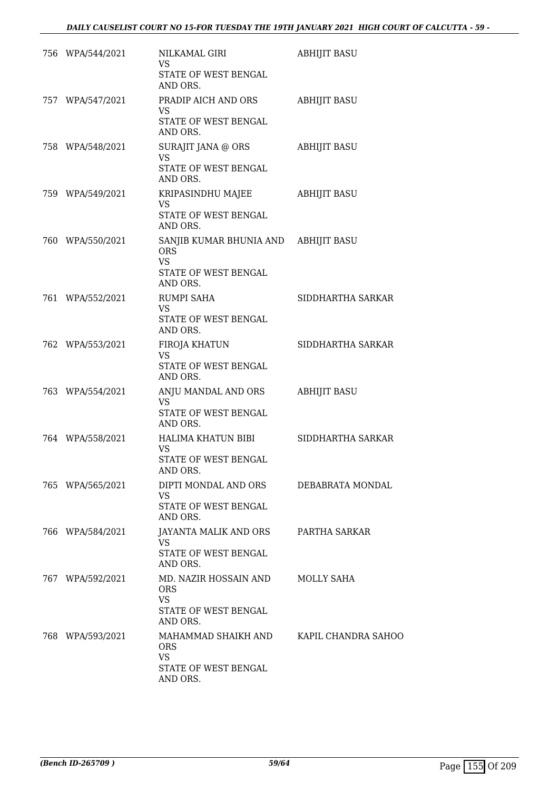| 756 WPA/544/2021 | NILKAMAL GIRI<br>VS<br>STATE OF WEST BENGAL<br>AND ORS.                                | <b>ABHIJIT BASU</b> |
|------------------|----------------------------------------------------------------------------------------|---------------------|
| 757 WPA/547/2021 | PRADIP AICH AND ORS<br>VS<br>STATE OF WEST BENGAL<br>AND ORS.                          | <b>ABHIJIT BASU</b> |
| 758 WPA/548/2021 | SURAJIT JANA @ ORS<br><b>VS</b><br>STATE OF WEST BENGAL<br>AND ORS.                    | <b>ABHIJIT BASU</b> |
| 759 WPA/549/2021 | KRIPASINDHU MAJEE<br><b>VS</b><br>STATE OF WEST BENGAL<br>AND ORS.                     | <b>ABHIJIT BASU</b> |
| 760 WPA/550/2021 | SANJIB KUMAR BHUNIA AND<br><b>ORS</b><br><b>VS</b><br>STATE OF WEST BENGAL<br>AND ORS. | <b>ABHIJIT BASU</b> |
| 761 WPA/552/2021 | <b>RUMPI SAHA</b><br>VS<br>STATE OF WEST BENGAL<br>AND ORS.                            | SIDDHARTHA SARKAR   |
| 762 WPA/553/2021 | FIROJA KHATUN<br>VS.<br>STATE OF WEST BENGAL<br>AND ORS.                               | SIDDHARTHA SARKAR   |
| 763 WPA/554/2021 | ANJU MANDAL AND ORS<br>VS<br>STATE OF WEST BENGAL<br>AND ORS.                          | <b>ABHIJIT BASU</b> |
| 764 WPA/558/2021 | HALIMA KHATUN BIBI<br><b>VS</b><br>STATE OF WEST BENGAL<br>AND ORS.                    | SIDDHARTHA SARKAR   |
| 765 WPA/565/2021 | DIPTI MONDAL AND ORS<br>VS.<br>STATE OF WEST BENGAL<br>AND ORS.                        | DEBABRATA MONDAL    |
| 766 WPA/584/2021 | JAYANTA MALIK AND ORS<br><b>VS</b><br>STATE OF WEST BENGAL<br>AND ORS.                 | PARTHA SARKAR       |
| 767 WPA/592/2021 | MD. NAZIR HOSSAIN AND<br><b>ORS</b><br>VS.<br>STATE OF WEST BENGAL<br>AND ORS.         | MOLLY SAHA          |
| 768 WPA/593/2021 | MAHAMMAD SHAIKH AND<br><b>ORS</b><br><b>VS</b><br>STATE OF WEST BENGAL<br>AND ORS.     | KAPIL CHANDRA SAHOO |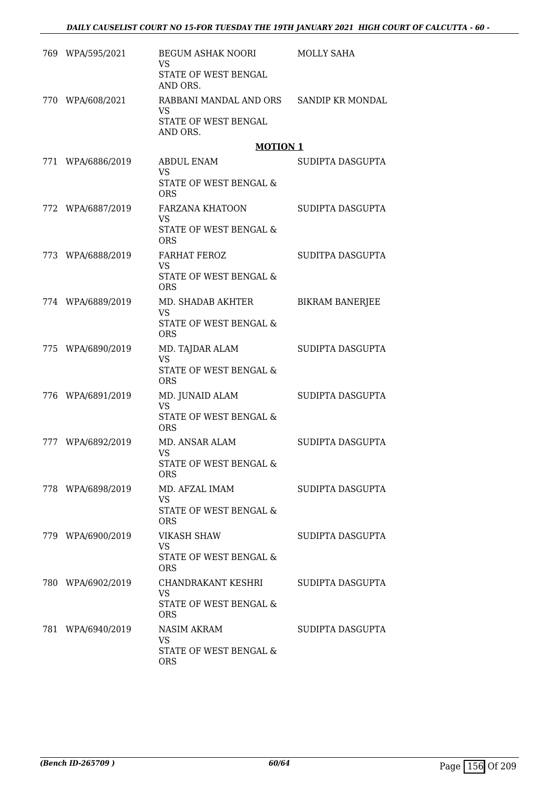|       | 769 WPA/595/2021  | BEGUM ASHAK NOORI<br>VS                              | MOLLY SAHA             |
|-------|-------------------|------------------------------------------------------|------------------------|
|       |                   | STATE OF WEST BENGAL<br>AND ORS.                     |                        |
|       | 770 WPA/608/2021  | RABBANI MANDAL AND ORS SANDIP KR MONDAL<br><b>VS</b> |                        |
|       |                   | STATE OF WEST BENGAL<br>AND ORS.                     |                        |
|       |                   | <b>MOTION 1</b>                                      |                        |
| 771   | WPA/6886/2019     | <b>ABDUL ENAM</b><br><b>VS</b>                       | SUDIPTA DASGUPTA       |
|       |                   | STATE OF WEST BENGAL &<br><b>ORS</b>                 |                        |
|       | 772 WPA/6887/2019 | FARZANA KHATOON<br><b>VS</b>                         | SUDIPTA DASGUPTA       |
|       |                   | <b>STATE OF WEST BENGAL &amp;</b><br><b>ORS</b>      |                        |
|       | 773 WPA/6888/2019 | <b>FARHAT FEROZ</b><br><b>VS</b>                     | SUDITPA DASGUPTA       |
|       |                   | STATE OF WEST BENGAL &<br><b>ORS</b>                 |                        |
|       | 774 WPA/6889/2019 | MD. SHADAB AKHTER<br><b>VS</b>                       | <b>BIKRAM BANERJEE</b> |
|       |                   | STATE OF WEST BENGAL &<br><b>ORS</b>                 |                        |
|       | 775 WPA/6890/2019 | MD. TAJDAR ALAM<br>VS.                               | SUDIPTA DASGUPTA       |
|       |                   | STATE OF WEST BENGAL &<br><b>ORS</b>                 |                        |
|       | 776 WPA/6891/2019 | MD. JUNAID ALAM<br><b>VS</b>                         | SUDIPTA DASGUPTA       |
|       |                   | STATE OF WEST BENGAL &<br><b>ORS</b>                 |                        |
| 777 - | WPA/6892/2019     | MD. ANSAR ALAM<br><b>VS</b>                          | SUDIPTA DASGUPTA       |
|       |                   | STATE OF WEST BENGAL &<br>ORS                        |                        |
|       | 778 WPA/6898/2019 | MD. AFZAL IMAM<br>VS                                 | SUDIPTA DASGUPTA       |
|       |                   | STATE OF WEST BENGAL &<br><b>ORS</b>                 |                        |
|       | 779 WPA/6900/2019 | <b>VIKASH SHAW</b><br>VS.                            | SUDIPTA DASGUPTA       |
|       |                   | STATE OF WEST BENGAL &<br><b>ORS</b>                 |                        |
|       | 780 WPA/6902/2019 | CHANDRAKANT KESHRI<br><b>VS</b>                      | SUDIPTA DASGUPTA       |
|       |                   | STATE OF WEST BENGAL &<br><b>ORS</b>                 |                        |
|       | 781 WPA/6940/2019 | NASIM AKRAM<br><b>VS</b>                             | SUDIPTA DASGUPTA       |
|       |                   | STATE OF WEST BENGAL &<br><b>ORS</b>                 |                        |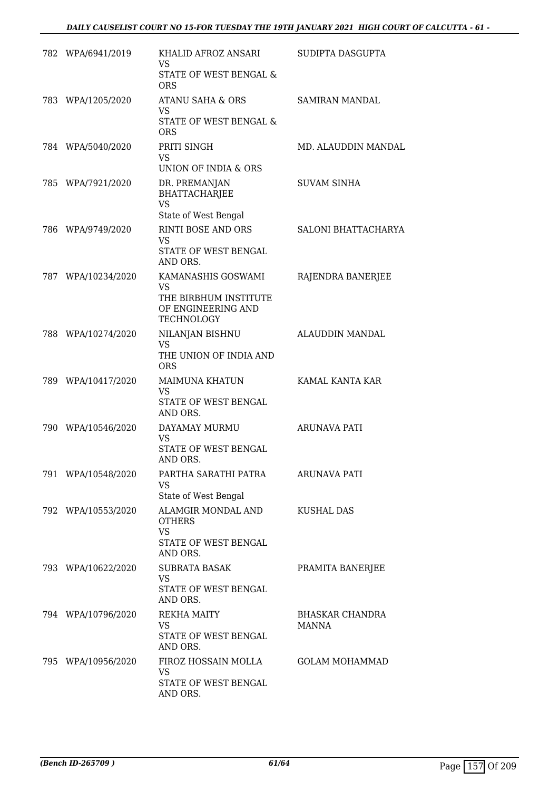| 782 WPA/6941/2019  | KHALID AFROZ ANSARI<br><b>VS</b><br>STATE OF WEST BENGAL &<br><b>ORS</b>                            | SUDIPTA DASGUPTA                |
|--------------------|-----------------------------------------------------------------------------------------------------|---------------------------------|
| 783 WPA/1205/2020  | ATANU SAHA & ORS<br><b>VS</b><br>STATE OF WEST BENGAL &<br><b>ORS</b>                               | <b>SAMIRAN MANDAL</b>           |
| 784 WPA/5040/2020  | PRITI SINGH<br><b>VS</b><br>UNION OF INDIA & ORS                                                    | MD. ALAUDDIN MANDAL             |
| 785 WPA/7921/2020  | DR. PREMANJAN<br><b>BHATTACHARJEE</b><br><b>VS</b>                                                  | <b>SUVAM SINHA</b>              |
| 786 WPA/9749/2020  | State of West Bengal<br>RINTI BOSE AND ORS<br><b>VS</b><br>STATE OF WEST BENGAL<br>AND ORS.         | SALONI BHATTACHARYA             |
| 787 WPA/10234/2020 | KAMANASHIS GOSWAMI<br><b>VS</b><br>THE BIRBHUM INSTITUTE<br>OF ENGINEERING AND<br><b>TECHNOLOGY</b> | RAJENDRA BANERJEE               |
| 788 WPA/10274/2020 | NILANJAN BISHNU<br><b>VS</b><br>THE UNION OF INDIA AND<br><b>ORS</b>                                | ALAUDDIN MANDAL                 |
| 789 WPA/10417/2020 | <b>MAIMUNA KHATUN</b><br><b>VS</b><br>STATE OF WEST BENGAL<br>AND ORS.                              | KAMAL KANTA KAR                 |
| 790 WPA/10546/2020 | DAYAMAY MURMU<br><b>VS</b><br>STATE OF WEST BENGAL<br>AND ORS.                                      | <b>ARUNAVA PATI</b>             |
| 791 WPA/10548/2020 | PARTHA SARATHI PATRA<br><b>VS</b><br>State of West Bengal                                           | <b>ARUNAVA PATI</b>             |
| 792 WPA/10553/2020 | ALAMGIR MONDAL AND<br><b>OTHERS</b><br><b>VS</b><br>STATE OF WEST BENGAL<br>AND ORS.                | KUSHAL DAS                      |
| 793 WPA/10622/2020 | <b>SUBRATA BASAK</b><br><b>VS</b><br>STATE OF WEST BENGAL<br>AND ORS.                               | PRAMITA BANERJEE                |
| 794 WPA/10796/2020 | <b>REKHA MAITY</b><br><b>VS</b><br>STATE OF WEST BENGAL<br>AND ORS.                                 | <b>BHASKAR CHANDRA</b><br>MANNA |
| 795 WPA/10956/2020 | FIROZ HOSSAIN MOLLA<br><b>VS</b><br>STATE OF WEST BENGAL<br>AND ORS.                                | <b>GOLAM MOHAMMAD</b>           |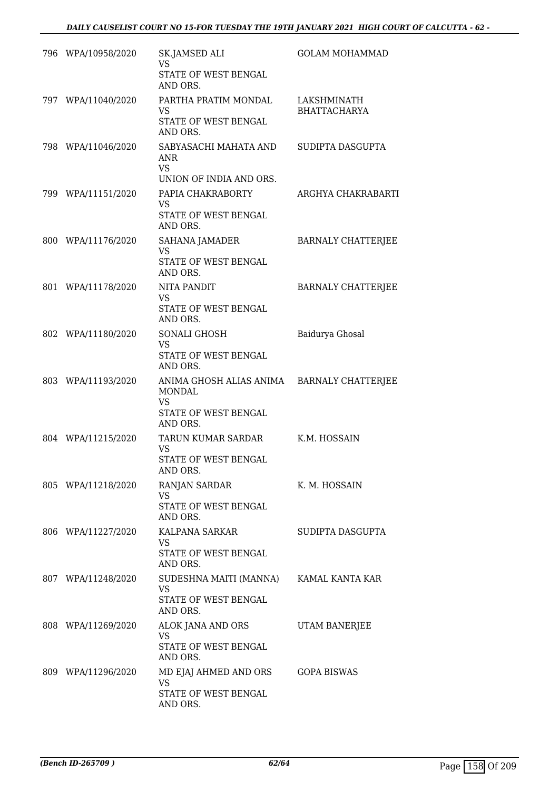| 796 WPA/10958/2020 | SK.JAMSED ALI<br>VS<br>STATE OF WEST BENGAL<br>AND ORS.                                   | <b>GOLAM MOHAMMAD</b>              |
|--------------------|-------------------------------------------------------------------------------------------|------------------------------------|
| 797 WPA/11040/2020 | PARTHA PRATIM MONDAL<br>VS<br>STATE OF WEST BENGAL<br>AND ORS.                            | LAKSHMINATH<br><b>BHATTACHARYA</b> |
| 798 WPA/11046/2020 | SABYASACHI MAHATA AND<br>ANR<br><b>VS</b><br>UNION OF INDIA AND ORS.                      | SUDIPTA DASGUPTA                   |
| 799 WPA/11151/2020 | PAPIA CHAKRABORTY<br><b>VS</b><br>STATE OF WEST BENGAL<br>AND ORS.                        | ARGHYA CHAKRABARTI                 |
| 800 WPA/11176/2020 | SAHANA JAMADER<br>VS<br>STATE OF WEST BENGAL<br>AND ORS.                                  | <b>BARNALY CHATTERJEE</b>          |
| 801 WPA/11178/2020 | NITA PANDIT<br><b>VS</b><br>STATE OF WEST BENGAL<br>AND ORS.                              | <b>BARNALY CHATTERJEE</b>          |
| 802 WPA/11180/2020 | SONALI GHOSH<br>VS.<br>STATE OF WEST BENGAL<br>AND ORS.                                   | Baidurya Ghosal                    |
| 803 WPA/11193/2020 | ANIMA GHOSH ALIAS ANIMA<br><b>MONDAL</b><br><b>VS</b><br>STATE OF WEST BENGAL<br>AND ORS. | <b>BARNALY CHATTERJEE</b>          |
| 804 WPA/11215/2020 | TARUN KUMAR SARDAR<br><b>VS</b><br>STATE OF WEST BENGAL<br>AND ORS.                       | K.M. HOSSAIN                       |
| 805 WPA/11218/2020 | RANJAN SARDAR<br>VS<br>STATE OF WEST BENGAL<br>AND ORS.                                   | K. M. HOSSAIN                      |
| 806 WPA/11227/2020 | KALPANA SARKAR<br>VS.<br>STATE OF WEST BENGAL<br>AND ORS.                                 | SUDIPTA DASGUPTA                   |
| 807 WPA/11248/2020 | SUDESHNA MAITI (MANNA)<br><b>VS</b><br>STATE OF WEST BENGAL<br>AND ORS.                   | KAMAL KANTA KAR                    |
| 808 WPA/11269/2020 | ALOK JANA AND ORS<br><b>VS</b><br>STATE OF WEST BENGAL<br>AND ORS.                        | UTAM BANERJEE                      |
| 809 WPA/11296/2020 | MD EJAJ AHMED AND ORS<br>VS<br>STATE OF WEST BENGAL<br>AND ORS.                           | <b>GOPA BISWAS</b>                 |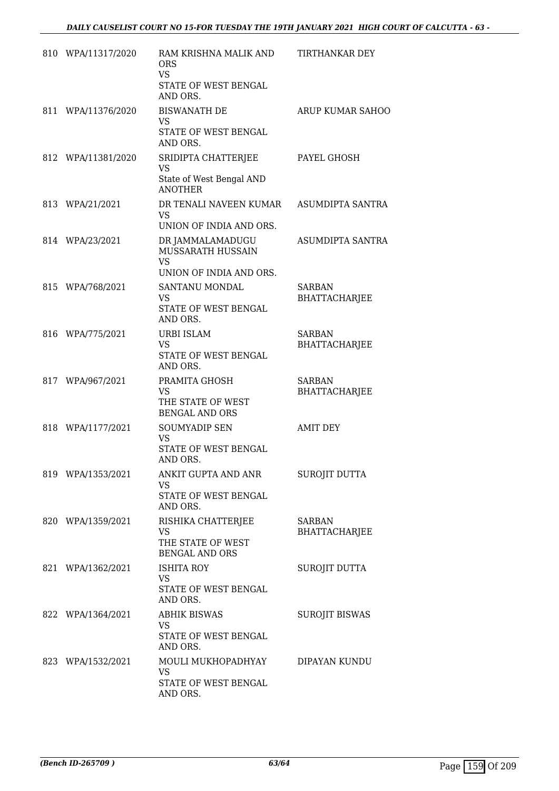| 810 WPA/11317/2020 | RAM KRISHNA MALIK AND<br><b>ORS</b><br><b>VS</b><br>STATE OF WEST BENGAL<br>AND ORS. | TIRTHANKAR DEY                        |
|--------------------|--------------------------------------------------------------------------------------|---------------------------------------|
| 811 WPA/11376/2020 | <b>BISWANATH DE</b><br><b>VS</b><br>STATE OF WEST BENGAL<br>AND ORS.                 | ARUP KUMAR SAHOO                      |
| 812 WPA/11381/2020 | SRIDIPTA CHATTERJEE<br><b>VS</b><br>State of West Bengal AND<br><b>ANOTHER</b>       | PAYEL GHOSH                           |
| 813 WPA/21/2021    | DR TENALI NAVEEN KUMAR<br><b>VS</b><br>UNION OF INDIA AND ORS.                       | ASUMDIPTA SANTRA                      |
| 814 WPA/23/2021    | DR JAMMALAMADUGU<br>MUSSARATH HUSSAIN<br><b>VS</b><br>UNION OF INDIA AND ORS.        | ASUMDIPTA SANTRA                      |
| 815 WPA/768/2021   | SANTANU MONDAL<br><b>VS</b><br>STATE OF WEST BENGAL<br>AND ORS.                      | <b>SARBAN</b><br><b>BHATTACHARJEE</b> |
| 816 WPA/775/2021   | <b>URBI ISLAM</b><br><b>VS</b><br>STATE OF WEST BENGAL<br>AND ORS.                   | SARBAN<br><b>BHATTACHARJEE</b>        |
| 817 WPA/967/2021   | PRAMITA GHOSH<br><b>VS</b><br>THE STATE OF WEST<br><b>BENGAL AND ORS</b>             | <b>SARBAN</b><br><b>BHATTACHARJEE</b> |
| 818 WPA/1177/2021  | <b>SOUMYADIP SEN</b><br>VS<br>STATE OF WEST BENGAL<br>AND ORS.                       | <b>AMIT DEY</b>                       |
| 819 WPA/1353/2021  | ANKIT GUPTA AND ANR<br><b>VS</b><br>STATE OF WEST BENGAL<br>AND ORS.                 | SUROJIT DUTTA                         |
| 820 WPA/1359/2021  | RISHIKA CHATTERJEE<br><b>VS</b><br>THE STATE OF WEST<br><b>BENGAL AND ORS</b>        | SARBAN<br><b>BHATTACHARJEE</b>        |
| 821 WPA/1362/2021  | <b>ISHITA ROY</b><br><b>VS</b><br>STATE OF WEST BENGAL<br>AND ORS.                   | SUROJIT DUTTA                         |
| 822 WPA/1364/2021  | <b>ABHIK BISWAS</b><br><b>VS</b><br>STATE OF WEST BENGAL<br>AND ORS.                 | <b>SUROJIT BISWAS</b>                 |
| 823 WPA/1532/2021  | MOULI MUKHOPADHYAY<br><b>VS</b><br>STATE OF WEST BENGAL<br>AND ORS.                  | DIPAYAN KUNDU                         |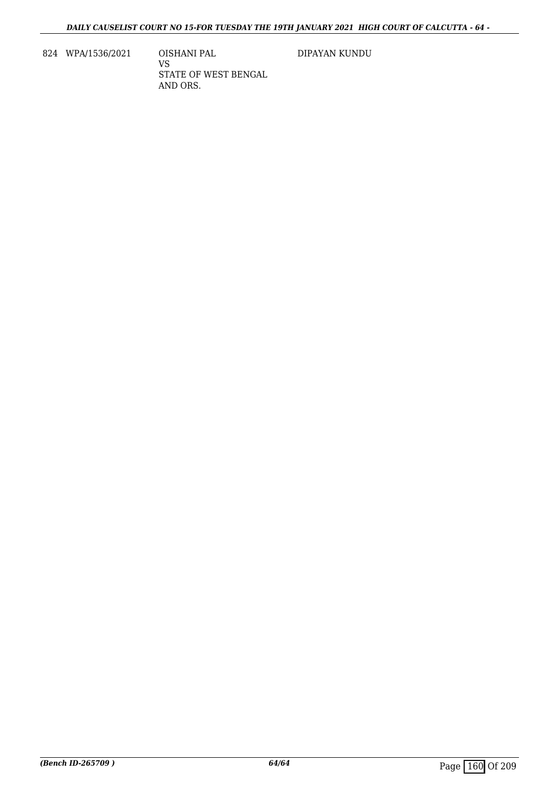824 WPA/1536/2021 OISHANI PAL

VS STATE OF WEST BENGAL AND ORS.

DIPAYAN KUNDU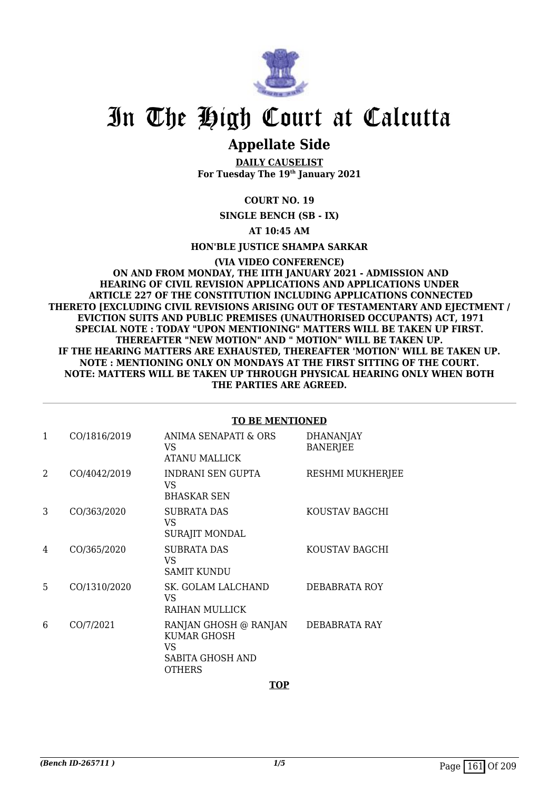

### **Appellate Side**

**DAILY CAUSELIST For Tuesday The 19th January 2021**

#### **COURT NO. 19**

**SINGLE BENCH (SB - IX)**

#### **AT 10:45 AM**

**HON'BLE JUSTICE SHAMPA SARKAR**

**(VIA VIDEO CONFERENCE) ON AND FROM MONDAY, THE IITH JANUARY 2021 - ADMISSION AND HEARING OF CIVIL REVISION APPLICATIONS AND APPLICATIONS UNDER ARTICLE 227 OF THE CONSTITUTION INCLUDING APPLICATIONS CONNECTED THERETO [EXCLUDING CIVIL REVISIONS ARISING OUT OF TESTAMENTARY AND EJECTMENT / EVICTION SUITS AND PUBLIC PREMISES (UNAUTHORISED OCCUPANTS) ACT, 1971 SPECIAL NOTE : TODAY "UPON MENTIONING" MATTERS WILL BE TAKEN UP FIRST. THEREAFTER "NEW MOTION" AND " MOTION" WILL BE TAKEN UP. IF THE HEARING MATTERS ARE EXHAUSTED, THEREAFTER 'MOTION' WILL BE TAKEN UP. NOTE : MENTIONING ONLY ON MONDAYS AT THE FIRST SITTING OF THE COURT. NOTE: MATTERS WILL BE TAKEN UP THROUGH PHYSICAL HEARING ONLY WHEN BOTH THE PARTIES ARE AGREED.**

#### 1 CO/1816/2019 ANIMA SENAPATI & ORS VS ATANU MALLICK DHANANJAY BANERJEE 2 CO/4042/2019 INDRANI SEN GUPTA  $V<sup>Q</sup>$ BHASKAR SEN RESHMI MUKHERJEE 3 CO/363/2020 SUBRATA DAS VS SURAJIT MONDAL KOUSTAV BAGCHI 4 CO/365/2020 SUBRATA DAS VS SAMIT KUNDU KOUSTAV BAGCHI 5 CO/1310/2020 SK. GOLAM LALCHAND VS RAIHAN MULLICK DEBABRATA ROY 6 CO/7/2021 RANJAN GHOSH @ RANJAN KUMAR GHOSH VS SABITA GHOSH AND **OTHERS** DEBABRATA RAY

#### **TO BE MENTIONED**

**TOP**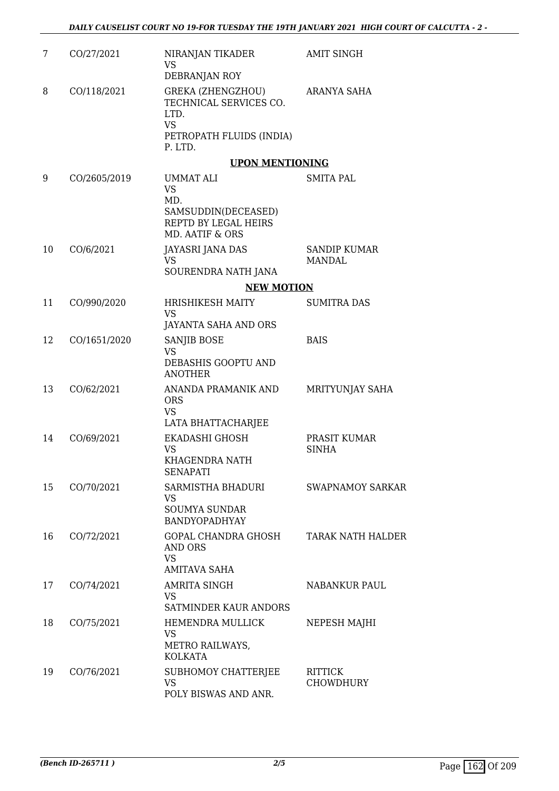| 7  | CO/27/2021   | NIRANJAN TIKADER<br><b>VS</b><br>DEBRANJAN ROY                                                          | <b>AMIT SINGH</b>                    |
|----|--------------|---------------------------------------------------------------------------------------------------------|--------------------------------------|
| 8  | CO/118/2021  | GREKA (ZHENGZHOU)<br>TECHNICAL SERVICES CO.<br>LTD.<br><b>VS</b><br>PETROPATH FLUIDS (INDIA)<br>P. LTD. | ARANYA SAHA                          |
|    |              | <b>UPON MENTIONING</b>                                                                                  |                                      |
| 9  | CO/2605/2019 | <b>UMMAT ALI</b><br><b>VS</b><br>MD.<br>SAMSUDDIN(DECEASED)<br>REPTD BY LEGAL HEIRS<br>MD. AATIF & ORS  | SMITA PAL                            |
| 10 | CO/6/2021    | JAYASRI JANA DAS<br><b>VS</b>                                                                           | <b>SANDIP KUMAR</b><br><b>MANDAL</b> |
|    |              | SOURENDRA NATH JANA<br><b>NEW MOTION</b>                                                                |                                      |
| 11 | CO/990/2020  | HRISHIKESH MAITY                                                                                        | <b>SUMITRA DAS</b>                   |
|    |              | <b>VS</b><br>JAYANTA SAHA AND ORS                                                                       |                                      |
| 12 | CO/1651/2020 | <b>SANJIB BOSE</b><br><b>VS</b><br>DEBASHIS GOOPTU AND<br><b>ANOTHER</b>                                | <b>BAIS</b>                          |
| 13 | CO/62/2021   | ANANDA PRAMANIK AND<br><b>ORS</b><br><b>VS</b><br>LATA BHATTACHARJEE                                    | MRITYUNJAY SAHA                      |
| 14 | CO/69/2021   | <b>EKADASHI GHOSH</b><br><b>VS</b><br>KHAGENDRA NATH<br><b>SENAPATI</b>                                 | PRASIT KUMAR<br><b>SINHA</b>         |
| 15 | CO/70/2021   | SARMISTHA BHADURI<br><b>VS</b><br><b>SOUMYA SUNDAR</b><br><b>BANDYOPADHYAY</b>                          | <b>SWAPNAMOY SARKAR</b>              |
| 16 | CO/72/2021   | GOPAL CHANDRA GHOSH<br><b>AND ORS</b><br><b>VS</b><br><b>AMITAVA SAHA</b>                               | TARAK NATH HALDER                    |
| 17 | CO/74/2021   | AMRITA SINGH<br><b>VS</b><br>SATMINDER KAUR ANDORS                                                      | NABANKUR PAUL                        |
| 18 | CO/75/2021   | <b>HEMENDRA MULLICK</b><br>VS<br>METRO RAILWAYS,<br><b>KOLKATA</b>                                      | NEPESH MAJHI                         |
| 19 | CO/76/2021   | SUBHOMOY CHATTERJEE<br><b>VS</b><br>POLY BISWAS AND ANR.                                                | <b>RITTICK</b><br><b>CHOWDHURY</b>   |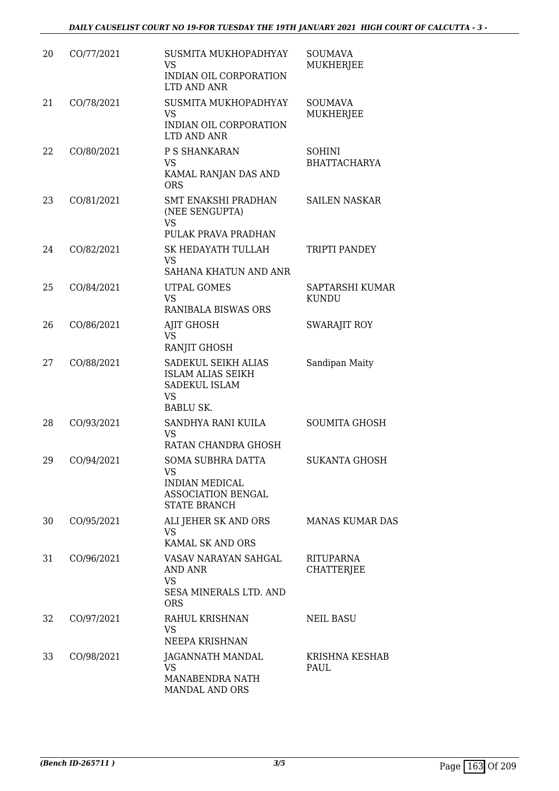| 20 | CO/77/2021 | SUSMITA MUKHOPADHYAY<br><b>VS</b><br>INDIAN OIL CORPORATION<br>LTD AND ANR                        | <b>SOUMAVA</b><br><b>MUKHERJEE</b>    |
|----|------------|---------------------------------------------------------------------------------------------------|---------------------------------------|
| 21 | CO/78/2021 | SUSMITA MUKHOPADHYAY<br><b>VS</b><br>INDIAN OIL CORPORATION<br>LTD AND ANR                        | <b>SOUMAVA</b><br><b>MUKHERJEE</b>    |
| 22 | CO/80/2021 | P S SHANKARAN<br><b>VS</b><br>KAMAL RANJAN DAS AND<br><b>ORS</b>                                  | <b>SOHINI</b><br><b>BHATTACHARYA</b>  |
| 23 | CO/81/2021 | SMT ENAKSHI PRADHAN<br>(NEE SENGUPTA)<br><b>VS</b><br>PULAK PRAVA PRADHAN                         | <b>SAILEN NASKAR</b>                  |
| 24 | CO/82/2021 | SK HEDAYATH TULLAH<br><b>VS</b><br>SAHANA KHATUN AND ANR                                          | TRIPTI PANDEY                         |
| 25 | CO/84/2021 | <b>UTPAL GOMES</b><br><b>VS</b><br><b>RANIBALA BISWAS ORS</b>                                     | SAPTARSHI KUMAR<br><b>KUNDU</b>       |
| 26 | CO/86/2021 | AJIT GHOSH<br><b>VS</b><br>RANJIT GHOSH                                                           | <b>SWARAJIT ROY</b>                   |
| 27 | CO/88/2021 | SADEKUL SEIKH ALIAS<br><b>ISLAM ALIAS SEIKH</b><br>SADEKUL ISLAM<br><b>VS</b><br><b>BABLU SK.</b> | Sandipan Maity                        |
| 28 | CO/93/2021 | SANDHYA RANI KUILA<br>VS<br>RATAN CHANDRA GHOSH                                                   | <b>SOUMITA GHOSH</b>                  |
| 29 | CO/94/2021 | SOMA SUBHRA DATTA<br>VS<br><b>INDIAN MEDICAL</b><br>ASSOCIATION BENGAL<br><b>STATE BRANCH</b>     | <b>SUKANTA GHOSH</b>                  |
| 30 | CO/95/2021 | ALI JEHER SK AND ORS<br><b>VS</b><br><b>KAMAL SK AND ORS</b>                                      | <b>MANAS KUMAR DAS</b>                |
| 31 | CO/96/2021 | VASAV NARAYAN SAHGAL<br>AND ANR<br><b>VS</b><br>SESA MINERALS LTD. AND<br><b>ORS</b>              | <b>RITUPARNA</b><br><b>CHATTERJEE</b> |
| 32 | CO/97/2021 | RAHUL KRISHNAN<br>VS<br>NEEPA KRISHNAN                                                            | <b>NEIL BASU</b>                      |
| 33 | CO/98/2021 | JAGANNATH MANDAL<br>VS.<br>MANABENDRA NATH<br>MANDAL AND ORS                                      | KRISHNA KESHAB<br>PAUL                |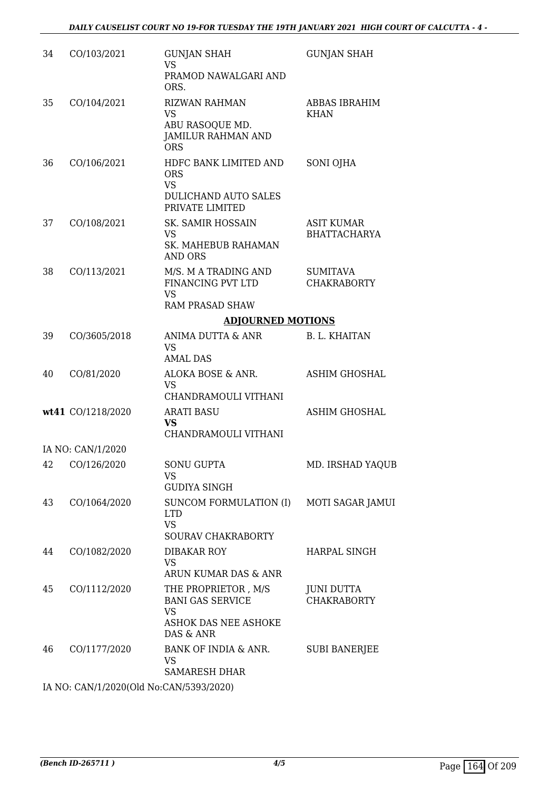| 34 | CO/103/2021       | <b>GUNJAN SHAH</b><br><b>VS</b><br>PRAMOD NAWALGARI AND<br>ORS.                                   | <b>GUNJAN SHAH</b>                      |
|----|-------------------|---------------------------------------------------------------------------------------------------|-----------------------------------------|
| 35 | CO/104/2021       | <b>RIZWAN RAHMAN</b><br><b>VS</b><br>ABU RASOQUE MD.<br>JAMILUR RAHMAN AND<br><b>ORS</b>          | <b>ABBAS IBRAHIM</b><br><b>KHAN</b>     |
| 36 | CO/106/2021       | HDFC BANK LIMITED AND<br><b>ORS</b><br><b>VS</b><br>DULICHAND AUTO SALES<br>PRIVATE LIMITED       | SONI OJHA                               |
| 37 | CO/108/2021       | SK. SAMIR HOSSAIN<br>VS.<br><b>SK. MAHEBUB RAHAMAN</b><br><b>AND ORS</b>                          | ASIT KUMAR<br><b>BHATTACHARYA</b>       |
| 38 | CO/113/2021       | M/S. M A TRADING AND<br>FINANCING PVT LTD<br><b>VS</b><br><b>RAM PRASAD SHAW</b>                  | <b>SUMITAVA</b><br><b>CHAKRABORTY</b>   |
|    |                   | <b>ADJOURNED MOTIONS</b>                                                                          |                                         |
| 39 | CO/3605/2018      | ANIMA DUTTA & ANR<br><b>VS</b><br><b>AMAL DAS</b>                                                 | <b>B. L. KHAITAN</b>                    |
| 40 | CO/81/2020        | ALOKA BOSE & ANR.<br>VS.<br>CHANDRAMOULI VITHANI                                                  | <b>ASHIM GHOSHAL</b>                    |
|    | wt41 CO/1218/2020 | <b>ARATI BASU</b><br><b>VS</b><br>CHANDRAMOULI VITHANI                                            | <b>ASHIM GHOSHAL</b>                    |
|    | IA NO: CAN/1/2020 |                                                                                                   |                                         |
|    | 42 CO/126/2020    | <b>SONU GUPTA</b><br><b>VS</b><br><b>GUDIYA SINGH</b>                                             | MD. IRSHAD YAQUB                        |
| 43 | CO/1064/2020      | SUNCOM FORMULATION (I) MOTI SAGAR JAMUI<br><b>LTD</b><br><b>VS</b><br>SOURAV CHAKRABORTY          |                                         |
| 44 | CO/1082/2020      | DIBAKAR ROY<br><b>VS</b><br>ARUN KUMAR DAS & ANR                                                  | HARPAL SINGH                            |
| 45 | CO/1112/2020      | THE PROPRIETOR , M/S<br><b>BANI GAS SERVICE</b><br><b>VS</b><br>ASHOK DAS NEE ASHOKE<br>DAS & ANR | <b>JUNI DUTTA</b><br><b>CHAKRABORTY</b> |
| 46 | CO/1177/2020      | BANK OF INDIA & ANR.<br><b>VS</b><br><b>SAMARESH DHAR</b>                                         | <b>SUBI BANERJEE</b>                    |
|    |                   |                                                                                                   |                                         |

IA NO: CAN/1/2020(Old No:CAN/5393/2020)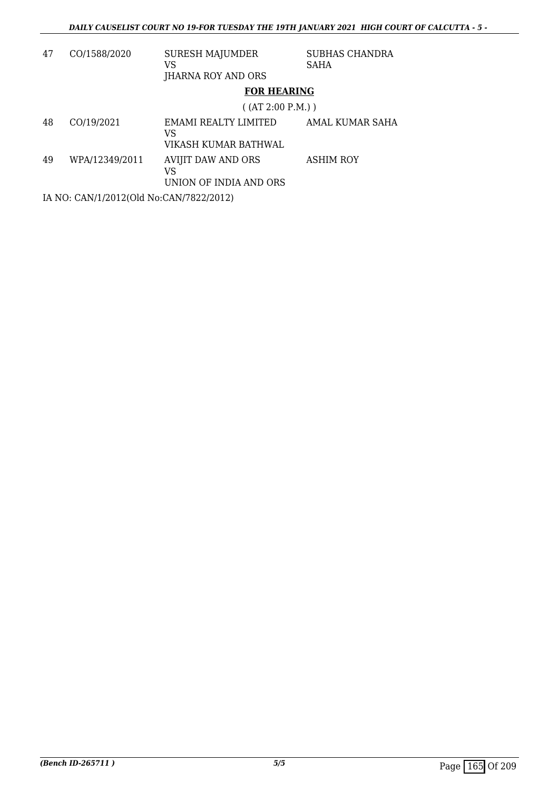| 47 | CO/1588/2020                            | <b>SURESH MAJUMDER</b><br>VS<br>JHARNA ROY AND ORS | <b>SUBHAS CHANDRA</b><br><b>SAHA</b> |  |  |
|----|-----------------------------------------|----------------------------------------------------|--------------------------------------|--|--|
|    |                                         | <b>FOR HEARING</b>                                 |                                      |  |  |
|    |                                         | ( (AT 2:00 P.M.) )                                 |                                      |  |  |
| 48 | CO/19/2021                              | EMAMI REALTY LIMITED<br>VS<br>VIKASH KUMAR BATHWAL | AMAL KUMAR SAHA                      |  |  |
| 49 | WPA/12349/2011                          | AVIJIT DAW AND ORS<br>VS<br>UNION OF INDIA AND ORS | <b>ASHIM ROY</b>                     |  |  |
|    | IA NO: CAN/1/2012(Old No:CAN/7822/2012) |                                                    |                                      |  |  |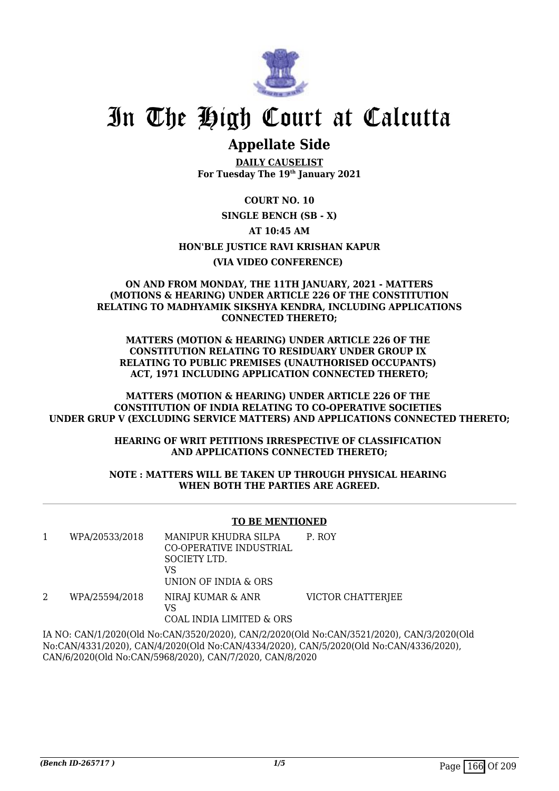

### **Appellate Side**

**DAILY CAUSELIST For Tuesday The 19th January 2021**

**COURT NO. 10 SINGLE BENCH (SB - X) AT 10:45 AM HON'BLE JUSTICE RAVI KRISHAN KAPUR (VIA VIDEO CONFERENCE)** 

#### **ON AND FROM MONDAY, THE 11TH JANUARY, 2021 - MATTERS (MOTIONS & HEARING) UNDER ARTICLE 226 OF THE CONSTITUTION RELATING TO MADHYAMIK SIKSHYA KENDRA, INCLUDING APPLICATIONS CONNECTED THERETO;**

**MATTERS (MOTION & HEARING) UNDER ARTICLE 226 OF THE CONSTITUTION RELATING TO RESIDUARY UNDER GROUP IX RELATING TO PUBLIC PREMISES (UNAUTHORISED OCCUPANTS) ACT, 1971 INCLUDING APPLICATION CONNECTED THERETO;**

**MATTERS (MOTION & HEARING) UNDER ARTICLE 226 OF THE CONSTITUTION OF INDIA RELATING TO CO-OPERATIVE SOCIETIES UNDER GRUP V (EXCLUDING SERVICE MATTERS) AND APPLICATIONS CONNECTED THERETO;**

> **HEARING OF WRIT PETITIONS IRRESPECTIVE OF CLASSIFICATION AND APPLICATIONS CONNECTED THERETO;**

#### **NOTE : MATTERS WILL BE TAKEN UP THROUGH PHYSICAL HEARING WHEN BOTH THE PARTIES ARE AGREED.**

#### **TO BE MENTIONED**

| WPA/20533/2018 | MANIPUR KHUDRA SILPA<br>CO-OPERATIVE INDUSTRIAL<br>SOCIETY LTD.<br>VS<br>UNION OF INDIA & ORS | P. ROY                   |
|----------------|-----------------------------------------------------------------------------------------------|--------------------------|
| WPA/25594/2018 | NIRAJ KUMAR & ANR<br>VS                                                                       | <b>VICTOR CHATTERJEE</b> |

COAL INDIA LIMITED & ORS

IA NO: CAN/1/2020(Old No:CAN/3520/2020), CAN/2/2020(Old No:CAN/3521/2020), CAN/3/2020(Old No:CAN/4331/2020), CAN/4/2020(Old No:CAN/4334/2020), CAN/5/2020(Old No:CAN/4336/2020), CAN/6/2020(Old No:CAN/5968/2020), CAN/7/2020, CAN/8/2020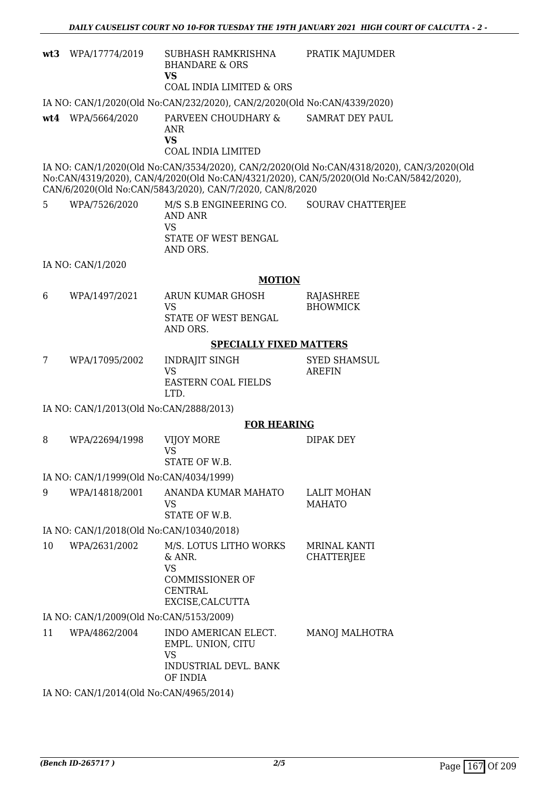|    | wt3 WPA/17774/2019                       | SUBHASH RAMKRISHNA<br><b>BHANDARE &amp; ORS</b><br><b>VS</b>                                                  | PRATIK MAJUMDER                                                                                                                                                                     |
|----|------------------------------------------|---------------------------------------------------------------------------------------------------------------|-------------------------------------------------------------------------------------------------------------------------------------------------------------------------------------|
|    |                                          | <b>COAL INDIA LIMITED &amp; ORS</b>                                                                           |                                                                                                                                                                                     |
|    |                                          | IA NO: CAN/1/2020(Old No:CAN/232/2020), CAN/2/2020(Old No:CAN/4339/2020)                                      |                                                                                                                                                                                     |
|    | wt4 WPA/5664/2020                        | PARVEEN CHOUDHARY &<br>ANR<br><b>VS</b><br><b>COAL INDIA LIMITED</b>                                          | <b>SAMRAT DEY PAUL</b>                                                                                                                                                              |
|    |                                          | CAN/6/2020(Old No:CAN/5843/2020), CAN/7/2020, CAN/8/2020                                                      | IA NO: CAN/1/2020(Old No:CAN/3534/2020), CAN/2/2020(Old No:CAN/4318/2020), CAN/3/2020(Old<br>No:CAN/4319/2020), CAN/4/2020(Old No:CAN/4321/2020), CAN/5/2020(Old No:CAN/5842/2020), |
| 5  | WPA/7526/2020                            | M/S S.B ENGINEERING CO.<br><b>AND ANR</b><br><b>VS</b>                                                        | <b>SOURAV CHATTERJEE</b>                                                                                                                                                            |
|    |                                          | STATE OF WEST BENGAL<br>AND ORS.                                                                              |                                                                                                                                                                                     |
|    | IA NO: CAN/1/2020                        |                                                                                                               |                                                                                                                                                                                     |
|    |                                          | <b>MOTION</b>                                                                                                 |                                                                                                                                                                                     |
| 6  | WPA/1497/2021                            | ARUN KUMAR GHOSH<br><b>VS</b>                                                                                 | <b>RAJASHREE</b><br><b>BHOWMICK</b>                                                                                                                                                 |
|    |                                          | STATE OF WEST BENGAL<br>AND ORS.                                                                              |                                                                                                                                                                                     |
|    |                                          | <b>SPECIALLY FIXED MATTERS</b>                                                                                |                                                                                                                                                                                     |
| 7  | WPA/17095/2002                           | <b>INDRAJIT SINGH</b><br><b>VS</b><br><b>EASTERN COAL FIELDS</b><br>LTD.                                      | <b>SYED SHAMSUL</b><br><b>AREFIN</b>                                                                                                                                                |
|    | IA NO: CAN/1/2013(Old No:CAN/2888/2013)  |                                                                                                               |                                                                                                                                                                                     |
|    |                                          | <b>FOR HEARING</b>                                                                                            |                                                                                                                                                                                     |
| 8  | WPA/22694/1998                           | VIJOY MORE<br><b>VS</b><br>STATE OF W.B.                                                                      | DIPAK DEY                                                                                                                                                                           |
|    | IA NO: CAN/1/1999(Old No:CAN/4034/1999)  |                                                                                                               |                                                                                                                                                                                     |
| 9  | WPA/14818/2001                           | ANANDA KUMAR MAHATO<br>VS<br>STATE OF W.B.                                                                    | <b>LALIT MOHAN</b><br><b>MAHATO</b>                                                                                                                                                 |
|    | IA NO: CAN/1/2018(Old No:CAN/10340/2018) |                                                                                                               |                                                                                                                                                                                     |
| 10 | WPA/2631/2002                            | M/S. LOTUS LITHO WORKS<br>& ANR.<br><b>VS</b><br><b>COMMISSIONER OF</b><br><b>CENTRAL</b><br>EXCISE, CALCUTTA | <b>MRINAL KANTI</b><br>CHATTERJEE                                                                                                                                                   |
|    | IA NO: CAN/1/2009(Old No:CAN/5153/2009)  |                                                                                                               |                                                                                                                                                                                     |
| 11 | WPA/4862/2004                            | INDO AMERICAN ELECT.<br>EMPL. UNION, CITU<br><b>VS</b>                                                        | MANOJ MALHOTRA                                                                                                                                                                      |
|    |                                          | INDUSTRIAL DEVL. BANK<br>OF INDIA                                                                             |                                                                                                                                                                                     |
|    | IA NO: CAN/1/2014(Old No:CAN/4965/2014)  |                                                                                                               |                                                                                                                                                                                     |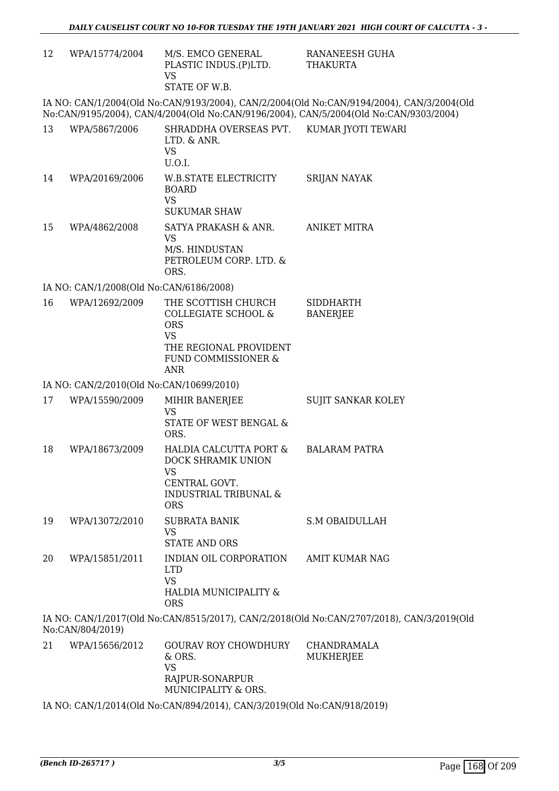| 12                                       | WPA/15774/2004                          | M/S. EMCO GENERAL<br>PLASTIC INDUS.(P)LTD.<br><b>VS</b><br>STATE OF W.B.                                                             | RANANEESH GUHA<br>THAKURTA                                                                                                                                                         |  |
|------------------------------------------|-----------------------------------------|--------------------------------------------------------------------------------------------------------------------------------------|------------------------------------------------------------------------------------------------------------------------------------------------------------------------------------|--|
|                                          |                                         |                                                                                                                                      | IA NO: CAN/1/2004(Old No:CAN/9193/2004), CAN/2/2004(Old No:CAN/9194/2004), CAN/3/2004(Old<br>No:CAN/9195/2004), CAN/4/2004(Old No:CAN/9196/2004), CAN/5/2004(Old No:CAN/9303/2004) |  |
| 13                                       | WPA/5867/2006                           | SHRADDHA OVERSEAS PVT. KUMAR JYOTI TEWARI<br>LTD. & ANR.<br><b>VS</b><br>U.O.I.                                                      |                                                                                                                                                                                    |  |
| 14                                       | WPA/20169/2006                          | W.B.STATE ELECTRICITY<br><b>BOARD</b><br><b>VS</b><br><b>SUKUMAR SHAW</b>                                                            | <b>SRIJAN NAYAK</b>                                                                                                                                                                |  |
| 15                                       | WPA/4862/2008                           | SATYA PRAKASH & ANR.<br><b>VS</b><br>M/S. HINDUSTAN<br>PETROLEUM CORP. LTD. &<br>ORS.                                                | <b>ANIKET MITRA</b>                                                                                                                                                                |  |
|                                          | IA NO: CAN/1/2008(Old No:CAN/6186/2008) |                                                                                                                                      |                                                                                                                                                                                    |  |
| 16                                       | WPA/12692/2009                          | THE SCOTTISH CHURCH<br>COLLEGIATE SCHOOL &<br><b>ORS</b><br><b>VS</b><br>THE REGIONAL PROVIDENT<br>FUND COMMISSIONER &<br><b>ANR</b> | <b>SIDDHARTH</b><br><b>BANERJEE</b>                                                                                                                                                |  |
| IA NO: CAN/2/2010(Old No:CAN/10699/2010) |                                         |                                                                                                                                      |                                                                                                                                                                                    |  |
| 17                                       | WPA/15590/2009                          | MIHIR BANERJEE<br><b>VS</b><br>STATE OF WEST BENGAL &<br>ORS.                                                                        | <b>SUJIT SANKAR KOLEY</b>                                                                                                                                                          |  |
| 18                                       | WPA/18673/2009                          | HALDIA CALCUTTA PORT &<br>DOCK SHRAMIK UNION<br><b>VS</b><br>CENTRAL GOVT.<br><b>INDUSTRIAL TRIBUNAL &amp;</b><br><b>ORS</b>         | <b>BALARAM PATRA</b>                                                                                                                                                               |  |
| 19                                       | WPA/13072/2010                          | <b>SUBRATA BANIK</b><br><b>VS</b><br><b>STATE AND ORS</b>                                                                            | <b>S.M OBAIDULLAH</b>                                                                                                                                                              |  |
| 20                                       | WPA/15851/2011                          | INDIAN OIL CORPORATION<br><b>LTD</b><br><b>VS</b><br>HALDIA MUNICIPALITY &<br><b>ORS</b>                                             | <b>AMIT KUMAR NAG</b>                                                                                                                                                              |  |
|                                          | No:CAN/804/2019)                        |                                                                                                                                      | IA NO: CAN/1/2017(Old No:CAN/8515/2017), CAN/2/2018(Old No:CAN/2707/2018), CAN/3/2019(Old                                                                                          |  |
| 21                                       | WPA/15656/2012                          | <b>GOURAV ROY CHOWDHURY</b><br>& ORS.<br><b>VS</b>                                                                                   | CHANDRAMALA<br>MUKHERJEE                                                                                                                                                           |  |
|                                          |                                         | RAJPUR-SONARPUR<br>MUNICIPALITY & ORS.                                                                                               |                                                                                                                                                                                    |  |

IA NO: CAN/1/2014(Old No:CAN/894/2014), CAN/3/2019(Old No:CAN/918/2019)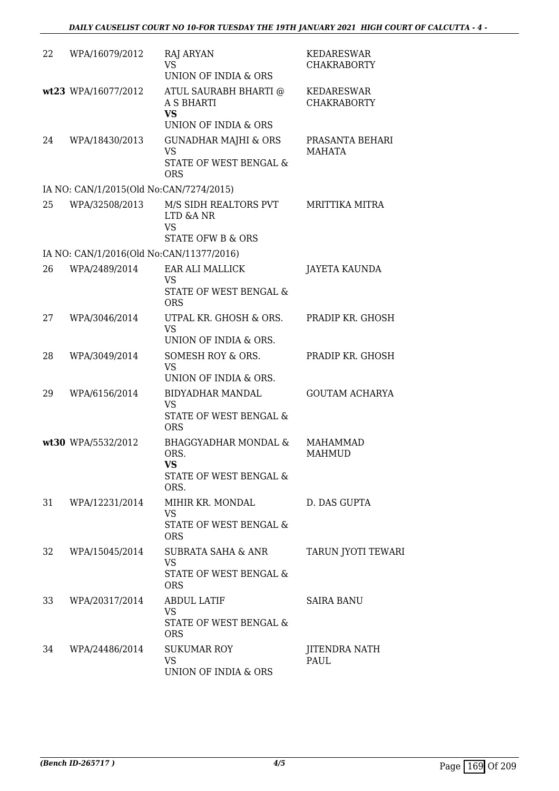| 22 | WPA/16079/2012                           | RAJ ARYAN<br><b>VS</b><br>UNION OF INDIA & ORS                                          | <b>KEDARESWAR</b><br><b>CHAKRABORTY</b> |
|----|------------------------------------------|-----------------------------------------------------------------------------------------|-----------------------------------------|
|    | wt23 WPA/16077/2012                      | ATUL SAURABH BHARTI @<br><b>A S BHARTI</b><br><b>VS</b><br>UNION OF INDIA & ORS         | <b>KEDARESWAR</b><br><b>CHAKRABORTY</b> |
| 24 | WPA/18430/2013                           | <b>GUNADHAR MAJHI &amp; ORS</b><br><b>VS</b><br>STATE OF WEST BENGAL &<br><b>ORS</b>    | PRASANTA BEHARI<br><b>MAHATA</b>        |
|    | IA NO: CAN/1/2015(Old No:CAN/7274/2015)  |                                                                                         |                                         |
| 25 | WPA/32508/2013                           | M/S SIDH REALTORS PVT<br>LTD &A NR<br><b>VS</b>                                         | <b>MRITTIKA MITRA</b>                   |
|    | IA NO: CAN/1/2016(Old No:CAN/11377/2016) | <b>STATE OFW B &amp; ORS</b>                                                            |                                         |
| 26 | WPA/2489/2014                            | EAR ALI MALLICK                                                                         | <b>JAYETA KAUNDA</b>                    |
|    |                                          | VS<br><b>STATE OF WEST BENGAL &amp;</b><br><b>ORS</b>                                   |                                         |
| 27 | WPA/3046/2014                            | UTPAL KR. GHOSH & ORS.<br><b>VS</b><br>UNION OF INDIA & ORS.                            | PRADIP KR. GHOSH                        |
| 28 | WPA/3049/2014                            | SOMESH ROY & ORS.<br><b>VS</b><br>UNION OF INDIA & ORS.                                 | PRADIP KR. GHOSH                        |
| 29 | WPA/6156/2014                            | <b>BIDYADHAR MANDAL</b><br><b>VS</b><br><b>STATE OF WEST BENGAL &amp;</b><br><b>ORS</b> | <b>GOUTAM ACHARYA</b>                   |
|    | wt30 WPA/5532/2012                       | <b>BHAGGYADHAR MONDAL &amp;</b><br>ORS.<br><b>VS</b><br>STATE OF WEST BENGAL &<br>ORS.  | MAHAMMAD<br><b>MAHMUD</b>               |
| 31 | WPA/12231/2014                           | MIHIR KR. MONDAL<br>VS<br><b>STATE OF WEST BENGAL &amp;</b><br><b>ORS</b>               | D. DAS GUPTA                            |
| 32 | WPA/15045/2014                           | SUBRATA SAHA & ANR<br><b>VS</b><br>STATE OF WEST BENGAL &<br><b>ORS</b>                 | TARUN JYOTI TEWARI                      |
| 33 | WPA/20317/2014                           | <b>ABDUL LATIF</b><br>VS<br>STATE OF WEST BENGAL &<br><b>ORS</b>                        | <b>SAIRA BANU</b>                       |
| 34 | WPA/24486/2014                           | <b>SUKUMAR ROY</b><br><b>VS</b><br>UNION OF INDIA & ORS                                 | JITENDRA NATH<br>PAUL                   |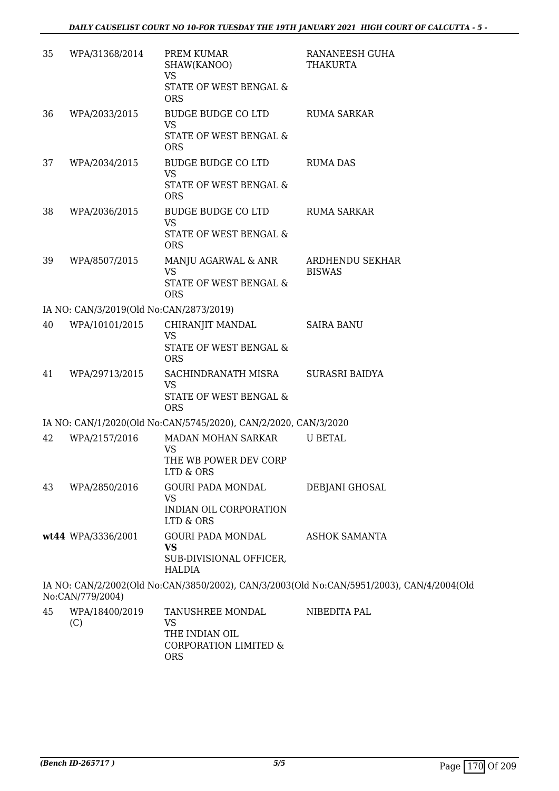| 35 | WPA/31368/2014                          | PREM KUMAR<br>SHAW(KANOO)<br><b>VS</b>                          | RANANEESH GUHA<br>THAKURTA                                                                |
|----|-----------------------------------------|-----------------------------------------------------------------|-------------------------------------------------------------------------------------------|
|    |                                         | STATE OF WEST BENGAL &<br><b>ORS</b>                            |                                                                                           |
| 36 | WPA/2033/2015                           | BUDGE BUDGE CO LTD<br><b>VS</b>                                 | RUMA SARKAR                                                                               |
|    |                                         | STATE OF WEST BENGAL &<br><b>ORS</b>                            |                                                                                           |
| 37 | WPA/2034/2015                           | <b>BUDGE BUDGE CO LTD</b><br><b>VS</b>                          | <b>RUMA DAS</b>                                                                           |
|    |                                         | STATE OF WEST BENGAL &<br><b>ORS</b>                            |                                                                                           |
| 38 | WPA/2036/2015                           | BUDGE BUDGE CO LTD<br><b>VS</b>                                 | RUMA SARKAR                                                                               |
|    |                                         | <b>STATE OF WEST BENGAL &amp;</b><br><b>ORS</b>                 |                                                                                           |
| 39 | WPA/8507/2015                           | MANJU AGARWAL & ANR<br><b>VS</b>                                | ARDHENDU SEKHAR<br><b>BISWAS</b>                                                          |
|    |                                         | STATE OF WEST BENGAL &<br><b>ORS</b>                            |                                                                                           |
|    | IA NO: CAN/3/2019(Old No:CAN/2873/2019) |                                                                 |                                                                                           |
| 40 | WPA/10101/2015                          | CHIRANJIT MANDAL<br><b>VS</b><br>STATE OF WEST BENGAL &         | <b>SAIRA BANU</b>                                                                         |
|    |                                         | <b>ORS</b>                                                      |                                                                                           |
| 41 | WPA/29713/2015                          | SACHINDRANATH MISRA<br><b>VS</b>                                | SURASRI BAIDYA                                                                            |
|    |                                         | STATE OF WEST BENGAL &<br><b>ORS</b>                            |                                                                                           |
|    |                                         | IA NO: CAN/1/2020(Old No:CAN/5745/2020), CAN/2/2020, CAN/3/2020 |                                                                                           |
| 42 | WPA/2157/2016                           | MADAN MOHAN SARKAR<br><b>VS</b>                                 | <b>U BETAL</b>                                                                            |
|    |                                         | THE WB POWER DEV CORP<br>LTD & ORS                              |                                                                                           |
| 43 | WPA/2850/2016                           | <b>GOURI PADA MONDAL</b><br><b>VS</b>                           | DEBJANI GHOSAL                                                                            |
|    |                                         | INDIAN OIL CORPORATION<br>LTD & ORS                             |                                                                                           |
|    | wt44 WPA/3336/2001                      | <b>GOURI PADA MONDAL</b><br><b>VS</b>                           | <b>ASHOK SAMANTA</b>                                                                      |
|    |                                         | SUB-DIVISIONAL OFFICER,<br><b>HALDIA</b>                        |                                                                                           |
|    | No:CAN/779/2004)                        |                                                                 | IA NO: CAN/2/2002(Old No:CAN/3850/2002), CAN/3/2003(Old No:CAN/5951/2003), CAN/4/2004(Old |
| 45 | WPA/18400/2019<br>(C)                   | TANUSHREE MONDAL<br><b>VS</b><br>THE INDIAN OIL                 | NIBEDITA PAL                                                                              |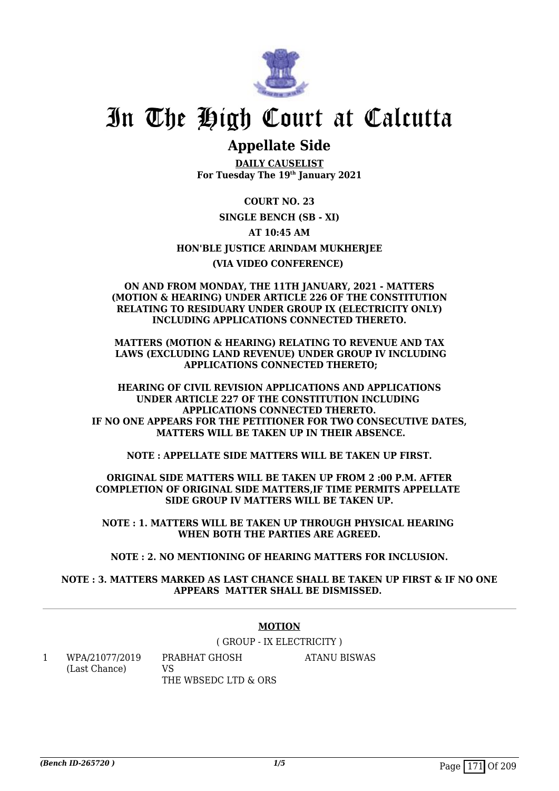

## **Appellate Side**

**DAILY CAUSELIST For Tuesday The 19th January 2021**

**COURT NO. 23 SINGLE BENCH (SB - XI) AT 10:45 AM HON'BLE JUSTICE ARINDAM MUKHERJEE (VIA VIDEO CONFERENCE)** 

**ON AND FROM MONDAY, THE 11TH JANUARY, 2021 - MATTERS (MOTION & HEARING) UNDER ARTICLE 226 OF THE CONSTITUTION RELATING TO RESIDUARY UNDER GROUP IX (ELECTRICITY ONLY) INCLUDING APPLICATIONS CONNECTED THERETO.**

**MATTERS (MOTION & HEARING) RELATING TO REVENUE AND TAX LAWS (EXCLUDING LAND REVENUE) UNDER GROUP IV INCLUDING APPLICATIONS CONNECTED THERETO;**

**HEARING OF CIVIL REVISION APPLICATIONS AND APPLICATIONS UNDER ARTICLE 227 OF THE CONSTITUTION INCLUDING APPLICATIONS CONNECTED THERETO. IF NO ONE APPEARS FOR THE PETITIONER FOR TWO CONSECUTIVE DATES, MATTERS WILL BE TAKEN UP IN THEIR ABSENCE.**

**NOTE : APPELLATE SIDE MATTERS WILL BE TAKEN UP FIRST.**

**ORIGINAL SIDE MATTERS WILL BE TAKEN UP FROM 2 :00 P.M. AFTER COMPLETION OF ORIGINAL SIDE MATTERS,IF TIME PERMITS APPELLATE SIDE GROUP IV MATTERS WILL BE TAKEN UP.**

**NOTE : 1. MATTERS WILL BE TAKEN UP THROUGH PHYSICAL HEARING WHEN BOTH THE PARTIES ARE AGREED.**

**NOTE : 2. NO MENTIONING OF HEARING MATTERS FOR INCLUSION.**

**NOTE : 3. MATTERS MARKED AS LAST CHANCE SHALL BE TAKEN UP FIRST & IF NO ONE APPEARS MATTER SHALL BE DISMISSED.** 

#### **MOTION**

( GROUP - IX ELECTRICITY )

1 WPA/21077/2019 (Last Chance) PRABHAT GHOSH  $V<sub>S</sub>$ 

THE WBSEDC LTD & ORS ATANU BISWAS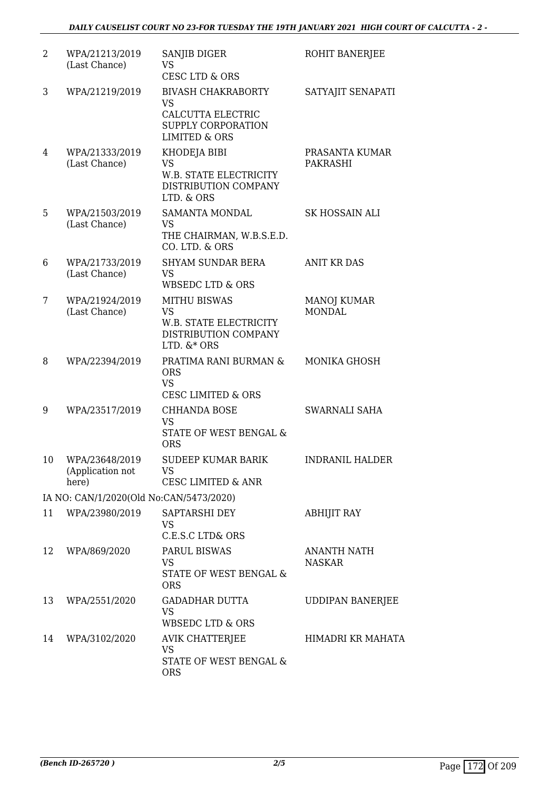| $\overline{2}$ | WPA/21213/2019<br>(Last Chance)             | SANJIB DIGER<br>VS<br><b>CESC LTD &amp; ORS</b>                                                               | ROHIT BANERJEE                      |
|----------------|---------------------------------------------|---------------------------------------------------------------------------------------------------------------|-------------------------------------|
| 3              | WPA/21219/2019                              | <b>BIVASH CHAKRABORTY</b><br><b>VS</b><br>CALCUTTA ELECTRIC<br>SUPPLY CORPORATION<br><b>LIMITED &amp; ORS</b> | SATYAJIT SENAPATI                   |
| 4              | WPA/21333/2019<br>(Last Chance)             | KHODEJA BIBI<br><b>VS</b><br>W.B. STATE ELECTRICITY<br>DISTRIBUTION COMPANY<br>LTD. & ORS                     | PRASANTA KUMAR<br><b>PAKRASHI</b>   |
| 5              | WPA/21503/2019<br>(Last Chance)             | SAMANTA MONDAL<br><b>VS</b><br>THE CHAIRMAN, W.B.S.E.D.<br>CO. LTD. & ORS                                     | <b>SK HOSSAIN ALI</b>               |
| 6              | WPA/21733/2019<br>(Last Chance)             | <b>SHYAM SUNDAR BERA</b><br><b>VS</b><br><b>WBSEDC LTD &amp; ORS</b>                                          | <b>ANIT KR DAS</b>                  |
| 7              | WPA/21924/2019<br>(Last Chance)             | <b>MITHU BISWAS</b><br><b>VS</b><br>W.B. STATE ELECTRICITY<br>DISTRIBUTION COMPANY<br>LTD. $&$ + ORS          | <b>MANOJ KUMAR</b><br><b>MONDAL</b> |
| 8              | WPA/22394/2019                              | PRATIMA RANI BURMAN &<br><b>ORS</b><br><b>VS</b><br><b>CESC LIMITED &amp; ORS</b>                             | MONIKA GHOSH                        |
| 9              | WPA/23517/2019                              | <b>CHHANDA BOSE</b><br><b>VS</b><br>STATE OF WEST BENGAL &<br><b>ORS</b>                                      | <b>SWARNALI SAHA</b>                |
| 10             | WPA/23648/2019<br>(Application not<br>here) | <b>SUDEEP KUMAR BARIK</b><br>VS<br><b>CESC LIMITED &amp; ANR</b>                                              | <b>INDRANIL HALDER</b>              |
|                | IA NO: CAN/1/2020(Old No:CAN/5473/2020)     |                                                                                                               |                                     |
| 11             | WPA/23980/2019                              | SAPTARSHI DEY<br><b>VS</b><br>C.E.S.C LTD& ORS                                                                | <b>ABHIJIT RAY</b>                  |
| 12             | WPA/869/2020                                | PARUL BISWAS<br><b>VS</b><br>STATE OF WEST BENGAL &<br><b>ORS</b>                                             | <b>ANANTH NATH</b><br><b>NASKAR</b> |
| 13             | WPA/2551/2020                               | <b>GADADHAR DUTTA</b><br>VS<br><b>WBSEDC LTD &amp; ORS</b>                                                    | <b>UDDIPAN BANERJEE</b>             |
| 14             | WPA/3102/2020                               | AVIK CHATTERJEE<br><b>VS</b><br>STATE OF WEST BENGAL &<br><b>ORS</b>                                          | HIMADRI KR MAHATA                   |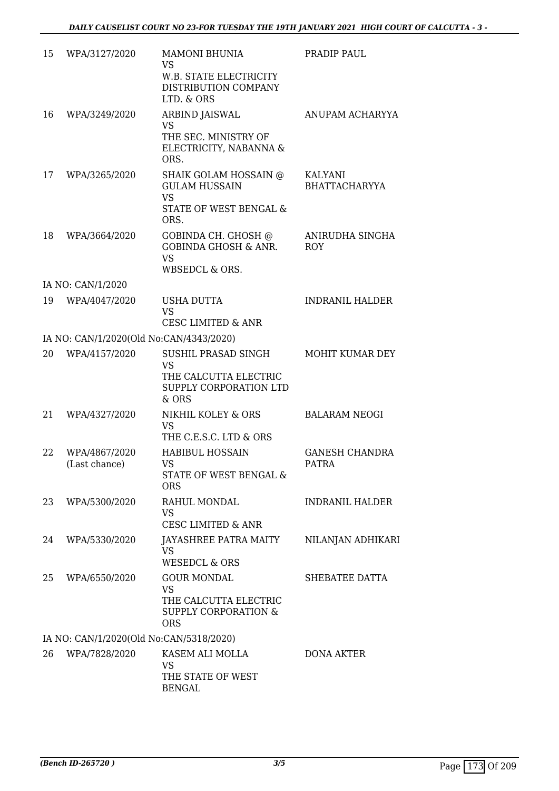| 15                                      | WPA/3127/2020                           | <b>MAMONI BHUNIA</b><br>VS<br>W.B. STATE ELECTRICITY<br>DISTRIBUTION COMPANY<br>LTD. & ORS                | PRADIP PAUL                            |  |
|-----------------------------------------|-----------------------------------------|-----------------------------------------------------------------------------------------------------------|----------------------------------------|--|
| 16                                      | WPA/3249/2020                           | ARBIND JAISWAL<br><b>VS</b><br>THE SEC. MINISTRY OF<br>ELECTRICITY, NABANNA &<br>ORS.                     | ANUPAM ACHARYYA                        |  |
| 17                                      | WPA/3265/2020                           | SHAIK GOLAM HOSSAIN @<br><b>GULAM HUSSAIN</b><br><b>VS</b><br><b>STATE OF WEST BENGAL &amp;</b><br>ORS.   | <b>KALYANI</b><br><b>BHATTACHARYYA</b> |  |
| 18                                      | WPA/3664/2020                           | GOBINDA CH. GHOSH @<br><b>GOBINDA GHOSH &amp; ANR.</b><br><b>VS</b><br>WBSEDCL & ORS.                     | ANIRUDHA SINGHA<br><b>ROY</b>          |  |
|                                         | IA NO: CAN/1/2020                       |                                                                                                           |                                        |  |
| 19                                      | WPA/4047/2020                           | USHA DUTTA<br><b>VS</b><br><b>CESC LIMITED &amp; ANR</b>                                                  | <b>INDRANIL HALDER</b>                 |  |
|                                         | IA NO: CAN/1/2020(Old No:CAN/4343/2020) |                                                                                                           |                                        |  |
| 20                                      | WPA/4157/2020                           | SUSHIL PRASAD SINGH                                                                                       | MOHIT KUMAR DEY                        |  |
|                                         |                                         | <b>VS</b><br>THE CALCUTTA ELECTRIC<br>SUPPLY CORPORATION LTD<br>& ORS                                     |                                        |  |
| 21                                      | WPA/4327/2020                           | NIKHIL KOLEY & ORS<br><b>VS</b><br>THE C.E.S.C. LTD & ORS                                                 | <b>BALARAM NEOGI</b>                   |  |
| 22                                      | WPA/4867/2020<br>(Last chance)          | <b>HABIBUL HOSSAIN</b><br>VS.<br>STATE OF WEST BENGAL &<br><b>ORS</b>                                     | <b>GANESH CHANDRA</b><br><b>PATRA</b>  |  |
| 23                                      | WPA/5300/2020                           | RAHUL MONDAL<br><b>VS</b><br><b>CESC LIMITED &amp; ANR</b>                                                | <b>INDRANIL HALDER</b>                 |  |
| 24                                      | WPA/5330/2020                           | JAYASHREE PATRA MAITY<br><b>VS</b><br><b>WESEDCL &amp; ORS</b>                                            | NILANJAN ADHIKARI                      |  |
| 25                                      | WPA/6550/2020                           | <b>GOUR MONDAL</b><br><b>VS</b><br>THE CALCUTTA ELECTRIC<br><b>SUPPLY CORPORATION &amp;</b><br><b>ORS</b> | SHEBATEE DATTA                         |  |
| IA NO: CAN/1/2020(Old No:CAN/5318/2020) |                                         |                                                                                                           |                                        |  |
| 26                                      | WPA/7828/2020                           | KASEM ALI MOLLA<br><b>VS</b><br>THE STATE OF WEST<br><b>BENGAL</b>                                        | <b>DONA AKTER</b>                      |  |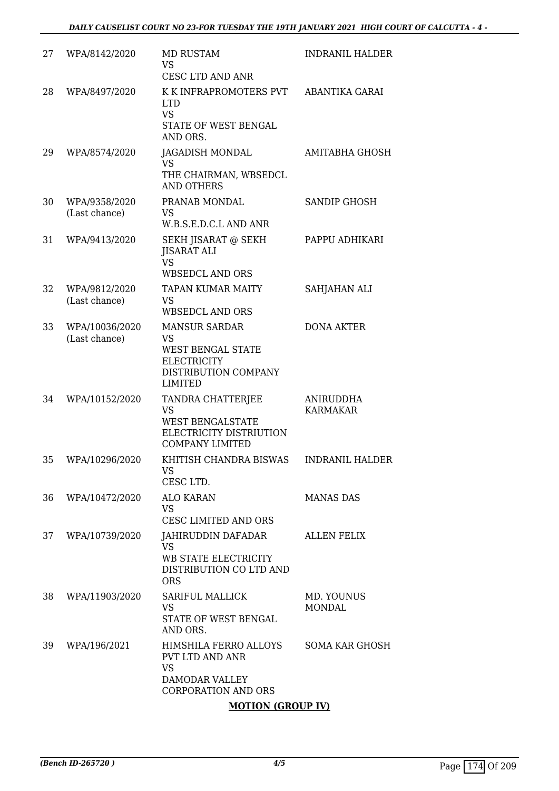| 27 | WPA/8142/2020                   | MD RUSTAM<br>VS<br>CESC LTD AND ANR                                                                                    | <b>INDRANIL HALDER</b>       |
|----|---------------------------------|------------------------------------------------------------------------------------------------------------------------|------------------------------|
| 28 | WPA/8497/2020                   | K K INFRAPROMOTERS PVT<br><b>LTD</b><br><b>VS</b><br>STATE OF WEST BENGAL<br>AND ORS.                                  | ABANTIKA GARAI               |
| 29 | WPA/8574/2020                   | JAGADISH MONDAL<br>VS<br>THE CHAIRMAN, WBSEDCL<br><b>AND OTHERS</b>                                                    | AMITABHA GHOSH               |
| 30 | WPA/9358/2020<br>(Last chance)  | PRANAB MONDAL<br>VS<br>W.B.S.E.D.C.L AND ANR                                                                           | <b>SANDIP GHOSH</b>          |
| 31 | WPA/9413/2020                   | SEKH JISARAT @ SEKH<br><b>JISARAT ALI</b><br><b>VS</b><br><b>WBSEDCL AND ORS</b>                                       | PAPPU ADHIKARI               |
| 32 | WPA/9812/2020<br>(Last chance)  | <b>TAPAN KUMAR MAITY</b><br><b>VS</b><br><b>WBSEDCL AND ORS</b>                                                        | SAHJAHAN ALI                 |
| 33 | WPA/10036/2020<br>(Last chance) | <b>MANSUR SARDAR</b><br>VS<br><b>WEST BENGAL STATE</b><br><b>ELECTRICITY</b><br>DISTRIBUTION COMPANY<br><b>LIMITED</b> | <b>DONA AKTER</b>            |
| 34 | WPA/10152/2020                  | TANDRA CHATTERJEE<br>VS<br><b>WEST BENGALSTATE</b><br>ELECTRICITY DISTRIUTION<br><b>COMPANY LIMITED</b>                | ANIRUDDHA<br><b>KARMAKAR</b> |
| 35 | WPA/10296/2020                  | KHITISH CHANDRA BISWAS<br>VS<br>CESC LTD.                                                                              | <b>INDRANIL HALDER</b>       |
| 36 | WPA/10472/2020                  | ALO KARAN<br><b>VS</b><br><b>CESC LIMITED AND ORS</b>                                                                  | <b>MANAS DAS</b>             |
| 37 | WPA/10739/2020                  | JAHIRUDDIN DAFADAR<br><b>VS</b><br>WB STATE ELECTRICITY<br>DISTRIBUTION CO LTD AND<br><b>ORS</b>                       | <b>ALLEN FELIX</b>           |
| 38 | WPA/11903/2020                  | <b>SARIFUL MALLICK</b><br><b>VS</b><br>STATE OF WEST BENGAL<br>AND ORS.                                                | MD. YOUNUS<br><b>MONDAL</b>  |
| 39 | WPA/196/2021                    | HIMSHILA FERRO ALLOYS<br>PVT LTD AND ANR<br><b>VS</b><br>DAMODAR VALLEY<br><b>CORPORATION AND ORS</b>                  | SOMA KAR GHOSH               |

#### **MOTION (GROUP IV)**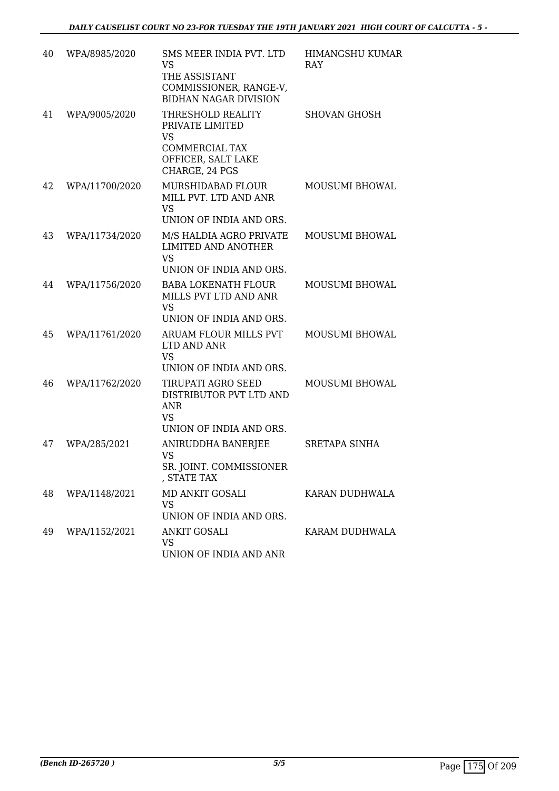| 40 | WPA/8985/2020  | SMS MEER INDIA PVT. LTD                                                                       | <b>HIMANGSHU KUMAR</b> |
|----|----------------|-----------------------------------------------------------------------------------------------|------------------------|
|    |                | VS<br>THE ASSISTANT<br>COMMISSIONER, RANGE-V,<br><b>BIDHAN NAGAR DIVISION</b>                 | <b>RAY</b>             |
| 41 | WPA/9005/2020  | THRESHOLD REALITY<br>PRIVATE LIMITED<br><b>VS</b><br><b>COMMERCIAL TAX</b>                    | <b>SHOVAN GHOSH</b>    |
|    |                | OFFICER, SALT LAKE<br>CHARGE, 24 PGS                                                          |                        |
| 42 | WPA/11700/2020 | MURSHIDABAD FLOUR<br>MILL PVT. LTD AND ANR<br><b>VS</b><br>UNION OF INDIA AND ORS.            | MOUSUMI BHOWAL         |
| 43 | WPA/11734/2020 | M/S HALDIA AGRO PRIVATE<br><b>LIMITED AND ANOTHER</b><br><b>VS</b><br>UNION OF INDIA AND ORS. | MOUSUMI BHOWAL         |
| 44 | WPA/11756/2020 | <b>BABA LOKENATH FLOUR</b><br>MILLS PVT LTD AND ANR<br><b>VS</b><br>UNION OF INDIA AND ORS.   | <b>MOUSUMI BHOWAL</b>  |
| 45 | WPA/11761/2020 | ARUAM FLOUR MILLS PVT<br>LTD AND ANR<br><b>VS</b><br>UNION OF INDIA AND ORS.                  | MOUSUMI BHOWAL         |
| 46 | WPA/11762/2020 | TIRUPATI AGRO SEED<br>DISTRIBUTOR PVT LTD AND<br><b>ANR</b><br><b>VS</b>                      | MOUSUMI BHOWAL         |
|    |                | UNION OF INDIA AND ORS.                                                                       |                        |
| 47 | WPA/285/2021   | ANIRUDDHA BANERJEE<br>VS<br>SR. JOINT. COMMISSIONER<br>, STATE TAX                            | <b>SRETAPA SINHA</b>   |
| 48 | WPA/1148/2021  | MD ANKIT GOSALI<br><b>VS</b><br>UNION OF INDIA AND ORS.                                       | KARAN DUDHWALA         |
| 49 | WPA/1152/2021  | <b>ANKIT GOSALI</b><br><b>VS</b><br>UNION OF INDIA AND ANR                                    | KARAM DUDHWALA         |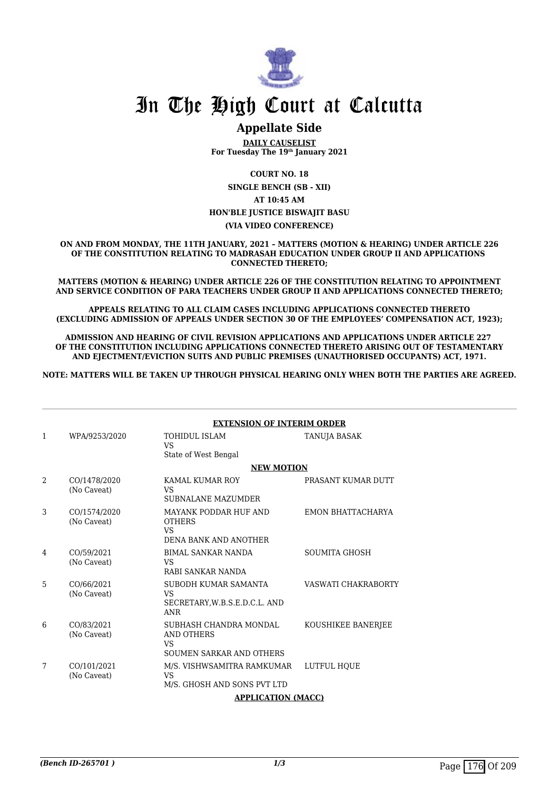

### **Appellate Side**

**DAILY CAUSELIST For Tuesday The 19th January 2021**

**COURT NO. 18**

**SINGLE BENCH (SB - XII) AT 10:45 AM HON'BLE JUSTICE BISWAJIT BASU (VIA VIDEO CONFERENCE)**

**ON AND FROM MONDAY, THE 11TH JANUARY, 2021 – MATTERS (MOTION & HEARING) UNDER ARTICLE 226 OF THE CONSTITUTION RELATING TO MADRASAH EDUCATION UNDER GROUP II AND APPLICATIONS CONNECTED THERETO;**

**MATTERS (MOTION & HEARING) UNDER ARTICLE 226 OF THE CONSTITUTION RELATING TO APPOINTMENT AND SERVICE CONDITION OF PARA TEACHERS UNDER GROUP II AND APPLICATIONS CONNECTED THERETO;**

**APPEALS RELATING TO ALL CLAIM CASES INCLUDING APPLICATIONS CONNECTED THERETO (EXCLUDING ADMISSION OF APPEALS UNDER SECTION 30 OF THE EMPLOYEES' COMPENSATION ACT, 1923);**

**ADMISSION AND HEARING OF CIVIL REVISION APPLICATIONS AND APPLICATIONS UNDER ARTICLE 227 OF THE CONSTITUTION INCLUDING APPLICATIONS CONNECTED THERETO ARISING OUT OF TESTAMENTARY AND EJECTMENT/EVICTION SUITS AND PUBLIC PREMISES (UNAUTHORISED OCCUPANTS) ACT, 1971.**

**NOTE: MATTERS WILL BE TAKEN UP THROUGH PHYSICAL HEARING ONLY WHEN BOTH THE PARTIES ARE AGREED.**

|   |                             | <b>EXTENSION OF INTERIM ORDER</b>                                                |                      |  |
|---|-----------------------------|----------------------------------------------------------------------------------|----------------------|--|
| 1 | WPA/9253/2020               | <b>TOHIDUL ISLAM</b><br><b>VS</b>                                                | TANUJA BASAK         |  |
|   |                             | State of West Bengal<br><b>NEW MOTION</b>                                        |                      |  |
| 2 | CO/1478/2020<br>(No Caveat) | KAMAL KUMAR ROY<br>VS<br><b>SUBNALANE MAZUMDER</b>                               | PRASANT KUMAR DUTT   |  |
| 3 | CO/1574/2020<br>(No Caveat) | MAYANK PODDAR HUF AND<br><b>OTHERS</b><br><b>VS</b><br>DENA BANK AND ANOTHER     | EMON BHATTACHARYA    |  |
| 4 | CO/59/2021<br>(No Caveat)   | <b>BIMAL SANKAR NANDA</b><br><b>VS</b><br>RABI SANKAR NANDA                      | <b>SOUMITA GHOSH</b> |  |
| 5 | CO/66/2021<br>(No Caveat)   | SUBODH KUMAR SAMANTA<br><b>VS</b><br>SECRETARY, W.B.S.E.D.C.L. AND<br><b>ANR</b> | VASWATI CHAKRABORTY  |  |
| 6 | CO/83/2021<br>(No Caveat)   | SUBHASH CHANDRA MONDAL<br>AND OTHERS<br><b>VS</b><br>SOUMEN SARKAR AND OTHERS    | KOUSHIKEE BANERJEE   |  |
| 7 | CO/101/2021<br>(No Caveat)  | M/S. VISHWSAMITRA RAMKUMAR<br>VS<br>M/S. GHOSH AND SONS PVT LTD                  | LUTFUL HOUE          |  |
|   |                             | <b>APPLICATION (MACC)</b>                                                        |                      |  |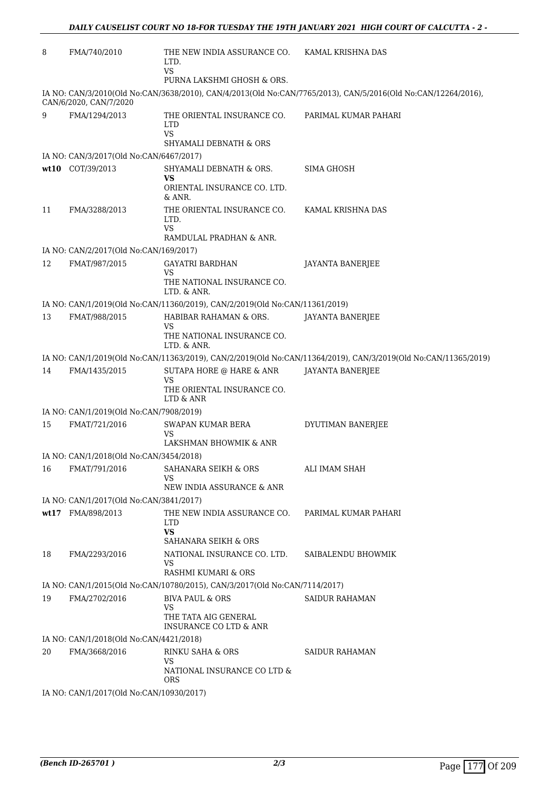| 8                                                                          | FMA/740/2010                                             | THE NEW INDIA ASSURANCE CO.<br>LTD.<br><b>VS</b>                            | KAMAL KRISHNA DAS                                                                                              |  |  |
|----------------------------------------------------------------------------|----------------------------------------------------------|-----------------------------------------------------------------------------|----------------------------------------------------------------------------------------------------------------|--|--|
|                                                                            |                                                          | PURNA LAKSHMI GHOSH & ORS.                                                  |                                                                                                                |  |  |
|                                                                            | CAN/6/2020, CAN/7/2020                                   |                                                                             | IA NO: CAN/3/2010(Old No:CAN/3638/2010), CAN/4/2013(Old No:CAN/7765/2013), CAN/5/2016(Old No:CAN/12264/2016),  |  |  |
| 9                                                                          | FMA/1294/2013                                            | THE ORIENTAL INSURANCE CO.<br><b>LTD</b><br>VS<br>SHYAMALI DEBNATH & ORS    | PARIMAL KUMAR PAHARI                                                                                           |  |  |
|                                                                            | IA NO: CAN/3/2017(Old No:CAN/6467/2017)                  |                                                                             |                                                                                                                |  |  |
|                                                                            | wt10 COT/39/2013                                         | SHYAMALI DEBNATH & ORS.                                                     | SIMA GHOSH                                                                                                     |  |  |
|                                                                            |                                                          | VS<br>ORIENTAL INSURANCE CO. LTD.<br>& ANR.                                 |                                                                                                                |  |  |
| 11                                                                         | FMA/3288/2013                                            | THE ORIENTAL INSURANCE CO.<br>LTD.<br>VS.<br>RAMDULAL PRADHAN & ANR.        | KAMAL KRISHNA DAS                                                                                              |  |  |
|                                                                            | IA NO: CAN/2/2017(Old No:CAN/169/2017)                   |                                                                             |                                                                                                                |  |  |
| 12                                                                         | FMAT/987/2015                                            | GAYATRI BARDHAN                                                             | JAYANTA BANERJEE                                                                                               |  |  |
|                                                                            |                                                          | VS<br>THE NATIONAL INSURANCE CO.                                            |                                                                                                                |  |  |
|                                                                            |                                                          | LTD. & ANR.                                                                 |                                                                                                                |  |  |
|                                                                            |                                                          | IA NO: CAN/1/2019(Old No:CAN/11360/2019), CAN/2/2019(Old No:CAN/11361/2019) |                                                                                                                |  |  |
| 13                                                                         | FMAT/988/2015                                            | HABIBAR RAHAMAN & ORS.<br>VS<br>THE NATIONAL INSURANCE CO.<br>LTD. & ANR.   | <b>JAYANTA BANERJEE</b>                                                                                        |  |  |
|                                                                            |                                                          |                                                                             | IA NO: CAN/1/2019(Old No:CAN/11363/2019), CAN/2/2019(Old No:CAN/11364/2019), CAN/3/2019(Old No:CAN/11365/2019) |  |  |
| 14                                                                         | FMA/1435/2015                                            | SUTAPA HORE @ HARE & ANR                                                    | JAYANTA BANERJEE                                                                                               |  |  |
|                                                                            |                                                          | VS<br>THE ORIENTAL INSURANCE CO.<br>LTD & ANR                               |                                                                                                                |  |  |
|                                                                            | IA NO: CAN/1/2019(Old No:CAN/7908/2019)                  |                                                                             |                                                                                                                |  |  |
| 15                                                                         | FMAT/721/2016                                            | SWAPAN KUMAR BERA<br>VS                                                     | DYUTIMAN BANERJEE                                                                                              |  |  |
|                                                                            |                                                          | LAKSHMAN BHOWMIK & ANR                                                      |                                                                                                                |  |  |
| 16                                                                         | IA NO: CAN/1/2018(Old No:CAN/3454/2018)<br>FMAT/791/2016 | SAHANARA SEIKH & ORS                                                        | ALI IMAM SHAH                                                                                                  |  |  |
|                                                                            |                                                          | VS<br>NEW INDIA ASSURANCE & ANR                                             |                                                                                                                |  |  |
|                                                                            | IA NO: CAN/1/2017(Old No:CAN/3841/2017)                  |                                                                             |                                                                                                                |  |  |
|                                                                            | wt17 FMA/898/2013                                        | THE NEW INDIA ASSURANCE CO.<br>LTD.<br><b>VS</b>                            | PARIMAL KUMAR PAHARI                                                                                           |  |  |
|                                                                            |                                                          | SAHANARA SEIKH & ORS                                                        |                                                                                                                |  |  |
| 18                                                                         | FMA/2293/2016                                            | NATIONAL INSURANCE CO. LTD.<br>VS<br>RASHMI KUMARI & ORS                    | SAIBALENDU BHOWMIK                                                                                             |  |  |
| IA NO: CAN/1/2015(Old No:CAN/10780/2015), CAN/3/2017(Old No:CAN/7114/2017) |                                                          |                                                                             |                                                                                                                |  |  |
| 19                                                                         | FMA/2702/2016                                            | <b>BIVA PAUL &amp; ORS</b>                                                  | <b>SAIDUR RAHAMAN</b>                                                                                          |  |  |
|                                                                            |                                                          | VS<br>THE TATA AIG GENERAL<br><b>INSURANCE CO LTD &amp; ANR</b>             |                                                                                                                |  |  |
|                                                                            | IA NO: CAN/1/2018(Old No:CAN/4421/2018)                  |                                                                             |                                                                                                                |  |  |
| 20                                                                         | FMA/3668/2016                                            | <b>RINKU SAHA &amp; ORS</b>                                                 | SAIDUR RAHAMAN                                                                                                 |  |  |
|                                                                            |                                                          | VS<br>NATIONAL INSURANCE CO LTD &<br>ORS                                    |                                                                                                                |  |  |
|                                                                            | IA NO: CAN/1/2017(Old No:CAN/10930/2017)                 |                                                                             |                                                                                                                |  |  |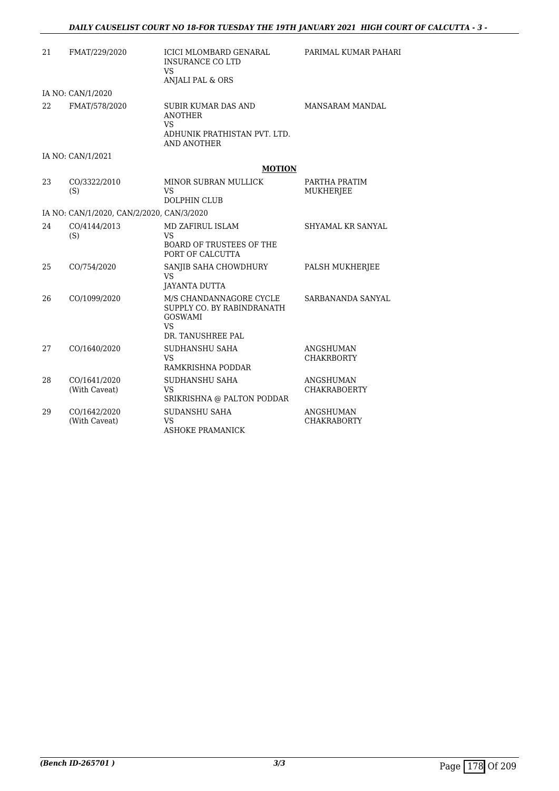| 21 | FMAT/229/2020                             | ICICI MLOMBARD GENARAL<br><b>INSURANCE CO LTD</b><br><b>VS</b><br>ANJALI PAL & ORS                              | PARIMAL KUMAR PAHARI                   |
|----|-------------------------------------------|-----------------------------------------------------------------------------------------------------------------|----------------------------------------|
|    | IA NO: CAN/1/2020                         |                                                                                                                 |                                        |
| 22 | FMAT/578/2020                             | <b>SUBIR KUMAR DAS AND</b><br><b>ANOTHER</b><br><b>VS</b><br>ADHUNIK PRATHISTAN PVT. LTD.<br><b>AND ANOTHER</b> | <b>MANSARAM MANDAL</b>                 |
|    | IA NO: CAN/1/2021                         |                                                                                                                 |                                        |
|    |                                           | <b>MOTION</b>                                                                                                   |                                        |
| 23 | CO/3322/2010<br>(S)                       | MINOR SUBRAN MULLICK<br>VS<br><b>DOLPHIN CLUB</b>                                                               | PARTHA PRATIM<br><b>MUKHERJEE</b>      |
|    | IA NO: CAN/1/2020, CAN/2/2020, CAN/3/2020 |                                                                                                                 |                                        |
| 24 | CO/4144/2013<br>(S)                       | MD ZAFIRUL ISLAM<br><b>VS</b><br><b>BOARD OF TRUSTEES OF THE</b><br>PORT OF CALCUTTA                            | SHYAMAL KR SANYAL                      |
| 25 | CO/754/2020                               | SANJIB SAHA CHOWDHURY<br><b>VS</b><br>JAYANTA DUTTA                                                             | PALSH MUKHERJEE                        |
| 26 | CO/1099/2020                              | M/S CHANDANNAGORE CYCLE<br>SUPPLY CO. BY RABINDRANATH<br><b>GOSWAMI</b><br><b>VS</b><br>DR. TANUSHREE PAL       | SARBANANDA SANYAL                      |
| 27 | CO/1640/2020                              | SUDHANSHU SAHA<br><b>VS</b><br>RAMKRISHNA PODDAR                                                                | <b>ANGSHUMAN</b><br><b>CHAKRBORTY</b>  |
| 28 | CO/1641/2020<br>(With Caveat)             | SUDHANSHU SAHA<br><b>VS</b><br>SRIKRISHNA @ PALTON PODDAR                                                       | ANGSHUMAN<br><b>CHAKRABOERTY</b>       |
| 29 | CO/1642/2020<br>(With Caveat)             | <b>SUDANSHU SAHA</b><br>VS<br><b>ASHOKE PRAMANICK</b>                                                           | <b>ANGSHUMAN</b><br><b>CHAKRABORTY</b> |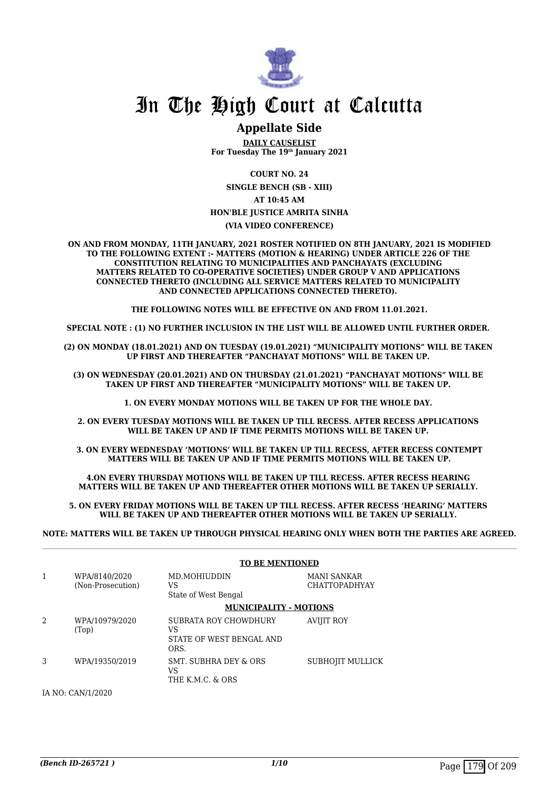

### **Appellate Side**

**DAILY CAUSELIST For Tuesday The 19th January 2021**

**COURT NO. 24**

**SINGLE BENCH (SB - XIII) AT 10:45 AM HON'BLE JUSTICE AMRITA SINHA**

#### **(VIA VIDEO CONFERENCE)**

**ON AND FROM MONDAY, 11TH JANUARY, 2021 ROSTER NOTIFIED ON 8TH JANUARY, 2021 IS MODIFIED TO THE FOLLOWING EXTENT :- MATTERS (MOTION & HEARING) UNDER ARTICLE 226 OF THE CONSTITUTION RELATING TO MUNICIPALITIES AND PANCHAYATS (EXCLUDING MATTERS RELATED TO CO-OPERATIVE SOCIETIES) UNDER GROUP V AND APPLICATIONS CONNECTED THERETO (INCLUDING ALL SERVICE MATTERS RELATED TO MUNICIPALITY AND CONNECTED APPLICATIONS CONNECTED THERETO).** 

**THE FOLLOWING NOTES WILL BE EFFECTIVE ON AND FROM 11.01.2021.**

**SPECIAL NOTE : (1) NO FURTHER INCLUSION IN THE LIST WILL BE ALLOWED UNTIL FURTHER ORDER.** 

**(2) ON MONDAY (18.01.2021) AND ON TUESDAY (19.01.2021) "MUNICIPALITY MOTIONS" WILL BE TAKEN UP FIRST AND THEREAFTER "PANCHAYAT MOTIONS" WILL BE TAKEN UP.** 

**(3) ON WEDNESDAY (20.01.2021) AND ON THURSDAY (21.01.2021) "PANCHAYAT MOTIONS" WILL BE TAKEN UP FIRST AND THEREAFTER "MUNICIPALITY MOTIONS" WILL BE TAKEN UP.** 

**1. ON EVERY MONDAY MOTIONS WILL BE TAKEN UP FOR THE WHOLE DAY.** 

**2. ON EVERY TUESDAY MOTIONS WILL BE TAKEN UP TILL RECESS. AFTER RECESS APPLICATIONS**  WILL BE TAKEN UP AND IF TIME PERMITS MOTIONS WILL BE TAKEN UP.

**3. ON EVERY WEDNESDAY 'MOTIONS' WILL BE TAKEN UP TILL RECESS, AFTER RECESS CONTEMPT MATTERS WILL BE TAKEN UP AND IF TIME PERMITS MOTIONS WILL BE TAKEN UP.**

**4.ON EVERY THURSDAY MOTIONS WILL BE TAKEN UP TILL RECESS. AFTER RECESS HEARING MATTERS WILL BE TAKEN UP AND THEREAFTER OTHER MOTIONS WILL BE TAKEN UP SERIALLY.** 

**5. ON EVERY FRIDAY MOTIONS WILL BE TAKEN UP TILL RECESS. AFTER RECESS 'HEARING' MATTERS WILL BE TAKEN UP AND THEREAFTER OTHER MOTIONS WILL BE TAKEN UP SERIALLY.** 

**NOTE: MATTERS WILL BE TAKEN UP THROUGH PHYSICAL HEARING ONLY WHEN BOTH THE PARTIES ARE AGREED.**

|                |                                    | <b>TO BE MENTIONED</b>                                          |                                     |
|----------------|------------------------------------|-----------------------------------------------------------------|-------------------------------------|
| 1              | WPA/8140/2020<br>(Non-Prosecution) | MD.MOHIUDDIN<br>VS<br>State of West Bengal                      | MANI SANKAR<br><b>CHATTOPADHYAY</b> |
|                |                                    | <b>MUNICIPALITY - MOTIONS</b>                                   |                                     |
| $\mathfrak{D}$ | WPA/10979/2020<br>(Top)            | SUBRATA ROY CHOWDHURY<br>VS<br>STATE OF WEST BENGAL AND<br>ORS. | AVIJIT ROY                          |
| 3              | WPA/19350/2019                     | SMT. SUBHRA DEY & ORS<br>VS<br>THE K.M.C. & ORS                 | SUBHOJIT MULLICK                    |

IA NO: CAN/1/2020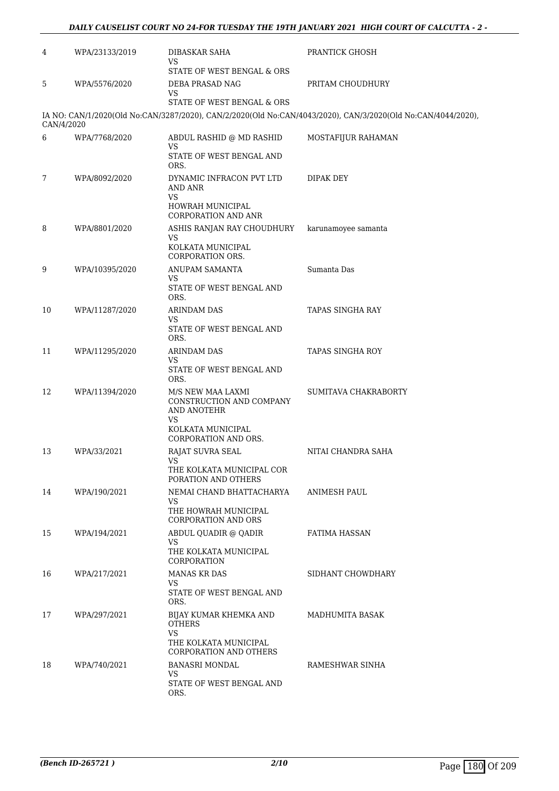#### *DAILY CAUSELIST COURT NO 24-FOR TUESDAY THE 19TH JANUARY 2021 HIGH COURT OF CALCUTTA - 2 -*

| 4          | WPA/23133/2019 | DIBASKAR SAHA<br>VS<br>STATE OF WEST BENGAL & ORS                                                               | <b>PRANTICK GHOSH</b>                                                                                        |
|------------|----------------|-----------------------------------------------------------------------------------------------------------------|--------------------------------------------------------------------------------------------------------------|
| 5          | WPA/5576/2020  | DEBA PRASAD NAG<br>VS                                                                                           | PRITAM CHOUDHURY                                                                                             |
| CAN/4/2020 |                | STATE OF WEST BENGAL & ORS                                                                                      | IA NO: CAN/1/2020(Old No:CAN/3287/2020), CAN/2/2020(Old No:CAN/4043/2020), CAN/3/2020(Old No:CAN/4044/2020), |
| 6          | WPA/7768/2020  | ABDUL RASHID @ MD RASHID<br>VS<br>STATE OF WEST BENGAL AND<br>ORS.                                              | MOSTAFIJUR RAHAMAN                                                                                           |
| 7          | WPA/8092/2020  | DYNAMIC INFRACON PVT LTD<br>AND ANR<br><b>VS</b><br>HOWRAH MUNICIPAL<br><b>CORPORATION AND ANR</b>              | DIPAK DEY                                                                                                    |
| 8          | WPA/8801/2020  | ASHIS RANJAN RAY CHOUDHURY<br><b>VS</b><br>KOLKATA MUNICIPAL<br>CORPORATION ORS.                                | karunamoyee samanta                                                                                          |
| 9          | WPA/10395/2020 | <b>ANUPAM SAMANTA</b><br>VS<br>STATE OF WEST BENGAL AND<br>ORS.                                                 | Sumanta Das                                                                                                  |
| 10         | WPA/11287/2020 | ARINDAM DAS<br>VS<br>STATE OF WEST BENGAL AND<br>ORS.                                                           | TAPAS SINGHA RAY                                                                                             |
| 11         | WPA/11295/2020 | <b>ARINDAM DAS</b><br>VS<br>STATE OF WEST BENGAL AND<br>ORS.                                                    | TAPAS SINGHA ROY                                                                                             |
| 12         | WPA/11394/2020 | M/S NEW MAA LAXMI<br>CONSTRUCTION AND COMPANY<br>AND ANOTEHR<br>VS<br>KOLKATA MUNICIPAL<br>CORPORATION AND ORS. | SUMITAVA CHAKRABORTY                                                                                         |
| 13         | WPA/33/2021    | RAJAT SUVRA SEAL<br>VS<br>THE KOLKATA MUNICIPAL COR<br>PORATION AND OTHERS                                      | NITAI CHANDRA SAHA                                                                                           |
| 14         | WPA/190/2021   | NEMAI CHAND BHATTACHARYA<br>VS<br>THE HOWRAH MUNICIPAL<br><b>CORPORATION AND ORS</b>                            | <b>ANIMESH PAUL</b>                                                                                          |
| 15         | WPA/194/2021   | ABDUL QUADIR @ QADIR<br>VS<br>THE KOLKATA MUNICIPAL<br>CORPORATION                                              | FATIMA HASSAN                                                                                                |
| 16         | WPA/217/2021   | <b>MANAS KR DAS</b><br>VS<br>STATE OF WEST BENGAL AND<br>ORS.                                                   | SIDHANT CHOWDHARY                                                                                            |
| 17         | WPA/297/2021   | BIJAY KUMAR KHEMKA AND<br><b>OTHERS</b><br><b>VS</b><br>THE KOLKATA MUNICIPAL<br><b>CORPORATION AND OTHERS</b>  | MADHUMITA BASAK                                                                                              |
| 18         | WPA/740/2021   | <b>BANASRI MONDAL</b><br>VS<br>STATE OF WEST BENGAL AND<br>ORS.                                                 | RAMESHWAR SINHA                                                                                              |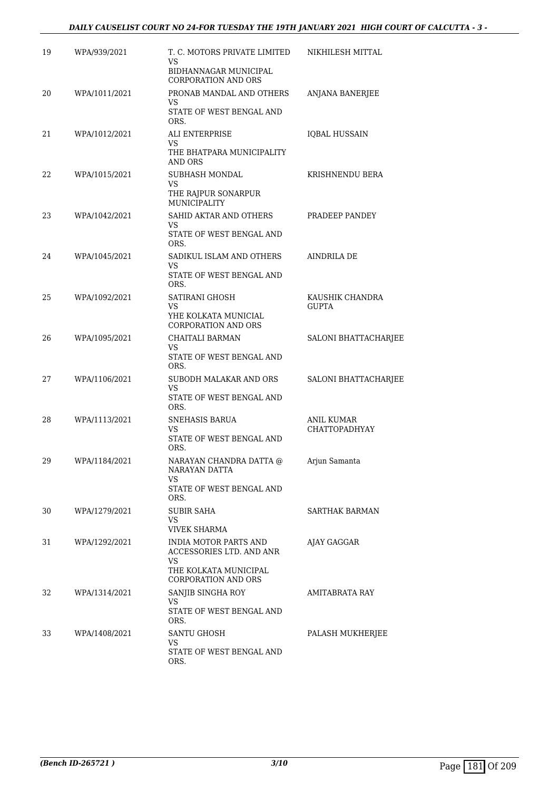#### *DAILY CAUSELIST COURT NO 24-FOR TUESDAY THE 19TH JANUARY 2021 HIGH COURT OF CALCUTTA - 3 -*

| 19 | WPA/939/2021  | T. C. MOTORS PRIVATE LIMITED<br>VS<br>BIDHANNAGAR MUNICIPAL | NIKHILESH MITTAL                          |
|----|---------------|-------------------------------------------------------------|-------------------------------------------|
|    |               | <b>CORPORATION AND ORS</b>                                  |                                           |
| 20 | WPA/1011/2021 | PRONAB MANDAL AND OTHERS<br>VS                              | ANJANA BANERJEE                           |
|    |               | STATE OF WEST BENGAL AND<br>ORS.                            |                                           |
| 21 | WPA/1012/2021 | ALI ENTERPRISE<br>VS                                        | <b>IQBAL HUSSAIN</b>                      |
|    |               | THE BHATPARA MUNICIPALITY<br><b>AND ORS</b>                 |                                           |
| 22 | WPA/1015/2021 | SUBHASH MONDAL<br>VS                                        | KRISHNENDU BERA                           |
|    |               | THE RAJPUR SONARPUR<br><b>MUNICIPALITY</b>                  |                                           |
| 23 | WPA/1042/2021 | SAHID AKTAR AND OTHERS<br>VS                                | PRADEEP PANDEY                            |
|    |               | STATE OF WEST BENGAL AND<br>ORS.                            |                                           |
| 24 | WPA/1045/2021 | SADIKUL ISLAM AND OTHERS<br>VS                              | <b>AINDRILA DE</b>                        |
|    |               | STATE OF WEST BENGAL AND<br>ORS.                            |                                           |
| 25 | WPA/1092/2021 | SATIRANI GHOSH<br>VS                                        | KAUSHIK CHANDRA<br><b>GUPTA</b>           |
|    |               | YHE KOLKATA MUNICIAL<br><b>CORPORATION AND ORS</b>          |                                           |
| 26 | WPA/1095/2021 | CHAITALI BARMAN<br>VS                                       | SALONI BHATTACHARJEE                      |
|    |               | STATE OF WEST BENGAL AND<br>ORS.                            |                                           |
| 27 | WPA/1106/2021 | SUBODH MALAKAR AND ORS<br>VS                                | SALONI BHATTACHARJEE                      |
|    |               | STATE OF WEST BENGAL AND<br>ORS.                            |                                           |
| 28 | WPA/1113/2021 | SNEHASIS BARUA<br>VS                                        | <b>ANIL KUMAR</b><br><b>CHATTOPADHYAY</b> |
|    |               | STATE OF WEST BENGAL AND<br>ORS.                            |                                           |
| 29 | WPA/1184/2021 | NARAYAN CHANDRA DATTA @<br>NARAYAN DATTA                    | Arjun Samanta                             |
|    |               | VS<br>STATE OF WEST BENGAL AND<br>ORS.                      |                                           |
| 30 | WPA/1279/2021 | SUBIR SAHA                                                  | <b>SARTHAK BARMAN</b>                     |
|    |               | VS.<br>VIVEK SHARMA                                         |                                           |
| 31 | WPA/1292/2021 | INDIA MOTOR PARTS AND                                       | AJAY GAGGAR                               |
|    |               | ACCESSORIES LTD. AND ANR<br>VS.                             |                                           |
|    |               | THE KOLKATA MUNICIPAL<br><b>CORPORATION AND ORS</b>         |                                           |
| 32 | WPA/1314/2021 | SANJIB SINGHA ROY                                           | AMITABRATA RAY                            |
|    |               | VS<br>STATE OF WEST BENGAL AND<br>ORS.                      |                                           |
| 33 | WPA/1408/2021 | SANTU GHOSH                                                 | PALASH MUKHERJEE                          |
|    |               | VS.<br>STATE OF WEST BENGAL AND<br>ORS.                     |                                           |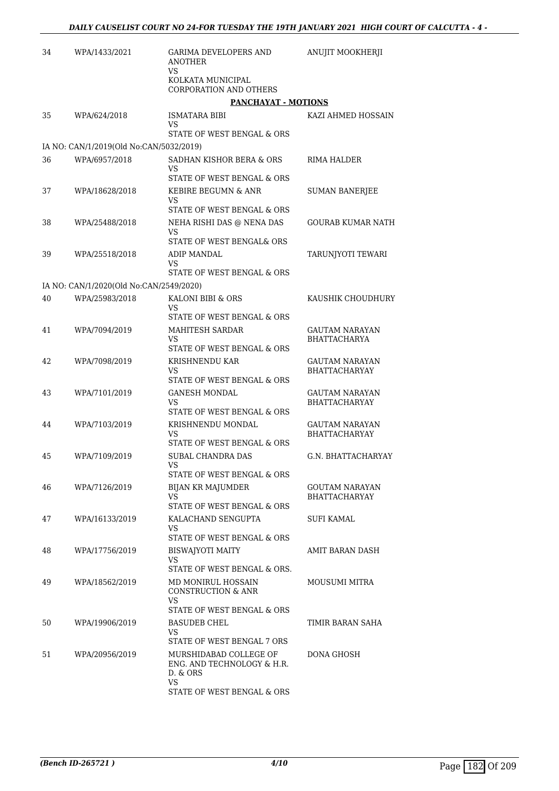| 34 | WPA/1433/2021                           | <b>GARIMA DEVELOPERS AND</b><br>ANOTHER                                 | ANUJIT MOOKHERJI                       |
|----|-----------------------------------------|-------------------------------------------------------------------------|----------------------------------------|
|    |                                         | VS<br>KOLKATA MUNICIPAL<br>CORPORATION AND OTHERS                       |                                        |
|    |                                         | <b>PANCHAYAT - MOTIONS</b>                                              |                                        |
| 35 | WPA/624/2018                            | ISMATARA BIBI<br>VS                                                     | KAZI AHMED HOSSAIN                     |
|    |                                         | STATE OF WEST BENGAL & ORS                                              |                                        |
|    | IA NO: CAN/1/2019(Old No:CAN/5032/2019) |                                                                         |                                        |
| 36 | WPA/6957/2018                           | SADHAN KISHOR BERA & ORS<br>VS<br>STATE OF WEST BENGAL & ORS            | RIMA HALDER                            |
| 37 | WPA/18628/2018                          | KEBIRE BEGUMN & ANR<br>VS                                               | <b>SUMAN BANERJEE</b>                  |
|    |                                         | STATE OF WEST BENGAL & ORS                                              |                                        |
| 38 | WPA/25488/2018                          | NEHA RISHI DAS @ NENA DAS<br>VS.<br>STATE OF WEST BENGAL& ORS           | GOURAB KUMAR NATH                      |
| 39 | WPA/25518/2018                          | <b>ADIP MANDAL</b>                                                      | TARUNJYOTI TEWARI                      |
|    |                                         | VS                                                                      |                                        |
|    |                                         | STATE OF WEST BENGAL & ORS                                              |                                        |
|    | IA NO: CAN/1/2020(Old No:CAN/2549/2020) |                                                                         |                                        |
| 40 | WPA/25983/2018                          | KALONI BIBI & ORS<br>VS                                                 | KAUSHIK CHOUDHURY                      |
| 41 | WPA/7094/2019                           | STATE OF WEST BENGAL & ORS<br>MAHITESH SARDAR                           | <b>GAUTAM NARAYAN</b>                  |
|    |                                         | VS<br>STATE OF WEST BENGAL & ORS                                        | <b>BHATTACHARYA</b>                    |
| 42 | WPA/7098/2019                           | KRISHNENDU KAR<br>VS                                                    | GAUTAM NARAYAN<br><b>BHATTACHARYAY</b> |
|    |                                         | STATE OF WEST BENGAL & ORS                                              |                                        |
| 43 | WPA/7101/2019                           | GANESH MONDAL<br>VS<br>STATE OF WEST BENGAL & ORS                       | GAUTAM NARAYAN<br><b>BHATTACHARYAY</b> |
| 44 | WPA/7103/2019                           | KRISHNENDU MONDAL                                                       | GAUTAM NARAYAN                         |
|    |                                         | VS<br>STATE OF WEST BENGAL & ORS                                        | BHATTACHARYAY                          |
| 45 | WPA/7109/2019                           | <b>SUBAL CHANDRA DAS</b>                                                | G.N. BHATTACHARYAY                     |
|    |                                         | VS<br>STATE OF WEST BENGAL & ORS                                        |                                        |
| 46 | WPA/7126/2019                           | <b>BIJAN KR MAJUMDER</b>                                                | GOUTAM NARAYAN                         |
|    |                                         | <b>VS</b><br>STATE OF WEST BENGAL & ORS                                 | <b>BHATTACHARYAY</b>                   |
| 47 | WPA/16133/2019                          | KALACHAND SENGUPTA                                                      | <b>SUFI KAMAL</b>                      |
|    |                                         | VS<br>STATE OF WEST BENGAL & ORS                                        |                                        |
| 48 | WPA/17756/2019                          | <b>BISWAJYOTI MAITY</b>                                                 | AMIT BARAN DASH                        |
|    |                                         | VS<br>STATE OF WEST BENGAL & ORS.                                       |                                        |
| 49 | WPA/18562/2019                          | MD MONIRUL HOSSAIN<br>CONSTRUCTION & ANR                                | MOUSUMI MITRA                          |
|    |                                         | VS<br>STATE OF WEST BENGAL & ORS                                        |                                        |
| 50 | WPA/19906/2019                          | <b>BASUDEB CHEL</b><br>VS                                               | TIMIR BARAN SAHA                       |
|    |                                         | STATE OF WEST BENGAL 7 ORS                                              |                                        |
| 51 | WPA/20956/2019                          | MURSHIDABAD COLLEGE OF<br>ENG. AND TECHNOLOGY & H.R.<br>D. & ORS<br>VS. | DONA GHOSH                             |
|    |                                         | STATE OF WEST BENGAL & ORS                                              |                                        |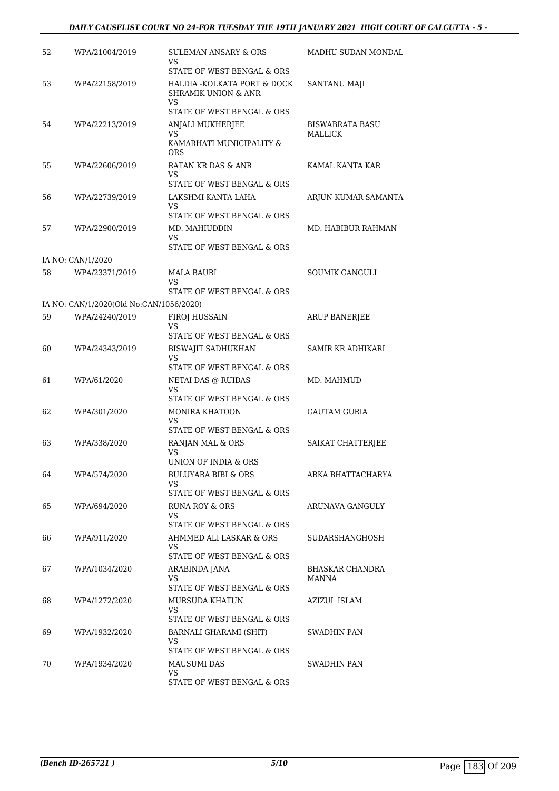#### *DAILY CAUSELIST COURT NO 24-FOR TUESDAY THE 19TH JANUARY 2021 HIGH COURT OF CALCUTTA - 5 -*

| 52 | WPA/21004/2019                          | SULEMAN ANSARY & ORS<br>VS<br>STATE OF WEST BENGAL & ORS              | MADHU SUDAN MONDAL       |
|----|-----------------------------------------|-----------------------------------------------------------------------|--------------------------|
| 53 | WPA/22158/2019                          | HALDIA - KOLKATA PORT & DOCK<br><b>SHRAMIK UNION &amp; ANR</b><br>VS. | SANTANU MAJI             |
|    |                                         | STATE OF WEST BENGAL & ORS                                            |                          |
| 54 | WPA/22213/2019                          | ANJALI MUKHERJEE                                                      | BISWABRATA BASU          |
|    |                                         | VS.<br>KAMARHATI MUNICIPALITY &<br><b>ORS</b>                         | MALLICK                  |
| 55 | WPA/22606/2019                          | RATAN KR DAS & ANR<br>VS                                              | KAMAL KANTA KAR          |
|    |                                         | STATE OF WEST BENGAL & ORS                                            |                          |
| 56 | WPA/22739/2019                          | LAKSHMI KANTA LAHA<br>VS<br>STATE OF WEST BENGAL & ORS                | ARJUN KUMAR SAMANTA      |
| 57 | WPA/22900/2019                          | MD. MAHIUDDIN                                                         | MD. HABIBUR RAHMAN       |
|    |                                         | VS.                                                                   |                          |
|    |                                         | STATE OF WEST BENGAL & ORS                                            |                          |
|    | IA NO: CAN/1/2020                       |                                                                       |                          |
| 58 | WPA/23371/2019                          | <b>MALA BAURI</b><br>VS                                               | SOUMIK GANGULI           |
|    |                                         | STATE OF WEST BENGAL & ORS                                            |                          |
|    | IA NO: CAN/1/2020(Old No:CAN/1056/2020) |                                                                       |                          |
| 59 | WPA/24240/2019                          | FIROJ HUSSAIN<br>VS                                                   | <b>ARUP BANERJEE</b>     |
|    |                                         | STATE OF WEST BENGAL & ORS                                            |                          |
| 60 | WPA/24343/2019                          | <b>BISWAJIT SADHUKHAN</b><br>VS<br>STATE OF WEST BENGAL & ORS         | SAMIR KR ADHIKARI        |
| 61 | WPA/61/2020                             | NETAI DAS @ RUIDAS                                                    | MD. MAHMUD               |
|    |                                         | VS.                                                                   |                          |
| 62 | WPA/301/2020                            | STATE OF WEST BENGAL & ORS<br><b>MONIRA KHATOON</b>                   | GAUTAM GURIA             |
|    |                                         | VS<br>STATE OF WEST BENGAL & ORS                                      |                          |
| 63 | WPA/338/2020                            | RANJAN MAL & ORS<br>VS<br>UNION OF INDIA & ORS                        | SAIKAT CHATTERJEE        |
| 64 | WPA/574/2020                            | BULUYARA BIBI & ORS                                                   | ARKA BHATTACHARYA        |
|    |                                         | VS<br>STATE OF WEST BENGAL & ORS                                      |                          |
| 65 | WPA/694/2020                            | <b>RUNA ROY &amp; ORS</b>                                             | ARUNAVA GANGULY          |
|    |                                         | VS.<br>STATE OF WEST BENGAL & ORS                                     |                          |
| 66 | WPA/911/2020                            | AHMMED ALI LASKAR & ORS<br>VS                                         | SUDARSHANGHOSH           |
|    |                                         | STATE OF WEST BENGAL & ORS                                            |                          |
| 67 | WPA/1034/2020                           | ARABINDA JANA<br>VS<br>STATE OF WEST BENGAL & ORS                     | BHASKAR CHANDRA<br>MANNA |
| 68 | WPA/1272/2020                           | MURSUDA KHATUN<br>VS.                                                 | AZIZUL ISLAM             |
|    |                                         | STATE OF WEST BENGAL & ORS                                            |                          |
| 69 | WPA/1932/2020                           | BARNALI GHARAMI (SHIT)<br>VS.<br>STATE OF WEST BENGAL & ORS           | SWADHIN PAN              |
| 70 | WPA/1934/2020                           | MAUSUMI DAS                                                           | SWADHIN PAN              |
|    |                                         | VS<br>STATE OF WEST BENGAL & ORS                                      |                          |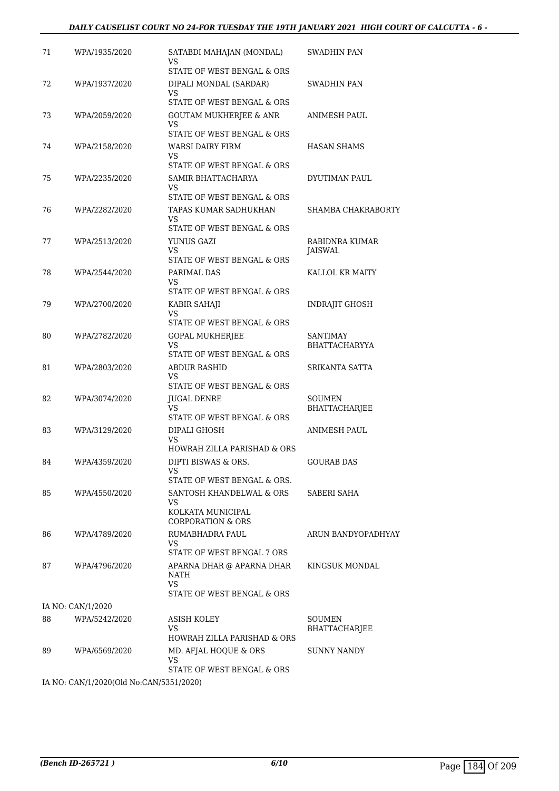#### *DAILY CAUSELIST COURT NO 24-FOR TUESDAY THE 19TH JANUARY 2021 HIGH COURT OF CALCUTTA - 6 -*

| 71 | WPA/1935/2020     | SATABDI MAHAJAN (MONDAL)<br>VS<br>STATE OF WEST BENGAL & ORS                            | SWADHIN PAN                      |
|----|-------------------|-----------------------------------------------------------------------------------------|----------------------------------|
| 72 | WPA/1937/2020     | DIPALI MONDAL (SARDAR)<br>VS                                                            | SWADHIN PAN                      |
| 73 | WPA/2059/2020     | STATE OF WEST BENGAL & ORS<br><b>GOUTAM MUKHERJEE &amp; ANR</b><br>VS                   | ANIMESH PAUL                     |
| 74 | WPA/2158/2020     | STATE OF WEST BENGAL & ORS<br><b>WARSI DAIRY FIRM</b><br>VS                             | <b>HASAN SHAMS</b>               |
| 75 | WPA/2235/2020     | STATE OF WEST BENGAL & ORS<br>SAMIR BHATTACHARYA<br>VS.                                 | DYUTIMAN PAUL                    |
| 76 | WPA/2282/2020     | STATE OF WEST BENGAL & ORS<br>TAPAS KUMAR SADHUKHAN<br>VS<br>STATE OF WEST BENGAL & ORS | SHAMBA CHAKRABORTY               |
| 77 | WPA/2513/2020     | YUNUS GAZI<br>VS<br>STATE OF WEST BENGAL & ORS                                          | RABIDNRA KUMAR<br><b>JAISWAL</b> |
| 78 | WPA/2544/2020     | PARIMAL DAS<br>VS                                                                       | KALLOL KR MAITY                  |
| 79 | WPA/2700/2020     | STATE OF WEST BENGAL & ORS<br>KABIR SAHAJI<br>VS<br>STATE OF WEST BENGAL & ORS          | <b>INDRAJIT GHOSH</b>            |
| 80 | WPA/2782/2020     | <b>GOPAL MUKHERJEE</b><br>VS.<br>STATE OF WEST BENGAL & ORS                             | SANTIMAY<br><b>BHATTACHARYYA</b> |
| 81 | WPA/2803/2020     | ABDUR RASHID<br>VS<br>STATE OF WEST BENGAL & ORS                                        | SRIKANTA SATTA                   |
| 82 | WPA/3074/2020     | JUGAL DENRE<br>VS<br>STATE OF WEST BENGAL & ORS                                         | SOUMEN<br>BHATTACHARJEE          |
| 83 | WPA/3129/2020     | DIPALI GHOSH<br>VS<br>HOWRAH ZILLA PARISHAD & ORS                                       | ANIMESH PAUL                     |
| 84 | WPA/4359/2020     | DIPTI BISWAS & ORS.<br>VS<br>STATE OF WEST BENGAL & ORS.                                | <b>GOURAB DAS</b>                |
| 85 | WPA/4550/2020     | SANTOSH KHANDELWAL & ORS<br>VS.<br>KOLKATA MUNICIPAL<br><b>CORPORATION &amp; ORS</b>    | SABERI SAHA                      |
| 86 | WPA/4789/2020     | RUMABHADRA PAUL<br>VS.<br>STATE OF WEST BENGAL 7 ORS                                    | ARUN BANDYOPADHYAY               |
| 87 | WPA/4796/2020     | APARNA DHAR @ APARNA DHAR<br>NATH<br>VS.<br>STATE OF WEST BENGAL & ORS                  | KINGSUK MONDAL                   |
|    | IA NO: CAN/1/2020 |                                                                                         |                                  |
| 88 | WPA/5242/2020     | ASISH KOLEY<br>VS.<br>HOWRAH ZILLA PARISHAD & ORS                                       | SOUMEN<br>BHATTACHARJEE          |
| 89 | WPA/6569/2020     | MD. AFJAL HOQUE & ORS<br>VS<br>STATE OF WEST BENGAL & ORS                               | <b>SUNNY NANDY</b>               |

IA NO: CAN/1/2020(Old No:CAN/5351/2020)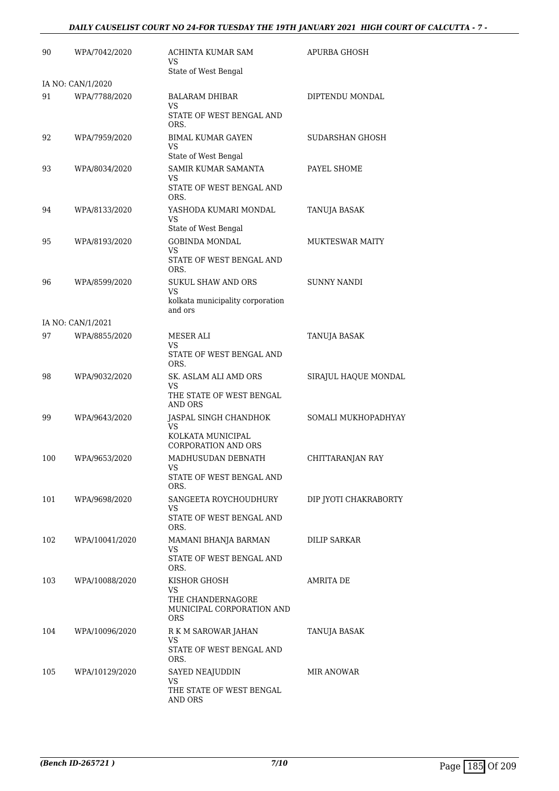#### *DAILY CAUSELIST COURT NO 24-FOR TUESDAY THE 19TH JANUARY 2021 HIGH COURT OF CALCUTTA - 7 -*

| 90  | WPA/7042/2020     | ACHINTA KUMAR SAM<br>VS                                        | APURBA GHOSH           |
|-----|-------------------|----------------------------------------------------------------|------------------------|
|     |                   | State of West Bengal                                           |                        |
|     | IA NO: CAN/1/2020 |                                                                |                        |
| 91  | WPA/7788/2020     | <b>BALARAM DHIBAR</b><br>VS                                    | DIPTENDU MONDAL        |
|     |                   | STATE OF WEST BENGAL AND<br>ORS.                               |                        |
| 92  | WPA/7959/2020     | <b>BIMAL KUMAR GAYEN</b><br>VS                                 | SUDARSHAN GHOSH        |
| 93  | WPA/8034/2020     | State of West Bengal<br>SAMIR KUMAR SAMANTA                    | PAYEL SHOME            |
|     |                   | VS                                                             |                        |
|     |                   | STATE OF WEST BENGAL AND<br>ORS.                               |                        |
| 94  | WPA/8133/2020     | YASHODA KUMARI MONDAL<br>VS                                    | TANUJA BASAK           |
|     |                   | State of West Bengal                                           |                        |
| 95  | WPA/8193/2020     | <b>GOBINDA MONDAL</b><br><b>VS</b><br>STATE OF WEST BENGAL AND | <b>MUKTESWAR MAITY</b> |
|     |                   | ORS.                                                           |                        |
| 96  | WPA/8599/2020     | <b>SUKUL SHAW AND ORS</b>                                      | <b>SUNNY NANDI</b>     |
|     |                   | VS<br>kolkata municipality corporation<br>and ors              |                        |
|     | IA NO: CAN/1/2021 |                                                                |                        |
| 97  | WPA/8855/2020     | MESER ALI                                                      | TANUJA BASAK           |
|     |                   | VS<br>STATE OF WEST BENGAL AND<br>ORS.                         |                        |
| 98  | WPA/9032/2020     | SK. ASLAM ALI AMD ORS<br>VS                                    | SIRAJUL HAQUE MONDAL   |
|     |                   | THE STATE OF WEST BENGAL<br>AND ORS                            |                        |
| 99  | WPA/9643/2020     | JASPAL SINGH CHANDHOK<br>VS                                    | SOMALI MUKHOPADHYAY    |
|     |                   | KOLKATA MUNICIPAL<br><b>CORPORATION AND ORS</b>                |                        |
| 100 | WPA/9653/2020     | MADHUSUDAN DEBNATH<br>VS                                       | CHITTARANJAN RAY       |
|     |                   | STATE OF WEST BENGAL AND<br>ORS.                               |                        |
| 101 | WPA/9698/2020     | SANGEETA ROYCHOUDHURY<br>VS                                    | DIP JYOTI CHAKRABORTY  |
|     |                   | STATE OF WEST BENGAL AND<br>ORS.                               |                        |
| 102 | WPA/10041/2020    | MAMANI BHANJA BARMAN<br>VS                                     | <b>DILIP SARKAR</b>    |
|     |                   | STATE OF WEST BENGAL AND<br>ORS.                               |                        |
| 103 | WPA/10088/2020    | KISHOR GHOSH<br>VS                                             | AMRITA DE              |
|     |                   | THE CHANDERNAGORE<br>MUNICIPAL CORPORATION AND<br>ORS.         |                        |
| 104 | WPA/10096/2020    | R K M SAROWAR JAHAN                                            | TANUJA BASAK           |
|     |                   | VS<br>STATE OF WEST BENGAL AND<br>ORS.                         |                        |
| 105 | WPA/10129/2020    | SAYED NEAJUDDIN                                                | MIR ANOWAR             |
|     |                   | VS<br>THE STATE OF WEST BENGAL<br>AND ORS                      |                        |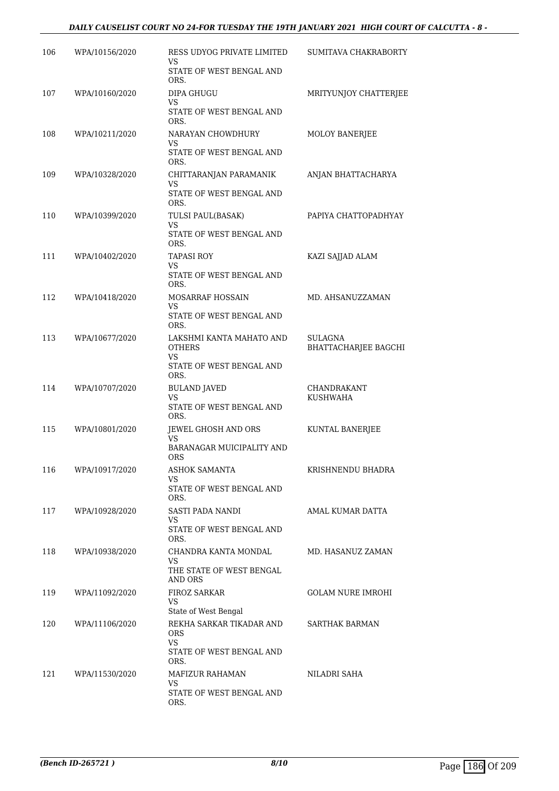#### *DAILY CAUSELIST COURT NO 24-FOR TUESDAY THE 19TH JANUARY 2021 HIGH COURT OF CALCUTTA - 8 -*

| 106 | WPA/10156/2020 | RESS UDYOG PRIVATE LIMITED<br>VS                | SUMITAVA CHAKRABORTY            |
|-----|----------------|-------------------------------------------------|---------------------------------|
|     |                | STATE OF WEST BENGAL AND<br>ORS.                |                                 |
| 107 | WPA/10160/2020 | <b>DIPA GHUGU</b><br>VS                         | MRITYUNJOY CHATTERJEE           |
|     |                | STATE OF WEST BENGAL AND<br>ORS.                |                                 |
| 108 | WPA/10211/2020 | NARAYAN CHOWDHURY<br>VS                         | MOLOY BANERJEE                  |
|     |                | STATE OF WEST BENGAL AND<br>ORS.                |                                 |
| 109 | WPA/10328/2020 | CHITTARANJAN PARAMANIK<br>VS                    | ANJAN BHATTACHARYA              |
|     |                | STATE OF WEST BENGAL AND<br>ORS.                |                                 |
| 110 | WPA/10399/2020 | TULSI PAUL(BASAK)<br>VS                         | PAPIYA CHATTOPADHYAY            |
|     |                | STATE OF WEST BENGAL AND<br>ORS.                |                                 |
| 111 | WPA/10402/2020 | TAPASI ROY<br>VS                                | KAZI SAJJAD ALAM                |
|     |                | STATE OF WEST BENGAL AND<br>ORS.                |                                 |
| 112 | WPA/10418/2020 | MOSARRAF HOSSAIN<br><b>VS</b>                   | MD. AHSANUZZAMAN                |
|     |                | STATE OF WEST BENGAL AND<br>ORS.                |                                 |
| 113 | WPA/10677/2020 | LAKSHMI KANTA MAHATO AND<br><b>OTHERS</b><br>VS | SULAGNA<br>BHATTACHARJEE BAGCHI |
|     |                | STATE OF WEST BENGAL AND<br>ORS.                |                                 |
| 114 | WPA/10707/2020 | <b>BULAND JAVED</b><br>VS                       | CHANDRAKANT<br><b>KUSHWAHA</b>  |
|     |                | STATE OF WEST BENGAL AND<br>ORS.                |                                 |
| 115 | WPA/10801/2020 | JEWEL GHOSH AND ORS<br>VS                       | KUNTAL BANERJEE                 |
|     |                | BARANAGAR MUICIPALITY AND<br><b>ORS</b>         |                                 |
| 116 | WPA/10917/2020 | ASHOK SAMANTA<br>VS                             | KRISHNENDU BHADRA               |
|     |                | STATE OF WEST BENGAL AND<br>ORS.                |                                 |
| 117 | WPA/10928/2020 | SASTI PADA NANDI<br>VS.                         | AMAL KUMAR DATTA                |
|     |                | STATE OF WEST BENGAL AND<br>ORS.                |                                 |
| 118 | WPA/10938/2020 | CHANDRA KANTA MONDAL<br>VS                      | MD. HASANUZ ZAMAN               |
|     |                | THE STATE OF WEST BENGAL<br><b>AND ORS</b>      |                                 |
| 119 | WPA/11092/2020 | FIROZ SARKAR<br>VS<br>State of West Bengal      | GOLAM NURE IMROHI               |
| 120 | WPA/11106/2020 | REKHA SARKAR TIKADAR AND                        | SARTHAK BARMAN                  |
|     |                | ORS<br>VS                                       |                                 |
|     |                | STATE OF WEST BENGAL AND<br>ORS.                |                                 |
| 121 | WPA/11530/2020 | MAFIZUR RAHAMAN                                 | NILADRI SAHA                    |
|     |                | VS<br>STATE OF WEST BENGAL AND<br>ORS.          |                                 |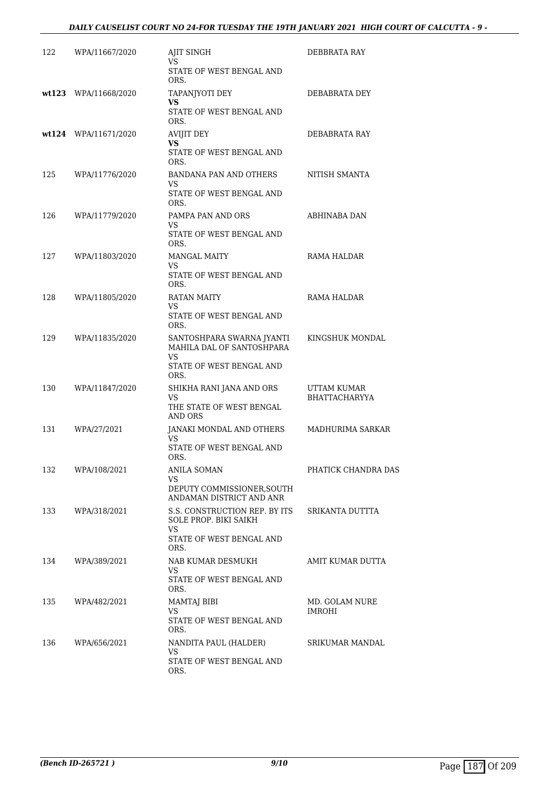#### *DAILY CAUSELIST COURT NO 24-FOR TUESDAY THE 19TH JANUARY 2021 HIGH COURT OF CALCUTTA - 9 -*

| 122 | WPA/11667/2020       | AJIT SINGH<br>VS                                                                                  | DEBBRATA RAY                        |
|-----|----------------------|---------------------------------------------------------------------------------------------------|-------------------------------------|
|     |                      | STATE OF WEST BENGAL AND<br>ORS.                                                                  |                                     |
|     | wt123 WPA/11668/2020 | TAPANJYOTI DEY<br>VS.<br>STATE OF WEST BENGAL AND<br>ORS.                                         | DEBABRATA DEY                       |
|     | wt124 WPA/11671/2020 | AVIJIT DEY<br>VS.<br>STATE OF WEST BENGAL AND<br>ORS.                                             | DEBABRATA RAY                       |
| 125 | WPA/11776/2020       | BANDANA PAN AND OTHERS<br>VS<br>STATE OF WEST BENGAL AND<br>ORS.                                  | NITISH SMANTA                       |
| 126 | WPA/11779/2020       | PAMPA PAN AND ORS<br>VS<br>STATE OF WEST BENGAL AND<br>ORS.                                       | ABHINABA DAN                        |
| 127 | WPA/11803/2020       | <b>MANGAL MAITY</b><br>VS<br>STATE OF WEST BENGAL AND<br>ORS.                                     | RAMA HALDAR                         |
| 128 | WPA/11805/2020       | RATAN MAITY<br>VS<br>STATE OF WEST BENGAL AND<br>ORS.                                             | RAMA HALDAR                         |
| 129 | WPA/11835/2020       | SANTOSHPARA SWARNA JYANTI<br>MAHILA DAL OF SANTOSHPARA<br>VS<br>STATE OF WEST BENGAL AND          | KINGSHUK MONDAL                     |
| 130 | WPA/11847/2020       | ORS.<br>SHIKHA RANI JANA AND ORS<br>VS<br>THE STATE OF WEST BENGAL<br>AND ORS                     | UTTAM KUMAR<br><b>BHATTACHARYYA</b> |
| 131 | WPA/27/2021          | JANAKI MONDAL AND OTHERS<br>VS<br>STATE OF WEST BENGAL AND<br>ORS.                                | MADHURIMA SARKAR                    |
| 132 | WPA/108/2021         | ANILA SOMAN<br>VS.<br>DEPUTY COMMISSIONER, SOUTH<br>ANDAMAN DISTRICT AND ANR                      | PHATICK CHANDRA DAS                 |
| 133 | WPA/318/2021         | S.S. CONSTRUCTION REP. BY ITS<br>SOLE PROP. BIKI SAIKH<br>VS.<br>STATE OF WEST BENGAL AND<br>ORS. | SRIKANTA DUTTTA                     |
| 134 | WPA/389/2021         | NAB KUMAR DESMUKH<br>VS<br>STATE OF WEST BENGAL AND<br>ORS.                                       | AMIT KUMAR DUTTA                    |
| 135 | WPA/482/2021         | <b>MAMTAJ BIBI</b><br>VS.<br>STATE OF WEST BENGAL AND<br>ORS.                                     | MD. GOLAM NURE<br>IMROHI            |
| 136 | WPA/656/2021         | NANDITA PAUL (HALDER)<br>VS<br>STATE OF WEST BENGAL AND<br>ORS.                                   | SRIKUMAR MANDAL                     |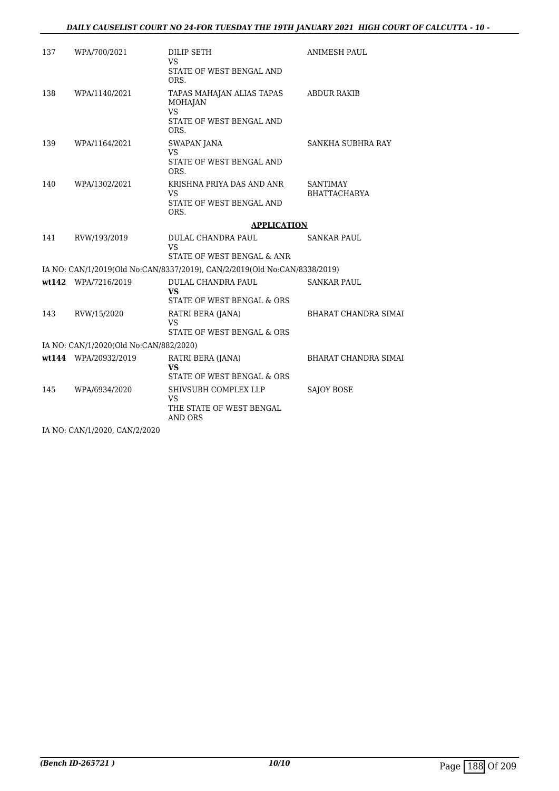| 137 | WPA/700/2021                           | DILIP SETH<br>VS.                                                                    | <b>ANIMESH PAUL</b>             |
|-----|----------------------------------------|--------------------------------------------------------------------------------------|---------------------------------|
|     |                                        | STATE OF WEST BENGAL AND<br>ORS.                                                     |                                 |
| 138 | WPA/1140/2021                          | TAPAS MAHAJAN ALIAS TAPAS<br><b>MOHAJAN</b><br><b>VS</b><br>STATE OF WEST BENGAL AND | <b>ABDUR RAKIB</b>              |
|     |                                        | ORS.                                                                                 |                                 |
| 139 | WPA/1164/2021                          | SWAPAN JANA<br>VS<br>STATE OF WEST BENGAL AND                                        | SANKHA SUBHRA RAY               |
|     |                                        | ORS.                                                                                 |                                 |
| 140 | WPA/1302/2021                          | KRISHNA PRIYA DAS AND ANR<br>VS.                                                     | SANTIMAY<br><b>BHATTACHARYA</b> |
|     |                                        | STATE OF WEST BENGAL AND<br>ORS.                                                     |                                 |
|     |                                        | <b>APPLICATION</b>                                                                   |                                 |
| 141 | RVW/193/2019                           | DULAL CHANDRA PAUL<br>VS.                                                            | <b>SANKAR PAUL</b>              |
|     |                                        | STATE OF WEST BENGAL & ANR                                                           |                                 |
|     |                                        | IA NO: CAN/1/2019(Old No:CAN/8337/2019), CAN/2/2019(Old No:CAN/8338/2019)            |                                 |
|     | wt142 WPA/7216/2019                    | DULAL CHANDRA PAUL<br><b>VS</b><br>STATE OF WEST BENGAL & ORS                        | <b>SANKAR PAUL</b>              |
|     |                                        |                                                                                      |                                 |
| 143 | RVW/15/2020                            | RATRI BERA (JANA)<br>VS<br>STATE OF WEST BENGAL & ORS                                | <b>BHARAT CHANDRA SIMAI</b>     |
|     | IA NO: CAN/1/2020(Old No:CAN/882/2020) |                                                                                      |                                 |
|     | wt144 WPA/20932/2019                   | RATRI BERA (JANA)                                                                    | <b>BHARAT CHANDRA SIMAI</b>     |
|     |                                        | VS<br>STATE OF WEST BENGAL & ORS                                                     |                                 |
| 145 | WPA/6934/2020                          | SHIVSUBH COMPLEX LLP<br>VS.<br>THE STATE OF WEST BENGAL<br><b>AND ORS</b>            | <b>SAJOY BOSE</b>               |
|     |                                        |                                                                                      |                                 |

IA NO: CAN/1/2020, CAN/2/2020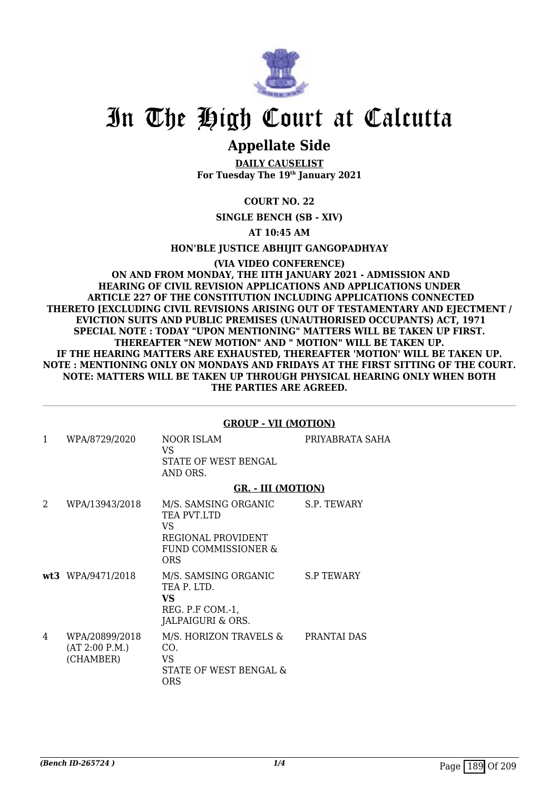

### **Appellate Side**

**DAILY CAUSELIST For Tuesday The 19th January 2021**

**COURT NO. 22**

**SINGLE BENCH (SB - XIV)**

**AT 10:45 AM**

**HON'BLE JUSTICE ABHIJIT GANGOPADHYAY**

**(VIA VIDEO CONFERENCE) ON AND FROM MONDAY, THE IITH JANUARY 2021 - ADMISSION AND HEARING OF CIVIL REVISION APPLICATIONS AND APPLICATIONS UNDER ARTICLE 227 OF THE CONSTITUTION INCLUDING APPLICATIONS CONNECTED THERETO [EXCLUDING CIVIL REVISIONS ARISING OUT OF TESTAMENTARY AND EJECTMENT / EVICTION SUITS AND PUBLIC PREMISES (UNAUTHORISED OCCUPANTS) ACT, 1971 SPECIAL NOTE : TODAY "UPON MENTIONING" MATTERS WILL BE TAKEN UP FIRST. THEREAFTER "NEW MOTION" AND " MOTION" WILL BE TAKEN UP. IF THE HEARING MATTERS ARE EXHAUSTED, THEREAFTER 'MOTION' WILL BE TAKEN UP. NOTE : MENTIONING ONLY ON MONDAYS AND FRIDAYS AT THE FIRST SITTING OF THE COURT. NOTE: MATTERS WILL BE TAKEN UP THROUGH PHYSICAL HEARING ONLY WHEN BOTH THE PARTIES ARE AGREED.**

#### **GROUP - VII (MOTION)**

| 1                           | WPA/8729/2020                                 | NOOR ISLAM<br>VS.<br>STATE OF WEST BENGAL<br>AND ORS.                                                      | PRIYABRATA SAHA   |
|-----------------------------|-----------------------------------------------|------------------------------------------------------------------------------------------------------------|-------------------|
|                             |                                               | <b>GR. - III (MOTION)</b>                                                                                  |                   |
| $\mathcal{D}_{\mathcal{L}}$ | WPA/13943/2018                                | M/S. SAMSING ORGANIC S.P. TEWARY<br>TEA PVT.LTD<br>VS.<br>REGIONAL PROVIDENT<br>FUND COMMISSIONER &<br>ORS |                   |
|                             | wt3 WPA/9471/2018                             | M/S. SAMSING ORGANIC<br>TEA P. LTD.<br><b>VS</b><br>REG. P.F COM.-1,<br>JALPAIGURI & ORS.                  | <b>S.P TEWARY</b> |
| 4                           | WPA/20899/2018<br>(AT 2:00 P.M.)<br>(CHAMBER) | M/S. HORIZON TRAVELS &<br>CO.<br>VS.<br>STATE OF WEST BENGAL &<br><b>ORS</b>                               | PRANTAI DAS       |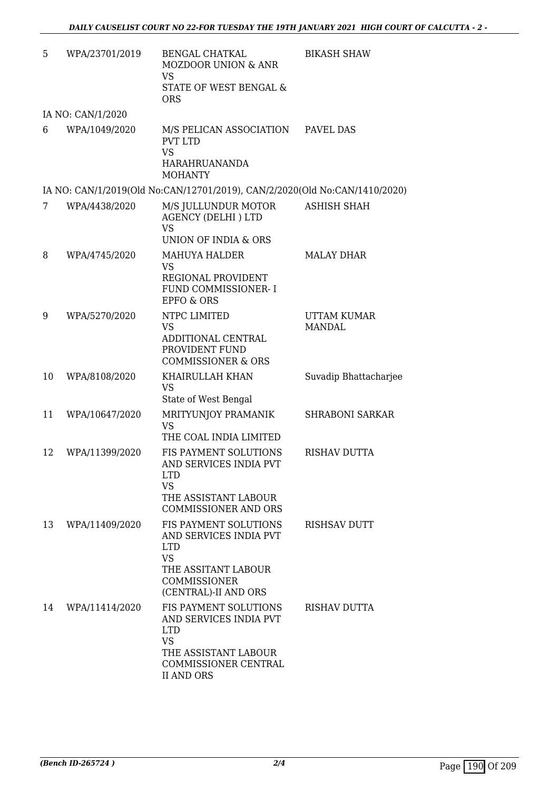| 5  | WPA/23701/2019    | <b>BENGAL CHATKAL</b><br><b>MOZDOOR UNION &amp; ANR</b><br><b>VS</b><br>STATE OF WEST BENGAL &<br><b>ORS</b>                                    | <b>BIKASH SHAW</b>                  |
|----|-------------------|-------------------------------------------------------------------------------------------------------------------------------------------------|-------------------------------------|
|    | IA NO: CAN/1/2020 |                                                                                                                                                 |                                     |
| 6  | WPA/1049/2020     | M/S PELICAN ASSOCIATION<br><b>PVT LTD</b><br><b>VS</b><br><b>HARAHRUANANDA</b><br><b>MOHANTY</b>                                                | PAVEL DAS                           |
|    |                   | IA NO: CAN/1/2019(Old No:CAN/12701/2019), CAN/2/2020(Old No:CAN/1410/2020)                                                                      |                                     |
| 7  | WPA/4438/2020     | M/S JULLUNDUR MOTOR<br><b>AGENCY (DELHI) LTD</b><br><b>VS</b><br><b>UNION OF INDIA &amp; ORS</b>                                                | <b>ASHISH SHAH</b>                  |
| 8  | WPA/4745/2020     | <b>MAHUYA HALDER</b><br><b>VS</b><br>REGIONAL PROVIDENT<br>FUND COMMISSIONER-I<br><b>EPFO &amp; ORS</b>                                         | <b>MALAY DHAR</b>                   |
| 9  | WPA/5270/2020     | NTPC LIMITED<br><b>VS</b><br>ADDITIONAL CENTRAL<br>PROVIDENT FUND<br><b>COMMISSIONER &amp; ORS</b>                                              | <b>UTTAM KUMAR</b><br><b>MANDAL</b> |
| 10 | WPA/8108/2020     | KHAIRULLAH KHAN<br><b>VS</b><br>State of West Bengal                                                                                            | Suvadip Bhattacharjee               |
| 11 | WPA/10647/2020    | MRITYUNJOY PRAMANIK<br><b>VS</b><br>THE COAL INDIA LIMITED                                                                                      | <b>SHRABONI SARKAR</b>              |
| 12 | WPA/11399/2020    | FIS PAYMENT SOLUTIONS<br>AND SERVICES INDIA PVT<br><b>LTD</b><br><b>VS</b><br>THE ASSISTANT LABOUR<br><b>COMMISSIONER AND ORS</b>               | <b>RISHAV DUTTA</b>                 |
| 13 | WPA/11409/2020    | FIS PAYMENT SOLUTIONS<br>AND SERVICES INDIA PVT<br><b>LTD</b><br><b>VS</b><br>THE ASSITANT LABOUR<br>COMMISSIONER<br>(CENTRAL)-II AND ORS       | RISHSAV DUTT                        |
| 14 | WPA/11414/2020    | FIS PAYMENT SOLUTIONS<br>AND SERVICES INDIA PVT<br><b>LTD</b><br><b>VS</b><br>THE ASSISTANT LABOUR<br>COMMISSIONER CENTRAL<br><b>II AND ORS</b> | RISHAV DUTTA                        |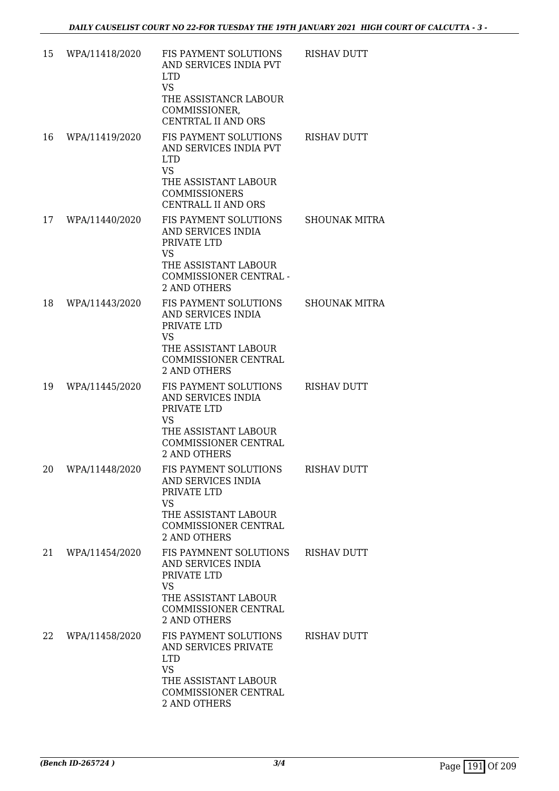| 15 | WPA/11418/2020 | FIS PAYMENT SOLUTIONS<br>AND SERVICES INDIA PVT<br><b>LTD</b>                                                                                            | <b>RISHAV DUTT</b>   |
|----|----------------|----------------------------------------------------------------------------------------------------------------------------------------------------------|----------------------|
|    |                | <b>VS</b><br>THE ASSISTANCR LABOUR<br>COMMISSIONER,<br><b>CENTRTAL II AND ORS</b>                                                                        |                      |
| 16 | WPA/11419/2020 | FIS PAYMENT SOLUTIONS<br>AND SERVICES INDIA PVT<br><b>LTD</b><br><b>VS</b><br>THE ASSISTANT LABOUR<br><b>COMMISSIONERS</b><br><b>CENTRALL II AND ORS</b> | <b>RISHAV DUTT</b>   |
| 17 | WPA/11440/2020 | FIS PAYMENT SOLUTIONS<br>AND SERVICES INDIA<br>PRIVATE LTD<br><b>VS</b><br>THE ASSISTANT LABOUR<br>COMMISSIONER CENTRAL -<br><b>2 AND OTHERS</b>         | SHOUNAK MITRA        |
| 18 | WPA/11443/2020 | FIS PAYMENT SOLUTIONS<br>AND SERVICES INDIA<br>PRIVATE LTD<br>VS.<br>THE ASSISTANT LABOUR<br>COMMISSIONER CENTRAL<br><b>2 AND OTHERS</b>                 | <b>SHOUNAK MITRA</b> |
| 19 | WPA/11445/2020 | FIS PAYMENT SOLUTIONS<br>AND SERVICES INDIA<br>PRIVATE LTD<br><b>VS</b><br>THE ASSISTANT LABOUR<br><b>COMMISSIONER CENTRAL</b><br><b>2 AND OTHERS</b>    | <b>RISHAV DUTT</b>   |
| 20 | WPA/11448/2020 | FIS PAYMENT SOLUTIONS<br>AND SERVICES INDIA<br>PRIVATE LTD<br><b>VS</b><br>THE ASSISTANT LABOUR<br>COMMISSIONER CENTRAL<br>2 AND OTHERS                  | <b>RISHAV DUTT</b>   |
| 21 | WPA/11454/2020 | FIS PAYMNENT SOLUTIONS<br>AND SERVICES INDIA<br>PRIVATE LTD<br>VS.<br>THE ASSISTANT LABOUR<br>COMMISSIONER CENTRAL<br><b>2 AND OTHERS</b>                | <b>RISHAV DUTT</b>   |
| 22 | WPA/11458/2020 | FIS PAYMENT SOLUTIONS<br>AND SERVICES PRIVATE<br><b>LTD</b><br>VS<br>THE ASSISTANT LABOUR<br>COMMISSIONER CENTRAL<br>2 AND OTHERS                        | <b>RISHAV DUTT</b>   |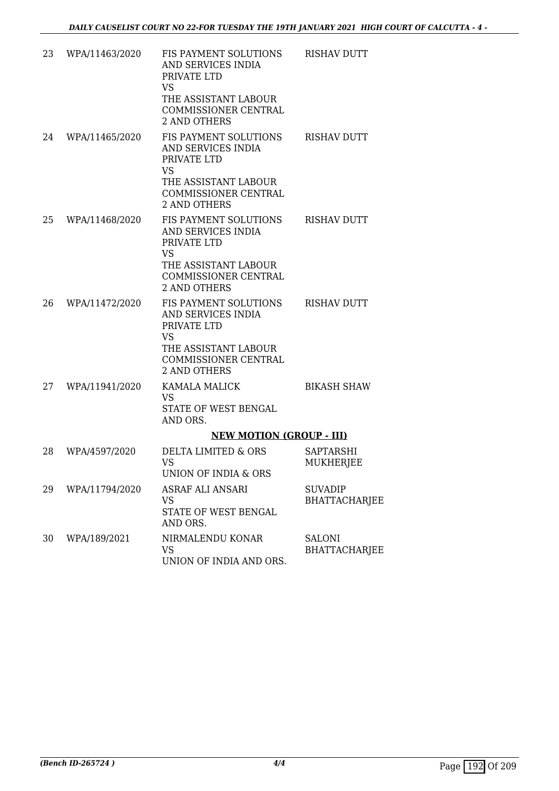| 23 | WPA/11463/2020 | FIS PAYMENT SOLUTIONS<br>AND SERVICES INDIA<br>PRIVATE LTD<br><b>VS</b> | <b>RISHAV DUTT</b>                   |
|----|----------------|-------------------------------------------------------------------------|--------------------------------------|
|    |                | THE ASSISTANT LABOUR<br>COMMISSIONER CENTRAL<br><b>2 AND OTHERS</b>     |                                      |
| 24 | WPA/11465/2020 | FIS PAYMENT SOLUTIONS<br>AND SERVICES INDIA<br>PRIVATE LTD<br><b>VS</b> | <b>RISHAV DUTT</b>                   |
|    |                | THE ASSISTANT LABOUR<br>COMMISSIONER CENTRAL<br><b>2 AND OTHERS</b>     |                                      |
| 25 | WPA/11468/2020 | FIS PAYMENT SOLUTIONS<br>AND SERVICES INDIA<br>PRIVATE LTD<br><b>VS</b> | <b>RISHAV DUTT</b>                   |
|    |                | THE ASSISTANT LABOUR<br>COMMISSIONER CENTRAL<br><b>2 AND OTHERS</b>     |                                      |
| 26 | WPA/11472/2020 | FIS PAYMENT SOLUTIONS<br>AND SERVICES INDIA<br>PRIVATE LTD<br><b>VS</b> | <b>RISHAV DUTT</b>                   |
|    |                | THE ASSISTANT LABOUR<br>COMMISSIONER CENTRAL<br><b>2 AND OTHERS</b>     |                                      |
| 27 | WPA/11941/2020 | <b>KAMALA MALICK</b><br><b>VS</b><br>STATE OF WEST BENGAL<br>AND ORS.   | <b>BIKASH SHAW</b>                   |
|    |                | <b>NEW MOTION (GROUP - III)</b>                                         |                                      |
| 28 | WPA/4597/2020  | DELTA LIMITED & ORS<br>VS<br>UNION OF INDIA & ORS                       | <b>SAPTARSHI</b><br><b>MUKHERJEE</b> |
| 29 | WPA/11794/2020 | <b>ASRAF ALI ANSARI</b><br>VS<br>STATE OF WEST BENGAL<br>AND ORS.       | <b>SUVADIP</b><br>BHATTACHARJEE      |
| 30 | WPA/189/2021   | NIRMALENDU KONAR<br><b>VS</b><br>UNION OF INDIA AND ORS.                | <b>SALONI</b><br>BHATTACHARJEE       |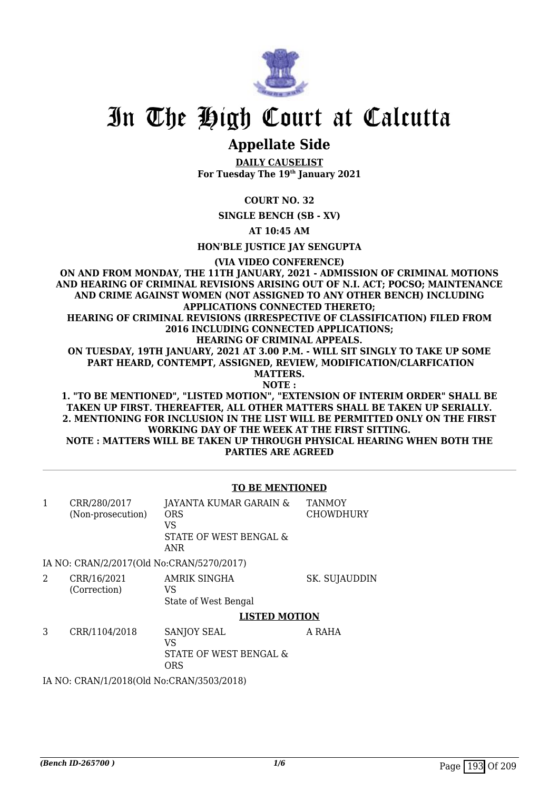

## **Appellate Side**

**DAILY CAUSELIST For Tuesday The 19th January 2021**

**COURT NO. 32**

**SINGLE BENCH (SB - XV)**

**AT 10:45 AM**

**HON'BLE JUSTICE JAY SENGUPTA**

**(VIA VIDEO CONFERENCE)**

**ON AND FROM MONDAY, THE 11TH JANUARY, 2021 - ADMISSION OF CRIMINAL MOTIONS AND HEARING OF CRIMINAL REVISIONS ARISING OUT OF N.I. ACT; POCSO; MAINTENANCE AND CRIME AGAINST WOMEN (NOT ASSIGNED TO ANY OTHER BENCH) INCLUDING APPLICATIONS CONNECTED THERETO; HEARING OF CRIMINAL REVISIONS (IRRESPECTIVE OF CLASSIFICATION) FILED FROM 2016 INCLUDING CONNECTED APPLICATIONS; HEARING OF CRIMINAL APPEALS. ON TUESDAY, 19TH JANUARY, 2021 AT 3.00 P.M. - WILL SIT SINGLY TO TAKE UP SOME PART HEARD, CONTEMPT, ASSIGNED, REVIEW, MODIFICATION/CLARFICATION MATTERS. NOTE : 1. "TO BE MENTIONED", "LISTED MOTION", "EXTENSION OF INTERIM ORDER" SHALL BE TAKEN UP FIRST. THEREAFTER, ALL OTHER MATTERS SHALL BE TAKEN UP SERIALLY. 2. MENTIONING FOR INCLUSION IN THE LIST WILL BE PERMITTED ONLY ON THE FIRST**

**WORKING DAY OF THE WEEK AT THE FIRST SITTING. NOTE : MATTERS WILL BE TAKEN UP THROUGH PHYSICAL HEARING WHEN BOTH THE PARTIES ARE AGREED**

#### **TO BE MENTIONED**

| 1 | CRR/280/2017<br>(Non-prosecution)         | JAYANTA KUMAR GARAIN &<br>ORS<br>VS<br>STATE OF WEST BENGAL &<br>ANR | <b>TANMOY</b><br><b>CHOWDHURY</b> |
|---|-------------------------------------------|----------------------------------------------------------------------|-----------------------------------|
|   | IA NO: CRAN/2/2017(Old No:CRAN/5270/2017) |                                                                      |                                   |
| 2 | CRR/16/2021<br>(Correction)               | AMRIK SINGHA<br>VS<br>State of West Bengal                           | SK. SUJAUDDIN                     |
|   |                                           | <b>LISTED MOTION</b>                                                 |                                   |
| 3 | CRR/1104/2018                             | <b>SANJOY SEAL</b><br>VS<br>STATE OF WEST BENGAL &<br><b>ORS</b>     | A RAHA                            |
|   | IA NO: CRAN/1/2018(Old No:CRAN/3503/2018) |                                                                      |                                   |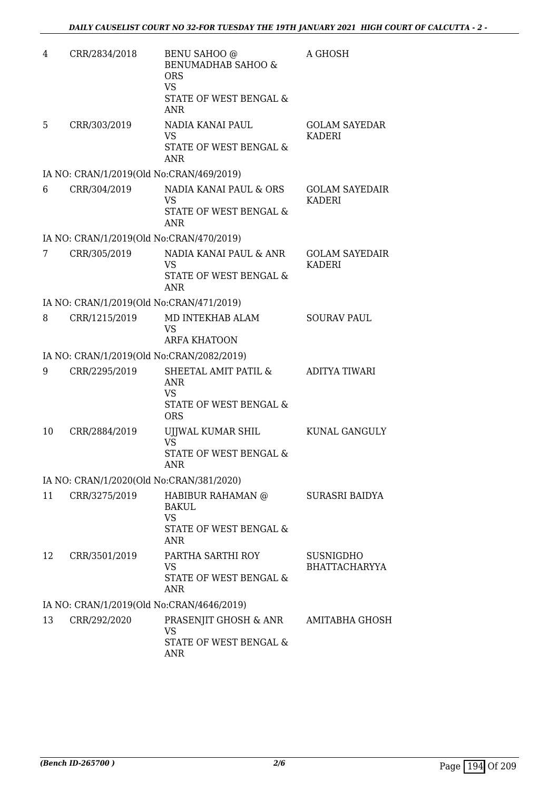| 4  | CRR/2834/2018                             | <b>BENU SAHOO</b> @<br>BENUMADHAB SAHOO &<br><b>ORS</b><br><b>VS</b><br>STATE OF WEST BENGAL &<br><b>ANR</b> | A GHOSH                                  |
|----|-------------------------------------------|--------------------------------------------------------------------------------------------------------------|------------------------------------------|
| 5  | CRR/303/2019                              | NADIA KANAI PAUL<br><b>VS</b><br>STATE OF WEST BENGAL &<br><b>ANR</b>                                        | <b>GOLAM SAYEDAR</b><br>KADERI           |
|    | IA NO: CRAN/1/2019(Old No:CRAN/469/2019)  |                                                                                                              |                                          |
| 6  | CRR/304/2019                              | NADIA KANAI PAUL & ORS<br>VS.<br>STATE OF WEST BENGAL &<br><b>ANR</b>                                        | <b>GOLAM SAYEDAIR</b><br><b>KADERI</b>   |
|    | IA NO: CRAN/1/2019(Old No:CRAN/470/2019)  |                                                                                                              |                                          |
| 7  | CRR/305/2019                              | NADIA KANAI PAUL & ANR<br>VS<br>STATE OF WEST BENGAL &<br><b>ANR</b>                                         | <b>GOLAM SAYEDAIR</b><br><b>KADERI</b>   |
|    | IA NO: CRAN/1/2019(Old No:CRAN/471/2019)  |                                                                                                              |                                          |
| 8  | CRR/1215/2019                             | MD INTEKHAB ALAM<br><b>VS</b><br><b>ARFA KHATOON</b>                                                         | <b>SOURAV PAUL</b>                       |
|    | IA NO: CRAN/1/2019(Old No:CRAN/2082/2019) |                                                                                                              |                                          |
| 9  | CRR/2295/2019                             | SHEETAL AMIT PATIL &<br><b>ANR</b><br><b>VS</b><br>STATE OF WEST BENGAL &<br><b>ORS</b>                      | ADITYA TIWARI                            |
| 10 | CRR/2884/2019                             | UJJWAL KUMAR SHIL<br><b>VS</b><br>STATE OF WEST BENGAL &<br>ANR                                              | KUNAL GANGULY                            |
|    | IA NO: CRAN/1/2020(Old No:CRAN/381/2020)  |                                                                                                              |                                          |
| 11 | CRR/3275/2019                             | HABIBUR RAHAMAN @<br><b>BAKUL</b><br><b>VS</b><br>STATE OF WEST BENGAL &<br>ANR                              | SURASRI BAIDYA                           |
| 12 | CRR/3501/2019                             | PARTHA SARTHI ROY<br>VS<br>STATE OF WEST BENGAL &<br><b>ANR</b>                                              | <b>SUSNIGDHO</b><br><b>BHATTACHARYYA</b> |
|    | IA NO: CRAN/1/2019(Old No:CRAN/4646/2019) |                                                                                                              |                                          |
| 13 | CRR/292/2020                              | PRASENJIT GHOSH & ANR<br>VS<br>STATE OF WEST BENGAL &<br><b>ANR</b>                                          | AMITABHA GHOSH                           |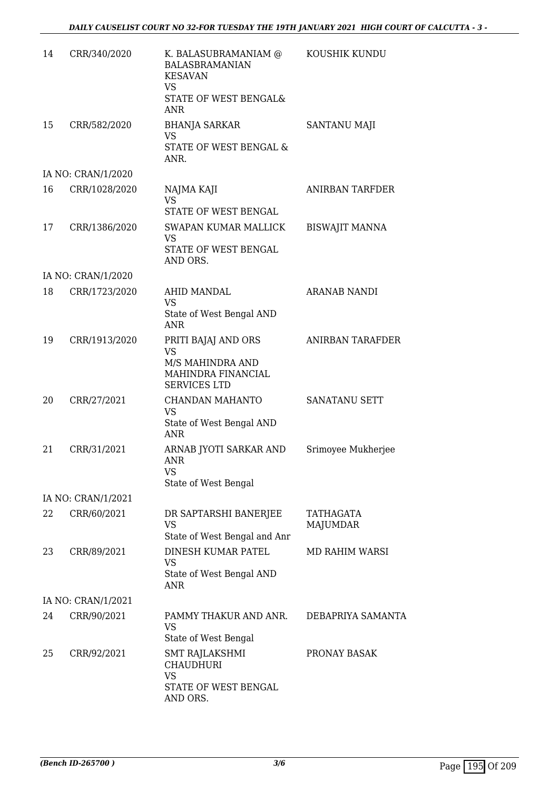| 14 | CRR/340/2020       | K. BALASUBRAMANIAM @<br><b>BALASBRAMANIAN</b><br><b>KESAVAN</b><br><b>VS</b>                      | KOUSHIK KUNDU           |
|----|--------------------|---------------------------------------------------------------------------------------------------|-------------------------|
|    |                    | STATE OF WEST BENGAL&<br><b>ANR</b>                                                               |                         |
| 15 | CRR/582/2020       | <b>BHANJA SARKAR</b><br>VS<br>STATE OF WEST BENGAL &                                              | SANTANU MAJI            |
|    |                    | ANR.                                                                                              |                         |
|    | IA NO: CRAN/1/2020 |                                                                                                   |                         |
| 16 | CRR/1028/2020      | NAJMA KAJI<br><b>VS</b><br>STATE OF WEST BENGAL                                                   | <b>ANIRBAN TARFDER</b>  |
| 17 | CRR/1386/2020      | SWAPAN KUMAR MALLICK<br><b>VS</b>                                                                 | <b>BISWAJIT MANNA</b>   |
|    |                    | STATE OF WEST BENGAL<br>AND ORS.                                                                  |                         |
|    | IA NO: CRAN/1/2020 |                                                                                                   |                         |
| 18 | CRR/1723/2020      | AHID MANDAL<br><b>VS</b>                                                                          | <b>ARANAB NANDI</b>     |
|    |                    | State of West Bengal AND<br><b>ANR</b>                                                            |                         |
| 19 | CRR/1913/2020      | PRITI BAJAJ AND ORS<br><b>VS</b><br>M/S MAHINDRA AND<br>MAHINDRA FINANCIAL<br><b>SERVICES LTD</b> | <b>ANIRBAN TARAFDER</b> |
| 20 | CRR/27/2021        | CHANDAN MAHANTO<br><b>VS</b><br>State of West Bengal AND<br><b>ANR</b>                            | SANATANU SETT           |
| 21 | CRR/31/2021        | ARNAB JYOTI SARKAR AND<br><b>ANR</b><br>VS<br>State of West Bengal                                | Srimoyee Mukherjee      |
|    | IA NO: CRAN/1/2021 |                                                                                                   |                         |
| 22 | CRR/60/2021        | DR SAPTARSHI BANERJEE<br>VS                                                                       | TATHAGATA<br>MAJUMDAR   |
|    |                    | State of West Bengal and Anr                                                                      |                         |
| 23 | CRR/89/2021        | DINESH KUMAR PATEL<br><b>VS</b><br>State of West Bengal AND<br><b>ANR</b>                         | <b>MD RAHIM WARSI</b>   |
|    | IA NO: CRAN/1/2021 |                                                                                                   |                         |
| 24 | CRR/90/2021        | PAMMY THAKUR AND ANR.<br><b>VS</b>                                                                | DEBAPRIYA SAMANTA       |
| 25 | CRR/92/2021        | State of West Bengal<br>SMT RAJLAKSHMI<br><b>CHAUDHURI</b><br><b>VS</b>                           | PRONAY BASAK            |
|    |                    | STATE OF WEST BENGAL<br>AND ORS.                                                                  |                         |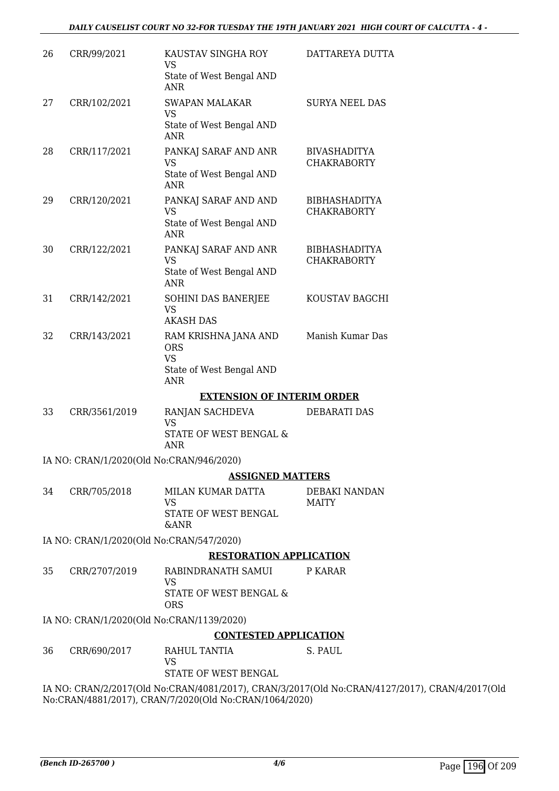| 26 | CRR/99/2021                               | KAUSTAV SINGHA ROY<br>VS<br>State of West Bengal AND   | DATTAREYA DUTTA                                                                                |
|----|-------------------------------------------|--------------------------------------------------------|------------------------------------------------------------------------------------------------|
|    |                                           | <b>ANR</b>                                             |                                                                                                |
| 27 | CRR/102/2021                              | <b>SWAPAN MALAKAR</b><br><b>VS</b>                     | <b>SURYA NEEL DAS</b>                                                                          |
|    |                                           | State of West Bengal AND<br><b>ANR</b>                 |                                                                                                |
| 28 | CRR/117/2021                              | PANKAJ SARAF AND ANR                                   | <b>BIVASHADITYA</b>                                                                            |
|    |                                           | <b>VS</b><br>State of West Bengal AND<br>ANR           | <b>CHAKRABORTY</b>                                                                             |
| 29 | CRR/120/2021                              | PANKAJ SARAF AND AND                                   | <b>BIBHASHADITYA</b>                                                                           |
|    |                                           | <b>VS</b><br>State of West Bengal AND<br><b>ANR</b>    | <b>CHAKRABORTY</b>                                                                             |
| 30 | CRR/122/2021                              | PANKAJ SARAF AND ANR                                   | <b>BIBHASHADITYA</b>                                                                           |
|    |                                           | <b>VS</b><br>State of West Bengal AND<br><b>ANR</b>    | <b>CHAKRABORTY</b>                                                                             |
| 31 | CRR/142/2021                              | SOHINI DAS BANERJEE                                    | KOUSTAV BAGCHI                                                                                 |
|    |                                           | <b>VS</b><br><b>AKASH DAS</b>                          |                                                                                                |
| 32 | CRR/143/2021                              | RAM KRISHNA JANA AND<br><b>ORS</b>                     | Manish Kumar Das                                                                               |
|    |                                           | <b>VS</b><br>State of West Bengal AND<br><b>ANR</b>    |                                                                                                |
|    |                                           | <b>EXTENSION OF INTERIM ORDER</b>                      |                                                                                                |
| 33 | CRR/3561/2019                             | RANJAN SACHDEVA<br><b>VS</b>                           | DEBARATI DAS                                                                                   |
|    |                                           | STATE OF WEST BENGAL &<br><b>ANR</b>                   |                                                                                                |
|    | IA NO: CRAN/1/2020(Old No:CRAN/946/2020)  |                                                        |                                                                                                |
|    |                                           | <b>ASSIGNED MATTERS</b>                                |                                                                                                |
| 34 | CRR/705/2018                              | MILAN KUMAR DATTA<br><b>VS</b>                         | DEBAKI NANDAN<br><b>MAITY</b>                                                                  |
|    |                                           | STATE OF WEST BENGAL<br><b>&amp;ANR</b>                |                                                                                                |
|    | IA NO: CRAN/1/2020(Old No:CRAN/547/2020)  |                                                        |                                                                                                |
|    |                                           | <b>RESTORATION APPLICATION</b>                         |                                                                                                |
| 35 | CRR/2707/2019                             | RABINDRANATH SAMUI<br><b>VS</b>                        | P KARAR                                                                                        |
|    |                                           | STATE OF WEST BENGAL &<br><b>ORS</b>                   |                                                                                                |
|    | IA NO: CRAN/1/2020(Old No:CRAN/1139/2020) |                                                        |                                                                                                |
|    |                                           | <b>CONTESTED APPLICATION</b>                           |                                                                                                |
| 36 | CRR/690/2017                              | RAHUL TANTIA<br><b>VS</b>                              | S. PAUL                                                                                        |
|    |                                           | STATE OF WEST BENGAL                                   |                                                                                                |
|    |                                           | No:CRAN/4881/2017), CRAN/7/2020(Old No:CRAN/1064/2020) | IA NO: CRAN/2/2017(Old No:CRAN/4081/2017), CRAN/3/2017(Old No:CRAN/4127/2017), CRAN/4/2017(Old |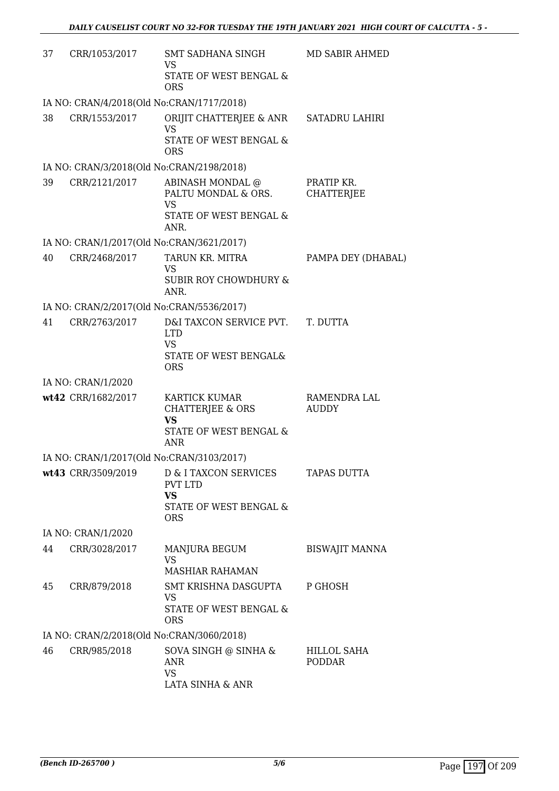| 37 | CRR/1053/2017                             | SMT SADHANA SINGH<br><b>VS</b><br>STATE OF WEST BENGAL &<br><b>ORS</b>                        | MD SABIR AHMED                  |
|----|-------------------------------------------|-----------------------------------------------------------------------------------------------|---------------------------------|
|    | IA NO: CRAN/4/2018(Old No:CRAN/1717/2018) |                                                                                               |                                 |
| 38 | CRR/1553/2017                             | ORIJIT CHATTERJEE & ANR<br><b>VS</b><br>STATE OF WEST BENGAL &<br><b>ORS</b>                  | <b>SATADRU LAHIRI</b>           |
|    | IA NO: CRAN/3/2018(Old No:CRAN/2198/2018) |                                                                                               |                                 |
| 39 | CRR/2121/2017                             | ABINASH MONDAL @<br>PALTU MONDAL & ORS.<br><b>VS</b><br>STATE OF WEST BENGAL &<br>ANR.        | PRATIP KR.<br><b>CHATTERJEE</b> |
|    | IA NO: CRAN/1/2017(Old No:CRAN/3621/2017) |                                                                                               |                                 |
| 40 | CRR/2468/2017                             | TARUN KR. MITRA<br><b>VS</b><br><b>SUBIR ROY CHOWDHURY &amp;</b><br>ANR.                      | PAMPA DEY (DHABAL)              |
|    | IA NO: CRAN/2/2017(Old No:CRAN/5536/2017) |                                                                                               |                                 |
| 41 | CRR/2763/2017                             | D&I TAXCON SERVICE PVT.<br><b>LTD</b><br><b>VS</b><br>STATE OF WEST BENGAL&<br><b>ORS</b>     | T. DUTTA                        |
|    | IA NO: CRAN/1/2020                        |                                                                                               |                                 |
|    | wt42 CRR/1682/2017                        | <b>KARTICK KUMAR</b><br>CHATTERJEE & ORS<br><b>VS</b><br>STATE OF WEST BENGAL &<br><b>ANR</b> | RAMENDRA LAL<br><b>AUDDY</b>    |
|    | IA NO: CRAN/1/2017(Old No:CRAN/3103/2017) |                                                                                               |                                 |
|    | wt43 CRR/3509/2019                        | D & I TAXCON SERVICES<br><b>PVT LTD</b><br><b>VS</b><br>STATE OF WEST BENGAL &<br><b>ORS</b>  | <b>TAPAS DUTTA</b>              |
|    | IA NO: CRAN/1/2020                        |                                                                                               |                                 |
| 44 | CRR/3028/2017                             | MANJURA BEGUM<br><b>VS</b><br><b>MASHIAR RAHAMAN</b>                                          | <b>BISWAJIT MANNA</b>           |
| 45 | CRR/879/2018                              | SMT KRISHNA DASGUPTA<br><b>VS</b><br>STATE OF WEST BENGAL &<br>ORS                            | P GHOSH                         |
|    | IA NO: CRAN/2/2018(Old No:CRAN/3060/2018) |                                                                                               |                                 |
| 46 | CRR/985/2018                              | SOVA SINGH @ SINHA $\&$<br><b>ANR</b><br><b>VS</b><br>LATA SINHA & ANR                        | HILLOL SAHA<br><b>PODDAR</b>    |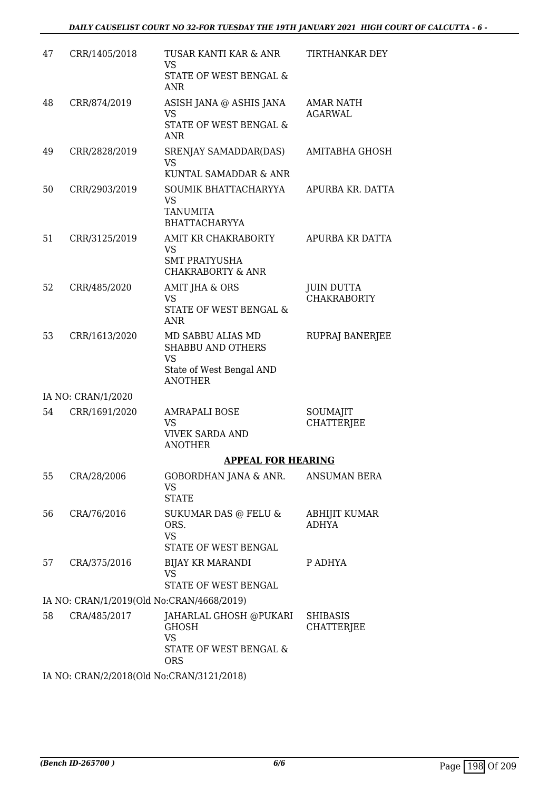| 47 | CRR/1405/2018                                 | TUSAR KANTI KAR & ANR<br><b>VS</b><br>STATE OF WEST BENGAL &<br><b>ANR</b>                               | TIRTHANKAR DEY                          |
|----|-----------------------------------------------|----------------------------------------------------------------------------------------------------------|-----------------------------------------|
| 48 | CRR/874/2019                                  | ASISH JANA @ ASHIS JANA<br><b>VS</b><br>STATE OF WEST BENGAL &<br><b>ANR</b>                             | AMAR NATH<br><b>AGARWAL</b>             |
| 49 | CRR/2828/2019                                 | SRENJAY SAMADDAR(DAS)<br><b>VS</b><br>KUNTAL SAMADDAR & ANR                                              | AMITABHA GHOSH                          |
| 50 | CRR/2903/2019                                 | SOUMIK BHATTACHARYYA<br>VS<br><b>TANUMITA</b><br><b>BHATTACHARYYA</b>                                    | APURBA KR. DATTA                        |
| 51 | CRR/3125/2019                                 | AMIT KR CHAKRABORTY<br><b>VS</b><br><b>SMT PRATYUSHA</b><br><b>CHAKRABORTY &amp; ANR</b>                 | APURBA KR DATTA                         |
| 52 | CRR/485/2020                                  | AMIT JHA & ORS<br><b>VS</b><br>STATE OF WEST BENGAL &<br><b>ANR</b>                                      | <b>JUIN DUTTA</b><br><b>CHAKRABORTY</b> |
| 53 | CRR/1613/2020                                 | MD SABBU ALIAS MD<br><b>SHABBU AND OTHERS</b><br><b>VS</b><br>State of West Bengal AND<br><b>ANOTHER</b> | RUPRAJ BANERJEE                         |
|    | IA NO: CRAN/1/2020                            |                                                                                                          |                                         |
| 54 | CRR/1691/2020                                 | <b>AMRAPALI BOSE</b><br>VS<br><b>VIVEK SARDA AND</b><br><b>ANOTHER</b>                                   | SOUMAJIT<br><b>CHATTERJEE</b>           |
|    |                                               | <b>APPEAL FOR HEARING</b>                                                                                |                                         |
| 55 | CRA/28/2006                                   | GOBORDHAN JANA & ANR.<br><b>VS</b><br><b>STATE</b>                                                       | <b>ANSUMAN BERA</b>                     |
| 56 | CRA/76/2016                                   | SUKUMAR DAS @ FELU &<br>ORS.<br><b>VS</b><br>STATE OF WEST BENGAL                                        | ABHIJIT KUMAR<br>ADHYA                  |
| 57 | CRA/375/2016                                  | <b>BIJAY KR MARANDI</b><br><b>VS</b><br>STATE OF WEST BENGAL                                             | P ADHYA                                 |
|    | IA NO: CRAN/1/2019(Old No:CRAN/4668/2019)     |                                                                                                          |                                         |
| 58 | CRA/485/2017                                  | JAHARLAL GHOSH @PUKARI<br><b>GHOSH</b><br><b>VS</b><br>STATE OF WEST BENGAL &<br><b>ORS</b>              | <b>SHIBASIS</b><br><b>CHATTERJEE</b>    |
|    | IA MO. CRANIQ (2019) OLA No. CRANIQ 12121019) |                                                                                                          |                                         |

IA NO: CRAN/2/2018(Old No:CRAN/3121/2018)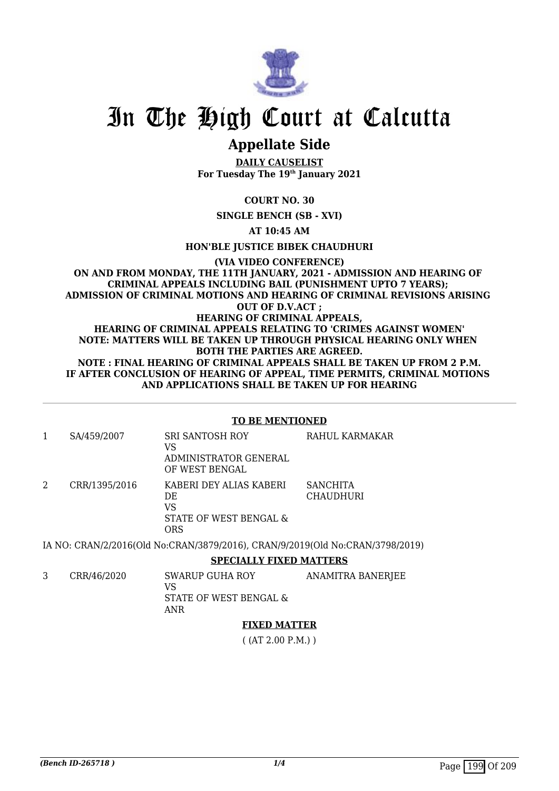

## **Appellate Side**

**DAILY CAUSELIST For Tuesday The 19th January 2021**

#### **COURT NO. 30**

**SINGLE BENCH (SB - XVI)**

**AT 10:45 AM**

**HON'BLE JUSTICE BIBEK CHAUDHURI**

#### **(VIA VIDEO CONFERENCE) ON AND FROM MONDAY, THE 11TH JANUARY, 2021 - ADMISSION AND HEARING OF CRIMINAL APPEALS INCLUDING BAIL (PUNISHMENT UPTO 7 YEARS); ADMISSION OF CRIMINAL MOTIONS AND HEARING OF CRIMINAL REVISIONS ARISING OUT OF D.V.ACT ; HEARING OF CRIMINAL APPEALS, HEARING OF CRIMINAL APPEALS RELATING TO 'CRIMES AGAINST WOMEN' NOTE: MATTERS WILL BE TAKEN UP THROUGH PHYSICAL HEARING ONLY WHEN BOTH THE PARTIES ARE AGREED. NOTE : FINAL HEARING OF CRIMINAL APPEALS SHALL BE TAKEN UP FROM 2 P.M. IF AFTER CONCLUSION OF HEARING OF APPEAL, TIME PERMITS, CRIMINAL MOTIONS AND APPLICATIONS SHALL BE TAKEN UP FOR HEARING**

#### **TO BE MENTIONED**

| SA/459/2007   | <b>SRI SANTOSH ROY</b><br>VS<br>ADMINISTRATOR GENERAL<br>OF WEST BENGAL | RAHUL KARMAKAR                      |
|---------------|-------------------------------------------------------------------------|-------------------------------------|
| CRR/1395/2016 | KABERI DEY ALIAS KABERI<br>DE.<br>VS<br>STATE OF WEST BENGAL &<br>ORS   | <b>SANCHITA</b><br><b>CHAUDHURI</b> |

IA NO: CRAN/2/2016(Old No:CRAN/3879/2016), CRAN/9/2019(Old No:CRAN/3798/2019)

**SPECIALLY FIXED MATTERS**

3 CRR/46/2020 SWARUP GUHA ROY VS STATE OF WEST BENGAL & ANR ANAMITRA BANERJEE

#### **FIXED MATTER**

( (AT 2.00 P.M.) )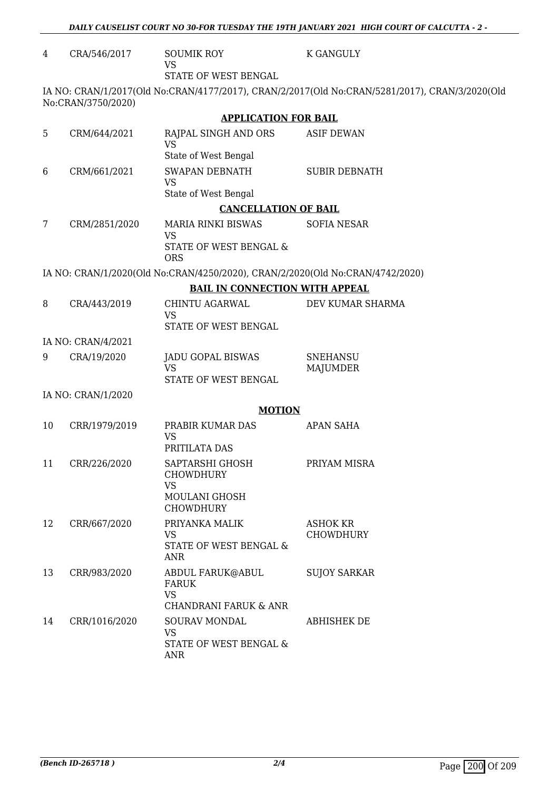| 4  | CRA/546/2017       | <b>SOUMIK ROY</b><br><b>VS</b>                                                | <b>K GANGULY</b>                                                                               |
|----|--------------------|-------------------------------------------------------------------------------|------------------------------------------------------------------------------------------------|
|    |                    | STATE OF WEST BENGAL                                                          |                                                                                                |
|    | No:CRAN/3750/2020) |                                                                               | IA NO: CRAN/1/2017(Old No:CRAN/4177/2017), CRAN/2/2017(Old No:CRAN/5281/2017), CRAN/3/2020(Old |
|    |                    | <b>APPLICATION FOR BAIL</b>                                                   |                                                                                                |
| 5  | CRM/644/2021       | RAJPAL SINGH AND ORS<br><b>VS</b>                                             | <b>ASIF DEWAN</b>                                                                              |
|    |                    | State of West Bengal                                                          |                                                                                                |
| 6  | CRM/661/2021       | SWAPAN DEBNATH<br><b>VS</b>                                                   | <b>SUBIR DEBNATH</b>                                                                           |
|    |                    | State of West Bengal                                                          |                                                                                                |
|    |                    | <b>CANCELLATION OF BAIL</b>                                                   |                                                                                                |
| 7  | CRM/2851/2020      | <b>MARIA RINKI BISWAS</b><br><b>VS</b>                                        | <b>SOFIA NESAR</b>                                                                             |
|    |                    | STATE OF WEST BENGAL &<br><b>ORS</b>                                          |                                                                                                |
|    |                    | IA NO: CRAN/1/2020(Old No:CRAN/4250/2020), CRAN/2/2020(Old No:CRAN/4742/2020) |                                                                                                |
|    |                    | <b>BAIL IN CONNECTION WITH APPEAL</b>                                         |                                                                                                |
| 8  | CRA/443/2019       | CHINTU AGARWAL<br><b>VS</b>                                                   | DEV KUMAR SHARMA                                                                               |
|    |                    | STATE OF WEST BENGAL                                                          |                                                                                                |
|    | IA NO: CRAN/4/2021 |                                                                               |                                                                                                |
| 9  | CRA/19/2020        | JADU GOPAL BISWAS<br><b>VS</b>                                                | <b>SNEHANSU</b><br><b>MAJUMDER</b>                                                             |
|    |                    | STATE OF WEST BENGAL                                                          |                                                                                                |
|    | IA NO: CRAN/1/2020 |                                                                               |                                                                                                |
|    |                    | <b>MOTION</b>                                                                 |                                                                                                |
| 10 | CRR/1979/2019      | PRABIR KUMAR DAS<br><b>VS</b>                                                 | APAN SAHA                                                                                      |
|    |                    | PRITILATA DAS                                                                 |                                                                                                |
| 11 | CRR/226/2020       | SAPTARSHI GHOSH<br><b>CHOWDHURY</b><br><b>VS</b>                              | PRIYAM MISRA                                                                                   |
|    |                    | MOULANI GHOSH<br><b>CHOWDHURY</b>                                             |                                                                                                |
| 12 | CRR/667/2020       | PRIYANKA MALIK<br>VS                                                          | <b>ASHOK KR</b><br><b>CHOWDHURY</b>                                                            |
|    |                    | STATE OF WEST BENGAL &<br>ANR                                                 |                                                                                                |
| 13 | CRR/983/2020       | ABDUL FARUK@ABUL<br><b>FARUK</b><br><b>VS</b>                                 | <b>SUJOY SARKAR</b>                                                                            |
|    |                    | CHANDRANI FARUK & ANR                                                         |                                                                                                |
| 14 | CRR/1016/2020      | SOURAV MONDAL<br><b>VS</b><br>STATE OF WEST BENGAL &                          | <b>ABHISHEK DE</b>                                                                             |

ANR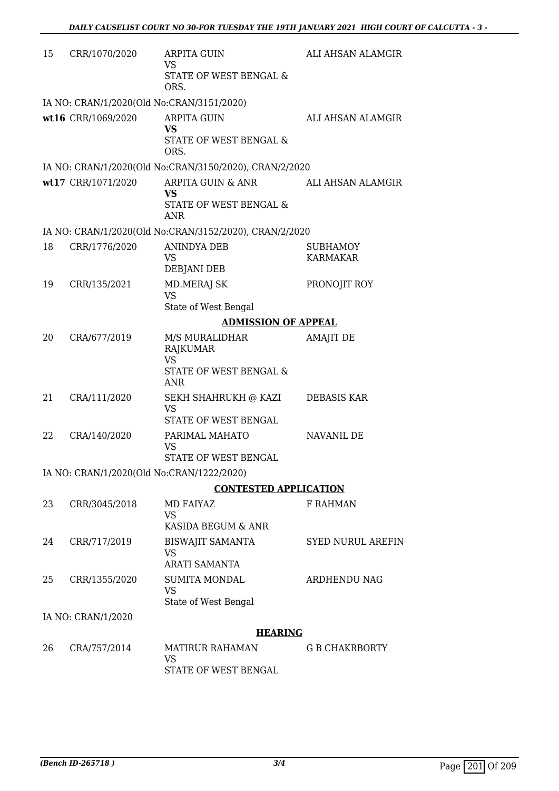| 15 | CRR/1070/2020                             | <b>ARPITA GUIN</b><br>VS<br><b>STATE OF WEST BENGAL &amp;</b>                     | ALI AHSAN ALAMGIR                  |
|----|-------------------------------------------|-----------------------------------------------------------------------------------|------------------------------------|
|    | IA NO: CRAN/1/2020(Old No:CRAN/3151/2020) | ORS.                                                                              |                                    |
|    | wt16 CRR/1069/2020                        | <b>ARPITA GUIN</b><br><b>VS</b><br>STATE OF WEST BENGAL &<br>ORS.                 | ALI AHSAN ALAMGIR                  |
|    |                                           | IA NO: CRAN/1/2020(Old No:CRAN/3150/2020), CRAN/2/2020                            |                                    |
|    | wt17 CRR/1071/2020                        | ARPITA GUIN & ANR<br><b>VS</b><br>STATE OF WEST BENGAL &<br>ANR                   | ALI AHSAN ALAMGIR                  |
|    |                                           | IA NO: CRAN/1/2020(Old No:CRAN/3152/2020), CRAN/2/2020                            |                                    |
| 18 | CRR/1776/2020                             | <b>ANINDYA DEB</b><br>VS<br>DEBJANI DEB                                           | <b>SUBHAMOY</b><br><b>KARMAKAR</b> |
| 19 | CRR/135/2021                              | <b>MD.MERAJ SK</b><br><b>VS</b><br>State of West Bengal                           | PRONOJIT ROY                       |
|    |                                           | <b>ADMISSION OF APPEAL</b>                                                        |                                    |
| 20 | CRA/677/2019                              | M/S MURALIDHAR<br>RAJKUMAR<br><b>VS</b>                                           | <b>AMAJIT DE</b>                   |
|    |                                           | STATE OF WEST BENGAL &<br><b>ANR</b>                                              |                                    |
| 21 | CRA/111/2020                              | SEKH SHAHRUKH @ KAZI<br><b>VS</b><br>STATE OF WEST BENGAL                         | DEBASIS KAR                        |
| 22 | CRA/140/2020                              | PARIMAL MAHATO<br><b>VS</b><br>STATE OF WEST BENGAL                               | <b>NAVANIL DE</b>                  |
|    | IA NO: CRAN/1/2020(Old No:CRAN/1222/2020) |                                                                                   |                                    |
|    |                                           | <b>CONTESTED APPLICATION</b>                                                      |                                    |
| 23 | CRR/3045/2018                             | <b>MD FAIYAZ</b><br><b>VS</b><br>KASIDA BEGUM & ANR                               | <b>F RAHMAN</b>                    |
| 24 | CRR/717/2019                              | <b>BISWAJIT SAMANTA</b><br><b>VS</b>                                              | <b>SYED NURUL AREFIN</b>           |
| 25 | CRR/1355/2020                             | <b>ARATI SAMANTA</b><br><b>SUMITA MONDAL</b><br><b>VS</b><br>State of West Bengal | <b>ARDHENDU NAG</b>                |
|    | IA NO: CRAN/1/2020                        |                                                                                   |                                    |
|    |                                           | <b>HEARING</b>                                                                    |                                    |
| 26 | CRA/757/2014                              | <b>MATIRUR RAHAMAN</b><br>VS<br>STATE OF WEST BENGAL                              | <b>G B CHAKRBORTY</b>              |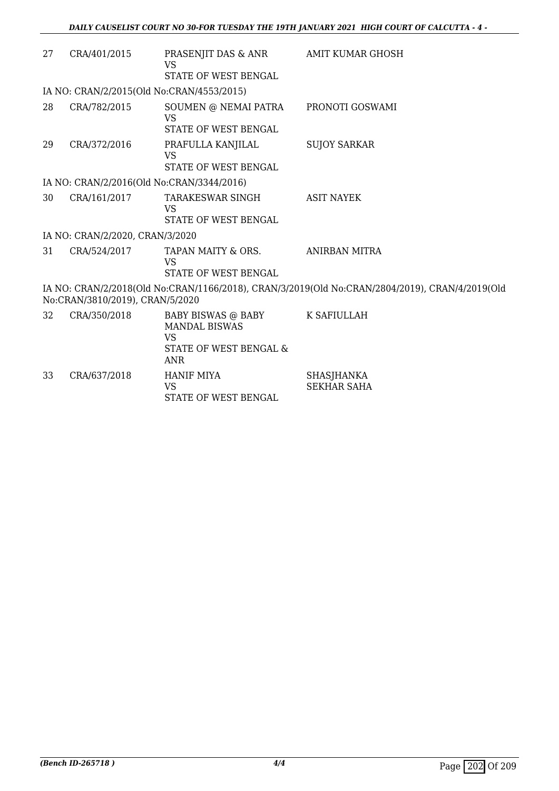| 27 | CRA/401/2015                              | PRASENJIT DAS & ANR<br><b>VS</b>                                                                | AMIT KUMAR GHOSH                                                                               |
|----|-------------------------------------------|-------------------------------------------------------------------------------------------------|------------------------------------------------------------------------------------------------|
|    |                                           | STATE OF WEST BENGAL                                                                            |                                                                                                |
|    | IA NO: CRAN/2/2015(Old No:CRAN/4553/2015) |                                                                                                 |                                                                                                |
| 28 | CRA/782/2015                              | SOUMEN @ NEMAI PATRA<br><b>VS</b><br>STATE OF WEST BENGAL                                       | PRONOTI GOSWAMI                                                                                |
| 29 | CRA/372/2016                              | PRAFULLA KANJILAL<br><b>VS</b><br>STATE OF WEST BENGAL                                          | <b>SUJOY SARKAR</b>                                                                            |
|    | IA NO: CRAN/2/2016(Old No:CRAN/3344/2016) |                                                                                                 |                                                                                                |
| 30 | CRA/161/2017                              | TARAKESWAR SINGH<br><b>VS</b><br>STATE OF WEST BENGAL                                           | <b>ASIT NAYEK</b>                                                                              |
|    | IA NO: CRAN/2/2020, CRAN/3/2020           |                                                                                                 |                                                                                                |
| 31 | CRA/524/2017                              | TAPAN MAITY & ORS.<br><b>VS</b><br>STATE OF WEST BENGAL                                         | ANIRBAN MITRA                                                                                  |
|    | No:CRAN/3810/2019), CRAN/5/2020           |                                                                                                 | IA NO: CRAN/2/2018(Old No:CRAN/1166/2018), CRAN/3/2019(Old No:CRAN/2804/2019), CRAN/4/2019(Old |
| 32 | CRA/350/2018                              | BABY BISWAS @ BABY<br><b>MANDAL BISWAS</b><br><b>VS</b><br>STATE OF WEST BENGAL &<br><b>ANR</b> | K SAFIULLAH                                                                                    |
| 33 | CRA/637/2018                              | <b>HANIF MIYA</b><br><b>VS</b><br>STATE OF WEST BENGAL                                          | SHASJHANKA<br><b>SEKHAR SAHA</b>                                                               |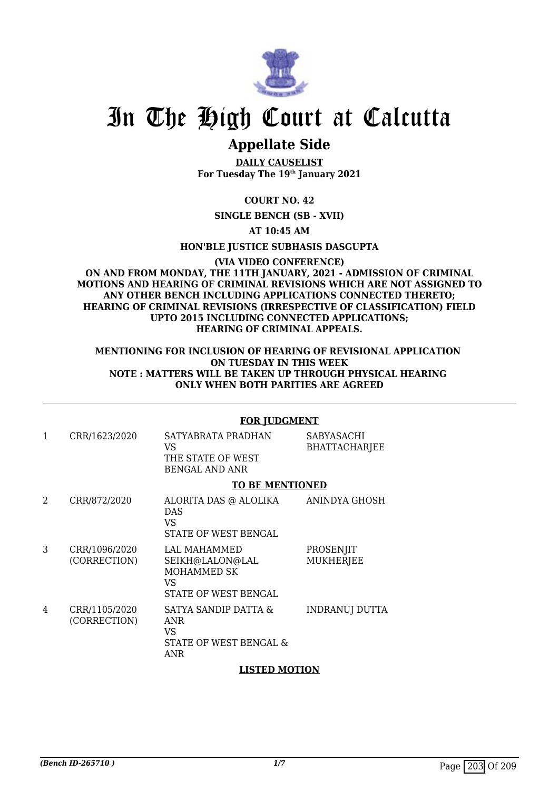

## **Appellate Side**

**DAILY CAUSELIST For Tuesday The 19th January 2021**

**COURT NO. 42**

**SINGLE BENCH (SB - XVII)**

**AT 10:45 AM**

**HON'BLE JUSTICE SUBHASIS DASGUPTA**

**(VIA VIDEO CONFERENCE) ON AND FROM MONDAY, THE 11TH JANUARY, 2021 - ADMISSION OF CRIMINAL MOTIONS AND HEARING OF CRIMINAL REVISIONS WHICH ARE NOT ASSIGNED TO ANY OTHER BENCH INCLUDING APPLICATIONS CONNECTED THERETO; HEARING OF CRIMINAL REVISIONS (IRRESPECTIVE OF CLASSIFICATION) FIELD UPTO 2015 INCLUDING CONNECTED APPLICATIONS; HEARING OF CRIMINAL APPEALS.**

#### **MENTIONING FOR INCLUSION OF HEARING OF REVISIONAL APPLICATION ON TUESDAY IN THIS WEEK NOTE : MATTERS WILL BE TAKEN UP THROUGH PHYSICAL HEARING ONLY WHEN BOTH PARITIES ARE AGREED**

#### **FOR JUDGMENT**

| 1 | CRR/1623/2020                 | SATYABRATA PRADHAN<br>VS<br>THE STATE OF WEST<br><b>BENGAL AND ANR</b>              | <b>SABYASACHI</b><br><b>BHATTACHARJEE</b> |
|---|-------------------------------|-------------------------------------------------------------------------------------|-------------------------------------------|
|   |                               | <b>TO BE MENTIONED</b>                                                              |                                           |
| 2 | CRR/872/2020                  | ALORITA DAS @ ALOLIKA<br><b>DAS</b><br>VS<br>STATE OF WEST BENGAL                   | ANINDYA GHOSH                             |
| 3 | CRR/1096/2020<br>(CORRECTION) | LAL MAHAMMED<br>SEIKH@LALON@LAL<br><b>MOHAMMED SK</b><br>VS<br>STATE OF WEST BENGAL | PROSENJIT<br><b>MUKHERJEE</b>             |

4 CRR/1105/2020 (CORRECTION) SATYA SANDIP DATTA & ANR VS STATE OF WEST BENGAL & ANR INDRANUJ DUTTA

#### **LISTED MOTION**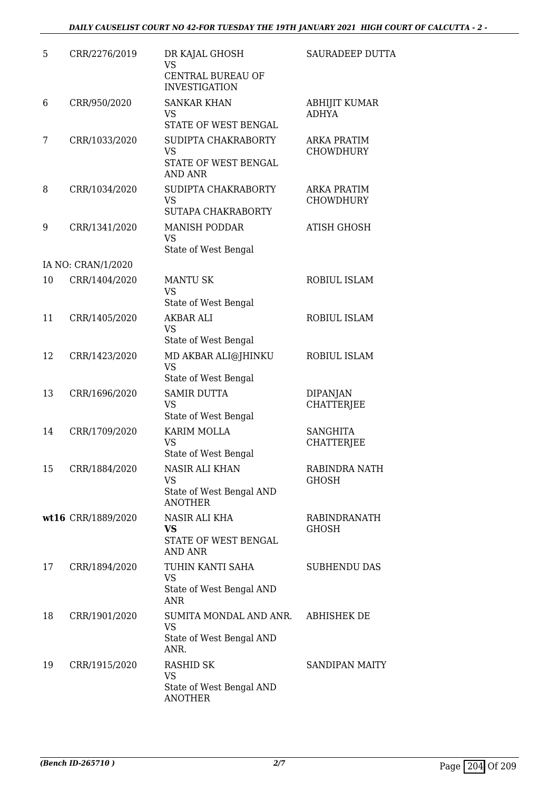| 5  | CRR/2276/2019      | DR KAJAL GHOSH<br>VS<br>CENTRAL BUREAU OF<br><b>INVESTIGATION</b>          | <b>SAURADEEP DUTTA</b>                 |
|----|--------------------|----------------------------------------------------------------------------|----------------------------------------|
| 6  | CRR/950/2020       | <b>SANKAR KHAN</b><br><b>VS</b><br>STATE OF WEST BENGAL                    | <b>ABHIJIT KUMAR</b><br><b>ADHYA</b>   |
| 7  | CRR/1033/2020      | SUDIPTA CHAKRABORTY<br><b>VS</b><br>STATE OF WEST BENGAL<br><b>AND ANR</b> | <b>ARKA PRATIM</b><br><b>CHOWDHURY</b> |
| 8  | CRR/1034/2020      | SUDIPTA CHAKRABORTY<br><b>VS</b><br>SUTAPA CHAKRABORTY                     | <b>ARKA PRATIM</b><br><b>CHOWDHURY</b> |
| 9  | CRR/1341/2020      | <b>MANISH PODDAR</b><br><b>VS</b><br>State of West Bengal                  | <b>ATISH GHOSH</b>                     |
|    | IA NO: CRAN/1/2020 |                                                                            |                                        |
| 10 | CRR/1404/2020      | <b>MANTU SK</b><br><b>VS</b>                                               | <b>ROBIUL ISLAM</b>                    |
|    |                    | State of West Bengal                                                       |                                        |
| 11 | CRR/1405/2020      | <b>AKBAR ALI</b><br><b>VS</b><br>State of West Bengal                      | ROBIUL ISLAM                           |
| 12 | CRR/1423/2020      | MD AKBAR ALI@JHINKU<br>VS<br>State of West Bengal                          | ROBIUL ISLAM                           |
| 13 | CRR/1696/2020      | <b>SAMIR DUTTA</b><br><b>VS</b><br>State of West Bengal                    | <b>DIPANJAN</b><br><b>CHATTERJEE</b>   |
| 14 | CRR/1709/2020      | KARIM MOLLA<br>VS<br>State of West Bengal                                  | <b>SANGHITA</b><br><b>CHATTERJEE</b>   |
| 15 | CRR/1884/2020      | NASIR ALI KHAN<br>VS<br>State of West Bengal AND<br><b>ANOTHER</b>         | RABINDRA NATH<br><b>GHOSH</b>          |
|    | wt16 CRR/1889/2020 | NASIR ALI KHA<br>VS<br>STATE OF WEST BENGAL<br><b>AND ANR</b>              | <b>RABINDRANATH</b><br><b>GHOSH</b>    |
| 17 | CRR/1894/2020      | TUHIN KANTI SAHA<br>VS<br>State of West Bengal AND<br><b>ANR</b>           | <b>SUBHENDU DAS</b>                    |
| 18 | CRR/1901/2020      | SUMITA MONDAL AND ANR.<br><b>VS</b><br>State of West Bengal AND<br>ANR.    | ABHISHEK DE                            |
| 19 | CRR/1915/2020      | RASHID SK<br><b>VS</b><br>State of West Bengal AND<br><b>ANOTHER</b>       | <b>SANDIPAN MAITY</b>                  |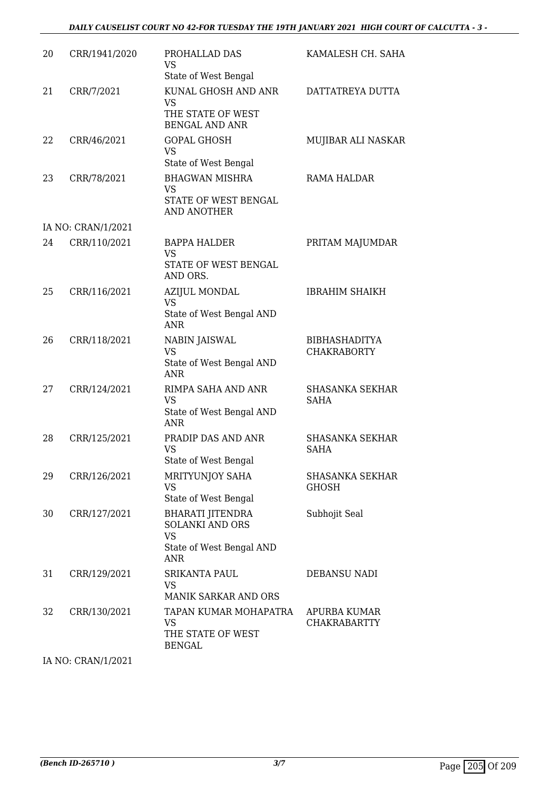| 20 | CRR/1941/2020      | PROHALLAD DAS<br><b>VS</b>                                                | KAMALESH CH. SAHA                          |
|----|--------------------|---------------------------------------------------------------------------|--------------------------------------------|
|    |                    | State of West Bengal                                                      |                                            |
| 21 | CRR/7/2021         | KUNAL GHOSH AND ANR<br><b>VS</b>                                          | DATTATREYA DUTTA                           |
|    |                    | THE STATE OF WEST<br><b>BENGAL AND ANR</b>                                |                                            |
| 22 | CRR/46/2021        | <b>GOPAL GHOSH</b><br><b>VS</b>                                           | MUJIBAR ALI NASKAR                         |
|    |                    | State of West Bengal                                                      |                                            |
| 23 | CRR/78/2021        | <b>BHAGWAN MISHRA</b><br><b>VS</b><br>STATE OF WEST BENGAL<br>AND ANOTHER | RAMA HALDAR                                |
|    | IA NO: CRAN/1/2021 |                                                                           |                                            |
| 24 | CRR/110/2021       | <b>BAPPA HALDER</b><br><b>VS</b>                                          | PRITAM MAJUMDAR                            |
|    |                    | STATE OF WEST BENGAL<br>AND ORS.                                          |                                            |
| 25 | CRR/116/2021       | <b>AZIJUL MONDAL</b><br><b>VS</b>                                         | <b>IBRAHIM SHAIKH</b>                      |
|    |                    | State of West Bengal AND<br><b>ANR</b>                                    |                                            |
| 26 | CRR/118/2021       | NABIN JAISWAL<br><b>VS</b>                                                | <b>BIBHASHADITYA</b><br><b>CHAKRABORTY</b> |
|    |                    | State of West Bengal AND<br><b>ANR</b>                                    |                                            |
| 27 | CRR/124/2021       | RIMPA SAHA AND ANR<br><b>VS</b>                                           | <b>SHASANKA SEKHAR</b><br><b>SAHA</b>      |
|    |                    | State of West Bengal AND<br><b>ANR</b>                                    |                                            |
| 28 | CRR/125/2021       | PRADIP DAS AND ANR<br><b>VS</b>                                           | <b>SHASANKA SEKHAR</b><br><b>SAHA</b>      |
|    |                    | State of West Bengal                                                      |                                            |
| 29 | CRR/126/2021       | MRITYUNJOY SAHA<br><b>VS</b>                                              | <b>SHASANKA SEKHAR</b><br><b>GHOSH</b>     |
|    |                    | State of West Bengal                                                      |                                            |
| 30 | CRR/127/2021       | <b>BHARATI JITENDRA</b><br><b>SOLANKI AND ORS</b><br><b>VS</b>            | Subhojit Seal                              |
|    |                    | State of West Bengal AND<br><b>ANR</b>                                    |                                            |
| 31 | CRR/129/2021       | <b>SRIKANTA PAUL</b><br>VS<br>MANIK SARKAR AND ORS                        | <b>DEBANSU NADI</b>                        |
|    |                    | TAPAN KUMAR MOHAPATRA                                                     |                                            |
| 32 | CRR/130/2021       | <b>VS</b><br>THE STATE OF WEST<br><b>BENGAL</b>                           | APURBA KUMAR<br><b>CHAKRABARTTY</b>        |

IA NO: CRAN/1/2021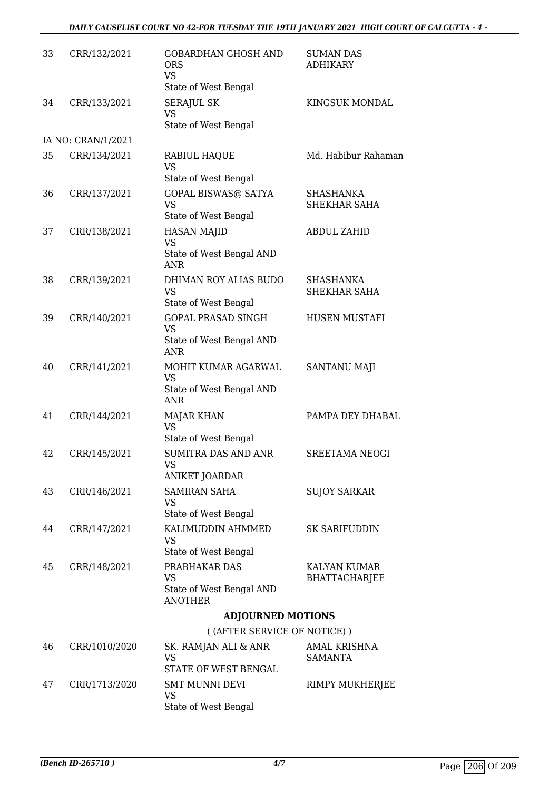#### *DAILY CAUSELIST COURT NO 42-FOR TUESDAY THE 19TH JANUARY 2021 HIGH COURT OF CALCUTTA - 4 -*

| 33 | CRR/132/2021       | <b>GOBARDHAN GHOSH AND</b><br><b>ORS</b><br><b>VS</b><br>State of West Bengal | <b>SUMAN DAS</b><br><b>ADHIKARY</b>     |
|----|--------------------|-------------------------------------------------------------------------------|-----------------------------------------|
| 34 | CRR/133/2021       | <b>SERAJUL SK</b><br><b>VS</b><br>State of West Bengal                        | KINGSUK MONDAL                          |
|    | IA NO: CRAN/1/2021 |                                                                               |                                         |
| 35 | CRR/134/2021       | RABIUL HAQUE<br>VS                                                            | Md. Habibur Rahaman                     |
|    |                    | State of West Bengal                                                          |                                         |
| 36 | CRR/137/2021       | <b>GOPAL BISWAS@ SATYA</b><br><b>VS</b><br>State of West Bengal               | <b>SHASHANKA</b><br><b>SHEKHAR SAHA</b> |
| 37 | CRR/138/2021       | <b>HASAN MAJID</b><br>VS                                                      | <b>ABDUL ZAHID</b>                      |
|    |                    | State of West Bengal AND<br><b>ANR</b>                                        |                                         |
| 38 | CRR/139/2021       | DHIMAN ROY ALIAS BUDO<br><b>VS</b>                                            | SHASHANKA<br><b>SHEKHAR SAHA</b>        |
|    |                    | State of West Bengal                                                          |                                         |
| 39 | CRR/140/2021       | <b>GOPAL PRASAD SINGH</b><br><b>VS</b>                                        | HUSEN MUSTAFI                           |
|    |                    | State of West Bengal AND<br><b>ANR</b>                                        |                                         |
| 40 | CRR/141/2021       | MOHIT KUMAR AGARWAL<br><b>VS</b>                                              | SANTANU MAJI                            |
|    |                    | State of West Bengal AND<br><b>ANR</b>                                        |                                         |
| 41 | CRR/144/2021       | <b>MAJAR KHAN</b><br><b>VS</b><br>State of West Bengal                        | PAMPA DEY DHABAL                        |
| 42 | CRR/145/2021       | <b>SUMITRA DAS AND ANR</b><br><b>VS</b>                                       | <b>SREETAMA NEOGI</b>                   |
|    |                    | ANIKET JOARDAR                                                                |                                         |
| 43 | CRR/146/2021       | <b>SAMIRAN SAHA</b><br>VS<br>State of West Bengal                             | <b>SUJOY SARKAR</b>                     |
| 44 | CRR/147/2021       | KALIMUDDIN AHMMED<br><b>VS</b>                                                | <b>SK SARIFUDDIN</b>                    |
|    |                    | State of West Bengal                                                          |                                         |
| 45 | CRR/148/2021       | PRABHAKAR DAS<br><b>VS</b>                                                    | KALYAN KUMAR<br><b>BHATTACHARJEE</b>    |
|    |                    | State of West Bengal AND<br><b>ANOTHER</b>                                    |                                         |
|    |                    | <b>ADJOURNED MOTIONS</b>                                                      |                                         |
|    |                    | ((AFTER SERVICE OF NOTICE))                                                   |                                         |
| 46 | CRR/1010/2020      | SK. RAMJAN ALI & ANR<br><b>VS</b><br>STATE OF WEST BENGAL                     | <b>AMAL KRISHNA</b><br><b>SAMANTA</b>   |
|    |                    |                                                                               |                                         |
| 47 | CRR/1713/2020      | <b>SMT MUNNI DEVI</b><br><b>VS</b>                                            | RIMPY MUKHERJEE                         |

State of West Bengal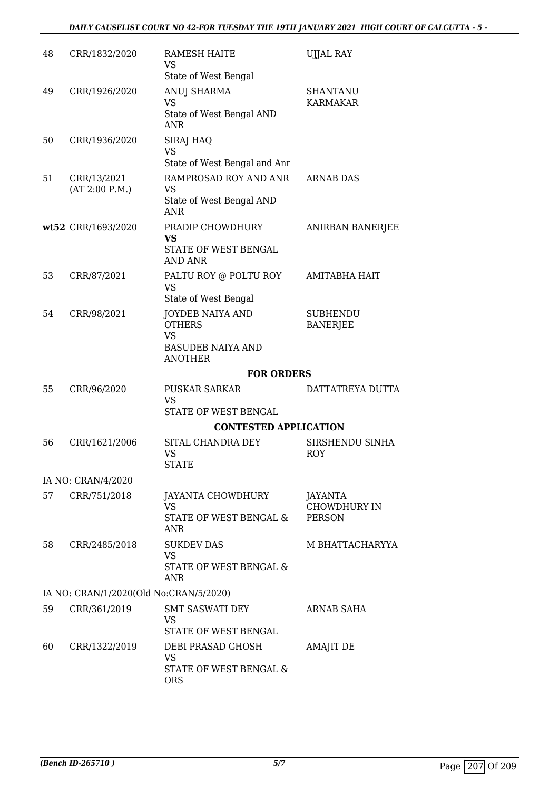| 48 | CRR/1832/2020                                          | RAMESH HAITE<br>VS                                      | <b>UJJAL RAY</b>                     |
|----|--------------------------------------------------------|---------------------------------------------------------|--------------------------------------|
|    |                                                        | State of West Bengal                                    |                                      |
| 49 | CRR/1926/2020                                          | ANUJ SHARMA<br><b>VS</b>                                | <b>SHANTANU</b><br><b>KARMAKAR</b>   |
|    |                                                        | State of West Bengal AND<br><b>ANR</b>                  |                                      |
| 50 | CRR/1936/2020                                          | SIRAJ HAQ                                               |                                      |
|    |                                                        | VS<br>State of West Bengal and Anr                      |                                      |
| 51 | CRR/13/2021<br>(AT 2:00 P.M.)                          | RAMPROSAD ROY AND ANR<br>VS                             | <b>ARNAB DAS</b>                     |
|    |                                                        | State of West Bengal AND<br>ANR                         |                                      |
|    | wt52 CRR/1693/2020                                     | PRADIP CHOWDHURY                                        | <b>ANIRBAN BANERJEE</b>              |
|    |                                                        | <b>VS</b><br>STATE OF WEST BENGAL<br><b>AND ANR</b>     |                                      |
| 53 | CRR/87/2021                                            | PALTU ROY @ POLTU ROY                                   | <b>AMITABHA HAIT</b>                 |
|    |                                                        | <b>VS</b><br>State of West Bengal                       |                                      |
| 54 | CRR/98/2021                                            | <b>JOYDEB NAIYA AND</b>                                 | <b>SUBHENDU</b>                      |
|    |                                                        | <b>OTHERS</b>                                           | <b>BANERJEE</b>                      |
|    |                                                        | <b>VS</b><br><b>BASUDEB NAIYA AND</b><br><b>ANOTHER</b> |                                      |
|    |                                                        | <b>FOR ORDERS</b>                                       |                                      |
| 55 | CRR/96/2020                                            | <b>PUSKAR SARKAR</b>                                    | DATTATREYA DUTTA                     |
|    |                                                        | <b>VS</b>                                               |                                      |
|    |                                                        | <b>STATE OF WEST BENGAL</b>                             |                                      |
|    |                                                        | <b>CONTESTED APPLICATION</b>                            |                                      |
| 56 | CRR/1621/2006                                          | SITAL CHANDRA DEY<br><b>VS</b><br><b>STATE</b>          | SIRSHENDU SINHA<br>ROY               |
|    | IA NO: CRAN/4/2020                                     |                                                         |                                      |
| 57 | CRR/751/2018                                           | JAYANTA CHOWDHURY                                       | <b>JAYANTA</b>                       |
|    |                                                        | <b>VS</b><br>STATE OF WEST BENGAL &<br>ANR              | <b>CHOWDHURY IN</b><br><b>PERSON</b> |
| 58 | CRR/2485/2018                                          | <b>SUKDEV DAS</b>                                       | M BHATTACHARYYA                      |
|    |                                                        | <b>VS</b><br>STATE OF WEST BENGAL &<br>ANR              |                                      |
|    |                                                        |                                                         |                                      |
| 59 | IA NO: CRAN/1/2020(Old No:CRAN/5/2020)<br>CRR/361/2019 | <b>SMT SASWATI DEY</b>                                  | ARNAB SAHA                           |
|    |                                                        | VS<br>STATE OF WEST BENGAL                              |                                      |
| 60 | CRR/1322/2019                                          | DEBI PRASAD GHOSH<br><b>VS</b>                          | <b>AMAJIT DE</b>                     |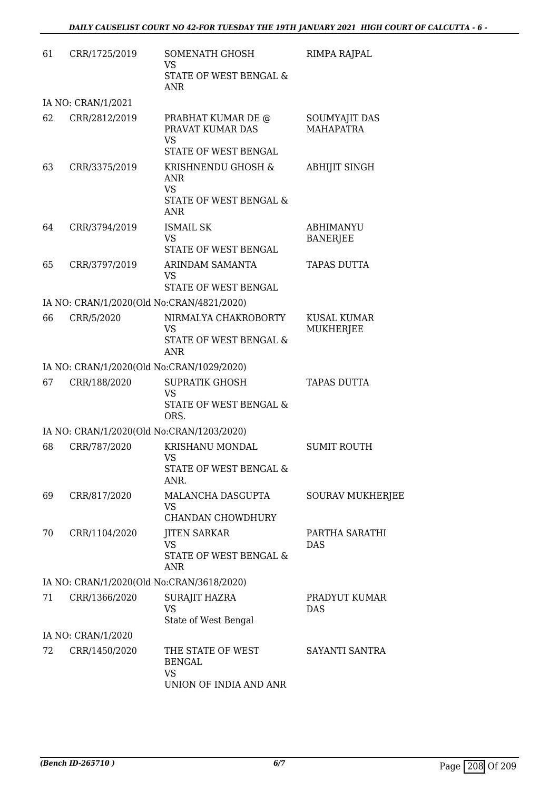| 61 | CRR/1725/2019                             | SOMENATH GHOSH<br><b>VS</b><br>STATE OF WEST BENGAL &<br><b>ANR</b>            | RIMPA RAJPAL                           |
|----|-------------------------------------------|--------------------------------------------------------------------------------|----------------------------------------|
|    | IA NO: CRAN/1/2021                        |                                                                                |                                        |
| 62 | CRR/2812/2019                             | PRABHAT KUMAR DE @<br>PRAVAT KUMAR DAS<br><b>VS</b><br>STATE OF WEST BENGAL    | SOUMYAJIT DAS<br><b>MAHAPATRA</b>      |
| 63 | CRR/3375/2019                             | KRISHNENDU GHOSH &<br><b>ANR</b><br><b>VS</b><br>STATE OF WEST BENGAL &<br>ANR | <b>ABHIJIT SINGH</b>                   |
| 64 | CRR/3794/2019                             | <b>ISMAIL SK</b><br><b>VS</b><br>STATE OF WEST BENGAL                          | <b>ABHIMANYU</b><br><b>BANERJEE</b>    |
| 65 | CRR/3797/2019                             | ARINDAM SAMANTA<br><b>VS</b><br>STATE OF WEST BENGAL                           | TAPAS DUTTA                            |
|    | IA NO: CRAN/1/2020(Old No:CRAN/4821/2020) |                                                                                |                                        |
| 66 | CRR/5/2020                                | NIRMALYA CHAKROBORTY<br><b>VS</b><br>STATE OF WEST BENGAL &<br><b>ANR</b>      | <b>KUSAL KUMAR</b><br><b>MUKHERJEE</b> |
|    | IA NO: CRAN/1/2020(Old No:CRAN/1029/2020) |                                                                                |                                        |
| 67 | CRR/188/2020                              | <b>SUPRATIK GHOSH</b><br><b>VS</b><br>STATE OF WEST BENGAL &<br>ORS.           | <b>TAPAS DUTTA</b>                     |
|    | IA NO: CRAN/1/2020(Old No:CRAN/1203/2020) |                                                                                |                                        |
| 68 | CRR/787/2020                              | KRISHANU MONDAL<br>VS<br>STATE OF WEST BENGAL &<br>ANR.                        | <b>SUMIT ROUTH</b>                     |
| 69 | CRR/817/2020                              | MALANCHA DASGUPTA<br><b>VS</b><br>CHANDAN CHOWDHURY                            | <b>SOURAV MUKHERJEE</b>                |
| 70 | CRR/1104/2020                             | <b>JITEN SARKAR</b><br><b>VS</b><br><b>STATE OF WEST BENGAL &amp;</b><br>ANR   | PARTHA SARATHI<br><b>DAS</b>           |
|    | IA NO: CRAN/1/2020(Old No:CRAN/3618/2020) |                                                                                |                                        |
| 71 | CRR/1366/2020                             | SURAJIT HAZRA<br><b>VS</b><br>State of West Bengal                             | PRADYUT KUMAR<br><b>DAS</b>            |
|    | IA NO: CRAN/1/2020                        |                                                                                |                                        |
| 72 | CRR/1450/2020                             | THE STATE OF WEST<br><b>BENGAL</b><br><b>VS</b><br>UNION OF INDIA AND ANR      | SAYANTI SANTRA                         |